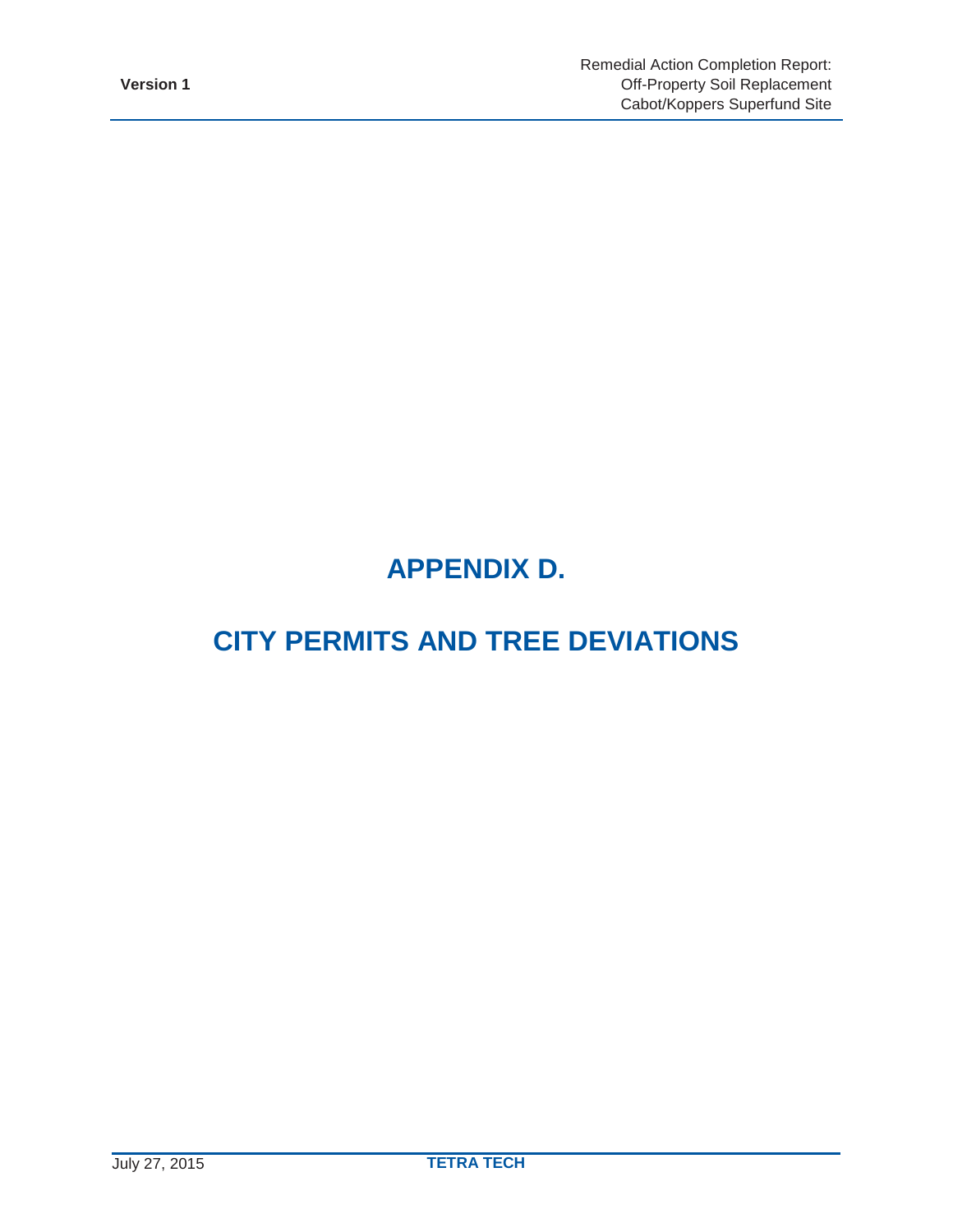# **APPENDIX D.**

# **CITY PERMITS AND TREE DEVIATIONS**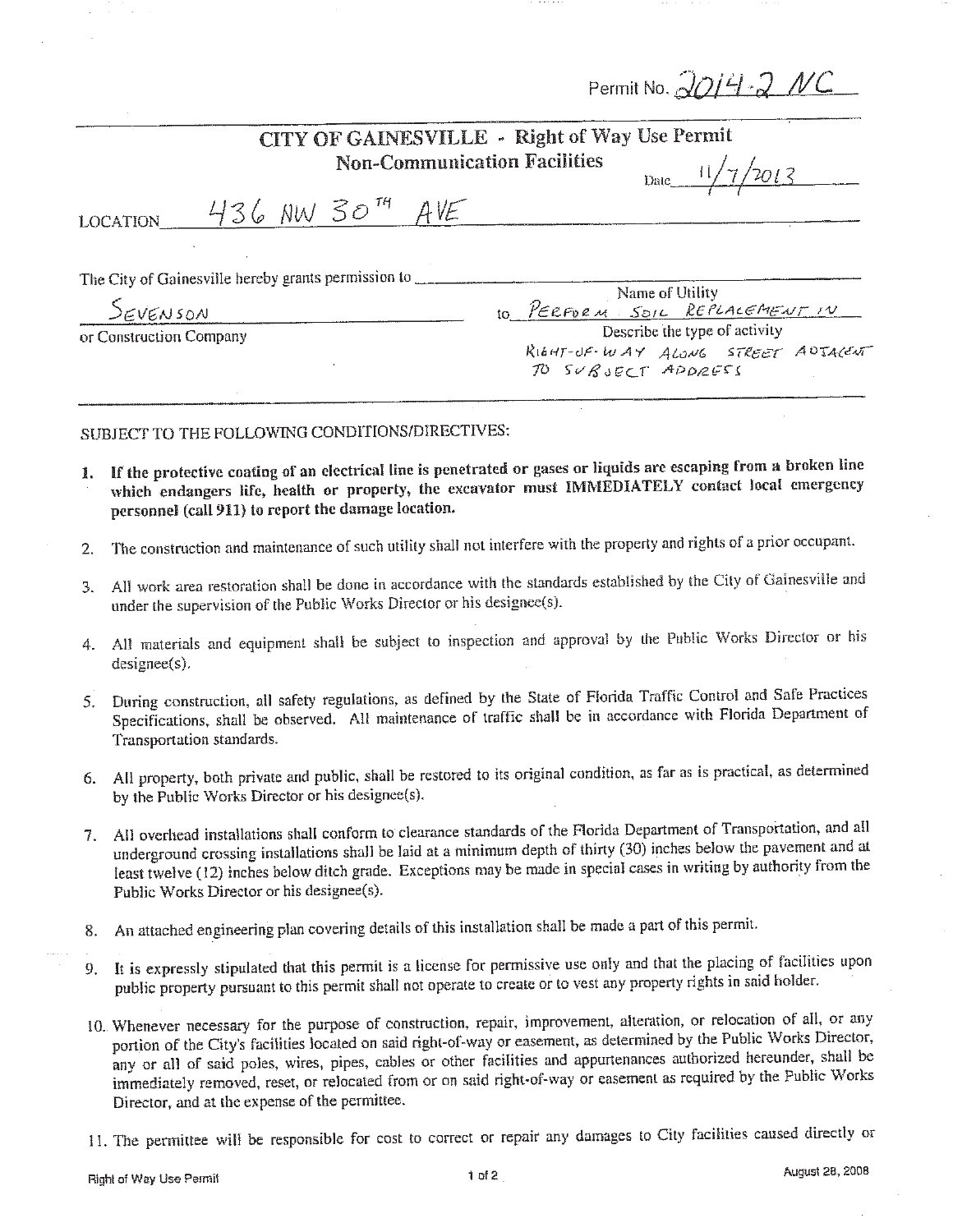| Permit No. 2014 2 NC |  |  |  |
|----------------------|--|--|--|
|----------------------|--|--|--|

|                                                                             | CITY OF GAINESVILLE - Right of Way Use Permit<br><b>Non-Communication Facilities</b><br>Date $11/7/2013$ |
|-----------------------------------------------------------------------------|----------------------------------------------------------------------------------------------------------|
| $436$ NW $30^{74}$ AVE<br><b>LOCATION</b>                                   |                                                                                                          |
| The City of Gainesville hereby grants permission to _<br>$S$ <i>EVENSON</i> | Name of Utility<br>to PERFORM SOIL REPLACEMENT IN                                                        |
| or Construction Company                                                     | Describe the type of activity<br>RIGHT-UF-WAY ALONG STREET ADTACENT<br>TO SUBJECT APPRESS                |

SUBJECT TO THE FOLLOWING CONDITIONS/DIRECTIVES:

- 1. If the protective coating of an electrical line is penetrated or gases or liquids are escaping from a broken line which endangers life, health or property, the excavator must IMMEDIATELY contact local emergency personnel (call 911) to report the damage location.
- The construction and maintenance of such utility shall not interfere with the property and rights of a prior occupant.  $2.$
- 3. All work area restoration shall be done in accordance with the standards established by the City of Gainesville and under the supervision of the Public Works Director or his designee(s).
- 4. All materials and equipment shall be subject to inspection and approval by the Public Works Director or his  $designee(s)$ .
- 5. During construction, all safety regulations, as defined by the State of Florida Traffic Control and Safe Practices Specifications, shall be observed. All maintenance of traffic shall be in accordance with Florida Department of Transportation standards.
- 6. All property, both private and public, shall be restored to its original condition, as far as is practical, as determined by the Public Works Director or his designee(s).
- 7. All overhead installations shall conform to clearance standards of the Florida Department of Transportation, and all underground crossing installations shall be laid at a minimum depth of thirty (30) inches below the pavement and at least twelve (12) inches below ditch grade. Exceptions may be made in special cases in writing by authority from the Public Works Director or his designee(s).
- An attached engineering plan covering details of this installation shall be made a part of this permit. 8.
- 9. It is expressly stipulated that this permit is a license for permissive use only and that the placing of facilities upon public property pursuant to this permit shall not operate to create or to vest any property rights in said holder.
- 10. Whenever necessary for the purpose of construction, repair, improvement, alteration, or relocation of all, or any portion of the City's facilities located on said right-of-way or easement, as determined by the Public Works Director, any or all of said poles, wires, pipes, cables or other facilities and appurtenances authorized hereunder, shall be immediately removed, reset, or relocated from or on said right-of-way or easement as required by the Public Works Director, and at the expense of the permittee.
- 11. The permittee will be responsible for cost to correct or repair any damages to City facilities caused directly or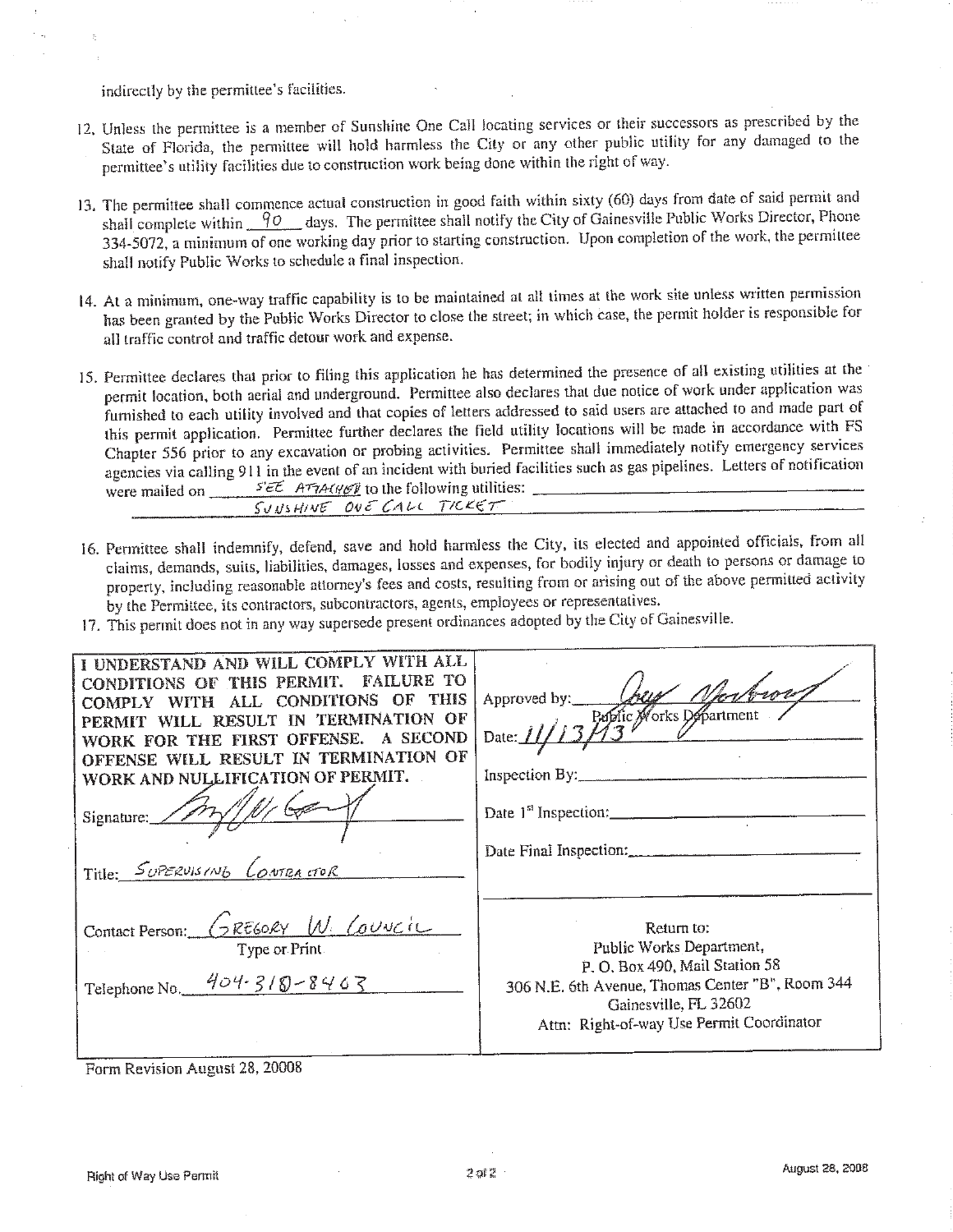indirectly by the permittee's facilities.

- 12. Unless the permittee is a member of Sunshine One Call locating services or their successors as prescribed by the State of Florida, the permittee will hold harmless the City or any other public utility for any damaged to the permittee's utility facilities due to construction work being done within the right of way.
- 13. The permittee shall commence actual construction in good faith within sixty (60) days from date of said permit and shall complete within  $\frac{90}{10}$  days. The permittee shall notify the City of Gainesville Public Works Director, Phone 334-5072, a minimum of one working day prior to starting construction. Upon completion of the work, the permittee shall notify Public Works to schedule a final inspection.
- 14. At a minimum, one-way traffic capability is to be maintained at all times at the work site unless written permission has been granted by the Public Works Director to close the street; in which case, the permit holder is responsible for all traffic control and traffic detour work and expense.
- 15. Permittee declares that prior to filing this application he has determined the presence of all existing utilities at the permit location, both aerial and underground. Permittee also declares that due notice of work under application was furnished to each utility involved and that copies of letters addressed to said users are attached to and made part of this permit application. Permittee further declares the field utility locations will be made in accordance with FS Chapter 556 prior to any excavation or probing activities. Permittee shall immediately notify emergency services agencies via calling 911 in the event of an incident with buried facilities such as gas pipelines. Letters of notification  $S' \in \mathcal{E}$  ATTACKEV to the following utilities: were mailed on \_\_\_\_\_ SUNSHINE ONE CALL TICKET
- 16. Permittee shall indemnify, defend, save and hold harmless the City, its elected and appointed officials, from all claims, demands, suits, liabilities, damages, losses and expenses, for bodily injury or death to persons or damage to property, including reasonable attorney's fees and costs, resulting from or arising out of the above permitted activity by the Permittee, its contractors, subcontractors, agents, employees or representatives.
- 17. This permit does not in any way supersede present ordinances adopted by the City of Gainesville.

| I I UNDERSTAND AND WILL COMPLY WITH ALL<br>CONDITIONS OF THIS PERMIT. FAILURE TO<br>COMPLY WITH ALL CONDITIONS OF THIS<br>PERMIT WILL RESULT IN TERMINATION OF<br>A SECOND<br>WORK FOR THE FIRST OFFENSE.<br>OFFENSE WILL RESULT IN TERMINATION OF<br>WORK AND NULLIFICATION OF PERMIT. | Just Nerbrow.<br>Approved by:<br>Date: 11/13 2001ic Morks Department<br>Inspection By:                                                                                                             |
|-----------------------------------------------------------------------------------------------------------------------------------------------------------------------------------------------------------------------------------------------------------------------------------------|----------------------------------------------------------------------------------------------------------------------------------------------------------------------------------------------------|
| Signature: $\angle$<br>Title: SUPERVISING CONTRACTOR                                                                                                                                                                                                                                    | Date $1st$ Inspection:<br>Date Final Inspection:                                                                                                                                                   |
| Contact Person: GREGORY W. Council<br>Type or Print.<br>Telephone No. $404.318 - 8463$                                                                                                                                                                                                  | Return to:<br>Public Works Department,<br>P. O. Box 490, Mail Station 58<br>306 N.E. 6th Avenue, Thomas Center "B", Room 344<br>Gainesville, FL 32602<br>Attn: Right-of-way Use Permit Coordinator |

#### Form Revision August 28, 20008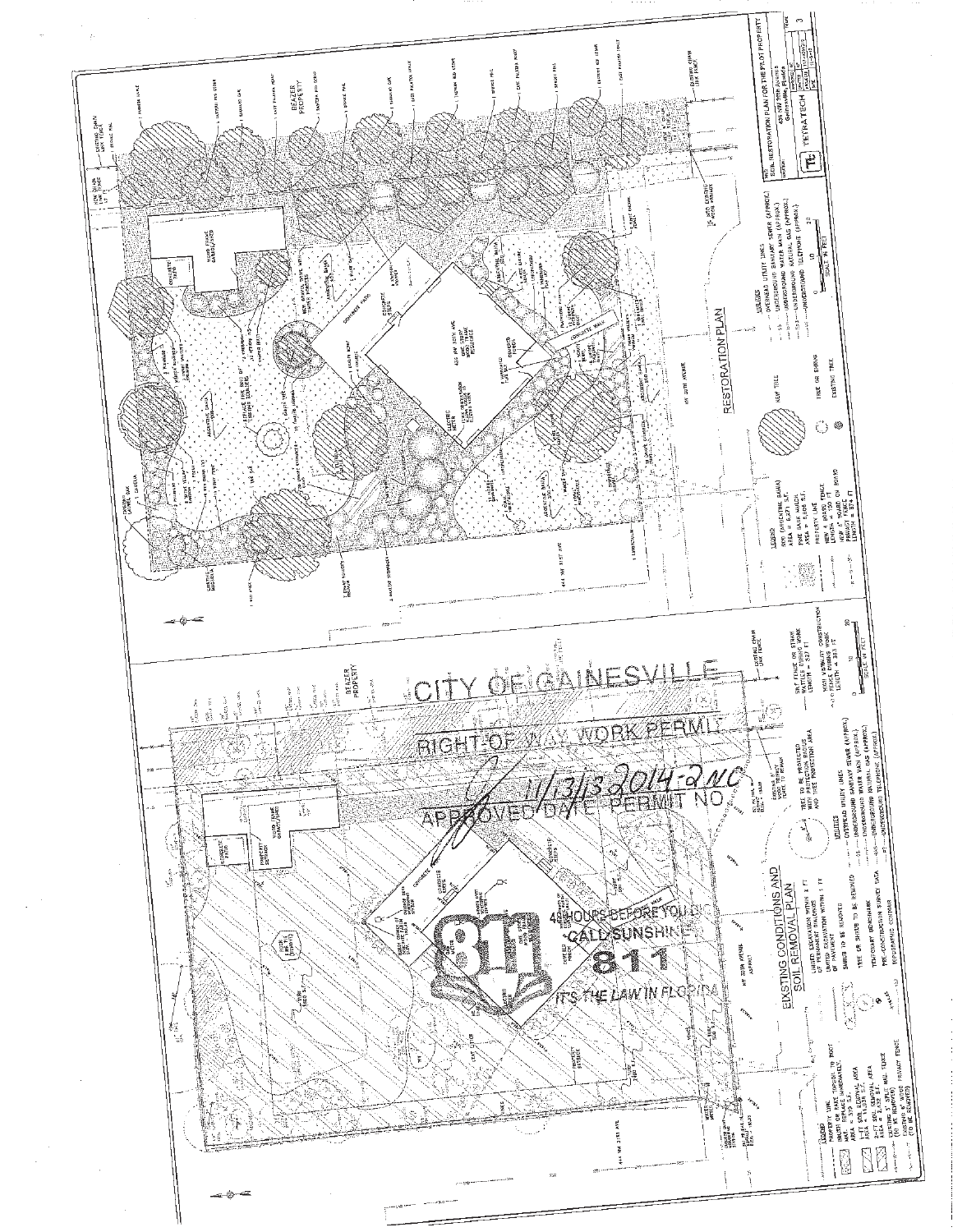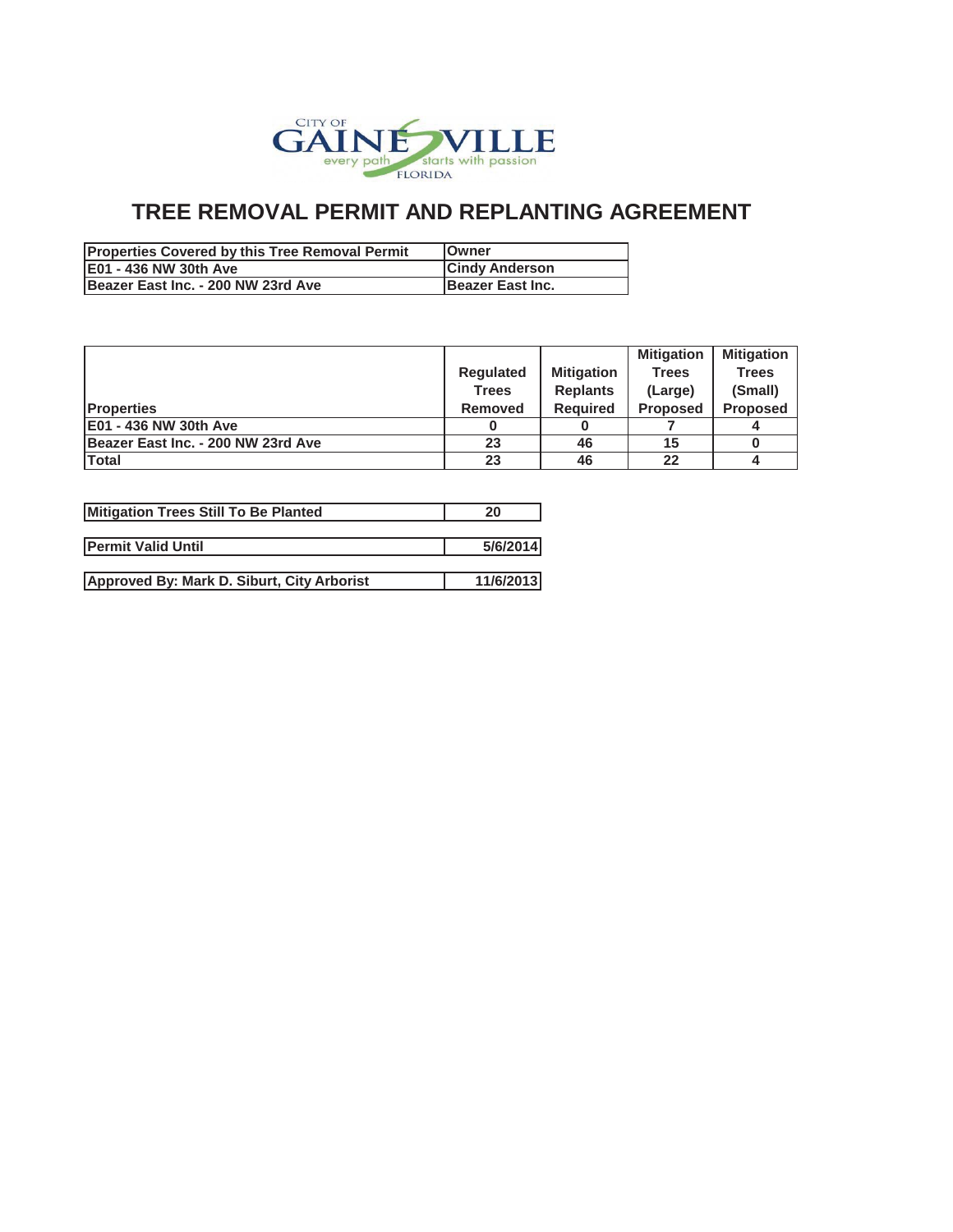

| <b>Properties Covered by this Tree Removal Permit</b> | <b>IOwner</b>            |
|-------------------------------------------------------|--------------------------|
| <b>IE01 - 436 NW 30th Ave</b>                         | <b>Cindy Anderson</b>    |
| Beazer East Inc. - 200 NW 23rd Ave                    | <b>IBeazer East Inc.</b> |

|                |                   | <b>Mitigation</b> | <b>Mitigation</b> |
|----------------|-------------------|-------------------|-------------------|
| Regulated      | <b>Mitigation</b> | <b>Trees</b>      | <b>Trees</b>      |
| Trees          | <b>Replants</b>   | (Large)           | (Small)           |
| <b>Removed</b> | <b>Required</b>   | <b>Proposed</b>   | <b>Proposed</b>   |
|                |                   |                   |                   |
| 23             | 46                | 15                |                   |
| 23             | 46                | 22                |                   |
|                |                   |                   |                   |

| Mitigation Trees Still To Be Planted       | 20        |
|--------------------------------------------|-----------|
| <b>IPermit Valid Until</b>                 | 5/6/2014  |
|                                            |           |
| Approved By: Mark D. Siburt, City Arborist | 11/6/2013 |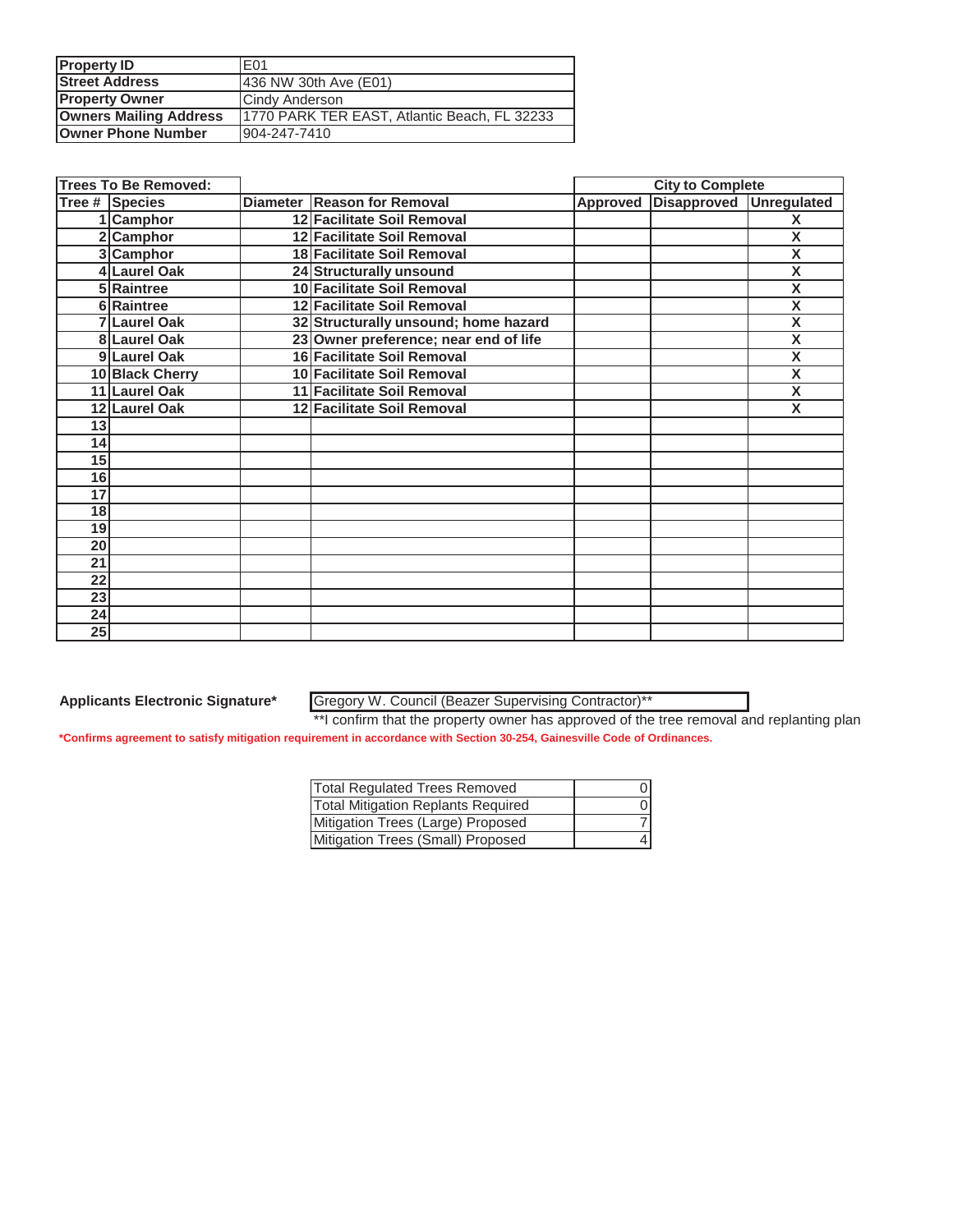| <b>Property ID</b>            | E01                                          |
|-------------------------------|----------------------------------------------|
| <b>Street Address</b>         | 436 NW 30th Ave (E01)                        |
| <b>Property Owner</b>         | Cindy Anderson                               |
| <b>Owners Mailing Address</b> | 1770 PARK TER EAST, Atlantic Beach, FL 32233 |
| <b>Owner Phone Number</b>     | 904-247-7410                                 |

|                 | <b>Trees To Be Removed:</b> |                                       |          | <b>City to Complete</b> |                         |
|-----------------|-----------------------------|---------------------------------------|----------|-------------------------|-------------------------|
|                 | Tree # Species              | Diameter Reason for Removal           | Approved | <b>Disapproved</b>      | <b>Unregulated</b>      |
|                 | 1 Camphor                   | 12 Facilitate Soil Removal            |          |                         | X                       |
|                 | 2 Camphor                   | 12 Facilitate Soil Removal            |          |                         | X                       |
|                 | 3 Camphor                   | 18 Facilitate Soil Removal            |          |                         | $\overline{\mathsf{x}}$ |
|                 | 4 Laurel Oak                | 24 Structurally unsound               |          |                         | $\overline{\mathsf{x}}$ |
|                 | 5 Raintree                  | 10 Facilitate Soil Removal            |          |                         | $\overline{\mathsf{x}}$ |
|                 | 6 Raintree                  | 12 Facilitate Soil Removal            |          |                         | $\overline{\mathsf{x}}$ |
|                 | 7 Laurel Oak                | 32 Structurally unsound; home hazard  |          |                         | X                       |
|                 | 8 Laurel Oak                | 23 Owner preference; near end of life |          |                         | X                       |
|                 | 9 Laurel Oak                | 16 Facilitate Soil Removal            |          |                         | $\overline{\mathsf{x}}$ |
|                 | 10 Black Cherry             | 10 Facilitate Soil Removal            |          |                         | $\overline{\mathsf{x}}$ |
|                 | 11 Laurel Oak               | 11 Facilitate Soil Removal            |          |                         | $\overline{\mathsf{x}}$ |
|                 | 12 Laurel Oak               | 12 Facilitate Soil Removal            |          |                         | X                       |
| 13              |                             |                                       |          |                         |                         |
| 14              |                             |                                       |          |                         |                         |
| $\overline{15}$ |                             |                                       |          |                         |                         |
| 16              |                             |                                       |          |                         |                         |
| 17              |                             |                                       |          |                         |                         |
| 18 <sup>1</sup> |                             |                                       |          |                         |                         |
| 19              |                             |                                       |          |                         |                         |
| 20              |                             |                                       |          |                         |                         |
| 21              |                             |                                       |          |                         |                         |
| 22              |                             |                                       |          |                         |                         |
| 23              |                             |                                       |          |                         |                         |
| 24              |                             |                                       |          |                         |                         |
| 25              |                             |                                       |          |                         |                         |

Gregory W. Council (Beazer Supervising Contractor)\*\*

| Total Regulated Trees Removed             |  |
|-------------------------------------------|--|
| <b>Total Mitigation Replants Required</b> |  |
| Mitigation Trees (Large) Proposed         |  |
| Mitigation Trees (Small) Proposed         |  |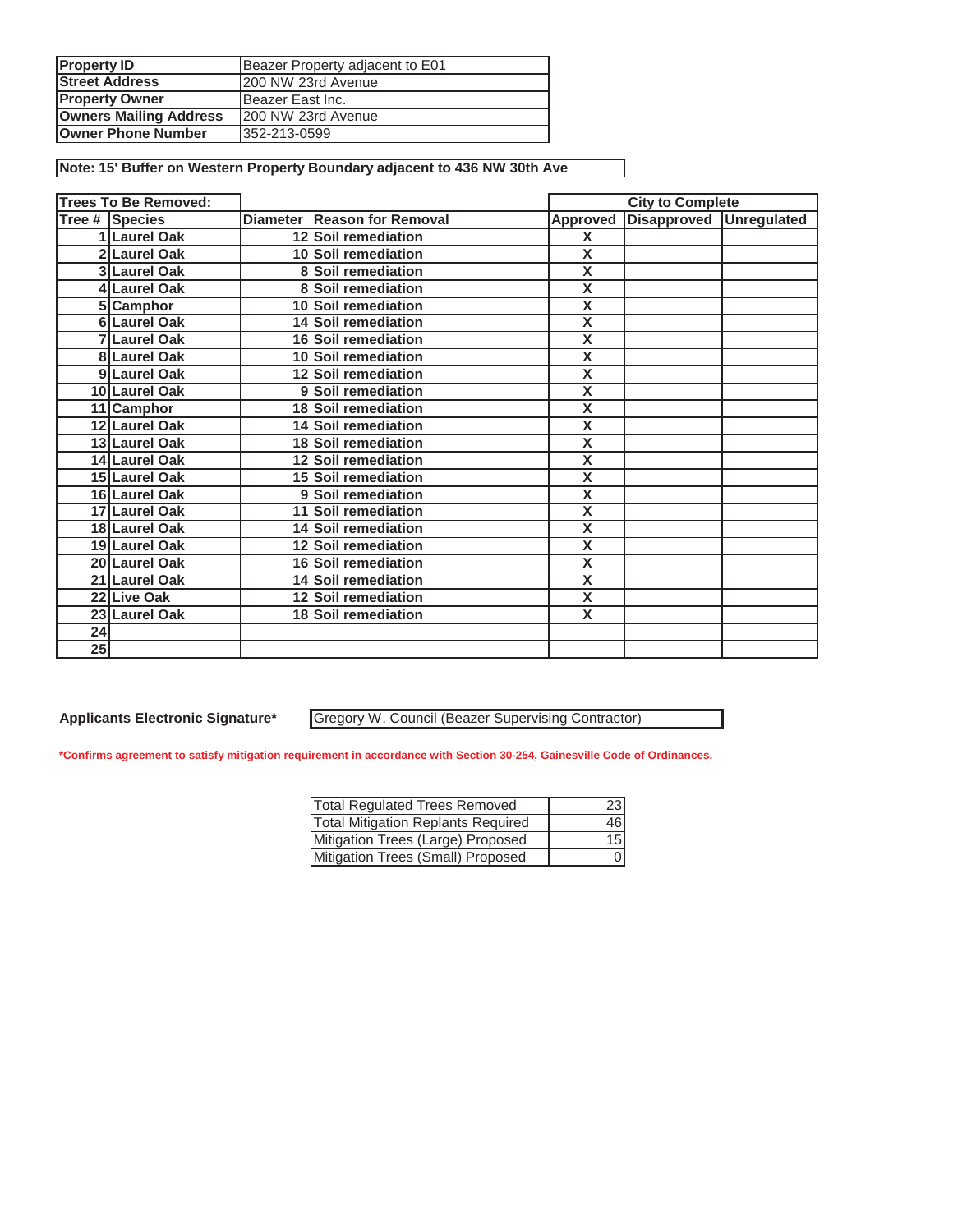| <b>Property ID</b>            | Beazer Property adjacent to E01 |
|-------------------------------|---------------------------------|
| <b>Street Address</b>         | 200 NW 23rd Avenue              |
| <b>Property Owner</b>         | Beazer East Inc.                |
| <b>Owners Mailing Address</b> | 200 NW 23rd Avenue              |
| <b>Owner Phone Number</b>     | 352-213-0599                    |

**Note: 15' Buffer on Western Property Boundary adjacent to 436 NW 30th Ave**

|    | <b>Trees To Be Removed:</b> |                             | <b>City to Complete</b> |                         |  |
|----|-----------------------------|-----------------------------|-------------------------|-------------------------|--|
|    | <b>Tree # Species</b>       | Diameter Reason for Removal | Approved                | Disapproved Unregulated |  |
|    | 1 Laurel Oak                | 12 Soil remediation         | X                       |                         |  |
|    | 2 Laurel Oak                | 10 Soil remediation         | $\overline{\mathsf{x}}$ |                         |  |
|    | 3 Laurel Oak                | 8 Soil remediation          | $\overline{\textsf{x}}$ |                         |  |
|    | 4 Laurel Oak                | 8 Soil remediation          | $\overline{\mathsf{x}}$ |                         |  |
|    | 5 Camphor                   | 10 Soil remediation         | $\overline{\mathsf{x}}$ |                         |  |
|    | 6 Laurel Oak                | 14 Soil remediation         | $\overline{\mathsf{x}}$ |                         |  |
|    | 7 Laurel Oak                | 16 Soil remediation         | $\overline{\mathsf{x}}$ |                         |  |
|    | 8 Laurel Oak                | 10 Soil remediation         | $\overline{\mathsf{x}}$ |                         |  |
|    | 9 Laurel Oak                | 12 Soil remediation         | $\overline{\mathsf{x}}$ |                         |  |
|    | 10 Laurel Oak               | 9 Soil remediation          | $\overline{\textsf{x}}$ |                         |  |
|    | 11 Camphor                  | 18 Soil remediation         | $\overline{\textsf{x}}$ |                         |  |
|    | 12 Laurel Oak               | 14 Soil remediation         | $\overline{\textsf{x}}$ |                         |  |
|    | 13 Laurel Oak               | 18 Soil remediation         | $\overline{\mathbf{X}}$ |                         |  |
|    | 14 Laurel Oak               | 12 Soil remediation         | $\overline{\mathsf{x}}$ |                         |  |
|    | 15 Laurel Oak               | 15 Soil remediation         | $\overline{\mathsf{x}}$ |                         |  |
|    | 16 Laurel Oak               | 9 Soil remediation          | $\overline{\mathsf{x}}$ |                         |  |
|    | 17 Laurel Oak               | 11 Soil remediation         | $\overline{\mathsf{x}}$ |                         |  |
|    | 18 Laurel Oak               | 14 Soil remediation         | $\overline{\mathsf{x}}$ |                         |  |
|    | 19 Laurel Oak               | 12 Soil remediation         | $\overline{\mathsf{x}}$ |                         |  |
|    | 20 Laurel Oak               | 16 Soil remediation         | $\overline{\mathsf{x}}$ |                         |  |
|    | 21 Laurel Oak               | 14 Soil remediation         | $\overline{\mathsf{x}}$ |                         |  |
|    | 22 Live Oak                 | 12 Soil remediation         | $\overline{\mathsf{x}}$ |                         |  |
|    | 23 Laurel Oak               | 18 Soil remediation         | X                       |                         |  |
| 24 |                             |                             |                         |                         |  |
| 25 |                             |                             |                         |                         |  |

**Applicants Electronic Signature\***

Gregory W. Council (Beazer Supervising Contractor)

| <b>Total Regulated Trees Removed</b>      | 23              |
|-------------------------------------------|-----------------|
| <b>Total Mitigation Replants Required</b> | 46              |
| Mitigation Trees (Large) Proposed         | 15 <sup>1</sup> |
| Mitigation Trees (Small) Proposed         |                 |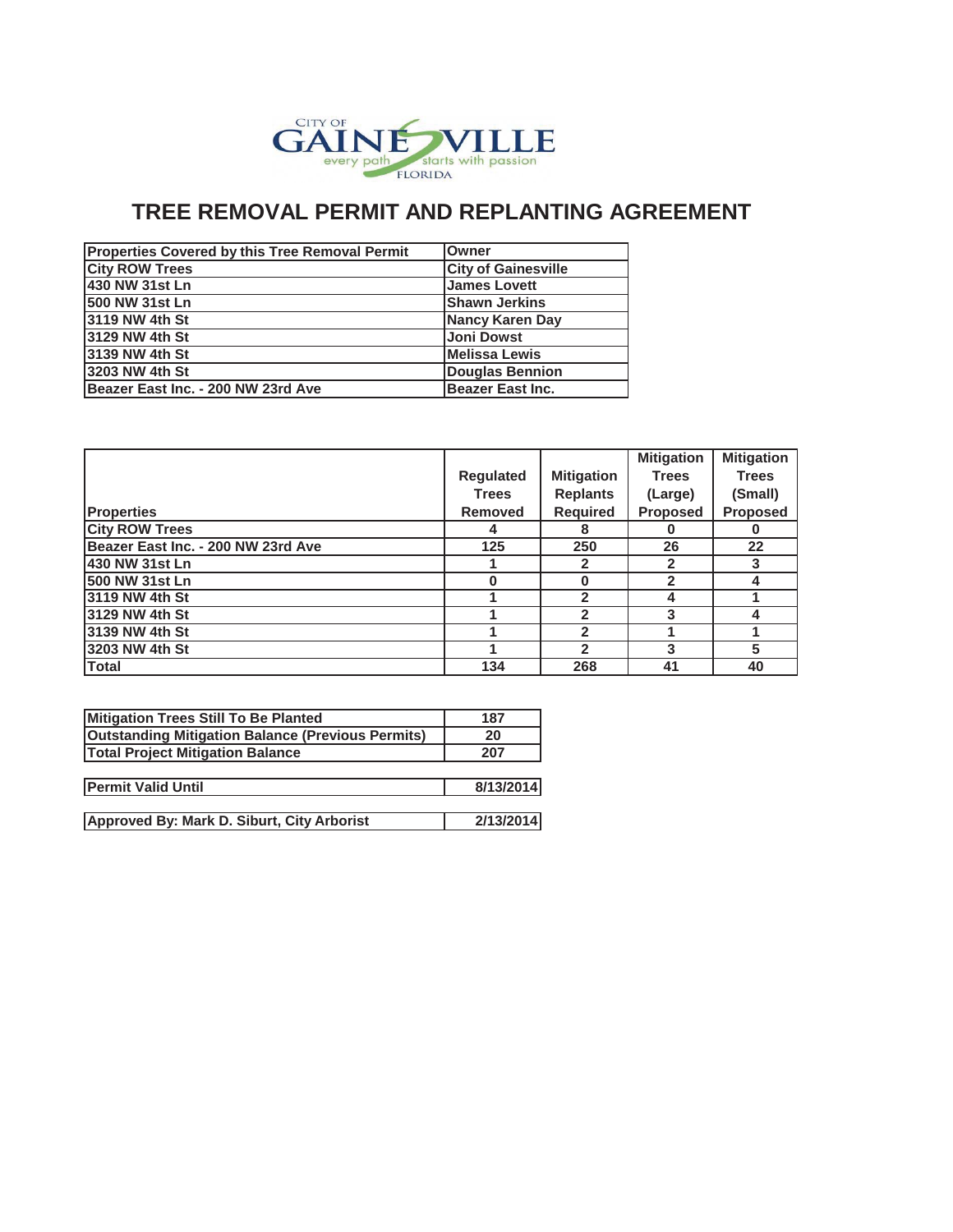

| <b>Properties Covered by this Tree Removal Permit</b> | <b>Owner</b>               |
|-------------------------------------------------------|----------------------------|
| <b>City ROW Trees</b>                                 | <b>City of Gainesville</b> |
| 430 NW 31st Ln                                        | <b>James Lovett</b>        |
| 1500 NW 31st Ln                                       | <b>Shawn Jerkins</b>       |
| <b>3119 NW 4th St</b>                                 | Nancy Karen Day            |
| <b>3129 NW 4th St</b>                                 | <b>Joni Dowst</b>          |
| 13139 NW 4th St                                       | <b>Melissa Lewis</b>       |
| 13203 NW 4th St                                       | <b>Douglas Bennion</b>     |
| Beazer East Inc. - 200 NW 23rd Ave                    | <b>Beazer East Inc.</b>    |

|                                    |                  |                   | <b>Mitigation</b> | <b>Mitigation</b> |
|------------------------------------|------------------|-------------------|-------------------|-------------------|
|                                    | <b>Regulated</b> | <b>Mitigation</b> | <b>Trees</b>      | <b>Trees</b>      |
|                                    | <b>Trees</b>     | <b>Replants</b>   | (Large)           | (Small)           |
| <b>Properties</b>                  | <b>Removed</b>   | <b>Required</b>   | <b>Proposed</b>   | <b>Proposed</b>   |
| <b>City ROW Trees</b>              | 4                | 8                 |                   |                   |
| Beazer East Inc. - 200 NW 23rd Ave | 125              | 250               | 26                | 22                |
| 430 NW 31st Ln                     |                  |                   |                   |                   |
| 500 NW 31st Ln                     | O                | O                 |                   |                   |
| 3119 NW 4th St                     |                  | 2                 |                   |                   |
| 3129 NW 4th St                     |                  | $\mathbf{2}$      | 3                 |                   |
| 3139 NW 4th St                     |                  | $\mathbf{2}$      |                   |                   |
| 13203 NW 4th St                    |                  |                   |                   | 5                 |
| <b>Total</b>                       | 134              | 268               | 41                | 40                |

| 187       |
|-----------|
| 20        |
| 207       |
|           |
| 8/13/2014 |
|           |
| 2/13/2014 |
|           |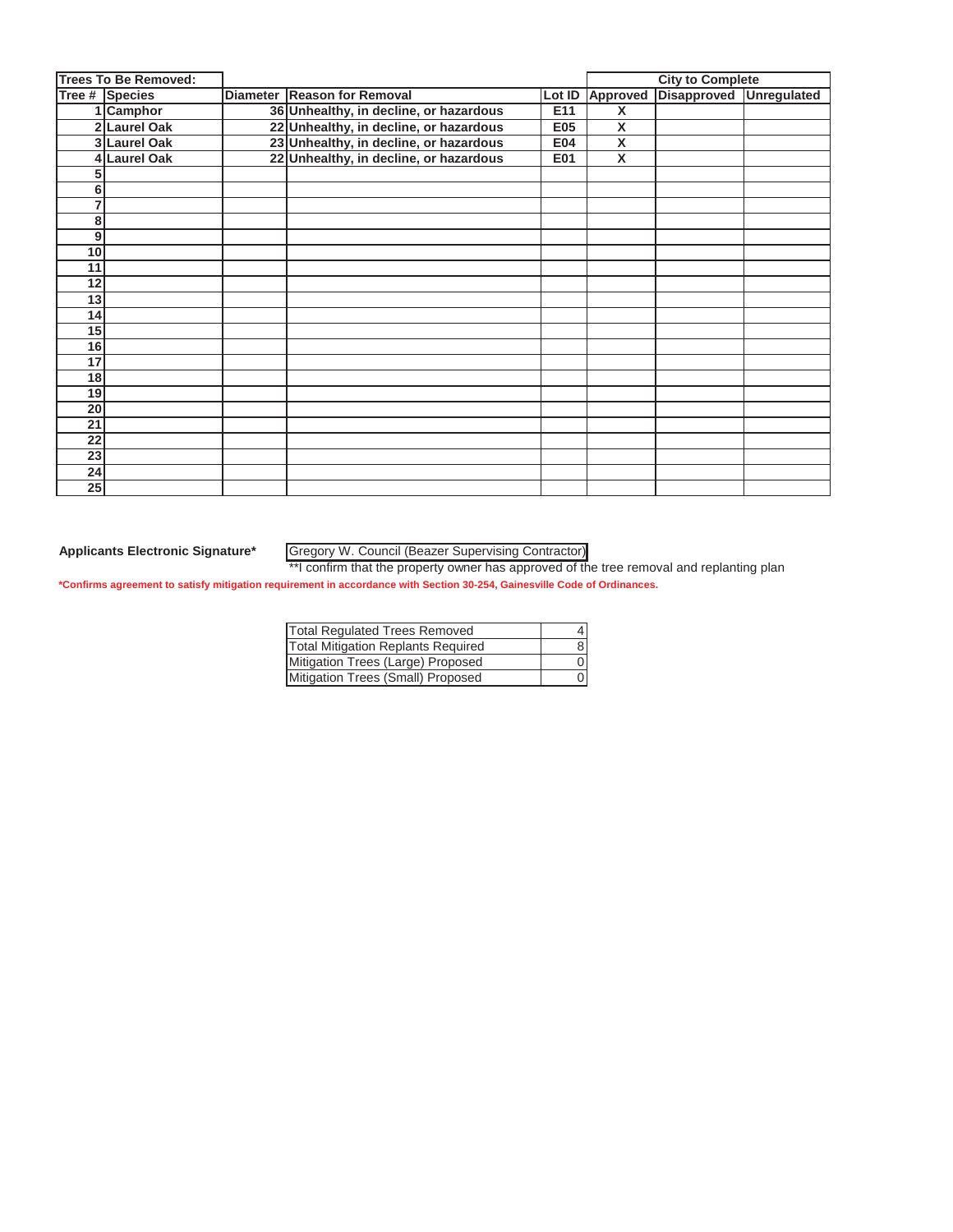|                 | <b>Trees To Be Removed:</b> |                                        |            |                         | <b>City to Complete</b>                 |  |  |
|-----------------|-----------------------------|----------------------------------------|------------|-------------------------|-----------------------------------------|--|--|
|                 | Tree # Species              | Diameter Reason for Removal            |            |                         | Lot ID Approved Disapproved Unregulated |  |  |
|                 | Camphor                     | 36 Unhealthy, in decline, or hazardous | E11        | X                       |                                         |  |  |
|                 | 2 Laurel Oak                | 22 Unhealthy, in decline, or hazardous | <b>E05</b> | $\overline{\mathbf{X}}$ |                                         |  |  |
|                 | 3 Laurel Oak                | 23 Unhealthy, in decline, or hazardous | <b>E04</b> | X                       |                                         |  |  |
|                 | 4 Laurel Oak                | 22 Unhealthy, in decline, or hazardous | E01        | $\mathsf{x}$            |                                         |  |  |
| 5               |                             |                                        |            |                         |                                         |  |  |
| 6               |                             |                                        |            |                         |                                         |  |  |
| 7               |                             |                                        |            |                         |                                         |  |  |
| 8               |                             |                                        |            |                         |                                         |  |  |
| $\mathbf{9}$    |                             |                                        |            |                         |                                         |  |  |
| 10 <sup>1</sup> |                             |                                        |            |                         |                                         |  |  |
| 11              |                             |                                        |            |                         |                                         |  |  |
| 12              |                             |                                        |            |                         |                                         |  |  |
| 13              |                             |                                        |            |                         |                                         |  |  |
| 14              |                             |                                        |            |                         |                                         |  |  |
| 15              |                             |                                        |            |                         |                                         |  |  |
| 16              |                             |                                        |            |                         |                                         |  |  |
| 17              |                             |                                        |            |                         |                                         |  |  |
| 18              |                             |                                        |            |                         |                                         |  |  |
| 19              |                             |                                        |            |                         |                                         |  |  |
| 20              |                             |                                        |            |                         |                                         |  |  |
| 21              |                             |                                        |            |                         |                                         |  |  |
| 22              |                             |                                        |            |                         |                                         |  |  |
| 23              |                             |                                        |            |                         |                                         |  |  |
| 24              |                             |                                        |            |                         |                                         |  |  |
| 25              |                             |                                        |            |                         |                                         |  |  |

**Applicants Electronic Signature\*** Gregory W. Council (Beazer Supervising Contractor)

| <b>Total Regulated Trees Removed</b> |  |
|--------------------------------------|--|
| Total Mitigation Replants Required   |  |
| Mitigation Trees (Large) Proposed    |  |
| Mitigation Trees (Small) Proposed    |  |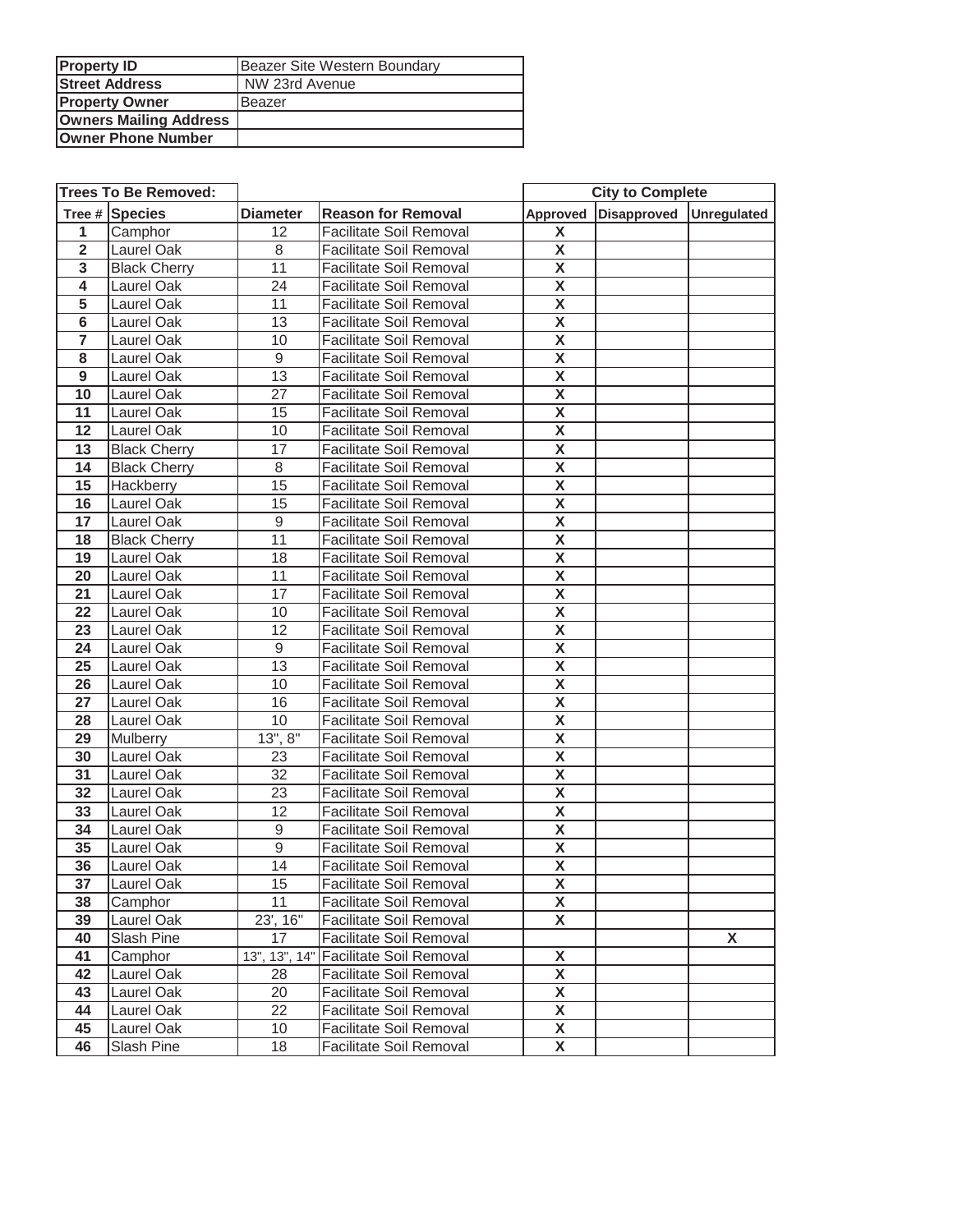| <b>Property ID</b>            | Beazer Site Western Boundary |
|-------------------------------|------------------------------|
| <b>Street Address</b>         | NW 23rd Avenue               |
| <b>Property Owner</b>         | Beazer                       |
| <b>Owners Mailing Address</b> |                              |
| Owner Phone Number            |                              |

|                         | <b>Trees To Be Removed:</b> |                 |                                       | <b>City to Complete</b> |                      |                    |
|-------------------------|-----------------------------|-----------------|---------------------------------------|-------------------------|----------------------|--------------------|
|                         | Tree # Species              | <b>Diameter</b> | <b>Reason for Removal</b>             |                         | Approved Disapproved | <b>Unregulated</b> |
| 1                       | Camphor                     | 12              | <b>Facilitate Soil Removal</b>        | X                       |                      |                    |
| $\overline{2}$          | Laurel Oak                  | 8               | <b>Facilitate Soil Removal</b>        | X                       |                      |                    |
| 3                       | <b>Black Cherry</b>         | 11              | <b>Facilitate Soil Removal</b>        | $\overline{\mathbf{X}}$ |                      |                    |
| 4                       | Laurel Oak                  | 24              | <b>Facilitate Soil Removal</b>        | $\pmb{\mathsf{X}}$      |                      |                    |
| $\overline{5}$          | Laurel Oak                  | 11              | <b>Facilitate Soil Removal</b>        | $\overline{\mathbf{X}}$ |                      |                    |
| 6                       | Laurel Oak                  | 13              | <b>Facilitate Soil Removal</b>        | $\pmb{\mathsf{X}}$      |                      |                    |
| $\overline{\mathbf{7}}$ | Laurel Oak                  | 10              | <b>Facilitate Soil Removal</b>        | $\overline{\mathbf{X}}$ |                      |                    |
| 8                       | Laurel Oak                  | $\overline{9}$  | <b>Facilitate Soil Removal</b>        | $\overline{\mathbf{X}}$ |                      |                    |
| $\overline{9}$          | Laurel Oak                  | $\overline{13}$ | <b>Facilitate Soil Removal</b>        | $\overline{\mathsf{x}}$ |                      |                    |
| 10                      | Laurel Oak                  | 27              | <b>Facilitate Soil Removal</b>        | $\pmb{\mathsf{X}}$      |                      |                    |
| 11                      | Laurel Oak                  | 15              | <b>Facilitate Soil Removal</b>        | $\overline{\mathbf{X}}$ |                      |                    |
| 12                      | Laurel Oak                  | 10              | <b>Facilitate Soil Removal</b>        | $\overline{\mathbf{x}}$ |                      |                    |
| 13                      | <b>Black Cherry</b>         | 17              | <b>Facilitate Soil Removal</b>        | $\overline{\mathbf{X}}$ |                      |                    |
| 14                      | <b>Black Cherry</b>         | 8               | <b>Facilitate Soil Removal</b>        | $\pmb{\mathsf{X}}$      |                      |                    |
| 15                      | Hackberry                   | 15              | <b>Facilitate Soil Removal</b>        | $\overline{\mathbf{X}}$ |                      |                    |
| 16                      | Laurel Oak                  | 15              | <b>Facilitate Soil Removal</b>        | $\pmb{\mathsf{X}}$      |                      |                    |
| 17                      | Laurel Oak                  | $9\,$           | <b>Facilitate Soil Removal</b>        | $\overline{\mathbf{X}}$ |                      |                    |
| 18                      | <b>Black Cherry</b>         | 11              | <b>Facilitate Soil Removal</b>        | $\pmb{\mathsf{X}}$      |                      |                    |
| 19                      | Laurel Oak                  | 18              | <b>Facilitate Soil Removal</b>        | $\overline{\mathbf{X}}$ |                      |                    |
| 20                      | Laurel Oak                  | 11              | <b>Facilitate Soil Removal</b>        | $\overline{\mathbf{X}}$ |                      |                    |
| 21                      | Laurel Oak                  | 17              | <b>Facilitate Soil Removal</b>        | $\overline{\mathbf{X}}$ |                      |                    |
| 22                      | Laurel Oak                  | 10              | <b>Facilitate Soil Removal</b>        | $\pmb{\mathsf{X}}$      |                      |                    |
| 23                      | Laurel Oak                  | 12              | <b>Facilitate Soil Removal</b>        | $\overline{\mathbf{X}}$ |                      |                    |
| 24                      | Laurel Oak                  | $\overline{9}$  | <b>Facilitate Soil Removal</b>        | $\overline{\mathbf{X}}$ |                      |                    |
| 25                      | Laurel Oak                  | $\overline{13}$ | <b>Facilitate Soil Removal</b>        | $\overline{\mathbf{X}}$ |                      |                    |
| 26                      | Laurel Oak                  | 10              | <b>Facilitate Soil Removal</b>        | $\overline{\mathsf{x}}$ |                      |                    |
| 27                      | Laurel Oak                  | 16              | <b>Facilitate Soil Removal</b>        | $\overline{\mathbf{X}}$ |                      |                    |
| 28                      | Laurel Oak                  | 10              | <b>Facilitate Soil Removal</b>        | $\overline{\mathsf{x}}$ |                      |                    |
| 29                      | Mulberry                    | 13", 8"         | <b>Facilitate Soil Removal</b>        | $\overline{\mathbf{X}}$ |                      |                    |
| $\overline{30}$         | <b>Laurel Oak</b>           | $\overline{23}$ | <b>Facilitate Soil Removal</b>        | $\overline{\mathsf{x}}$ |                      |                    |
| 31                      | Laurel Oak                  | 32              | <b>Facilitate Soil Removal</b>        | $\overline{\mathbf{X}}$ |                      |                    |
| 32                      | Laurel Oak                  | 23              | <b>Facilitate Soil Removal</b>        | $\overline{\mathbf{x}}$ |                      |                    |
| 33                      | Laurel Oak                  | 12              | <b>Facilitate Soil Removal</b>        | X                       |                      |                    |
| 34                      | Laurel Oak                  | $9\,$           | <b>Facilitate Soil Removal</b>        | X                       |                      |                    |
| 35                      | Laurel Oak                  | 9               | <b>Facilitate Soil Removal</b>        | $\pmb{\mathsf{X}}$      |                      |                    |
| 36                      | Laurel Oak                  | 14              | <b>Facilitate Soil Removal</b>        | $\overline{\mathbf{X}}$ |                      |                    |
| 37                      | Laurel Oak                  | 15              | Facilitate Soil Removal               | X                       |                      |                    |
| 38                      | Camphor                     | 11              | <b>Facilitate Soil Removal</b>        | X                       |                      |                    |
| 39                      | Laurel Oak                  | 23', 16"        | Facilitate Soil Removal               | X                       |                      |                    |
| 40                      | Slash Pine                  | 17              | Facilitate Soil Removal               |                         |                      | X                  |
| 41                      | Camphor                     |                 | 13", 13", 14" Facilitate Soil Removal | X                       |                      |                    |
| 42                      | Laurel Oak                  | 28              | Facilitate Soil Removal               | X                       |                      |                    |
| 43                      | Laurel Oak                  | 20              | <b>Facilitate Soil Removal</b>        | X                       |                      |                    |
| 44                      | Laurel Oak                  | 22              | <b>Facilitate Soil Removal</b>        | $\pmb{\mathsf{X}}$      |                      |                    |
| 45                      | Laurel Oak                  | 10              | <b>Facilitate Soil Removal</b>        | X                       |                      |                    |
| 46                      | Slash Pine                  | 18              | <b>Facilitate Soil Removal</b>        | X                       |                      |                    |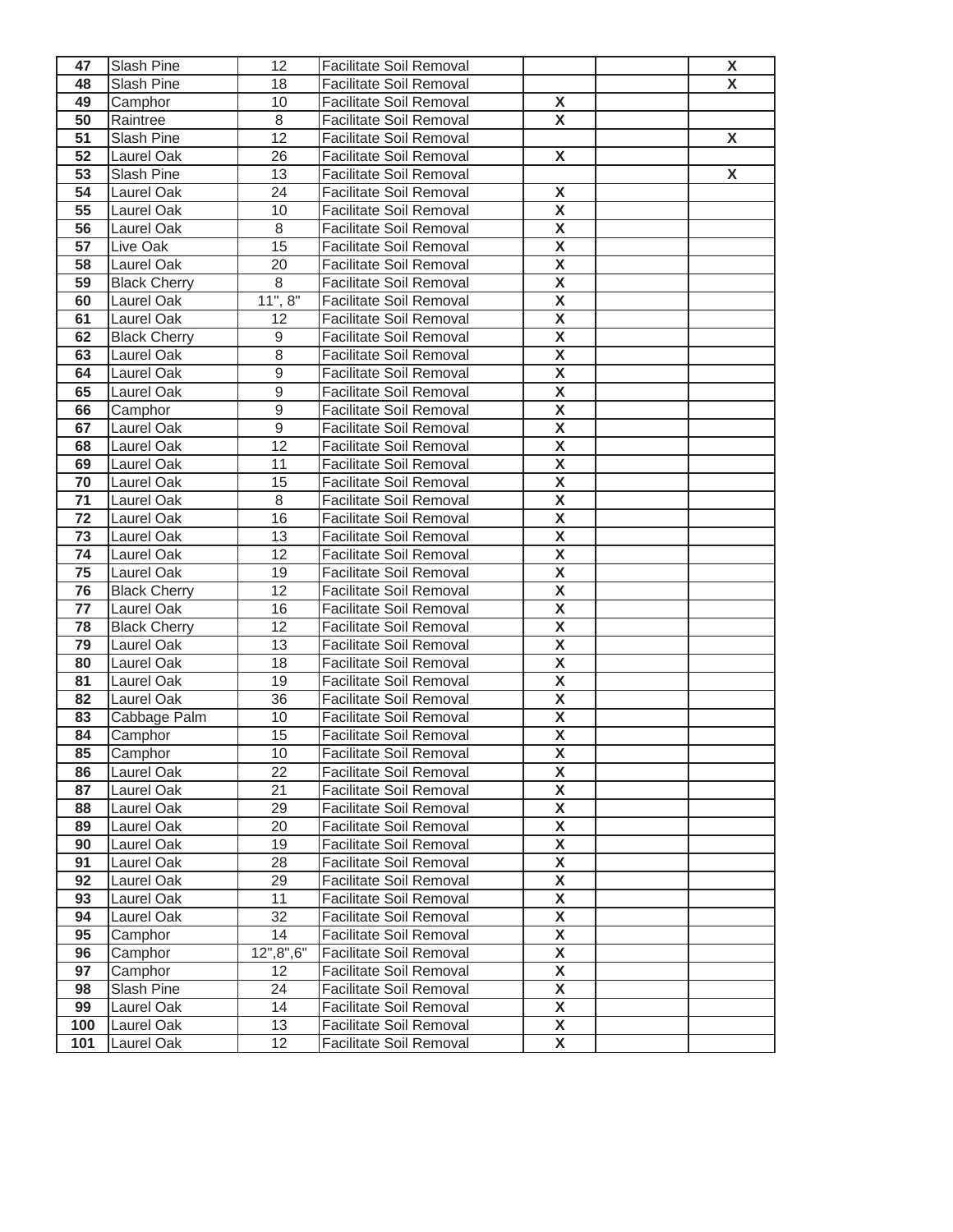| 47       | Slash Pine               | 12               | Facilitate Soil Removal                                   |                         | X                  |
|----------|--------------------------|------------------|-----------------------------------------------------------|-------------------------|--------------------|
| 48       | Slash Pine               | 18               | <b>Facilitate Soil Removal</b>                            |                         | X                  |
| 49       | Camphor                  | 10               | <b>Facilitate Soil Removal</b>                            | X                       |                    |
| 50       | Raintree                 | 8                | <b>Facilitate Soil Removal</b>                            | $\overline{\mathbf{X}}$ |                    |
| 51       | Slash Pine               | $\overline{12}$  | <b>Facilitate Soil Removal</b>                            |                         | X                  |
| 52       | Laurel Oak               | 26               | <b>Facilitate Soil Removal</b>                            | X                       |                    |
| 53       | Slash Pine               | 13               | <b>Facilitate Soil Removal</b>                            |                         | $\pmb{\mathsf{X}}$ |
| 54       | Laurel Oak               | 24               | Facilitate Soil Removal                                   | X                       |                    |
| 55       | Laurel Oak               | 10               | <b>Facilitate Soil Removal</b>                            | $\pmb{\mathsf{X}}$      |                    |
| 56       | Laurel Oak               | 8                | <b>Facilitate Soil Removal</b>                            | X                       |                    |
| 57       | Live Oak                 | 15               | <b>Facilitate Soil Removal</b>                            | X                       |                    |
| 58       | Laurel Oak               | 20               | Facilitate Soil Removal                                   | X                       |                    |
| 59       | <b>Black Cherry</b>      | 8                | <b>Facilitate Soil Removal</b>                            | X                       |                    |
| 60       | Laurel Oak               | 11", 8"          | Facilitate Soil Removal                                   | X                       |                    |
| 61       | Laurel Oak               | 12               | <b>Facilitate Soil Removal</b>                            | $\overline{\mathbf{X}}$ |                    |
| 62       | <b>Black Cherry</b>      | $\boldsymbol{9}$ | <b>Facilitate Soil Removal</b>                            | X                       |                    |
| 63       | Laurel Oak               | 8                | Facilitate Soil Removal                                   | X                       |                    |
| 64       | Laurel Oak               | $\mathsf g$      | Facilitate Soil Removal                                   | X                       |                    |
| 65       | Laurel Oak               | $\overline{9}$   | Facilitate Soil Removal                                   | $\overline{\mathbf{X}}$ |                    |
| 66       | Camphor                  | 9                | Facilitate Soil Removal                                   | X                       |                    |
| 67       | Laurel Oak               | $\mathsf 9$      | Facilitate Soil Removal                                   | X                       |                    |
| 68       | Laurel Oak               | $\overline{12}$  | Facilitate Soil Removal                                   | X                       |                    |
| 69       | Laurel Oak               | 11               | <b>Facilitate Soil Removal</b>                            | X                       |                    |
| 70       | Laurel Oak               | 15               | <b>Facilitate Soil Removal</b>                            | $\overline{\mathbf{X}}$ |                    |
| 71       | Laurel Oak               | 8                | Facilitate Soil Removal                                   | X                       |                    |
| 72       | Laurel Oak               | 16               | Facilitate Soil Removal                                   | $\overline{\mathbf{X}}$ |                    |
| 73       | Laurel Oak               | 13               | Facilitate Soil Removal                                   | X                       |                    |
| 74       | Laurel Oak               | 12               | <b>Facilitate Soil Removal</b>                            | X                       |                    |
| 75       | Laurel Oak               | 19               | Facilitate Soil Removal                                   | X                       |                    |
| 76       | <b>Black Cherry</b>      | 12               | <b>Facilitate Soil Removal</b>                            | X                       |                    |
| 77       | Laurel Oak               | 16               | <b>Facilitate Soil Removal</b>                            | X                       |                    |
| 78       | <b>Black Cherry</b>      | 12               | <b>Facilitate Soil Removal</b>                            | $\overline{\mathbf{X}}$ |                    |
| 79       | Laurel Oak               | 13<br>18         | Facilitate Soil Removal                                   | X<br>$\pmb{\mathsf{X}}$ |                    |
| 80<br>81 | Laurel Oak<br>Laurel Oak | 19               | Facilitate Soil Removal<br><b>Facilitate Soil Removal</b> | X                       |                    |
| 82       | Laurel Oak               | 36               | Facilitate Soil Removal                                   | $\overline{\mathbf{X}}$ |                    |
| 83       | Cabbage Palm             | 10               | <b>Facilitate Soil Removal</b>                            | X                       |                    |
| 84       | Camphor                  | 15               | <b>Facilitate Soil Removal</b>                            | $\pmb{\mathsf{X}}$      |                    |
| 85       | Camphor                  | $10$             | Facilitate Soil Removal                                   | $\overline{\mathbf{X}}$ |                    |
| 86       | Laurel Oak               | 22               | <b>Facilitate Soil Removal</b>                            | X                       |                    |
| 87       | Laurel Oak               | 21               | Facilitate Soil Removal                                   | X                       |                    |
| 88       | Laurel Oak               | 29               | Facilitate Soil Removal                                   | X                       |                    |
| 89       | Laurel Oak               | 20               | Facilitate Soil Removal                                   | X                       |                    |
| 90       | Laurel Oak               | 19               | Facilitate Soil Removal                                   | X                       |                    |
| 91       | Laurel Oak               | 28               | <b>Facilitate Soil Removal</b>                            | X                       |                    |
| 92       | Laurel Oak               | 29               | <b>Facilitate Soil Removal</b>                            | X                       |                    |
| 93       | Laurel Oak               | 11               | <b>Facilitate Soil Removal</b>                            | $\overline{\mathbf{X}}$ |                    |
| 94       | Laurel Oak               | 32               | <b>Facilitate Soil Removal</b>                            | X                       |                    |
| 95       | Camphor                  | 14               | <b>Facilitate Soil Removal</b>                            | $\overline{\mathbf{X}}$ |                    |
| 96       | Camphor                  | 12", 8", 6"      | Facilitate Soil Removal                                   | X                       |                    |
| 97       | Camphor                  | 12               | Facilitate Soil Removal                                   | $\overline{\mathbf{X}}$ |                    |
| 98       | Slash Pine               | 24               | <b>Facilitate Soil Removal</b>                            | $\pmb{\mathsf{X}}$      |                    |
| 99       | Laurel Oak               | 14               | Facilitate Soil Removal                                   | $\overline{\mathbf{X}}$ |                    |
| 100      | Laurel Oak               | 13               | <b>Facilitate Soil Removal</b>                            | X                       |                    |
| 101      | Laurel Oak               | 12 <sup>2</sup>  | <b>Facilitate Soil Removal</b>                            | X                       |                    |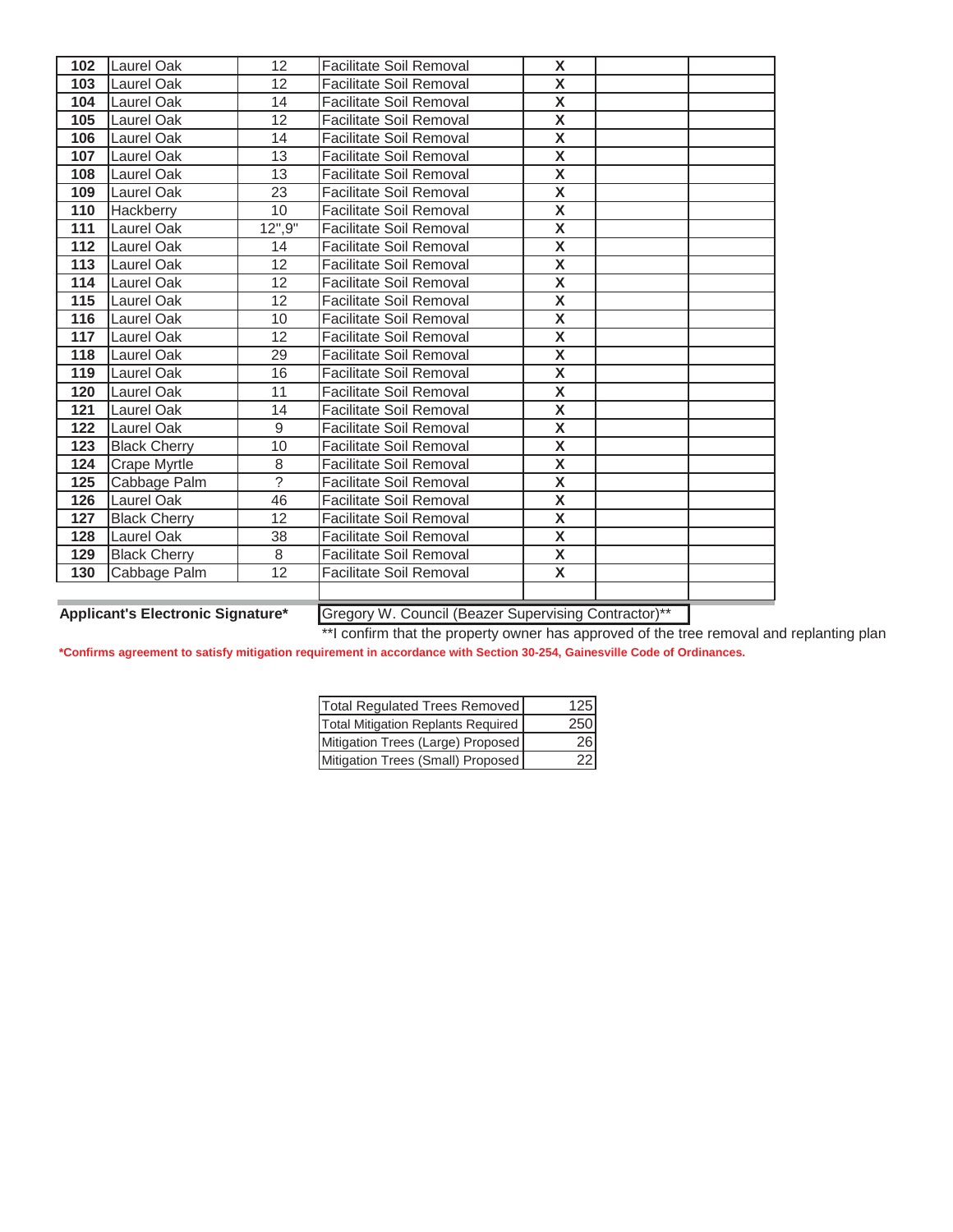| 102 | Laurel Oak          | 12 <sup>2</sup> | <b>Facilitate Soil Removal</b> | X                       |  |
|-----|---------------------|-----------------|--------------------------------|-------------------------|--|
| 103 | Laurel Oak          | 12              | <b>Facilitate Soil Removal</b> | $\overline{\mathbf{x}}$ |  |
| 104 | Laurel Oak          | 14              | <b>Facilitate Soil Removal</b> | X                       |  |
| 105 | Laurel Oak          | 12              | <b>Facilitate Soil Removal</b> | $\overline{\mathsf{x}}$ |  |
| 106 | Laurel Oak          | 14              | <b>Facilitate Soil Removal</b> | $\overline{\mathsf{x}}$ |  |
| 107 | <b>Laurel Oak</b>   | 13              | <b>Facilitate Soil Removal</b> | $\pmb{\mathsf{X}}$      |  |
| 108 | Laurel Oak          | 13              | <b>Facilitate Soil Removal</b> | $\overline{\mathbf{X}}$ |  |
| 109 | Laurel Oak          | 23              | <b>Facilitate Soil Removal</b> | $\overline{\mathbf{X}}$ |  |
| 110 | <b>Hackberry</b>    | 10              | <b>Facilitate Soil Removal</b> | $\pmb{\mathsf{X}}$      |  |
| 111 | Laurel Oak          | 12", 9"         | <b>Facilitate Soil Removal</b> | $\overline{\mathbf{X}}$ |  |
| 112 | Laurel Oak          | 14              | <b>Facilitate Soil Removal</b> | X                       |  |
| 113 | Laurel Oak          | 12              | <b>Facilitate Soil Removal</b> | X                       |  |
| 114 | Laurel Oak          | 12              | Facilitate Soil Removal        | $\overline{\mathbf{X}}$ |  |
| 115 | Laurel Oak          | 12              | <b>Facilitate Soil Removal</b> | $\overline{\mathbf{x}}$ |  |
| 116 | Laurel Oak          | 10              | <b>Facilitate Soil Removal</b> | X                       |  |
| 117 | Laurel Oak          | 12              | <b>Facilitate Soil Removal</b> | X                       |  |
| 118 | <b>Laurel Oak</b>   | 29              | <b>Facilitate Soil Removal</b> | $\overline{\mathbf{X}}$ |  |
| 119 | Laurel Oak          | 16              | <b>Facilitate Soil Removal</b> | $\pmb{\mathsf{X}}$      |  |
| 120 | Laurel Oak          | 11              | <b>Facilitate Soil Removal</b> | $\overline{\mathbf{X}}$ |  |
| 121 | Laurel Oak          | 14              | <b>Facilitate Soil Removal</b> | $\overline{\mathbf{X}}$ |  |
| 122 | Laurel Oak          | $\overline{9}$  | <b>Facilitate Soil Removal</b> | $\overline{\mathsf{x}}$ |  |
| 123 | <b>Black Cherry</b> | $\overline{10}$ | <b>Facilitate Soil Removal</b> | $\overline{\mathbf{X}}$ |  |
| 124 | Crape Myrtle        | 8               | <b>Facilitate Soil Removal</b> | $\overline{\mathbf{x}}$ |  |
| 125 | Cabbage Palm        | $\overline{?}$  | <b>Facilitate Soil Removal</b> | $\overline{\mathbf{X}}$ |  |
| 126 | Laurel Oak          | 46              | <b>Facilitate Soil Removal</b> | $\overline{\mathbf{X}}$ |  |
| 127 | <b>Black Cherry</b> | 12              | <b>Facilitate Soil Removal</b> | $\overline{\mathbf{X}}$ |  |
| 128 | Laurel Oak          | 38              | <b>Facilitate Soil Removal</b> | $\overline{\mathbf{x}}$ |  |
| 129 | <b>Black Cherry</b> | 8               | <b>Facilitate Soil Removal</b> | $\overline{\mathbf{X}}$ |  |
| 130 | Cabbage Palm        | 12              | <b>Facilitate Soil Removal</b> | X                       |  |
|     |                     |                 |                                |                         |  |
|     |                     |                 |                                |                         |  |

**Applicant's Electronic Signature\*** Gregory W. Council (Beazer Supervising Contractor)\*\*

\*\*I confirm that the property owner has approved of the tree removal and replanting plan

| Total Regulated Trees Removed      | 125 |
|------------------------------------|-----|
| Total Mitigation Replants Required | 250 |
| Mitigation Trees (Large) Proposed  | 26  |
| Mitigation Trees (Small) Proposed  | 22  |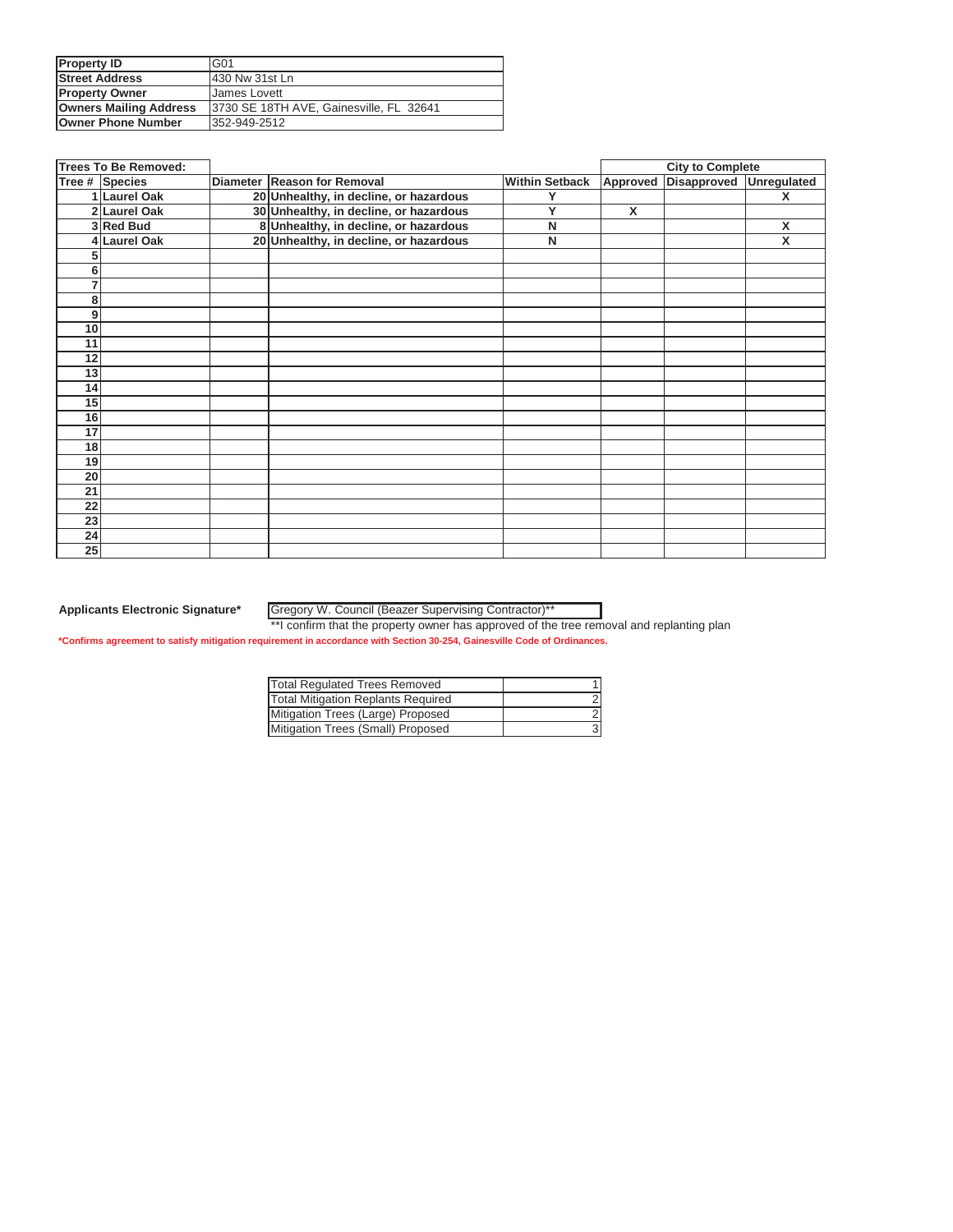| <b>Property ID</b>            | IG01                                    |
|-------------------------------|-----------------------------------------|
| <b>Street Address</b>         | 430 Nw 31st Ln                          |
| <b>Property Owner</b>         | James Lovett                            |
| <b>Owners Mailing Address</b> | 3730 SE 18TH AVE, Gainesville, FL 32641 |
| <b>Owner Phone Number</b>     | 352-949-2512                            |

|                 | <b>Trees To Be Removed:</b> |                                        |                       | <b>City to Complete</b> |                      |             |
|-----------------|-----------------------------|----------------------------------------|-----------------------|-------------------------|----------------------|-------------|
|                 | Tree # Species              | Diameter Reason for Removal            | <b>Within Setback</b> |                         | Approved Disapproved | Unregulated |
|                 | 1 Laurel Oak                | 20 Unhealthy, in decline, or hazardous | Y                     |                         |                      | X           |
|                 | 2 Laurel Oak                | 30 Unhealthy, in decline, or hazardous | Y                     | $\overline{\mathsf{x}}$ |                      |             |
|                 | 3 Red Bud                   | 8 Unhealthy, in decline, or hazardous  | N                     |                         |                      | X           |
|                 | <b>Laurel Oak</b>           | 20 Unhealthy, in decline, or hazardous | N                     |                         |                      | X           |
|                 |                             |                                        |                       |                         |                      |             |
| 6               |                             |                                        |                       |                         |                      |             |
|                 |                             |                                        |                       |                         |                      |             |
| 8               |                             |                                        |                       |                         |                      |             |
| 9               |                             |                                        |                       |                         |                      |             |
| 10              |                             |                                        |                       |                         |                      |             |
| 11              |                             |                                        |                       |                         |                      |             |
| 12              |                             |                                        |                       |                         |                      |             |
| 13              |                             |                                        |                       |                         |                      |             |
| 14              |                             |                                        |                       |                         |                      |             |
| 15              |                             |                                        |                       |                         |                      |             |
| 16              |                             |                                        |                       |                         |                      |             |
| 17              |                             |                                        |                       |                         |                      |             |
| 18              |                             |                                        |                       |                         |                      |             |
| 19              |                             |                                        |                       |                         |                      |             |
| 20              |                             |                                        |                       |                         |                      |             |
| 21              |                             |                                        |                       |                         |                      |             |
| 22              |                             |                                        |                       |                         |                      |             |
| $\overline{23}$ |                             |                                        |                       |                         |                      |             |
| 24              |                             |                                        |                       |                         |                      |             |
| 25              |                             |                                        |                       |                         |                      |             |

Gregory W. Council (Beazer Supervising Contractor)\*\*

\*\*I confirm that the property owner has approved of the tree removal and replanting plan

| Total Regulated Trees Removed             |  |
|-------------------------------------------|--|
| <b>Total Mitigation Replants Required</b> |  |
| Mitigation Trees (Large) Proposed         |  |
| Mitigation Trees (Small) Proposed         |  |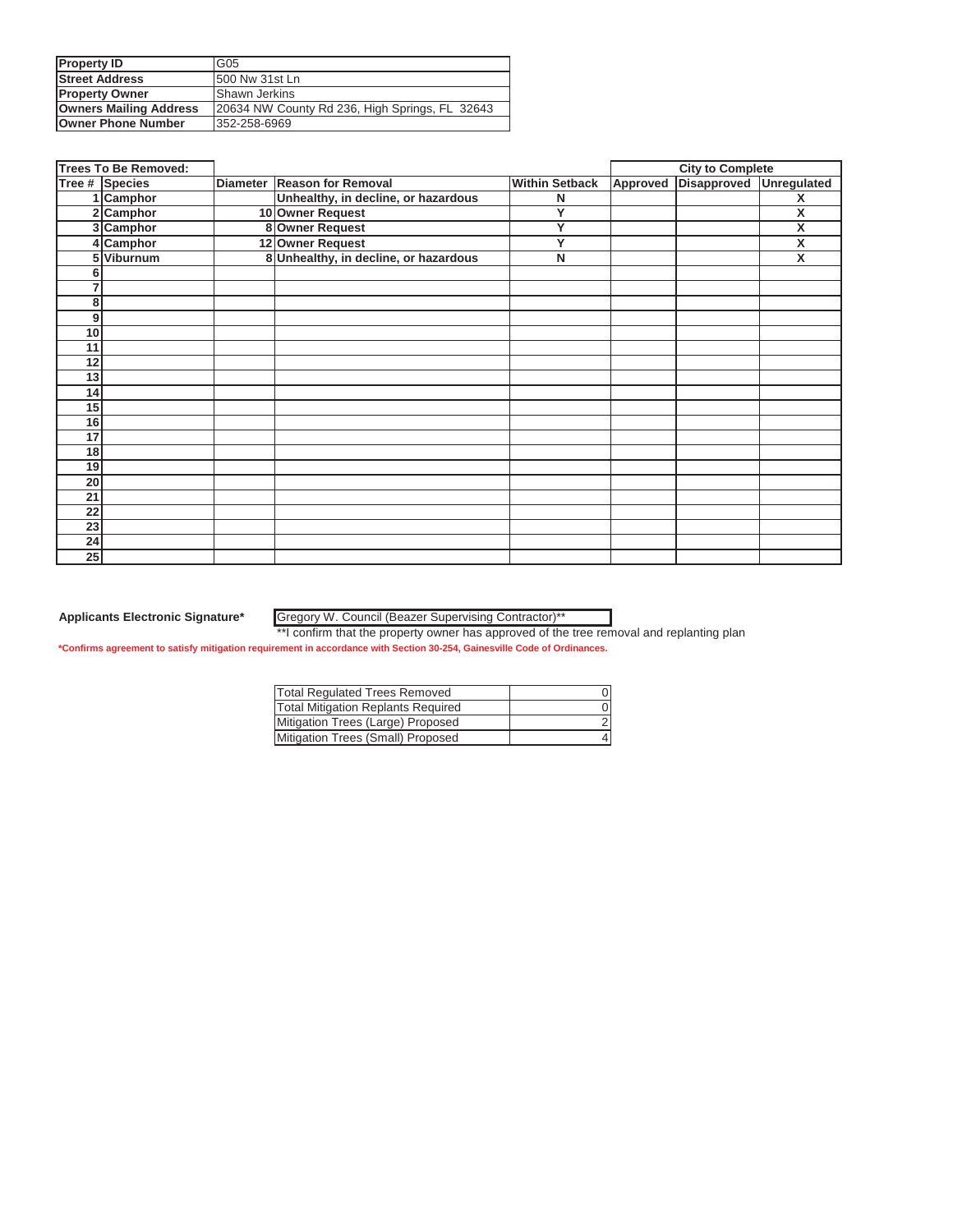| <b>Property ID</b>            | G05                                            |
|-------------------------------|------------------------------------------------|
| <b>Street Address</b>         | 1500 Nw 31st Ln                                |
| <b>Property Owner</b>         | <b>IShawn Jerkins</b>                          |
| <b>Owners Mailing Address</b> | 20634 NW County Rd 236, High Springs, FL 32643 |
| <b>Owner Phone Number</b>     | 352-258-6969                                   |

|    | <b>Trees To Be Removed:</b> |                 |                                       |                       |          | <b>City to Complete</b> |                    |
|----|-----------------------------|-----------------|---------------------------------------|-----------------------|----------|-------------------------|--------------------|
|    | Tree # Species              | <b>Diameter</b> | <b>Reason for Removal</b>             | <b>Within Setback</b> | Approved | Disapproved             | <b>Unregulated</b> |
|    | 1 Camphor                   |                 | Unhealthy, in decline, or hazardous   | N                     |          |                         | X                  |
|    | 2 Camphor                   |                 | 10 Owner Request                      | Y                     |          |                         | Χ                  |
|    | 3 Camphor                   |                 | 8 Owner Request                       | Ÿ                     |          |                         | X                  |
|    | Camphor                     |                 | 12 Owner Request                      | Y                     |          |                         | x                  |
|    | 5 Viburnum                  |                 | 8 Unhealthy, in decline, or hazardous | $\mathsf{N}$          |          |                         | X                  |
|    |                             |                 |                                       |                       |          |                         |                    |
|    |                             |                 |                                       |                       |          |                         |                    |
| 8  |                             |                 |                                       |                       |          |                         |                    |
| 9  |                             |                 |                                       |                       |          |                         |                    |
| 10 |                             |                 |                                       |                       |          |                         |                    |
| 11 |                             |                 |                                       |                       |          |                         |                    |
| 12 |                             |                 |                                       |                       |          |                         |                    |
| 13 |                             |                 |                                       |                       |          |                         |                    |
| 14 |                             |                 |                                       |                       |          |                         |                    |
| 15 |                             |                 |                                       |                       |          |                         |                    |
| 16 |                             |                 |                                       |                       |          |                         |                    |
| 17 |                             |                 |                                       |                       |          |                         |                    |
| 18 |                             |                 |                                       |                       |          |                         |                    |
| 19 |                             |                 |                                       |                       |          |                         |                    |
| 20 |                             |                 |                                       |                       |          |                         |                    |
| 21 |                             |                 |                                       |                       |          |                         |                    |
| 22 |                             |                 |                                       |                       |          |                         |                    |
| 23 |                             |                 |                                       |                       |          |                         |                    |
| 24 |                             |                 |                                       |                       |          |                         |                    |
| 25 |                             |                 |                                       |                       |          |                         |                    |

Gregory W. Council (Beazer Supervising Contractor)\*\*

\*\*I confirm that the property owner has approved of the tree removal and replanting plan

| Total Regulated Trees Removed      |  |
|------------------------------------|--|
| Total Mitigation Replants Required |  |
| Mitigation Trees (Large) Proposed  |  |
| Mitigation Trees (Small) Proposed  |  |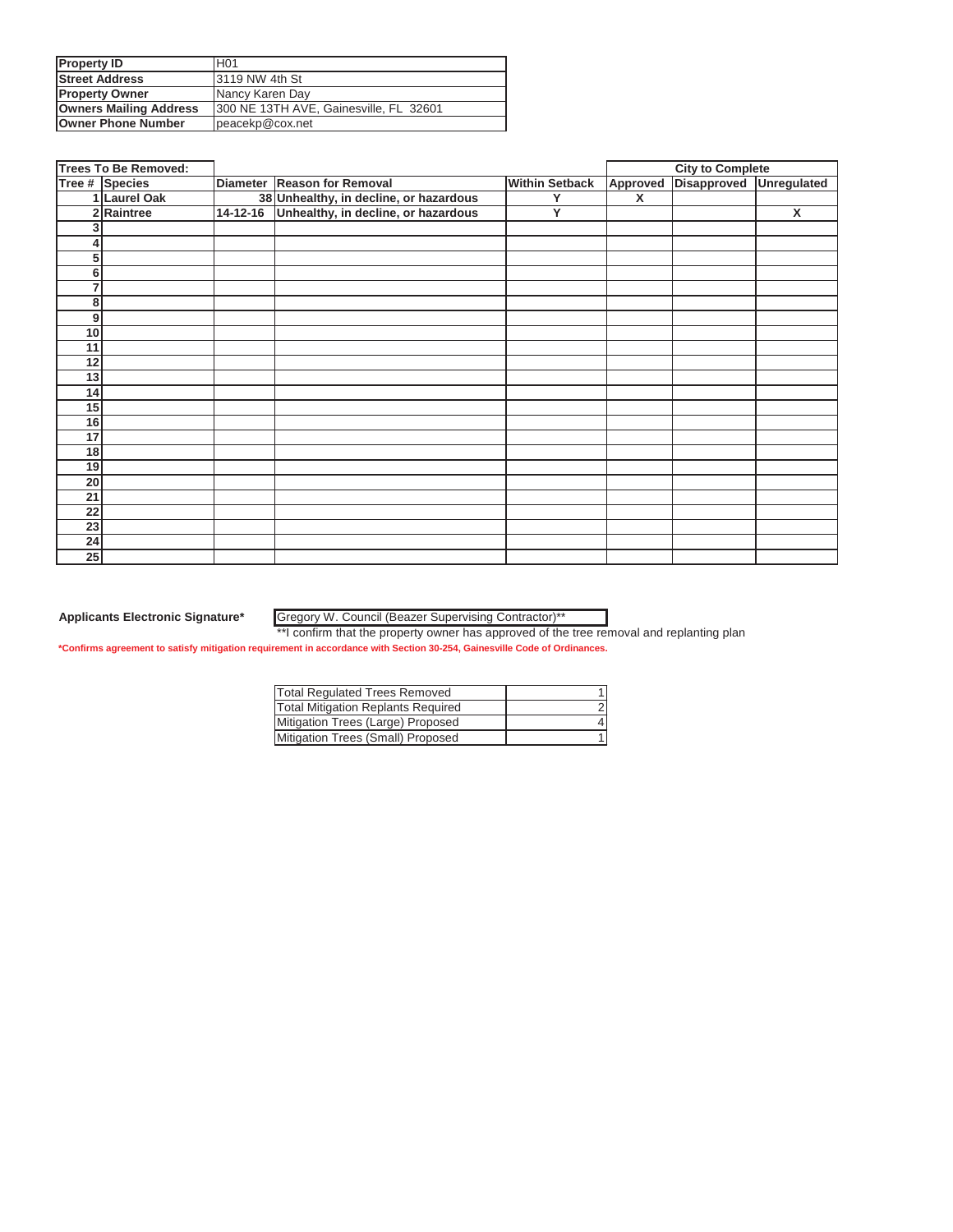| <b>Property ID</b>            | H <sub>01</sub>                         |
|-------------------------------|-----------------------------------------|
| <b>Street Address</b>         | 13119 NW 4th St                         |
| <b>Property Owner</b>         | Nancy Karen Day                         |
| <b>Owners Mailing Address</b> | 1300 NE 13TH AVE, Gainesville, FL 32601 |
| <b>Owner Phone Number</b>     | peacekp@cox.net                         |

|    | <b>Trees To Be Removed:</b> |                                              |                       | <b>City to Complete</b> |             |                    |
|----|-----------------------------|----------------------------------------------|-----------------------|-------------------------|-------------|--------------------|
|    | Tree # Species              | Diameter Reason for Removal                  | <b>Within Setback</b> | Approved                | Disapproved | <b>Unregulated</b> |
|    | 1 Laurel Oak                | 38 Unhealthy, in decline, or hazardous       | Y                     | X                       |             |                    |
|    | 2 Raintree                  | 14-12-16 Unhealthy, in decline, or hazardous | Y                     |                         |             | X                  |
|    |                             |                                              |                       |                         |             |                    |
|    |                             |                                              |                       |                         |             |                    |
| 5  |                             |                                              |                       |                         |             |                    |
| 6  |                             |                                              |                       |                         |             |                    |
| 7  |                             |                                              |                       |                         |             |                    |
| 8  |                             |                                              |                       |                         |             |                    |
| 9  |                             |                                              |                       |                         |             |                    |
| 10 |                             |                                              |                       |                         |             |                    |
| 11 |                             |                                              |                       |                         |             |                    |
| 12 |                             |                                              |                       |                         |             |                    |
| 13 |                             |                                              |                       |                         |             |                    |
| 14 |                             |                                              |                       |                         |             |                    |
| 15 |                             |                                              |                       |                         |             |                    |
| 16 |                             |                                              |                       |                         |             |                    |
| 17 |                             |                                              |                       |                         |             |                    |
| 18 |                             |                                              |                       |                         |             |                    |
| 19 |                             |                                              |                       |                         |             |                    |
| 20 |                             |                                              |                       |                         |             |                    |
| 21 |                             |                                              |                       |                         |             |                    |
| 22 |                             |                                              |                       |                         |             |                    |
| 23 |                             |                                              |                       |                         |             |                    |
| 24 |                             |                                              |                       |                         |             |                    |
| 25 |                             |                                              |                       |                         |             |                    |

Gregory W. Council (Beazer Supervising Contractor)\*\*

\*\*I confirm that the property owner has approved of the tree removal and replanting plan

| Total Regulated Trees Removed      |  |
|------------------------------------|--|
| Total Mitigation Replants Required |  |
| Mitigation Trees (Large) Proposed  |  |
| Mitigation Trees (Small) Proposed  |  |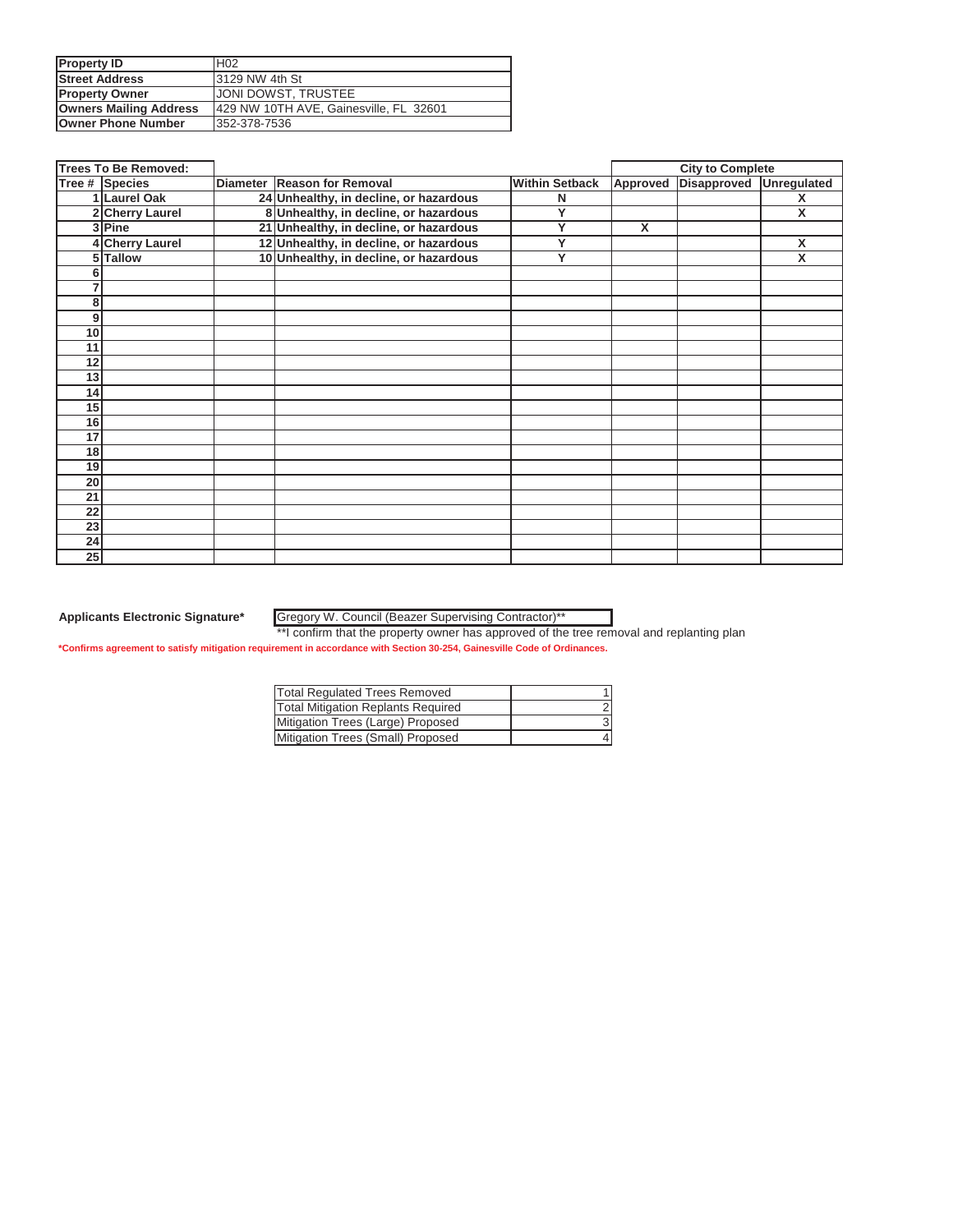| <b>Property ID</b>            | H <sub>02</sub>                        |
|-------------------------------|----------------------------------------|
| <b>Street Address</b>         | 13129 NW 4th St                        |
| <b>Property Owner</b>         | <b>JONI DOWST, TRUSTEE</b>             |
| <b>Owners Mailing Address</b> | 429 NW 10TH AVE, Gainesville, FL 32601 |
| <b>Owner Phone Number</b>     | 352-378-7536                           |

| <b>Trees To Be Removed:</b> |                      |  |                                        | <b>City to Complete</b> |                         |             |             |
|-----------------------------|----------------------|--|----------------------------------------|-------------------------|-------------------------|-------------|-------------|
|                             | Tree # Species       |  | Diameter Reason for Removal            | <b>Within Setback</b>   | Approved                | Disapproved | Unregulated |
|                             | 1 Laurel Oak         |  | 24 Unhealthy, in decline, or hazardous | N                       |                         |             | X           |
| 21                          | <b>Cherry Laurel</b> |  | 8 Unhealthy, in decline, or hazardous  | Υ                       |                         |             | X           |
|                             | 3 Pine               |  | 21 Unhealthy, in decline, or hazardous | Ÿ                       | $\overline{\mathsf{x}}$ |             |             |
|                             | <b>Cherry Laurel</b> |  | 12 Unhealthy, in decline, or hazardous | Y                       |                         |             | X           |
|                             | 5 Tallow             |  | 10 Unhealthy, in decline, or hazardous | Y                       |                         |             | X           |
|                             |                      |  |                                        |                         |                         |             |             |
|                             |                      |  |                                        |                         |                         |             |             |
| 8                           |                      |  |                                        |                         |                         |             |             |
| 9                           |                      |  |                                        |                         |                         |             |             |
| 10                          |                      |  |                                        |                         |                         |             |             |
| 11                          |                      |  |                                        |                         |                         |             |             |
| 12                          |                      |  |                                        |                         |                         |             |             |
| 13                          |                      |  |                                        |                         |                         |             |             |
| 14                          |                      |  |                                        |                         |                         |             |             |
| 15                          |                      |  |                                        |                         |                         |             |             |
| 16                          |                      |  |                                        |                         |                         |             |             |
| 17                          |                      |  |                                        |                         |                         |             |             |
| 18                          |                      |  |                                        |                         |                         |             |             |
| 19                          |                      |  |                                        |                         |                         |             |             |
| 20                          |                      |  |                                        |                         |                         |             |             |
| 21                          |                      |  |                                        |                         |                         |             |             |
| 22                          |                      |  |                                        |                         |                         |             |             |
| 23                          |                      |  |                                        |                         |                         |             |             |
| 24                          |                      |  |                                        |                         |                         |             |             |
| 25                          |                      |  |                                        |                         |                         |             |             |

Gregory W. Council (Beazer Supervising Contractor)\*\*

\*\*I confirm that the property owner has approved of the tree removal and replanting plan

| Total Regulated Trees Removed      |  |
|------------------------------------|--|
| Total Mitigation Replants Required |  |
| Mitigation Trees (Large) Proposed  |  |
| Mitigation Trees (Small) Proposed  |  |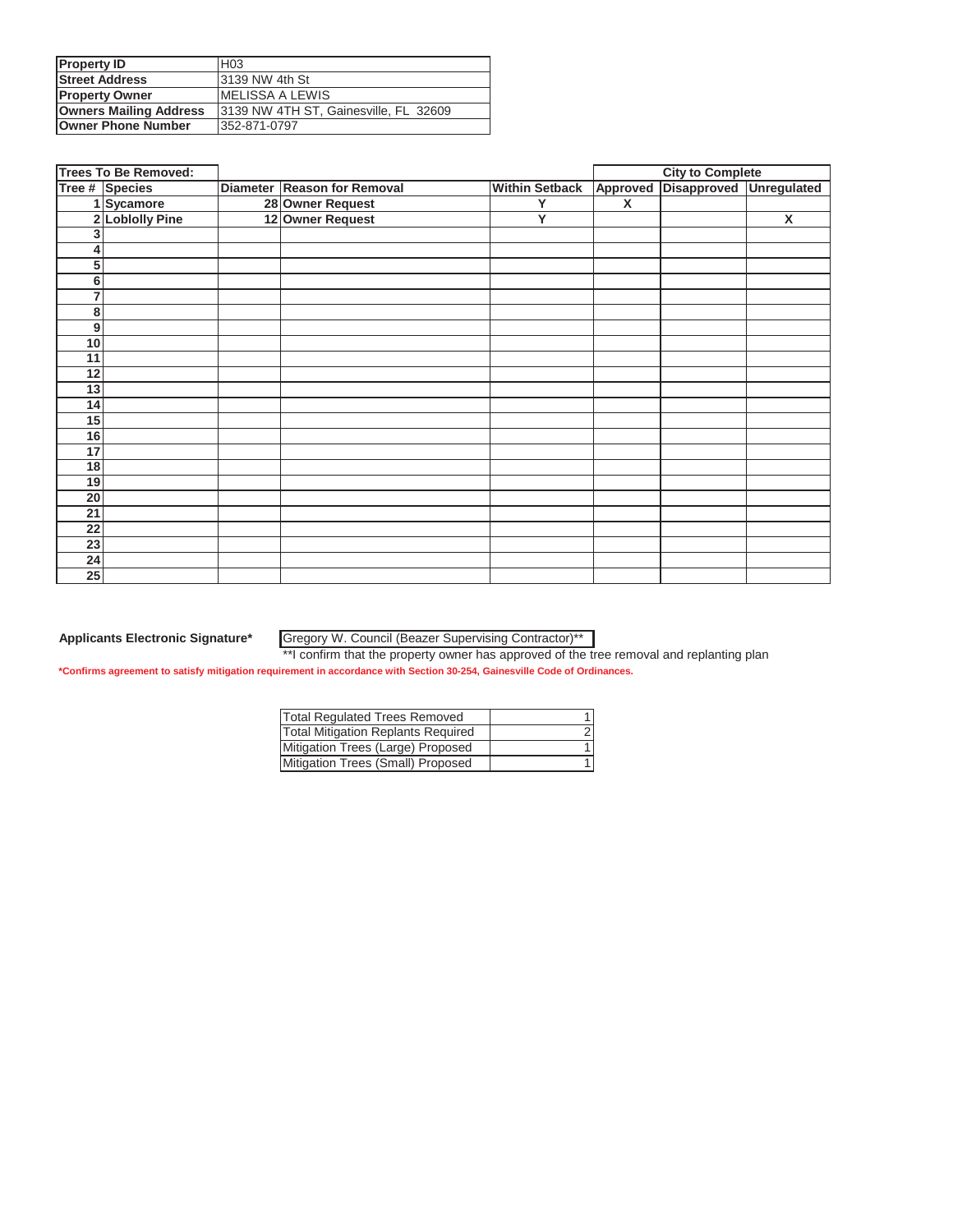| <b>Property ID</b>            | H <sub>03</sub>                       |
|-------------------------------|---------------------------------------|
| <b>Street Address</b>         | 13139 NW 4th St                       |
| <b>Property Owner</b>         | IMELISSA A LEWIS                      |
| <b>Owners Mailing Address</b> | 3139 NW 4TH ST, Gainesville, FL 32609 |
| <b>Owner Phone Number</b>     | 1352-871-0797                         |

|                 | <b>Trees To Be Removed:</b> |                             |                       |              | <b>City to Complete</b> |                         |
|-----------------|-----------------------------|-----------------------------|-----------------------|--------------|-------------------------|-------------------------|
|                 | Tree # Species              | Diameter Reason for Removal | <b>Within Setback</b> | Approved     | Disapproved             | <b>Unregulated</b>      |
|                 | 1 Sycamore                  | 28 Owner Request            | Y                     | $\mathsf{x}$ |                         |                         |
|                 | 2 Loblolly Pine             | 12 Owner Request            | Ÿ                     |              |                         | $\overline{\mathbf{x}}$ |
| 3               |                             |                             |                       |              |                         |                         |
| 4               |                             |                             |                       |              |                         |                         |
| 5               |                             |                             |                       |              |                         |                         |
| 6               |                             |                             |                       |              |                         |                         |
| 7               |                             |                             |                       |              |                         |                         |
| 8               |                             |                             |                       |              |                         |                         |
| 9               |                             |                             |                       |              |                         |                         |
| 10              |                             |                             |                       |              |                         |                         |
| 11              |                             |                             |                       |              |                         |                         |
| $\overline{12}$ |                             |                             |                       |              |                         |                         |
| 13              |                             |                             |                       |              |                         |                         |
| 14              |                             |                             |                       |              |                         |                         |
| 15              |                             |                             |                       |              |                         |                         |
| 16              |                             |                             |                       |              |                         |                         |
| 17              |                             |                             |                       |              |                         |                         |
| 18              |                             |                             |                       |              |                         |                         |
| 19              |                             |                             |                       |              |                         |                         |
| 20              |                             |                             |                       |              |                         |                         |
| 21              |                             |                             |                       |              |                         |                         |
| $\overline{22}$ |                             |                             |                       |              |                         |                         |
| 23              |                             |                             |                       |              |                         |                         |
| 24              |                             |                             |                       |              |                         |                         |
| 25              |                             |                             |                       |              |                         |                         |

#### Gregory W. Council (Beazer Supervising Contractor)\*\*

| <b>Total Regulated Trees Removed</b>      |  |
|-------------------------------------------|--|
| <b>Total Mitigation Replants Required</b> |  |
| Mitigation Trees (Large) Proposed         |  |
| Mitigation Trees (Small) Proposed         |  |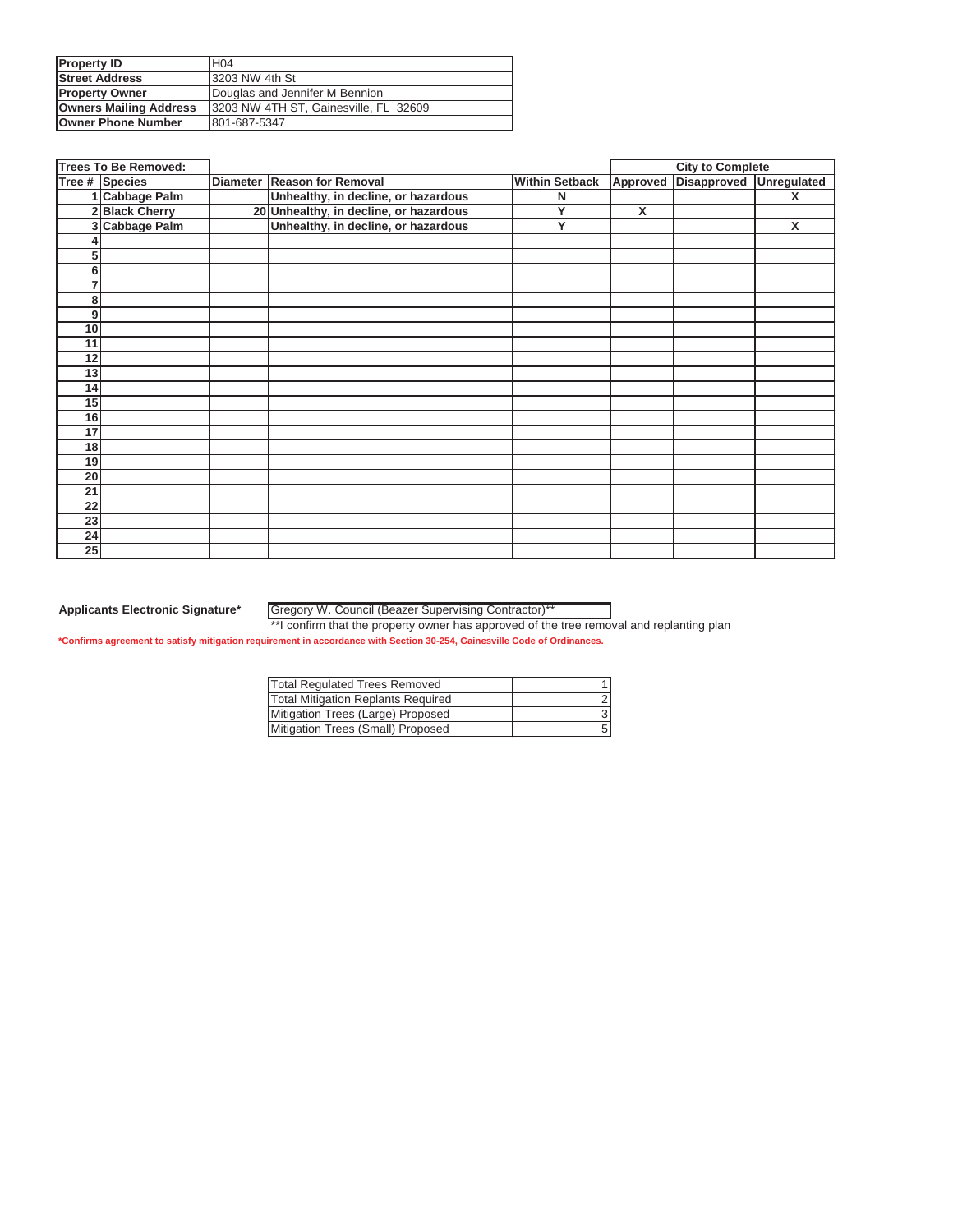| <b>Property ID</b>            | H <sub>04</sub>                       |
|-------------------------------|---------------------------------------|
| <b>Street Address</b>         | 3203 NW 4th St                        |
| <b>Property Owner</b>         | Douglas and Jennifer M Bennion        |
| <b>Owners Mailing Address</b> | 3203 NW 4TH ST, Gainesville, FL 32609 |
| <b>Owner Phone Number</b>     | 801-687-5347                          |

|    | <b>Trees To Be Removed:</b> |                                        |                       | <b>City to Complete</b> |                         |   |
|----|-----------------------------|----------------------------------------|-----------------------|-------------------------|-------------------------|---|
|    | Tree # Species              | Diameter Reason for Removal            | <b>Within Setback</b> | Approved                | Disapproved Unregulated |   |
|    | 1 Cabbage Palm              | Unhealthy, in decline, or hazardous    | N                     |                         |                         | x |
|    | 2 Black Cherry              | 20 Unhealthy, in decline, or hazardous | Ÿ                     | X                       |                         |   |
|    | 3 Cabbage Palm              | Unhealthy, in decline, or hazardous    | Y                     |                         |                         | X |
|    |                             |                                        |                       |                         |                         |   |
| 5  |                             |                                        |                       |                         |                         |   |
| 6  |                             |                                        |                       |                         |                         |   |
| 7  |                             |                                        |                       |                         |                         |   |
| 8  |                             |                                        |                       |                         |                         |   |
| 9  |                             |                                        |                       |                         |                         |   |
| 10 |                             |                                        |                       |                         |                         |   |
| 11 |                             |                                        |                       |                         |                         |   |
| 12 |                             |                                        |                       |                         |                         |   |
| 13 |                             |                                        |                       |                         |                         |   |
| 14 |                             |                                        |                       |                         |                         |   |
| 15 |                             |                                        |                       |                         |                         |   |
| 16 |                             |                                        |                       |                         |                         |   |
| 17 |                             |                                        |                       |                         |                         |   |
| 18 |                             |                                        |                       |                         |                         |   |
| 19 |                             |                                        |                       |                         |                         |   |
| 20 |                             |                                        |                       |                         |                         |   |
| 21 |                             |                                        |                       |                         |                         |   |
| 22 |                             |                                        |                       |                         |                         |   |
| 23 |                             |                                        |                       |                         |                         |   |
| 24 |                             |                                        |                       |                         |                         |   |
| 25 |                             |                                        |                       |                         |                         |   |

Gregory W. Council (Beazer Supervising Contractor)\*\*

\*\*I confirm that the property owner has approved of the tree removal and replanting plan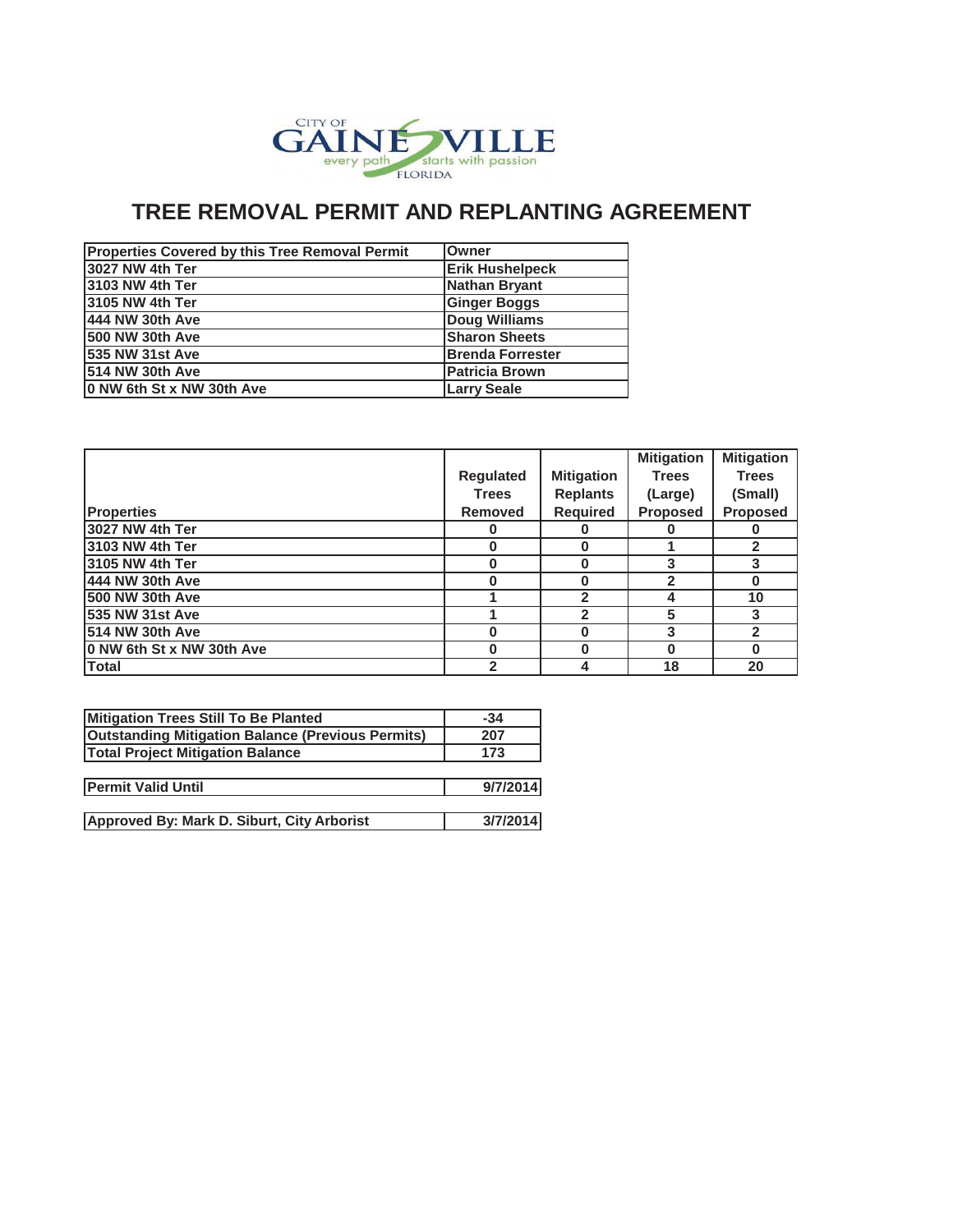

| Properties Covered by this Tree Removal Permit | Owner                    |
|------------------------------------------------|--------------------------|
| l3027 NW 4th Ter                               | <b>Erik Hushelpeck</b>   |
| 3103 NW 4th Ter                                | <b>Nathan Bryant</b>     |
| 3105 NW 4th Ter                                | <b>Ginger Boggs</b>      |
| 444 NW 30th Ave                                | Doug Williams            |
| <b>500 NW 30th Ave</b>                         | <b>Sharon Sheets</b>     |
| <b>1535 NW 31st Ave</b>                        | <b>IBrenda Forrester</b> |
| 1514 NW 30th Ave                               | <b>Patricia Brown</b>    |
| 0 NW 6th St x NW 30th Ave                      | <b>Larry Seale</b>       |

|                           |                  |                   | <b>Mitigation</b> | <b>Mitigation</b> |
|---------------------------|------------------|-------------------|-------------------|-------------------|
|                           | <b>Regulated</b> | <b>Mitigation</b> | <b>Trees</b>      | <b>Trees</b>      |
|                           | <b>Trees</b>     | <b>Replants</b>   | (Large)           | (Small)           |
| <b>Properties</b>         | <b>Removed</b>   | <b>Required</b>   | <b>Proposed</b>   | <b>Proposed</b>   |
| 3027 NW 4th Ter           | O                | O                 |                   |                   |
| l3103 NW 4th Ter          | 0                | 0                 |                   | $\mathbf{2}$      |
| l3105 NW 4th Ter          | O                | 0                 |                   |                   |
| 444 NW 30th Ave           | O                | 0                 |                   | O                 |
| 500 NW 30th Ave           |                  | 2                 |                   | 10                |
| 535 NW 31st Ave           |                  | $\mathfrak{p}$    | 5                 | 3                 |
| <b>514 NW 30th Ave</b>    | O                | 0                 |                   | $\overline{2}$    |
| 0 NW 6th St x NW 30th Ave | n                | 0                 |                   | O                 |
| <b>Total</b>              | 2                | 4                 | 18                | 20                |

| $-34$    |
|----------|
| 207      |
| 173      |
|          |
| 9/7/2014 |
|          |
| 3/7/2014 |
|          |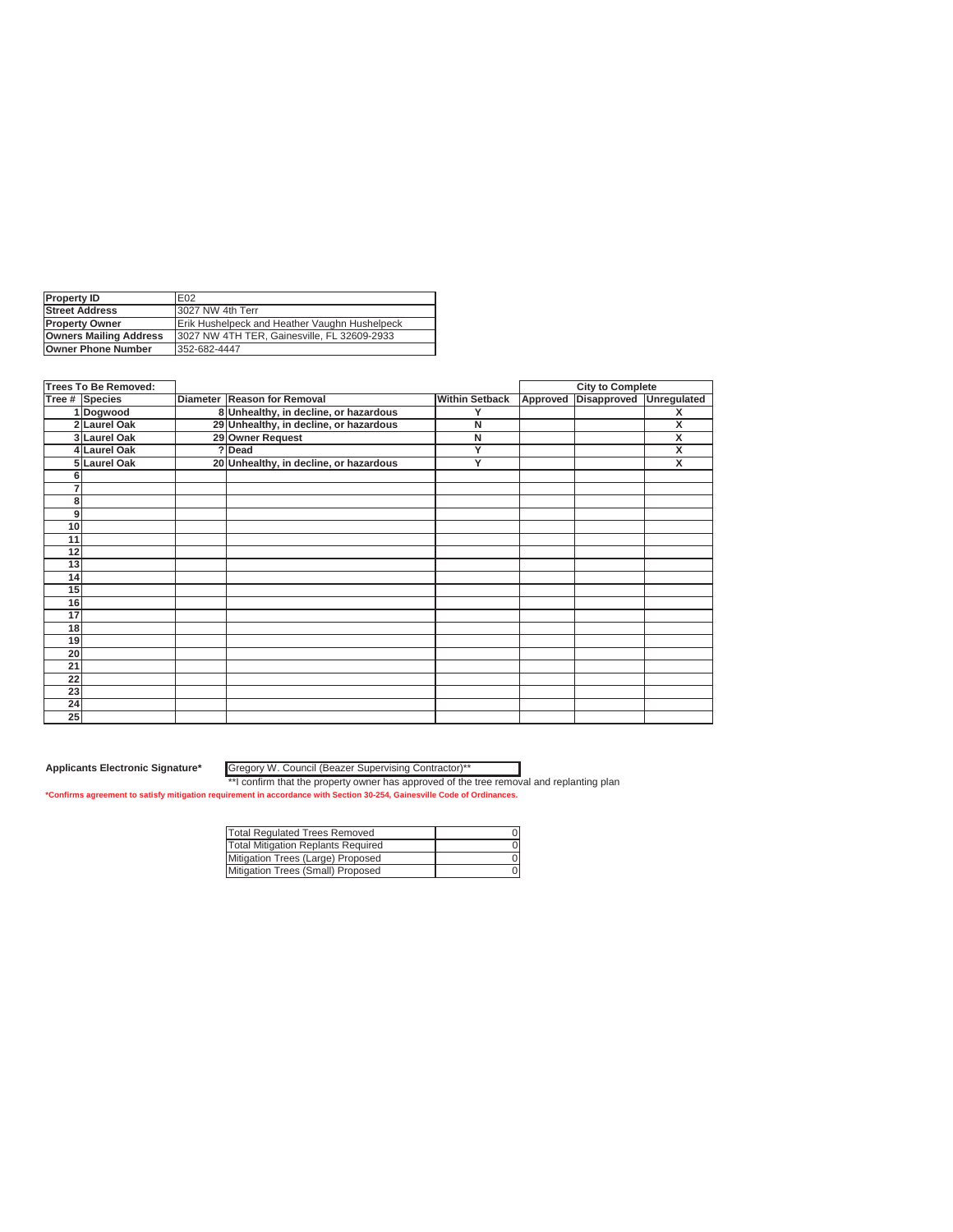| <b>Property ID</b>            | E <sub>02</sub>                               |
|-------------------------------|-----------------------------------------------|
| <b>Street Address</b>         | 3027 NW 4th Terr                              |
| <b>Property Owner</b>         | Erik Hushelpeck and Heather Vaughn Hushelpeck |
| <b>Owners Mailing Address</b> | 13027 NW 4TH TER. Gainesville, FL 32609-2933  |
| Owner Phone Number            | 352-682-4447                                  |
|                               |                                               |

|                 | <b>Trees To Be Removed:</b> |                                        |                       | <b>City to Complete</b> |                    |
|-----------------|-----------------------------|----------------------------------------|-----------------------|-------------------------|--------------------|
|                 | Tree # Species              | Diameter Reason for Removal            | <b>Within Setback</b> | Approved Disapproved    | <b>Unregulated</b> |
|                 | 1 Dogwood                   | 8 Unhealthy, in decline, or hazardous  | Y                     |                         | x                  |
|                 | 2 Laurel Oak                | 29 Unhealthy, in decline, or hazardous | N                     |                         | X                  |
|                 | 3 Laurel Oak                | 29 Owner Request                       | N                     |                         | x                  |
|                 | 4 Laurel Oak                | ?Dead                                  | Ÿ                     |                         | X                  |
|                 | 5 Laurel Oak                | 20 Unhealthy, in decline, or hazardous | Y                     |                         | x                  |
|                 |                             |                                        |                       |                         |                    |
|                 |                             |                                        |                       |                         |                    |
| 8               |                             |                                        |                       |                         |                    |
| 9               |                             |                                        |                       |                         |                    |
| 10              |                             |                                        |                       |                         |                    |
| 11              |                             |                                        |                       |                         |                    |
| 12              |                             |                                        |                       |                         |                    |
| 13              |                             |                                        |                       |                         |                    |
| 14              |                             |                                        |                       |                         |                    |
| 15              |                             |                                        |                       |                         |                    |
| 16              |                             |                                        |                       |                         |                    |
| 17              |                             |                                        |                       |                         |                    |
| 18              |                             |                                        |                       |                         |                    |
| 19              |                             |                                        |                       |                         |                    |
| 20              |                             |                                        |                       |                         |                    |
| $\overline{21}$ |                             |                                        |                       |                         |                    |
| 22              |                             |                                        |                       |                         |                    |
| 23              |                             |                                        |                       |                         |                    |
| 24              |                             |                                        |                       |                         |                    |
| 25              |                             |                                        |                       |                         |                    |

**Applicants Electronic Signature\*** Gregory W. Council (Beazer Supervising Contractor)\*\*

| Total Regulated Trees Removed      |  |
|------------------------------------|--|
| Total Mitigation Replants Required |  |
| Mitigation Trees (Large) Proposed  |  |
| Mitigation Trees (Small) Proposed  |  |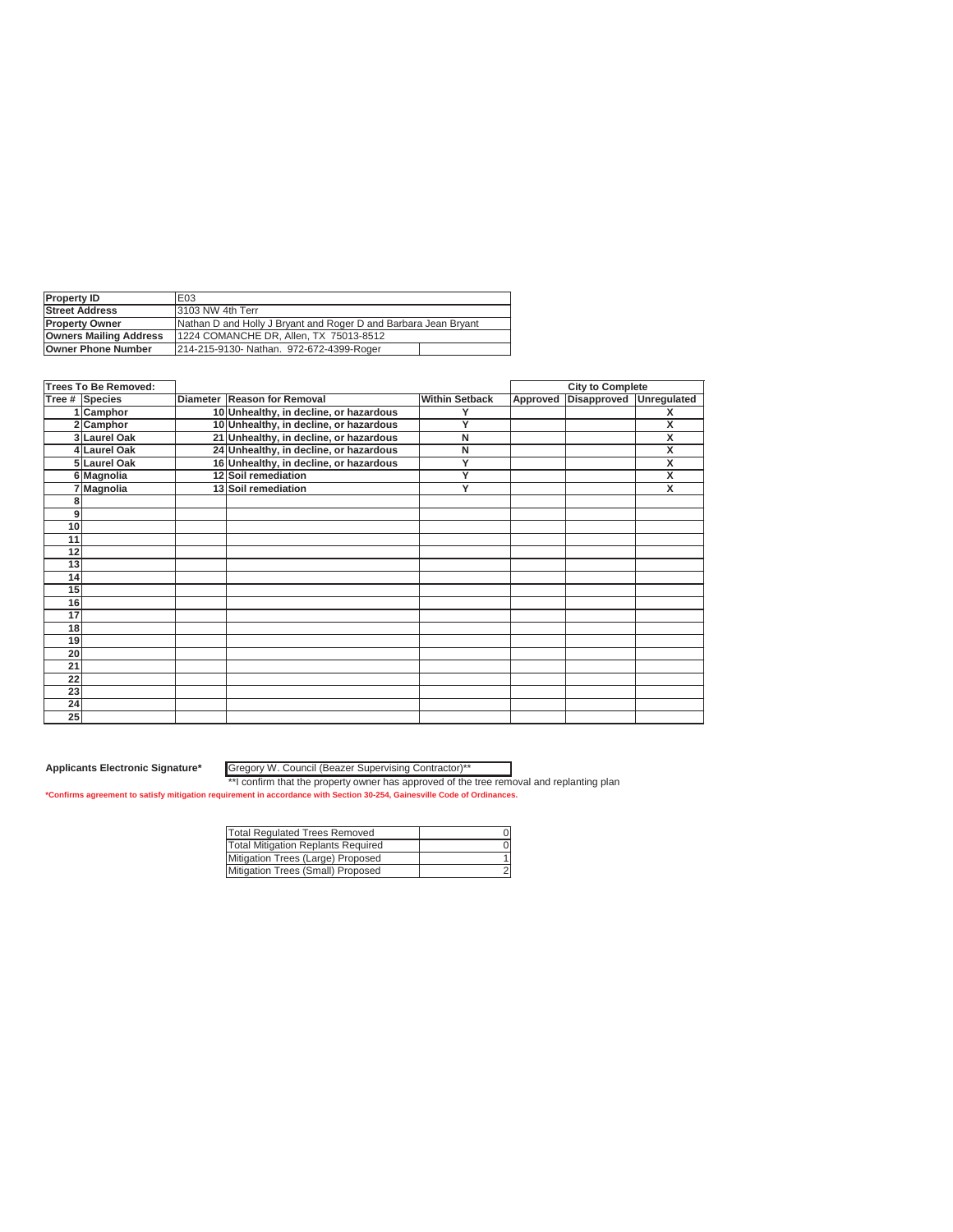| <b>Property ID</b>            | E03                                                             |  |  |  |
|-------------------------------|-----------------------------------------------------------------|--|--|--|
| <b>Street Address</b>         | 13103 NW 4th Terr                                               |  |  |  |
| <b>Property Owner</b>         | Nathan D and Holly J Bryant and Roger D and Barbara Jean Bryant |  |  |  |
| <b>Owners Mailing Address</b> | 1224 COMANCHE DR, Allen, TX 75013-8512                          |  |  |  |
| <b>Owner Phone Number</b>     | 214-215-9130- Nathan, 972-672-4399-Roger                        |  |  |  |

|    | <b>Trees To Be Removed:</b> |                                        |                       | <b>City to Complete</b> |                    |             |
|----|-----------------------------|----------------------------------------|-----------------------|-------------------------|--------------------|-------------|
|    | Tree # Species              | Diameter Reason for Removal            | <b>Within Setback</b> | Approved                | <b>Disapproved</b> | Unregulated |
|    | 1 Camphor                   | 10 Unhealthy, in decline, or hazardous |                       |                         |                    | X           |
|    | 2 Camphor                   | 10 Unhealthy, in decline, or hazardous | Y                     |                         |                    | X           |
|    | 3 Laurel Oak                | 21 Unhealthy, in decline, or hazardous | N                     |                         |                    | X           |
|    | 4 Laurel Oak                | 24 Unhealthy, in decline, or hazardous | N                     |                         |                    | X           |
|    | 5 Laurel Oak                | 16 Unhealthy, in decline, or hazardous | Y                     |                         |                    | X           |
|    | 6 Magnolia                  | 12 Soil remediation                    | Y                     |                         |                    | X           |
|    | Magnolia                    | 13 Soil remediation                    | Y                     |                         |                    | X           |
| 8  |                             |                                        |                       |                         |                    |             |
| 9  |                             |                                        |                       |                         |                    |             |
| 10 |                             |                                        |                       |                         |                    |             |
| 11 |                             |                                        |                       |                         |                    |             |
| 12 |                             |                                        |                       |                         |                    |             |
| 13 |                             |                                        |                       |                         |                    |             |
| 14 |                             |                                        |                       |                         |                    |             |
| 15 |                             |                                        |                       |                         |                    |             |
| 16 |                             |                                        |                       |                         |                    |             |
| 17 |                             |                                        |                       |                         |                    |             |
| 18 |                             |                                        |                       |                         |                    |             |
| 19 |                             |                                        |                       |                         |                    |             |
| 20 |                             |                                        |                       |                         |                    |             |
| 21 |                             |                                        |                       |                         |                    |             |
| 22 |                             |                                        |                       |                         |                    |             |
| 23 |                             |                                        |                       |                         |                    |             |
| 24 |                             |                                        |                       |                         |                    |             |
| 25 |                             |                                        |                       |                         |                    |             |

**Applicants Electronic Signature\*** Gregory W. Council (Beazer Supervising Contractor)\*\*

| Total Regulated Trees Removed      |  |
|------------------------------------|--|
| Total Mitigation Replants Required |  |
| Mitigation Trees (Large) Proposed  |  |
| Mitigation Trees (Small) Proposed  |  |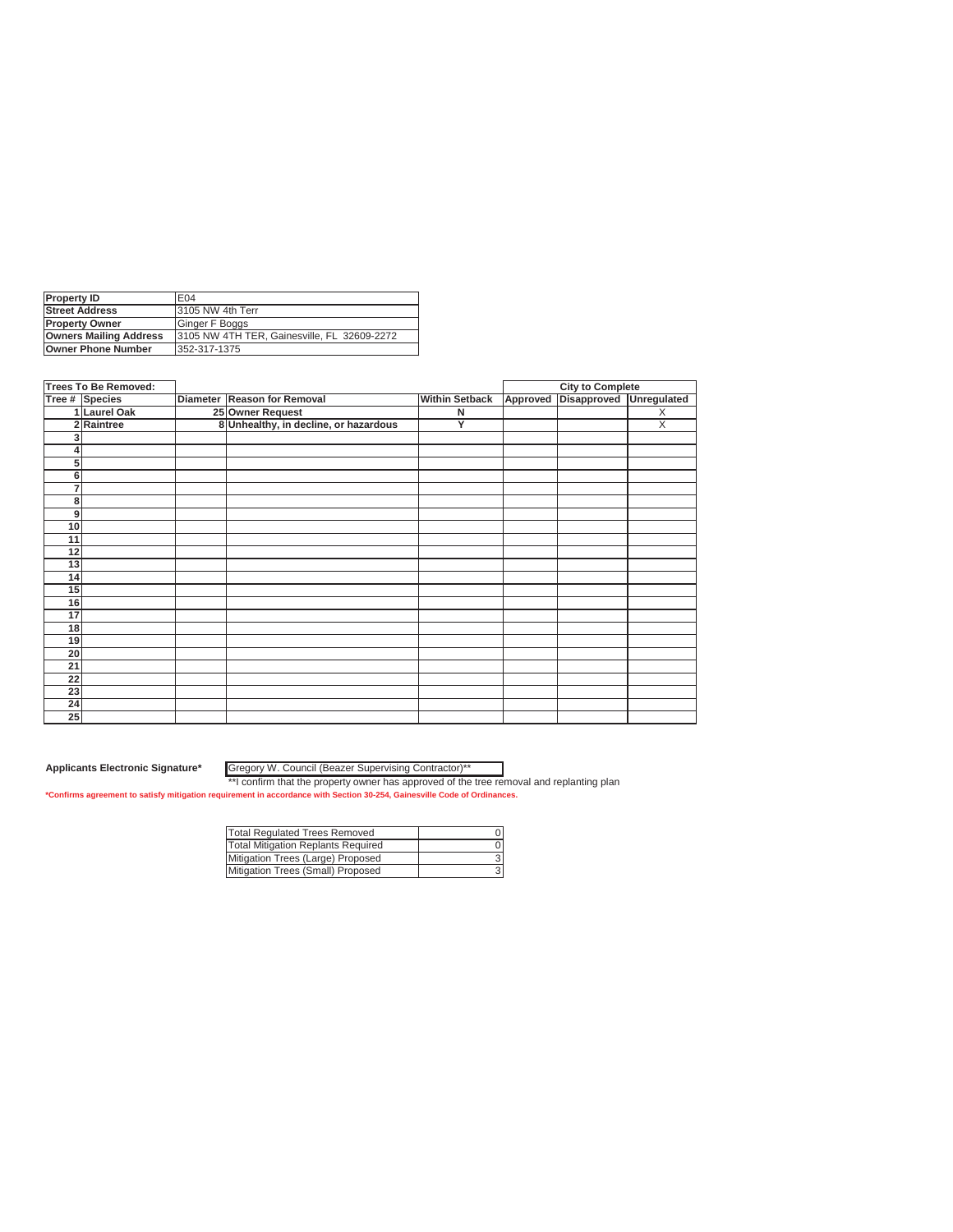| <b>Property ID</b>            | E04                                         |
|-------------------------------|---------------------------------------------|
| <b>Street Address</b>         | 13105 NW 4th Terr                           |
| <b>Property Owner</b>         | Ginger F Boggs                              |
| <b>Owners Mailing Address</b> | 3105 NW 4TH TER, Gainesville, FL 32609-2272 |
| <b>Owner Phone Number</b>     | 352-317-1375                                |
|                               |                                             |

| <b>Trees To Be Removed:</b> |                |                                       |                       |          | <b>City to Complete</b> |             |
|-----------------------------|----------------|---------------------------------------|-----------------------|----------|-------------------------|-------------|
|                             | Tree # Species | Diameter Reason for Removal           | <b>Within Setback</b> | Approved | Disapproved             | Unregulated |
|                             | 1 Laurel Oak   | 25 Owner Request                      | N                     |          |                         | X           |
|                             | 2 Raintree     | 8 Unhealthy, in decline, or hazardous | Y                     |          |                         | X           |
|                             |                |                                       |                       |          |                         |             |
|                             |                |                                       |                       |          |                         |             |
| 5                           |                |                                       |                       |          |                         |             |
| 6                           |                |                                       |                       |          |                         |             |
| 7                           |                |                                       |                       |          |                         |             |
| 8                           |                |                                       |                       |          |                         |             |
| 9                           |                |                                       |                       |          |                         |             |
| 10                          |                |                                       |                       |          |                         |             |
| 11                          |                |                                       |                       |          |                         |             |
| 12                          |                |                                       |                       |          |                         |             |
| 13                          |                |                                       |                       |          |                         |             |
| 14                          |                |                                       |                       |          |                         |             |
| 15                          |                |                                       |                       |          |                         |             |
| 16                          |                |                                       |                       |          |                         |             |
| 17                          |                |                                       |                       |          |                         |             |
| 18                          |                |                                       |                       |          |                         |             |
| 19                          |                |                                       |                       |          |                         |             |
| 20                          |                |                                       |                       |          |                         |             |
| 21                          |                |                                       |                       |          |                         |             |
| 22                          |                |                                       |                       |          |                         |             |
| 23                          |                |                                       |                       |          |                         |             |
| 24                          |                |                                       |                       |          |                         |             |
| 25                          |                |                                       |                       |          |                         |             |

Gregory W. Council (Beazer Supervising Contractor)\*\*

| <b>Total Regulated Trees Removed</b> |  |
|--------------------------------------|--|
| Total Mitigation Replants Required   |  |
| Mitigation Trees (Large) Proposed    |  |
| Mitigation Trees (Small) Proposed    |  |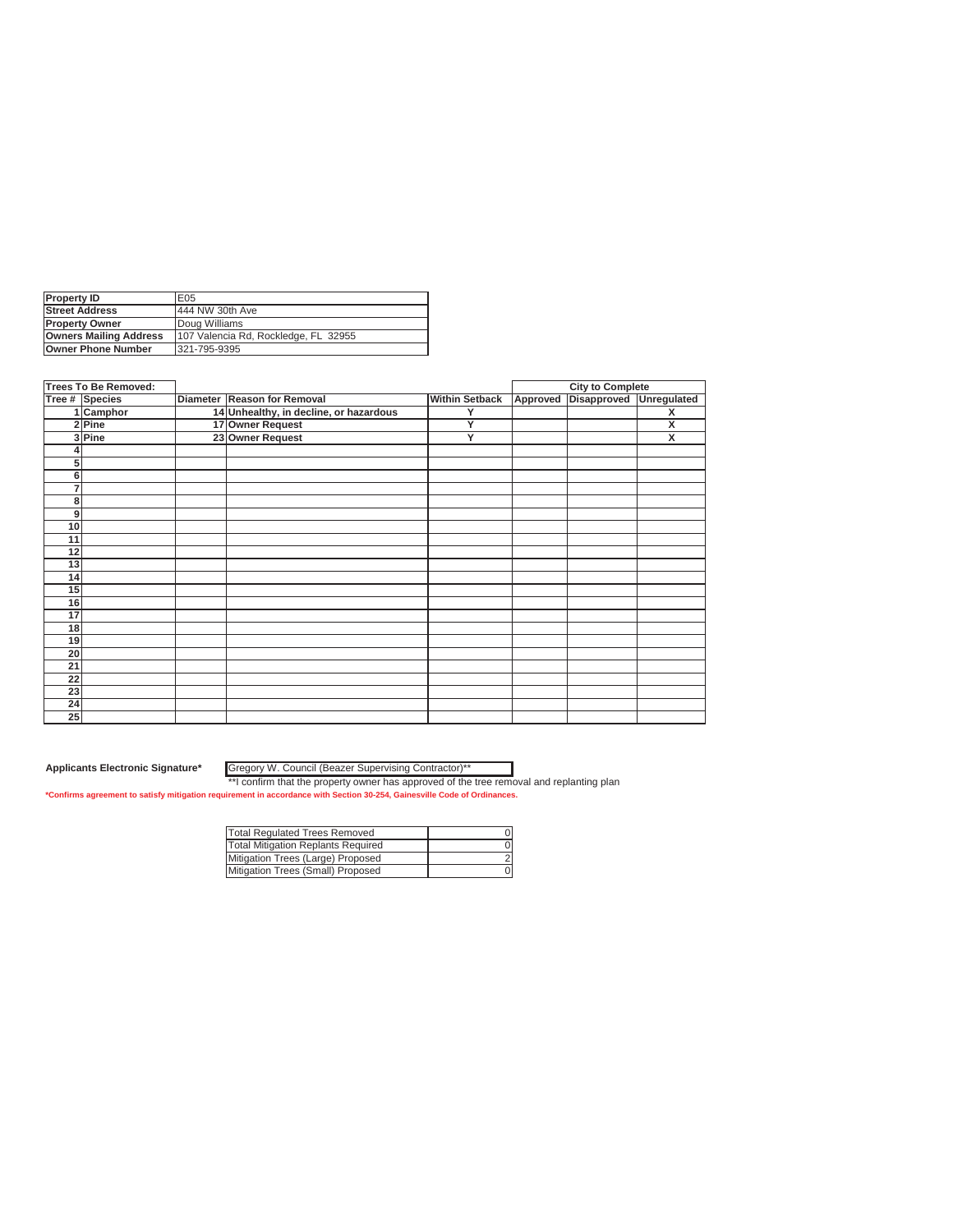| <b>Property ID</b>            | E05                                  |
|-------------------------------|--------------------------------------|
| <b>Street Address</b>         | 444 NW 30th Ave                      |
| <b>Property Owner</b>         | Doug Williams                        |
| <b>Owners Mailing Address</b> | 107 Valencia Rd, Rockledge, FL 32955 |
| Owner Phone Number            | 321-795-9395                         |

| <b>Trees To Be Removed:</b> |                |                                        |                       |          | <b>City to Complete</b> |             |
|-----------------------------|----------------|----------------------------------------|-----------------------|----------|-------------------------|-------------|
|                             | Tree # Species | Diameter Reason for Removal            | <b>Within Setback</b> | Approved | Disapproved             | Unregulated |
|                             | 1 Camphor      | 14 Unhealthy, in decline, or hazardous | Y                     |          |                         | X           |
|                             | $2$ Pine       | 17 Owner Request                       | Ÿ                     |          |                         | X           |
|                             | 3 Pine         | 23 Owner Request                       | Y                     |          |                         | X           |
|                             |                |                                        |                       |          |                         |             |
| 5                           |                |                                        |                       |          |                         |             |
| 6                           |                |                                        |                       |          |                         |             |
| 7                           |                |                                        |                       |          |                         |             |
| 8                           |                |                                        |                       |          |                         |             |
| 9                           |                |                                        |                       |          |                         |             |
| 10                          |                |                                        |                       |          |                         |             |
| 11                          |                |                                        |                       |          |                         |             |
| 12                          |                |                                        |                       |          |                         |             |
| 13                          |                |                                        |                       |          |                         |             |
| 14                          |                |                                        |                       |          |                         |             |
| 15                          |                |                                        |                       |          |                         |             |
| 16                          |                |                                        |                       |          |                         |             |
| 17                          |                |                                        |                       |          |                         |             |
| 18                          |                |                                        |                       |          |                         |             |
| 19                          |                |                                        |                       |          |                         |             |
| 20                          |                |                                        |                       |          |                         |             |
| $\overline{21}$             |                |                                        |                       |          |                         |             |
| 22                          |                |                                        |                       |          |                         |             |
| 23                          |                |                                        |                       |          |                         |             |
| 24                          |                |                                        |                       |          |                         |             |
| 25                          |                |                                        |                       |          |                         |             |

Gregory W. Council (Beazer Supervising Contractor)\*\*

| <b>Total Regulated Trees Removed</b> |  |
|--------------------------------------|--|
| Total Mitigation Replants Required   |  |
| Mitigation Trees (Large) Proposed    |  |
| Mitigation Trees (Small) Proposed    |  |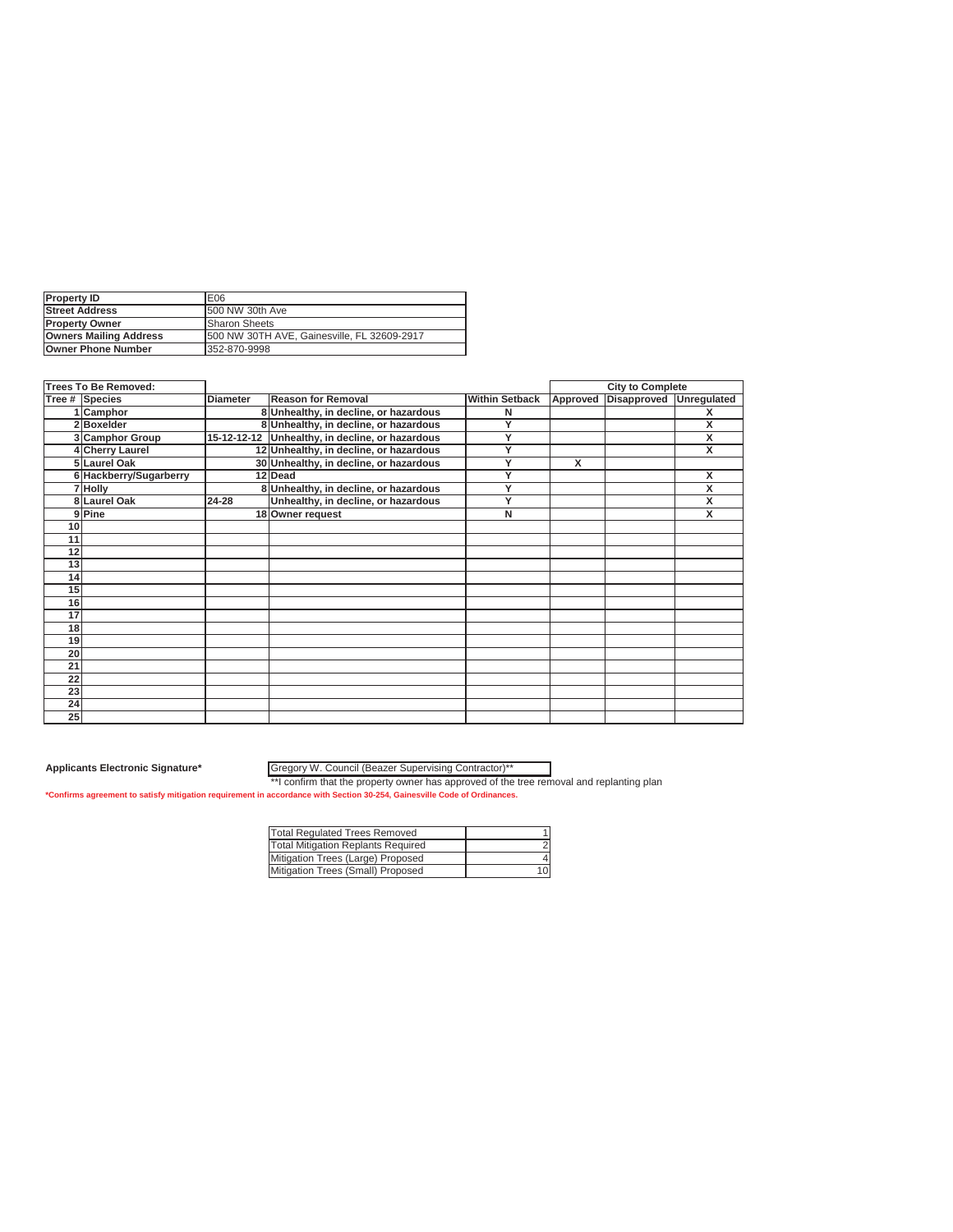| <b>Property ID</b>            | E06                                          |
|-------------------------------|----------------------------------------------|
| <b>Street Address</b>         | 1500 NW 30th Ave                             |
| <b>IProperty Owner</b>        | <b>Sharon Sheets</b>                         |
| <b>Owners Mailing Address</b> | 1500 NW 30TH AVE, Gainesville, FL 32609-2917 |
| <b>Owner Phone Number</b>     | 352-870-9998                                 |

|    | <b>Trees To Be Removed:</b> |                 |                                                 |                       |          | <b>City to Complete</b> |   |
|----|-----------------------------|-----------------|-------------------------------------------------|-----------------------|----------|-------------------------|---|
|    | Tree # Species              | <b>Diameter</b> | <b>Reason for Removal</b>                       | <b>Within Setback</b> | Approved | Disapproved Unregulated |   |
|    | 1 Camphor                   |                 | 8 Unhealthy, in decline, or hazardous           | N                     |          |                         | х |
|    | 2Boxelder                   |                 | 8 Unhealthy, in decline, or hazardous           | v                     |          |                         | X |
|    | 3 Camphor Group             |                 | 15-12-12-12 Unhealthy, in decline, or hazardous | Y                     |          |                         | X |
|    | 4 Cherry Laurel             |                 | 12 Unhealthy, in decline, or hazardous          | $\checkmark$          |          |                         | X |
|    | 5 Laurel Oak                |                 | 30 Unhealthy, in decline, or hazardous          | $\checkmark$          | x        |                         |   |
|    | 6 Hackberry/Sugarberry      |                 | 12 Dead                                         | $\checkmark$          |          |                         | x |
|    | 7 Holly                     |                 | 8 Unhealthy, in decline, or hazardous           | $\checkmark$          |          |                         | X |
|    | 8 Laurel Oak                | $24 - 28$       | Unhealthy, in decline, or hazardous             | $\checkmark$          |          |                         | X |
|    | 9 Pine                      |                 | 18 Owner request                                | N                     |          |                         | X |
| 10 |                             |                 |                                                 |                       |          |                         |   |
| 11 |                             |                 |                                                 |                       |          |                         |   |
| 12 |                             |                 |                                                 |                       |          |                         |   |
| 13 |                             |                 |                                                 |                       |          |                         |   |
| 14 |                             |                 |                                                 |                       |          |                         |   |
| 15 |                             |                 |                                                 |                       |          |                         |   |
| 16 |                             |                 |                                                 |                       |          |                         |   |
| 17 |                             |                 |                                                 |                       |          |                         |   |
| 18 |                             |                 |                                                 |                       |          |                         |   |
| 19 |                             |                 |                                                 |                       |          |                         |   |
| 20 |                             |                 |                                                 |                       |          |                         |   |
| 21 |                             |                 |                                                 |                       |          |                         |   |
| 22 |                             |                 |                                                 |                       |          |                         |   |
| 23 |                             |                 |                                                 |                       |          |                         |   |
| 24 |                             |                 |                                                 |                       |          |                         |   |
| 25 |                             |                 |                                                 |                       |          |                         |   |

#### **Applicants Electronic Signature\*** Gregory W. Council (Beazer Supervising Contractor)\*\*

| <b>Total Requlated Trees Removed</b>      |  |
|-------------------------------------------|--|
| <b>Total Mitigation Replants Required</b> |  |
| Mitigation Trees (Large) Proposed         |  |
| Mitigation Trees (Small) Proposed         |  |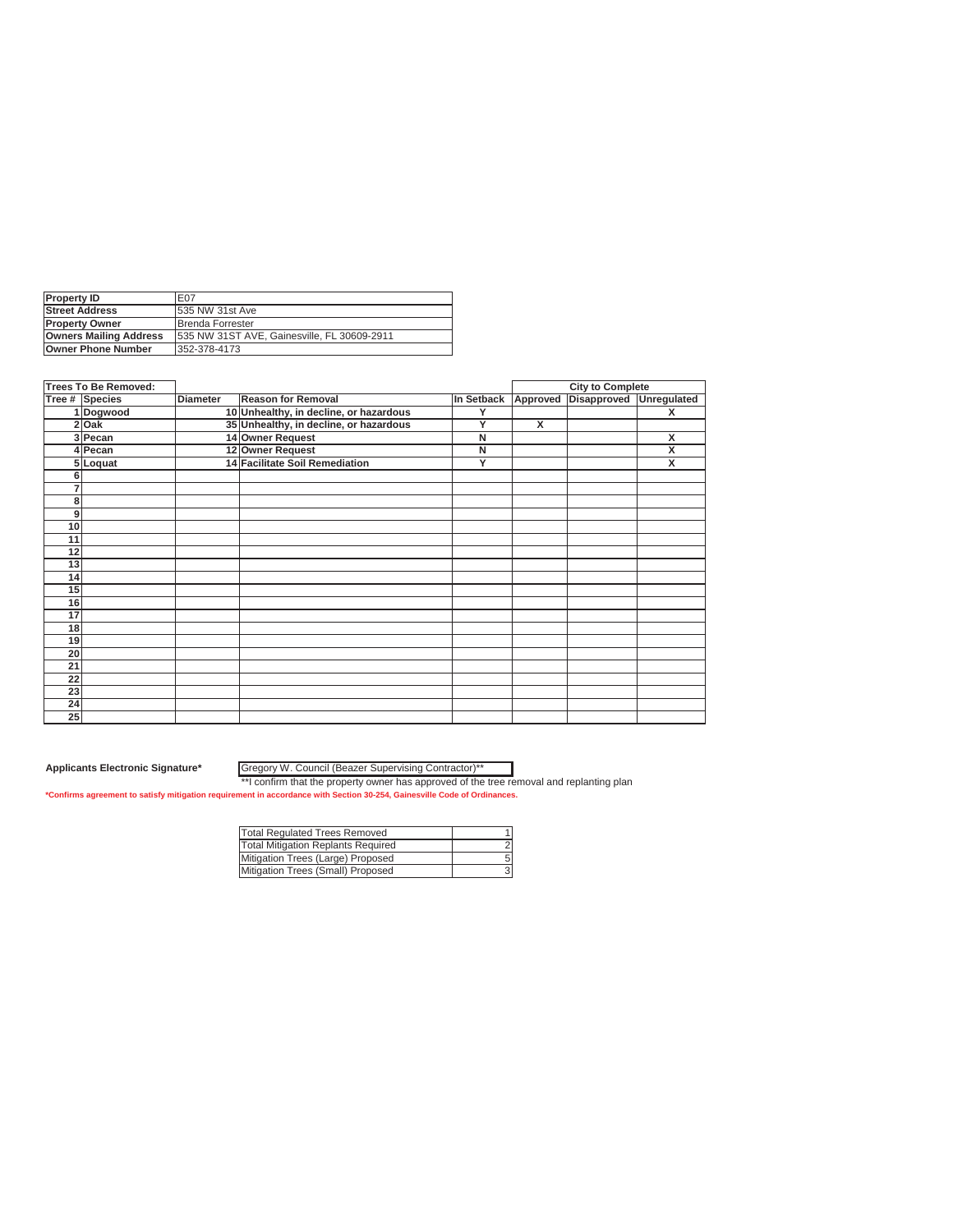| <b>Property ID</b>            | E07                                         |
|-------------------------------|---------------------------------------------|
| <b>Street Address</b>         | 1535 NW 31st Ave                            |
| <b>Property Owner</b>         | Brenda Forrester                            |
| <b>Owners Mailing Address</b> | 535 NW 31ST AVE, Gainesville, FL 30609-2911 |
| Owner Phone Number            | 352-378-4173                                |

| <b>Trees To Be Removed:</b> |                       | <b>City to Complete</b> |                                        |            |                         |             |                    |
|-----------------------------|-----------------------|-------------------------|----------------------------------------|------------|-------------------------|-------------|--------------------|
|                             | <b>Tree # Species</b> | <b>Diameter</b>         | <b>Reason for Removal</b>              | In Setback | Approved                | Disapproved | <b>Unregulated</b> |
|                             | 1 Dogwood             |                         | 10 Unhealthy, in decline, or hazardous | Υ          |                         |             | X                  |
|                             | 2 Oak                 |                         | 35 Unhealthy, in decline, or hazardous | Y          | $\overline{\mathsf{x}}$ |             |                    |
|                             | 3 Pecan               |                         | 14 Owner Request                       | N          |                         |             | x                  |
|                             | 4 Pecan               |                         | 12 Owner Request                       | N          |                         |             | X                  |
|                             | 5 Loquat              |                         | 14 Facilitate Soil Remediation         | Y          |                         |             | x                  |
| 6                           |                       |                         |                                        |            |                         |             |                    |
|                             |                       |                         |                                        |            |                         |             |                    |
| 8                           |                       |                         |                                        |            |                         |             |                    |
| 9                           |                       |                         |                                        |            |                         |             |                    |
| 10                          |                       |                         |                                        |            |                         |             |                    |
| 11                          |                       |                         |                                        |            |                         |             |                    |
| 12                          |                       |                         |                                        |            |                         |             |                    |
| 13                          |                       |                         |                                        |            |                         |             |                    |
| 14                          |                       |                         |                                        |            |                         |             |                    |
| 15                          |                       |                         |                                        |            |                         |             |                    |
| 16                          |                       |                         |                                        |            |                         |             |                    |
| 17                          |                       |                         |                                        |            |                         |             |                    |
| 18                          |                       |                         |                                        |            |                         |             |                    |
| 19                          |                       |                         |                                        |            |                         |             |                    |
| 20                          |                       |                         |                                        |            |                         |             |                    |
| 21                          |                       |                         |                                        |            |                         |             |                    |
| 22                          |                       |                         |                                        |            |                         |             |                    |
| 23                          |                       |                         |                                        |            |                         |             |                    |
| 24                          |                       |                         |                                        |            |                         |             |                    |
| 25                          |                       |                         |                                        |            |                         |             |                    |

Gregory W. Council (Beazer Supervising Contractor)\*\*

| <b>Total Requlated Trees Removed</b>      |  |
|-------------------------------------------|--|
| <b>Total Mitigation Replants Required</b> |  |
| Mitigation Trees (Large) Proposed         |  |
| Mitigation Trees (Small) Proposed         |  |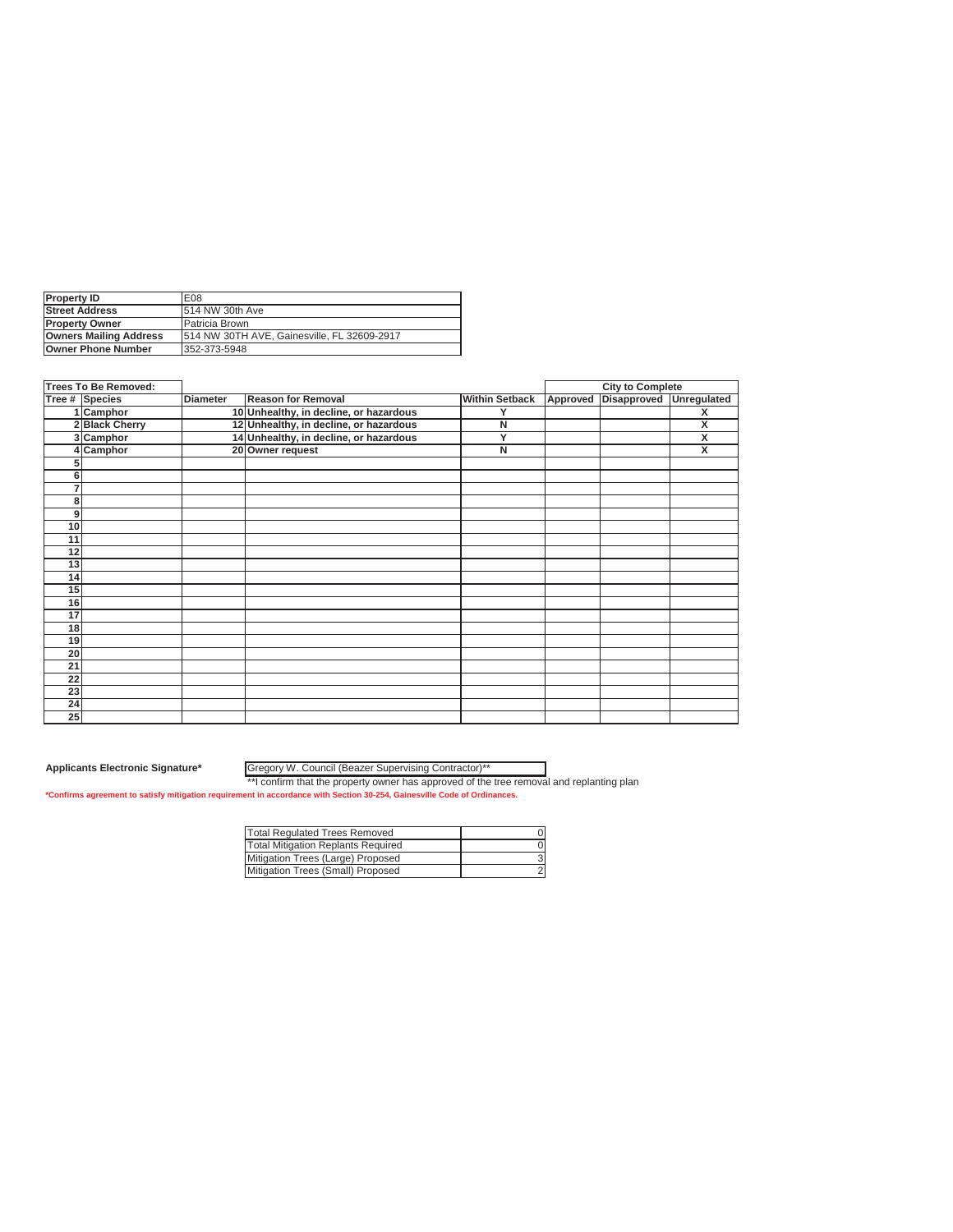| <b>Property ID</b>            | E08                                         |
|-------------------------------|---------------------------------------------|
| <b>Street Address</b>         | 1514 NW 30th Ave                            |
| <b>IProperty Owner</b>        | Patricia Brown                              |
| <b>Owners Mailing Address</b> | 514 NW 30TH AVE, Gainesville, FL 32609-2917 |
| <b>Owner Phone Number</b>     | 352-373-5948                                |

|    | <b>Trees To Be Removed:</b> |                 |                                        |                       |          | <b>City to Complete</b> |                         |
|----|-----------------------------|-----------------|----------------------------------------|-----------------------|----------|-------------------------|-------------------------|
|    | Tree # Species              | <b>Diameter</b> | <b>Reason for Removal</b>              | <b>Within Setback</b> | Approved | Disapproved Unregulated |                         |
|    | 1 Camphor                   |                 | 10 Unhealthy, in decline, or hazardous | v                     |          |                         | X                       |
|    | 2 Black Cherry              |                 | 12 Unhealthy, in decline, or hazardous | N                     |          |                         | X                       |
|    | 3 Camphor                   |                 | 14 Unhealthy, in decline, or hazardous | Y                     |          |                         | X                       |
|    | 4 Camphor                   |                 | 20 Owner request                       | N                     |          |                         | $\overline{\mathsf{x}}$ |
| э  |                             |                 |                                        |                       |          |                         |                         |
| 6  |                             |                 |                                        |                       |          |                         |                         |
| 7  |                             |                 |                                        |                       |          |                         |                         |
| 8  |                             |                 |                                        |                       |          |                         |                         |
| 9  |                             |                 |                                        |                       |          |                         |                         |
| 10 |                             |                 |                                        |                       |          |                         |                         |
| 11 |                             |                 |                                        |                       |          |                         |                         |
| 12 |                             |                 |                                        |                       |          |                         |                         |
| 13 |                             |                 |                                        |                       |          |                         |                         |
| 14 |                             |                 |                                        |                       |          |                         |                         |
| 15 |                             |                 |                                        |                       |          |                         |                         |
| 16 |                             |                 |                                        |                       |          |                         |                         |
| 17 |                             |                 |                                        |                       |          |                         |                         |
| 18 |                             |                 |                                        |                       |          |                         |                         |
| 19 |                             |                 |                                        |                       |          |                         |                         |
| 20 |                             |                 |                                        |                       |          |                         |                         |
| 21 |                             |                 |                                        |                       |          |                         |                         |
| 22 |                             |                 |                                        |                       |          |                         |                         |
| 23 |                             |                 |                                        |                       |          |                         |                         |
| 24 |                             |                 |                                        |                       |          |                         |                         |
| 25 |                             |                 |                                        |                       |          |                         |                         |

Gregory W. Council (Beazer Supervising Contractor)\*\*

| Total Regulated Trees Removed      |  |
|------------------------------------|--|
| Total Mitigation Replants Required |  |
| Mitigation Trees (Large) Proposed  |  |
| Mitigation Trees (Small) Proposed  |  |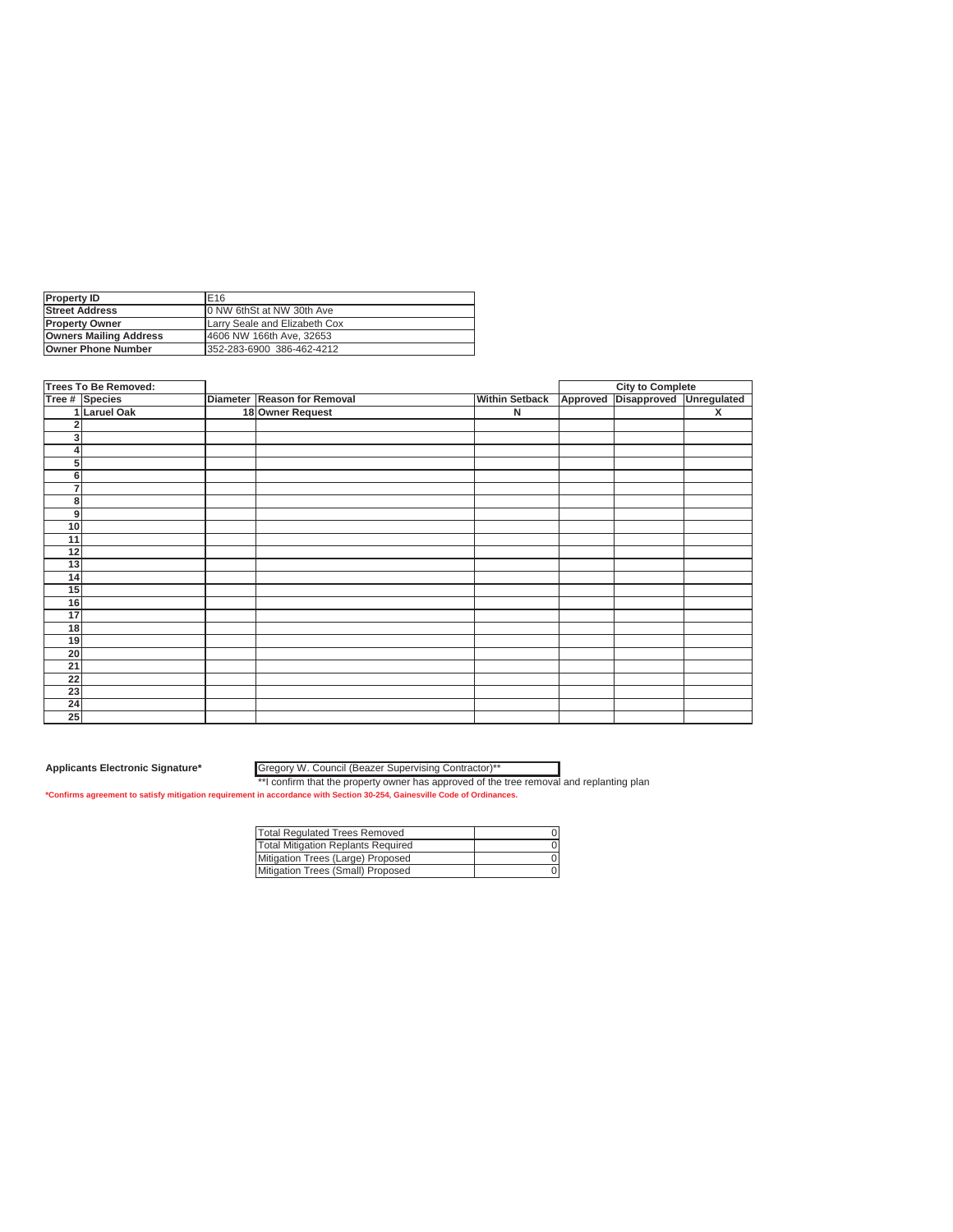| <b>Property ID</b>            | E <sub>16</sub>               |
|-------------------------------|-------------------------------|
| <b>Street Address</b>         | 10 NW 6thSt at NW 30th Ave    |
| <b>IProperty Owner</b>        | Larry Seale and Elizabeth Cox |
| <b>Owners Mailing Address</b> | 4606 NW 166th Ave. 32653      |
| <b>Owner Phone Number</b>     | 352-283-6900 386-462-4212     |

|                 | <b>Trees To Be Removed:</b> |                             |                       |          | <b>City to Complete</b> |                         |
|-----------------|-----------------------------|-----------------------------|-----------------------|----------|-------------------------|-------------------------|
|                 | Tree # Species              | Diameter Reason for Removal | <b>Within Setback</b> | Approved | Disapproved Unregulated |                         |
|                 | 1 Laruel Oak                | 18 Owner Request            | N                     |          |                         | $\overline{\mathbf{x}}$ |
| 2               |                             |                             |                       |          |                         |                         |
| 3               |                             |                             |                       |          |                         |                         |
| 4               |                             |                             |                       |          |                         |                         |
| 5               |                             |                             |                       |          |                         |                         |
| 6               |                             |                             |                       |          |                         |                         |
| 7               |                             |                             |                       |          |                         |                         |
| 8               |                             |                             |                       |          |                         |                         |
| 9               |                             |                             |                       |          |                         |                         |
| 10              |                             |                             |                       |          |                         |                         |
| 11              |                             |                             |                       |          |                         |                         |
| 12              |                             |                             |                       |          |                         |                         |
| 13              |                             |                             |                       |          |                         |                         |
| 14              |                             |                             |                       |          |                         |                         |
| 15              |                             |                             |                       |          |                         |                         |
| 16              |                             |                             |                       |          |                         |                         |
| $\overline{17}$ |                             |                             |                       |          |                         |                         |
| 18              |                             |                             |                       |          |                         |                         |
| 19              |                             |                             |                       |          |                         |                         |
| 20              |                             |                             |                       |          |                         |                         |
| $\overline{21}$ |                             |                             |                       |          |                         |                         |
| 22              |                             |                             |                       |          |                         |                         |
| 23              |                             |                             |                       |          |                         |                         |
| 24              |                             |                             |                       |          |                         |                         |
| $\overline{25}$ |                             |                             |                       |          |                         |                         |

**Applicants Electronic Signature\*** Gregory W. Council (Beazer Supervising Contractor)\*\*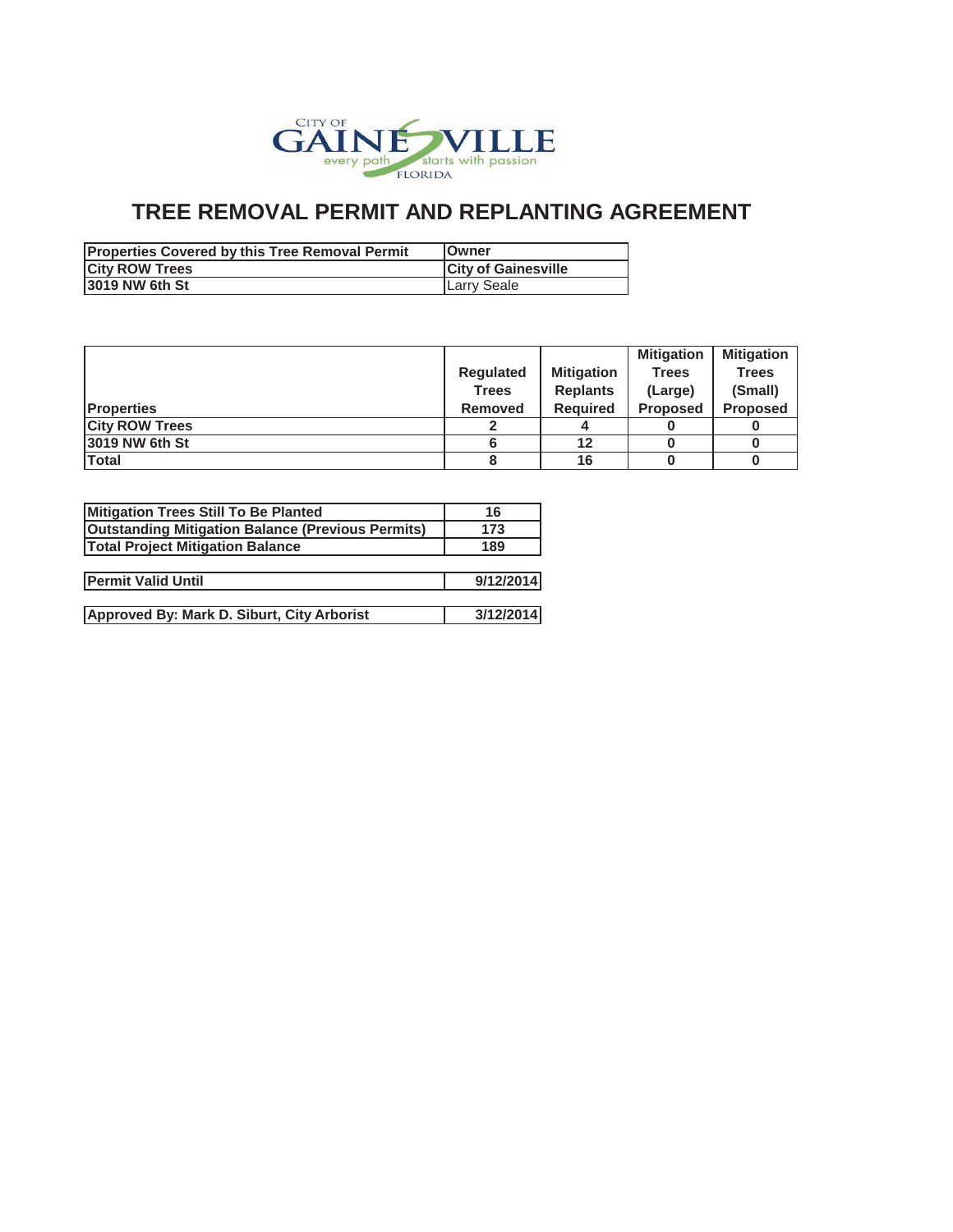

| <b>Properties Covered by this Tree Removal Permit</b> | <b>IOwner</b>              |
|-------------------------------------------------------|----------------------------|
| <b>City ROW Trees</b>                                 | <b>City of Gainesville</b> |
| 13019 NW 6th St                                       | Larry Seale                |

|                       |                  |                   | <b>Mitigation</b> | <b>Mitigation</b> |
|-----------------------|------------------|-------------------|-------------------|-------------------|
|                       | <b>Regulated</b> | <b>Mitigation</b> | <b>Trees</b>      | <b>Trees</b>      |
|                       | Trees            | <b>Replants</b>   | (Large)           | (Small)           |
| <b>Properties</b>     | <b>Removed</b>   | <b>Required</b>   | <b>Proposed</b>   | <b>Proposed</b>   |
| <b>City ROW Trees</b> |                  |                   |                   |                   |
| 13019 NW 6th St       |                  | 12                |                   |                   |
| Total                 |                  | 16                |                   |                   |

| Mitigation Trees Still To Be Planted                     | 16        |
|----------------------------------------------------------|-----------|
| <b>Outstanding Mitigation Balance (Previous Permits)</b> | 173       |
| <b>Total Project Mitigation Balance</b>                  | 189       |
|                                                          |           |
| <b>Permit Valid Until</b>                                | 9/12/2014 |
|                                                          |           |
| Approved By: Mark D. Siburt, City Arborist               | 3/12/2014 |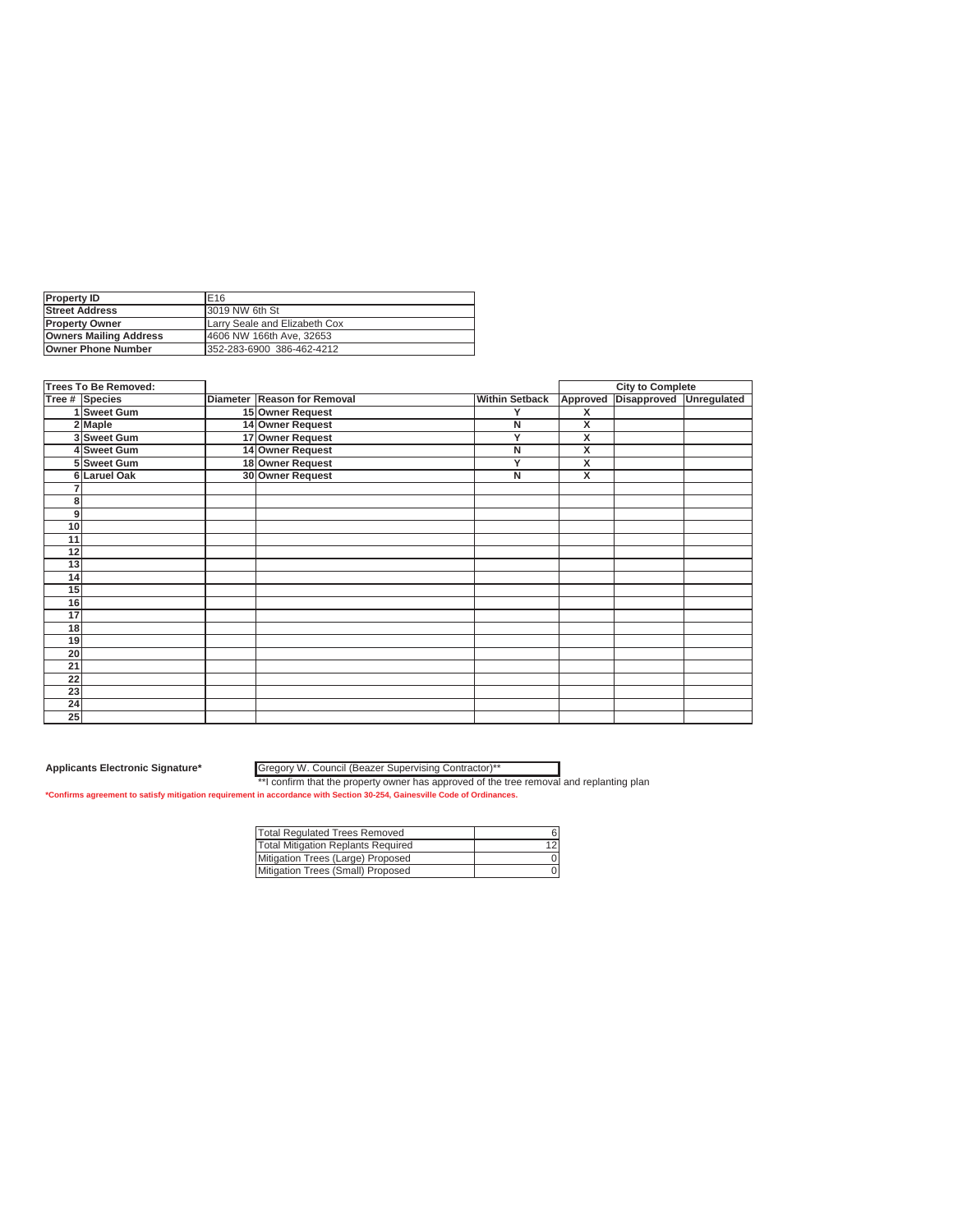| <b>Property ID</b>            | E <sub>16</sub>               |
|-------------------------------|-------------------------------|
| <b>Street Address</b>         | 3019 NW 6th St                |
| <b>IProperty Owner</b>        | Larry Seale and Elizabeth Cox |
| <b>Owners Mailing Address</b> | 4606 NW 166th Ave. 32653      |
| <b>Owner Phone Number</b>     | 352-283-6900 386-462-4212     |

|    | <b>Trees To Be Removed:</b> |                             |                       |                         | <b>City to Complete</b> |             |
|----|-----------------------------|-----------------------------|-----------------------|-------------------------|-------------------------|-------------|
|    | Tree # Species              | Diameter Reason for Removal | <b>Within Setback</b> | Approved                | Disapproved             | Unregulated |
|    | 1 Sweet Gum                 | 15 Owner Request            | Y                     | X                       |                         |             |
|    | 2 Maple                     | 14 Owner Request            | N                     | X                       |                         |             |
|    | 3 Sweet Gum                 | 17 Owner Request            | Y                     | X                       |                         |             |
|    | 4 Sweet Gum                 | 14 Owner Request            | N                     | $\overline{\mathsf{x}}$ |                         |             |
|    | 5 Sweet Gum                 | 18 Owner Request            | Y                     | X                       |                         |             |
|    | 6 Laruel Oak                | 30 Owner Request            | N                     | X                       |                         |             |
|    |                             |                             |                       |                         |                         |             |
| 8  |                             |                             |                       |                         |                         |             |
| 9  |                             |                             |                       |                         |                         |             |
| 10 |                             |                             |                       |                         |                         |             |
| 11 |                             |                             |                       |                         |                         |             |
| 12 |                             |                             |                       |                         |                         |             |
| 13 |                             |                             |                       |                         |                         |             |
| 14 |                             |                             |                       |                         |                         |             |
| 15 |                             |                             |                       |                         |                         |             |
| 16 |                             |                             |                       |                         |                         |             |
| 17 |                             |                             |                       |                         |                         |             |
| 18 |                             |                             |                       |                         |                         |             |
| 19 |                             |                             |                       |                         |                         |             |
| 20 |                             |                             |                       |                         |                         |             |
| 21 |                             |                             |                       |                         |                         |             |
| 22 |                             |                             |                       |                         |                         |             |
| 23 |                             |                             |                       |                         |                         |             |
| 24 |                             |                             |                       |                         |                         |             |
| 25 |                             |                             |                       |                         |                         |             |

**Applicants Electronic Signature\*** Gregory W. Council (Beazer Supervising Contractor)\*\*

| Total Regulated Trees Removed             |  |
|-------------------------------------------|--|
| <b>Total Mitigation Replants Required</b> |  |
| Mitigation Trees (Large) Proposed         |  |
| Mitigation Trees (Small) Proposed         |  |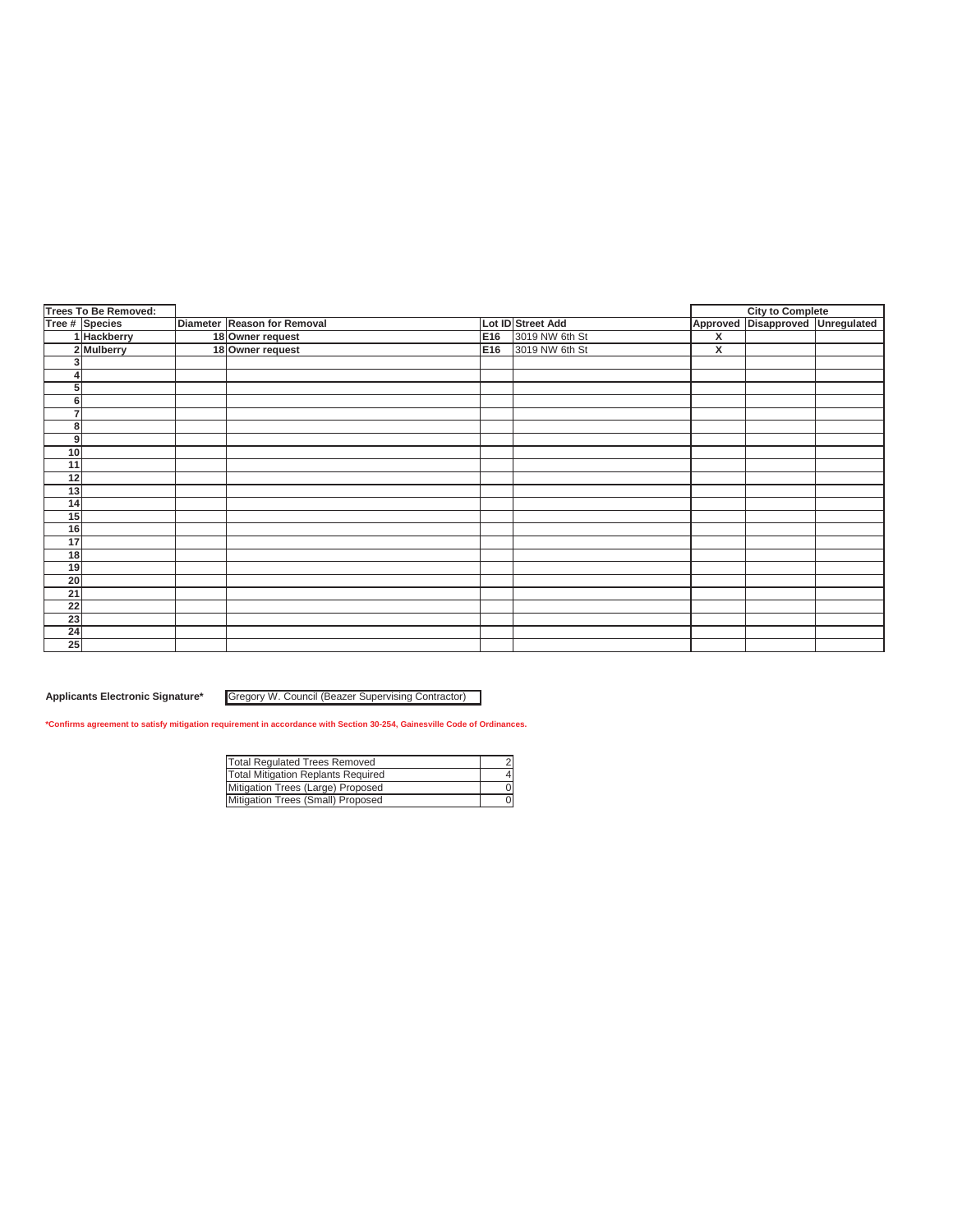|                 | <b>Trees To Be Removed:</b> |                             |     |                   |                         | <b>City to Complete</b>          |  |
|-----------------|-----------------------------|-----------------------------|-----|-------------------|-------------------------|----------------------------------|--|
|                 | Tree # Species              | Diameter Reason for Removal |     | Lot ID Street Add |                         | Approved Disapproved Unregulated |  |
|                 | 1 Hackberry                 | 18 Owner request            | E16 | 3019 NW 6th St    | $\overline{\mathbf{x}}$ |                                  |  |
|                 | 2 Mulberry                  | 18 Owner request            | E16 | 3019 NW 6th St    | x                       |                                  |  |
| 3               |                             |                             |     |                   |                         |                                  |  |
| 4               |                             |                             |     |                   |                         |                                  |  |
| 5               |                             |                             |     |                   |                         |                                  |  |
| 6               |                             |                             |     |                   |                         |                                  |  |
| $\overline{7}$  |                             |                             |     |                   |                         |                                  |  |
| 8               |                             |                             |     |                   |                         |                                  |  |
| 9               |                             |                             |     |                   |                         |                                  |  |
| 10              |                             |                             |     |                   |                         |                                  |  |
| 11              |                             |                             |     |                   |                         |                                  |  |
| 12              |                             |                             |     |                   |                         |                                  |  |
| 13              |                             |                             |     |                   |                         |                                  |  |
| 14              |                             |                             |     |                   |                         |                                  |  |
| 15              |                             |                             |     |                   |                         |                                  |  |
| 16              |                             |                             |     |                   |                         |                                  |  |
| 17              |                             |                             |     |                   |                         |                                  |  |
| 18              |                             |                             |     |                   |                         |                                  |  |
| 19              |                             |                             |     |                   |                         |                                  |  |
| 20              |                             |                             |     |                   |                         |                                  |  |
| 21              |                             |                             |     |                   |                         |                                  |  |
| $\overline{22}$ |                             |                             |     |                   |                         |                                  |  |
| 23              |                             |                             |     |                   |                         |                                  |  |
| 24              |                             |                             |     |                   |                         |                                  |  |
| $\overline{25}$ |                             |                             |     |                   |                         |                                  |  |

**Applicants Electronic Signature\*** Gregory W. Council (Beazer Supervising Contractor)

| <b>Total Regulated Trees Removed</b> |  |
|--------------------------------------|--|
| Total Mitigation Replants Required   |  |
| Mitigation Trees (Large) Proposed    |  |
| Mitigation Trees (Small) Proposed    |  |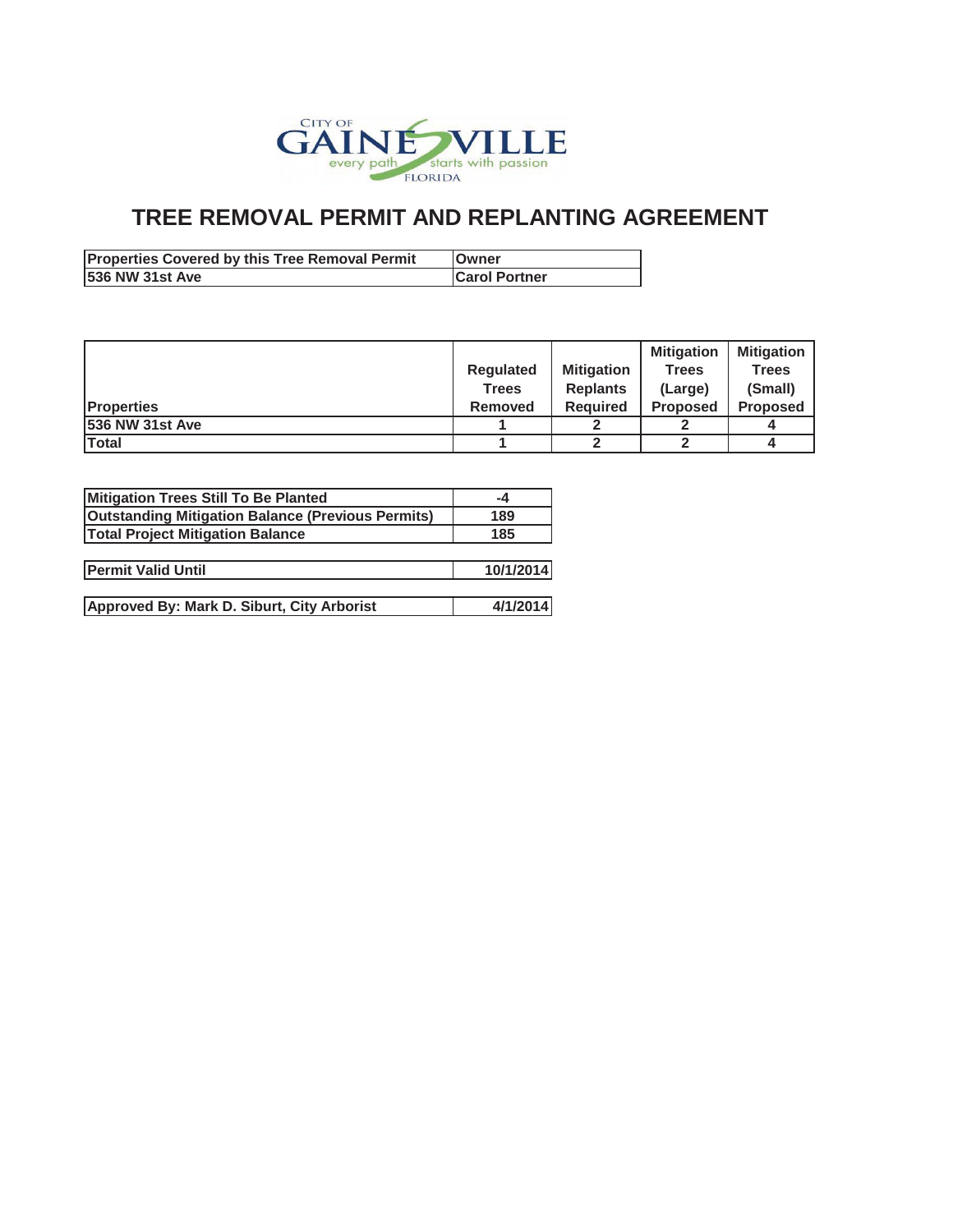

| <b>Properties Covered by this Tree Removal Permit</b> | lOwner               |
|-------------------------------------------------------|----------------------|
| 536 NW 31st Ave                                       | <b>Carol Portner</b> |

|                         |                  |                   | <b>Mitigation</b> | <b>Mitigation</b> |
|-------------------------|------------------|-------------------|-------------------|-------------------|
|                         | <b>Requlated</b> | <b>Mitigation</b> | Trees             | <b>Trees</b>      |
|                         | <b>Trees</b>     | <b>Replants</b>   | (Large)           | (Small)           |
| <b>IProperties</b>      | <b>Removed</b>   | <b>Required</b>   | <b>Proposed</b>   | <b>Proposed</b>   |
| <b>1536 NW 31st Ave</b> |                  |                   |                   |                   |
| <b>Total</b>            |                  |                   |                   |                   |

| Mitigation Trees Still To Be Planted                     | -4        |
|----------------------------------------------------------|-----------|
| <b>Outstanding Mitigation Balance (Previous Permits)</b> | 189       |
| <b>Total Project Mitigation Balance</b>                  | 185       |
|                                                          |           |
| <b>Permit Valid Until</b>                                | 10/1/2014 |
|                                                          |           |
| Approved By: Mark D. Siburt, City Arborist               | 4/1/2014  |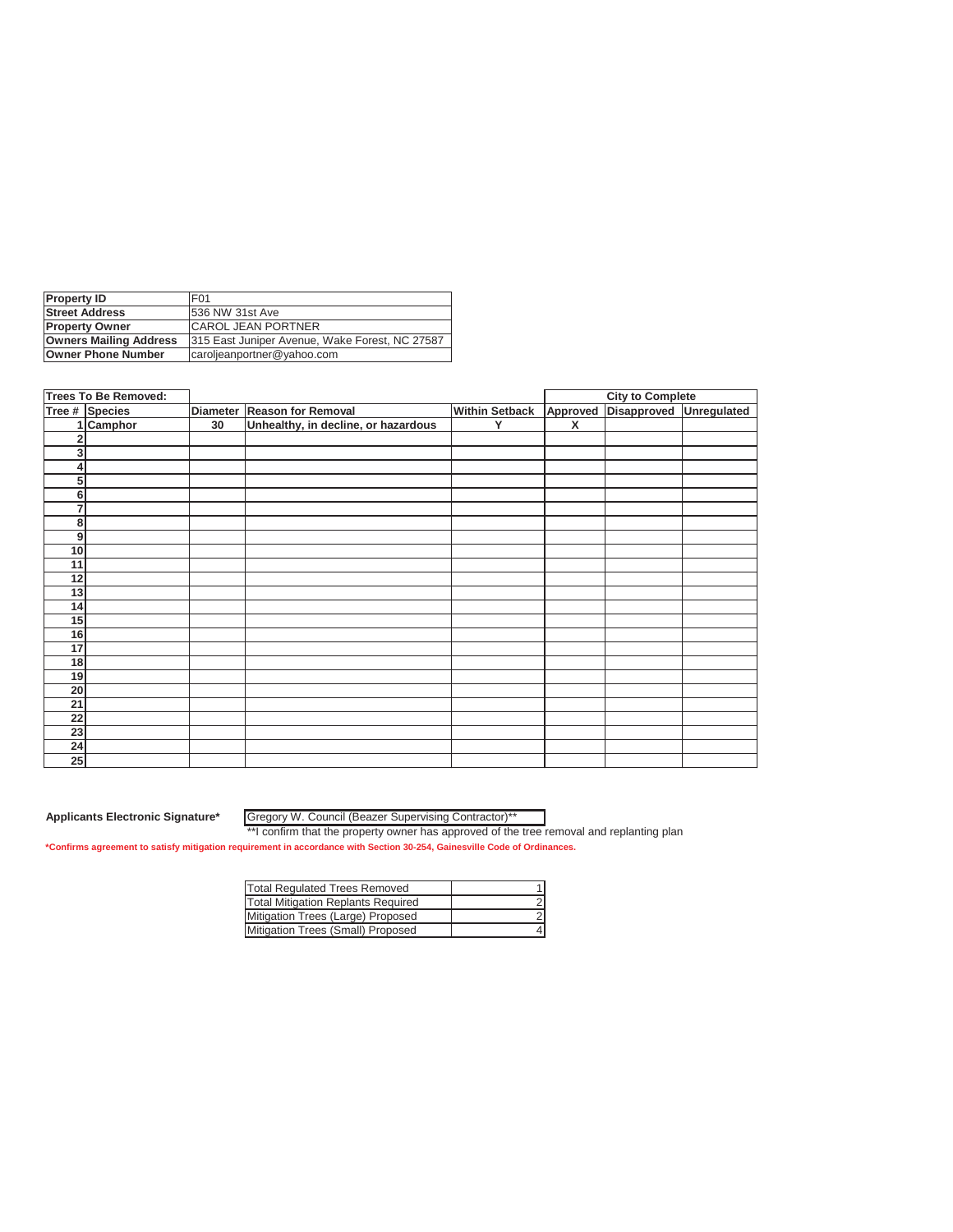| <b>Property ID</b>            | F <sub>01</sub>                                |
|-------------------------------|------------------------------------------------|
| <b>Street Address</b>         | 1536 NW 31st Ave                               |
| <b>Property Owner</b>         | <b>CAROL JEAN PORTNER</b>                      |
| <b>Owners Mailing Address</b> | 315 East Juniper Avenue, Wake Forest, NC 27587 |
| <b>Owner Phone Number</b>     | caroljeanportner@yahoo.com                     |

|                 | <b>Trees To Be Removed:</b> |    |                                     |                       |          | <b>City to Complete</b> |             |
|-----------------|-----------------------------|----|-------------------------------------|-----------------------|----------|-------------------------|-------------|
|                 | Tree # Species              |    | Diameter Reason for Removal         | <b>Within Setback</b> | Approved | Disapproved             | Unregulated |
|                 | Camphor                     | 30 | Unhealthy, in decline, or hazardous | Y                     | X        |                         |             |
|                 |                             |    |                                     |                       |          |                         |             |
| 3               |                             |    |                                     |                       |          |                         |             |
| 4               |                             |    |                                     |                       |          |                         |             |
| 5               |                             |    |                                     |                       |          |                         |             |
| 6               |                             |    |                                     |                       |          |                         |             |
| 7               |                             |    |                                     |                       |          |                         |             |
| 8               |                             |    |                                     |                       |          |                         |             |
| 9               |                             |    |                                     |                       |          |                         |             |
| 10              |                             |    |                                     |                       |          |                         |             |
| 11              |                             |    |                                     |                       |          |                         |             |
| 12              |                             |    |                                     |                       |          |                         |             |
| 13              |                             |    |                                     |                       |          |                         |             |
| 14              |                             |    |                                     |                       |          |                         |             |
| 15              |                             |    |                                     |                       |          |                         |             |
| 16              |                             |    |                                     |                       |          |                         |             |
| 17              |                             |    |                                     |                       |          |                         |             |
| 18              |                             |    |                                     |                       |          |                         |             |
| 19              |                             |    |                                     |                       |          |                         |             |
| 20              |                             |    |                                     |                       |          |                         |             |
| 21              |                             |    |                                     |                       |          |                         |             |
| 22              |                             |    |                                     |                       |          |                         |             |
| $\overline{23}$ |                             |    |                                     |                       |          |                         |             |
| 24              |                             |    |                                     |                       |          |                         |             |
| 25              |                             |    |                                     |                       |          |                         |             |

Gregory W. Council (Beazer Supervising Contractor)\*\*

\*\*I confirm that the property owner has approved of the tree removal and replanting plan

| Total Regulated Trees Removed             |  |
|-------------------------------------------|--|
| <b>Total Mitigation Replants Required</b> |  |
| Mitigation Trees (Large) Proposed         |  |
| Mitigation Trees (Small) Proposed         |  |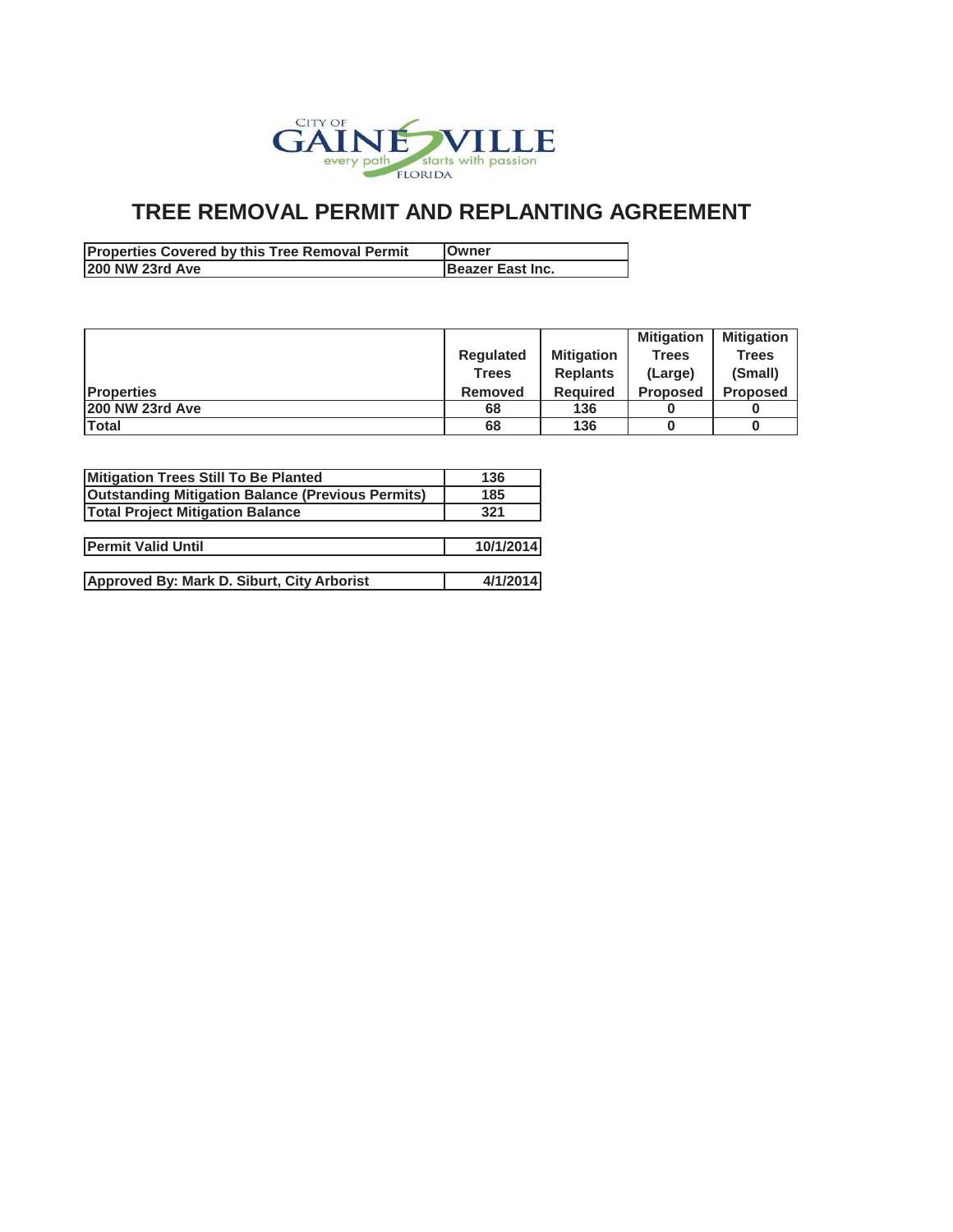

| <b>Properties Covered by this Tree Removal Permit</b> | <b>IOwner</b>    |
|-------------------------------------------------------|------------------|
| 1200 NW 23rd Ave                                      | Beazer East Inc. |

|                    |              |                   | <b>Mitigation</b> | <b>Mitigation</b> |
|--------------------|--------------|-------------------|-------------------|-------------------|
|                    | Regulated    | <b>Mitigation</b> | <b>Trees</b>      | <b>Trees</b>      |
|                    | <b>Trees</b> | <b>Replants</b>   | (Large)           | (Small)           |
| <b>IProperties</b> | Removed      | <b>Required</b>   | <b>Proposed</b>   | <b>Proposed</b>   |
| 200 NW 23rd Ave    | 68           | 136               |                   |                   |
| Total              | 68           | 136               |                   |                   |

| Mitigation Trees Still To Be Planted                     | 136       |
|----------------------------------------------------------|-----------|
| <b>Outstanding Mitigation Balance (Previous Permits)</b> | 185       |
| <b>Total Project Mitigation Balance</b>                  | 321       |
|                                                          |           |
| <b>Permit Valid Until</b>                                | 10/1/2014 |
|                                                          |           |
| Approved By: Mark D. Siburt, City Arborist               | 4/1/2014  |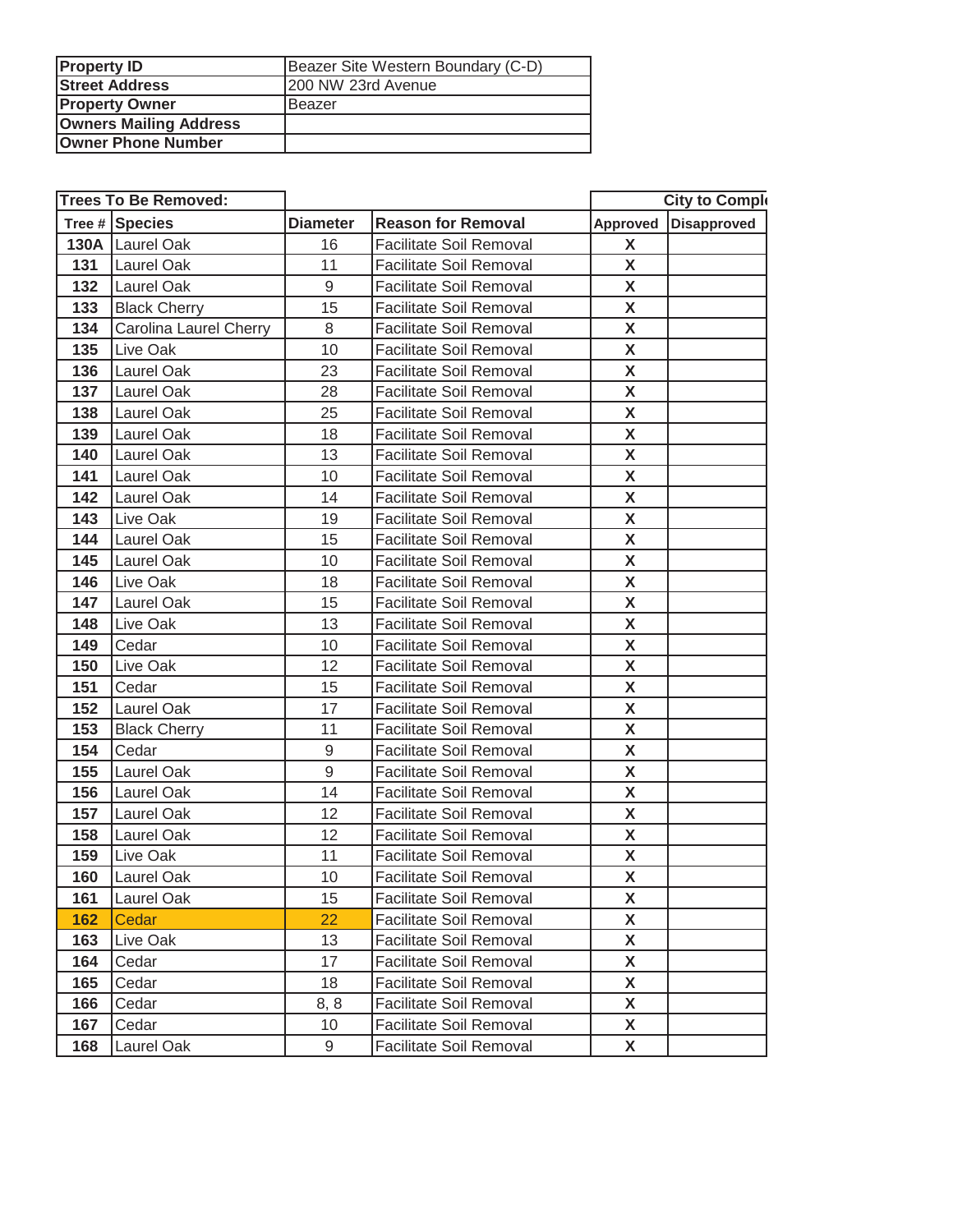| <b>Property ID</b>            | Beazer Site Western Boundary (C-D) |  |
|-------------------------------|------------------------------------|--|
| <b>Street Address</b>         | 200 NW 23rd Avenue                 |  |
| <b>Property Owner</b>         | Beazer                             |  |
| <b>Owners Mailing Address</b> |                                    |  |
| <b>Owner Phone Number</b>     |                                    |  |

|     | <b>Trees To Be Removed:</b> |                 |                                |          | <b>City to Comple</b> |
|-----|-----------------------------|-----------------|--------------------------------|----------|-----------------------|
|     | Tree # Species              | <b>Diameter</b> | <b>Reason for Removal</b>      | Approved | Disapproved           |
|     | 130A Laurel Oak             | 16              | Facilitate Soil Removal        | X        |                       |
| 131 | Laurel Oak                  | 11              | Facilitate Soil Removal        | X        |                       |
| 132 | Laurel Oak                  | 9               | <b>Facilitate Soil Removal</b> | X        |                       |
| 133 | <b>Black Cherry</b>         | 15              | Facilitate Soil Removal        | X        |                       |
| 134 | Carolina Laurel Cherry      | 8               | Facilitate Soil Removal        | X        |                       |
| 135 | Live Oak                    | 10              | Facilitate Soil Removal        | X        |                       |
| 136 | <b>Laurel Oak</b>           | 23              | <b>Facilitate Soil Removal</b> | X        |                       |
| 137 | <b>Laurel Oak</b>           | 28              | <b>Facilitate Soil Removal</b> | X        |                       |
| 138 | Laurel Oak                  | 25              | <b>Facilitate Soil Removal</b> | X        |                       |
| 139 | Laurel Oak                  | 18              | <b>Facilitate Soil Removal</b> | X        |                       |
| 140 | Laurel Oak                  | 13              | <b>Facilitate Soil Removal</b> | X        |                       |
| 141 | Laurel Oak                  | 10              | <b>Facilitate Soil Removal</b> | X        |                       |
| 142 | Laurel Oak                  | 14              | <b>Facilitate Soil Removal</b> | X        |                       |
| 143 | Live Oak                    | 19              | <b>Facilitate Soil Removal</b> | X        |                       |
| 144 | Laurel Oak                  | 15              | <b>Facilitate Soil Removal</b> | X        |                       |
| 145 | Laurel Oak                  | 10              | <b>Facilitate Soil Removal</b> | X        |                       |
| 146 | Live Oak                    | 18              | <b>Facilitate Soil Removal</b> | X        |                       |
| 147 | Laurel Oak                  | 15              | <b>Facilitate Soil Removal</b> | X        |                       |
| 148 | Live Oak                    | 13              | <b>Facilitate Soil Removal</b> | X        |                       |
| 149 | Cedar                       | 10              | <b>Facilitate Soil Removal</b> | X        |                       |
| 150 | Live Oak                    | 12              | <b>Facilitate Soil Removal</b> | X        |                       |
| 151 | Cedar                       | 15              | <b>Facilitate Soil Removal</b> | X        |                       |
| 152 | Laurel Oak                  | 17              | <b>Facilitate Soil Removal</b> | X        |                       |
| 153 | <b>Black Cherry</b>         | 11              | <b>Facilitate Soil Removal</b> | X        |                       |
| 154 | Cedar                       | 9               | <b>Facilitate Soil Removal</b> | X        |                       |
| 155 | Laurel Oak                  | 9               | <b>Facilitate Soil Removal</b> | X        |                       |
| 156 | Laurel Oak                  | 14              | <b>Facilitate Soil Removal</b> | X        |                       |
| 157 | Laurel Oak                  | 12              | Facilitate Soil Removal        | X        |                       |
| 158 | Laurel Oak                  | 12              | Facilitate Soil Removal        | X        |                       |
| 159 | Live Oak                    | 11              | <b>Facilitate Soil Removal</b> | X        |                       |
| 160 | Laurel Oak                  | 10              | <b>Facilitate Soil Removal</b> | X        |                       |
| 161 | Laurel Oak                  | 15              | <b>Facilitate Soil Removal</b> | X        |                       |
| 162 | Cedar                       | 22              | Facilitate Soil Removal        | X        |                       |
| 163 | Live Oak                    | 13              | Facilitate Soil Removal        | X        |                       |
| 164 | Cedar                       | 17              | Facilitate Soil Removal        | X        |                       |
| 165 | Cedar                       | 18              | Facilitate Soil Removal        | X        |                       |
| 166 | Cedar                       | 8, 8            | Facilitate Soil Removal        | X        |                       |
| 167 | Cedar                       | 10              | Facilitate Soil Removal        | X        |                       |
| 168 | Laurel Oak                  | 9               | Facilitate Soil Removal        | X        |                       |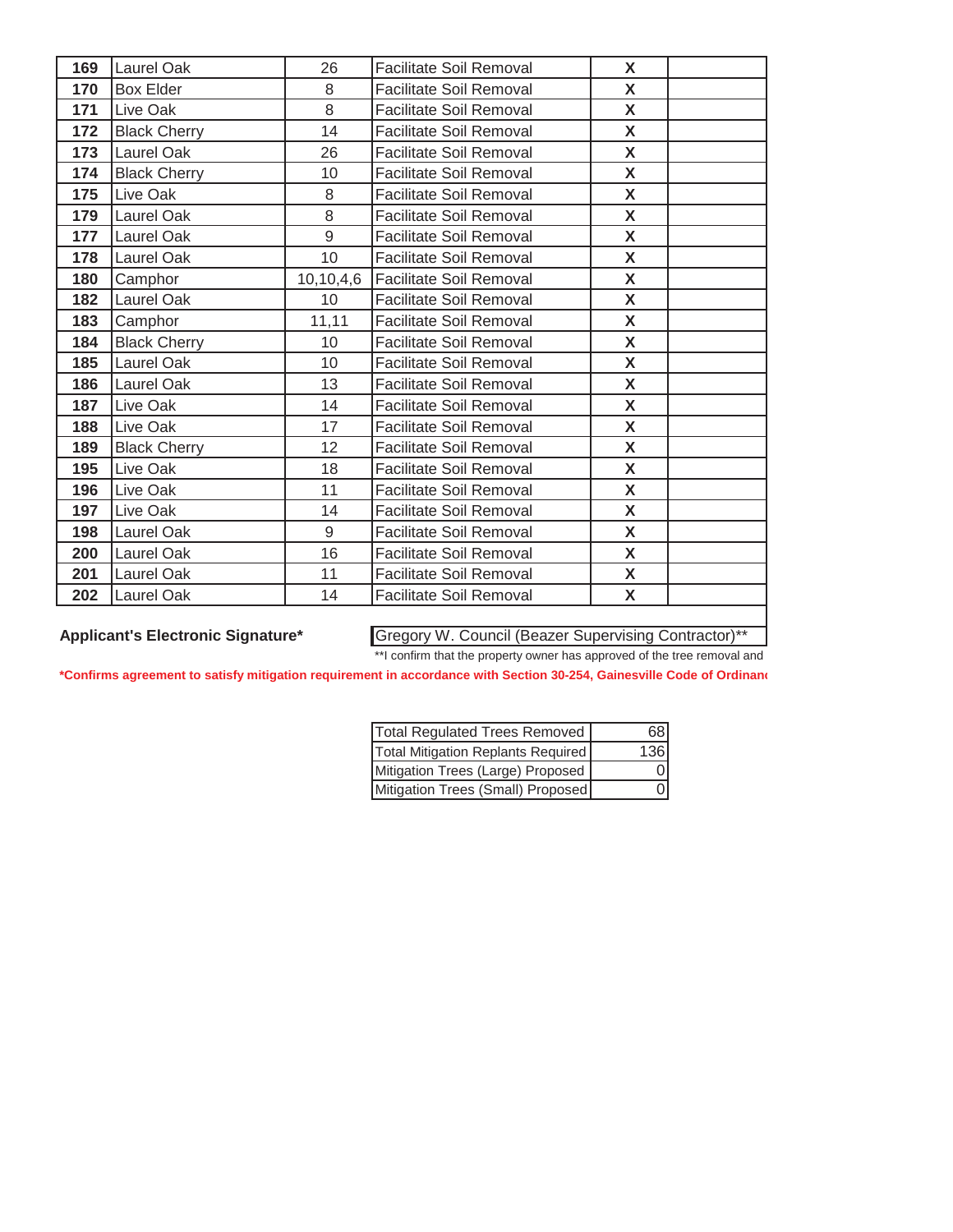| 169 | Laurel Oak          | 26        | <b>Facilitate Soil Removal</b> | X            |  |
|-----|---------------------|-----------|--------------------------------|--------------|--|
| 170 | <b>Box Elder</b>    | 8         | <b>Facilitate Soil Removal</b> | X            |  |
| 171 | Live Oak            | 8         | <b>Facilitate Soil Removal</b> | $\mathsf{X}$ |  |
| 172 | <b>Black Cherry</b> | 14        | <b>Facilitate Soil Removal</b> | X            |  |
| 173 | Laurel Oak          | 26        | <b>Facilitate Soil Removal</b> | X            |  |
| 174 | <b>Black Cherry</b> | 10        | <b>Facilitate Soil Removal</b> | X            |  |
| 175 | Live Oak            | 8         | <b>Facilitate Soil Removal</b> | X            |  |
| 179 | Laurel Oak          | 8         | <b>Facilitate Soil Removal</b> | X            |  |
| 177 | Laurel Oak          | 9         | <b>Facilitate Soil Removal</b> | X            |  |
| 178 | Laurel Oak          | 10        | Facilitate Soil Removal        | X            |  |
| 180 | Camphor             | 10,10,4,6 | <b>Facilitate Soil Removal</b> | X            |  |
| 182 | Laurel Oak          | 10        | <b>Facilitate Soil Removal</b> | X            |  |
| 183 | Camphor             | 11,11     | Facilitate Soil Removal        | X            |  |
| 184 | <b>Black Cherry</b> | 10        | <b>Facilitate Soil Removal</b> | X            |  |
| 185 | Laurel Oak          | 10        | Facilitate Soil Removal        | X            |  |
| 186 | Laurel Oak          | 13        | <b>Facilitate Soil Removal</b> | X            |  |
| 187 | Live Oak            | 14        | <b>Facilitate Soil Removal</b> | X            |  |
| 188 | Live Oak            | 17        | <b>Facilitate Soil Removal</b> | X            |  |
| 189 | <b>Black Cherry</b> | 12        | <b>Facilitate Soil Removal</b> | X            |  |
| 195 | Live Oak            | 18        | <b>Facilitate Soil Removal</b> | X            |  |
| 196 | Live Oak            | 11        | <b>Facilitate Soil Removal</b> | X            |  |
| 197 | Live Oak            | 14        | <b>Facilitate Soil Removal</b> | X            |  |
| 198 | Laurel Oak          | 9         | <b>Facilitate Soil Removal</b> | X            |  |
| 200 | Laurel Oak          | 16        | <b>Facilitate Soil Removal</b> | X            |  |
| 201 | Laurel Oak          | 11        | <b>Facilitate Soil Removal</b> | X            |  |
| 202 | Laurel Oak          | 14        | <b>Facilitate Soil Removal</b> | X            |  |

Applicant's Electronic Signature\* Gregory W. Council (Beazer Supervising Contractor)<sup>\*\*</sup>

**\*Confirms agreement to satisfy mitigation requirement in accordance with Section 30-254, Gainesville Code of Ordinanc** \*\*I confirm that the property owner has approved of the tree removal and

| Total Regulated Trees Removed      | 68   |
|------------------------------------|------|
| Total Mitigation Replants Required | 1361 |
| Mitigation Trees (Large) Proposed  |      |
| Mitigation Trees (Small) Proposed  |      |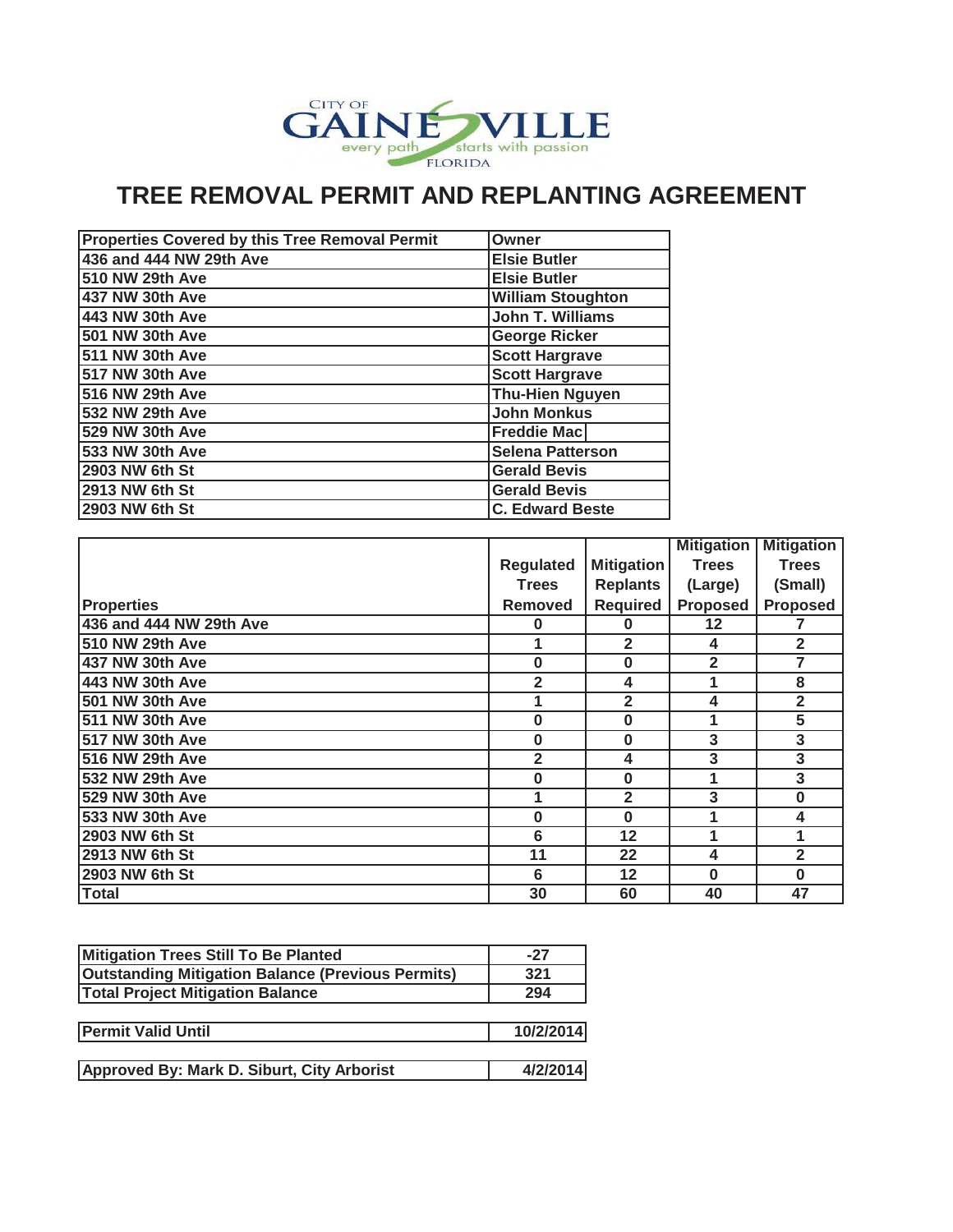

| Properties Covered by this Tree Removal Permit | Owner                    |
|------------------------------------------------|--------------------------|
| 436 and 444 NW 29th Ave                        | <b>Elsie Butler</b>      |
| 510 NW 29th Ave                                | <b>Elsie Butler</b>      |
| 437 NW 30th Ave                                | <b>William Stoughton</b> |
| 443 NW 30th Ave                                | <b>John T. Williams</b>  |
| 501 NW 30th Ave                                | <b>George Ricker</b>     |
| 511 NW 30th Ave                                | <b>Scott Hargrave</b>    |
| 517 NW 30th Ave                                | <b>Scott Hargrave</b>    |
| 516 NW 29th Ave                                | <b>Thu-Hien Nguyen</b>   |
| 532 NW 29th Ave                                | <b>John Monkus</b>       |
| 529 NW 30th Ave                                | <b>Freddie Mac</b>       |
| 533 NW 30th Ave                                | <b>Selena Patterson</b>  |
| 2903 NW 6th St                                 | <b>Gerald Bevis</b>      |
| 2913 NW 6th St                                 | <b>Gerald Bevis</b>      |
| 2903 NW 6th St                                 | <b>C. Edward Beste</b>   |

|                         |                  |                   | <b>Mitigation</b> | <b>Mitigation</b>       |
|-------------------------|------------------|-------------------|-------------------|-------------------------|
|                         | <b>Regulated</b> | <b>Mitigation</b> | <b>Trees</b>      | <b>Trees</b>            |
|                         | <b>Trees</b>     | <b>Replants</b>   | (Large)           | (Small)                 |
| <b>Properties</b>       | <b>Removed</b>   | <b>Required</b>   | <b>Proposed</b>   | <b>Proposed</b>         |
| 436 and 444 NW 29th Ave | 0                | 0                 | 12                |                         |
| 510 NW 29th Ave         |                  | $\overline{2}$    | 4                 | $\overline{2}$          |
| 437 NW 30th Ave         | $\bf{0}$         | 0                 | $\overline{2}$    | 7                       |
| 443 NW 30th Ave         | $\overline{2}$   | 4                 | 1                 | 8                       |
| 501 NW 30th Ave         | 1                | $\overline{2}$    | 4                 | $\overline{2}$          |
| 511 NW 30th Ave         | $\bf{0}$         | 0                 | 1                 | 5                       |
| 517 NW 30th Ave         | $\bf{0}$         | 0                 | 3                 | 3                       |
| 516 NW 29th Ave         | $\overline{2}$   | 4                 | 3                 | 3                       |
| 532 NW 29th Ave         | $\bf{0}$         | 0                 | 1                 | 3                       |
| 529 NW 30th Ave         | 1                | $\overline{2}$    | 3                 | $\bf{0}$                |
| 533 NW 30th Ave         | $\bf{0}$         | $\bf{0}$          |                   | 4                       |
| 2903 NW 6th St          | 6                | 12                |                   | 1                       |
| 2913 NW 6th St          | 11               | 22                | 4                 | $\overline{\mathbf{2}}$ |
| 2903 NW 6th St          | 6                | 12                | $\bf{0}$          | $\bf{0}$                |
| <b>Total</b>            | 30               | 60                | 40                | 47                      |

| Mitigation Trees Still To Be Planted                     | $-27$     |
|----------------------------------------------------------|-----------|
| <b>Outstanding Mitigation Balance (Previous Permits)</b> | 321       |
| <b>Total Project Mitigation Balance</b>                  | 294       |
|                                                          |           |
| <b>Permit Valid Until</b>                                | 10/2/2014 |
|                                                          |           |
| Approved By: Mark D. Siburt, City Arborist               | 4/2/2014  |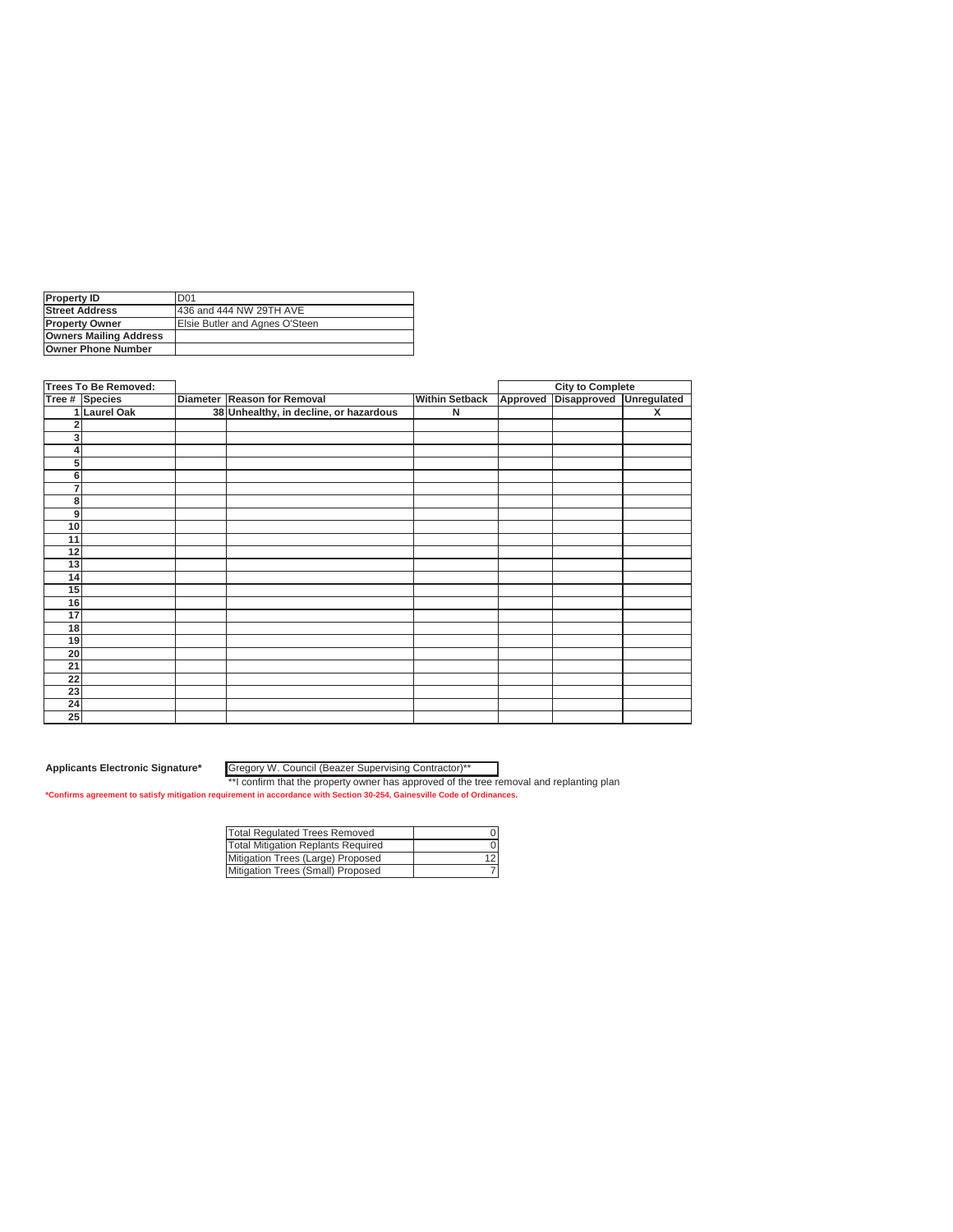| <b>Property ID</b>            | D <sub>01</sub>                |
|-------------------------------|--------------------------------|
| <b>Street Address</b>         | 436 and 444 NW 29TH AVE        |
| <b>IProperty Owner</b>        | Elsie Butler and Agnes O'Steen |
| <b>Owners Mailing Address</b> |                                |
| <b>Owner Phone Number</b>     |                                |

|                | <b>Trees To Be Removed:</b> |                                        |                       |          | <b>City to Complete</b> |             |
|----------------|-----------------------------|----------------------------------------|-----------------------|----------|-------------------------|-------------|
|                | Tree # Species              | Diameter Reason for Removal            | <b>Within Setback</b> | Approved | <b>Disapproved</b>      | Unregulated |
|                | <b>Laurel Oak</b>           | 38 Unhealthy, in decline, or hazardous | N                     |          |                         | X           |
| $\overline{2}$ |                             |                                        |                       |          |                         |             |
| 3              |                             |                                        |                       |          |                         |             |
| 4              |                             |                                        |                       |          |                         |             |
| 5 <sup>1</sup> |                             |                                        |                       |          |                         |             |
| 6              |                             |                                        |                       |          |                         |             |
| $\overline{7}$ |                             |                                        |                       |          |                         |             |
| 8              |                             |                                        |                       |          |                         |             |
| 9              |                             |                                        |                       |          |                         |             |
| 10             |                             |                                        |                       |          |                         |             |
| 11             |                             |                                        |                       |          |                         |             |
| 12             |                             |                                        |                       |          |                         |             |
| 13             |                             |                                        |                       |          |                         |             |
| 14             |                             |                                        |                       |          |                         |             |
| 15             |                             |                                        |                       |          |                         |             |
| 16             |                             |                                        |                       |          |                         |             |
| 17             |                             |                                        |                       |          |                         |             |
| 18             |                             |                                        |                       |          |                         |             |
| 19             |                             |                                        |                       |          |                         |             |
| 20             |                             |                                        |                       |          |                         |             |
| 21             |                             |                                        |                       |          |                         |             |
| 22             |                             |                                        |                       |          |                         |             |
| 23             |                             |                                        |                       |          |                         |             |
| 24             |                             |                                        |                       |          |                         |             |
| 25             |                             |                                        |                       |          |                         |             |

**Applicants Electronic Signature\*** Gregory W. Council (Beazer Supervising Contractor)\*\*

| <b>Total Regulated Trees Removed</b> |  |
|--------------------------------------|--|
| Total Mitigation Replants Required   |  |
| Mitigation Trees (Large) Proposed    |  |
| Mitigation Trees (Small) Proposed    |  |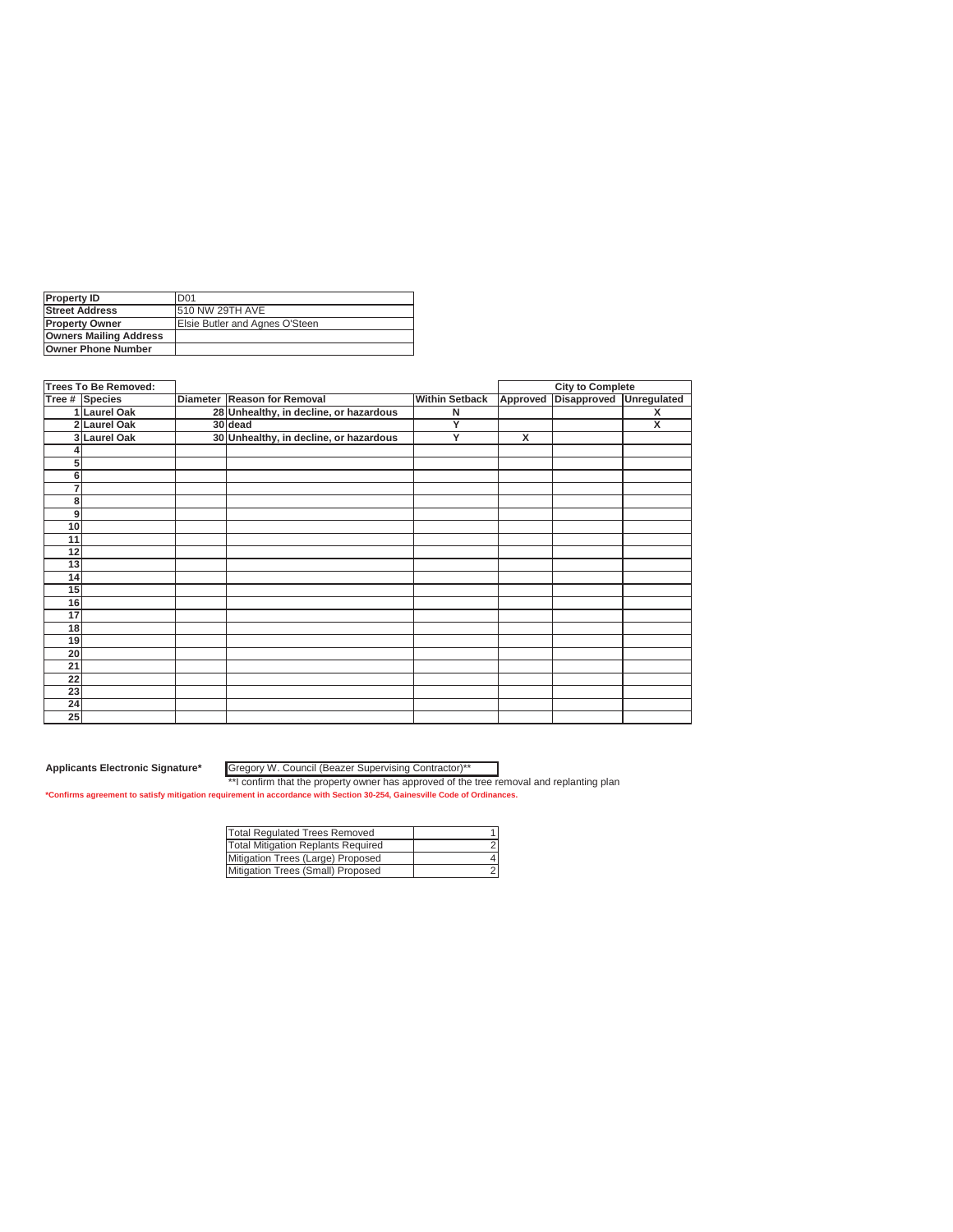| <b>Property ID</b>            | D <sub>01</sub>                |
|-------------------------------|--------------------------------|
| <b>Street Address</b>         | <b>510 NW 29TH AVE</b>         |
| <b>IProperty Owner</b>        | Elsie Butler and Agnes O'Steen |
| <b>Owners Mailing Address</b> |                                |
| <b>Owner Phone Number</b>     |                                |

| <b>Trees To Be Removed:</b> |                |                                        |                       |          | <b>City to Complete</b> |                         |
|-----------------------------|----------------|----------------------------------------|-----------------------|----------|-------------------------|-------------------------|
|                             | Tree # Species | Diameter Reason for Removal            | <b>Within Setback</b> | Approved | <b>Disapproved</b>      | Unregulated             |
|                             | 1 Laurel Oak   | 28 Unhealthy, in decline, or hazardous | N                     |          |                         | X                       |
|                             | 2 Laurel Oak   | 30 dead                                | Y                     |          |                         | $\overline{\mathsf{x}}$ |
|                             | 3 Laurel Oak   | 30 Unhealthy, in decline, or hazardous | Y                     | X        |                         |                         |
|                             |                |                                        |                       |          |                         |                         |
| 5                           |                |                                        |                       |          |                         |                         |
| 6                           |                |                                        |                       |          |                         |                         |
| 7                           |                |                                        |                       |          |                         |                         |
| 8                           |                |                                        |                       |          |                         |                         |
| 9                           |                |                                        |                       |          |                         |                         |
| 10                          |                |                                        |                       |          |                         |                         |
| 11                          |                |                                        |                       |          |                         |                         |
| 12                          |                |                                        |                       |          |                         |                         |
| 13                          |                |                                        |                       |          |                         |                         |
| 14                          |                |                                        |                       |          |                         |                         |
| 15                          |                |                                        |                       |          |                         |                         |
| 16                          |                |                                        |                       |          |                         |                         |
| 17                          |                |                                        |                       |          |                         |                         |
| 18                          |                |                                        |                       |          |                         |                         |
| 19                          |                |                                        |                       |          |                         |                         |
| 20                          |                |                                        |                       |          |                         |                         |
| 21                          |                |                                        |                       |          |                         |                         |
| 22                          |                |                                        |                       |          |                         |                         |
| 23                          |                |                                        |                       |          |                         |                         |
| 24                          |                |                                        |                       |          |                         |                         |
| 25                          |                |                                        |                       |          |                         |                         |

**Applicants Electronic Signature\*** Gregory W. Council (Beazer Supervising Contractor)\*\*

| <b>Total Regulated Trees Removed</b> |  |
|--------------------------------------|--|
| Total Mitigation Replants Required   |  |
| Mitigation Trees (Large) Proposed    |  |
| Mitigation Trees (Small) Proposed    |  |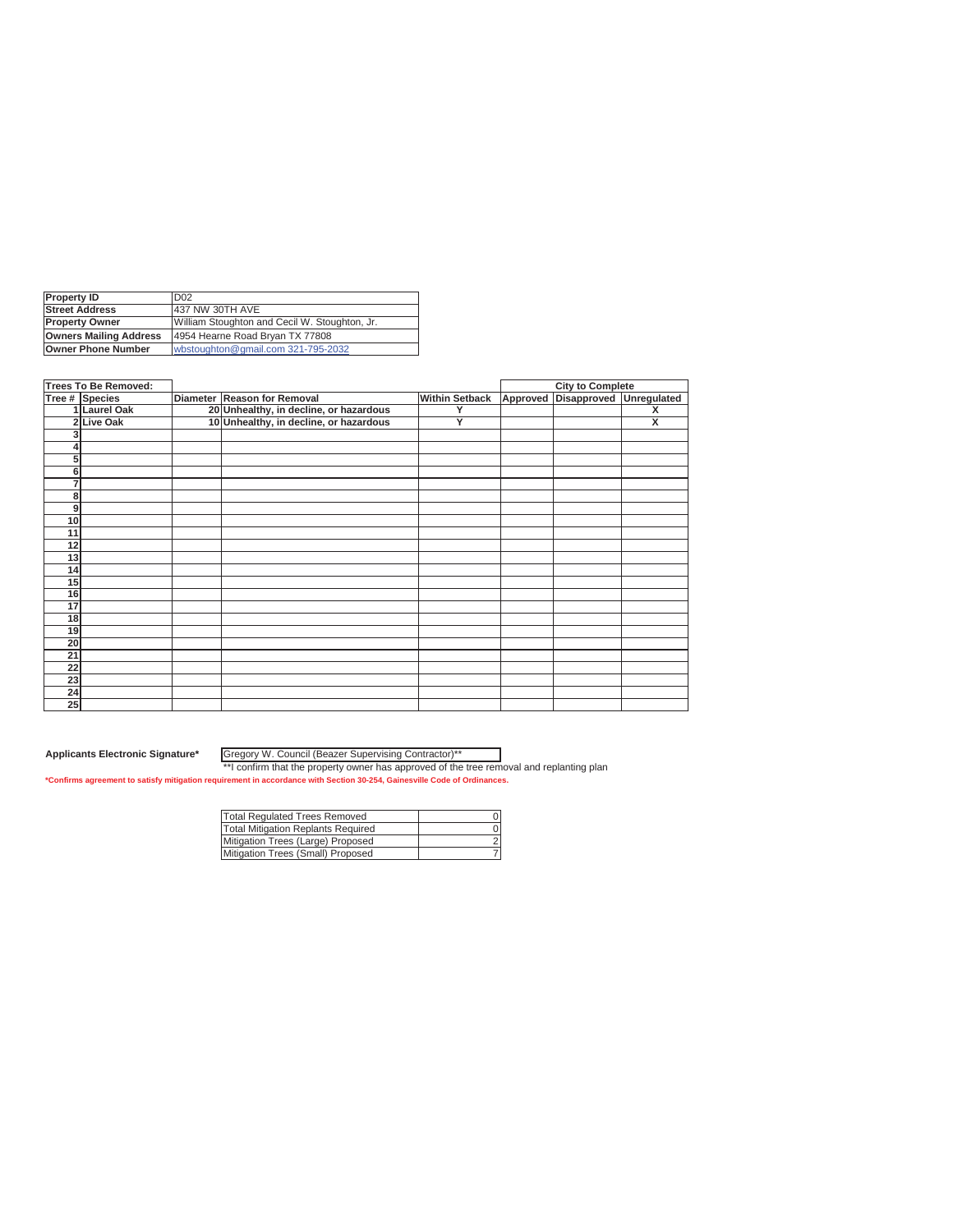| <b>Property ID</b>            | D <sub>02</sub>                               |
|-------------------------------|-----------------------------------------------|
| <b>Street Address</b>         | 437 NW 30TH AVE                               |
| <b>Property Owner</b>         | William Stoughton and Cecil W. Stoughton, Jr. |
| <b>Owners Mailing Address</b> | 4954 Hearne Road Bryan TX 77808               |
| Owner Phone Number            | wbstoughton@gmail.com 321-795-2032            |

|    | Trees To Be Removed: |                                        |                       | <b>City to Complete</b>          |   |
|----|----------------------|----------------------------------------|-----------------------|----------------------------------|---|
|    | Tree # Species       | Diameter Reason for Removal            | <b>Within Setback</b> | Approved Disapproved Unregulated |   |
|    | 1 Laurel Oak         | 20 Unhealthy, in decline, or hazardous | Y                     |                                  | X |
|    | 2 Live Oak           | 10 Unhealthy, in decline, or hazardous | Y                     |                                  | X |
| 3  |                      |                                        |                       |                                  |   |
|    |                      |                                        |                       |                                  |   |
| 5  |                      |                                        |                       |                                  |   |
| 6  |                      |                                        |                       |                                  |   |
| 7  |                      |                                        |                       |                                  |   |
| 8  |                      |                                        |                       |                                  |   |
| 9  |                      |                                        |                       |                                  |   |
| 10 |                      |                                        |                       |                                  |   |
| 11 |                      |                                        |                       |                                  |   |
| 12 |                      |                                        |                       |                                  |   |
| 13 |                      |                                        |                       |                                  |   |
| 14 |                      |                                        |                       |                                  |   |
| 15 |                      |                                        |                       |                                  |   |
| 16 |                      |                                        |                       |                                  |   |
| 17 |                      |                                        |                       |                                  |   |
| 18 |                      |                                        |                       |                                  |   |
| 19 |                      |                                        |                       |                                  |   |
| 20 |                      |                                        |                       |                                  |   |
| 21 |                      |                                        |                       |                                  |   |
| 22 |                      |                                        |                       |                                  |   |
| 23 |                      |                                        |                       |                                  |   |
| 24 |                      |                                        |                       |                                  |   |
| 25 |                      |                                        |                       |                                  |   |

**Applicants Electronic Signature\*** Gregory W. Council (Beazer Supervising Contractor)\*\*

| Total Regulated Trees Removed      |  |
|------------------------------------|--|
| Total Mitigation Replants Required |  |
| Mitigation Trees (Large) Proposed  |  |
| Mitigation Trees (Small) Proposed  |  |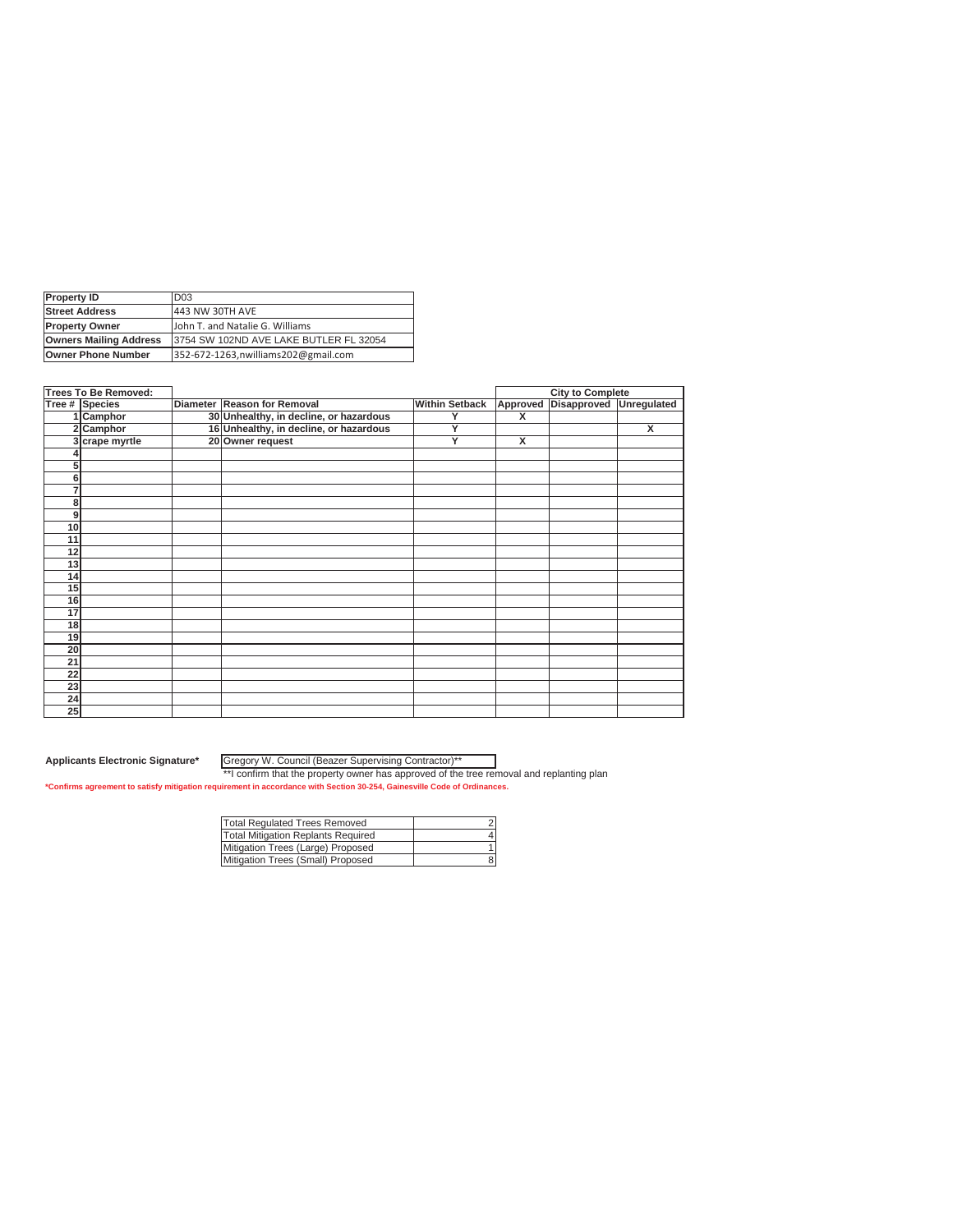| <b>Property ID</b>            | D <sub>03</sub>                         |
|-------------------------------|-----------------------------------------|
| <b>Street Address</b>         | 443 NW 30TH AVE                         |
| <b>Property Owner</b>         | John T. and Natalie G. Williams         |
| <b>Owners Mailing Address</b> | 13754 SW 102ND AVE LAKE BUTLER FL 32054 |
| <b>Owner Phone Number</b>     | 352-672-1263, nwilliams 202@gmail.com   |

| <b>Trees To Be Removed:</b> |                |                                        |                       |          | <b>City to Complete</b> |             |
|-----------------------------|----------------|----------------------------------------|-----------------------|----------|-------------------------|-------------|
|                             | Tree # Species | Diameter Reason for Removal            | <b>Within Setback</b> | Approved | Disapproved             | Unregulated |
|                             | 1 Camphor      | 30 Unhealthy, in decline, or hazardous |                       | X        |                         |             |
|                             | 2 Camphor      | 16 Unhealthy, in decline, or hazardous | Υ                     |          |                         | X           |
|                             | 3 crape myrtle | 20 Owner request                       | Y                     | X        |                         |             |
|                             |                |                                        |                       |          |                         |             |
| 5                           |                |                                        |                       |          |                         |             |
| 6                           |                |                                        |                       |          |                         |             |
| 7                           |                |                                        |                       |          |                         |             |
| 8                           |                |                                        |                       |          |                         |             |
| 9                           |                |                                        |                       |          |                         |             |
| 10                          |                |                                        |                       |          |                         |             |
| 11                          |                |                                        |                       |          |                         |             |
| 12                          |                |                                        |                       |          |                         |             |
| 13                          |                |                                        |                       |          |                         |             |
| 14                          |                |                                        |                       |          |                         |             |
| 15                          |                |                                        |                       |          |                         |             |
| 16                          |                |                                        |                       |          |                         |             |
| 17                          |                |                                        |                       |          |                         |             |
| 18                          |                |                                        |                       |          |                         |             |
| 19                          |                |                                        |                       |          |                         |             |
| 20                          |                |                                        |                       |          |                         |             |
| 21                          |                |                                        |                       |          |                         |             |
| 22                          |                |                                        |                       |          |                         |             |
| 23                          |                |                                        |                       |          |                         |             |
| 24                          |                |                                        |                       |          |                         |             |
| 25                          |                |                                        |                       |          |                         |             |

Gregory W. Council (Beazer Supervising Contractor)\*\*

| Total Regulated Trees Removed      |  |
|------------------------------------|--|
| Total Mitigation Replants Required |  |
| Mitigation Trees (Large) Proposed  |  |
| Mitigation Trees (Small) Proposed  |  |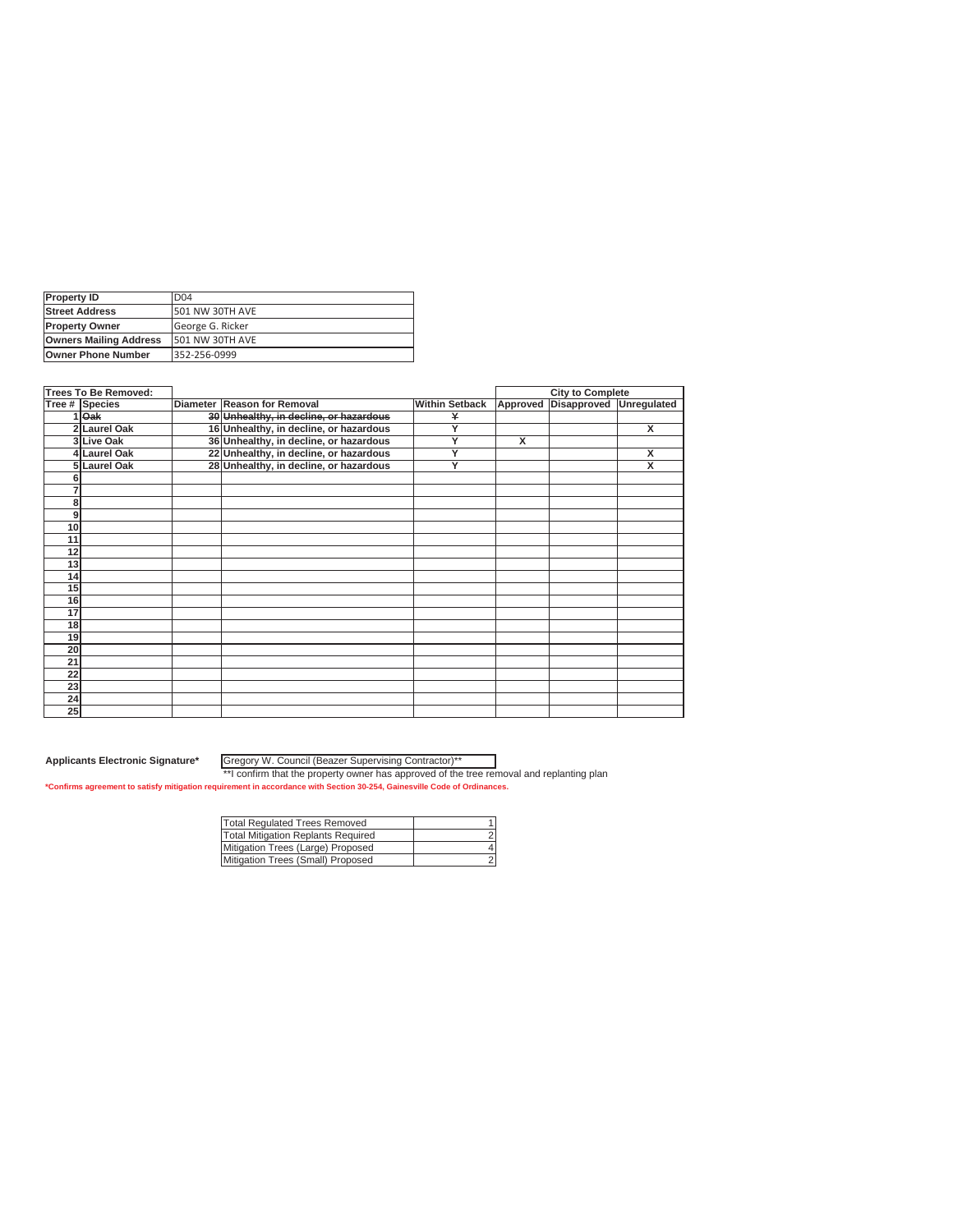| <b>Property ID</b>            | D <sub>04</sub>  |
|-------------------------------|------------------|
| <b>Street Address</b>         | 501 NW 30TH AVE  |
| <b>Property Owner</b>         | George G. Ricker |
| <b>Owners Mailing Address</b> | 501 NW 30TH AVE  |
| <b>Owner Phone Number</b>     | 352-256-0999     |

|                 | <b>Trees To Be Removed:</b> |                                        |                       |          | <b>City to Complete</b> |   |
|-----------------|-----------------------------|----------------------------------------|-----------------------|----------|-------------------------|---|
|                 | Tree # Species              | Diameter Reason for Removal            | <b>Within Setback</b> | Approved | Disapproved Unregulated |   |
|                 | $1$ Oak                     | 30 Unhealthy, in decline, or hazardous | ¥                     |          |                         |   |
|                 | 2 Laurel Oak                | 16 Unhealthy, in decline, or hazardous | Y                     |          |                         | x |
|                 | 3 Live Oak                  | 36 Unhealthy, in decline, or hazardous | Y                     | X        |                         |   |
|                 | 4 Laurel Oak                | 22 Unhealthy, in decline, or hazardous | Y                     |          |                         | x |
|                 | 5 Laurel Oak                | 28 Unhealthy, in decline, or hazardous | Y                     |          |                         | X |
|                 |                             |                                        |                       |          |                         |   |
|                 |                             |                                        |                       |          |                         |   |
| 8               |                             |                                        |                       |          |                         |   |
| 9               |                             |                                        |                       |          |                         |   |
| 10              |                             |                                        |                       |          |                         |   |
| 11              |                             |                                        |                       |          |                         |   |
| 12              |                             |                                        |                       |          |                         |   |
| 13              |                             |                                        |                       |          |                         |   |
| 14              |                             |                                        |                       |          |                         |   |
| 15              |                             |                                        |                       |          |                         |   |
| 16              |                             |                                        |                       |          |                         |   |
| 17              |                             |                                        |                       |          |                         |   |
| 18              |                             |                                        |                       |          |                         |   |
| 19              |                             |                                        |                       |          |                         |   |
| 20              |                             |                                        |                       |          |                         |   |
| 21              |                             |                                        |                       |          |                         |   |
| $\overline{22}$ |                             |                                        |                       |          |                         |   |
| 23              |                             |                                        |                       |          |                         |   |
| 24              |                             |                                        |                       |          |                         |   |
| 25              |                             |                                        |                       |          |                         |   |

Gregory W. Council (Beazer Supervising Contractor)\*\*

| Total Regulated Trees Removed      |  |
|------------------------------------|--|
| Total Mitigation Replants Required |  |
| Mitigation Trees (Large) Proposed  |  |
| Mitigation Trees (Small) Proposed  |  |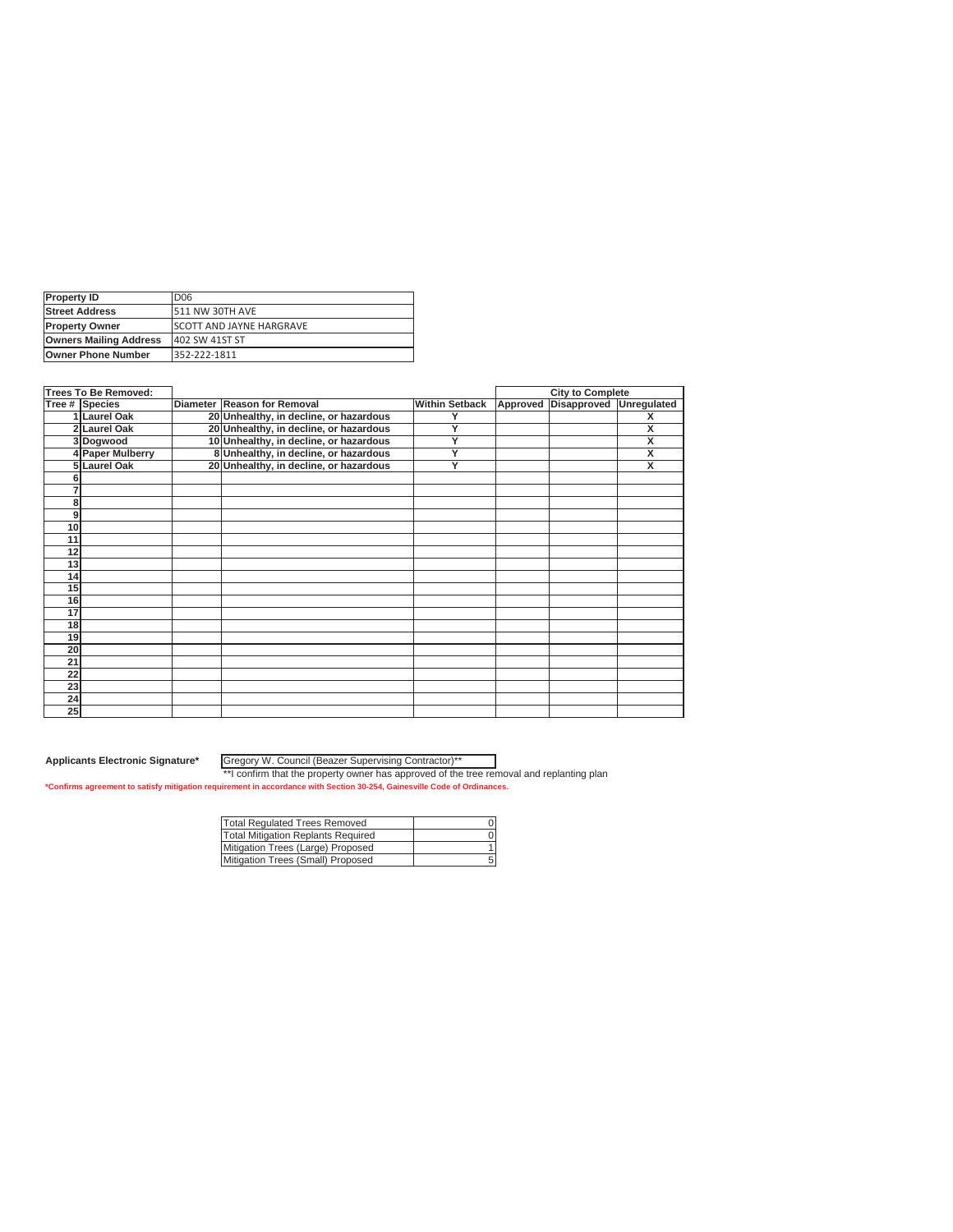| <b>Property ID</b>            | D06                              |
|-------------------------------|----------------------------------|
| <b>Street Address</b>         | 1511 NW 30TH AVE                 |
| <b>Property Owner</b>         | <b>ISCOTT AND JAYNE HARGRAVE</b> |
| <b>Owners Mailing Address</b> | 402 SW 41ST ST                   |
| <b>Owner Phone Number</b>     | 352-222-1811                     |

|    | <b>Trees To Be Removed:</b> |                                        |                       |          | <b>City to Complete</b> |                         |
|----|-----------------------------|----------------------------------------|-----------------------|----------|-------------------------|-------------------------|
|    | Tree # Species              | Diameter Reason for Removal            | <b>Within Setback</b> | Approved | Disapproved             | Unregulated             |
|    | 1 Laurel Oak                | 20 Unhealthy, in decline, or hazardous |                       |          |                         | x                       |
|    | 2 Laurel Oak                | 20 Unhealthy, in decline, or hazardous | Y                     |          |                         | X                       |
|    | 3Dogwood                    | 10 Unhealthy, in decline, or hazardous | Y                     |          |                         | x                       |
|    | 4 Paper Mulberry            | 8 Unhealthy, in decline, or hazardous  | Ÿ                     |          |                         | X                       |
|    | 5 Laurel Oak                | 20 Unhealthy, in decline, or hazardous | Y                     |          |                         | $\overline{\mathsf{x}}$ |
|    |                             |                                        |                       |          |                         |                         |
|    |                             |                                        |                       |          |                         |                         |
| 8  |                             |                                        |                       |          |                         |                         |
| 9  |                             |                                        |                       |          |                         |                         |
| 10 |                             |                                        |                       |          |                         |                         |
| 11 |                             |                                        |                       |          |                         |                         |
| 12 |                             |                                        |                       |          |                         |                         |
| 13 |                             |                                        |                       |          |                         |                         |
| 14 |                             |                                        |                       |          |                         |                         |
| 15 |                             |                                        |                       |          |                         |                         |
| 16 |                             |                                        |                       |          |                         |                         |
| 17 |                             |                                        |                       |          |                         |                         |
| 18 |                             |                                        |                       |          |                         |                         |
| 19 |                             |                                        |                       |          |                         |                         |
| 20 |                             |                                        |                       |          |                         |                         |
| 21 |                             |                                        |                       |          |                         |                         |
| 22 |                             |                                        |                       |          |                         |                         |
| 23 |                             |                                        |                       |          |                         |                         |
| 24 |                             |                                        |                       |          |                         |                         |
| 25 |                             |                                        |                       |          |                         |                         |

Gregory W. Council (Beazer Supervising Contractor)\*\*

| Total Regulated Trees Removed      |  |
|------------------------------------|--|
| Total Mitigation Replants Required |  |
| Mitigation Trees (Large) Proposed  |  |
| Mitigation Trees (Small) Proposed  |  |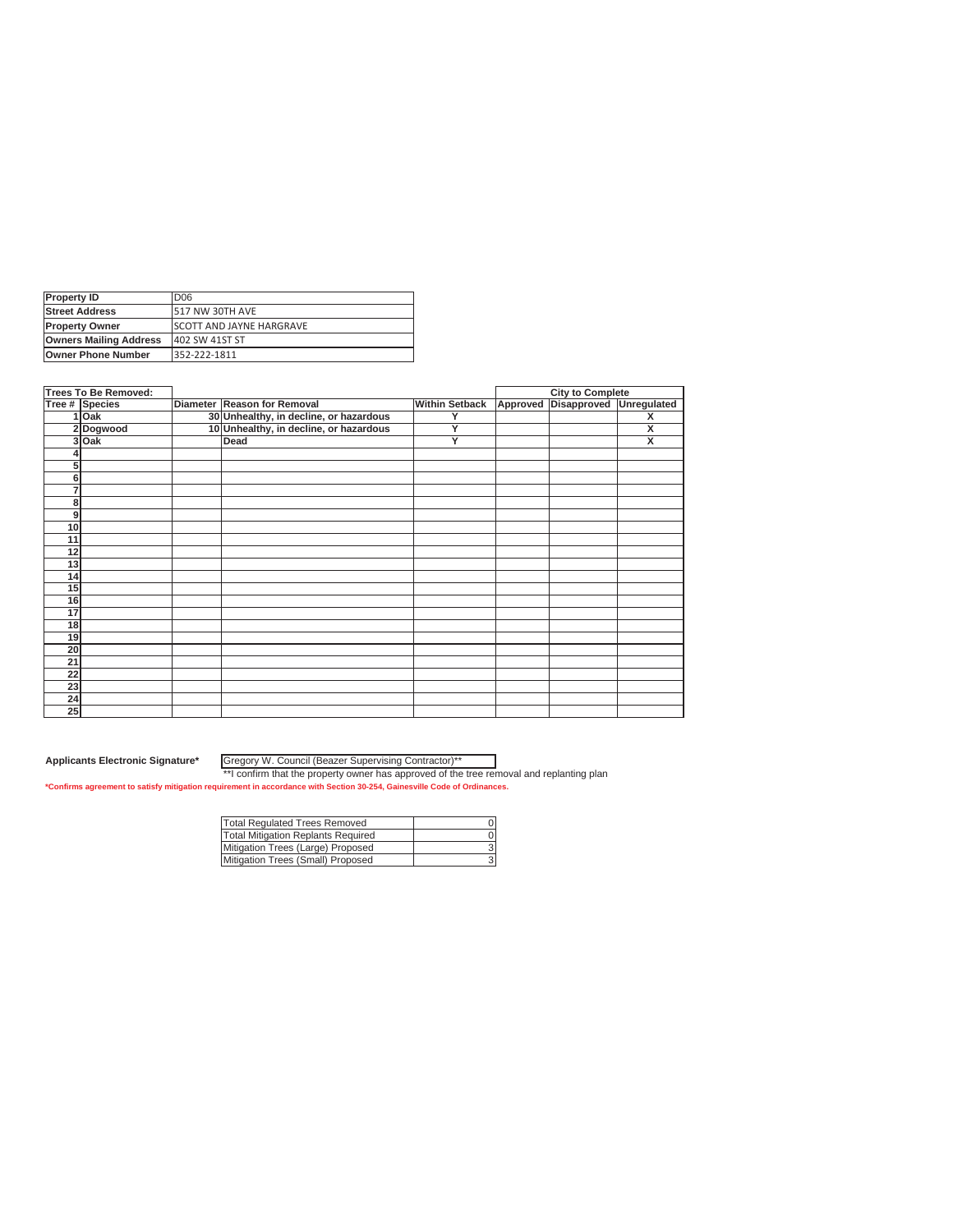| <b>Property ID</b>            | D <sub>06</sub>                 |
|-------------------------------|---------------------------------|
| <b>Street Address</b>         | 517 NW 30TH AVE                 |
| <b>Property Owner</b>         | <b>SCOTT AND JAYNE HARGRAVE</b> |
| <b>Owners Mailing Address</b> | 402 SW 41ST ST                  |
| <b>Owner Phone Number</b>     | 352-222-1811                    |

|                 | <b>Trees To Be Removed:</b> |                                        |                       | <b>City to Complete</b>          |                         |
|-----------------|-----------------------------|----------------------------------------|-----------------------|----------------------------------|-------------------------|
|                 | Tree # Species              | Diameter Reason for Removal            | <b>Within Setback</b> | Approved Disapproved Unregulated |                         |
|                 | 1 Oak                       | 30 Unhealthy, in decline, or hazardous | Y                     |                                  | x                       |
|                 | 2Dogwood                    | 10 Unhealthy, in decline, or hazardous | Y                     |                                  | X                       |
|                 | 3 Oak                       | Dead                                   | Y                     |                                  | $\overline{\mathbf{x}}$ |
|                 |                             |                                        |                       |                                  |                         |
| 5               |                             |                                        |                       |                                  |                         |
| 6               |                             |                                        |                       |                                  |                         |
| 7               |                             |                                        |                       |                                  |                         |
| 8               |                             |                                        |                       |                                  |                         |
| 9               |                             |                                        |                       |                                  |                         |
| 10              |                             |                                        |                       |                                  |                         |
| 11              |                             |                                        |                       |                                  |                         |
| 12              |                             |                                        |                       |                                  |                         |
| 13              |                             |                                        |                       |                                  |                         |
| 14              |                             |                                        |                       |                                  |                         |
| 15              |                             |                                        |                       |                                  |                         |
| 16              |                             |                                        |                       |                                  |                         |
| 17              |                             |                                        |                       |                                  |                         |
| 18              |                             |                                        |                       |                                  |                         |
| 19              |                             |                                        |                       |                                  |                         |
| 20              |                             |                                        |                       |                                  |                         |
| 21              |                             |                                        |                       |                                  |                         |
| $\overline{22}$ |                             |                                        |                       |                                  |                         |
| 23              |                             |                                        |                       |                                  |                         |
| $\overline{24}$ |                             |                                        |                       |                                  |                         |
| 25              |                             |                                        |                       |                                  |                         |

Gregory W. Council (Beazer Supervising Contractor)\*\*

| Total Regulated Trees Removed      |  |
|------------------------------------|--|
| Total Mitigation Replants Required |  |
| Mitigation Trees (Large) Proposed  |  |
| Mitigation Trees (Small) Proposed  |  |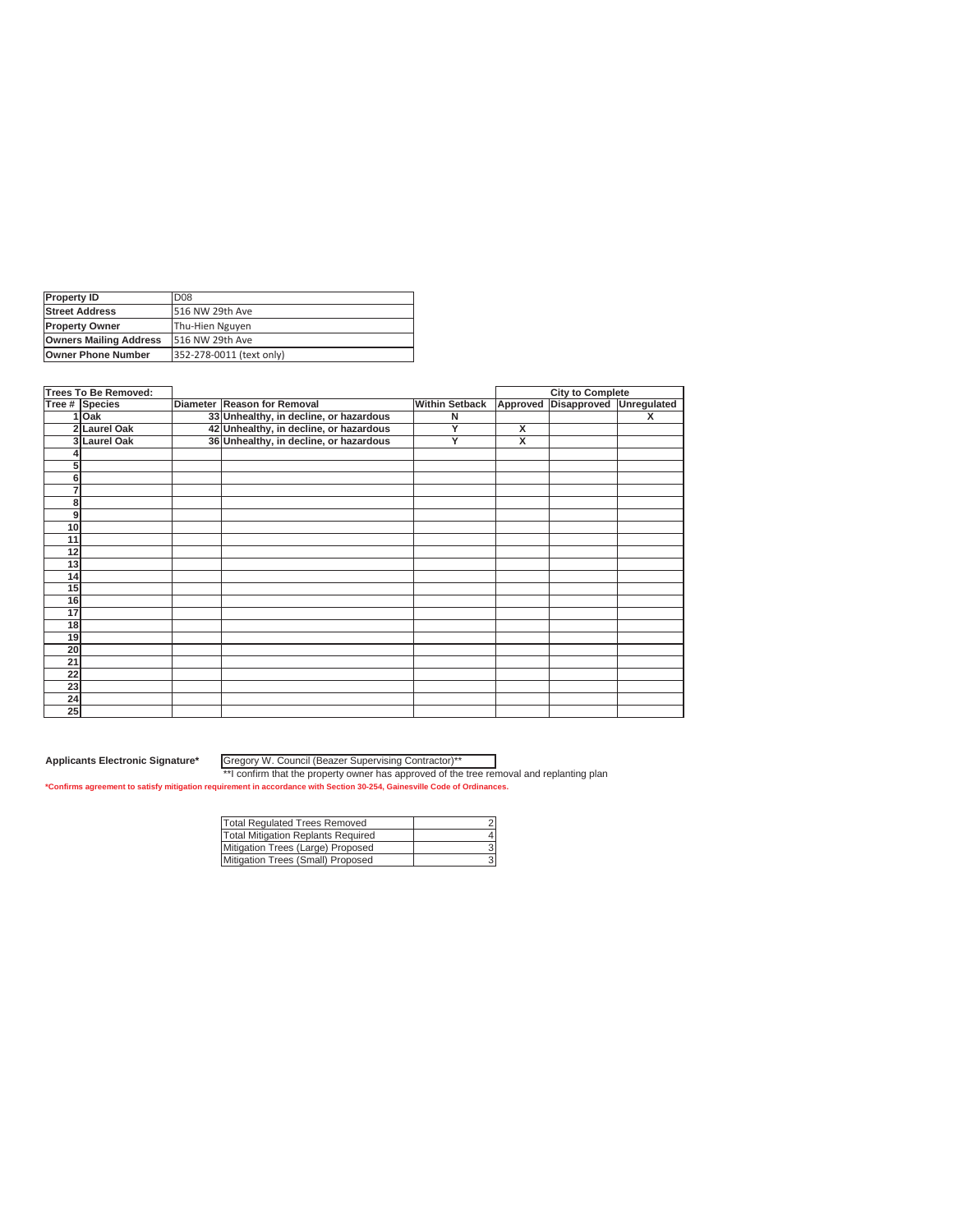| <b>Property ID</b>            | D <sub>08</sub>          |
|-------------------------------|--------------------------|
| <b>Street Address</b>         | 516 NW 29th Ave          |
| <b>Property Owner</b>         | Thu-Hien Nguyen          |
| <b>Owners Mailing Address</b> | 516 NW 29th Ave          |
| <b>Owner Phone Number</b>     | 352-278-0011 (text only) |

|                 | <b>Trees To Be Removed:</b> |                                        |                       |                         | <b>City to Complete</b> |   |
|-----------------|-----------------------------|----------------------------------------|-----------------------|-------------------------|-------------------------|---|
|                 | Tree # Species              | Diameter Reason for Removal            | <b>Within Setback</b> | Approved                | Disapproved Unregulated |   |
|                 | 1 Oak                       | 33 Unhealthy, in decline, or hazardous | N                     |                         |                         | x |
|                 | 2 Laurel Oak                | 42 Unhealthy, in decline, or hazardous | Y                     | X                       |                         |   |
|                 | 3 Laurel Oak                | 36 Unhealthy, in decline, or hazardous | Y                     | $\overline{\mathbf{x}}$ |                         |   |
|                 |                             |                                        |                       |                         |                         |   |
| 5               |                             |                                        |                       |                         |                         |   |
| 6               |                             |                                        |                       |                         |                         |   |
| 7               |                             |                                        |                       |                         |                         |   |
| 8               |                             |                                        |                       |                         |                         |   |
| 9               |                             |                                        |                       |                         |                         |   |
| 10              |                             |                                        |                       |                         |                         |   |
| 11              |                             |                                        |                       |                         |                         |   |
| 12              |                             |                                        |                       |                         |                         |   |
| 13              |                             |                                        |                       |                         |                         |   |
| 14              |                             |                                        |                       |                         |                         |   |
| 15              |                             |                                        |                       |                         |                         |   |
| 16              |                             |                                        |                       |                         |                         |   |
| 17              |                             |                                        |                       |                         |                         |   |
| 18              |                             |                                        |                       |                         |                         |   |
| 19              |                             |                                        |                       |                         |                         |   |
| 20              |                             |                                        |                       |                         |                         |   |
| $\overline{21}$ |                             |                                        |                       |                         |                         |   |
| 22              |                             |                                        |                       |                         |                         |   |
| 23              |                             |                                        |                       |                         |                         |   |
| 24              |                             |                                        |                       |                         |                         |   |
| 25              |                             |                                        |                       |                         |                         |   |

Gregory W. Council (Beazer Supervising Contractor)\*\*

| Total Regulated Trees Removed      |  |
|------------------------------------|--|
| Total Mitigation Replants Required |  |
| Mitigation Trees (Large) Proposed  |  |
| Mitigation Trees (Small) Proposed  |  |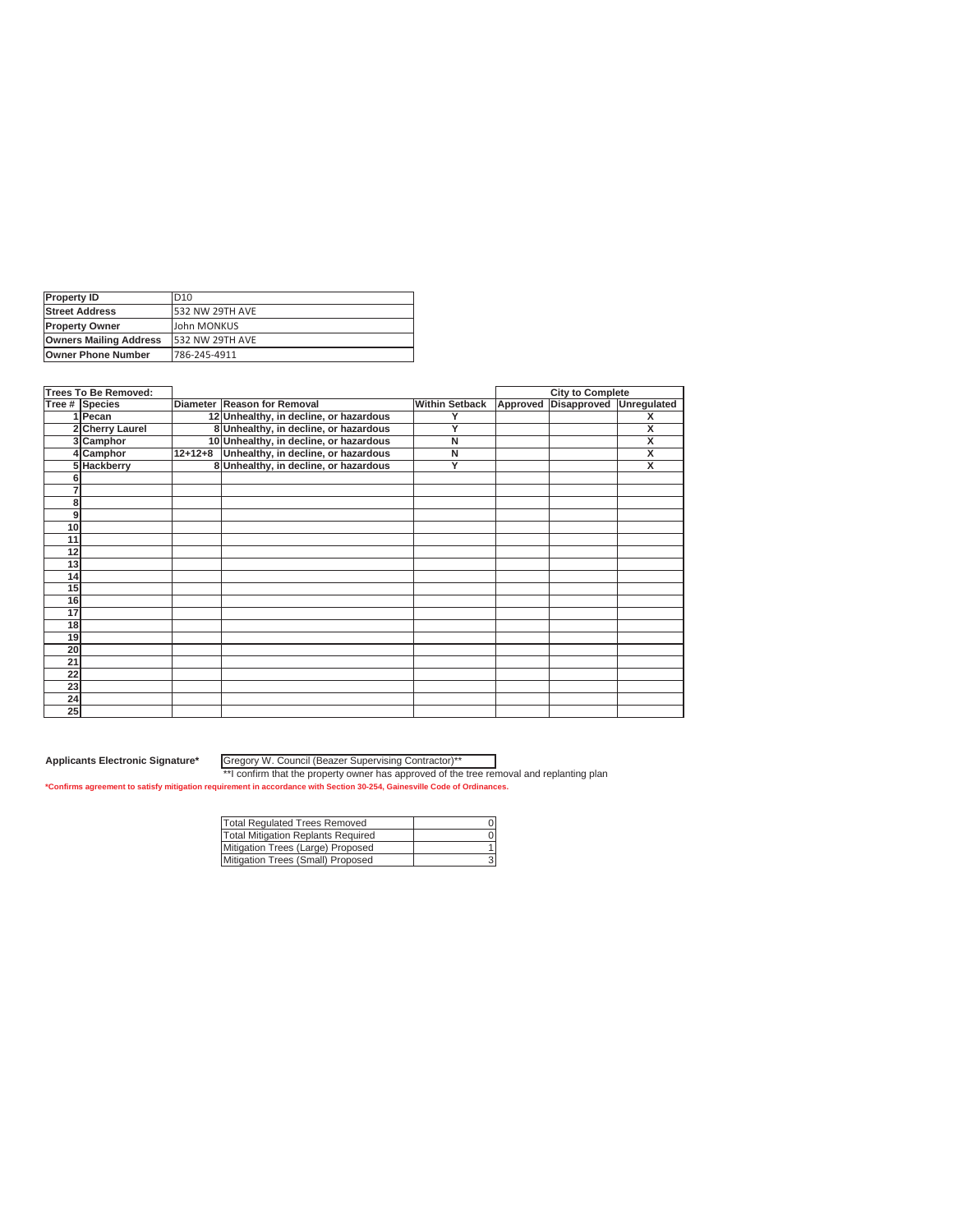| <b>Property ID</b>            | D <sub>10</sub>        |
|-------------------------------|------------------------|
| <b>Street Address</b>         | <b>532 NW 29TH AVE</b> |
| <b>Property Owner</b>         | John MONKUS            |
| <b>Owners Mailing Address</b> | 532 NW 29TH AVE        |
| <b>Owner Phone Number</b>     | 786-245-4911           |

|    | <b>Trees To Be Removed:</b> |           |                                        |                       |          | <b>City to Complete</b> |                         |
|----|-----------------------------|-----------|----------------------------------------|-----------------------|----------|-------------------------|-------------------------|
|    | Tree # Species              |           | Diameter Reason for Removal            | <b>Within Setback</b> | Approved | Disapproved             | Unregulated             |
|    | 1 Pecan                     |           | 12 Unhealthy, in decline, or hazardous |                       |          |                         | x                       |
|    | 2 Cherry Laurel             |           | 8 Unhealthy, in decline, or hazardous  | Y                     |          |                         | X                       |
|    | 3 Camphor                   |           | 10 Unhealthy, in decline, or hazardous | N                     |          |                         | X                       |
|    | 4 Camphor                   | $12+12+8$ | Unhealthy, in decline, or hazardous    | N                     |          |                         | X                       |
|    | 5 Hackberry                 |           | 8 Unhealthy, in decline, or hazardous  | Y                     |          |                         | $\overline{\mathsf{x}}$ |
|    |                             |           |                                        |                       |          |                         |                         |
| 7  |                             |           |                                        |                       |          |                         |                         |
| 8  |                             |           |                                        |                       |          |                         |                         |
| 9  |                             |           |                                        |                       |          |                         |                         |
| 10 |                             |           |                                        |                       |          |                         |                         |
| 11 |                             |           |                                        |                       |          |                         |                         |
| 12 |                             |           |                                        |                       |          |                         |                         |
| 13 |                             |           |                                        |                       |          |                         |                         |
| 14 |                             |           |                                        |                       |          |                         |                         |
| 15 |                             |           |                                        |                       |          |                         |                         |
| 16 |                             |           |                                        |                       |          |                         |                         |
| 17 |                             |           |                                        |                       |          |                         |                         |
| 18 |                             |           |                                        |                       |          |                         |                         |
| 19 |                             |           |                                        |                       |          |                         |                         |
| 20 |                             |           |                                        |                       |          |                         |                         |
| 21 |                             |           |                                        |                       |          |                         |                         |
| 22 |                             |           |                                        |                       |          |                         |                         |
| 23 |                             |           |                                        |                       |          |                         |                         |
| 24 |                             |           |                                        |                       |          |                         |                         |
| 25 |                             |           |                                        |                       |          |                         |                         |

Gregory W. Council (Beazer Supervising Contractor)\*\*

| Total Regulated Trees Removed      |  |
|------------------------------------|--|
| Total Mitigation Replants Required |  |
| Mitigation Trees (Large) Proposed  |  |
| Mitigation Trees (Small) Proposed  |  |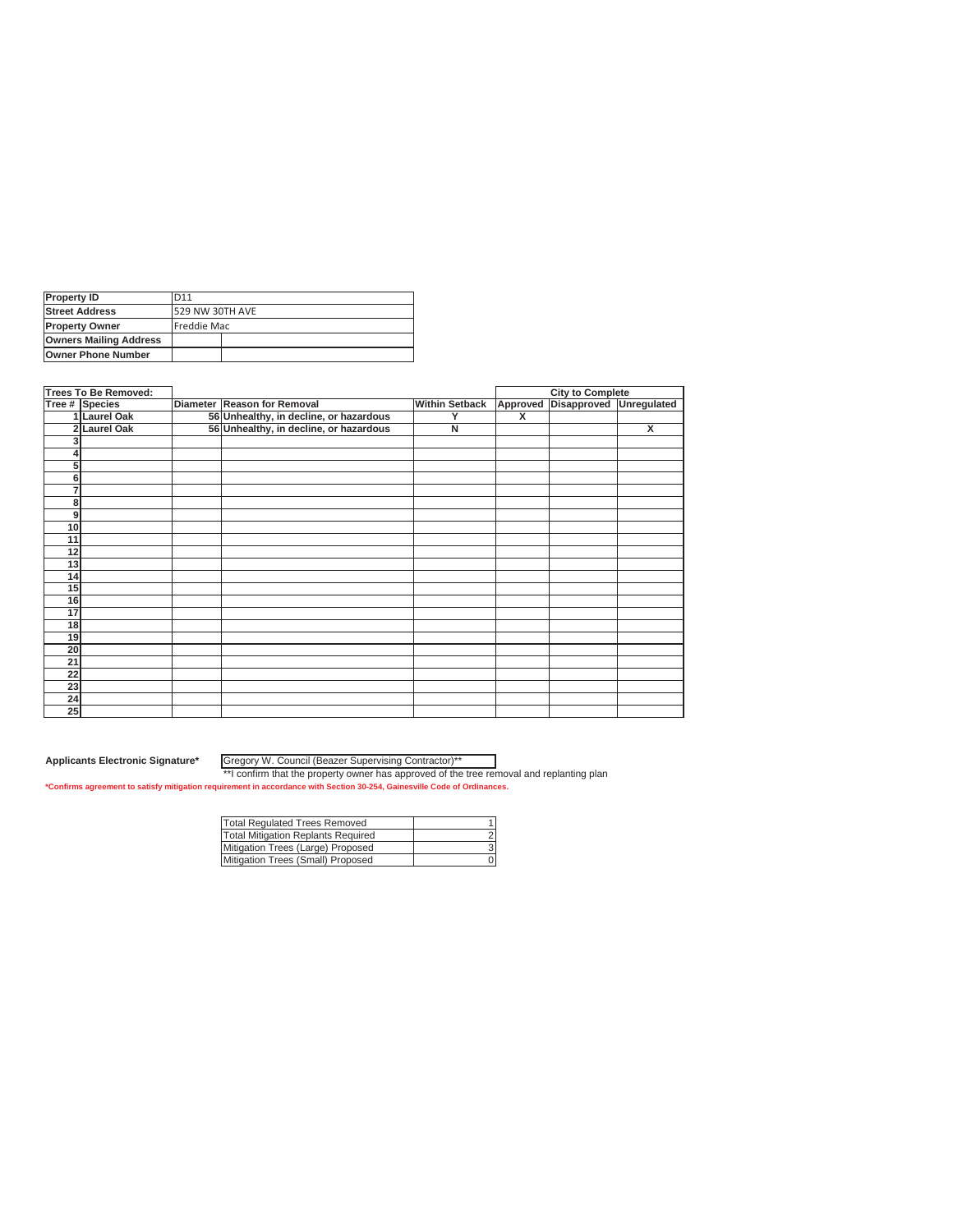| <b>Property ID</b>            | D11             |  |
|-------------------------------|-----------------|--|
| <b>Street Address</b>         | 529 NW 30TH AVE |  |
| <b>Property Owner</b>         | Freddie Mac     |  |
| <b>Owners Mailing Address</b> |                 |  |
| <b>Owner Phone Number</b>     |                 |  |

|                 | Trees To Be Removed: |                                        |                       |   | <b>City to Complete</b>          |   |
|-----------------|----------------------|----------------------------------------|-----------------------|---|----------------------------------|---|
|                 | Tree # Species       | Diameter Reason for Removal            | <b>Within Setback</b> |   | Approved Disapproved Unregulated |   |
|                 | 1 Laurel Oak         | 56 Unhealthy, in decline, or hazardous | v                     | X |                                  |   |
|                 | 2 Laurel Oak         | 56 Unhealthy, in decline, or hazardous | N                     |   |                                  | X |
|                 |                      |                                        |                       |   |                                  |   |
|                 |                      |                                        |                       |   |                                  |   |
| 5               |                      |                                        |                       |   |                                  |   |
| 6               |                      |                                        |                       |   |                                  |   |
|                 |                      |                                        |                       |   |                                  |   |
| 8               |                      |                                        |                       |   |                                  |   |
| 9               |                      |                                        |                       |   |                                  |   |
| 10              |                      |                                        |                       |   |                                  |   |
| 11              |                      |                                        |                       |   |                                  |   |
| 12              |                      |                                        |                       |   |                                  |   |
| 13              |                      |                                        |                       |   |                                  |   |
| 14              |                      |                                        |                       |   |                                  |   |
| 15              |                      |                                        |                       |   |                                  |   |
| 16              |                      |                                        |                       |   |                                  |   |
| 17              |                      |                                        |                       |   |                                  |   |
| 18              |                      |                                        |                       |   |                                  |   |
| 19              |                      |                                        |                       |   |                                  |   |
| 20              |                      |                                        |                       |   |                                  |   |
| 21              |                      |                                        |                       |   |                                  |   |
| $\overline{22}$ |                      |                                        |                       |   |                                  |   |
| 23              |                      |                                        |                       |   |                                  |   |
| 24              |                      |                                        |                       |   |                                  |   |
| 25              |                      |                                        |                       |   |                                  |   |

Gregory W. Council (Beazer Supervising Contractor)\*\*

| Total Regulated Trees Removed      |  |
|------------------------------------|--|
| Total Mitigation Replants Required |  |
| Mitigation Trees (Large) Proposed  |  |
| Mitigation Trees (Small) Proposed  |  |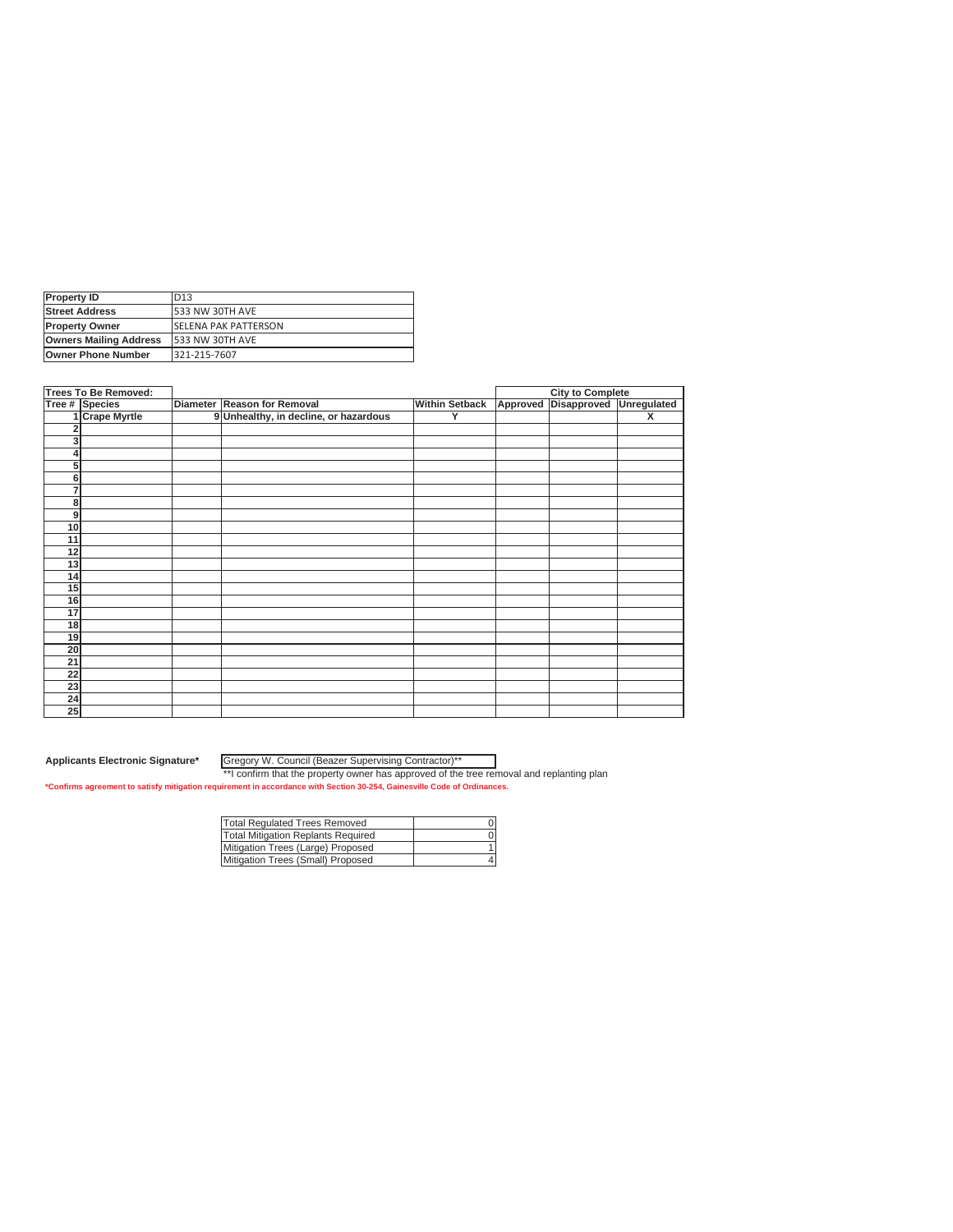| <b>Property ID</b>            | D <sub>13</sub>             |
|-------------------------------|-----------------------------|
| <b>Street Address</b>         | 533 NW 30TH AVE             |
| <b>Property Owner</b>         | <b>SELENA PAK PATTERSON</b> |
| <b>Owners Mailing Address</b> | 533 NW 30TH AVE             |
| <b>Owner Phone Number</b>     | 321-215-7607                |

|                 | <b>Trees To Be Removed:</b> |                                       |                       | <b>City to Complete</b>          |   |
|-----------------|-----------------------------|---------------------------------------|-----------------------|----------------------------------|---|
|                 | Tree # Species              | Diameter Reason for Removal           | <b>Within Setback</b> | Approved Disapproved Unregulated |   |
|                 | 1 Crape Myrtle              | 9 Unhealthy, in decline, or hazardous | Y                     |                                  | x |
|                 |                             |                                       |                       |                                  |   |
| 3               |                             |                                       |                       |                                  |   |
|                 |                             |                                       |                       |                                  |   |
| 5               |                             |                                       |                       |                                  |   |
| 6               |                             |                                       |                       |                                  |   |
| $\overline{7}$  |                             |                                       |                       |                                  |   |
| 8               |                             |                                       |                       |                                  |   |
| 9               |                             |                                       |                       |                                  |   |
| 10              |                             |                                       |                       |                                  |   |
| 11              |                             |                                       |                       |                                  |   |
| 12              |                             |                                       |                       |                                  |   |
| 13              |                             |                                       |                       |                                  |   |
| 14              |                             |                                       |                       |                                  |   |
| 15              |                             |                                       |                       |                                  |   |
| 16              |                             |                                       |                       |                                  |   |
| 17              |                             |                                       |                       |                                  |   |
| 18              |                             |                                       |                       |                                  |   |
| 19              |                             |                                       |                       |                                  |   |
| 20              |                             |                                       |                       |                                  |   |
| $\overline{21}$ |                             |                                       |                       |                                  |   |
| 22              |                             |                                       |                       |                                  |   |
| 23              |                             |                                       |                       |                                  |   |
| 24              |                             |                                       |                       |                                  |   |
| 25              |                             |                                       |                       |                                  |   |

Gregory W. Council (Beazer Supervising Contractor)\*\*

| Total Regulated Trees Removed      |  |
|------------------------------------|--|
| Total Mitigation Replants Required |  |
| Mitigation Trees (Large) Proposed  |  |
| Mitigation Trees (Small) Proposed  |  |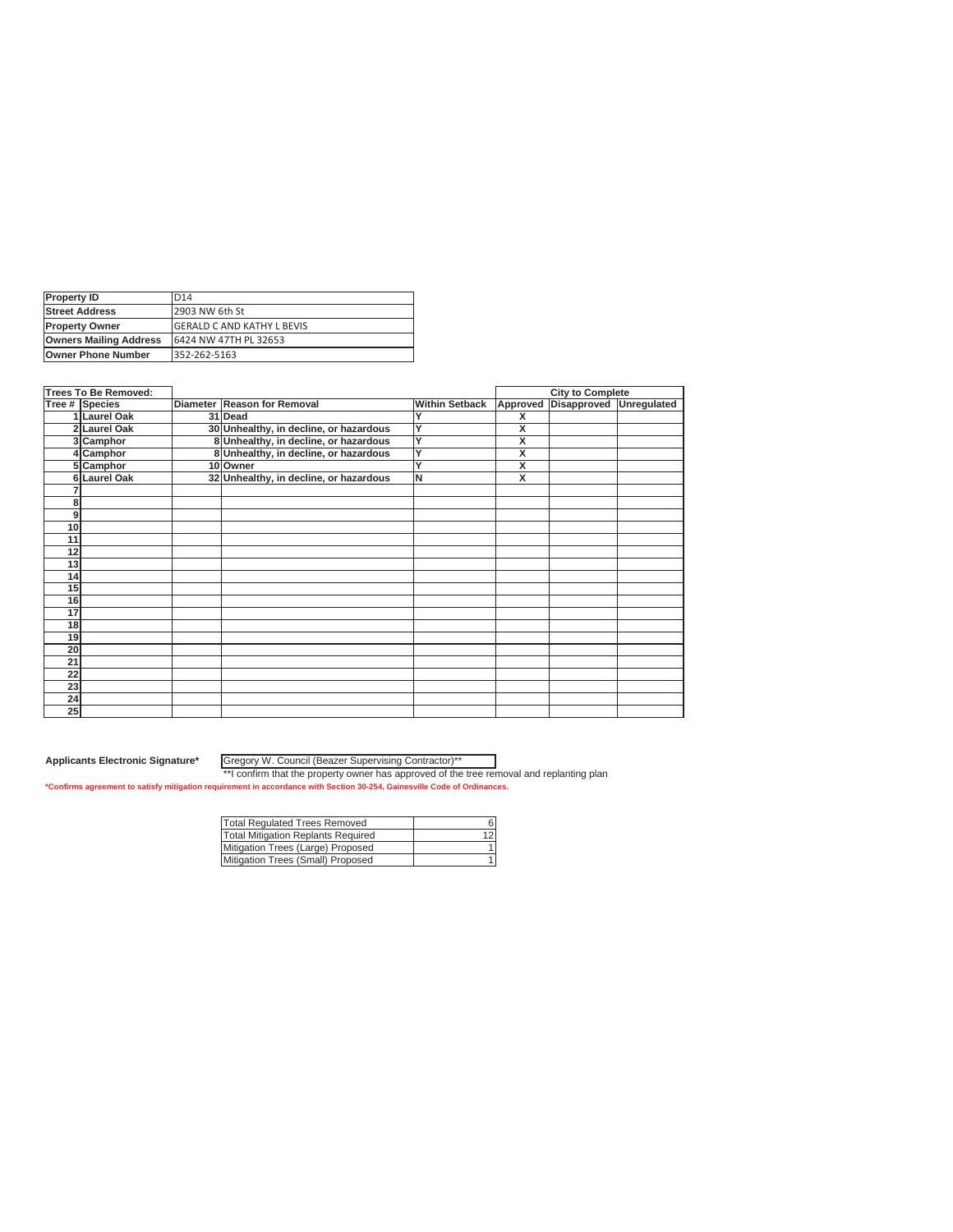| <b>Property ID</b>            | D <sub>14</sub>                    |
|-------------------------------|------------------------------------|
| <b>Street Address</b>         | 2903 NW 6th St                     |
| <b>Property Owner</b>         | <b>IGERALD C AND KATHY L BEVIS</b> |
| <b>Owners Mailing Address</b> | 6424 NW 47TH PL 32653              |
| <b>Owner Phone Number</b>     | 352-262-5163                       |

|    | <b>Trees To Be Removed:</b> |                                        |                       |                         | <b>City to Complete</b> |             |
|----|-----------------------------|----------------------------------------|-----------------------|-------------------------|-------------------------|-------------|
|    | Tree # Species              | Diameter Reason for Removal            | <b>Within Setback</b> | Approved                | Disapproved             | Unregulated |
|    | 1 Laurel Oak                | 31 Dead                                |                       | х                       |                         |             |
|    | 2 Laurel Oak                | 30 Unhealthy, in decline, or hazardous | Y                     | x                       |                         |             |
|    | 3 Camphor                   | 8 Unhealthy, in decline, or hazardous  | Y                     | X                       |                         |             |
|    | 4 Camphor                   | 8 Unhealthy, in decline, or hazardous  | Ÿ                     | x                       |                         |             |
|    | 5 Camphor                   | 10 Owner                               | Ÿ                     | x                       |                         |             |
|    | 6 Laurel Oak                | 32 Unhealthy, in decline, or hazardous | İΝ                    | $\overline{\mathsf{x}}$ |                         |             |
|    |                             |                                        |                       |                         |                         |             |
| 8  |                             |                                        |                       |                         |                         |             |
| 9  |                             |                                        |                       |                         |                         |             |
| 10 |                             |                                        |                       |                         |                         |             |
| 11 |                             |                                        |                       |                         |                         |             |
| 12 |                             |                                        |                       |                         |                         |             |
| 13 |                             |                                        |                       |                         |                         |             |
| 14 |                             |                                        |                       |                         |                         |             |
| 15 |                             |                                        |                       |                         |                         |             |
| 16 |                             |                                        |                       |                         |                         |             |
| 17 |                             |                                        |                       |                         |                         |             |
| 18 |                             |                                        |                       |                         |                         |             |
| 19 |                             |                                        |                       |                         |                         |             |
| 20 |                             |                                        |                       |                         |                         |             |
| 21 |                             |                                        |                       |                         |                         |             |
| 22 |                             |                                        |                       |                         |                         |             |
| 23 |                             |                                        |                       |                         |                         |             |
| 24 |                             |                                        |                       |                         |                         |             |
| 25 |                             |                                        |                       |                         |                         |             |

Gregory W. Council (Beazer Supervising Contractor)\*\*

| Total Regulated Trees Removed      |  |
|------------------------------------|--|
| Total Mitigation Replants Required |  |
| Mitigation Trees (Large) Proposed  |  |
| Mitigation Trees (Small) Proposed  |  |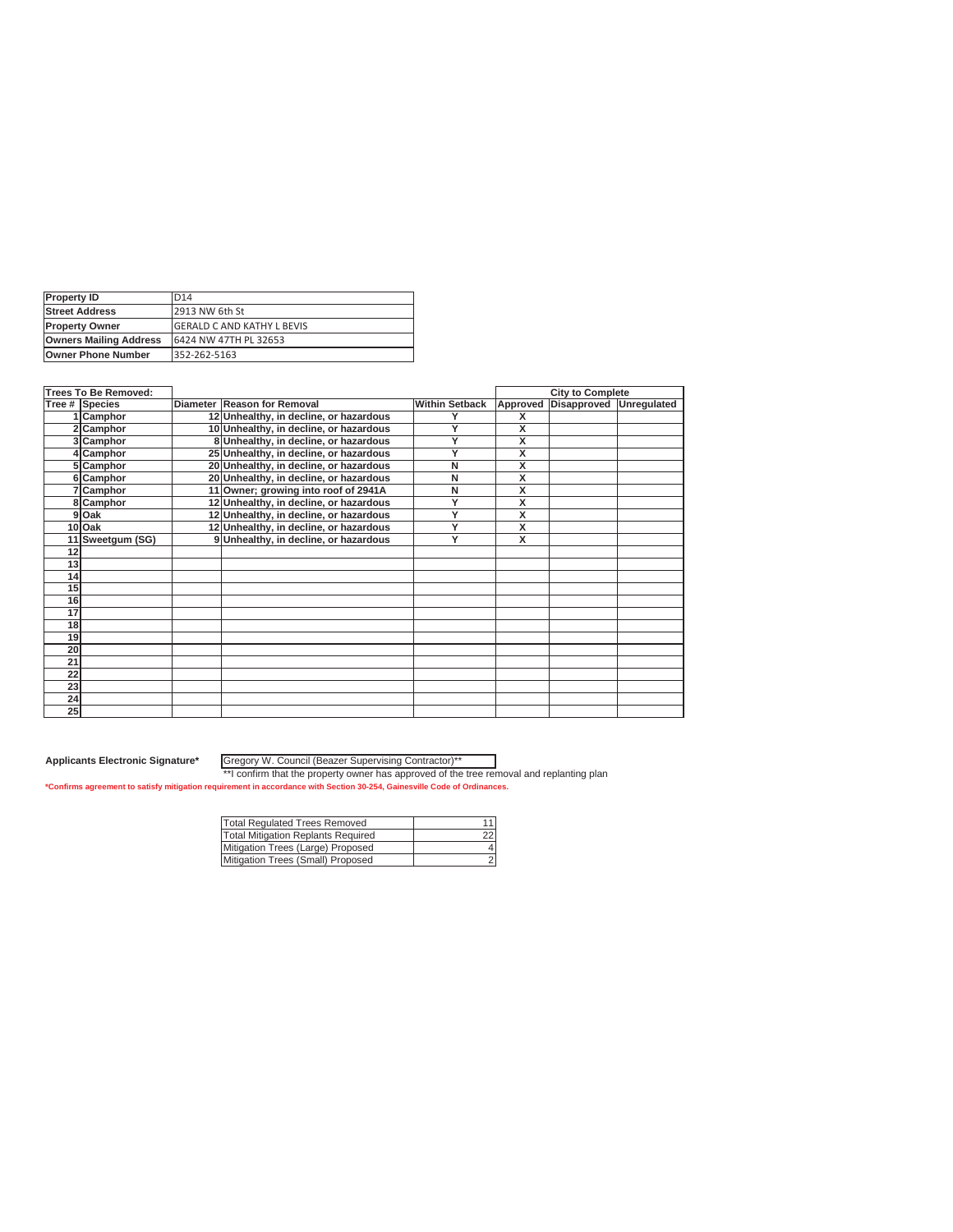| <b>Property ID</b>            | D <sub>14</sub>             |
|-------------------------------|-----------------------------|
| <b>Street Address</b>         | <b>2913 NW 6th St</b>       |
| <b>Property Owner</b>         | IGERALD C AND KATHY L BEVIS |
| <b>Owners Mailing Address</b> | 6424 NW 47TH PL 32653       |
| <b>Owner Phone Number</b>     | 352-262-5163                |

|    | <b>Trees To Be Removed:</b> |                                        |                       |                         | <b>City to Complete</b> |             |
|----|-----------------------------|----------------------------------------|-----------------------|-------------------------|-------------------------|-------------|
|    | Tree # Species              | Diameter Reason for Removal            | <b>Within Setback</b> | Approved                | Disapproved             | Unregulated |
|    | 1 Camphor                   | 12 Unhealthy, in decline, or hazardous |                       | х                       |                         |             |
|    | 2 Camphor                   | 10 Unhealthy, in decline, or hazardous | Y                     | X                       |                         |             |
|    | 3 Camphor                   | 8 Unhealthy, in decline, or hazardous  | Y                     | X                       |                         |             |
|    | 4 Camphor                   | 25 Unhealthy, in decline, or hazardous | Υ                     | $\overline{\mathsf{x}}$ |                         |             |
|    | 5 Camphor                   | 20 Unhealthy, in decline, or hazardous | N                     | $\overline{\mathsf{x}}$ |                         |             |
|    | 6 Camphor                   | 20 Unhealthy, in decline, or hazardous | N                     | $\overline{\mathsf{x}}$ |                         |             |
|    | 7 Camphor                   | 11 Owner; growing into roof of 2941A   | N                     | X                       |                         |             |
|    | 8 Camphor                   | 12 Unhealthy, in decline, or hazardous | Y                     | $\overline{\mathbf{x}}$ |                         |             |
|    | 9 Oak                       | 12 Unhealthy, in decline, or hazardous | Υ                     | $\overline{\mathsf{x}}$ |                         |             |
|    | 10 Oak                      | 12 Unhealthy, in decline, or hazardous | Ÿ                     | $\overline{\mathsf{x}}$ |                         |             |
|    | 11 Sweetgum (SG)            | 9 Unhealthy, in decline, or hazardous  | Ÿ                     | $\overline{\mathbf{x}}$ |                         |             |
| 12 |                             |                                        |                       |                         |                         |             |
| 13 |                             |                                        |                       |                         |                         |             |
| 14 |                             |                                        |                       |                         |                         |             |
| 15 |                             |                                        |                       |                         |                         |             |
| 16 |                             |                                        |                       |                         |                         |             |
| 17 |                             |                                        |                       |                         |                         |             |
| 18 |                             |                                        |                       |                         |                         |             |
| 19 |                             |                                        |                       |                         |                         |             |
| 20 |                             |                                        |                       |                         |                         |             |
| 21 |                             |                                        |                       |                         |                         |             |
| 22 |                             |                                        |                       |                         |                         |             |
| 23 |                             |                                        |                       |                         |                         |             |
| 24 |                             |                                        |                       |                         |                         |             |
| 25 |                             |                                        |                       |                         |                         |             |

Gregory W. Council (Beazer Supervising Contractor)\*\*

| Total Regulated Trees Removed      |  |
|------------------------------------|--|
| Total Mitigation Replants Required |  |
| Mitigation Trees (Large) Proposed  |  |
| Mitigation Trees (Small) Proposed  |  |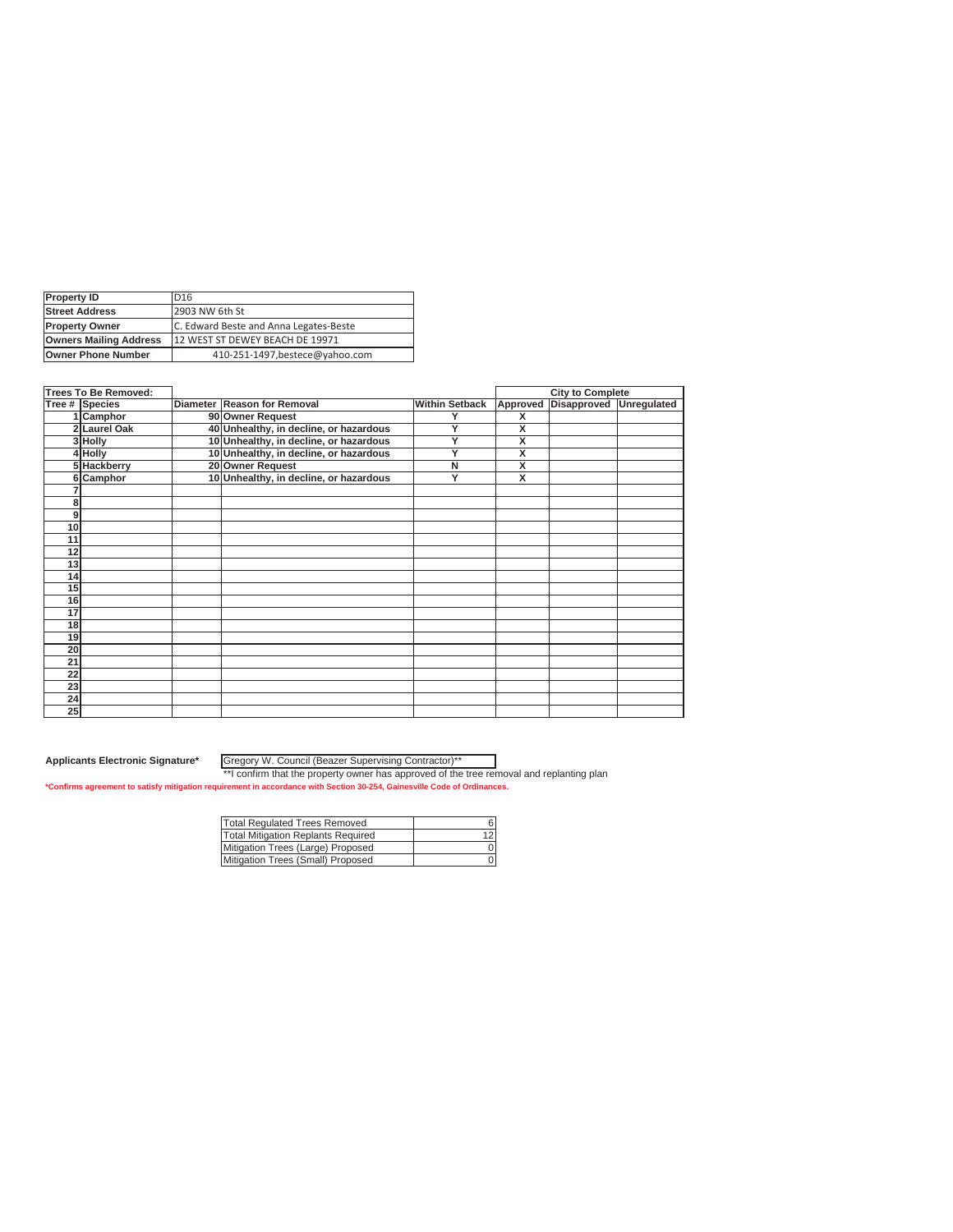| <b>Property ID</b>            | D <sub>16</sub>                        |
|-------------------------------|----------------------------------------|
| <b>Street Address</b>         | 2903 NW 6th St                         |
| <b>Property Owner</b>         | C. Edward Beste and Anna Legates-Beste |
| <b>Owners Mailing Address</b> | 12 WEST ST DEWEY BEACH DE 19971        |
| <b>Owner Phone Number</b>     | 410-251-1497, bestece@yahoo.com        |

|    | <b>Trees To Be Removed:</b> |                                        |                       |                         | <b>City to Complete</b> |                    |
|----|-----------------------------|----------------------------------------|-----------------------|-------------------------|-------------------------|--------------------|
|    | Tree # Species              | Diameter Reason for Removal            | <b>Within Setback</b> | Approved                | Disapproved             | <b>Unregulated</b> |
|    | 1 Camphor                   | 90 Owner Request                       |                       | x                       |                         |                    |
|    | 2 Laurel Oak                | 40 Unhealthy, in decline, or hazardous | Υ                     | X                       |                         |                    |
|    | 3 Holly                     | 10 Unhealthy, in decline, or hazardous | Y                     | X                       |                         |                    |
|    | 4 Holly                     | 10 Unhealthy, in decline, or hazardous | Y                     | $\overline{\mathsf{x}}$ |                         |                    |
|    | 5 Hackberry                 | 20 Owner Request                       | N                     | $\overline{\mathsf{x}}$ |                         |                    |
|    | 6 Camphor                   | 10 Unhealthy, in decline, or hazardous | Ÿ                     | $\overline{\mathsf{x}}$ |                         |                    |
|    |                             |                                        |                       |                         |                         |                    |
| 8  |                             |                                        |                       |                         |                         |                    |
| 9  |                             |                                        |                       |                         |                         |                    |
| 10 |                             |                                        |                       |                         |                         |                    |
| 11 |                             |                                        |                       |                         |                         |                    |
| 12 |                             |                                        |                       |                         |                         |                    |
| 13 |                             |                                        |                       |                         |                         |                    |
| 14 |                             |                                        |                       |                         |                         |                    |
| 15 |                             |                                        |                       |                         |                         |                    |
| 16 |                             |                                        |                       |                         |                         |                    |
| 17 |                             |                                        |                       |                         |                         |                    |
| 18 |                             |                                        |                       |                         |                         |                    |
| 19 |                             |                                        |                       |                         |                         |                    |
| 20 |                             |                                        |                       |                         |                         |                    |
| 21 |                             |                                        |                       |                         |                         |                    |
| 22 |                             |                                        |                       |                         |                         |                    |
| 23 |                             |                                        |                       |                         |                         |                    |
| 24 |                             |                                        |                       |                         |                         |                    |
| 25 |                             |                                        |                       |                         |                         |                    |

Gregory W. Council (Beazer Supervising Contractor)\*\*

| Total Regulated Trees Removed      |  |
|------------------------------------|--|
| Total Mitigation Replants Required |  |
| Mitigation Trees (Large) Proposed  |  |
| Mitigation Trees (Small) Proposed  |  |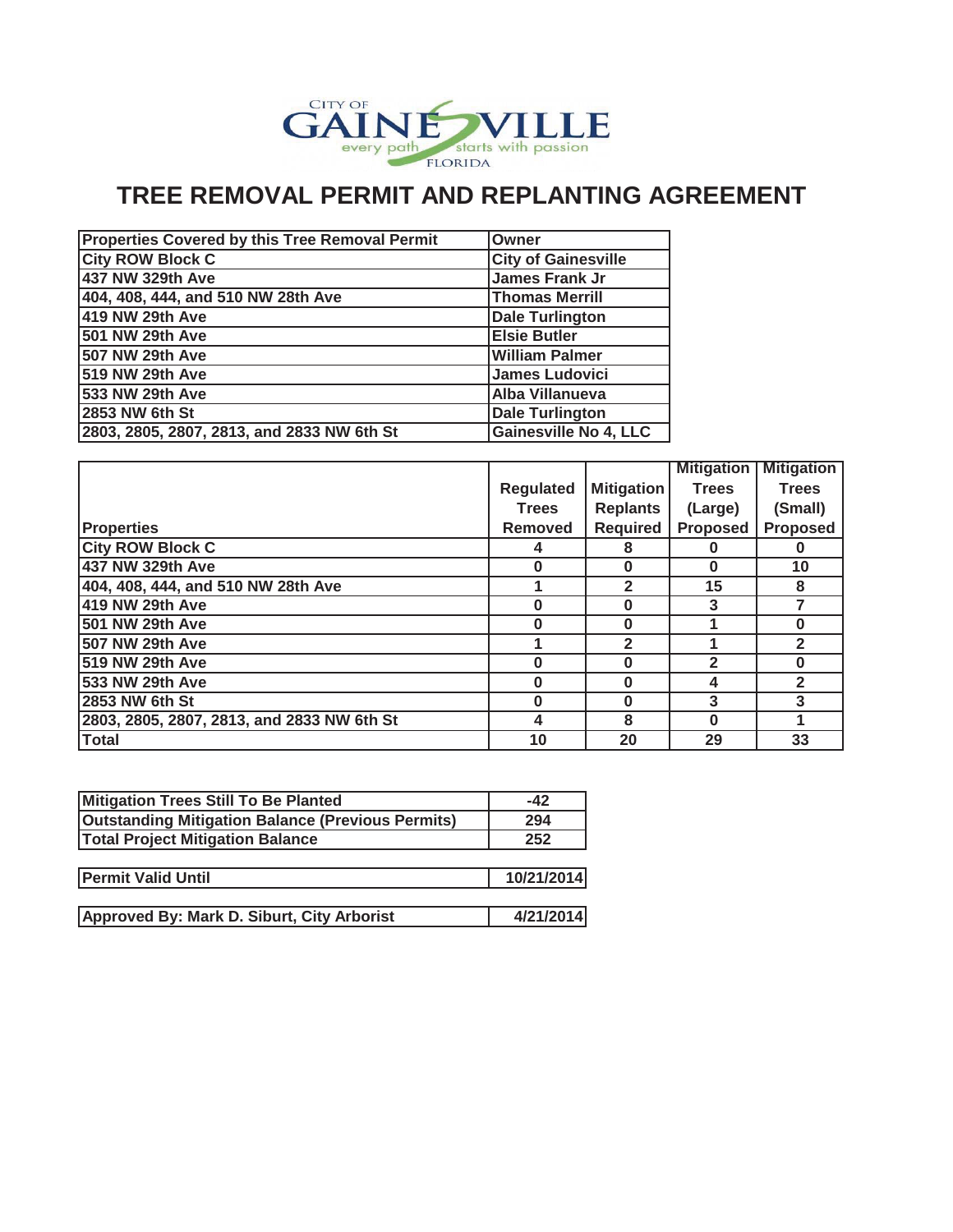

# **TREE REMOVAL PERMIT AND REPLANTING AGREEMENT**

| <b>Properties Covered by this Tree Removal Permit</b> | Owner                        |
|-------------------------------------------------------|------------------------------|
| <b>City ROW Block C</b>                               | <b>City of Gainesville</b>   |
| 437 NW 329th Ave                                      | James Frank Jr               |
| 404, 408, 444, and 510 NW 28th Ave                    | <b>Thomas Merrill</b>        |
| 419 NW 29th Ave                                       | <b>Dale Turlington</b>       |
| 501 NW 29th Ave                                       | <b>Elsie Butler</b>          |
| 507 NW 29th Ave                                       | <b>William Palmer</b>        |
| 519 NW 29th Ave                                       | <b>James Ludovici</b>        |
| 533 NW 29th Ave                                       | Alba Villanueva              |
| 2853 NW 6th St                                        | <b>Dale Turlington</b>       |
| 2803, 2805, 2807, 2813, and 2833 NW 6th St            | <b>Gainesville No 4, LLC</b> |

|                                            |                  |                   | <b>Mitigation</b> | <b>Mitigation</b> |
|--------------------------------------------|------------------|-------------------|-------------------|-------------------|
|                                            | <b>Regulated</b> | <b>Mitigation</b> | <b>Trees</b>      | <b>Trees</b>      |
|                                            | <b>Trees</b>     | <b>Replants</b>   | (Large)           | (Small)           |
| <b>Properties</b>                          | <b>Removed</b>   | <b>Required</b>   | <b>Proposed</b>   | <b>Proposed</b>   |
| <b>City ROW Block C</b>                    | 4                | 8                 | O                 | O                 |
| 437 NW 329th Ave                           | 0                | 0                 | 0                 | 10                |
| 404, 408, 444, and 510 NW 28th Ave         |                  | $\mathbf{2}$      | 15                | 8                 |
| 419 NW 29th Ave                            | O                | 0                 | 3                 |                   |
| 501 NW 29th Ave                            | O                | O                 |                   | O                 |
| 507 NW 29th Ave                            |                  | $\overline{2}$    |                   | $\overline{2}$    |
| 519 NW 29th Ave                            | ŋ                | ŋ                 | $\mathbf{2}$      | O                 |
| 533 NW 29th Ave                            | O                | O                 | 4                 | $\overline{2}$    |
| 2853 NW 6th St                             | O                | O                 | 3                 | 3                 |
| 2803, 2805, 2807, 2813, and 2833 NW 6th St | 4                | 8                 | $\bf{0}$          |                   |
| <b>Total</b>                               | 10               | 20                | 29                | 33                |

| Mitigation Trees Still To Be Planted                     | $-42$      |
|----------------------------------------------------------|------------|
| <b>Outstanding Mitigation Balance (Previous Permits)</b> | 294        |
| <b>Total Project Mitigation Balance</b>                  | 252        |
|                                                          |            |
| <b>Permit Valid Until</b>                                | 10/21/2014 |
|                                                          |            |
| Approved By: Mark D. Siburt, City Arborist               | 4/21/2014  |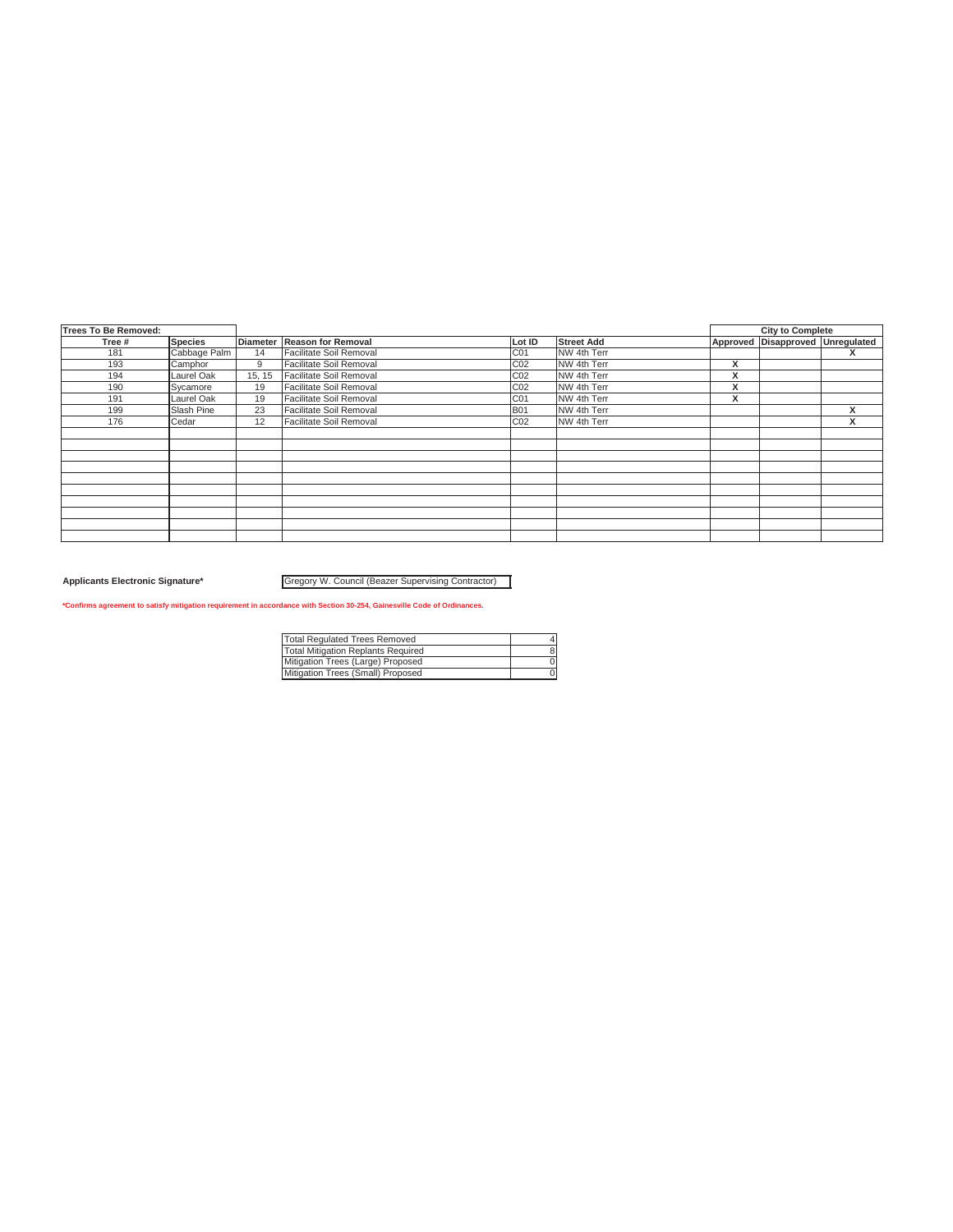| Trees To Be Removed: |                |        |                             |                 |                   |   | <b>City to Complete</b>          |                               |
|----------------------|----------------|--------|-----------------------------|-----------------|-------------------|---|----------------------------------|-------------------------------|
| Tree #               | <b>Species</b> |        | Diameter Reason for Removal | Lot ID          | <b>Street Add</b> |   | Approved Disapproved Unregulated |                               |
| 181                  | Cabbage Palm   | 14     | Facilitate Soil Removal     | C01             | NW 4th Terr       |   |                                  | x                             |
| 193                  | Camphor        | 9      | Facilitate Soil Removal     | CO <sub>2</sub> | NW 4th Terr       | x |                                  |                               |
| 194                  | Laurel Oak     | 15, 15 | Facilitate Soil Removal     | C02             | NW 4th Terr       | х |                                  |                               |
| 190                  | Sycamore       | 19     | Facilitate Soil Removal     | C02             | NW 4th Terr       | x |                                  |                               |
| 191                  | Laurel Oak     | 19     | Facilitate Soil Removal     | CO <sub>1</sub> | NW 4th Terr       | x |                                  |                               |
| 199                  | Slash Pine     | 23     | Facilitate Soil Removal     | <b>B01</b>      | NW 4th Terr       |   |                                  | x                             |
| 176                  | Cedar          | 12     | Facilitate Soil Removal     | C02             | NW 4th Terr       |   |                                  | $\overline{\phantom{a}}$<br>х |
|                      |                |        |                             |                 |                   |   |                                  |                               |
|                      |                |        |                             |                 |                   |   |                                  |                               |
|                      |                |        |                             |                 |                   |   |                                  |                               |
|                      |                |        |                             |                 |                   |   |                                  |                               |
|                      |                |        |                             |                 |                   |   |                                  |                               |
|                      |                |        |                             |                 |                   |   |                                  |                               |
|                      |                |        |                             |                 |                   |   |                                  |                               |
|                      |                |        |                             |                 |                   |   |                                  |                               |
|                      |                |        |                             |                 |                   |   |                                  |                               |
|                      |                |        |                             |                 |                   |   |                                  |                               |

Gregory W. Council (Beazer Supervising Contractor)

**\*Confirms agreement to satisfy mitigation requirement in accordance with Section 30-254, Gainesville Code of Ordinances.**

| <b>Total Requlated Trees Removed</b>      |  |
|-------------------------------------------|--|
| <b>Total Mitigation Replants Required</b> |  |
| Mitigation Trees (Large) Proposed         |  |
| Mitigation Trees (Small) Proposed         |  |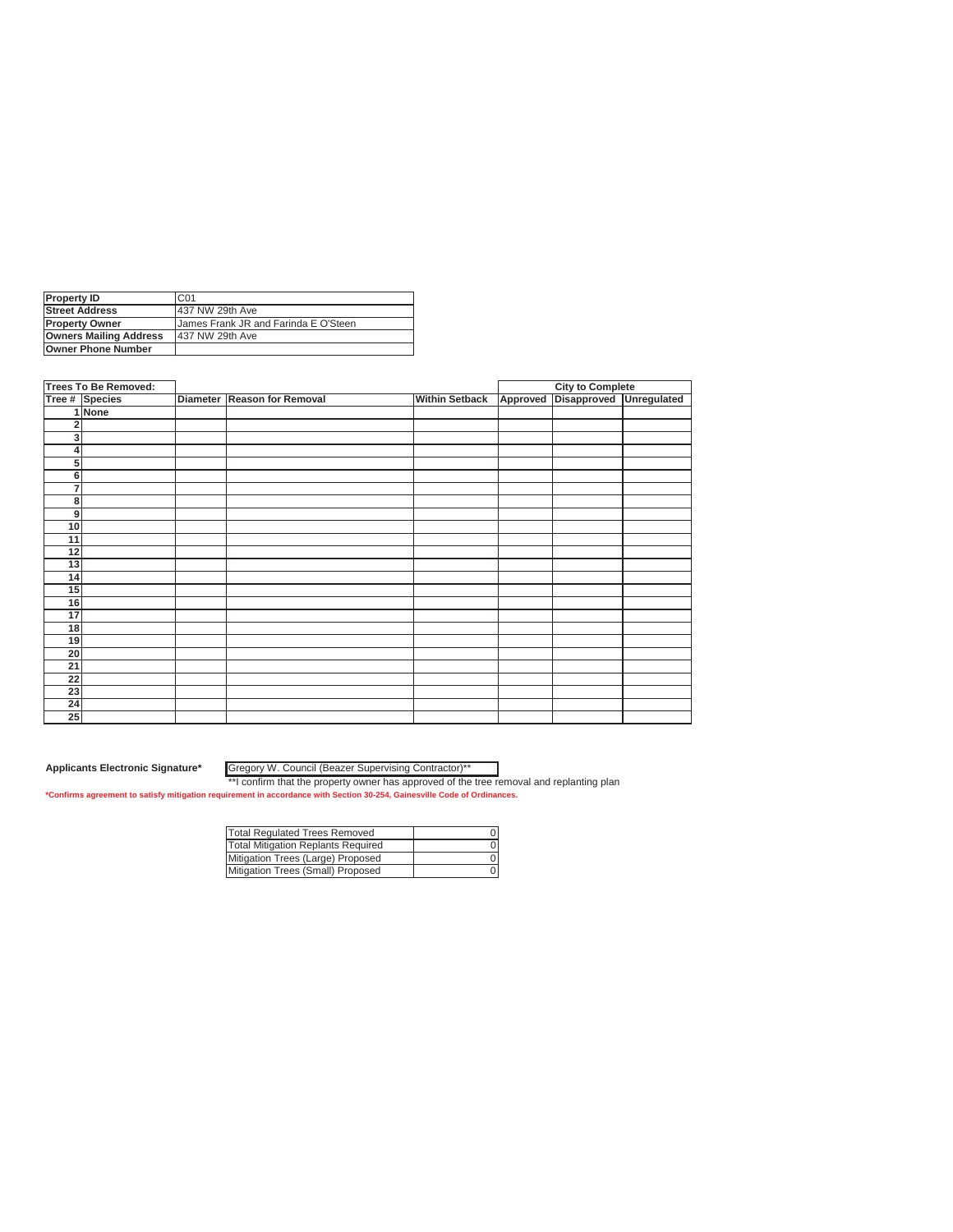| <b>Property ID</b>            | C01                                         |
|-------------------------------|---------------------------------------------|
| <b>Street Address</b>         | 437 NW 29th Ave                             |
| <b>Property Owner</b>         | <b>James Frank JR and Farinda E O'Steen</b> |
| <b>Owners Mailing Address</b> | 437 NW 29th Ave                             |
| <b>Owner Phone Number</b>     |                                             |

|                | <b>Trees To Be Removed:</b> |                             |                       |          | <b>City to Complete</b> |             |
|----------------|-----------------------------|-----------------------------|-----------------------|----------|-------------------------|-------------|
|                | Tree # Species              | Diameter Reason for Removal | <b>Within Setback</b> | Approved | Disapproved             | Unregulated |
|                | 1 None                      |                             |                       |          |                         |             |
| $\overline{2}$ |                             |                             |                       |          |                         |             |
| 3              |                             |                             |                       |          |                         |             |
| 4              |                             |                             |                       |          |                         |             |
| 5              |                             |                             |                       |          |                         |             |
| 6              |                             |                             |                       |          |                         |             |
| 7              |                             |                             |                       |          |                         |             |
| 8              |                             |                             |                       |          |                         |             |
| 9              |                             |                             |                       |          |                         |             |
| 10             |                             |                             |                       |          |                         |             |
| 11             |                             |                             |                       |          |                         |             |
| 12             |                             |                             |                       |          |                         |             |
| 13             |                             |                             |                       |          |                         |             |
| 14             |                             |                             |                       |          |                         |             |
| 15             |                             |                             |                       |          |                         |             |
| 16             |                             |                             |                       |          |                         |             |
| 17             |                             |                             |                       |          |                         |             |
| 18             |                             |                             |                       |          |                         |             |
| 19             |                             |                             |                       |          |                         |             |
| 20             |                             |                             |                       |          |                         |             |
| 21             |                             |                             |                       |          |                         |             |
| 22             |                             |                             |                       |          |                         |             |
| 23             |                             |                             |                       |          |                         |             |
| 24             |                             |                             |                       |          |                         |             |
| 25             |                             |                             |                       |          |                         |             |

Gregory W. Council (Beazer Supervising Contractor)\*\*

| <b>Total Regulated Trees Removed</b> |  |
|--------------------------------------|--|
| Total Mitigation Replants Required   |  |
| Mitigation Trees (Large) Proposed    |  |
| Mitigation Trees (Small) Proposed    |  |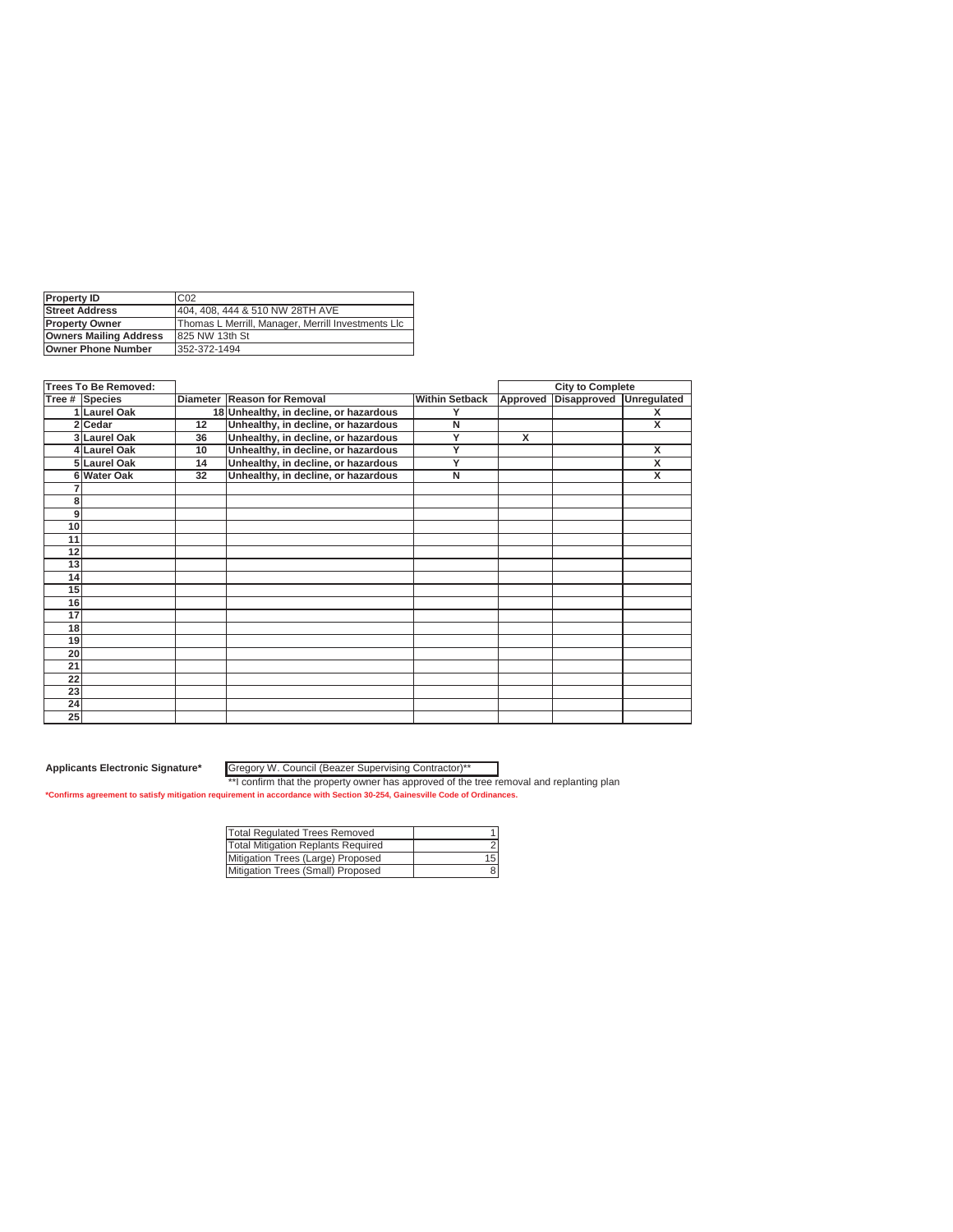| <b>Property ID</b>            | C <sub>02</sub>                                    |
|-------------------------------|----------------------------------------------------|
| <b>Street Address</b>         | 404, 408, 444 & 510 NW 28TH AVE                    |
| <b>Property Owner</b>         | Thomas L Merrill, Manager, Merrill Investments Llc |
| <b>Owners Mailing Address</b> | 825 NW 13th St                                     |
| <b>Owner Phone Number</b>     | 352-372-1494                                       |

|    | <b>Trees To Be Removed:</b> |    |                                        |                       |          | <b>City to Complete</b> |                         |
|----|-----------------------------|----|----------------------------------------|-----------------------|----------|-------------------------|-------------------------|
|    | Tree # Species              |    | Diameter Reason for Removal            | <b>Within Setback</b> | Approved | <b>Disapproved</b>      | <b>Unregulated</b>      |
|    | 1 Laurel Oak                |    | 18 Unhealthy, in decline, or hazardous | Υ                     |          |                         | X                       |
|    | 2 Cedar                     | 12 | Unhealthy, in decline, or hazardous    | N                     |          |                         | X                       |
|    | 3 Laurel Oak                | 36 | Unhealthy, in decline, or hazardous    | Y                     | x        |                         |                         |
|    | 4 Laurel Oak                | 10 | Unhealthy, in decline, or hazardous    | Ÿ                     |          |                         | $\overline{\mathbf{x}}$ |
|    | 5 Laurel Oak                | 14 | Unhealthy, in decline, or hazardous    | Y                     |          |                         | X                       |
|    | 6 Water Oak                 | 32 | Unhealthy, in decline, or hazardous    | N                     |          |                         | X                       |
|    |                             |    |                                        |                       |          |                         |                         |
| 8  |                             |    |                                        |                       |          |                         |                         |
| 9  |                             |    |                                        |                       |          |                         |                         |
| 10 |                             |    |                                        |                       |          |                         |                         |
| 11 |                             |    |                                        |                       |          |                         |                         |
| 12 |                             |    |                                        |                       |          |                         |                         |
| 13 |                             |    |                                        |                       |          |                         |                         |
| 14 |                             |    |                                        |                       |          |                         |                         |
| 15 |                             |    |                                        |                       |          |                         |                         |
| 16 |                             |    |                                        |                       |          |                         |                         |
| 17 |                             |    |                                        |                       |          |                         |                         |
| 18 |                             |    |                                        |                       |          |                         |                         |
| 19 |                             |    |                                        |                       |          |                         |                         |
| 20 |                             |    |                                        |                       |          |                         |                         |
| 21 |                             |    |                                        |                       |          |                         |                         |
| 22 |                             |    |                                        |                       |          |                         |                         |
| 23 |                             |    |                                        |                       |          |                         |                         |
| 24 |                             |    |                                        |                       |          |                         |                         |
| 25 |                             |    |                                        |                       |          |                         |                         |

Gregory W. Council (Beazer Supervising Contractor)\*\*

| Total Regulated Trees Removed      |     |
|------------------------------------|-----|
| Total Mitigation Replants Required |     |
| Mitigation Trees (Large) Proposed  | 15I |
| Mitigation Trees (Small) Proposed  |     |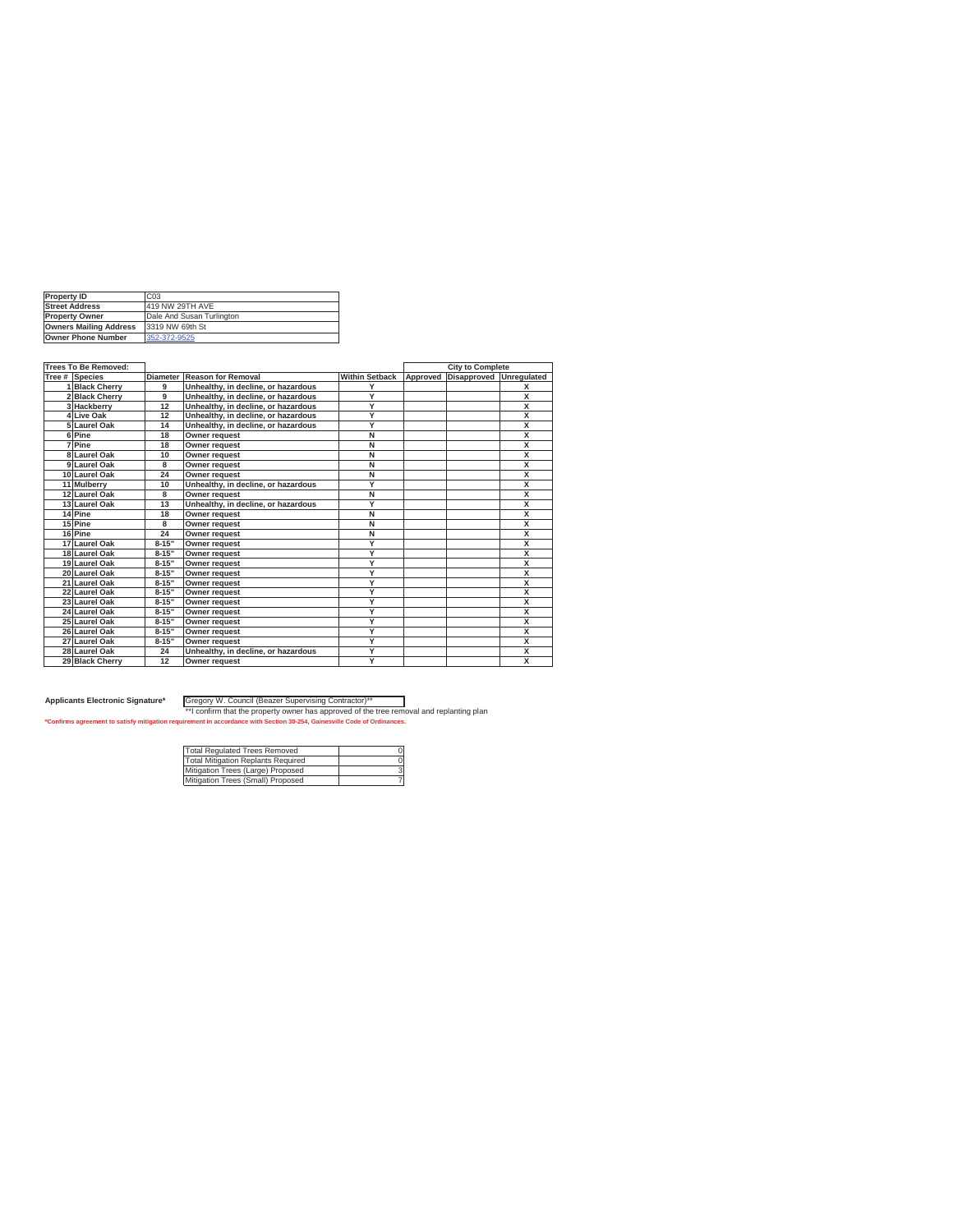| <b>Property ID</b>            | C <sub>0.3</sub>          |
|-------------------------------|---------------------------|
| <b>Street Address</b>         | 419 NW 29TH AVE           |
| <b>Property Owner</b>         | Dale And Susan Turlington |
| <b>Owners Mailing Address</b> | 3319 NW 69th St           |
| <b>Owner Phone Number</b>     | 352-372-9525              |

| <b>Trees To Be Removed:</b> |                 |                                     |                         |          | <b>City to Complete</b> |                         |
|-----------------------------|-----------------|-------------------------------------|-------------------------|----------|-------------------------|-------------------------|
| Tree # Species              | <b>Diameter</b> | <b>Reason for Removal</b>           | <b>Within Setback</b>   | Approved | Disapproved             | Unregulated             |
| 1 Black Cherry              | 9               | Unhealthy, in decline, or hazardous | Y                       |          |                         | X                       |
| 2 Black Cherry              | 9               | Unhealthy, in decline, or hazardous | Y                       |          |                         | $\overline{\mathsf{x}}$ |
| 3 Hackberry                 | 12              | Unhealthy, in decline, or hazardous | Y                       |          |                         | $\overline{\mathsf{x}}$ |
| 4Live Oak                   | 12              | Unhealthy, in decline, or hazardous | Y                       |          |                         | $\overline{\mathbf{x}}$ |
| 5 Laurel Oak                | 14              | Unhealthy, in decline, or hazardous | Y                       |          |                         | X                       |
| 6Pine                       | 18              | <b>Owner request</b>                | Ñ                       |          |                         | $\overline{\mathsf{x}}$ |
| <b>IPine</b>                | 18              | Owner request                       | Ñ                       |          |                         | $\overline{\mathsf{x}}$ |
| 8 Laurel Oak                | 10              | <b>Owner request</b>                | $\overline{\mathsf{N}}$ |          |                         | $\overline{\mathsf{x}}$ |
| 9 Laurel Oak                | 8               | <b>Owner request</b>                | Ñ                       |          |                         | $\overline{\mathsf{x}}$ |
| 10 Laurel Oak               | 24              | Owner request                       | $\overline{\mathsf{N}}$ |          |                         | X                       |
| 11 Mulberry                 | 10              | Unhealthy, in decline, or hazardous | Y                       |          |                         | $\overline{\mathsf{x}}$ |
| 12 Laurel Oak               | 8               | Owner request                       | $\overline{\mathsf{N}}$ |          |                         | X                       |
| 13 Laurel Oak               | 13              | Unhealthy, in decline, or hazardous | Y                       |          |                         | $\overline{\mathsf{x}}$ |
| 14 Pine                     | 18              | Owner request                       | $\overline{\mathsf{N}}$ |          |                         | $\overline{\mathsf{x}}$ |
| 15 Pine                     | 8               | Owner request                       | $\overline{\mathsf{N}}$ |          |                         | X                       |
| 16 Pine                     | 24              | <b>Owner request</b>                | $\overline{\mathsf{N}}$ |          |                         | X                       |
| 17 Laurel Oak               | $8 - 15"$       | <b>Owner request</b>                | Y                       |          |                         | $\overline{\mathsf{x}}$ |
| 18 Laurel Oak               | $8 - 15"$       | <b>Owner request</b>                | Y                       |          |                         | $\overline{\mathsf{x}}$ |
| 19 Laurel Oak               | $8 - 15"$       | Owner request                       | Y                       |          |                         | $\overline{\mathsf{x}}$ |
| 20 Laurel Oak               | $8 - 15"$       | <b>Owner request</b>                | Y                       |          |                         | X                       |
| 21 Laurel Oak               | $8 - 15"$       | <b>Owner request</b>                | Ÿ                       |          |                         | X                       |
| 22 Laurel Oak               | $8 - 15"$       | <b>Owner request</b>                | Y                       |          |                         | $\overline{\mathsf{x}}$ |
| 23 Laurel Oak               | $8 - 15"$       | <b>Owner request</b>                | Y                       |          |                         | $\overline{\mathsf{x}}$ |
| 24 Laurel Oak               | $8 - 15"$       | Owner request                       | Ÿ                       |          |                         | $\overline{\mathsf{x}}$ |
| 25 Laurel Oak               | $8 - 15"$       | <b>Owner request</b>                | Y                       |          |                         | X                       |
| 26 Laurel Oak               | $8 - 15"$       | Owner request                       | Y                       |          |                         | $\overline{\mathsf{x}}$ |
| 27 Laurel Oak               | $8 - 15"$       | <b>Owner request</b>                | Y                       |          |                         | $\overline{\mathsf{x}}$ |
| 28 Laurel Oak               | 24              | Unhealthy, in decline, or hazardous | Ÿ                       |          |                         | $\overline{\mathsf{x}}$ |
| 29 Black Cherry             | 12              | <b>Owner request</b>                | Y                       |          |                         | $\overline{\mathsf{x}}$ |

Applicants Electronic Signature\* [Gregory W. Council (Beazer Supervising Contractor)\*\*<br>\*\* [Confirms agreement to satisfy mitigation requirement in accordance with Section 30-3254, Gainesville Odde the tree removal and repl

| <b>Total Regulated Trees Removed</b> |  |
|--------------------------------------|--|
| Total Mitigation Replants Required   |  |
| Mitigation Trees (Large) Proposed    |  |
| Mitigation Trees (Small) Proposed    |  |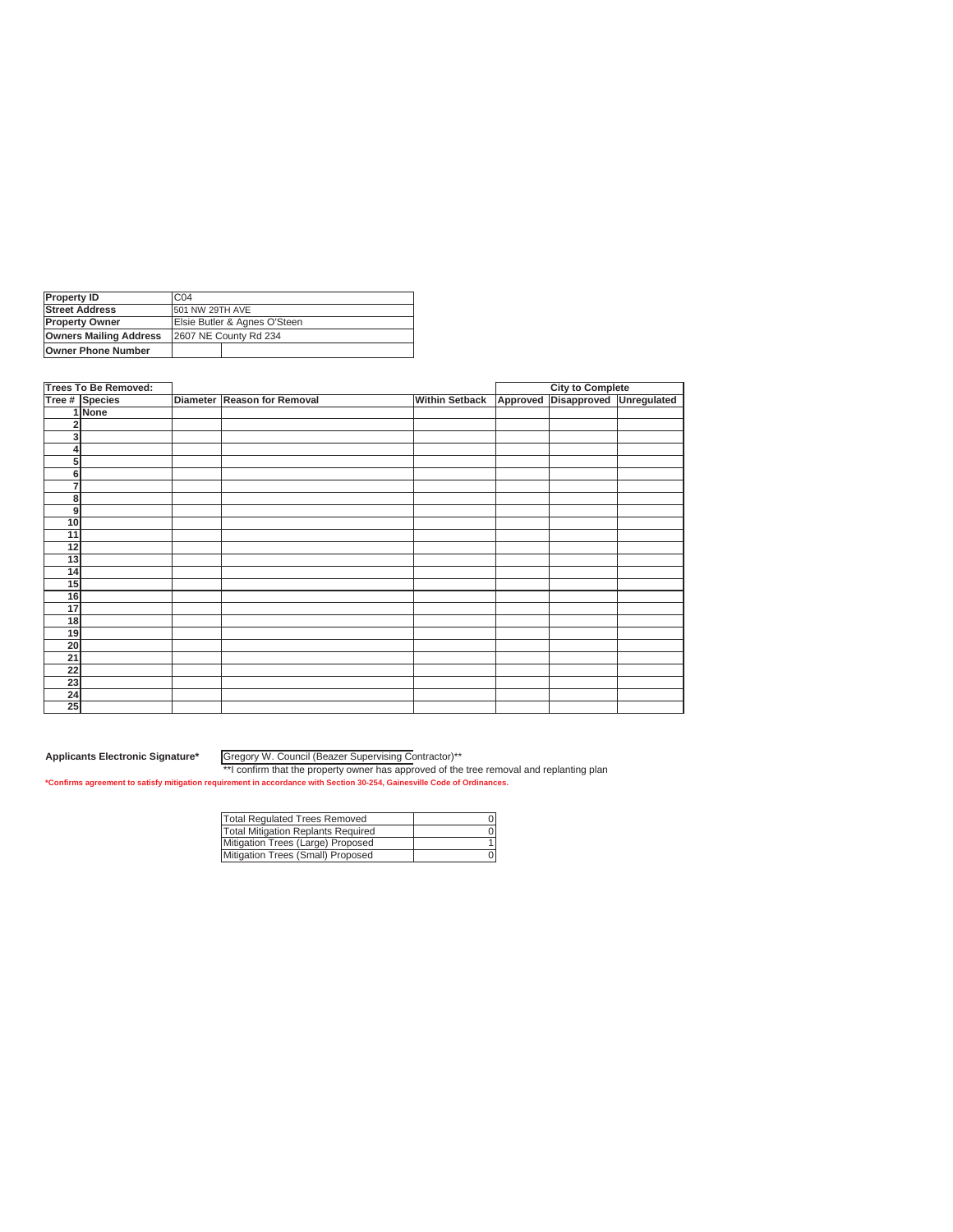| Property ID                   | C <sub>04</sub>              |  |  |
|-------------------------------|------------------------------|--|--|
| <b>Street Address</b>         | 501 NW 29TH AVE              |  |  |
| <b>Property Owner</b>         | Elsie Butler & Agnes O'Steen |  |  |
| <b>Owners Mailing Address</b> | 2607 NE County Rd 234        |  |  |
| lOwner Phone Number           |                              |  |  |

|    | <b>Trees To Be Removed:</b> |                             |                       |          | <b>City to Complete</b> |  |
|----|-----------------------------|-----------------------------|-----------------------|----------|-------------------------|--|
|    | Tree # Species              | Diameter Reason for Removal | <b>Within Setback</b> | Approved | Disapproved Unregulated |  |
|    | 1 None                      |                             |                       |          |                         |  |
| 2  |                             |                             |                       |          |                         |  |
| 3  |                             |                             |                       |          |                         |  |
| 4  |                             |                             |                       |          |                         |  |
| 5  |                             |                             |                       |          |                         |  |
| 6  |                             |                             |                       |          |                         |  |
| 7  |                             |                             |                       |          |                         |  |
| 8  |                             |                             |                       |          |                         |  |
| 9  |                             |                             |                       |          |                         |  |
| 10 |                             |                             |                       |          |                         |  |
| 11 |                             |                             |                       |          |                         |  |
| 12 |                             |                             |                       |          |                         |  |
| 13 |                             |                             |                       |          |                         |  |
| 14 |                             |                             |                       |          |                         |  |
| 15 |                             |                             |                       |          |                         |  |
| 16 |                             |                             |                       |          |                         |  |
| 17 |                             |                             |                       |          |                         |  |
| 18 |                             |                             |                       |          |                         |  |
| 19 |                             |                             |                       |          |                         |  |
| 20 |                             |                             |                       |          |                         |  |
| 21 |                             |                             |                       |          |                         |  |
| 22 |                             |                             |                       |          |                         |  |
| 23 |                             |                             |                       |          |                         |  |
| 24 |                             |                             |                       |          |                         |  |
| 25 |                             |                             |                       |          |                         |  |

Gregory W. Council (Beazer Supervising Contractor)\*\*

| Total Regulated Trees Removed      |  |
|------------------------------------|--|
| Total Mitigation Replants Required |  |
| Mitigation Trees (Large) Proposed  |  |
| Mitigation Trees (Small) Proposed  |  |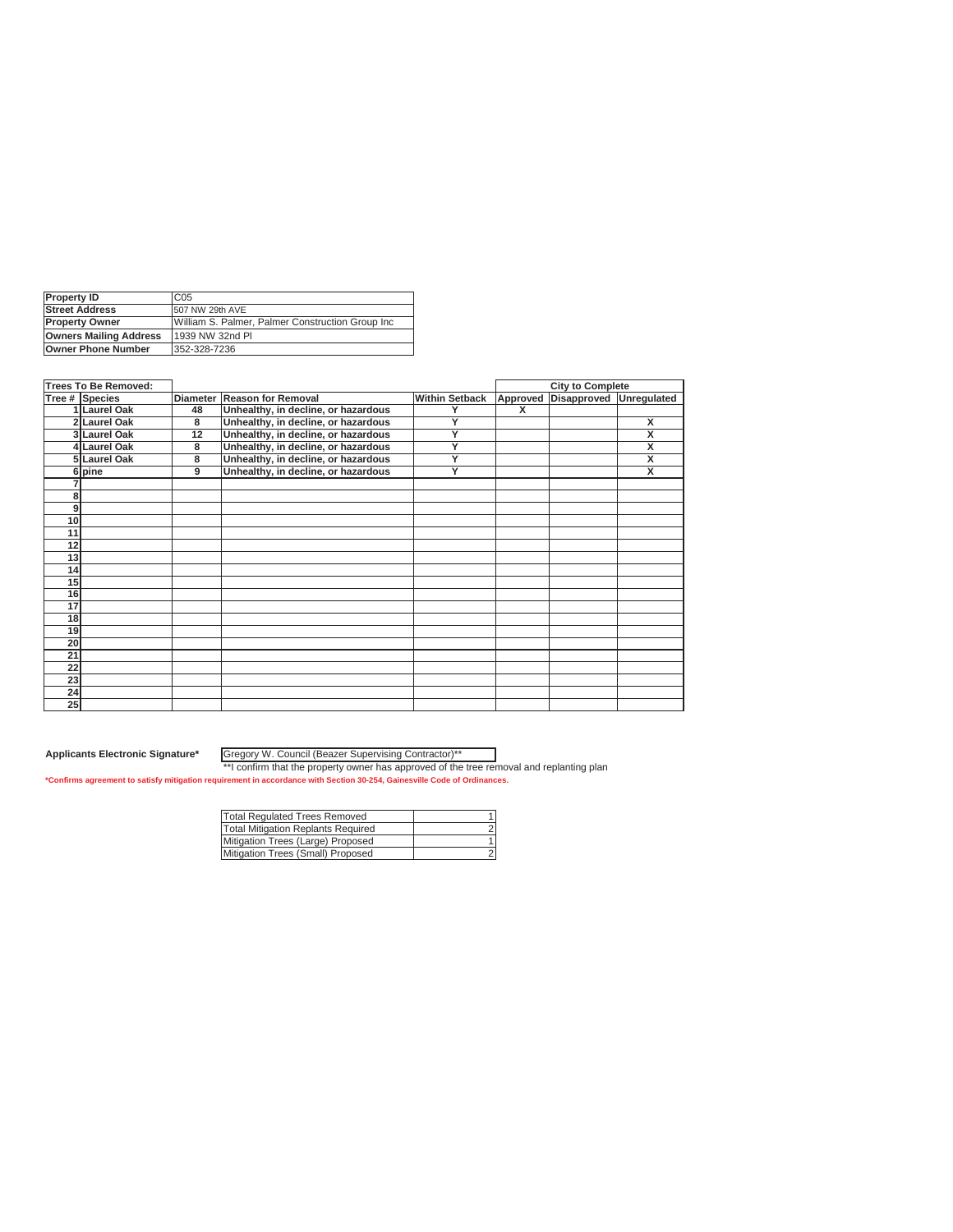| <b>Property ID</b>            | C <sub>05</sub>                                   |
|-------------------------------|---------------------------------------------------|
| <b>Street Address</b>         | 507 NW 29th AVE                                   |
| <b>Property Owner</b>         | William S. Palmer. Palmer Construction Group Inc. |
| <b>Owners Mailing Address</b> | 1939 NW 32nd PI                                   |
| <b>Owner Phone Number</b>     | 352-328-7236                                      |
|                               |                                                   |

|                 | Trees To Be Removed: |                 |                                     |                       |          | <b>City to Complete</b> |             |
|-----------------|----------------------|-----------------|-------------------------------------|-----------------------|----------|-------------------------|-------------|
|                 | Tree # Species       | <b>Diameter</b> | <b>Reason for Removal</b>           | <b>Within Setback</b> | Approved | Disapproved             | Unregulated |
|                 | <b>Laurel Oak</b>    | 48              | Unhealthy, in decline, or hazardous | Y                     | x        |                         |             |
|                 | 2 Laurel Oak         | 8               | Unhealthy, in decline, or hazardous | Y                     |          |                         | X           |
|                 | 3 Laurel Oak         | 12              | Unhealthy, in decline, or hazardous | Y                     |          |                         | X           |
|                 | 4 Laurel Oak         | 8               | Unhealthy, in decline, or hazardous | Y                     |          |                         | X           |
|                 | 5 Laurel Oak         | 8               | Unhealthy, in decline, or hazardous | Y                     |          |                         | X           |
|                 | 6 pine               | 9               | Unhealthy, in decline, or hazardous | Y                     |          |                         | x           |
|                 |                      |                 |                                     |                       |          |                         |             |
| 8               |                      |                 |                                     |                       |          |                         |             |
| 9               |                      |                 |                                     |                       |          |                         |             |
| 10              |                      |                 |                                     |                       |          |                         |             |
| 11              |                      |                 |                                     |                       |          |                         |             |
| 12              |                      |                 |                                     |                       |          |                         |             |
| 13              |                      |                 |                                     |                       |          |                         |             |
| 14              |                      |                 |                                     |                       |          |                         |             |
| 15              |                      |                 |                                     |                       |          |                         |             |
| 16              |                      |                 |                                     |                       |          |                         |             |
| 17              |                      |                 |                                     |                       |          |                         |             |
| 18              |                      |                 |                                     |                       |          |                         |             |
| 19              |                      |                 |                                     |                       |          |                         |             |
| 20              |                      |                 |                                     |                       |          |                         |             |
| 21              |                      |                 |                                     |                       |          |                         |             |
| $\overline{22}$ |                      |                 |                                     |                       |          |                         |             |
| 23              |                      |                 |                                     |                       |          |                         |             |
| 24              |                      |                 |                                     |                       |          |                         |             |
| 25              |                      |                 |                                     |                       |          |                         |             |

Gregory W. Council (Beazer Supervising Contractor)\*\*

| <b>Total Regulated Trees Removed</b> |  |
|--------------------------------------|--|
| Total Mitigation Replants Required   |  |
| Mitigation Trees (Large) Proposed    |  |
| Mitigation Trees (Small) Proposed    |  |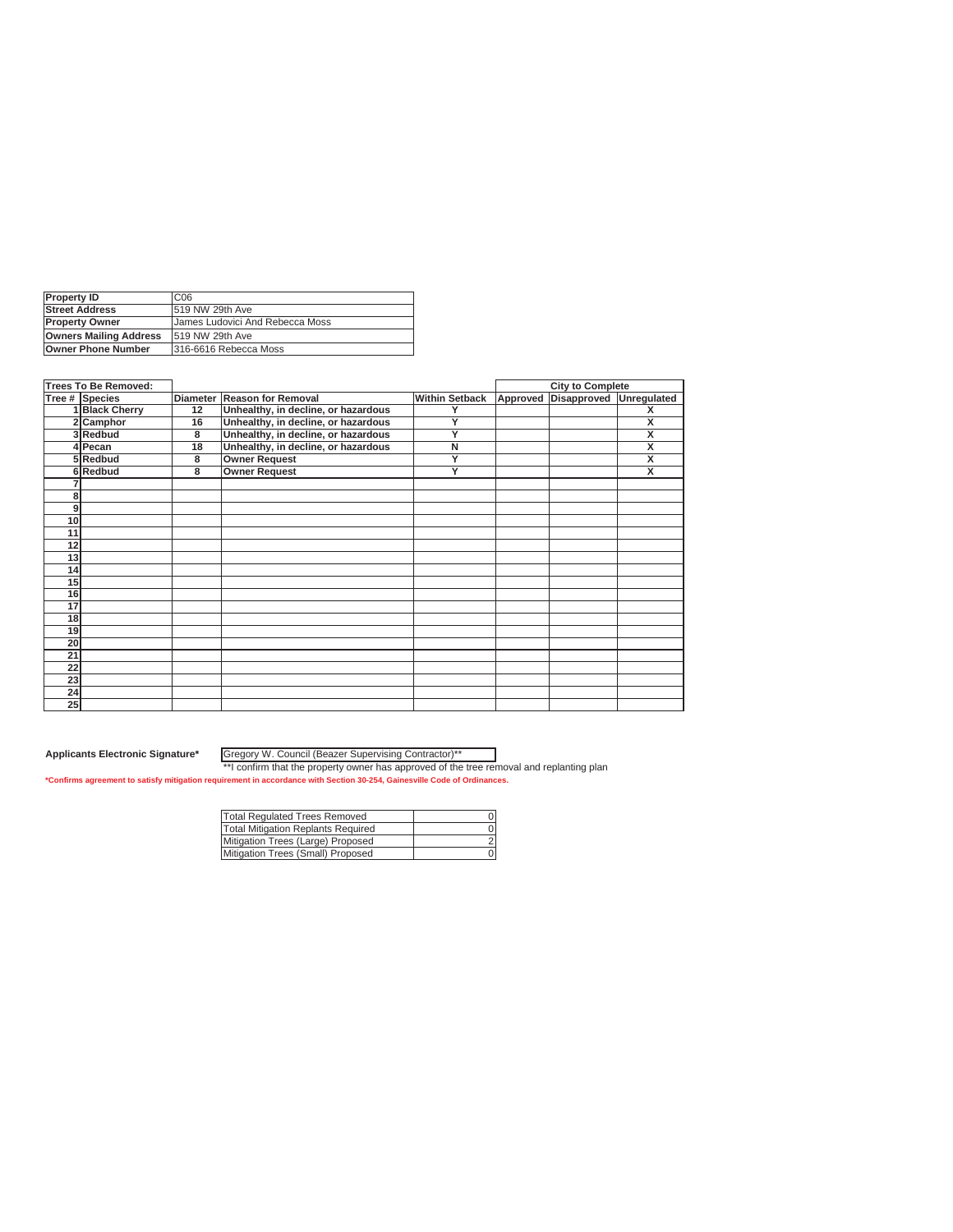| C06                                    | <b>Property ID</b>            |
|----------------------------------------|-------------------------------|
| 1519 NW 29th Ave                       | <b>Street Address</b>         |
| <b>James Ludovici And Rebecca Moss</b> | <b>Property Owner</b>         |
| 519 NW 29th Ave                        | <b>Owners Mailing Address</b> |
| 316-6616 Rebecca Moss                  |                               |
|                                        | Owner Phone Number            |

| <b>Trees To Be Removed:</b> |                 |                                     |                       |          | <b>City to Complete</b> |             |
|-----------------------------|-----------------|-------------------------------------|-----------------------|----------|-------------------------|-------------|
| Tree # Species              | <b>Diameter</b> | <b>Reason for Removal</b>           | <b>Within Setback</b> | Approved | Disapproved             | Unregulated |
| 1 Black Cherry              | 12              | Unhealthy, in decline, or hazardous | Υ                     |          |                         | x           |
| 2 Camphor                   | 16              | Unhealthy, in decline, or hazardous | Y                     |          |                         | x           |
| 3Redbud                     | 8               | Unhealthy, in decline, or hazardous | Y                     |          |                         | X           |
| 4 Pecan                     | 18              | Unhealthy, in decline, or hazardous | N                     |          |                         | X           |
| 5Redbud                     | 8               | <b>Owner Request</b>                | Y                     |          |                         | X           |
| 6Redbud                     | 8               | <b>Owner Request</b>                | Ÿ                     |          |                         | X           |
|                             |                 |                                     |                       |          |                         |             |
| 8                           |                 |                                     |                       |          |                         |             |
| 9                           |                 |                                     |                       |          |                         |             |
| 10                          |                 |                                     |                       |          |                         |             |
| 11                          |                 |                                     |                       |          |                         |             |
| 12                          |                 |                                     |                       |          |                         |             |
| 13                          |                 |                                     |                       |          |                         |             |
| 14                          |                 |                                     |                       |          |                         |             |
| 15                          |                 |                                     |                       |          |                         |             |
| 16                          |                 |                                     |                       |          |                         |             |
| 17                          |                 |                                     |                       |          |                         |             |
| 18                          |                 |                                     |                       |          |                         |             |
| 19                          |                 |                                     |                       |          |                         |             |
| 20                          |                 |                                     |                       |          |                         |             |
| 21                          |                 |                                     |                       |          |                         |             |
| 22                          |                 |                                     |                       |          |                         |             |
| 23                          |                 |                                     |                       |          |                         |             |
| 24                          |                 |                                     |                       |          |                         |             |
| 25                          |                 |                                     |                       |          |                         |             |

Gregory W. Council (Beazer Supervising Contractor)\*\*

| <b>Total Regulated Trees Removed</b> |  |
|--------------------------------------|--|
| Total Mitigation Replants Required   |  |
| Mitigation Trees (Large) Proposed    |  |
| Mitigation Trees (Small) Proposed    |  |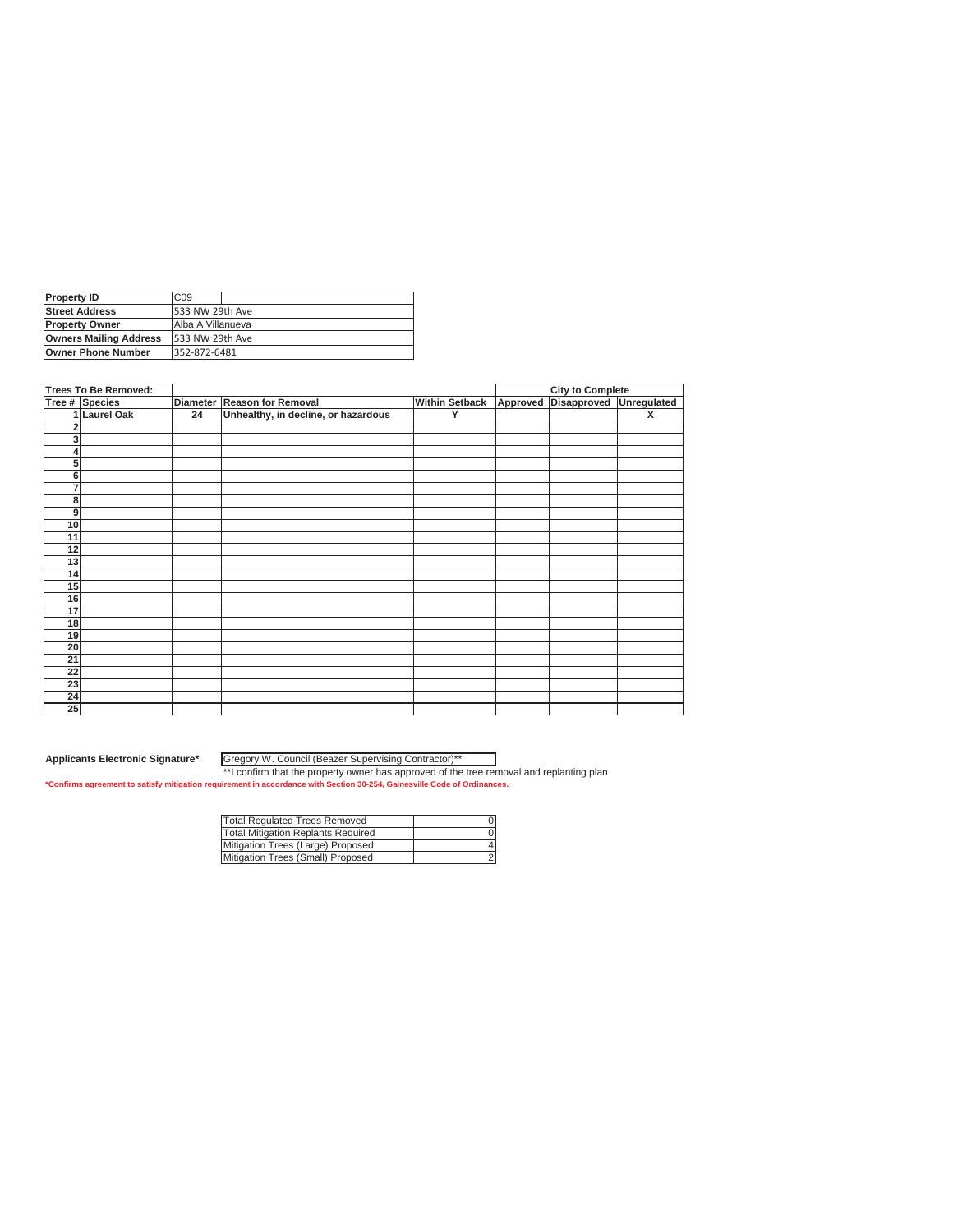| <b>Property ID</b>            | C <sub>09</sub>   |
|-------------------------------|-------------------|
| <b>Street Address</b>         | 533 NW 29th Ave   |
| <b>Property Owner</b>         | Alba A Villanueva |
| <b>Owners Mailing Address</b> | 533 NW 29th Ave   |
| <b>Owner Phone Number</b>     | 352-872-6481      |

|                         | Trees To Be Removed: |                 |                                     |                       |          | <b>City to Complete</b> |                         |
|-------------------------|----------------------|-----------------|-------------------------------------|-----------------------|----------|-------------------------|-------------------------|
|                         | Tree # Species       | <b>Diameter</b> | <b>Reason for Removal</b>           | <b>Within Setback</b> | Approved | Disapproved             | Unregulated             |
|                         | 1 Laurel Oak         | 24              | Unhealthy, in decline, or hazardous | v                     |          |                         | $\overline{\mathsf{x}}$ |
| $\overline{\mathbf{c}}$ |                      |                 |                                     |                       |          |                         |                         |
| 3                       |                      |                 |                                     |                       |          |                         |                         |
| ۷                       |                      |                 |                                     |                       |          |                         |                         |
| 5                       |                      |                 |                                     |                       |          |                         |                         |
| 6                       |                      |                 |                                     |                       |          |                         |                         |
| 7                       |                      |                 |                                     |                       |          |                         |                         |
| 8                       |                      |                 |                                     |                       |          |                         |                         |
| 9                       |                      |                 |                                     |                       |          |                         |                         |
| 10                      |                      |                 |                                     |                       |          |                         |                         |
| 11                      |                      |                 |                                     |                       |          |                         |                         |
| 12                      |                      |                 |                                     |                       |          |                         |                         |
| 13                      |                      |                 |                                     |                       |          |                         |                         |
| 14                      |                      |                 |                                     |                       |          |                         |                         |
| 15                      |                      |                 |                                     |                       |          |                         |                         |
| 16                      |                      |                 |                                     |                       |          |                         |                         |
| 17                      |                      |                 |                                     |                       |          |                         |                         |
| 18                      |                      |                 |                                     |                       |          |                         |                         |
| 19                      |                      |                 |                                     |                       |          |                         |                         |
| 20                      |                      |                 |                                     |                       |          |                         |                         |
| 21                      |                      |                 |                                     |                       |          |                         |                         |
| 22                      |                      |                 |                                     |                       |          |                         |                         |
| 23                      |                      |                 |                                     |                       |          |                         |                         |
| 24                      |                      |                 |                                     |                       |          |                         |                         |
| 25                      |                      |                 |                                     |                       |          |                         |                         |

Gregory W. Council (Beazer Supervising Contractor)\*\*

| <b>Total Regulated Trees Removed</b> |  |
|--------------------------------------|--|
| Total Mitigation Replants Required   |  |
| Mitigation Trees (Large) Proposed    |  |
| Mitigation Trees (Small) Proposed    |  |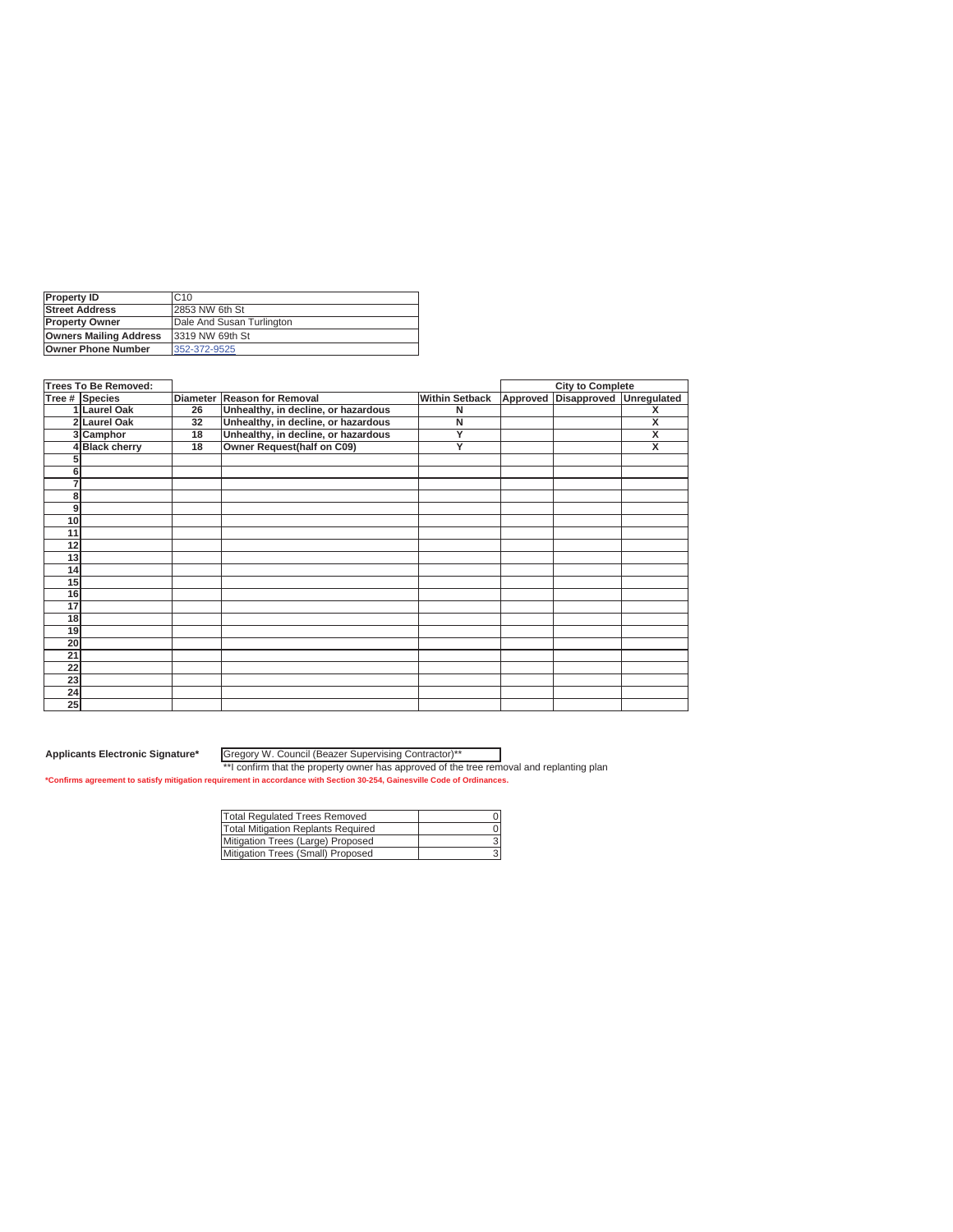| <b>IProperty ID</b>           | C <sub>10</sub>           |
|-------------------------------|---------------------------|
| <b>Street Address</b>         | 2853 NW 6th St            |
| <b>Property Owner</b>         | Dale And Susan Turlington |
| <b>Owners Mailing Address</b> | 13319 NW 69th St          |
| <b>Owner Phone Number</b>     | 352-372-9525              |

|                 | <b>Trees To Be Removed:</b> |                 |                                     |                       |          | <b>City to Complete</b> |                         |
|-----------------|-----------------------------|-----------------|-------------------------------------|-----------------------|----------|-------------------------|-------------------------|
|                 | Tree # Species              | <b>Diameter</b> | <b>Reason for Removal</b>           | <b>Within Setback</b> | Approved | Disapproved             | Unregulated             |
|                 | 1 Laurel Oak                | 26              | Unhealthy, in decline, or hazardous | N                     |          |                         | x                       |
|                 | 2 Laurel Oak                | 32              | Unhealthy, in decline, or hazardous | N                     |          |                         | X                       |
|                 | 3 Camphor                   | 18              | Unhealthy, in decline, or hazardous | Y                     |          |                         | $\overline{\mathbf{x}}$ |
|                 | 4Black cherry               | 18              | Owner Request(half on C09)          | Y                     |          |                         | x                       |
|                 |                             |                 |                                     |                       |          |                         |                         |
| 6               |                             |                 |                                     |                       |          |                         |                         |
| 7               |                             |                 |                                     |                       |          |                         |                         |
| 8               |                             |                 |                                     |                       |          |                         |                         |
| 9               |                             |                 |                                     |                       |          |                         |                         |
| 10 <sup>1</sup> |                             |                 |                                     |                       |          |                         |                         |
| 11              |                             |                 |                                     |                       |          |                         |                         |
| 12              |                             |                 |                                     |                       |          |                         |                         |
| 13              |                             |                 |                                     |                       |          |                         |                         |
| 14              |                             |                 |                                     |                       |          |                         |                         |
| 15              |                             |                 |                                     |                       |          |                         |                         |
| 16              |                             |                 |                                     |                       |          |                         |                         |
| 17              |                             |                 |                                     |                       |          |                         |                         |
| 18              |                             |                 |                                     |                       |          |                         |                         |
| 19              |                             |                 |                                     |                       |          |                         |                         |
| 20              |                             |                 |                                     |                       |          |                         |                         |
| 21              |                             |                 |                                     |                       |          |                         |                         |
| 22              |                             |                 |                                     |                       |          |                         |                         |
| 23              |                             |                 |                                     |                       |          |                         |                         |
| 24              |                             |                 |                                     |                       |          |                         |                         |
| 25              |                             |                 |                                     |                       |          |                         |                         |

Gregory W. Council (Beazer Supervising Contractor)\*\*

| <b>Total Regulated Trees Removed</b> |  |
|--------------------------------------|--|
| Total Mitigation Replants Required   |  |
| Mitigation Trees (Large) Proposed    |  |
| Mitigation Trees (Small) Proposed    |  |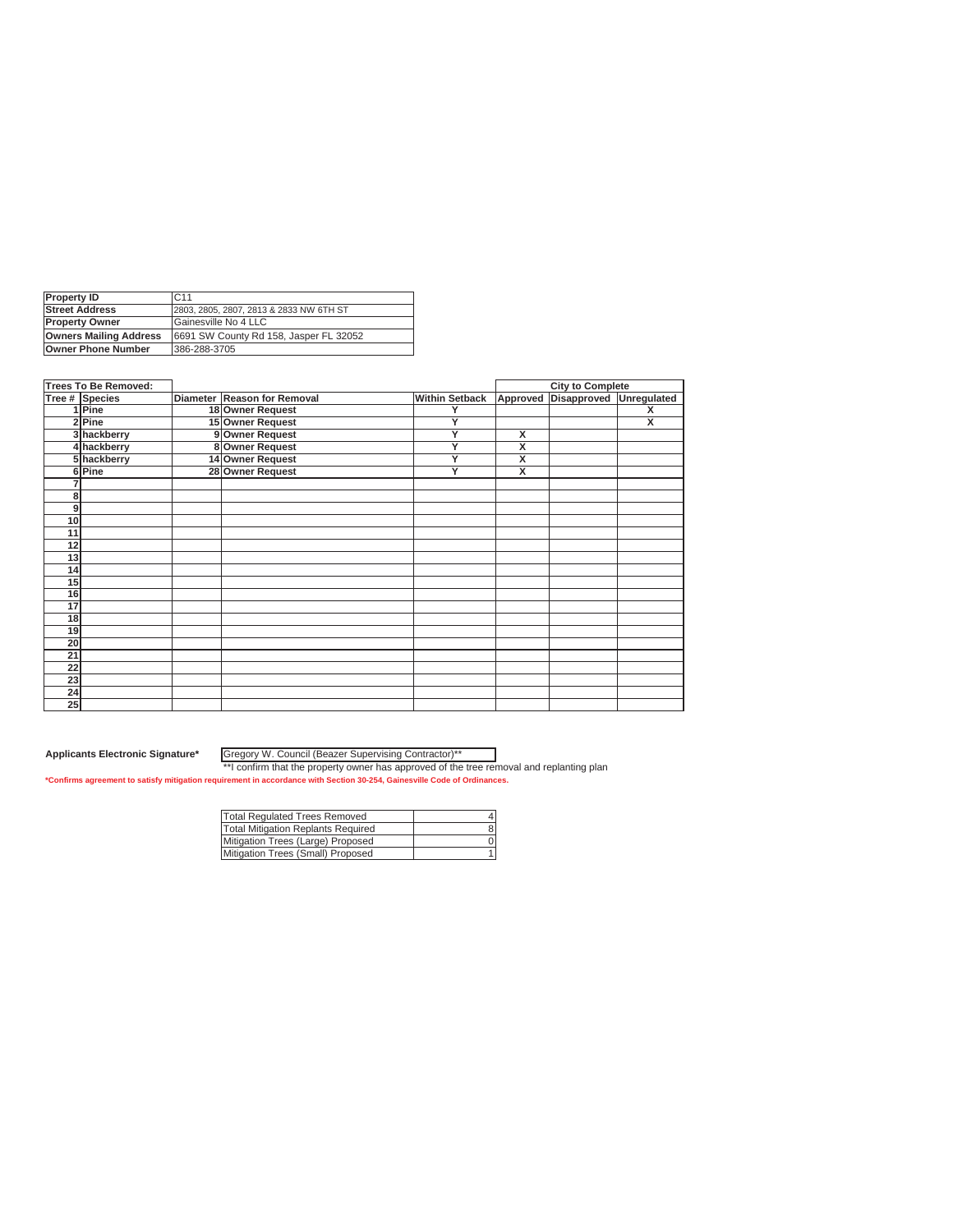| <b>Property ID</b>            | C.11                                    |
|-------------------------------|-----------------------------------------|
| <b>Street Address</b>         | 2803, 2805, 2807, 2813 & 2833 NW 6TH ST |
| <b>Property Owner</b>         | Gainesville No 4 LLC                    |
| <b>Owners Mailing Address</b> | 6691 SW County Rd 158, Jasper FL 32052  |
| <b>Owner Phone Number</b>     | 386-288-3705                            |
|                               |                                         |

|    | <b>Trees To Be Removed:</b> |                             |                       |                         | <b>City to Complete</b> |             |
|----|-----------------------------|-----------------------------|-----------------------|-------------------------|-------------------------|-------------|
|    | Tree # Species              | Diameter Reason for Removal | <b>Within Setback</b> | Approved                | Disapproved             | Unregulated |
|    | 1 Pine                      | 18 Owner Request            | Y                     |                         |                         | X           |
|    | 2 Pine                      | 15 Owner Request            | Y                     |                         |                         | X           |
|    | 3 hackberry                 | 9 Owner Request             | Υ                     | X                       |                         |             |
|    | 4 hackberry                 | 8 Owner Request             | Y                     | $\overline{\mathsf{x}}$ |                         |             |
|    | 5 hackberry                 | 14 Owner Request            | Y                     | $\overline{\mathbf{x}}$ |                         |             |
|    | 6 Pine                      | 28 Owner Request            | Y                     | $\overline{\mathbf{x}}$ |                         |             |
|    |                             |                             |                       |                         |                         |             |
| 8  |                             |                             |                       |                         |                         |             |
| 9  |                             |                             |                       |                         |                         |             |
| 10 |                             |                             |                       |                         |                         |             |
| 11 |                             |                             |                       |                         |                         |             |
| 12 |                             |                             |                       |                         |                         |             |
| 13 |                             |                             |                       |                         |                         |             |
| 14 |                             |                             |                       |                         |                         |             |
| 15 |                             |                             |                       |                         |                         |             |
| 16 |                             |                             |                       |                         |                         |             |
| 17 |                             |                             |                       |                         |                         |             |
| 18 |                             |                             |                       |                         |                         |             |
| 19 |                             |                             |                       |                         |                         |             |
| 20 |                             |                             |                       |                         |                         |             |
| 21 |                             |                             |                       |                         |                         |             |
| 22 |                             |                             |                       |                         |                         |             |
| 23 |                             |                             |                       |                         |                         |             |
| 24 |                             |                             |                       |                         |                         |             |
| 25 |                             |                             |                       |                         |                         |             |

Gregory W. Council (Beazer Supervising Contractor)\*\*

| <b>Total Regulated Trees Removed</b> |  |
|--------------------------------------|--|
| Total Mitigation Replants Required   |  |
| Mitigation Trees (Large) Proposed    |  |
| Mitigation Trees (Small) Proposed    |  |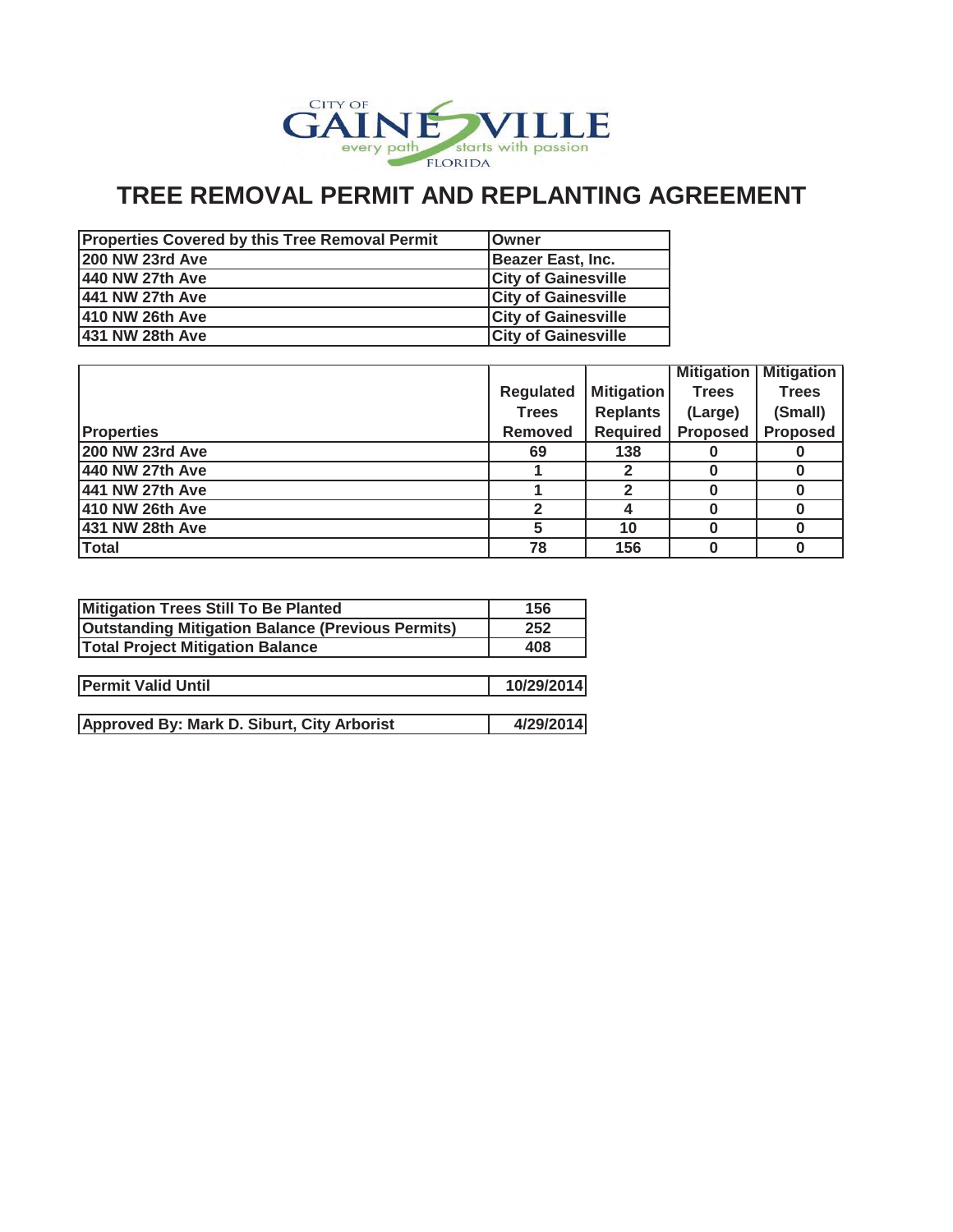

# **TREE REMOVAL PERMIT AND REPLANTING AGREEMENT**

| <b>Properties Covered by this Tree Removal Permit</b> | <b>IOwner</b>              |
|-------------------------------------------------------|----------------------------|
| <b>200 NW 23rd Ave</b>                                | Beazer East, Inc.          |
| 440 NW 27th Ave                                       | <b>City of Gainesville</b> |
| 441 NW 27th Ave                                       | <b>City of Gainesville</b> |
| 410 NW 26th Ave                                       | <b>City of Gainesville</b> |
| 431 NW 28th Ave                                       | <b>City of Gainesville</b> |

|                        |                  |                   | <b>Mitigation</b> | <b>Mitigation</b> |
|------------------------|------------------|-------------------|-------------------|-------------------|
|                        | <b>Regulated</b> | <b>Mitigation</b> | <b>Trees</b>      | <b>Trees</b>      |
|                        | <b>Trees</b>     | <b>Replants</b>   | (Large)           | (Small)           |
| <b>Properties</b>      | <b>Removed</b>   | <b>Required</b>   | <b>Proposed</b>   | <b>Proposed</b>   |
| <b>200 NW 23rd Ave</b> | 69               | 138               |                   |                   |
| 440 NW 27th Ave        |                  |                   |                   |                   |
| 441 NW 27th Ave        |                  |                   |                   |                   |
| 410 NW 26th Ave        |                  |                   |                   |                   |
| 431 NW 28th Ave        |                  | 10                |                   |                   |
| <b>Total</b>           | 78               | 156               |                   |                   |

| Mitigation Trees Still To Be Planted                     | 156        |
|----------------------------------------------------------|------------|
| <b>Outstanding Mitigation Balance (Previous Permits)</b> | 252        |
| <b>Total Project Mitigation Balance</b>                  | 408        |
|                                                          |            |
| <b>Permit Valid Until</b>                                | 10/29/2014 |
|                                                          |            |
| Approved By: Mark D. Siburt, City Arborist               | 4/29/2014  |
|                                                          |            |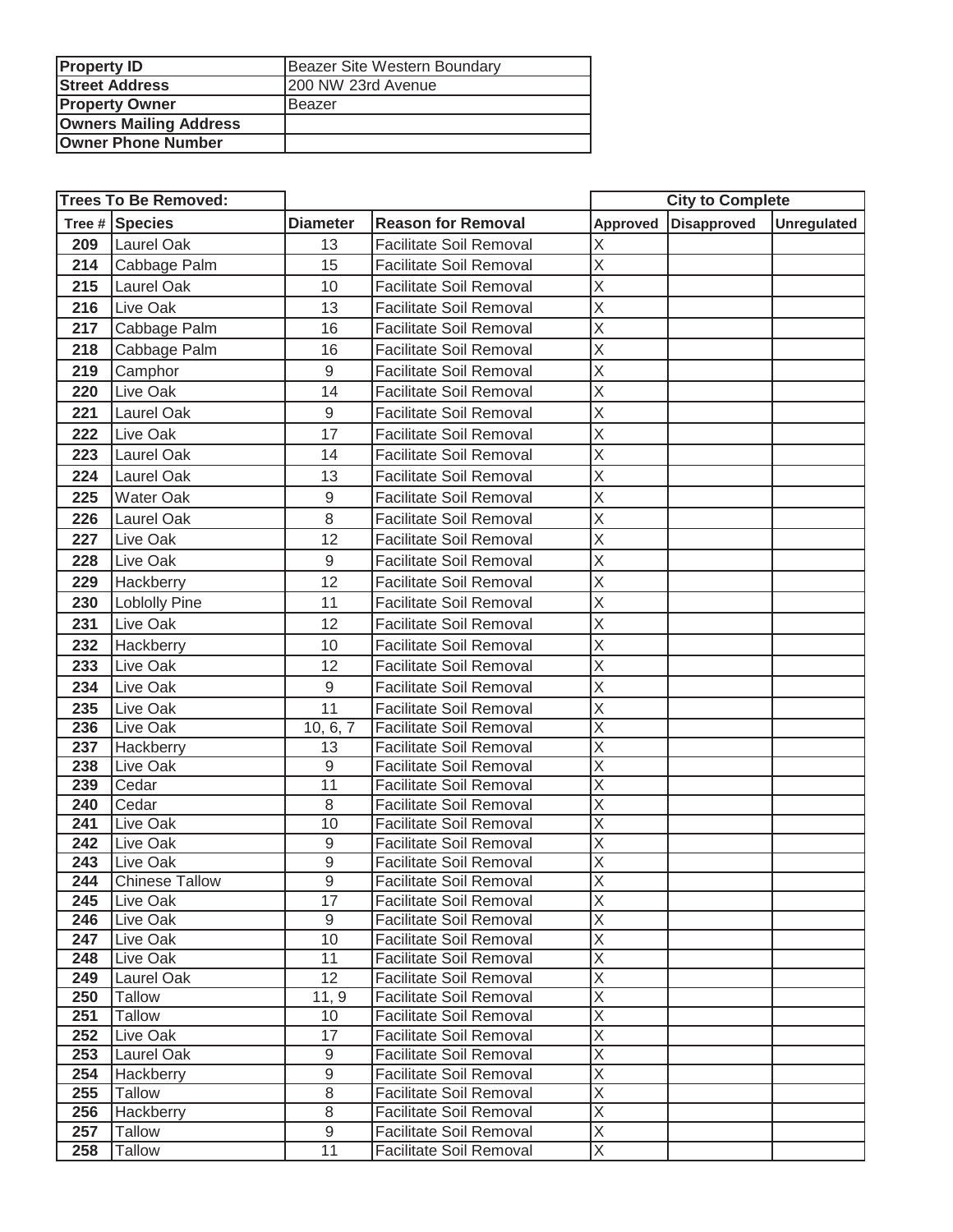| <b>Property ID</b>            | Beazer Site Western Boundary |  |
|-------------------------------|------------------------------|--|
| <b>Street Address</b>         | 200 NW 23rd Avenue           |  |
| <b>Property Owner</b>         | Beazer                       |  |
| <b>Owners Mailing Address</b> |                              |  |
| <b>Owner Phone Number</b>     |                              |  |

| <b>Trees To Be Removed:</b> |                            |                   |                                                                  | <b>City to Complete</b>                            |                    |                    |
|-----------------------------|----------------------------|-------------------|------------------------------------------------------------------|----------------------------------------------------|--------------------|--------------------|
|                             | Tree # Species             | <b>Diameter</b>   | <b>Reason for Removal</b>                                        | <b>Approved</b>                                    | <b>Disapproved</b> | <b>Unregulated</b> |
| 209                         | Laurel Oak                 | 13                | <b>Facilitate Soil Removal</b>                                   | Χ                                                  |                    |                    |
| 214                         | Cabbage Palm               | 15                | <b>Facilitate Soil Removal</b>                                   | X                                                  |                    |                    |
| 215                         | Laurel Oak                 | 10                | <b>Facilitate Soil Removal</b>                                   | X                                                  |                    |                    |
| 216                         | Live Oak                   | 13                | <b>Facilitate Soil Removal</b>                                   | X                                                  |                    |                    |
| 217                         | Cabbage Palm               | 16                | <b>Facilitate Soil Removal</b>                                   | X                                                  |                    |                    |
| 218                         | Cabbage Palm               | 16                | <b>Facilitate Soil Removal</b>                                   | X                                                  |                    |                    |
| 219                         | Camphor                    | $9\,$             | <b>Facilitate Soil Removal</b>                                   | X                                                  |                    |                    |
| 220                         | Live Oak                   | 14                | <b>Facilitate Soil Removal</b>                                   | X                                                  |                    |                    |
| 221                         | Laurel Oak                 | $9\,$             | <b>Facilitate Soil Removal</b>                                   | X                                                  |                    |                    |
| 222                         | Live Oak                   | 17                | <b>Facilitate Soil Removal</b>                                   | X                                                  |                    |                    |
| 223                         | Laurel Oak                 | 14                | <b>Facilitate Soil Removal</b>                                   | X                                                  |                    |                    |
| 224                         | Laurel Oak                 | 13                | <b>Facilitate Soil Removal</b>                                   | X                                                  |                    |                    |
| 225                         | <b>Water Oak</b>           | $9\,$             | <b>Facilitate Soil Removal</b>                                   | X                                                  |                    |                    |
| 226                         | Laurel Oak                 | 8                 | <b>Facilitate Soil Removal</b>                                   | X                                                  |                    |                    |
| 227                         | Live Oak                   | 12                | <b>Facilitate Soil Removal</b>                                   | X                                                  |                    |                    |
|                             |                            | $9\,$             |                                                                  | X                                                  |                    |                    |
| 228                         | Live Oak                   | 12                | <b>Facilitate Soil Removal</b>                                   | X                                                  |                    |                    |
| 229                         | Hackberry                  |                   | <b>Facilitate Soil Removal</b>                                   |                                                    |                    |                    |
| 230                         | <b>Loblolly Pine</b>       | 11                | <b>Facilitate Soil Removal</b>                                   | X                                                  |                    |                    |
| 231                         | Live Oak                   | 12                | <b>Facilitate Soil Removal</b>                                   | X                                                  |                    |                    |
| 232                         | Hackberry                  | 10                | <b>Facilitate Soil Removal</b>                                   | X                                                  |                    |                    |
| 233                         | Live Oak                   | 12                | <b>Facilitate Soil Removal</b>                                   | X                                                  |                    |                    |
| 234                         | Live Oak                   | $\mathsf 9$       | <b>Facilitate Soil Removal</b>                                   | X                                                  |                    |                    |
| 235                         | Live Oak                   | 11                | <b>Facilitate Soil Removal</b>                                   | X                                                  |                    |                    |
| 236                         | Live Oak                   | 10, 6, 7          | <b>Facilitate Soil Removal</b>                                   | X                                                  |                    |                    |
| 237                         | Hackberry                  | 13                | <b>Facilitate Soil Removal</b>                                   | $\overline{\mathsf{x}}$                            |                    |                    |
| 238                         | Live Oak                   | $\mathsf g$<br>11 | <b>Facilitate Soil Removal</b>                                   | X<br>X                                             |                    |                    |
| 239<br>240                  | Cedar<br>Cedar             | 8                 | <b>Facilitate Soil Removal</b><br><b>Facilitate Soil Removal</b> | X                                                  |                    |                    |
| 241                         | Live Oak                   | 10                | <b>Facilitate Soil Removal</b>                                   | $\overline{\mathsf{x}}$                            |                    |                    |
| 242                         | Live Oak                   | $\mathsf 9$       | <b>Facilitate Soil Removal</b>                                   | $\overline{X}$                                     |                    |                    |
| 243                         | Live Oak                   | 9                 | Facilitate Soil Removal                                          | $\overline{\mathsf{x}}$                            |                    |                    |
| 244                         | <b>Chinese Tallow</b>      | 9                 | Facilitate Soil Removal                                          | $\overline{\mathsf{X}}$                            |                    |                    |
| 245                         | Live Oak                   | 17                | Facilitate Soil Removal                                          | $\overline{\mathsf{X}}$                            |                    |                    |
| 246                         | Live Oak                   | 9                 | <b>Facilitate Soil Removal</b>                                   | $\overline{\mathsf{X}}$                            |                    |                    |
| 247                         | Live Oak                   | 10                | <b>Facilitate Soil Removal</b>                                   | $\overline{\mathsf{x}}$                            |                    |                    |
| 248                         | Live Oak                   | 11                | Facilitate Soil Removal                                          | $\overline{\sf x}$                                 |                    |                    |
| 249                         | Laurel Oak                 | $\overline{12}$   | <b>Facilitate Soil Removal</b>                                   | $\overline{\mathsf{x}}$                            |                    |                    |
| 250                         | <b>Tallow</b>              | 11, 9             | <b>Facilitate Soil Removal</b>                                   | $\overline{\mathsf{X}}$                            |                    |                    |
| 251                         | <b>Tallow</b>              | 10                | <b>Facilitate Soil Removal</b>                                   | $\overline{\mathsf{X}}$                            |                    |                    |
| 252                         | Live Oak                   | 17                | <b>Facilitate Soil Removal</b>                                   | X                                                  |                    |                    |
| 253                         | Laurel Oak                 | $\boldsymbol{9}$  | Facilitate Soil Removal                                          | Χ                                                  |                    |                    |
| 254                         | Hackberry                  | $\overline{9}$    | Facilitate Soil Removal                                          | $\overline{\mathsf{x}}$<br>$\overline{\mathsf{x}}$ |                    |                    |
| 255<br>256                  | <b>Tallow</b><br>Hackberry | 8<br>8            | Facilitate Soil Removal<br>Facilitate Soil Removal               | $\overline{\mathsf{x}}$                            |                    |                    |
| 257                         | <b>Tallow</b>              | $\boldsymbol{9}$  | Facilitate Soil Removal                                          | X                                                  |                    |                    |
| 258                         | <b>Tallow</b>              | $\overline{11}$   | Facilitate Soil Removal                                          | $\overline{\mathsf{X}}$                            |                    |                    |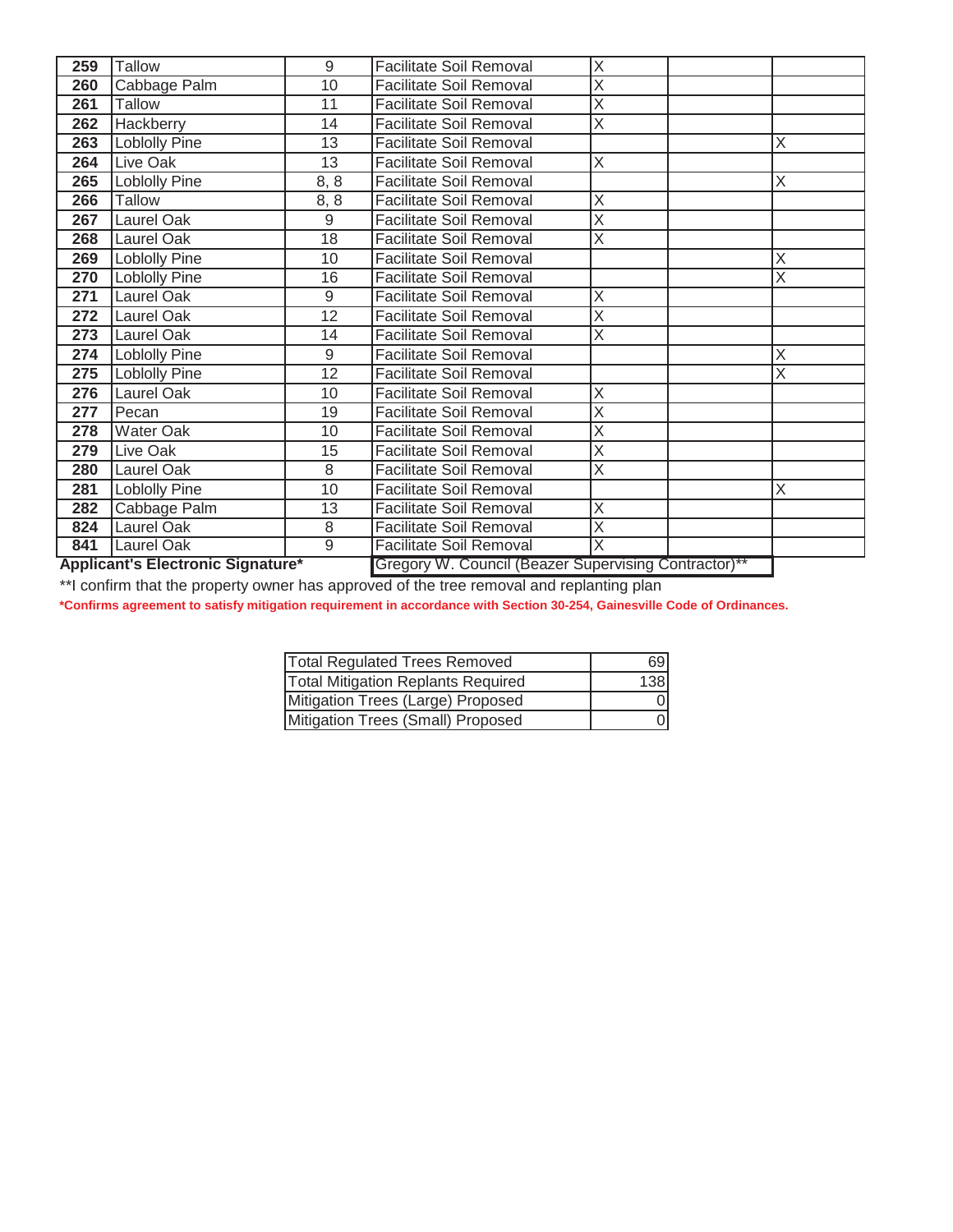| 259                                      | <b>Tallow</b>        | 9              | <b>Facilitate Soil Removal</b>                       | Χ                       |   |
|------------------------------------------|----------------------|----------------|------------------------------------------------------|-------------------------|---|
| 260                                      | Cabbage Palm         | 10             | <b>Facilitate Soil Removal</b>                       | Χ                       |   |
| 261                                      | <b>Tallow</b>        | 11             | <b>Facilitate Soil Removal</b>                       | $\overline{\sf x}$      |   |
| 262                                      | <b>Hackberry</b>     | 14             | <b>Facilitate Soil Removal</b>                       | $\overline{\sf x}$      |   |
| 263                                      | Loblolly Pine        | 13             | <b>Facilitate Soil Removal</b>                       |                         | Χ |
| 264                                      | <b>Live Oak</b>      | 13             | <b>Facilitate Soil Removal</b>                       | $\overline{\sf x}$      |   |
| 265                                      | <b>Loblolly Pine</b> | 8, 8           | <b>Facilitate Soil Removal</b>                       |                         | Χ |
| 266                                      | <b>Tallow</b>        | 8, 8           | <b>Facilitate Soil Removal</b>                       | $\overline{\sf x}$      |   |
| 267                                      | Laurel Oak           | $\overline{9}$ | <b>Facilitate Soil Removal</b>                       | $\overline{\sf x}$      |   |
| 268                                      | Laurel Oak           | 18             | <b>Facilitate Soil Removal</b>                       | Χ                       |   |
| 269                                      | <b>Loblolly Pine</b> | 10             | <b>Facilitate Soil Removal</b>                       |                         | х |
| 270                                      | Loblolly Pine        | 16             | <b>Facilitate Soil Removal</b>                       |                         | X |
| 271                                      | Laurel Oak           | 9              | <b>Facilitate Soil Removal</b>                       | X                       |   |
| 272                                      | Laurel Oak           | 12             | <b>Facilitate Soil Removal</b>                       | $\overline{\sf x}$      |   |
| 273                                      | Laurel Oak           | 14             | <b>Facilitate Soil Removal</b>                       | X                       |   |
| 274                                      | Loblolly Pine        | 9              | <b>Facilitate Soil Removal</b>                       |                         | Χ |
| 275                                      | Loblolly Pine        | 12             | <b>Facilitate Soil Removal</b>                       |                         | Χ |
| 276                                      | Laurel Oak           | 10             | <b>Facilitate Soil Removal</b>                       | X                       |   |
| 277                                      | Pecan                | 19             | <b>Facilitate Soil Removal</b>                       | X                       |   |
| 278                                      | Water Oak            | 10             | <b>Facilitate Soil Removal</b>                       | $\overline{\mathsf{x}}$ |   |
| 279                                      | Live Oak             | 15             | <b>Facilitate Soil Removal</b>                       | X                       |   |
| 280                                      | Laurel Oak           | 8              | <b>Facilitate Soil Removal</b>                       | $\overline{\sf x}$      |   |
| 281                                      | Loblolly Pine        | 10             | <b>Facilitate Soil Removal</b>                       |                         | Χ |
| 282                                      | Cabbage Palm         | 13             | <b>Facilitate Soil Removal</b>                       | Χ                       |   |
| 824                                      | Laurel Oak           | 8              | <b>Facilitate Soil Removal</b>                       | X                       |   |
| 841                                      | Laurel Oak           | $\overline{9}$ | <b>Facilitate Soil Removal</b>                       | $\overline{\sf x}$      |   |
| <b>Applicant's Electronic Signature*</b> |                      |                | Gregory W. Council (Beazer Supervising Contractor)** |                         |   |

\*\*I confirm that the property owner has approved of the tree removal and replanting plan

**\*Confirms agreement to satisfy mitigation requirement in accordance with Section 30-254, Gainesville Code of Ordinances.**

| <b>Total Regulated Trees Removed</b>      | 69  |
|-------------------------------------------|-----|
| <b>Total Mitigation Replants Required</b> | 138 |
| Mitigation Trees (Large) Proposed         | ΩI  |
| Mitigation Trees (Small) Proposed         | Ωl  |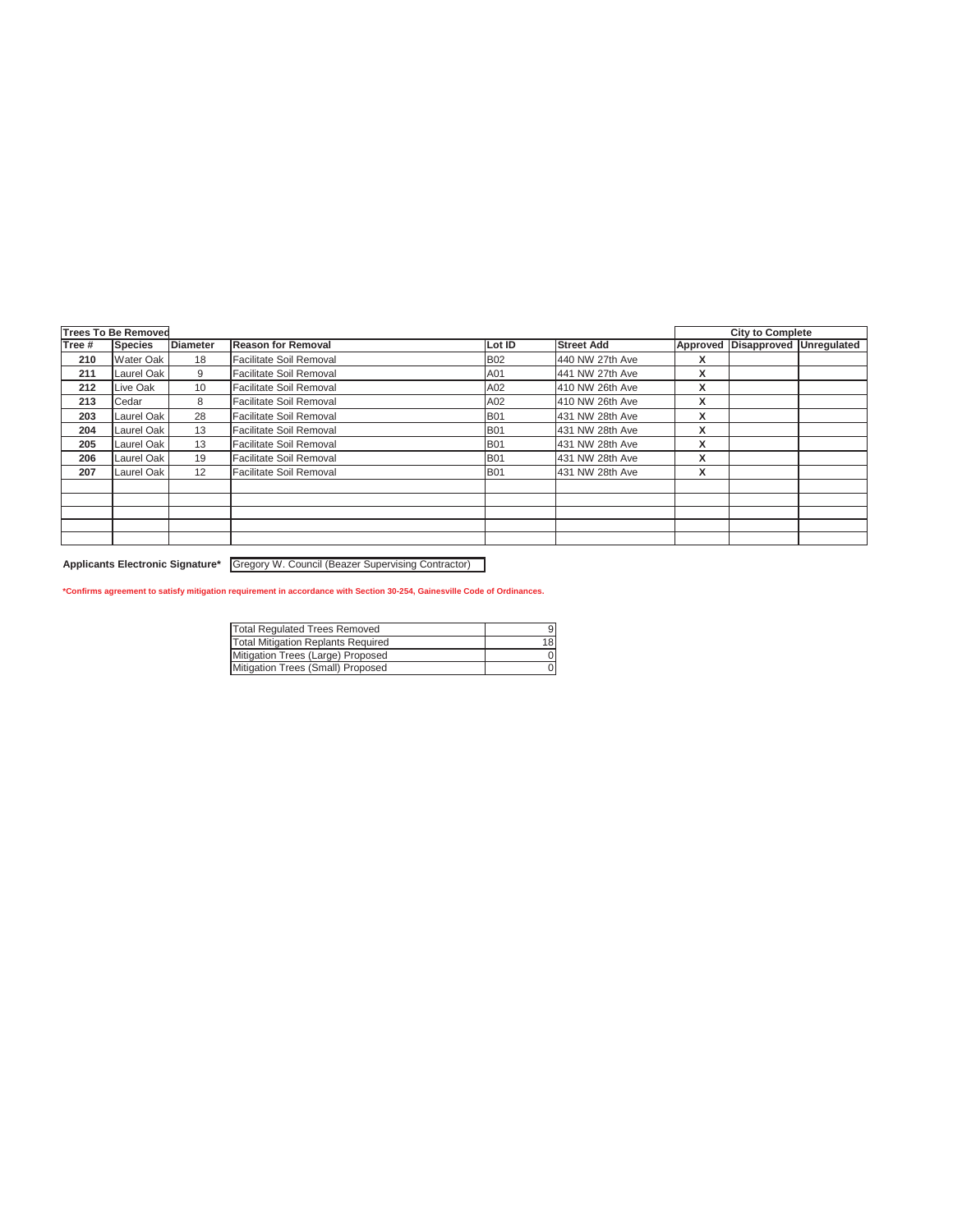|        | <b>Trees To Be Removed</b> |                 |                           |            |                   |   | <b>City to Complete</b>          |  |
|--------|----------------------------|-----------------|---------------------------|------------|-------------------|---|----------------------------------|--|
| Tree # | Species                    | <b>Diameter</b> | <b>Reason for Removal</b> | Lot ID     | <b>Street Add</b> |   | Approved Disapproved Unregulated |  |
| 210    | <b>Water Oak</b>           | 18              | Facilitate Soil Removal   | <b>B02</b> | 440 NW 27th Ave   | X |                                  |  |
| 211    | Laurel Oak                 | 9               | Facilitate Soil Removal   | A01        | 441 NW 27th Ave   | X |                                  |  |
| 212    | Live Oak                   | 10              | Facilitate Soil Removal   | A02        | 410 NW 26th Ave   | X |                                  |  |
| 213    | Cedar                      | 8               | Facilitate Soil Removal   | A02        | 410 NW 26th Ave   | X |                                  |  |
| 203    | Laurel Oak                 | 28              | Facilitate Soil Removal   | <b>B01</b> | 431 NW 28th Ave   | X |                                  |  |
| 204    | Laurel Oak                 | 13              | Facilitate Soil Removal   | <b>B01</b> | 431 NW 28th Ave   | X |                                  |  |
| 205    | Laurel Oak                 | 13              | Facilitate Soil Removal   | <b>B01</b> | 431 NW 28th Ave   | X |                                  |  |
| 206    | Laurel Oak                 | 19              | Facilitate Soil Removal   | <b>B01</b> | 431 NW 28th Ave   | X |                                  |  |
| 207    | Laurel Oak                 | 12              | Facilitate Soil Removal   | <b>B01</b> | 431 NW 28th Ave   | X |                                  |  |
|        |                            |                 |                           |            |                   |   |                                  |  |
|        |                            |                 |                           |            |                   |   |                                  |  |
|        |                            |                 |                           |            |                   |   |                                  |  |
|        |                            |                 |                           |            |                   |   |                                  |  |
|        |                            |                 |                           |            |                   |   |                                  |  |

**Applicants Electronic Signature\*** Gregory W. Council (Beazer Supervising Contractor)

#### **\*Confirms agreement to satisfy mitigation requirement in accordance with Section 30-254, Gainesville Code of Ordinances.**

| Total Regulated Trees Removed      |    |
|------------------------------------|----|
| Total Mitigation Replants Required | 18 |
| Mitigation Trees (Large) Proposed  |    |
| Mitigation Trees (Small) Proposed  |    |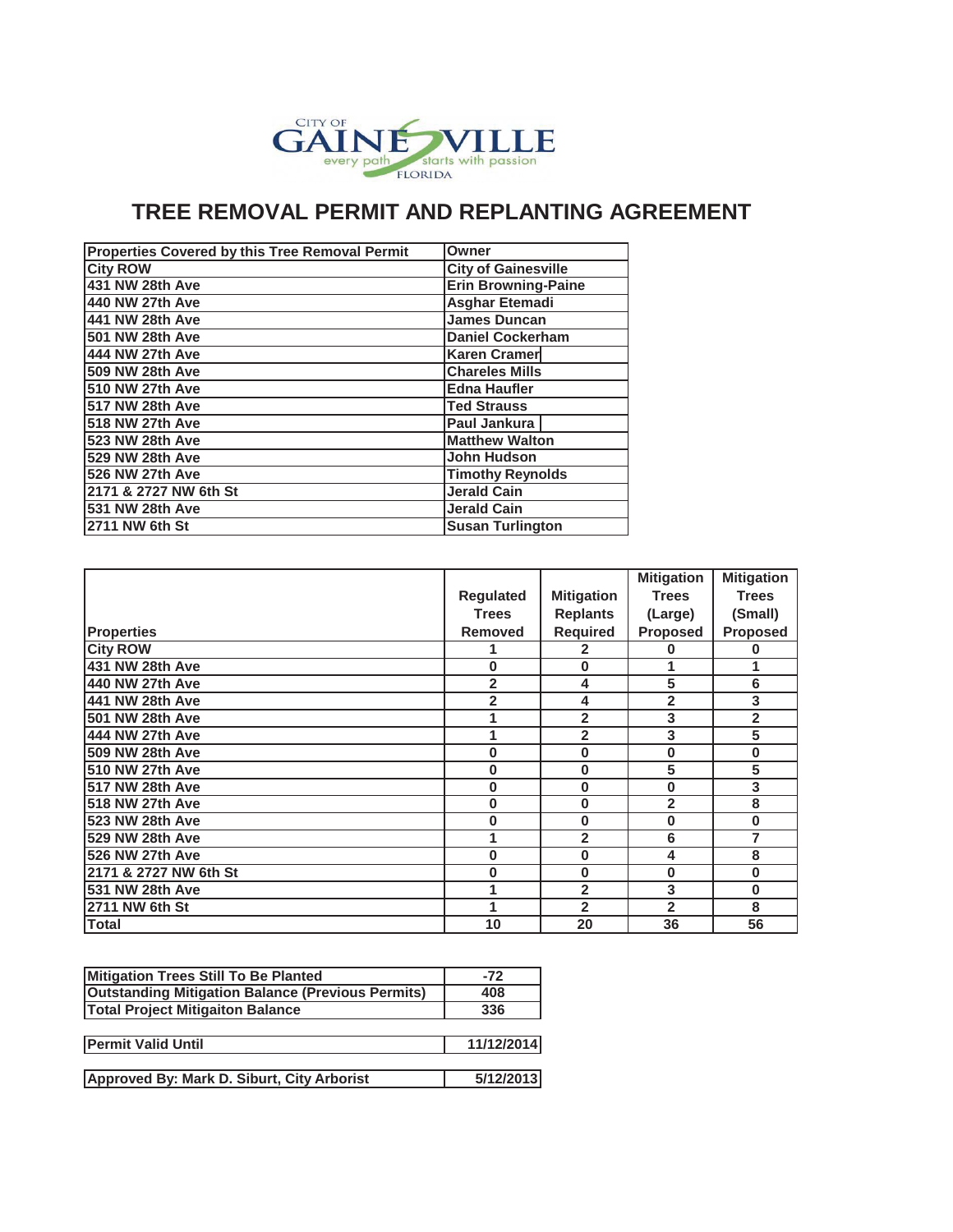

### **TREE REMOVAL PERMIT AND REPLANTING AGREEMENT**

| Properties Covered by this Tree Removal Permit | Owner                      |
|------------------------------------------------|----------------------------|
| <b>City ROW</b>                                | <b>City of Gainesville</b> |
| 431 NW 28th Ave                                | <b>Erin Browning-Paine</b> |
| 440 NW 27th Ave                                | <b>Asghar Etemadi</b>      |
| 441 NW 28th Ave                                | <b>James Duncan</b>        |
| 501 NW 28th Ave                                | <b>Daniel Cockerham</b>    |
| 444 NW 27th Ave                                | <b>Karen Cramer</b>        |
| 509 NW 28th Ave                                | <b>Chareles Mills</b>      |
| 510 NW 27th Ave                                | <b>Edna Haufler</b>        |
| 517 NW 28th Ave                                | <b>Ted Strauss</b>         |
| 518 NW 27th Ave                                | Paul Jankura               |
| 523 NW 28th Ave                                | <b>Matthew Walton</b>      |
| 529 NW 28th Ave                                | <b>John Hudson</b>         |
| 526 NW 27th Ave                                | <b>Timothy Reynolds</b>    |
| 2171 & 2727 NW 6th St                          | <b>Jerald Cain</b>         |
| 531 NW 28th Ave                                | <b>Jerald Cain</b>         |
| 2711 NW 6th St                                 | <b>Susan Turlington</b>    |

|                        |                  |                   | <b>Mitigation</b> | <b>Mitigation</b>       |
|------------------------|------------------|-------------------|-------------------|-------------------------|
|                        | <b>Regulated</b> | <b>Mitigation</b> | <b>Trees</b>      | <b>Trees</b>            |
|                        | <b>Trees</b>     | <b>Replants</b>   | (Large)           | (Small)                 |
| <b>Properties</b>      | <b>Removed</b>   | <b>Required</b>   | <b>Proposed</b>   | <b>Proposed</b>         |
| <b>City ROW</b>        | 1                | 2                 | ი                 | 0                       |
| 431 NW 28th Ave        | 0                | 0                 |                   | 1                       |
| 440 NW 27th Ave        | 2                | 4                 | 5                 | 6                       |
| 441 NW 28th Ave        | 2                | 4                 | 2                 | 3                       |
| 501 NW 28th Ave        | 1                | $\overline{2}$    | 3                 | $\overline{2}$          |
| 444 NW 27th Ave        | 1                | 2                 | 3                 | 5                       |
| 509 NW 28th Ave        | 0                | 0                 | 0                 | $\pmb{0}$               |
| <b>510 NW 27th Ave</b> | $\bf{0}$         | 0                 | 5                 | 5                       |
| 517 NW 28th Ave        | 0                | 0                 | $\bf{0}$          | $\overline{\mathbf{3}}$ |
| 518 NW 27th Ave        | 0                | 0                 | $\overline{2}$    | 8                       |
| 523 NW 28th Ave        | 0                | 0                 | 0                 | $\bf{0}$                |
| 529 NW 28th Ave        | 1                | $\overline{2}$    | 6                 | 7                       |
| 526 NW 27th Ave        | 0                | 0                 | 4                 | 8                       |
| 2171 & 2727 NW 6th St  | 0                | 0                 | 0                 | 0                       |
| 531 NW 28th Ave        | 1                | $\overline{2}$    | 3                 | $\bf{0}$                |
| 2711 NW 6th St         | 1                | $\overline{2}$    | 2                 | 8                       |
| Total                  | 10               | 20                | 36                | 56                      |

| Mitigation Trees Still To Be Planted                     | $-72$      |
|----------------------------------------------------------|------------|
| <b>Outstanding Mitigation Balance (Previous Permits)</b> | 408        |
| <b>Total Project Mitigaiton Balance</b>                  | 336        |
|                                                          |            |
| <b>Permit Valid Until</b>                                | 11/12/2014 |
|                                                          |            |
| Approved By: Mark D. Siburt, City Arborist               | 5/12/2013  |
|                                                          |            |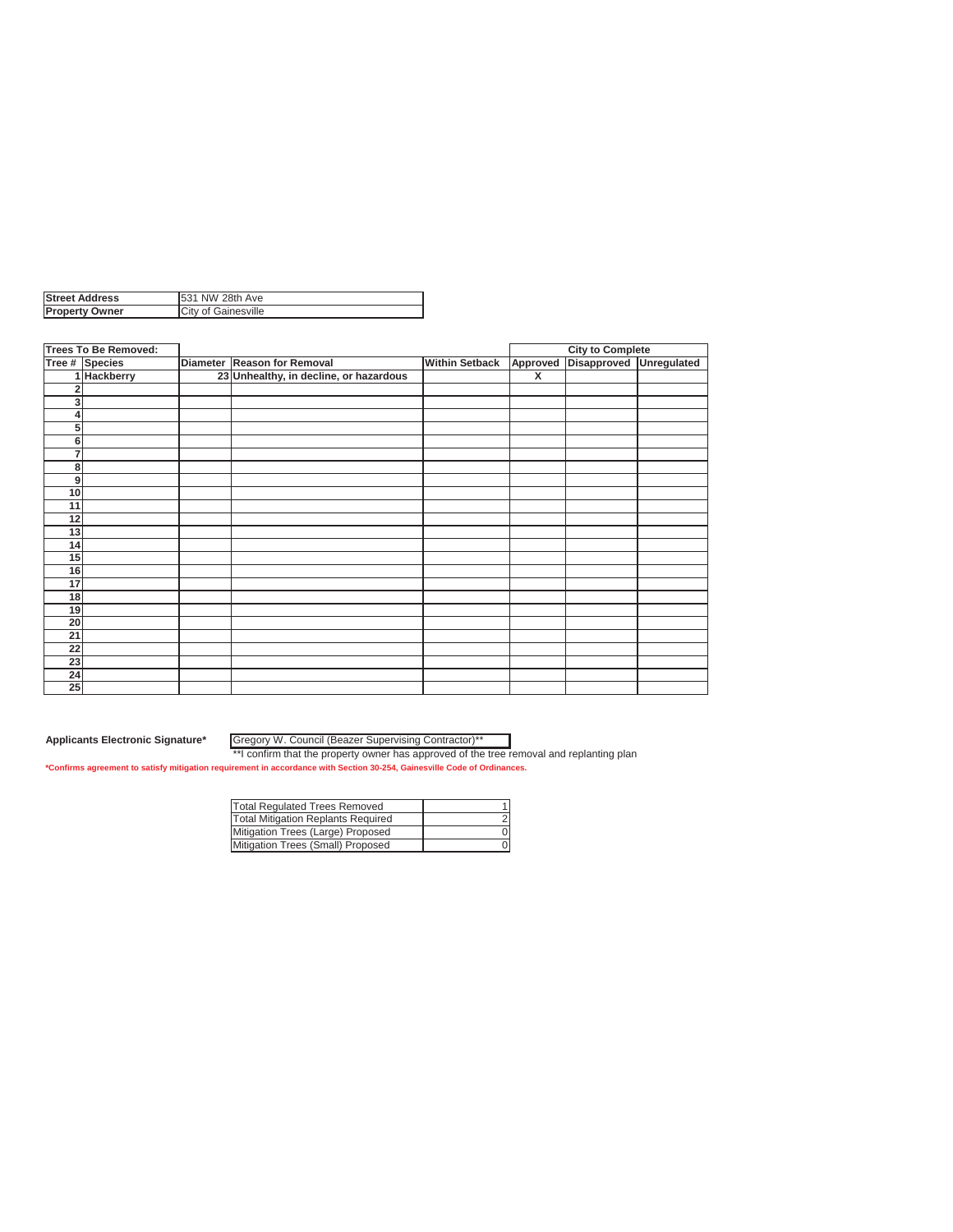| <b>IStreet Address</b> | NW 28th Ave         |
|------------------------|---------------------|
| <b>Property Owner</b>  | City of Gainesville |

|                 | <b>Trees To Be Removed:</b> |                                        |                       |                         | <b>City to Complete</b> |             |
|-----------------|-----------------------------|----------------------------------------|-----------------------|-------------------------|-------------------------|-------------|
|                 | Tree # Species              | Diameter Reason for Removal            | <b>Within Setback</b> | Approved                | Disapproved             | Unregulated |
|                 | 1 Hackberry                 | 23 Unhealthy, in decline, or hazardous |                       | $\overline{\mathbf{x}}$ |                         |             |
| 2               |                             |                                        |                       |                         |                         |             |
| $\mathbf{3}$    |                             |                                        |                       |                         |                         |             |
| 4               |                             |                                        |                       |                         |                         |             |
| 5 <sup>1</sup>  |                             |                                        |                       |                         |                         |             |
| 6               |                             |                                        |                       |                         |                         |             |
| $\overline{7}$  |                             |                                        |                       |                         |                         |             |
| 8               |                             |                                        |                       |                         |                         |             |
| $\mathbf{g}$    |                             |                                        |                       |                         |                         |             |
| 10 <sup>1</sup> |                             |                                        |                       |                         |                         |             |
| 11              |                             |                                        |                       |                         |                         |             |
| 12              |                             |                                        |                       |                         |                         |             |
| 13              |                             |                                        |                       |                         |                         |             |
| 14              |                             |                                        |                       |                         |                         |             |
| 15              |                             |                                        |                       |                         |                         |             |
| 16              |                             |                                        |                       |                         |                         |             |
| 17              |                             |                                        |                       |                         |                         |             |
| 18              |                             |                                        |                       |                         |                         |             |
| 19              |                             |                                        |                       |                         |                         |             |
| 20              |                             |                                        |                       |                         |                         |             |
| 21              |                             |                                        |                       |                         |                         |             |
| 22              |                             |                                        |                       |                         |                         |             |
| 23              |                             |                                        |                       |                         |                         |             |
| 24              |                             |                                        |                       |                         |                         |             |
| 25              |                             |                                        |                       |                         |                         |             |

Gregory W. Council (Beazer Supervising Contractor)\*\*

| <b>Total Regulated Trees Removed</b>      |  |
|-------------------------------------------|--|
| <b>Total Mitigation Replants Required</b> |  |
| Mitigation Trees (Large) Proposed         |  |
| Mitigation Trees (Small) Proposed         |  |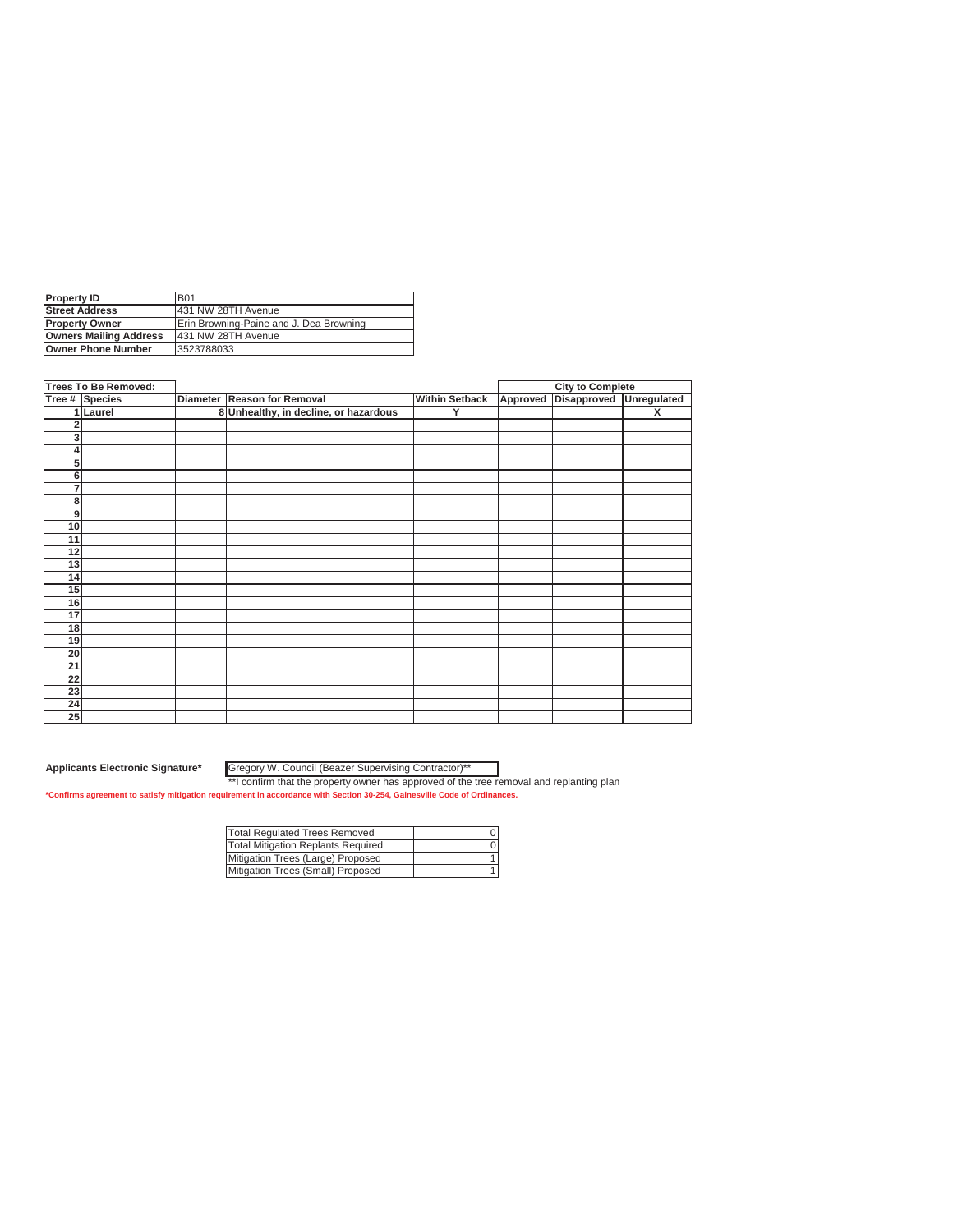| <b>Property ID</b>            | <b>B01</b>                              |
|-------------------------------|-----------------------------------------|
| <b>Street Address</b>         | 431 NW 28TH Avenue                      |
| <b>Property Owner</b>         | Erin Browning-Paine and J. Dea Browning |
| <b>Owners Mailing Address</b> | 431 NW 28TH Avenue                      |
| <b>Owner Phone Number</b>     | 3523788033                              |
|                               |                                         |

|                | <b>Trees To Be Removed:</b> |                                       |                       |          | <b>City to Complete</b> |                         |
|----------------|-----------------------------|---------------------------------------|-----------------------|----------|-------------------------|-------------------------|
|                | Tree # Species              | Diameter Reason for Removal           | <b>Within Setback</b> | Approved | <b>Disapproved</b>      | Unregulated             |
|                | 1 Laurel                    | 8 Unhealthy, in decline, or hazardous | Y                     |          |                         | $\overline{\mathbf{x}}$ |
|                |                             |                                       |                       |          |                         |                         |
| 3              |                             |                                       |                       |          |                         |                         |
|                |                             |                                       |                       |          |                         |                         |
| 5 <sup>1</sup> |                             |                                       |                       |          |                         |                         |
| 6              |                             |                                       |                       |          |                         |                         |
| 7              |                             |                                       |                       |          |                         |                         |
| 8              |                             |                                       |                       |          |                         |                         |
| 9              |                             |                                       |                       |          |                         |                         |
| 10             |                             |                                       |                       |          |                         |                         |
| 11             |                             |                                       |                       |          |                         |                         |
| 12             |                             |                                       |                       |          |                         |                         |
| 13             |                             |                                       |                       |          |                         |                         |
| 14             |                             |                                       |                       |          |                         |                         |
| 15             |                             |                                       |                       |          |                         |                         |
| 16             |                             |                                       |                       |          |                         |                         |
| 17             |                             |                                       |                       |          |                         |                         |
| 18             |                             |                                       |                       |          |                         |                         |
| 19             |                             |                                       |                       |          |                         |                         |
| 20             |                             |                                       |                       |          |                         |                         |
| 21             |                             |                                       |                       |          |                         |                         |
| 22             |                             |                                       |                       |          |                         |                         |
| 23             |                             |                                       |                       |          |                         |                         |
| 24             |                             |                                       |                       |          |                         |                         |
| 25             |                             |                                       |                       |          |                         |                         |

Gregory W. Council (Beazer Supervising Contractor)\*\*

| Total Regulated Trees Removed      |  |
|------------------------------------|--|
| Total Mitigation Replants Required |  |
| Mitigation Trees (Large) Proposed  |  |
| Mitigation Trees (Small) Proposed  |  |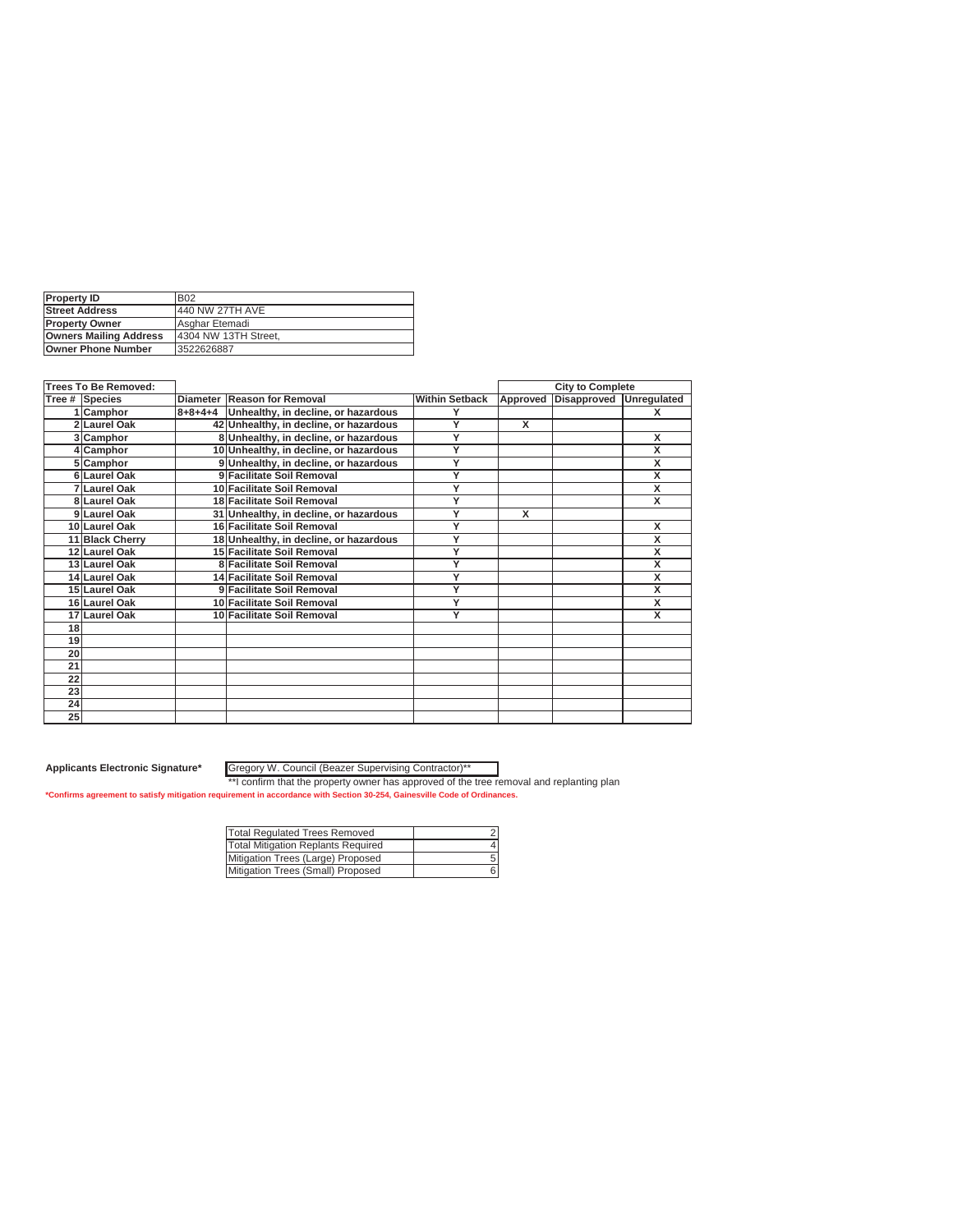| <b>Property ID</b>            | <b>B02</b>            |
|-------------------------------|-----------------------|
| <b>Street Address</b>         | 440 NW 27TH AVE       |
| <b>IProperty Owner</b>        | Asghar Etemadi        |
| <b>Owners Mailing Address</b> | 14304 NW 13TH Street. |
| <b>Owner Phone Number</b>     | 3522626887            |

|    | <b>Trees To Be Removed:</b> |                                             |                       |                         | <b>City to Complete</b> |                         |
|----|-----------------------------|---------------------------------------------|-----------------------|-------------------------|-------------------------|-------------------------|
|    | Tree # Species              | Diameter Reason for Removal                 | <b>Within Setback</b> | Approved                | <b>Disapproved</b>      | Unregulated             |
|    | 1 Camphor                   | 8+8+4+4 Unhealthy, in decline, or hazardous | ٧                     |                         |                         | x                       |
|    | 2 Laurel Oak                | 42 Unhealthy, in decline, or hazardous      | Y                     | x                       |                         |                         |
|    | 3 Camphor                   | 8 Unhealthy, in decline, or hazardous       | Y                     |                         |                         | X                       |
|    | 4 Camphor                   | 10 Unhealthy, in decline, or hazardous      | Υ                     |                         |                         | x                       |
|    | 5 Camphor                   | 9 Unhealthy, in decline, or hazardous       | Y                     |                         |                         | x                       |
|    | 6 Laurel Oak                | 9 Facilitate Soil Removal                   | Y                     |                         |                         | X                       |
|    | 7 Laurel Oak                | 10 Facilitate Soil Removal                  | Y                     |                         |                         | X                       |
|    | 8 Laurel Oak                | 18 Facilitate Soil Removal                  | Ϋ                     |                         |                         | $\overline{\mathbf{x}}$ |
|    | 9 Laurel Oak                | 31 Unhealthy, in decline, or hazardous      | Ÿ                     | $\overline{\mathbf{x}}$ |                         |                         |
|    | 10 Laurel Oak               | 16 Facilitate Soil Removal                  | Y                     |                         |                         | x                       |
|    | 11 Black Cherry             | 18 Unhealthy, in decline, or hazardous      | Y                     |                         |                         | x                       |
|    | 12 Laurel Oak               | 15 Facilitate Soil Removal                  | Υ                     |                         |                         | X                       |
|    | 13 Laurel Oak               | 8 Facilitate Soil Removal                   | Υ                     |                         |                         | X                       |
|    | 14 Laurel Oak               | 14 Facilitate Soil Removal                  | Y                     |                         |                         | X                       |
|    | 15 Laurel Oak               | 9 Facilitate Soil Removal                   | Y                     |                         |                         | x                       |
|    | 16 Laurel Oak               | 10 Facilitate Soil Removal                  | Y                     |                         |                         | X                       |
|    | 17 Laurel Oak               | 10 Facilitate Soil Removal                  | Ÿ                     |                         |                         | $\overline{\mathsf{x}}$ |
| 18 |                             |                                             |                       |                         |                         |                         |
| 19 |                             |                                             |                       |                         |                         |                         |
| 20 |                             |                                             |                       |                         |                         |                         |
| 21 |                             |                                             |                       |                         |                         |                         |
| 22 |                             |                                             |                       |                         |                         |                         |
| 23 |                             |                                             |                       |                         |                         |                         |
| 24 |                             |                                             |                       |                         |                         |                         |
| 25 |                             |                                             |                       |                         |                         |                         |

Gregory W. Council (Beazer Supervising Contractor)\*\*

| <b>Total Regulated Trees Removed</b> |  |
|--------------------------------------|--|
| Total Mitigation Replants Required   |  |
| Mitigation Trees (Large) Proposed    |  |
| Mitigation Trees (Small) Proposed    |  |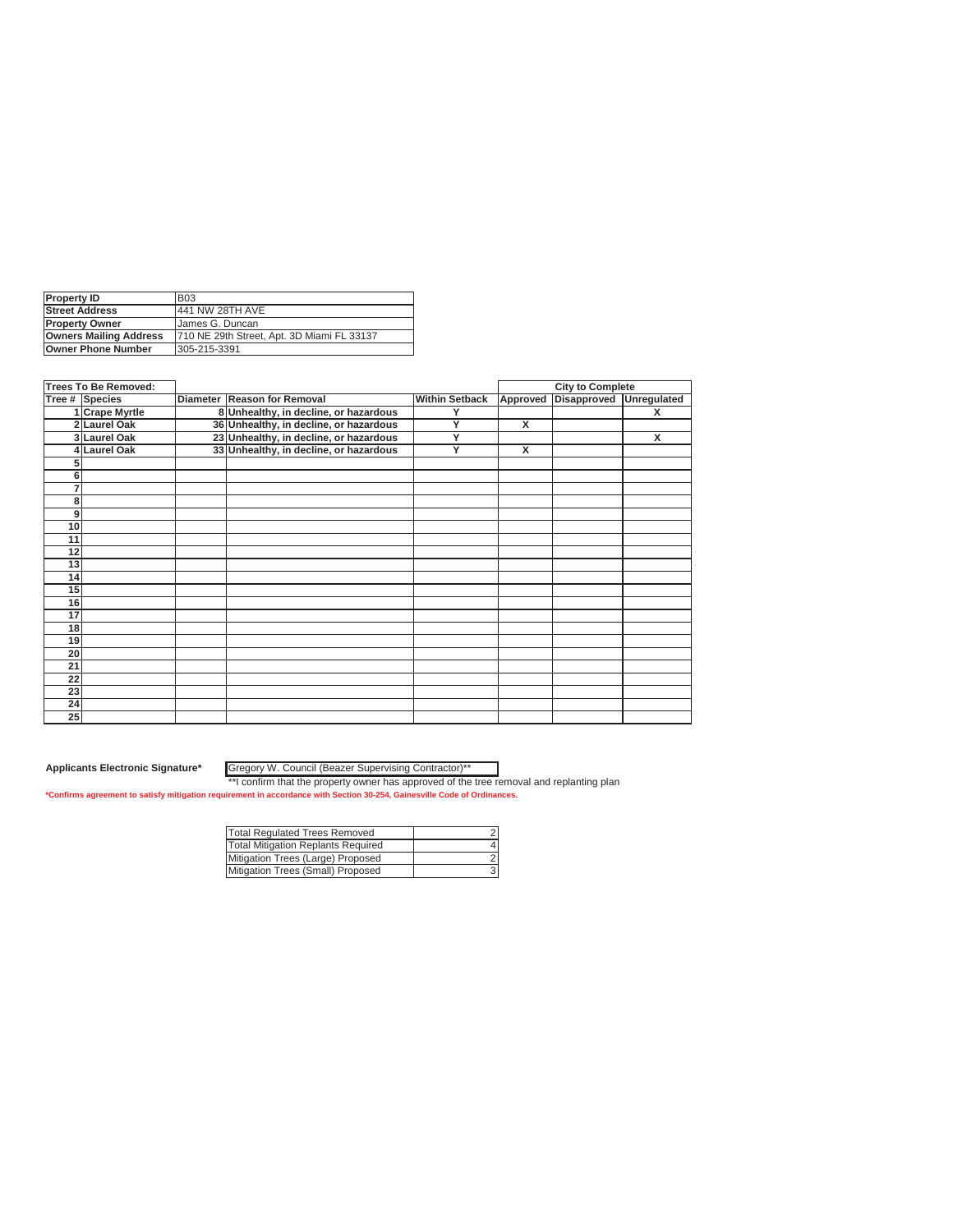| <b>Property ID</b>            | <b>B03</b>                                 |
|-------------------------------|--------------------------------------------|
| <b>Street Address</b>         | 441 NW 28TH AVE                            |
| <b>Property Owner</b>         | <b>James G. Duncan</b>                     |
| <b>Owners Mailing Address</b> | 710 NE 29th Street, Apt. 3D Miami FL 33137 |
| <b>Owner Phone Number</b>     | 305-215-3391                               |
|                               |                                            |

| <b>Trees To Be Removed:</b> |                   |                                        |                       |                         | <b>City to Complete</b> |             |
|-----------------------------|-------------------|----------------------------------------|-----------------------|-------------------------|-------------------------|-------------|
|                             | Tree # Species    | Diameter Reason for Removal            | <b>Within Setback</b> | Approved                | <b>Disapproved</b>      | Unregulated |
|                             | 1 Crape Myrtle    | 8 Unhealthy, in decline, or hazardous  | Υ                     |                         |                         | X           |
| $\overline{2}$              | <b>Laurel Oak</b> | 36 Unhealthy, in decline, or hazardous | Y                     | x                       |                         |             |
|                             | 3 Laurel Oak      | 23 Unhealthy, in decline, or hazardous | Y                     |                         |                         | X           |
|                             | 4 Laurel Oak      | 33 Unhealthy, in decline, or hazardous | Ÿ                     | $\overline{\mathsf{x}}$ |                         |             |
|                             |                   |                                        |                       |                         |                         |             |
| 6                           |                   |                                        |                       |                         |                         |             |
| 7                           |                   |                                        |                       |                         |                         |             |
| 8                           |                   |                                        |                       |                         |                         |             |
| 9                           |                   |                                        |                       |                         |                         |             |
| 10                          |                   |                                        |                       |                         |                         |             |
| 11                          |                   |                                        |                       |                         |                         |             |
| 12                          |                   |                                        |                       |                         |                         |             |
| 13                          |                   |                                        |                       |                         |                         |             |
| 14                          |                   |                                        |                       |                         |                         |             |
| 15                          |                   |                                        |                       |                         |                         |             |
| 16                          |                   |                                        |                       |                         |                         |             |
| $\overline{17}$             |                   |                                        |                       |                         |                         |             |
| 18                          |                   |                                        |                       |                         |                         |             |
| 19                          |                   |                                        |                       |                         |                         |             |
| 20                          |                   |                                        |                       |                         |                         |             |
| 21                          |                   |                                        |                       |                         |                         |             |
| 22                          |                   |                                        |                       |                         |                         |             |
| 23                          |                   |                                        |                       |                         |                         |             |
| 24                          |                   |                                        |                       |                         |                         |             |
| 25                          |                   |                                        |                       |                         |                         |             |

Gregory W. Council (Beazer Supervising Contractor)\*\*

| Total Regulated Trees Removed      |  |
|------------------------------------|--|
| Total Mitigation Replants Required |  |
| Mitigation Trees (Large) Proposed  |  |
| Mitigation Trees (Small) Proposed  |  |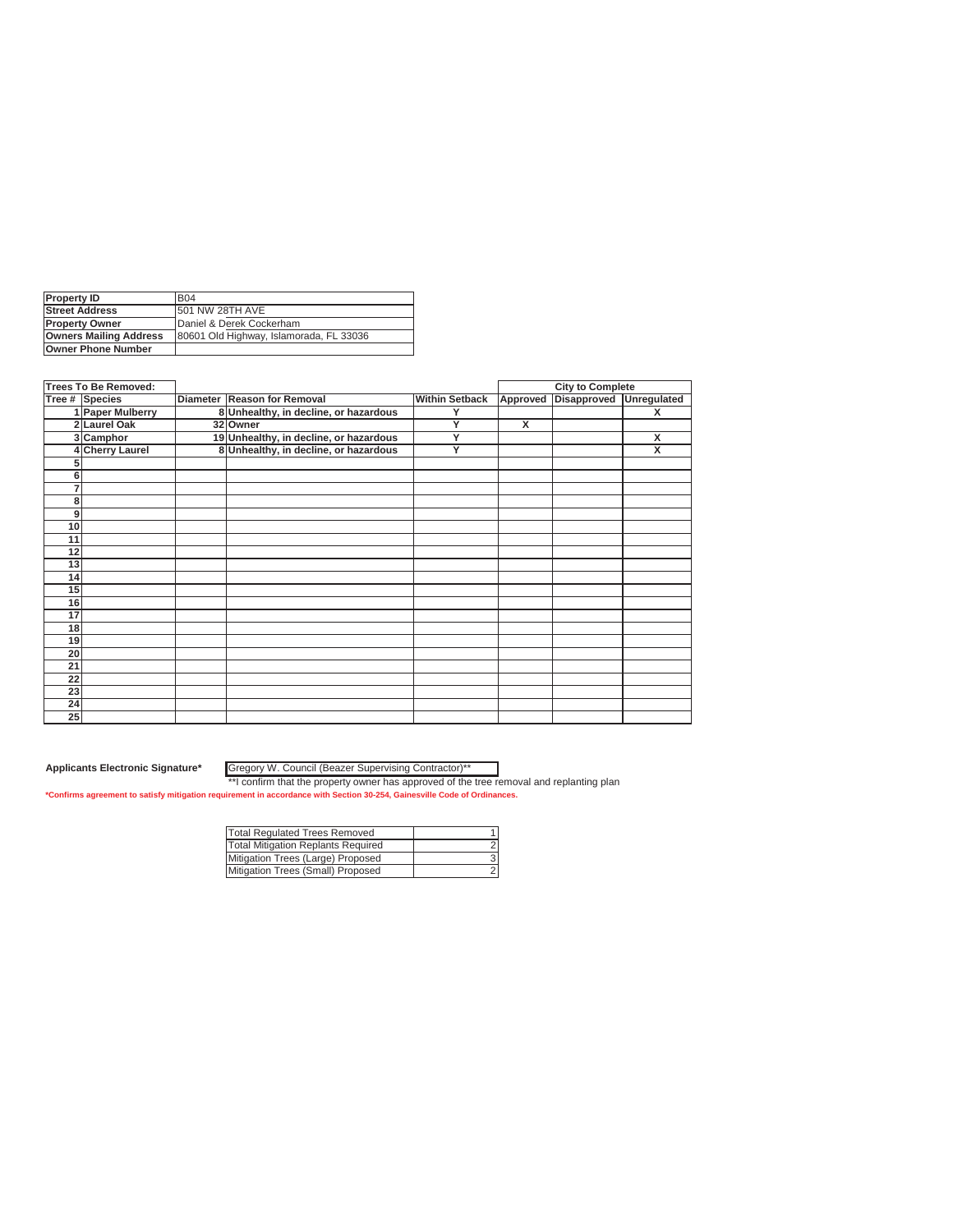| <b>B04</b>                              |
|-----------------------------------------|
| <b>1501 NW 28TH AVE</b>                 |
| Daniel & Derek Cockerham                |
| 80601 Old Highway, Islamorada, FL 33036 |
|                                         |
|                                         |

| <b>Trees To Be Removed:</b> |                      |                                        |                       |          | <b>City to Complete</b> |                         |
|-----------------------------|----------------------|----------------------------------------|-----------------------|----------|-------------------------|-------------------------|
|                             | Tree # Species       | Diameter Reason for Removal            | <b>Within Setback</b> | Approved | Disapproved             | Unregulated             |
|                             | 1 Paper Mulberry     | 8 Unhealthy, in decline, or hazardous  | Υ                     |          |                         | X                       |
|                             | 2 Laurel Oak         | 32 Owner                               | Y                     | X        |                         |                         |
|                             | 3 Camphor            | 19 Unhealthy, in decline, or hazardous | Y                     |          |                         | X                       |
|                             | <b>Cherry Laurel</b> | 8 Unhealthy, in decline, or hazardous  | Ÿ                     |          |                         | $\overline{\mathsf{x}}$ |
|                             |                      |                                        |                       |          |                         |                         |
| 6                           |                      |                                        |                       |          |                         |                         |
|                             |                      |                                        |                       |          |                         |                         |
| 8                           |                      |                                        |                       |          |                         |                         |
| 9                           |                      |                                        |                       |          |                         |                         |
| 10                          |                      |                                        |                       |          |                         |                         |
| 11                          |                      |                                        |                       |          |                         |                         |
| 12                          |                      |                                        |                       |          |                         |                         |
| 13                          |                      |                                        |                       |          |                         |                         |
| 14                          |                      |                                        |                       |          |                         |                         |
| 15                          |                      |                                        |                       |          |                         |                         |
| 16                          |                      |                                        |                       |          |                         |                         |
| 17                          |                      |                                        |                       |          |                         |                         |
| 18                          |                      |                                        |                       |          |                         |                         |
| 19                          |                      |                                        |                       |          |                         |                         |
| 20                          |                      |                                        |                       |          |                         |                         |
| 21                          |                      |                                        |                       |          |                         |                         |
| 22                          |                      |                                        |                       |          |                         |                         |
| 23                          |                      |                                        |                       |          |                         |                         |
| 24                          |                      |                                        |                       |          |                         |                         |
| 25                          |                      |                                        |                       |          |                         |                         |

Gregory W. Council (Beazer Supervising Contractor)\*\*

| Total Regulated Trees Removed      |  |
|------------------------------------|--|
| Total Mitigation Replants Required |  |
| Mitigation Trees (Large) Proposed  |  |
| Mitigation Trees (Small) Proposed  |  |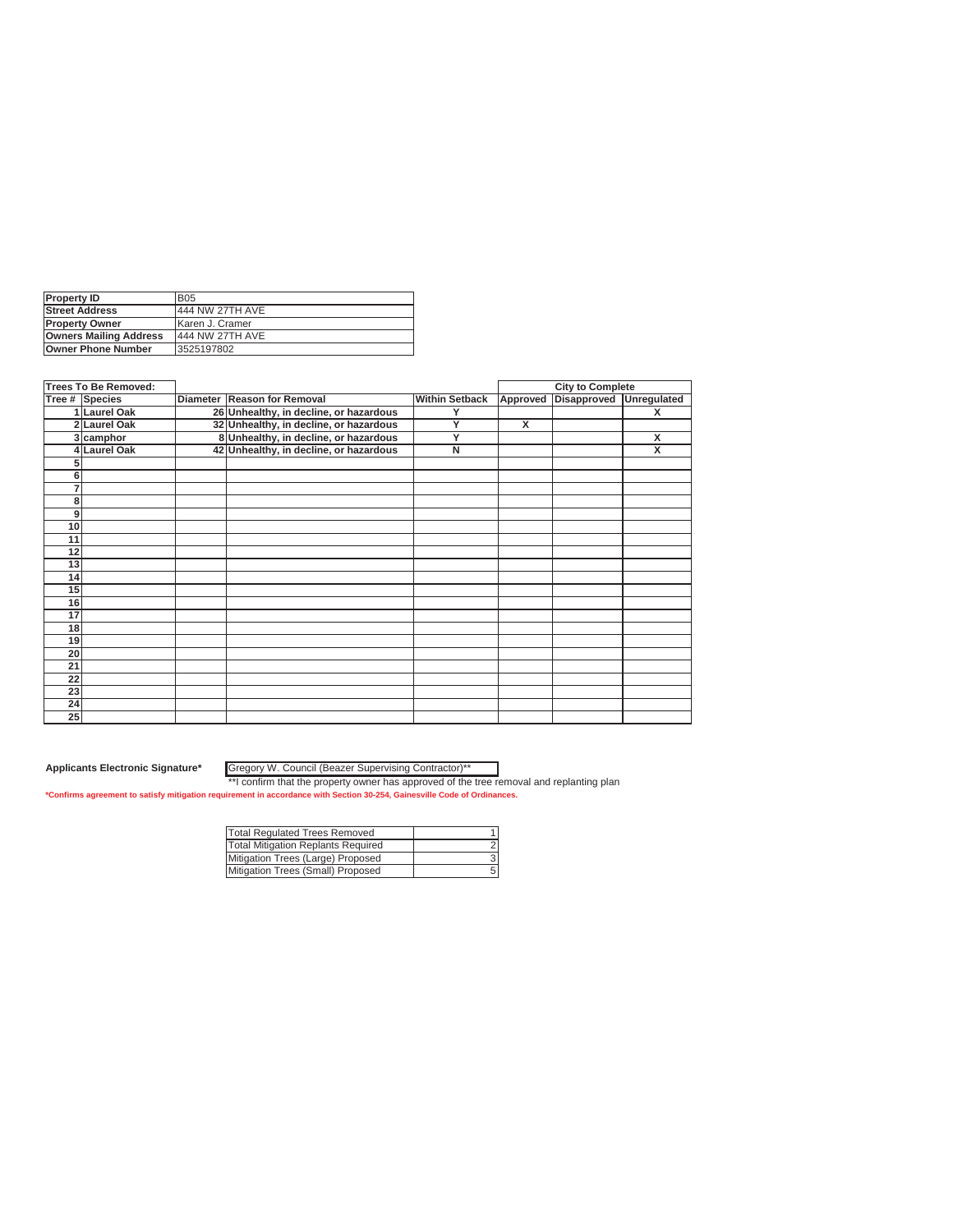| <b>Property ID</b>            | <b>B05</b>      |
|-------------------------------|-----------------|
| <b>Street Address</b>         | 444 NW 27TH AVE |
| <b>IProperty Owner</b>        | Karen J. Cramer |
| <b>Owners Mailing Address</b> | 444 NW 27TH AVE |
| <b>Owner Phone Number</b>     | 3525197802      |

| <b>Trees To Be Removed:</b> |                |                                        |                       |          | <b>City to Complete</b> |                         |
|-----------------------------|----------------|----------------------------------------|-----------------------|----------|-------------------------|-------------------------|
|                             | Tree # Species | Diameter Reason for Removal            | <b>Within Setback</b> | Approved | <b>Disapproved</b>      | Unregulated             |
|                             | 1 Laurel Oak   | 26 Unhealthy, in decline, or hazardous | Υ                     |          |                         | X                       |
|                             | 2 Laurel Oak   | 32 Unhealthy, in decline, or hazardous | Y                     | X        |                         |                         |
|                             | 3 camphor      | 8 Unhealthy, in decline, or hazardous  | Y                     |          |                         | X                       |
|                             | 4 Laurel Oak   | 42 Unhealthy, in decline, or hazardous | Ñ                     |          |                         | $\overline{\mathsf{x}}$ |
|                             |                |                                        |                       |          |                         |                         |
| 6                           |                |                                        |                       |          |                         |                         |
| 7                           |                |                                        |                       |          |                         |                         |
| 8                           |                |                                        |                       |          |                         |                         |
| 9                           |                |                                        |                       |          |                         |                         |
| 10 <sup>1</sup>             |                |                                        |                       |          |                         |                         |
| 11                          |                |                                        |                       |          |                         |                         |
| 12                          |                |                                        |                       |          |                         |                         |
| 13                          |                |                                        |                       |          |                         |                         |
| 14                          |                |                                        |                       |          |                         |                         |
| 15                          |                |                                        |                       |          |                         |                         |
| 16                          |                |                                        |                       |          |                         |                         |
| 17                          |                |                                        |                       |          |                         |                         |
| 18 <sup>1</sup>             |                |                                        |                       |          |                         |                         |
| 19                          |                |                                        |                       |          |                         |                         |
| 20                          |                |                                        |                       |          |                         |                         |
| 21                          |                |                                        |                       |          |                         |                         |
| 22                          |                |                                        |                       |          |                         |                         |
| 23                          |                |                                        |                       |          |                         |                         |
| 24                          |                |                                        |                       |          |                         |                         |
| 25                          |                |                                        |                       |          |                         |                         |

Gregory W. Council (Beazer Supervising Contractor)\*\*

| Total Regulated Trees Removed      |  |
|------------------------------------|--|
| Total Mitigation Replants Required |  |
| Mitigation Trees (Large) Proposed  |  |
| Mitigation Trees (Small) Proposed  |  |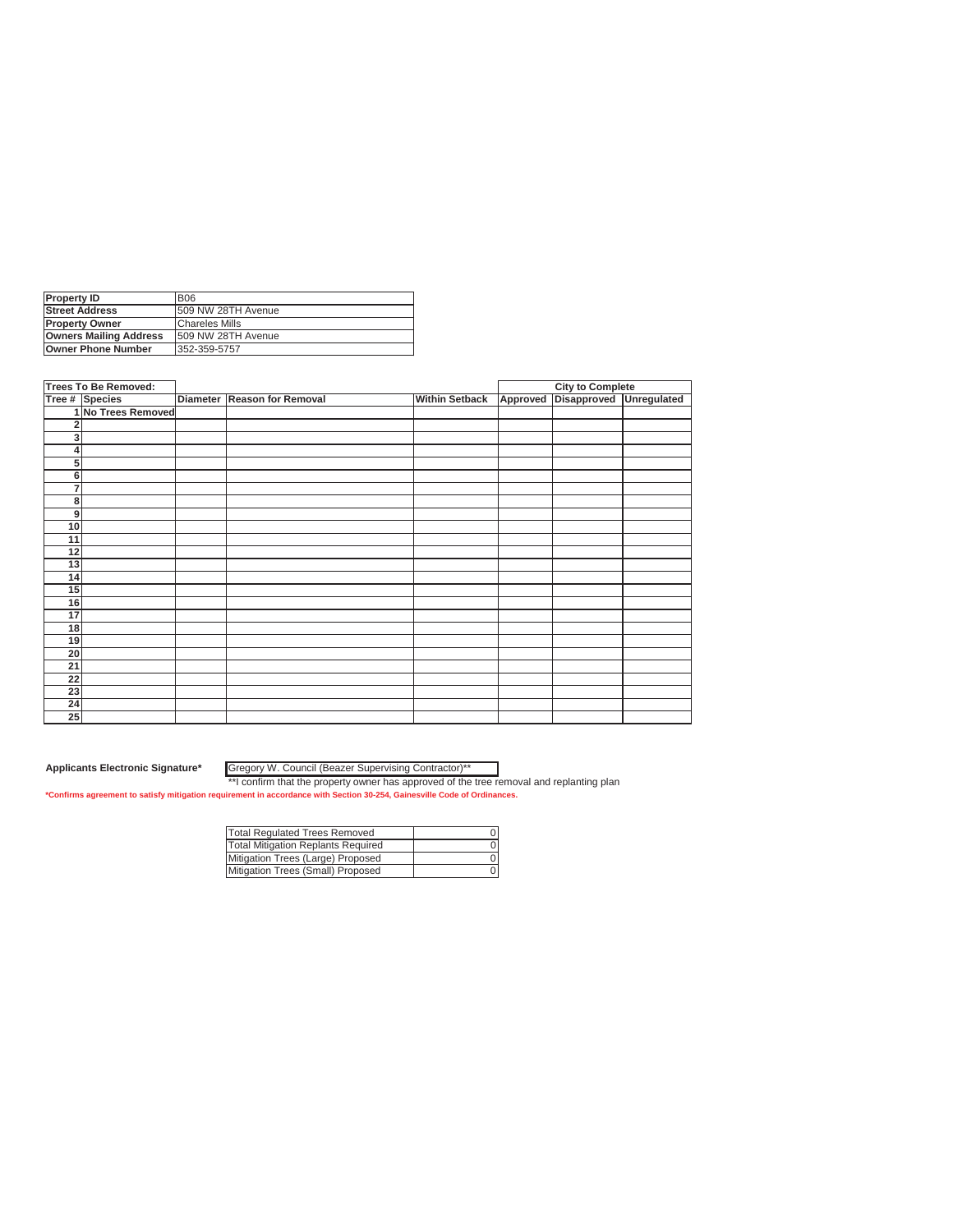| <b>Property ID</b>            | <b>B06</b>            |
|-------------------------------|-----------------------|
| <b>Street Address</b>         | 509 NW 28TH Avenue    |
| <b>Property Owner</b>         | <b>Chareles Mills</b> |
| <b>Owners Mailing Address</b> | 1509 NW 28TH Avenue   |
| <b>Owner Phone Number</b>     | 352-359-5757          |
|                               |                       |

|                 | <b>Trees To Be Removed:</b> |                             |                       |          | <b>City to Complete</b> |             |
|-----------------|-----------------------------|-----------------------------|-----------------------|----------|-------------------------|-------------|
|                 | Tree # Species              | Diameter Reason for Removal | <b>Within Setback</b> | Approved | <b>Disapproved</b>      | Unregulated |
|                 | 1 No Trees Removed          |                             |                       |          |                         |             |
|                 |                             |                             |                       |          |                         |             |
| 3               |                             |                             |                       |          |                         |             |
| 4               |                             |                             |                       |          |                         |             |
| 5 <sup>1</sup>  |                             |                             |                       |          |                         |             |
| $6 \mid$        |                             |                             |                       |          |                         |             |
| $\overline{7}$  |                             |                             |                       |          |                         |             |
| 8               |                             |                             |                       |          |                         |             |
| 9               |                             |                             |                       |          |                         |             |
| 10              |                             |                             |                       |          |                         |             |
| 11              |                             |                             |                       |          |                         |             |
| 12              |                             |                             |                       |          |                         |             |
| 13              |                             |                             |                       |          |                         |             |
| 14              |                             |                             |                       |          |                         |             |
| 15              |                             |                             |                       |          |                         |             |
| 16              |                             |                             |                       |          |                         |             |
| 17              |                             |                             |                       |          |                         |             |
| 18              |                             |                             |                       |          |                         |             |
| 19              |                             |                             |                       |          |                         |             |
| 20              |                             |                             |                       |          |                         |             |
| $\overline{21}$ |                             |                             |                       |          |                         |             |
| 22              |                             |                             |                       |          |                         |             |
| 23              |                             |                             |                       |          |                         |             |
| 24              |                             |                             |                       |          |                         |             |
| 25              |                             |                             |                       |          |                         |             |

Gregory W. Council (Beazer Supervising Contractor)\*\*

| <b>Total Regulated Trees Removed</b> |  |
|--------------------------------------|--|
| Total Mitigation Replants Required   |  |
| Mitigation Trees (Large) Proposed    |  |
| Mitigation Trees (Small) Proposed    |  |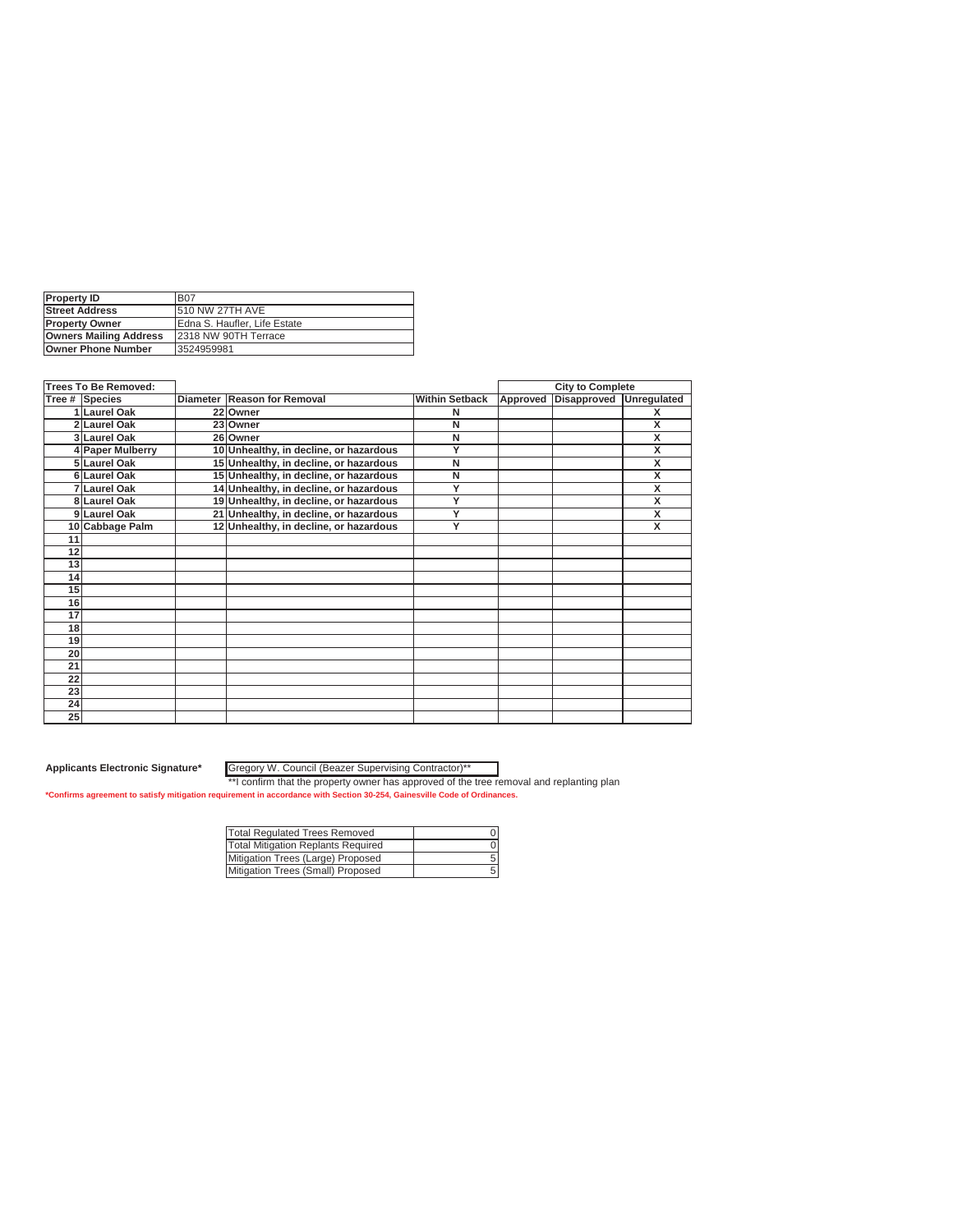| <b>Property ID</b>            | <b>B07</b>                   |
|-------------------------------|------------------------------|
| <b>Street Address</b>         | <b>510 NW 27TH AVE</b>       |
| <b>IProperty Owner</b>        | Edna S. Haufler. Life Estate |
| <b>Owners Mailing Address</b> | 12318 NW 90TH Terrace        |
| <b>Owner Phone Number</b>     | 3524959981                   |

|    | <b>Trees To Be Removed:</b> |                                        |                       | <b>City to Complete</b> |             |                         |
|----|-----------------------------|----------------------------------------|-----------------------|-------------------------|-------------|-------------------------|
|    | Tree # Species              | Diameter Reason for Removal            | <b>Within Setback</b> | Approved                | Disapproved | Unregulated             |
|    | 1 Laurel Oak                | 22 Owner                               | N                     |                         |             | X                       |
|    | 2 Laurel Oak                | 23 Owner                               | N                     |                         |             | X                       |
|    | 3 Laurel Oak                | 26 Owner                               | N                     |                         |             | X                       |
|    | 4 Paper Mulberry            | 10 Unhealthy, in decline, or hazardous | Υ                     |                         |             | $\overline{\mathsf{x}}$ |
|    | 5 Laurel Oak                | 15 Unhealthy, in decline, or hazardous | N                     |                         |             | X                       |
|    | 6 Laurel Oak                | 15 Unhealthy, in decline, or hazardous | N                     |                         |             | x                       |
|    | 7 Laurel Oak                | 14 Unhealthy, in decline, or hazardous | Υ                     |                         |             | x                       |
|    | 8 Laurel Oak                | 19 Unhealthy, in decline, or hazardous | Ÿ                     |                         |             | X                       |
|    | 9 Laurel Oak                | 21 Unhealthy, in decline, or hazardous | Ÿ                     |                         |             | $\overline{\mathsf{x}}$ |
|    | 10 Cabbage Palm             | 12 Unhealthy, in decline, or hazardous | Y                     |                         |             | x                       |
| 11 |                             |                                        |                       |                         |             |                         |
| 12 |                             |                                        |                       |                         |             |                         |
| 13 |                             |                                        |                       |                         |             |                         |
| 14 |                             |                                        |                       |                         |             |                         |
| 15 |                             |                                        |                       |                         |             |                         |
| 16 |                             |                                        |                       |                         |             |                         |
| 17 |                             |                                        |                       |                         |             |                         |
| 18 |                             |                                        |                       |                         |             |                         |
| 19 |                             |                                        |                       |                         |             |                         |
| 20 |                             |                                        |                       |                         |             |                         |
| 21 |                             |                                        |                       |                         |             |                         |
| 22 |                             |                                        |                       |                         |             |                         |
| 23 |                             |                                        |                       |                         |             |                         |
| 24 |                             |                                        |                       |                         |             |                         |
| 25 |                             |                                        |                       |                         |             |                         |

Gregory W. Council (Beazer Supervising Contractor)\*\*

| <b>Total Regulated Trees Removed</b> |  |
|--------------------------------------|--|
| Total Mitigation Replants Required   |  |
| Mitigation Trees (Large) Proposed    |  |
| Mitigation Trees (Small) Proposed    |  |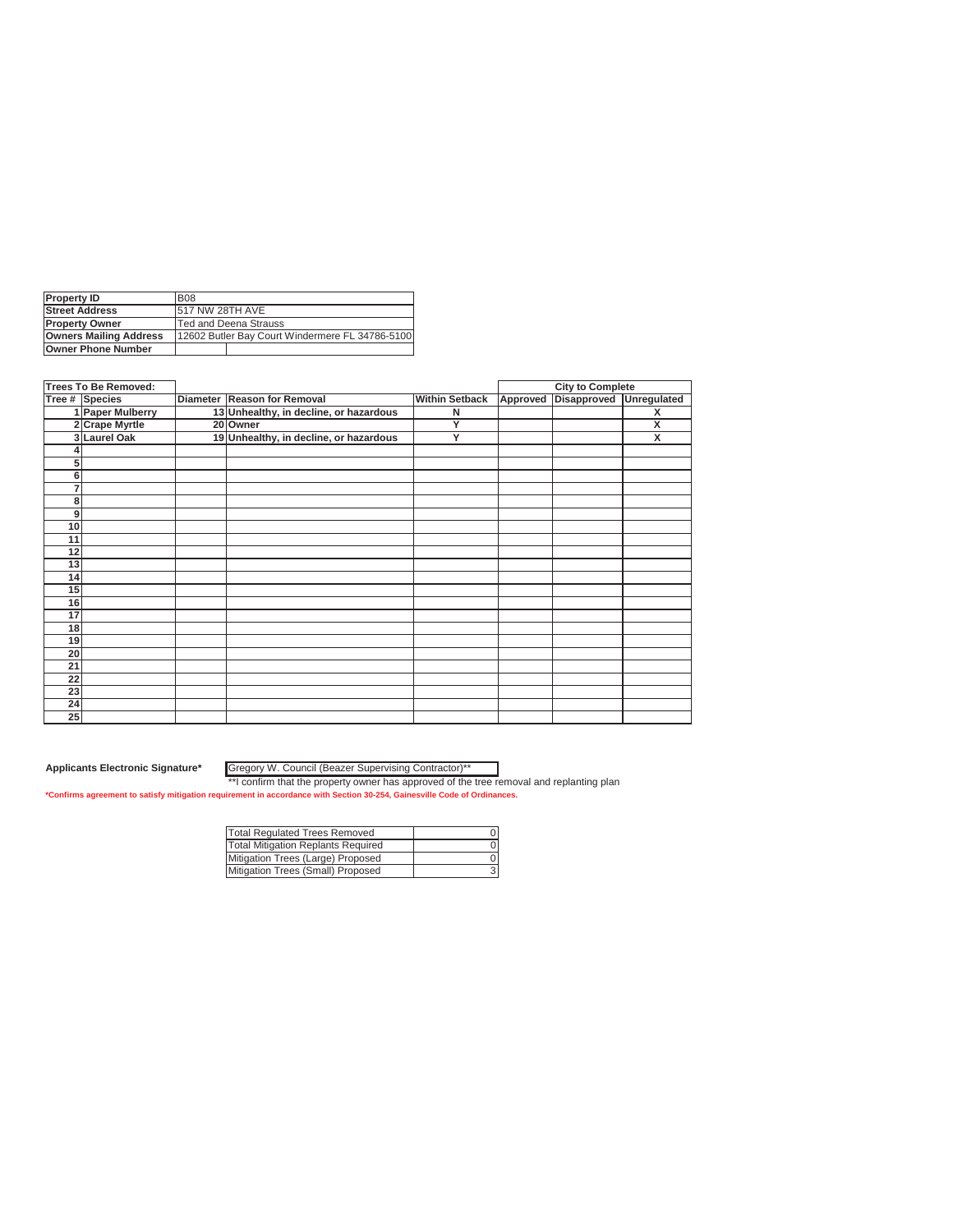| <b>Property ID</b>            | <b>B08</b>                                        |  |  |  |  |
|-------------------------------|---------------------------------------------------|--|--|--|--|
| <b>Street Address</b>         | 517 NW 28TH AVE                                   |  |  |  |  |
| <b>Property Owner</b>         | <b>Ted and Deena Strauss</b>                      |  |  |  |  |
| <b>Owners Mailing Address</b> | [12602 Butler Bay Court Windermere FL 34786-5100] |  |  |  |  |
| <b>Owner Phone Number</b>     |                                                   |  |  |  |  |
|                               |                                                   |  |  |  |  |

|          | <b>Trees To Be Removed:</b> |                                        |                       | <b>City to Complete</b> |             |             |
|----------|-----------------------------|----------------------------------------|-----------------------|-------------------------|-------------|-------------|
|          | Tree # Species              | Diameter Reason for Removal            | <b>Within Setback</b> | Approved                | Disapproved | Unregulated |
|          | 1 Paper Mulberry            | 13 Unhealthy, in decline, or hazardous | N                     |                         |             | X           |
|          | 2 Crape Myrtle              | 20 Owner                               | Y                     |                         |             | X           |
|          | 3 Laurel Oak                | 19 Unhealthy, in decline, or hazardous | Ÿ                     |                         |             | X           |
|          |                             |                                        |                       |                         |             |             |
| 5        |                             |                                        |                       |                         |             |             |
| $6 \mid$ |                             |                                        |                       |                         |             |             |
| 7        |                             |                                        |                       |                         |             |             |
| 8        |                             |                                        |                       |                         |             |             |
| 9        |                             |                                        |                       |                         |             |             |
| 10       |                             |                                        |                       |                         |             |             |
| 11       |                             |                                        |                       |                         |             |             |
| 12       |                             |                                        |                       |                         |             |             |
| 13       |                             |                                        |                       |                         |             |             |
| 14       |                             |                                        |                       |                         |             |             |
| 15       |                             |                                        |                       |                         |             |             |
| 16       |                             |                                        |                       |                         |             |             |
| 17       |                             |                                        |                       |                         |             |             |
| 18       |                             |                                        |                       |                         |             |             |
| 19       |                             |                                        |                       |                         |             |             |
| 20       |                             |                                        |                       |                         |             |             |
| 21       |                             |                                        |                       |                         |             |             |
| 22       |                             |                                        |                       |                         |             |             |
| 23       |                             |                                        |                       |                         |             |             |
| 24       |                             |                                        |                       |                         |             |             |
| 25       |                             |                                        |                       |                         |             |             |

Gregory W. Council (Beazer Supervising Contractor)\*\*

| Total Regulated Trees Removed      |  |
|------------------------------------|--|
| Total Mitigation Replants Required |  |
| Mitigation Trees (Large) Proposed  |  |
| Mitigation Trees (Small) Proposed  |  |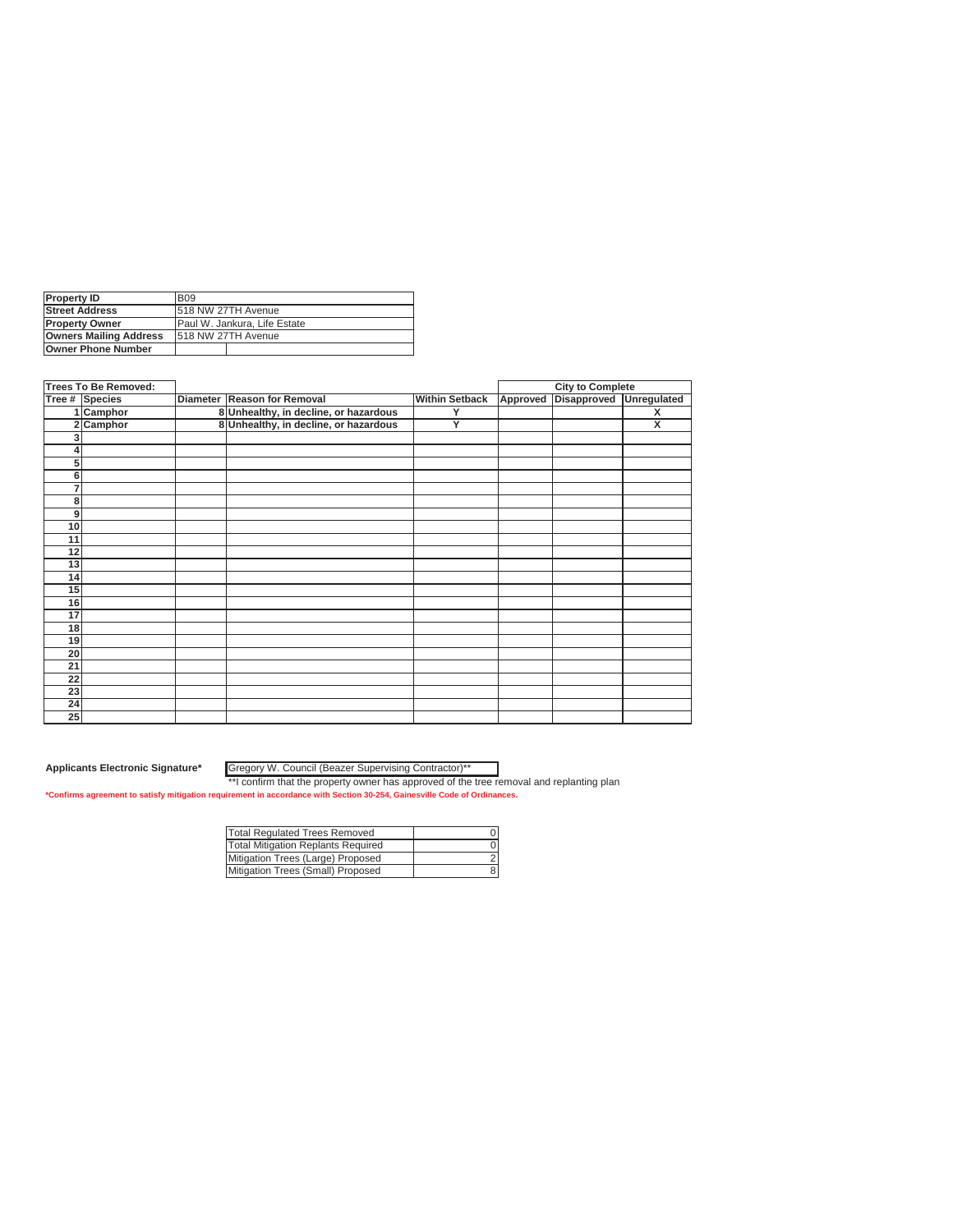| <b>IProperty ID</b>           | <b>B09</b>                    |  |  |
|-------------------------------|-------------------------------|--|--|
| <b>Street Address</b>         | 518 NW 27TH Avenue            |  |  |
| <b>Property Owner</b>         | IPaul W. Jankura. Life Estate |  |  |
| <b>Owners Mailing Address</b> | 1518 NW 27TH Avenue           |  |  |
| <b>Owner Phone Number</b>     |                               |  |  |
|                               |                               |  |  |

|    | Trees To Be Removed:<br>Tree # Species |                                       |                       | <b>City to Complete</b> |             |                         |
|----|----------------------------------------|---------------------------------------|-----------------------|-------------------------|-------------|-------------------------|
|    |                                        | Diameter Reason for Removal           | <b>Within Setback</b> | Approved                | Disapproved | Unregulated             |
|    | 1 Camphor                              | 8 Unhealthy, in decline, or hazardous | Y                     |                         |             | $\overline{\mathbf{x}}$ |
| 2  | Camphor                                | 8 Unhealthy, in decline, or hazardous | Y                     |                         |             | $\overline{\mathbf{x}}$ |
|    |                                        |                                       |                       |                         |             |                         |
|    |                                        |                                       |                       |                         |             |                         |
| 5  |                                        |                                       |                       |                         |             |                         |
| 6  |                                        |                                       |                       |                         |             |                         |
| 7  |                                        |                                       |                       |                         |             |                         |
| 8  |                                        |                                       |                       |                         |             |                         |
| 9  |                                        |                                       |                       |                         |             |                         |
| 10 |                                        |                                       |                       |                         |             |                         |
| 11 |                                        |                                       |                       |                         |             |                         |
| 12 |                                        |                                       |                       |                         |             |                         |
| 13 |                                        |                                       |                       |                         |             |                         |
| 14 |                                        |                                       |                       |                         |             |                         |
| 15 |                                        |                                       |                       |                         |             |                         |
| 16 |                                        |                                       |                       |                         |             |                         |
| 17 |                                        |                                       |                       |                         |             |                         |
| 18 |                                        |                                       |                       |                         |             |                         |
| 19 |                                        |                                       |                       |                         |             |                         |
| 20 |                                        |                                       |                       |                         |             |                         |
| 21 |                                        |                                       |                       |                         |             |                         |
| 22 |                                        |                                       |                       |                         |             |                         |
| 23 |                                        |                                       |                       |                         |             |                         |
| 24 |                                        |                                       |                       |                         |             |                         |
| 25 |                                        |                                       |                       |                         |             |                         |

Gregory W. Council (Beazer Supervising Contractor)\*\*

| Total Regulated Trees Removed      |  |
|------------------------------------|--|
| Total Mitigation Replants Required |  |
| Mitigation Trees (Large) Proposed  |  |
| Mitigation Trees (Small) Proposed  |  |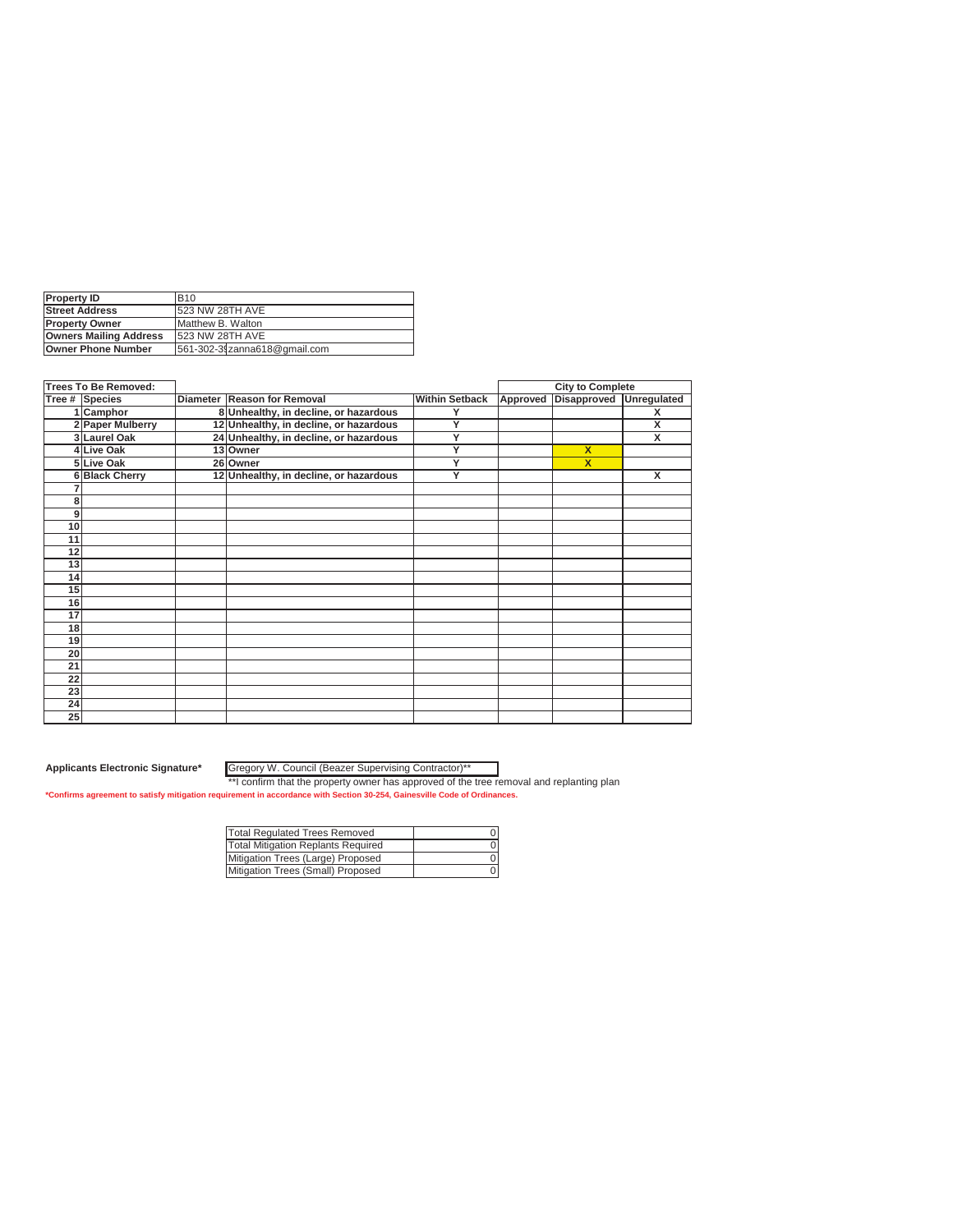| <b>Property ID</b>            | <b>B10</b>                   |  |  |
|-------------------------------|------------------------------|--|--|
| <b>Street Address</b>         | 523 NW 28TH AVE              |  |  |
| <b>Property Owner</b>         | Matthew B. Walton            |  |  |
| <b>Owners Mailing Address</b> | 1523 NW 28TH AVE             |  |  |
| <b>Owner Phone Number</b>     | 561-302-31zanna618@gmail.com |  |  |

|                | <b>Trees To Be Removed:</b> |  |                                        |                       | <b>City to Complete</b> |                         |             |
|----------------|-----------------------------|--|----------------------------------------|-----------------------|-------------------------|-------------------------|-------------|
|                | Tree # Species              |  | Diameter Reason for Removal            | <b>Within Setback</b> | Approved                | <b>Disapproved</b>      | Unregulated |
|                | 1 Camphor                   |  | 8 Unhealthy, in decline, or hazardous  | Υ                     |                         |                         | X           |
|                | 2 Paper Mulberry            |  | 12 Unhealthy, in decline, or hazardous | Y                     |                         |                         | X           |
|                | 3 Laurel Oak                |  | 24 Unhealthy, in decline, or hazardous | Y                     |                         |                         | X           |
|                | 4 Live Oak                  |  | 13 Owner                               | Ÿ                     |                         | $\overline{\mathbf{x}}$ |             |
|                | 5Live Oak                   |  | 26 Owner                               | Y                     |                         | $\overline{\mathbf{x}}$ |             |
|                | 6 Black Cherry              |  | 12 Unhealthy, in decline, or hazardous | Y                     |                         |                         | X           |
|                |                             |  |                                        |                       |                         |                         |             |
| 8              |                             |  |                                        |                       |                         |                         |             |
| $\overline{9}$ |                             |  |                                        |                       |                         |                         |             |
| 10             |                             |  |                                        |                       |                         |                         |             |
| 11             |                             |  |                                        |                       |                         |                         |             |
| 12             |                             |  |                                        |                       |                         |                         |             |
| 13             |                             |  |                                        |                       |                         |                         |             |
| 14             |                             |  |                                        |                       |                         |                         |             |
| 15             |                             |  |                                        |                       |                         |                         |             |
| 16             |                             |  |                                        |                       |                         |                         |             |
| 17             |                             |  |                                        |                       |                         |                         |             |
| 18             |                             |  |                                        |                       |                         |                         |             |
| 19             |                             |  |                                        |                       |                         |                         |             |
| 20             |                             |  |                                        |                       |                         |                         |             |
| 21             |                             |  |                                        |                       |                         |                         |             |
| 22             |                             |  |                                        |                       |                         |                         |             |
| 23             |                             |  |                                        |                       |                         |                         |             |
| 24             |                             |  |                                        |                       |                         |                         |             |
| 25             |                             |  |                                        |                       |                         |                         |             |

Gregory W. Council (Beazer Supervising Contractor)\*\*

| <b>Total Regulated Trees Removed</b> |  |
|--------------------------------------|--|
| Total Mitigation Replants Required   |  |
| Mitigation Trees (Large) Proposed    |  |
| Mitigation Trees (Small) Proposed    |  |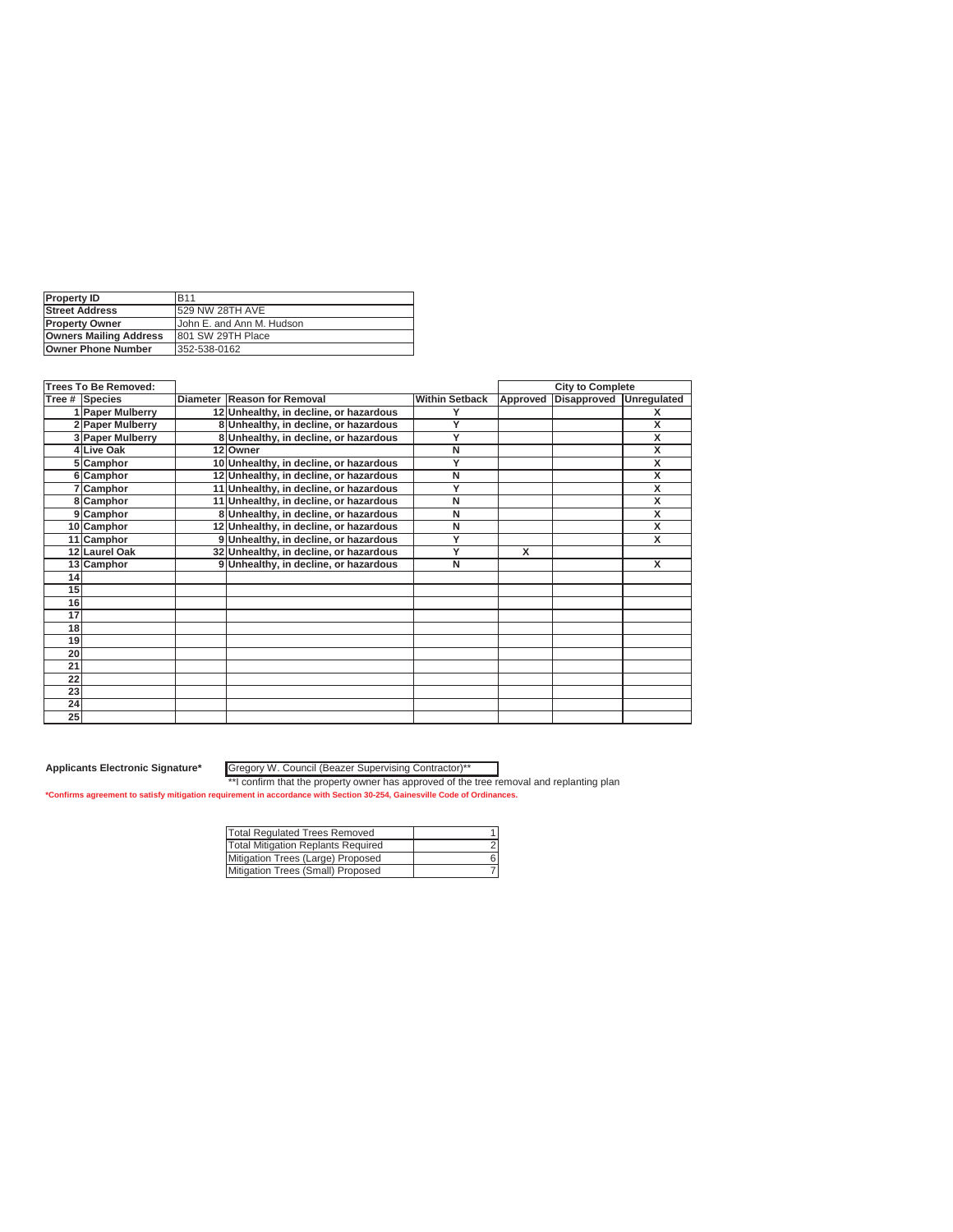| <b>B11</b>                |
|---------------------------|
| 529 NW 28TH AVE           |
| John E. and Ann M. Hudson |
| 801 SW 29TH Place         |
| 352-538-0162              |
|                           |

|                 | <b>Trees To Be Removed:</b> |                                        |                       | <b>City to Complete</b> |             |                         |
|-----------------|-----------------------------|----------------------------------------|-----------------------|-------------------------|-------------|-------------------------|
|                 | Tree # Species              | Diameter Reason for Removal            | <b>Within Setback</b> | Approved                | Disapproved | Unregulated             |
|                 | 1 Paper Mulberry            | 12 Unhealthy, in decline, or hazardous | Y                     |                         |             | x                       |
|                 | 2 Paper Mulberry            | 8 Unhealthy, in decline, or hazardous  | Y                     |                         |             | х                       |
|                 | 3 Paper Mulberry            | 8 Unhealthy, in decline, or hazardous  | Y                     |                         |             | X                       |
|                 | 4 Live Oak                  | 12 Owner                               | Ν                     |                         |             | $\overline{\mathsf{x}}$ |
|                 | 5 Camphor                   | 10 Unhealthy, in decline, or hazardous | Y                     |                         |             | X                       |
|                 | 6 Camphor                   | 12 Unhealthy, in decline, or hazardous | N                     |                         |             | x                       |
|                 | 7 Camphor                   | 11 Unhealthy, in decline, or hazardous | Y                     |                         |             | X                       |
|                 | 8 Camphor                   | 11 Unhealthy, in decline, or hazardous | N                     |                         |             | X                       |
|                 | 9 Camphor                   | 8 Unhealthy, in decline, or hazardous  | Ν                     |                         |             | X                       |
|                 | 10 Camphor                  | 12 Unhealthy, in decline, or hazardous | Ν                     |                         |             | X                       |
|                 | 11 Camphor                  | 9 Unhealthy, in decline, or hazardous  | Y                     |                         |             | X                       |
|                 | 12 Laurel Oak               | 32 Unhealthy, in decline, or hazardous | Y                     | x                       |             |                         |
|                 | 13 Camphor                  | 9 Unhealthy, in decline, or hazardous  | Ν                     |                         |             | X                       |
| 14              |                             |                                        |                       |                         |             |                         |
| 15 <sup>1</sup> |                             |                                        |                       |                         |             |                         |
| 16              |                             |                                        |                       |                         |             |                         |
| 17              |                             |                                        |                       |                         |             |                         |
| 18              |                             |                                        |                       |                         |             |                         |
| 19              |                             |                                        |                       |                         |             |                         |
| 20              |                             |                                        |                       |                         |             |                         |
| 21              |                             |                                        |                       |                         |             |                         |
| 22              |                             |                                        |                       |                         |             |                         |
| 23              |                             |                                        |                       |                         |             |                         |
| 24              |                             |                                        |                       |                         |             |                         |
| 25              |                             |                                        |                       |                         |             |                         |

Gregory W. Council (Beazer Supervising Contractor)\*\*

| Total Regulated Trees Removed      |  |
|------------------------------------|--|
| Total Mitigation Replants Required |  |
| Mitigation Trees (Large) Proposed  |  |
| Mitigation Trees (Small) Proposed  |  |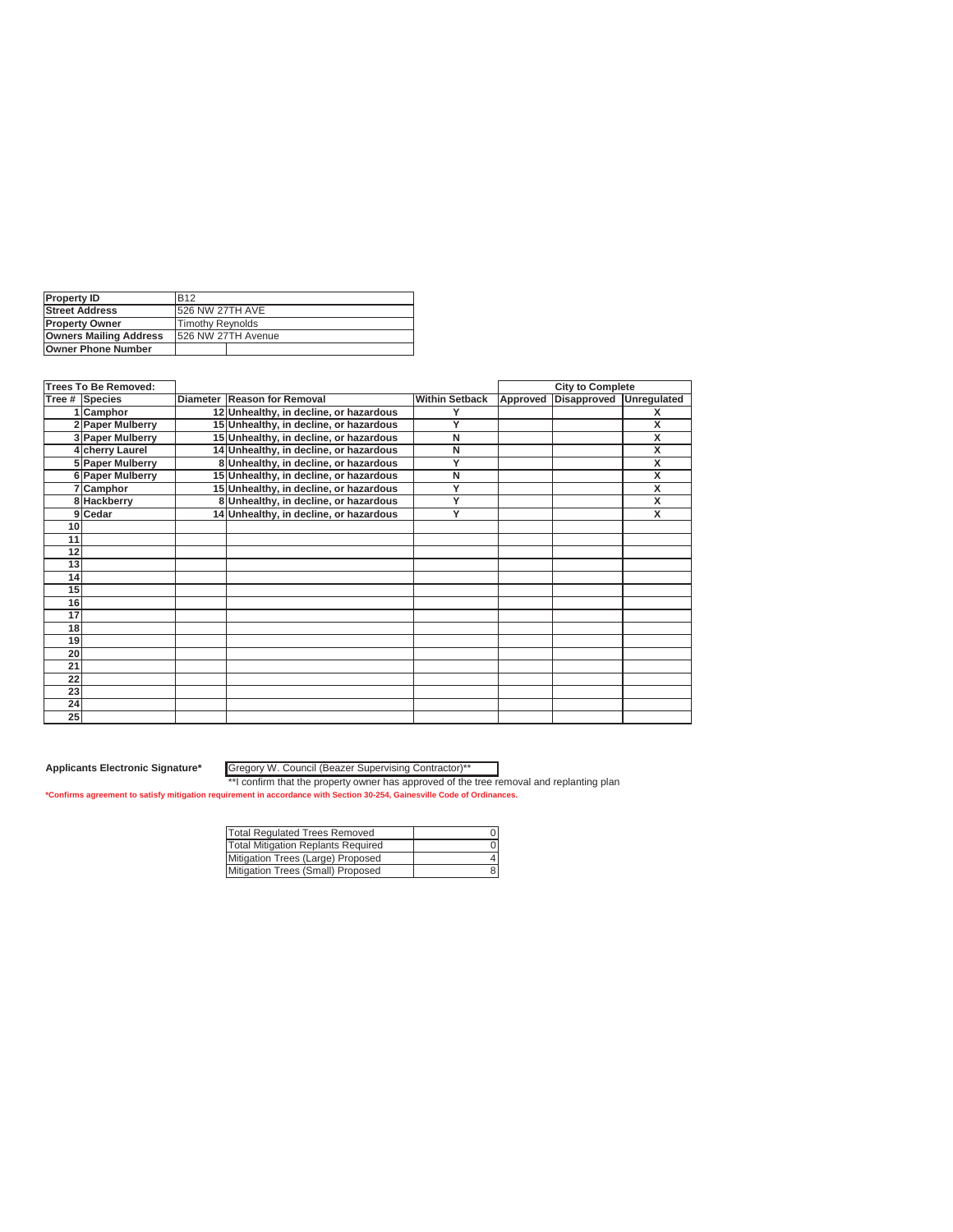| <b>Property ID</b>            | <b>B12</b>          |  |  |
|-------------------------------|---------------------|--|--|
| <b>Street Address</b>         | 526 NW 27TH AVE     |  |  |
| <b>IProperty Owner</b>        | Timothy Reynolds    |  |  |
| <b>Owners Mailing Address</b> | 1526 NW 27TH Avenue |  |  |
| <b>Owner Phone Number</b>     |                     |  |  |

|    | <b>Trees To Be Removed:</b> |                                        |                       | <b>City to Complete</b> |                    |                         |
|----|-----------------------------|----------------------------------------|-----------------------|-------------------------|--------------------|-------------------------|
|    | Tree # Species              | Diameter Reason for Removal            | <b>Within Setback</b> | Approved                | <b>Disapproved</b> | Unregulated             |
|    | <b>Camphor</b>              | 12 Unhealthy, in decline, or hazardous |                       |                         |                    | х                       |
|    | 2 Paper Mulberry            | 15 Unhealthy, in decline, or hazardous | Y                     |                         |                    | x                       |
|    | 3 Paper Mulberry            | 15 Unhealthy, in decline, or hazardous | N                     |                         |                    | X                       |
|    | 4 Cherry Laurel             | 14 Unhealthy, in decline, or hazardous | N                     |                         |                    | $\overline{\mathsf{x}}$ |
|    | 5 Paper Mulberry            | 8 Unhealthy, in decline, or hazardous  | Y                     |                         |                    | X                       |
|    | 6 Paper Mulberry            | 15 Unhealthy, in decline, or hazardous | N                     |                         |                    | X                       |
|    | 7 Camphor                   | 15 Unhealthy, in decline, or hazardous | Y                     |                         |                    | x                       |
|    | 8 Hackberry                 | 8 Unhealthy, in decline, or hazardous  | Ÿ                     |                         |                    | $\overline{\mathsf{x}}$ |
|    | 9 Cedar                     | 14 Unhealthy, in decline, or hazardous | Ÿ                     |                         |                    | $\overline{\mathbf{x}}$ |
| 10 |                             |                                        |                       |                         |                    |                         |
| 11 |                             |                                        |                       |                         |                    |                         |
| 12 |                             |                                        |                       |                         |                    |                         |
| 13 |                             |                                        |                       |                         |                    |                         |
| 14 |                             |                                        |                       |                         |                    |                         |
| 15 |                             |                                        |                       |                         |                    |                         |
| 16 |                             |                                        |                       |                         |                    |                         |
| 17 |                             |                                        |                       |                         |                    |                         |
| 18 |                             |                                        |                       |                         |                    |                         |
| 19 |                             |                                        |                       |                         |                    |                         |
| 20 |                             |                                        |                       |                         |                    |                         |
| 21 |                             |                                        |                       |                         |                    |                         |
| 22 |                             |                                        |                       |                         |                    |                         |
| 23 |                             |                                        |                       |                         |                    |                         |
| 24 |                             |                                        |                       |                         |                    |                         |
| 25 |                             |                                        |                       |                         |                    |                         |

Gregory W. Council (Beazer Supervising Contractor)\*\*

| <b>Total Regulated Trees Removed</b> |  |
|--------------------------------------|--|
| Total Mitigation Replants Required   |  |
| Mitigation Trees (Large) Proposed    |  |
| Mitigation Trees (Small) Proposed    |  |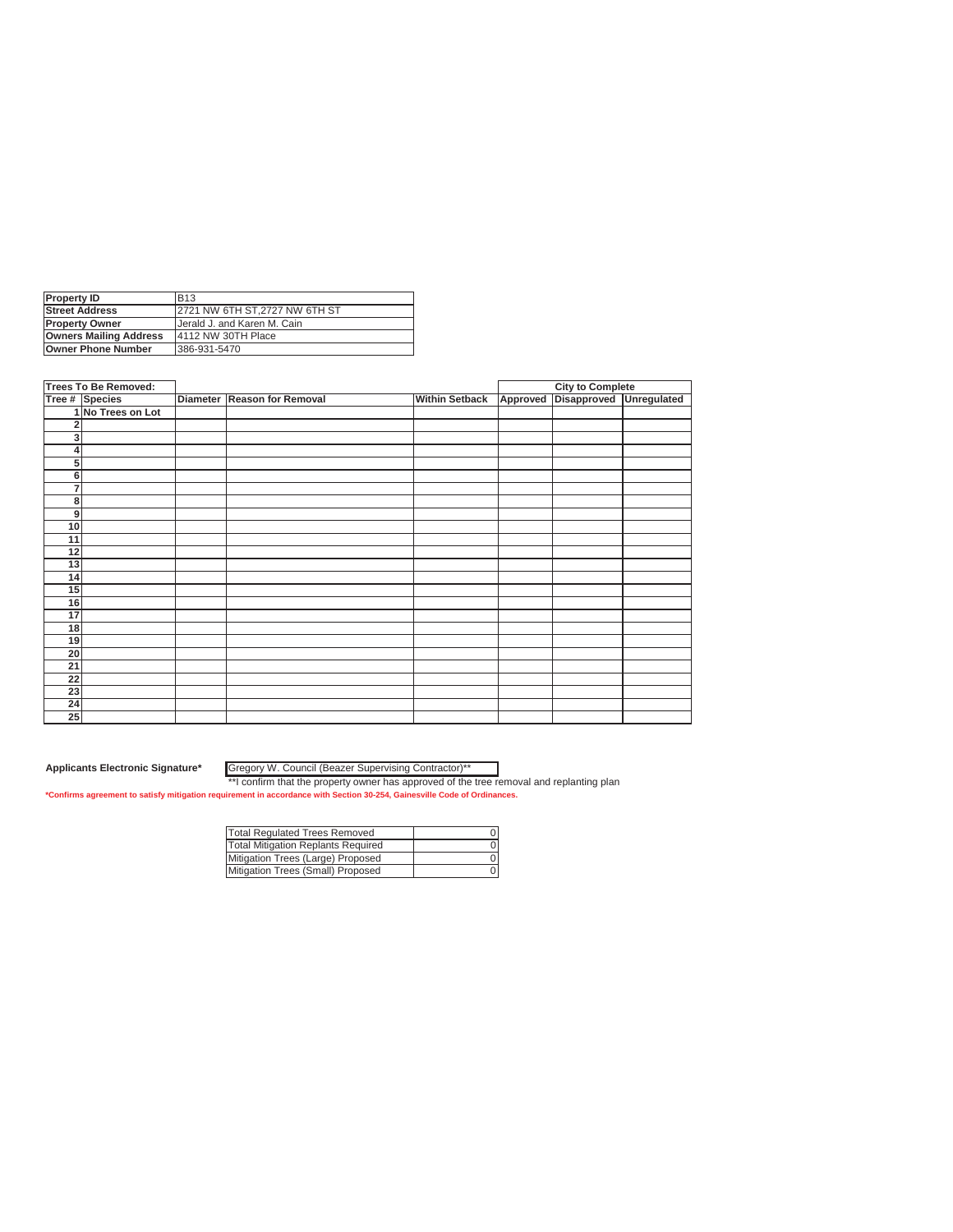| <b>Property ID</b>            | <b>B13</b>                     |
|-------------------------------|--------------------------------|
| <b>Street Address</b>         | 12721 NW 6TH ST.2727 NW 6TH ST |
| <b>Property Owner</b>         | Uerald J. and Karen M. Cain    |
| <b>Owners Mailing Address</b> | 4112 NW 30TH Place             |
| <b>Owner Phone Number</b>     | 386-931-5470                   |

|                         | <b>Trees To Be Removed:</b> |                             |                       |          | <b>City to Complete</b> |             |
|-------------------------|-----------------------------|-----------------------------|-----------------------|----------|-------------------------|-------------|
|                         | Tree # Species              | Diameter Reason for Removal | <b>Within Setback</b> | Approved | Disapproved             | Unregulated |
|                         | 1 No Trees on Lot           |                             |                       |          |                         |             |
|                         |                             |                             |                       |          |                         |             |
| $\overline{\mathbf{3}}$ |                             |                             |                       |          |                         |             |
|                         |                             |                             |                       |          |                         |             |
| 5 <sup>1</sup>          |                             |                             |                       |          |                         |             |
| $6 \mid$                |                             |                             |                       |          |                         |             |
| 7                       |                             |                             |                       |          |                         |             |
| 8                       |                             |                             |                       |          |                         |             |
| 9                       |                             |                             |                       |          |                         |             |
| 10                      |                             |                             |                       |          |                         |             |
| 11                      |                             |                             |                       |          |                         |             |
| 12                      |                             |                             |                       |          |                         |             |
| 13                      |                             |                             |                       |          |                         |             |
| 14                      |                             |                             |                       |          |                         |             |
| 15                      |                             |                             |                       |          |                         |             |
| 16                      |                             |                             |                       |          |                         |             |
| $\overline{17}$         |                             |                             |                       |          |                         |             |
| 18                      |                             |                             |                       |          |                         |             |
| 19                      |                             |                             |                       |          |                         |             |
| 20                      |                             |                             |                       |          |                         |             |
| 21                      |                             |                             |                       |          |                         |             |
| 22                      |                             |                             |                       |          |                         |             |
| 23                      |                             |                             |                       |          |                         |             |
| 24                      |                             |                             |                       |          |                         |             |
| 25                      |                             |                             |                       |          |                         |             |

Gregory W. Council (Beazer Supervising Contractor)\*\*

| <b>Total Regulated Trees Removed</b> |  |
|--------------------------------------|--|
| Total Mitigation Replants Required   |  |
| Mitigation Trees (Large) Proposed    |  |
| Mitigation Trees (Small) Proposed    |  |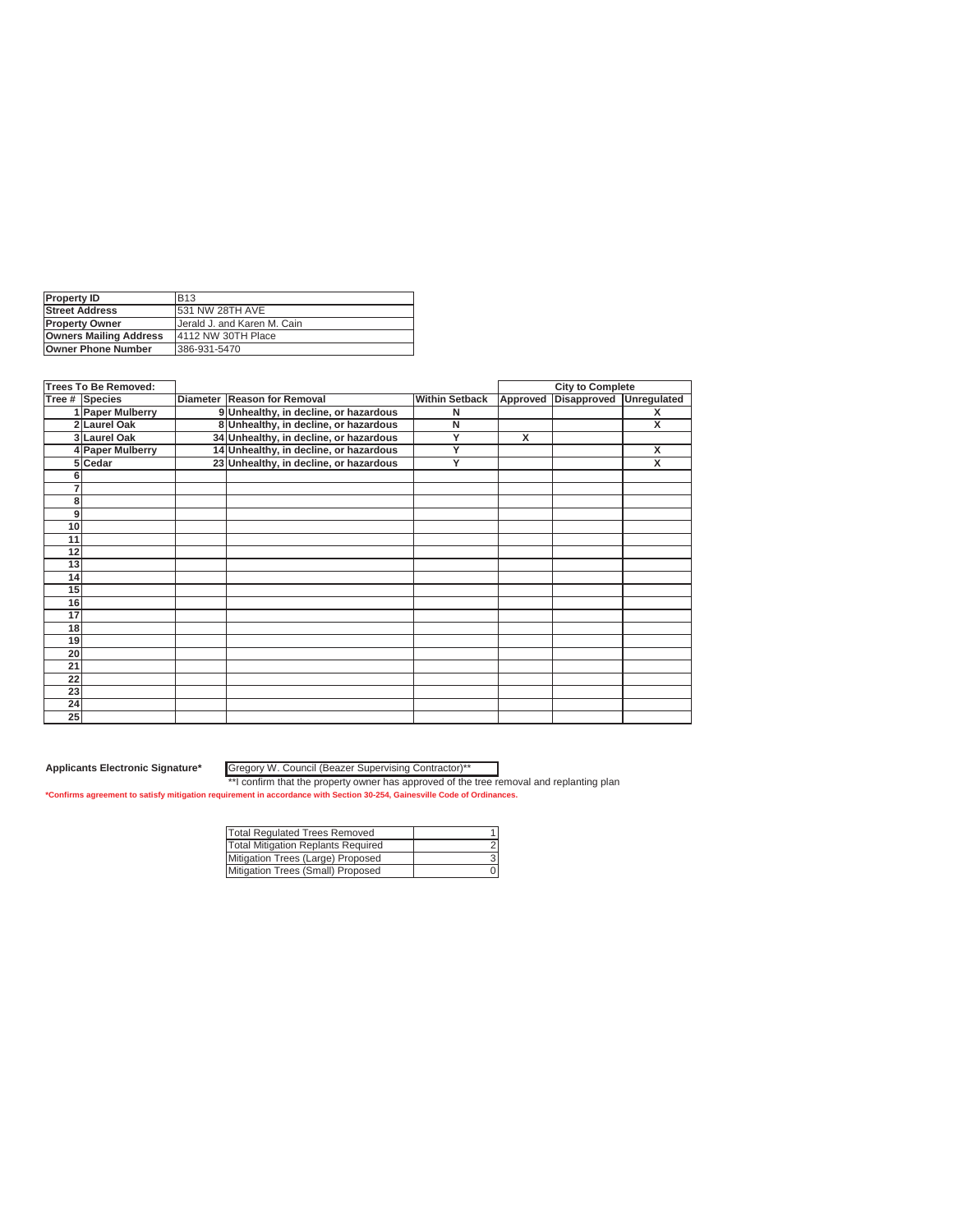| <b>Property ID</b>            | <b>B13</b>                  |
|-------------------------------|-----------------------------|
| <b>Street Address</b>         | <b>531 NW 28TH AVE</b>      |
| <b>IProperty Owner</b>        | Uerald J. and Karen M. Cain |
| <b>Owners Mailing Address</b> | 4112 NW 30TH Place          |
| <b>Owner Phone Number</b>     | 386-931-5470                |

|                 | <b>Trees To Be Removed:</b> |                                        |                       |          | <b>City to Complete</b> |                         |
|-----------------|-----------------------------|----------------------------------------|-----------------------|----------|-------------------------|-------------------------|
|                 | <b>Tree # Species</b>       | Diameter Reason for Removal            | <b>Within Setback</b> | Approved | <b>Disapproved</b>      | <b>Unregulated</b>      |
|                 | 1 Paper Mulberry            | 9 Unhealthy, in decline, or hazardous  | N                     |          |                         | X                       |
|                 | 2 Laurel Oak                | 8 Unhealthy, in decline, or hazardous  | N                     |          |                         | X                       |
|                 | 3 Laurel Oak                | 34 Unhealthy, in decline, or hazardous | Y                     | x        |                         |                         |
|                 | 4 Paper Mulberry            | 14 Unhealthy, in decline, or hazardous | Ÿ                     |          |                         | $\overline{\mathsf{x}}$ |
|                 | 5 Cedar                     | 23 Unhealthy, in decline, or hazardous | Y                     |          |                         | X                       |
| 6               |                             |                                        |                       |          |                         |                         |
|                 |                             |                                        |                       |          |                         |                         |
| 8               |                             |                                        |                       |          |                         |                         |
| 9               |                             |                                        |                       |          |                         |                         |
| 10              |                             |                                        |                       |          |                         |                         |
| 11              |                             |                                        |                       |          |                         |                         |
| 12              |                             |                                        |                       |          |                         |                         |
| 13              |                             |                                        |                       |          |                         |                         |
| 14              |                             |                                        |                       |          |                         |                         |
| 15              |                             |                                        |                       |          |                         |                         |
| 16              |                             |                                        |                       |          |                         |                         |
| 17              |                             |                                        |                       |          |                         |                         |
| 18              |                             |                                        |                       |          |                         |                         |
| 19              |                             |                                        |                       |          |                         |                         |
| 20              |                             |                                        |                       |          |                         |                         |
| $\overline{21}$ |                             |                                        |                       |          |                         |                         |
| 22              |                             |                                        |                       |          |                         |                         |
| 23              |                             |                                        |                       |          |                         |                         |
| 24              |                             |                                        |                       |          |                         |                         |
| 25              |                             |                                        |                       |          |                         |                         |

Gregory W. Council (Beazer Supervising Contractor)\*\*

| Total Regulated Trees Removed      |  |
|------------------------------------|--|
| Total Mitigation Replants Required |  |
| Mitigation Trees (Large) Proposed  |  |
| Mitigation Trees (Small) Proposed  |  |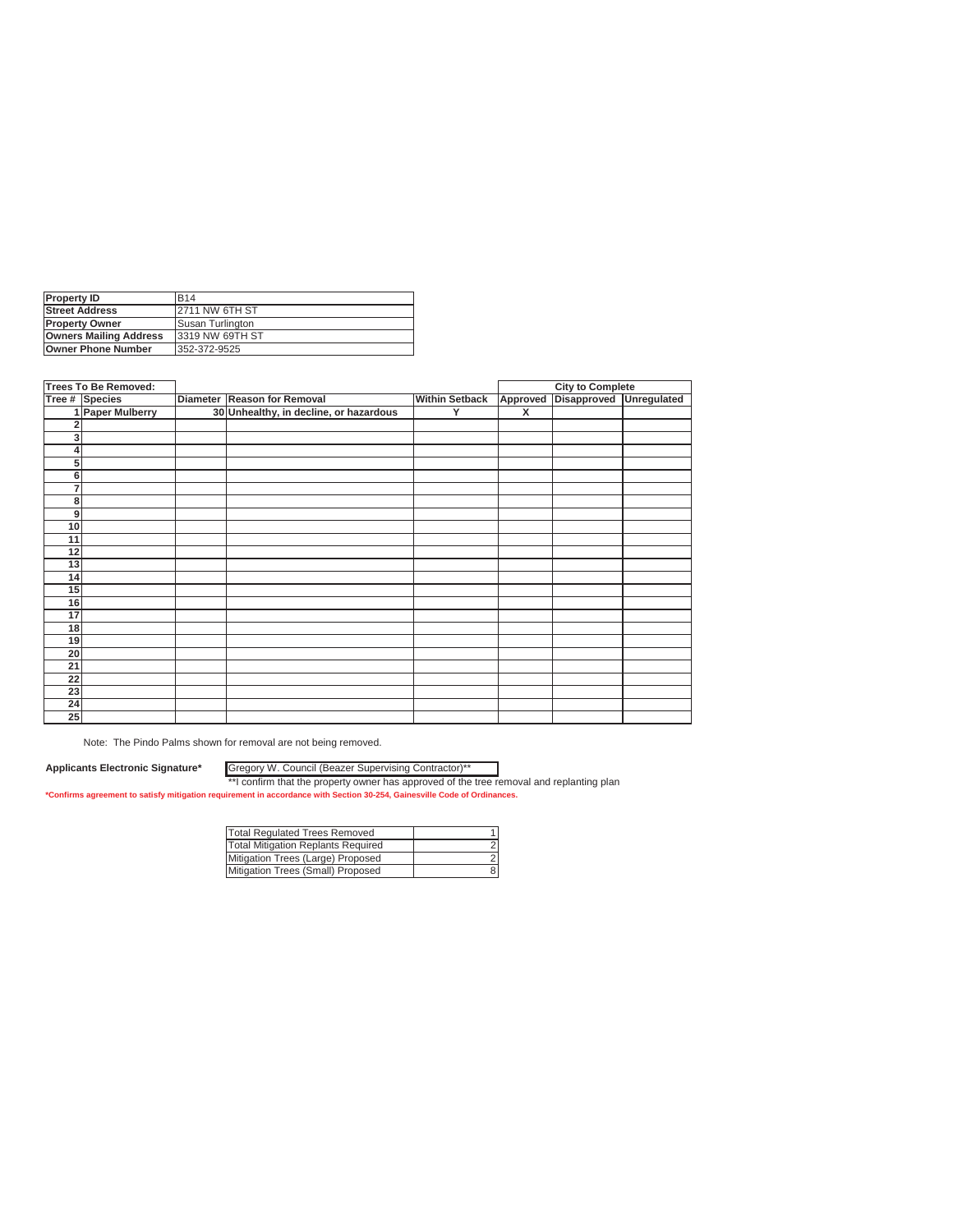| <b>Property ID</b>            | <b>B14</b>              |
|-------------------------------|-------------------------|
| <b>Street Address</b>         | <b>2711 NW 6TH ST</b>   |
| <b>Property Owner</b>         | <b>Susan Turlington</b> |
| <b>Owners Mailing Address</b> | 13319 NW 69TH ST        |
| <b>Owner Phone Number</b>     | 352-372-9525            |

|                 | <b>Trees To Be Removed:</b> |                                        |                       |          | <b>City to Complete</b> |             |
|-----------------|-----------------------------|----------------------------------------|-----------------------|----------|-------------------------|-------------|
|                 | Tree # Species              | Diameter Reason for Removal            | <b>Within Setback</b> | Approved | Disapproved             | Unregulated |
|                 | 1 Paper Mulberry            | 30 Unhealthy, in decline, or hazardous | Υ                     | X        |                         |             |
|                 |                             |                                        |                       |          |                         |             |
| 3 <sub>l</sub>  |                             |                                        |                       |          |                         |             |
|                 |                             |                                        |                       |          |                         |             |
| 5               |                             |                                        |                       |          |                         |             |
| 6               |                             |                                        |                       |          |                         |             |
| 7               |                             |                                        |                       |          |                         |             |
| 8               |                             |                                        |                       |          |                         |             |
| 9               |                             |                                        |                       |          |                         |             |
| 10              |                             |                                        |                       |          |                         |             |
| 11              |                             |                                        |                       |          |                         |             |
| $\overline{12}$ |                             |                                        |                       |          |                         |             |
| 13              |                             |                                        |                       |          |                         |             |
| 14              |                             |                                        |                       |          |                         |             |
| 15              |                             |                                        |                       |          |                         |             |
| 16              |                             |                                        |                       |          |                         |             |
| 17              |                             |                                        |                       |          |                         |             |
| 18              |                             |                                        |                       |          |                         |             |
| 19              |                             |                                        |                       |          |                         |             |
| 20              |                             |                                        |                       |          |                         |             |
| $\overline{21}$ |                             |                                        |                       |          |                         |             |
| 22              |                             |                                        |                       |          |                         |             |
| 23              |                             |                                        |                       |          |                         |             |
| 24              |                             |                                        |                       |          |                         |             |
| 25              |                             |                                        |                       |          |                         |             |

Note: The Pindo Palms shown for removal are not being removed.

**Applicants Electronic Signature\***

Gregory W. Council (Beazer Supervising Contractor)\*\*

| Total Regulated Trees Removed      |  |
|------------------------------------|--|
| Total Mitigation Replants Required |  |
| Mitigation Trees (Large) Proposed  |  |
| Mitigation Trees (Small) Proposed  |  |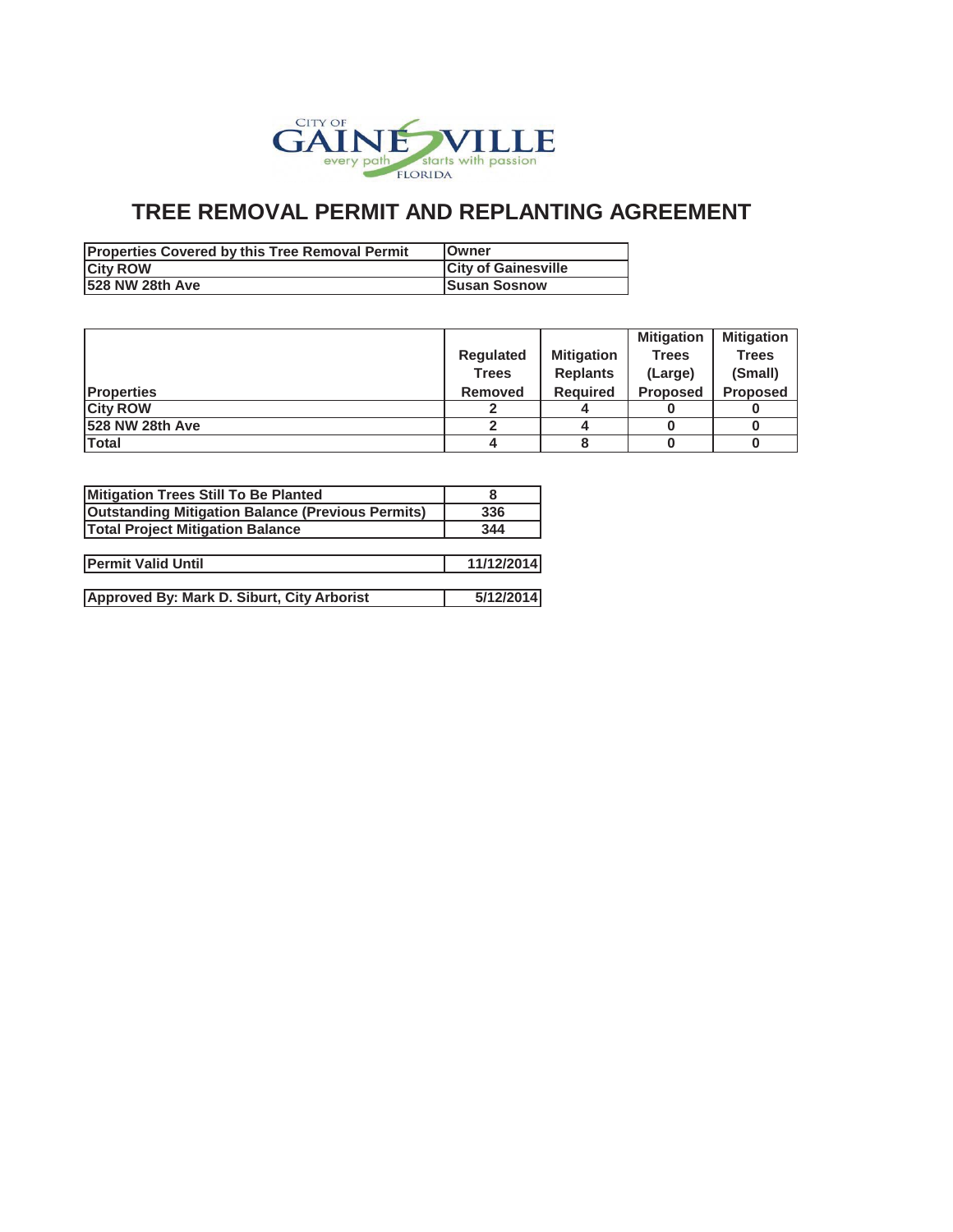

## **TREE REMOVAL PERMIT AND REPLANTING AGREEMENT**

| <b>Properties Covered by this Tree Removal Permit</b> | <b>IOwner</b>              |
|-------------------------------------------------------|----------------------------|
| <b>City ROW</b>                                       | <b>City of Gainesville</b> |
| 528 NW 28th Ave                                       | <b>Susan Sosnow</b>        |

|                   |                  |                   | <b>Mitigation</b> | <b>Mitigation</b> |
|-------------------|------------------|-------------------|-------------------|-------------------|
|                   | <b>Regulated</b> | <b>Mitigation</b> | <b>Trees</b>      | <b>Trees</b>      |
|                   | <b>Trees</b>     | <b>Replants</b>   | (Large)           | (Small)           |
| <b>Properties</b> | <b>Removed</b>   | <b>Required</b>   | <b>Proposed</b>   | <b>Proposed</b>   |
| <b>City ROW</b>   |                  |                   |                   |                   |
| 1528 NW 28th Ave  |                  |                   |                   |                   |
| Total             | 4                |                   |                   |                   |

| Mitigation Trees Still To Be Planted                     |            |
|----------------------------------------------------------|------------|
| <b>Outstanding Mitigation Balance (Previous Permits)</b> | 336        |
| <b>Total Project Mitigation Balance</b>                  | 344        |
|                                                          |            |
| <b>Permit Valid Until</b>                                | 11/12/2014 |
|                                                          |            |
| Approved By: Mark D. Siburt, City Arborist               | 5/12/2014  |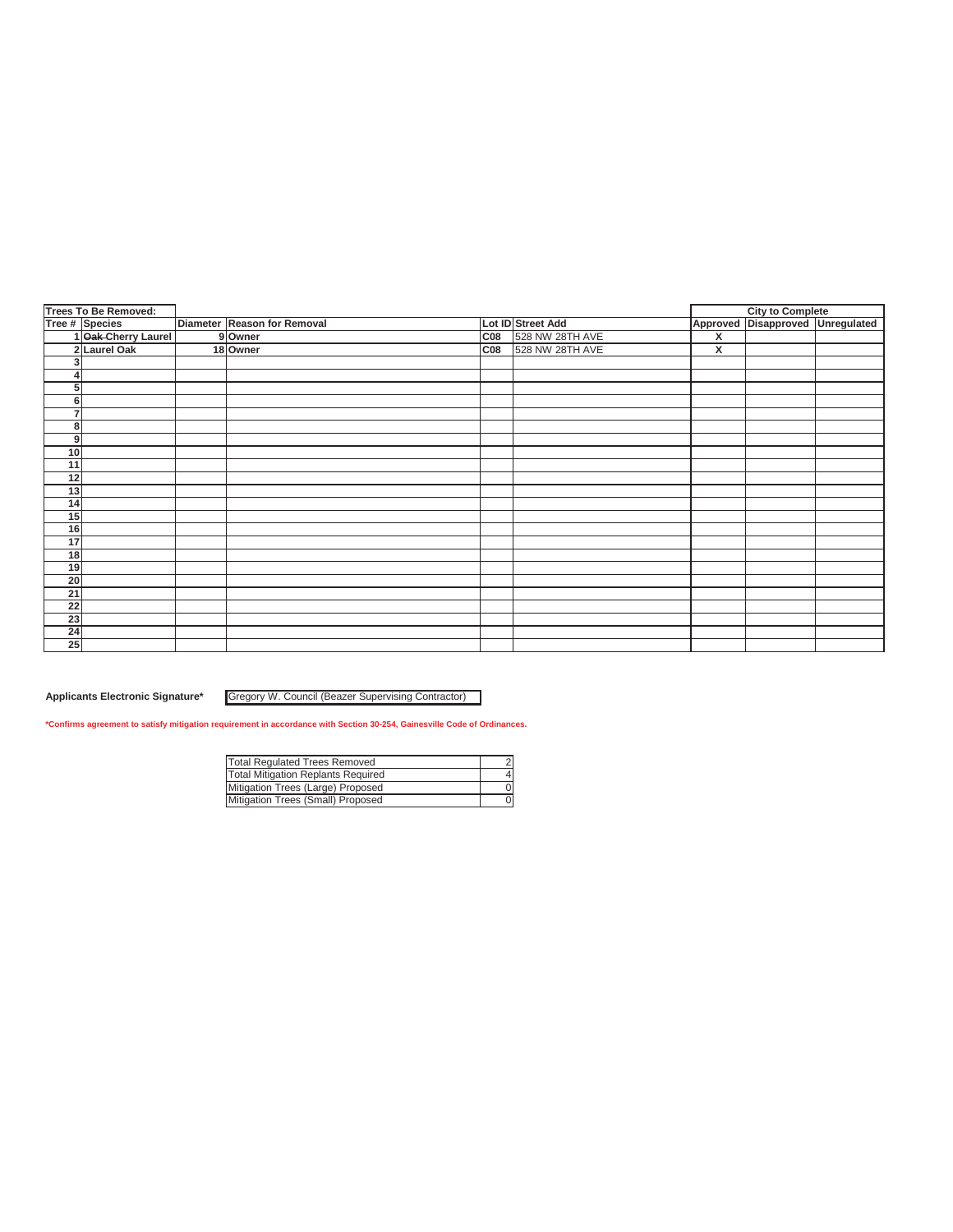| Tree # Species<br>Diameter Reason for Removal<br>Lot ID Street Add<br>1 Oak-Cherry Laurel<br>C <sub>08</sub><br>528 NW 28TH AVE<br>9 Owner<br>2 Laurel Oak<br>528 NW 28TH AVE<br>C08<br>18 Owner<br>3<br>4<br>5<br>6<br>$\overline{7}$<br>8 | $\overline{\mathbf{x}}$<br>X | Approved Disapproved Unregulated |  |
|---------------------------------------------------------------------------------------------------------------------------------------------------------------------------------------------------------------------------------------------|------------------------------|----------------------------------|--|
|                                                                                                                                                                                                                                             |                              |                                  |  |
|                                                                                                                                                                                                                                             |                              |                                  |  |
|                                                                                                                                                                                                                                             |                              |                                  |  |
|                                                                                                                                                                                                                                             |                              |                                  |  |
|                                                                                                                                                                                                                                             |                              |                                  |  |
|                                                                                                                                                                                                                                             |                              |                                  |  |
|                                                                                                                                                                                                                                             |                              |                                  |  |
|                                                                                                                                                                                                                                             |                              |                                  |  |
|                                                                                                                                                                                                                                             |                              |                                  |  |
| 9                                                                                                                                                                                                                                           |                              |                                  |  |
| 10                                                                                                                                                                                                                                          |                              |                                  |  |
| 11                                                                                                                                                                                                                                          |                              |                                  |  |
| 12                                                                                                                                                                                                                                          |                              |                                  |  |
| 13                                                                                                                                                                                                                                          |                              |                                  |  |
| 14                                                                                                                                                                                                                                          |                              |                                  |  |
| 15                                                                                                                                                                                                                                          |                              |                                  |  |
| 16                                                                                                                                                                                                                                          |                              |                                  |  |
| 17                                                                                                                                                                                                                                          |                              |                                  |  |
| 18                                                                                                                                                                                                                                          |                              |                                  |  |
| 19                                                                                                                                                                                                                                          |                              |                                  |  |
| $\overline{20}$                                                                                                                                                                                                                             |                              |                                  |  |
| 21                                                                                                                                                                                                                                          |                              |                                  |  |
| $\overline{22}$                                                                                                                                                                                                                             |                              |                                  |  |
| 23                                                                                                                                                                                                                                          |                              |                                  |  |
| 24                                                                                                                                                                                                                                          |                              |                                  |  |
| $\overline{25}$                                                                                                                                                                                                                             |                              |                                  |  |

**Applicants Electronic Signature\*** Gregory W. Council (Beazer Supervising Contractor)

**\*Confirms agreement to satisfy mitigation requirement in accordance with Section 30-254, Gainesville Code of Ordinances.**

| <b>Total Regulated Trees Removed</b> |  |
|--------------------------------------|--|
| Total Mitigation Replants Required   |  |
| Mitigation Trees (Large) Proposed    |  |
| Mitigation Trees (Small) Proposed    |  |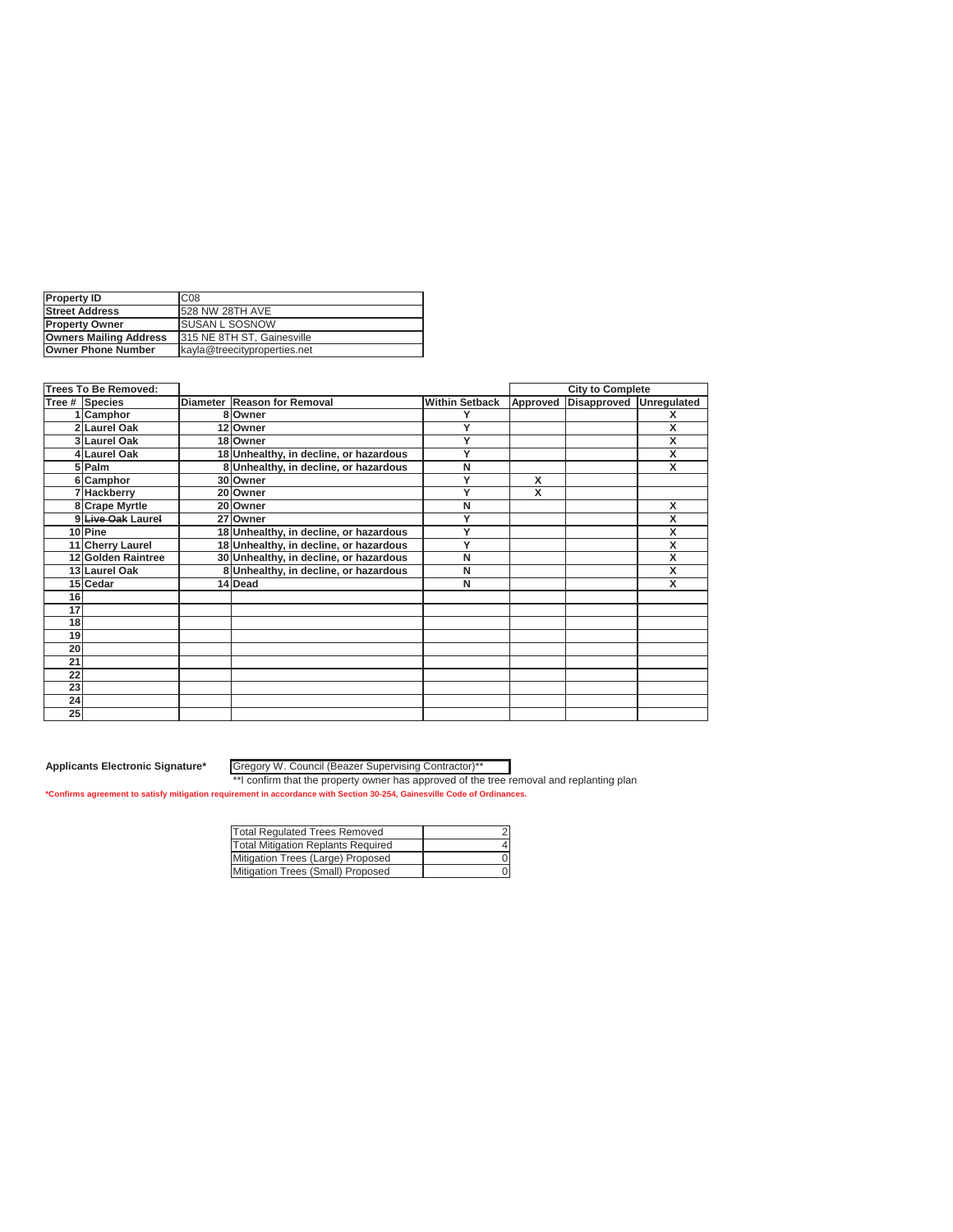| <b>Property ID</b>            | C <sub>08</sub>              |
|-------------------------------|------------------------------|
| <b>Street Address</b>         | 1528 NW 28TH AVE             |
| <b>IProperty Owner</b>        | <b>ISUSAN L SOSNOW</b>       |
| <b>Owners Mailing Address</b> | 1315 NE 8TH ST. Gainesville  |
| Owner Phone Number            | kayla@treecityproperties.net |

|    | Trees To Be Removed: |                                        |                       |          | <b>City to Complete</b> |             |
|----|----------------------|----------------------------------------|-----------------------|----------|-------------------------|-------------|
|    | Tree # Species       | Diameter Reason for Removal            | <b>Within Setback</b> | Approved | Disapproved             | Unregulated |
|    | Camphor              | 8 Owner                                |                       |          |                         | x           |
|    | 2 Laurel Oak         | 12 Owner                               | Y                     |          |                         | X           |
|    | 3 Laurel Oak         | 18 Owner                               | Υ                     |          |                         | X           |
|    | 4 Laurel Oak         | 18 Unhealthy, in decline, or hazardous | Y                     |          |                         | X           |
|    | 5 Palm               | 8 Unhealthy, in decline, or hazardous  | N                     |          |                         | x           |
|    | 6 Camphor            | 30 Owner                               | Y                     | X        |                         |             |
|    | 7 Hackberry          | 20 Owner                               | Y                     | x        |                         |             |
|    | 8 Crape Myrtle       | 20 Owner                               | N                     |          |                         | X           |
|    | 9 Live Oak Laurel    | 27 Owner                               | Υ                     |          |                         | x           |
|    | 10Pine               | 18 Unhealthy, in decline, or hazardous | Y                     |          |                         | X           |
|    | 11 Cherry Laurel     | 18 Unhealthy, in decline, or hazardous | Y                     |          |                         | X           |
|    | 12 Golden Raintree   | 30 Unhealthy, in decline, or hazardous | N                     |          |                         | X           |
|    | 13 Laurel Oak        | 8 Unhealthy, in decline, or hazardous  | N                     |          |                         | x           |
|    | 15 Cedar             | 14 Dead                                | N                     |          |                         | x           |
| 16 |                      |                                        |                       |          |                         |             |
| 17 |                      |                                        |                       |          |                         |             |
| 18 |                      |                                        |                       |          |                         |             |
| 19 |                      |                                        |                       |          |                         |             |
| 20 |                      |                                        |                       |          |                         |             |
| 21 |                      |                                        |                       |          |                         |             |
| 22 |                      |                                        |                       |          |                         |             |
| 23 |                      |                                        |                       |          |                         |             |
| 24 |                      |                                        |                       |          |                         |             |
| 25 |                      |                                        |                       |          |                         |             |

Gregory W. Council (Beazer Supervising Contractor)\*\*

| Total Regulated Trees Removed             |  |
|-------------------------------------------|--|
| <b>Total Mitigation Replants Required</b> |  |
| Mitigation Trees (Large) Proposed         |  |
| Mitigation Trees (Small) Proposed         |  |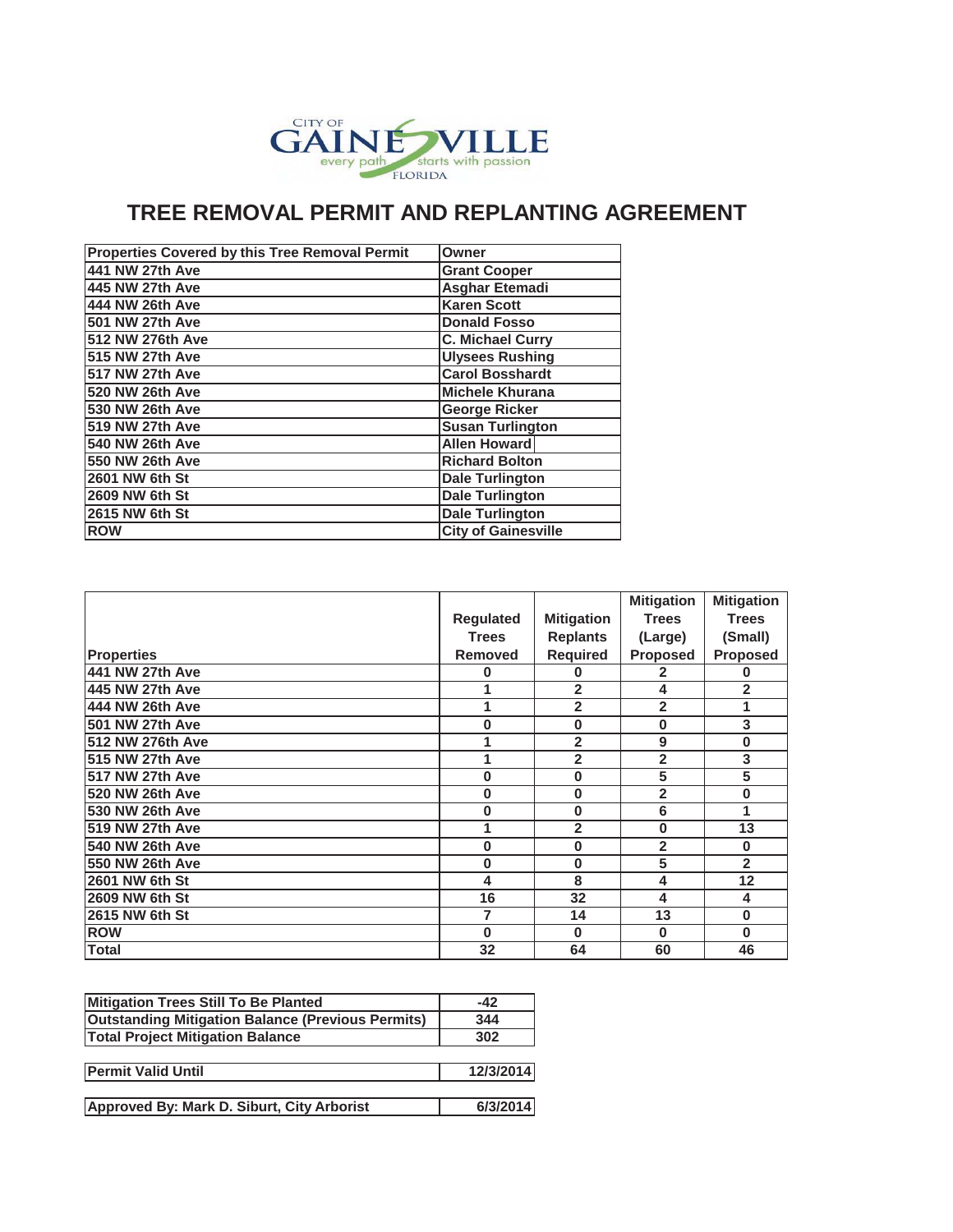

## **TREE REMOVAL PERMIT AND REPLANTING AGREEMENT**

| Properties Covered by this Tree Removal Permit | Owner                      |
|------------------------------------------------|----------------------------|
| 441 NW 27th Ave                                | <b>Grant Cooper</b>        |
| 445 NW 27th Ave                                | <b>Asghar Etemadi</b>      |
| 444 NW 26th Ave                                | <b>Karen Scott</b>         |
| 501 NW 27th Ave                                | <b>Donald Fosso</b>        |
| 512 NW 276th Ave                               | <b>C. Michael Curry</b>    |
| 515 NW 27th Ave                                | <b>Ulysees Rushing</b>     |
| <b>517 NW 27th Ave</b>                         | <b>Carol Bosshardt</b>     |
| 520 NW 26th Ave                                | <b>Michele Khurana</b>     |
| 530 NW 26th Ave                                | <b>George Ricker</b>       |
| 519 NW 27th Ave                                | <b>Susan Turlington</b>    |
| 540 NW 26th Ave                                | <b>Allen Howard</b>        |
| 550 NW 26th Ave                                | <b>Richard Bolton</b>      |
| 2601 NW 6th St                                 | <b>Dale Turlington</b>     |
| 2609 NW 6th St                                 | <b>Dale Turlington</b>     |
| 2615 NW 6th St                                 | Dale Turlington            |
| <b>ROW</b>                                     | <b>City of Gainesville</b> |

|                   |                  |                   | <b>Mitigation</b> | <b>Mitigation</b> |
|-------------------|------------------|-------------------|-------------------|-------------------|
|                   | <b>Regulated</b> | <b>Mitigation</b> | <b>Trees</b>      | <b>Trees</b>      |
|                   | <b>Trees</b>     | <b>Replants</b>   | (Large)           | (Small)           |
| <b>Properties</b> | <b>Removed</b>   | Required          | <b>Proposed</b>   | <b>Proposed</b>   |
| 441 NW 27th Ave   | 0                | 0                 | 2                 | 0                 |
| 445 NW 27th Ave   | 1                | $\overline{2}$    | 4                 | $\overline{2}$    |
| 444 NW 26th Ave   | 1                | $\overline{2}$    | $\overline{2}$    | 1                 |
| 501 NW 27th Ave   | 0                | $\bf{0}$          | 0                 | 3                 |
| 512 NW 276th Ave  | 1                | $\overline{2}$    | 9                 | 0                 |
| 515 NW 27th Ave   | 1                | $\overline{2}$    | $\overline{2}$    | 3                 |
| 517 NW 27th Ave   | $\bf{0}$         | 0                 | 5                 | 5                 |
| 520 NW 26th Ave   | 0                | 0                 | $\overline{2}$    | 0                 |
| 530 NW 26th Ave   | 0                | $\bf{0}$          | 6                 | 1                 |
| 519 NW 27th Ave   | 1                | $\overline{2}$    | 0                 | 13                |
| 540 NW 26th Ave   | 0                | 0                 | $\overline{2}$    | 0                 |
| 550 NW 26th Ave   | 0                | 0                 | 5                 | $\overline{2}$    |
| 2601 NW 6th St    | 4                | 8                 | 4                 | 12                |
| 2609 NW 6th St    | 16               | 32                | 4                 | 4                 |
| 2615 NW 6th St    | 7                | 14                | 13                | $\bf{0}$          |
| <b>ROW</b>        | $\bf{0}$         | $\bf{0}$          | 0                 | 0                 |
| Total             | 32               | 64                | 60                | 46                |

| Mitigation Trees Still To Be Planted                     | $-42$     |
|----------------------------------------------------------|-----------|
| <b>Outstanding Mitigation Balance (Previous Permits)</b> | 344       |
| <b>Total Project Mitigation Balance</b>                  | 302       |
|                                                          |           |
| <b>Permit Valid Until</b>                                | 12/3/2014 |
|                                                          |           |
| Approved By: Mark D. Siburt, City Arborist               | 6/3/2014  |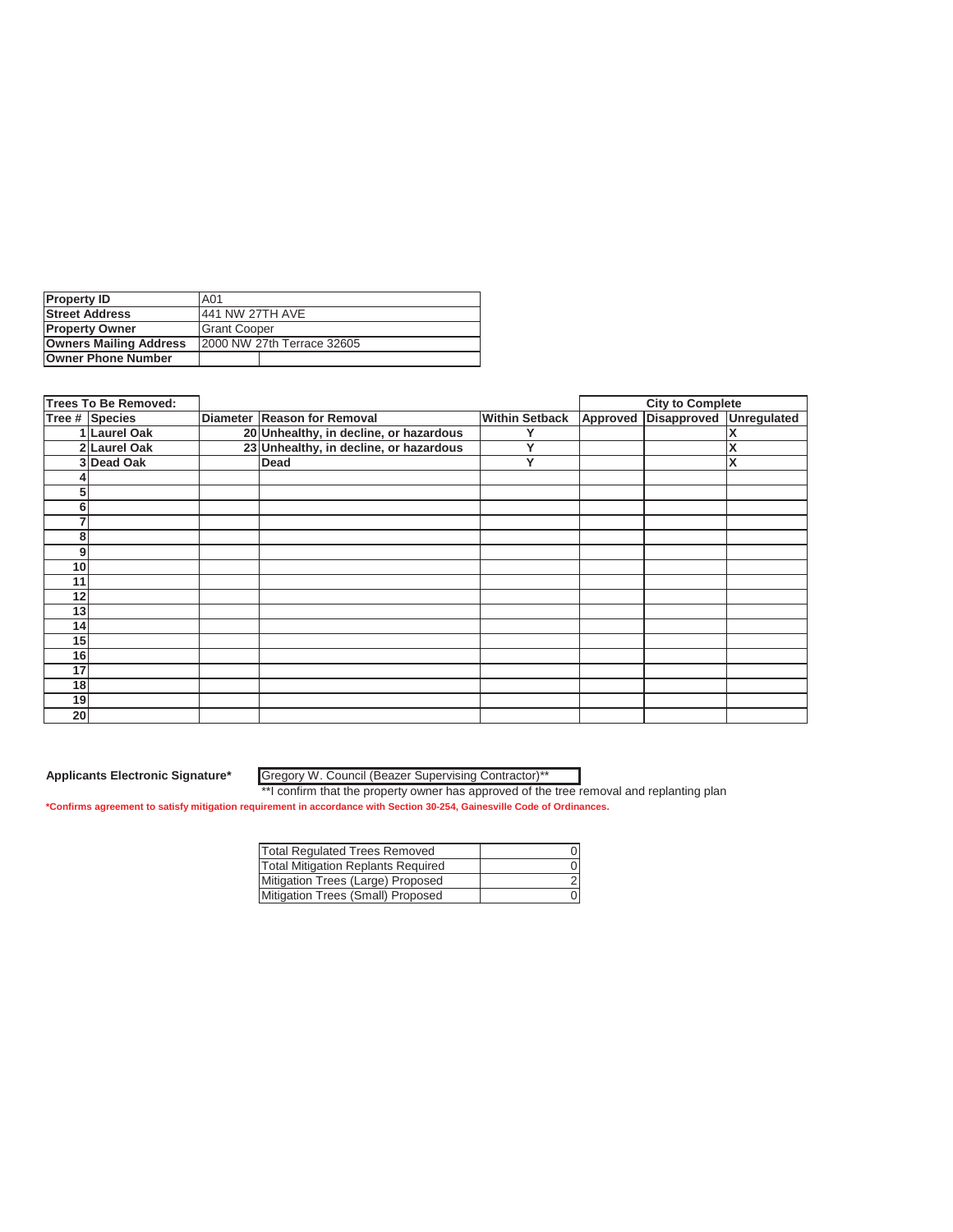| <b>Property ID</b>            | <b>A01</b>                 |
|-------------------------------|----------------------------|
| <b>Street Address</b>         | 441 NW 27TH AVE            |
| <b>Property Owner</b>         | <b>IGrant Cooper</b>       |
| <b>Owners Mailing Address</b> | 2000 NW 27th Terrace 32605 |
| <b>Owner Phone Number</b>     |                            |

|                 | <b>Trees To Be Removed:</b> |                                        |                       | <b>City to Complete</b>          |   |
|-----------------|-----------------------------|----------------------------------------|-----------------------|----------------------------------|---|
|                 | Tree # Species              | Diameter Reason for Removal            | <b>Within Setback</b> | Approved Disapproved Unregulated |   |
|                 | 1 Laurel Oak                | 20 Unhealthy, in decline, or hazardous |                       |                                  |   |
|                 | 2 Laurel Oak                | 23 Unhealthy, in decline, or hazardous | v                     |                                  | Χ |
|                 | 3Dead Oak                   | Dead                                   | Υ                     |                                  | X |
|                 |                             |                                        |                       |                                  |   |
| 5               |                             |                                        |                       |                                  |   |
| 6               |                             |                                        |                       |                                  |   |
| 7               |                             |                                        |                       |                                  |   |
| 8               |                             |                                        |                       |                                  |   |
| 9               |                             |                                        |                       |                                  |   |
| 10              |                             |                                        |                       |                                  |   |
| 11              |                             |                                        |                       |                                  |   |
| 12              |                             |                                        |                       |                                  |   |
| 13              |                             |                                        |                       |                                  |   |
| 14 <sub>1</sub> |                             |                                        |                       |                                  |   |
| 15              |                             |                                        |                       |                                  |   |
| 16              |                             |                                        |                       |                                  |   |
| 17              |                             |                                        |                       |                                  |   |
| 18              |                             |                                        |                       |                                  |   |
| 19              |                             |                                        |                       |                                  |   |
| 20 <sub>l</sub> |                             |                                        |                       |                                  |   |

Gregory W. Council (Beazer Supervising Contractor)\*\*

| <b>Total Requlated Trees Removed</b>      |  |
|-------------------------------------------|--|
| <b>Total Mitigation Replants Required</b> |  |
| Mitigation Trees (Large) Proposed         |  |
| Mitigation Trees (Small) Proposed         |  |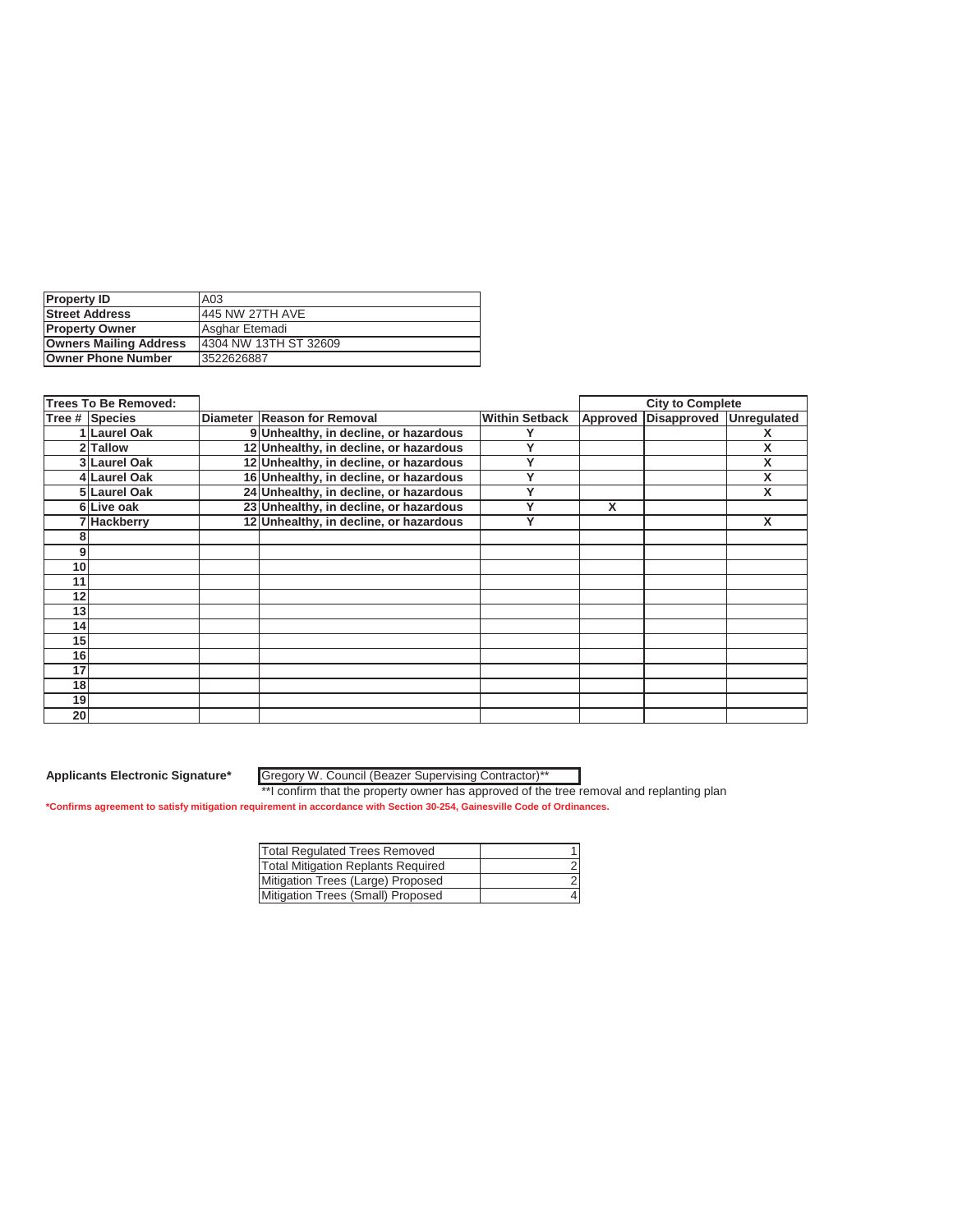| <b>Property ID</b>            | A03                    |
|-------------------------------|------------------------|
| <b>Street Address</b>         | 445 NW 27TH AVE        |
| <b>Property Owner</b>         | Asghar Etemadi         |
| <b>Owners Mailing Address</b> | 14304 NW 13TH ST 32609 |
| <b>Owner Phone Number</b>     | 3522626887             |

|                | <b>Trees To Be Removed:</b> |                                        |                       |          | <b>City to Complete</b> |   |
|----------------|-----------------------------|----------------------------------------|-----------------------|----------|-------------------------|---|
|                | Tree # Species              | Diameter Reason for Removal            | <b>Within Setback</b> | Approved | Disapproved Unregulated |   |
|                | 1 Laurel Oak                | 9 Unhealthy, in decline, or hazardous  |                       |          |                         |   |
|                | 2 Tallow                    | 12 Unhealthy, in decline, or hazardous | v                     |          |                         | X |
|                | <b>3 Laurel Oak</b>         | 12 Unhealthy, in decline, or hazardous | v                     |          |                         | X |
|                | 4 Laurel Oak                | 16 Unhealthy, in decline, or hazardous | v                     |          |                         | X |
|                | 5 Laurel Oak                | 24 Unhealthy, in decline, or hazardous |                       |          |                         | X |
|                | 6Live oak                   | 23 Unhealthy, in decline, or hazardous | v                     | X        |                         |   |
|                | 7 Hackberry                 | 12 Unhealthy, in decline, or hazardous | v                     |          |                         | X |
| 8              |                             |                                        |                       |          |                         |   |
| 9 <sub>1</sub> |                             |                                        |                       |          |                         |   |
| 10             |                             |                                        |                       |          |                         |   |
| 11             |                             |                                        |                       |          |                         |   |
| 12             |                             |                                        |                       |          |                         |   |
| 13             |                             |                                        |                       |          |                         |   |
| 14             |                             |                                        |                       |          |                         |   |
| 15             |                             |                                        |                       |          |                         |   |
| 16             |                             |                                        |                       |          |                         |   |
| 17             |                             |                                        |                       |          |                         |   |
| 18             |                             |                                        |                       |          |                         |   |
| 19             |                             |                                        |                       |          |                         |   |
| 20             |                             |                                        |                       |          |                         |   |

Gregory W. Council (Beazer Supervising Contractor)\*\*

| <b>Total Regulated Trees Removed</b>      |  |
|-------------------------------------------|--|
| <b>Total Mitigation Replants Required</b> |  |
| Mitigation Trees (Large) Proposed         |  |
| Mitigation Trees (Small) Proposed         |  |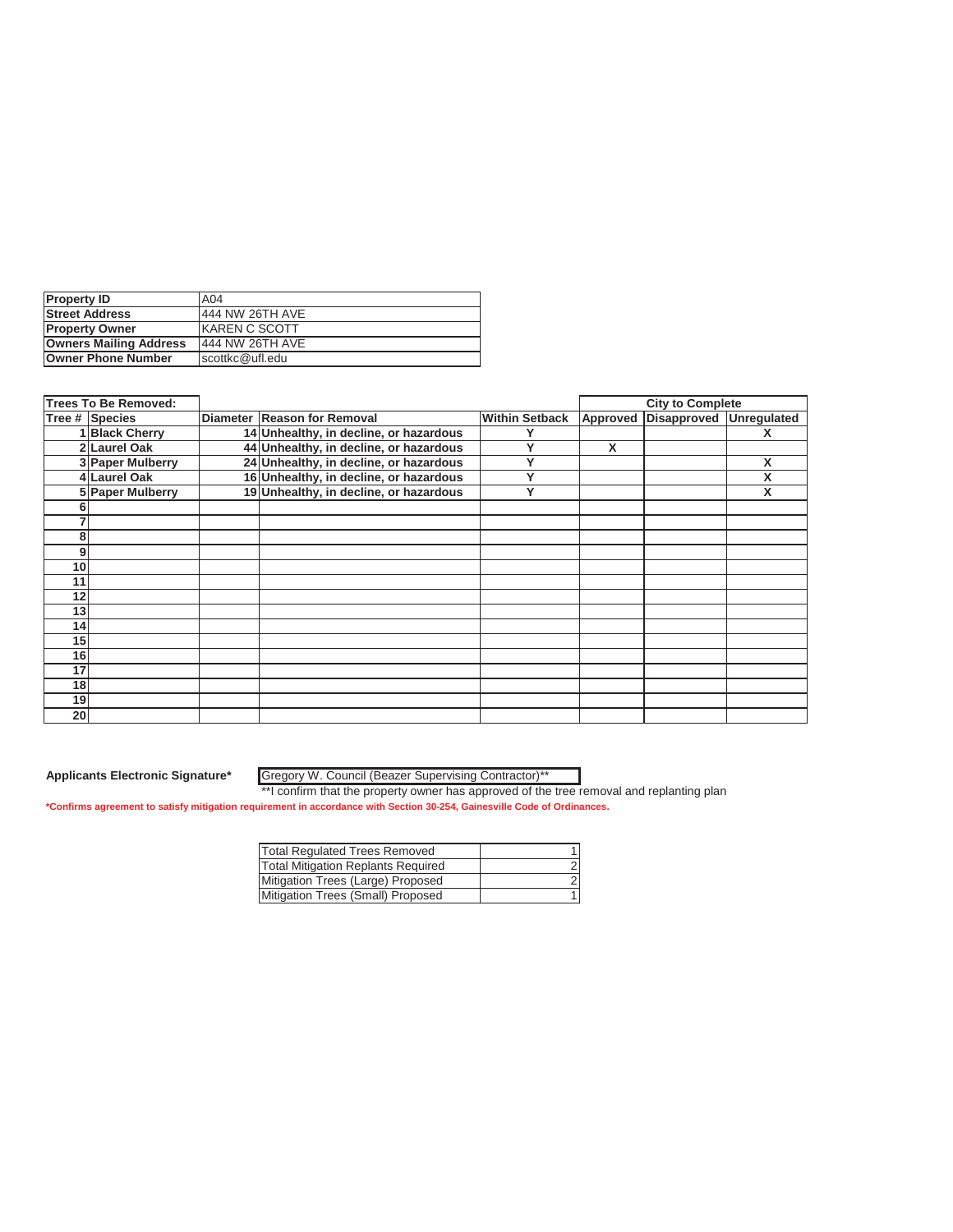| <b>Property ID</b>            | A04                   |
|-------------------------------|-----------------------|
| <b>Street Address</b>         | 444 NW 26TH AVE       |
| <b>Property Owner</b>         | <b>IKAREN C SCOTT</b> |
| <b>Owners Mailing Address</b> | 444 NW 26TH AVE       |
| <b>Owner Phone Number</b>     | scottkc@ufl.edu       |

|    | <b>Trees To Be Removed:</b> |                                        |                       |          | <b>City to Complete</b> |   |
|----|-----------------------------|----------------------------------------|-----------------------|----------|-------------------------|---|
|    | Tree # Species              | Diameter Reason for Removal            | <b>Within Setback</b> | Approved | Disapproved Unregulated |   |
|    | <b>Black Cherry</b>         | 14 Unhealthy, in decline, or hazardous |                       |          |                         |   |
|    | 2 Laurel Oak                | 44 Unhealthy, in decline, or hazardous | v                     | X        |                         |   |
|    | 3 Paper Mulberry            | 24 Unhealthy, in decline, or hazardous | v                     |          |                         | X |
|    | 4 Laurel Oak                | 16 Unhealthy, in decline, or hazardous | v                     |          |                         | X |
|    | 5 Paper Mulberry            | 19 Unhealthy, in decline, or hazardous | v                     |          |                         | X |
| n  |                             |                                        |                       |          |                         |   |
|    |                             |                                        |                       |          |                         |   |
| 8  |                             |                                        |                       |          |                         |   |
| 9  |                             |                                        |                       |          |                         |   |
| 10 |                             |                                        |                       |          |                         |   |
| 11 |                             |                                        |                       |          |                         |   |
| 12 |                             |                                        |                       |          |                         |   |
| 13 |                             |                                        |                       |          |                         |   |
| 14 |                             |                                        |                       |          |                         |   |
| 15 |                             |                                        |                       |          |                         |   |
| 16 |                             |                                        |                       |          |                         |   |
| 17 |                             |                                        |                       |          |                         |   |
| 18 |                             |                                        |                       |          |                         |   |
| 19 |                             |                                        |                       |          |                         |   |
| 20 |                             |                                        |                       |          |                         |   |

Gregory W. Council (Beazer Supervising Contractor)\*\*

| <b>Total Requlated Trees Removed</b>      |  |
|-------------------------------------------|--|
| <b>Total Mitigation Replants Required</b> |  |
| Mitigation Trees (Large) Proposed         |  |
| Mitigation Trees (Small) Proposed         |  |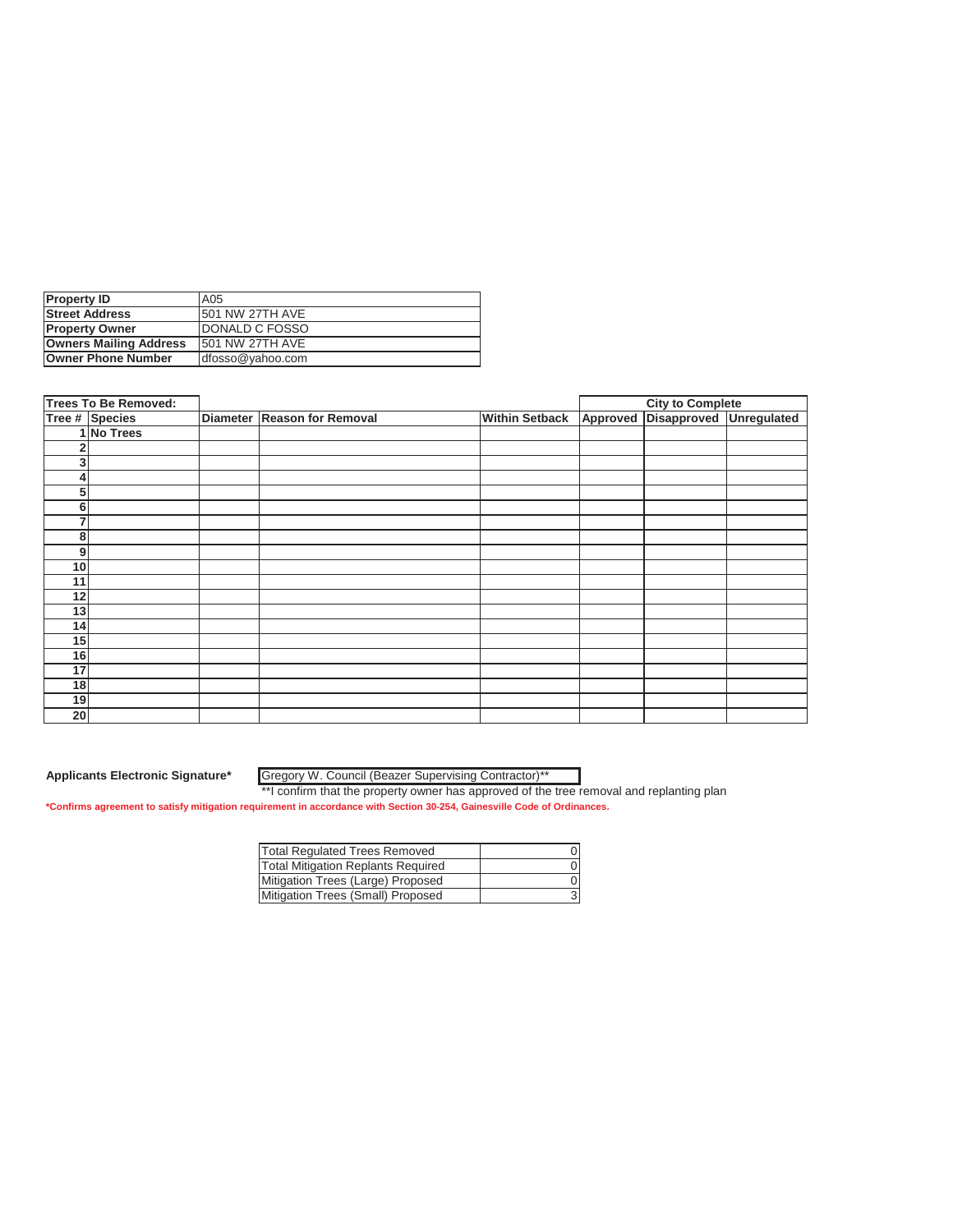| <b>Property ID</b>            | A05                     |
|-------------------------------|-------------------------|
| <b>Street Address</b>         | <b>1501 NW 27TH AVE</b> |
| <b>Property Owner</b>         | <b>IDONALD C FOSSO</b>  |
| <b>Owners Mailing Address</b> | <b>1501 NW 27TH AVE</b> |
| <b>Owner Phone Number</b>     | dfosso@yahoo.com        |

|                | <b>Trees To Be Removed:</b> |                             |                       | <b>City to Complete</b>          |  |
|----------------|-----------------------------|-----------------------------|-----------------------|----------------------------------|--|
|                | Tree # Species              | Diameter Reason for Removal | <b>Within Setback</b> | Approved Disapproved Unregulated |  |
|                | 1 No Trees                  |                             |                       |                                  |  |
|                |                             |                             |                       |                                  |  |
| 3 <sub>l</sub> |                             |                             |                       |                                  |  |
| 4              |                             |                             |                       |                                  |  |
| 5              |                             |                             |                       |                                  |  |
| 6              |                             |                             |                       |                                  |  |
| 7              |                             |                             |                       |                                  |  |
| 8              |                             |                             |                       |                                  |  |
| 9              |                             |                             |                       |                                  |  |
| 10             |                             |                             |                       |                                  |  |
| 11             |                             |                             |                       |                                  |  |
| 12             |                             |                             |                       |                                  |  |
| 13             |                             |                             |                       |                                  |  |
| 14             |                             |                             |                       |                                  |  |
| 15             |                             |                             |                       |                                  |  |
| 16             |                             |                             |                       |                                  |  |
| 17             |                             |                             |                       |                                  |  |
| 18             |                             |                             |                       |                                  |  |
| 19             |                             |                             |                       |                                  |  |
| 20             |                             |                             |                       |                                  |  |

Gregory W. Council (Beazer Supervising Contractor)\*\*

| <b>Total Regulated Trees Removed</b>      |  |
|-------------------------------------------|--|
| <b>Total Mitigation Replants Required</b> |  |
| Mitigation Trees (Large) Proposed         |  |
| Mitigation Trees (Small) Proposed         |  |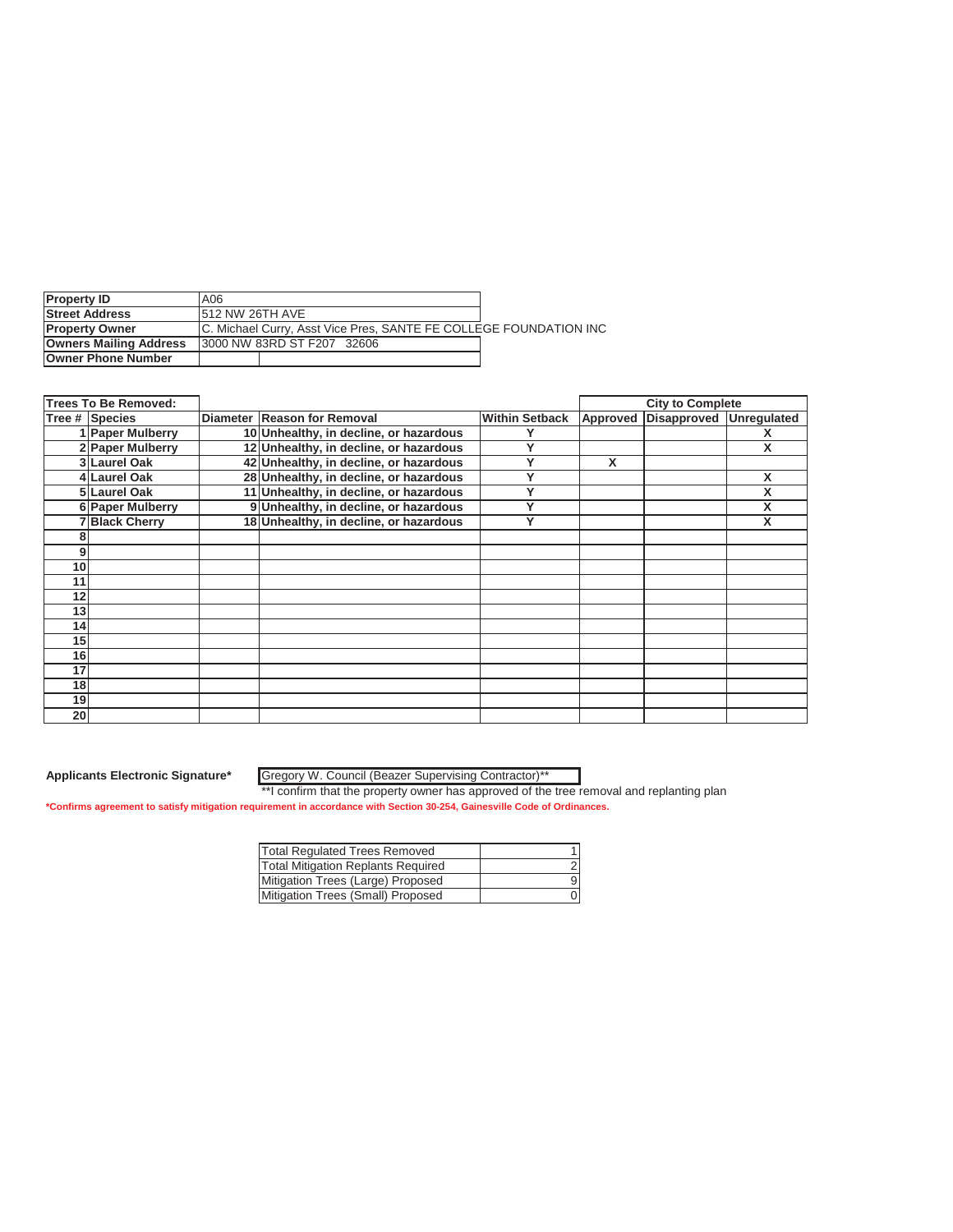| <b>Property ID</b>            | A <sub>06</sub>                                                   |  |  |  |
|-------------------------------|-------------------------------------------------------------------|--|--|--|
| <b>Street Address</b>         | <b>1512 NW 26TH AVE</b>                                           |  |  |  |
| <b>IProperty Owner</b>        | C. Michael Curry, Asst Vice Pres, SANTE FE COLLEGE FOUNDATION INC |  |  |  |
| <b>Owners Mailing Address</b> | 13000 NW 83RD ST F207 32606                                       |  |  |  |
| <b>Owner Phone Number</b>     |                                                                   |  |  |  |

|                 | <b>Trees To Be Removed:</b> |                                        |                       |          | <b>City to Complete</b> |   |
|-----------------|-----------------------------|----------------------------------------|-----------------------|----------|-------------------------|---|
|                 | Tree # Species              | Diameter Reason for Removal            | <b>Within Setback</b> | Approved | Disapproved Unregulated |   |
|                 | 1 Paper Mulberry            | 10 Unhealthy, in decline, or hazardous |                       |          |                         |   |
|                 | 2 Paper Mulberry            | 12 Unhealthy, in decline, or hazardous |                       |          |                         | X |
|                 | 3 Laurel Oak                | 42 Unhealthy, in decline, or hazardous |                       | X        |                         |   |
|                 | 4 Laurel Oak                | 28 Unhealthy, in decline, or hazardous | v                     |          |                         | X |
|                 | 5 Laurel Oak                | 11 Unhealthy, in decline, or hazardous |                       |          |                         | X |
|                 | 6 Paper Mulberry            | 9 Unhealthy, in decline, or hazardous  | v                     |          |                         | X |
|                 | 7Black Cherry               | 18 Unhealthy, in decline, or hazardous | ν                     |          |                         | X |
|                 |                             |                                        |                       |          |                         |   |
| 9               |                             |                                        |                       |          |                         |   |
| 10              |                             |                                        |                       |          |                         |   |
| 11              |                             |                                        |                       |          |                         |   |
| 12              |                             |                                        |                       |          |                         |   |
| 13              |                             |                                        |                       |          |                         |   |
| 14              |                             |                                        |                       |          |                         |   |
| 15              |                             |                                        |                       |          |                         |   |
| 16              |                             |                                        |                       |          |                         |   |
| 17              |                             |                                        |                       |          |                         |   |
| 18              |                             |                                        |                       |          |                         |   |
| 19              |                             |                                        |                       |          |                         |   |
| 20 <sub>l</sub> |                             |                                        |                       |          |                         |   |

Gregory W. Council (Beazer Supervising Contractor)\*\*

| <b>Total Requlated Trees Removed</b>      |   |
|-------------------------------------------|---|
| <b>Total Mitigation Replants Required</b> |   |
| Mitigation Trees (Large) Proposed         | 9 |
| Mitigation Trees (Small) Proposed         |   |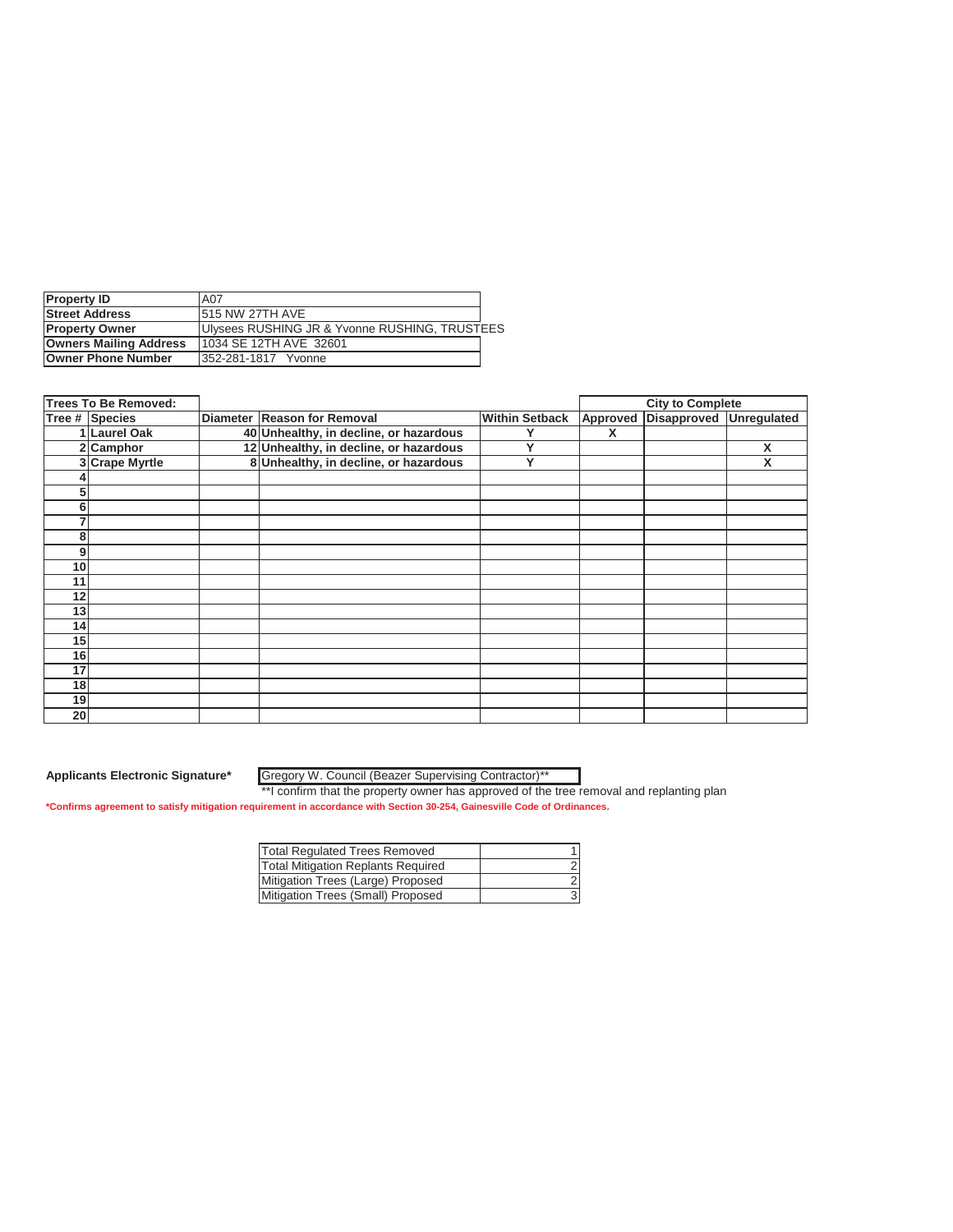| <b>Property ID</b>            | A07                                           |  |
|-------------------------------|-----------------------------------------------|--|
| <b>Street Address</b>         | <b>1515 NW 27TH AVE</b>                       |  |
| <b>Property Owner</b>         | Ulysees RUSHING JR & Yvonne RUSHING, TRUSTEES |  |
| <b>Owners Mailing Address</b> | 11034 SE 12TH AVE 32601                       |  |
| <b>Owner Phone Number</b>     | 1352-281-1817 Yvonne                          |  |

| <b>Trees To Be Removed:</b> |                |  |                                        |                       |   | <b>City to Complete</b>          |   |
|-----------------------------|----------------|--|----------------------------------------|-----------------------|---|----------------------------------|---|
|                             | Tree # Species |  | Diameter Reason for Removal            | <b>Within Setback</b> |   | Approved Disapproved Unregulated |   |
|                             | 1 Laurel Oak   |  | 40 Unhealthy, in decline, or hazardous |                       | X |                                  |   |
|                             | 2 Camphor      |  | 12 Unhealthy, in decline, or hazardous | ν                     |   |                                  | X |
|                             | 3 Crape Myrtle |  | 8 Unhealthy, in decline, or hazardous  | Υ                     |   |                                  | X |
|                             |                |  |                                        |                       |   |                                  |   |
| 5                           |                |  |                                        |                       |   |                                  |   |
| 6                           |                |  |                                        |                       |   |                                  |   |
|                             |                |  |                                        |                       |   |                                  |   |
| 8                           |                |  |                                        |                       |   |                                  |   |
| 9                           |                |  |                                        |                       |   |                                  |   |
| 10                          |                |  |                                        |                       |   |                                  |   |
| 11                          |                |  |                                        |                       |   |                                  |   |
| 12                          |                |  |                                        |                       |   |                                  |   |
| 13                          |                |  |                                        |                       |   |                                  |   |
| 14                          |                |  |                                        |                       |   |                                  |   |
| 15                          |                |  |                                        |                       |   |                                  |   |
| 16                          |                |  |                                        |                       |   |                                  |   |
| 17                          |                |  |                                        |                       |   |                                  |   |
| 18                          |                |  |                                        |                       |   |                                  |   |
| 19                          |                |  |                                        |                       |   |                                  |   |
| 20                          |                |  |                                        |                       |   |                                  |   |

Gregory W. Council (Beazer Supervising Contractor)\*\*

| <b>Total Regulated Trees Removed</b>      |  |
|-------------------------------------------|--|
| <b>Total Mitigation Replants Required</b> |  |
| Mitigation Trees (Large) Proposed         |  |
| Mitigation Trees (Small) Proposed         |  |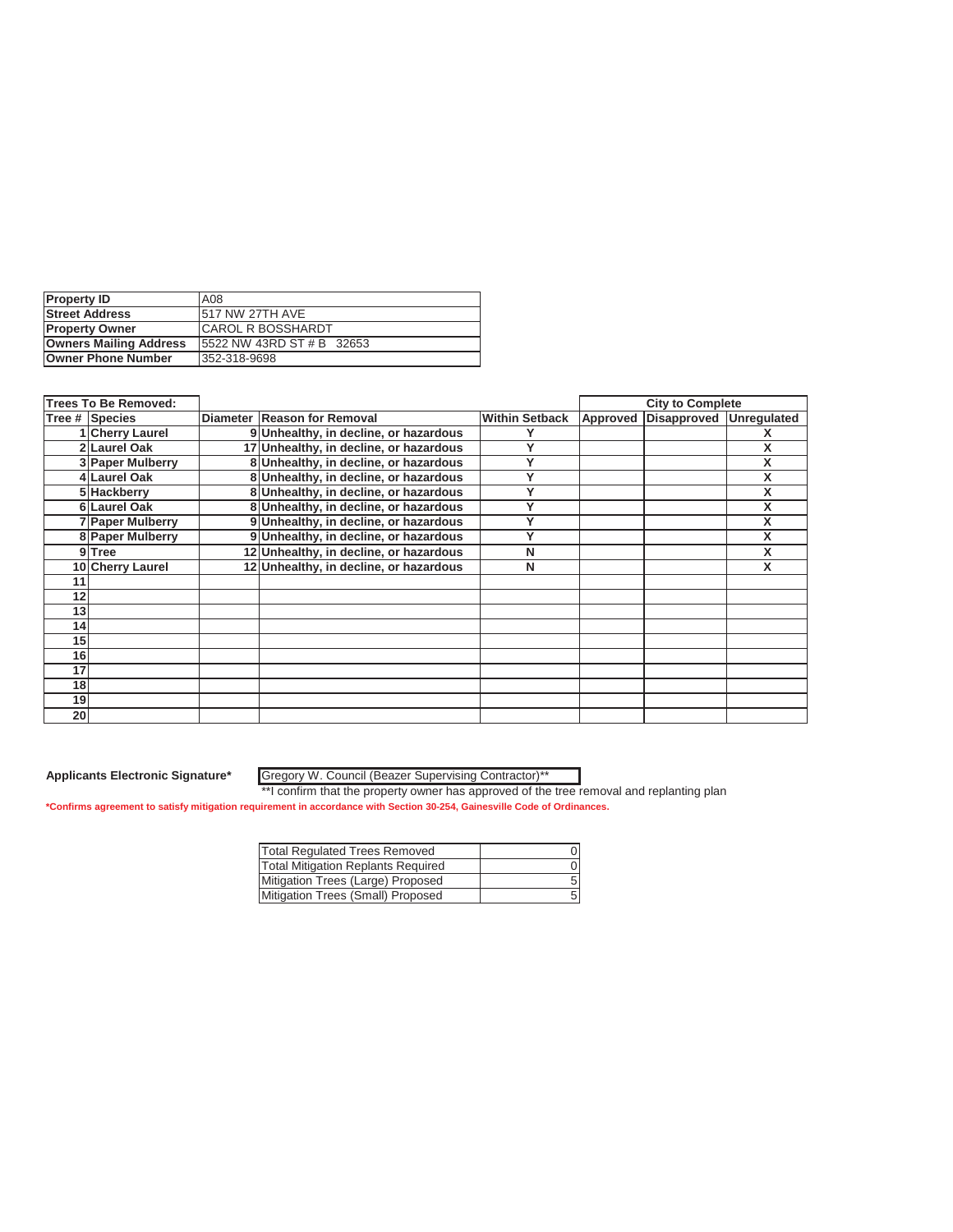| <b>Property ID</b>            | A08                        |
|-------------------------------|----------------------------|
| <b>Street Address</b>         | 517 NW 27TH AVE            |
| <b>Property Owner</b>         | <b>ICAROL R BOSSHARDT</b>  |
| <b>Owners Mailing Address</b> | 15522 NW 43RD ST # B 32653 |
| Owner Phone Number            | 352-318-9698               |

|                 | <b>Trees To Be Removed:</b> |                                        |                       |          | <b>City to Complete</b> |   |
|-----------------|-----------------------------|----------------------------------------|-----------------------|----------|-------------------------|---|
| Tree # Species  |                             | Diameter Reason for Removal            | <b>Within Setback</b> | Approved | Disapproved Unregulated |   |
|                 | 1 Cherry Laurel             | 9 Unhealthy, in decline, or hazardous  |                       |          |                         |   |
|                 | 2 Laurel Oak                | 17 Unhealthy, in decline, or hazardous |                       |          |                         | X |
|                 | 3 Paper Mulberry            | 8 Unhealthy, in decline, or hazardous  |                       |          |                         | X |
|                 | 4 Laurel Oak                | 8 Unhealthy, in decline, or hazardous  | v                     |          |                         | X |
|                 | 5 Hackberry                 | 8 Unhealthy, in decline, or hazardous  |                       |          |                         | X |
|                 | 6 Laurel Oak                | 8 Unhealthy, in decline, or hazardous  |                       |          |                         | X |
|                 | 7 Paper Mulberry            | 9 Unhealthy, in decline, or hazardous  | v                     |          |                         | X |
|                 | 8 Paper Mulberry            | 9 Unhealthy, in decline, or hazardous  |                       |          |                         | X |
|                 | 9 Tree                      | 12 Unhealthy, in decline, or hazardous | N                     |          |                         | X |
|                 | 10 Cherry Laurel            | 12 Unhealthy, in decline, or hazardous | N                     |          |                         | X |
| 11              |                             |                                        |                       |          |                         |   |
| 12              |                             |                                        |                       |          |                         |   |
| 13              |                             |                                        |                       |          |                         |   |
| 14              |                             |                                        |                       |          |                         |   |
| 15 <sub>1</sub> |                             |                                        |                       |          |                         |   |
| 16              |                             |                                        |                       |          |                         |   |
| 17              |                             |                                        |                       |          |                         |   |
| 18              |                             |                                        |                       |          |                         |   |
| 19              |                             |                                        |                       |          |                         |   |
| 20 <sup>1</sup> |                             |                                        |                       |          |                         |   |

Gregory W. Council (Beazer Supervising Contractor)\*\*

| Total Regulated Trees Removed             |  |
|-------------------------------------------|--|
| <b>Total Mitigation Replants Required</b> |  |
| Mitigation Trees (Large) Proposed         |  |
| Mitigation Trees (Small) Proposed         |  |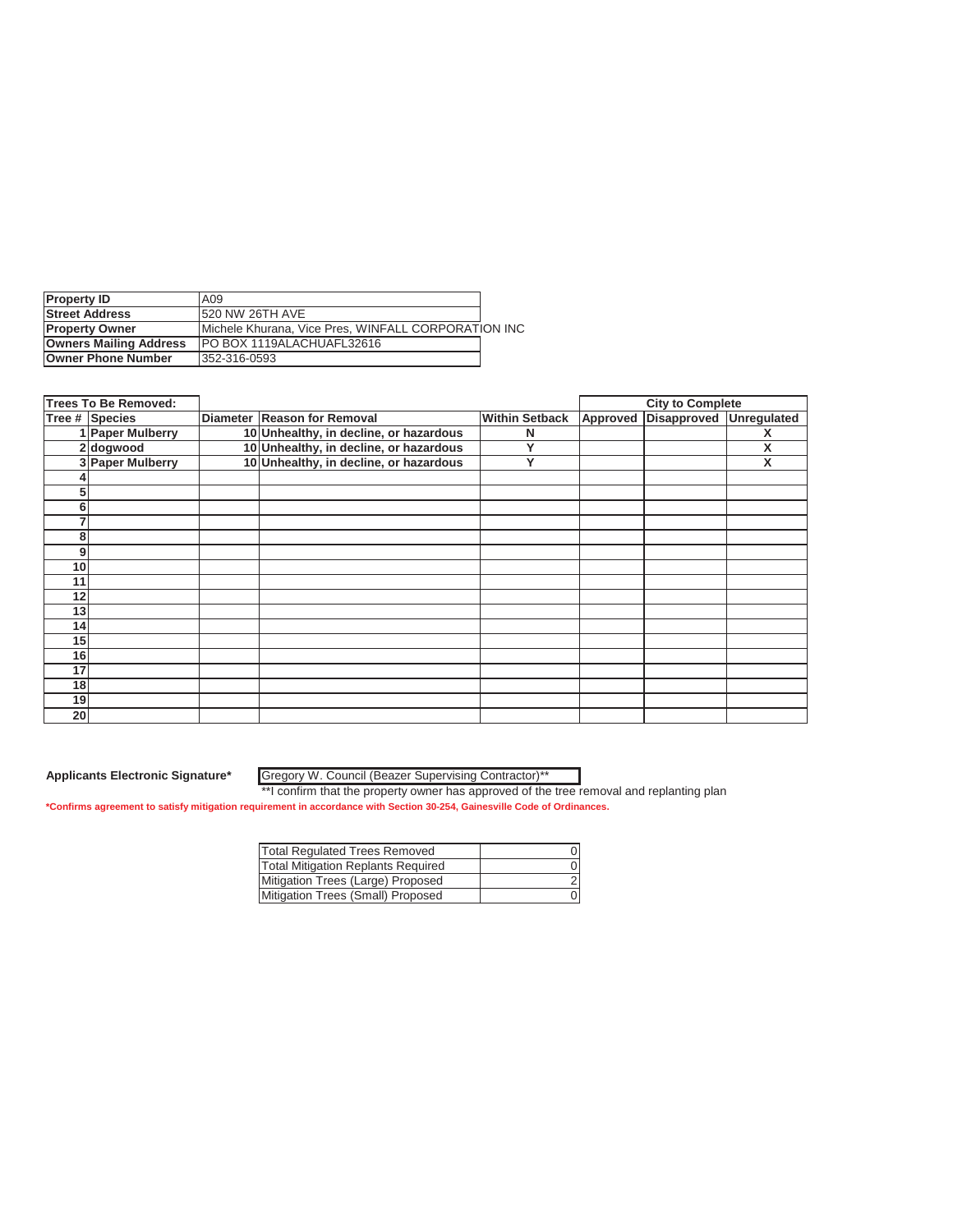| <b>Property ID</b>            | A09                                                 |  |
|-------------------------------|-----------------------------------------------------|--|
| <b>Street Address</b>         | <b>1520 NW 26TH AVE</b>                             |  |
| <b>Property Owner</b>         | Michele Khurana, Vice Pres, WINFALL CORPORATION INC |  |
| <b>Owners Mailing Address</b> | IPO BOX 1119ALACHUAFL32616                          |  |
| <b>Owner Phone Number</b>     | 352-316-0593                                        |  |

| <b>Trees To Be Removed:</b> |                  |  |                                        |                       |          | <b>City to Complete</b> |   |
|-----------------------------|------------------|--|----------------------------------------|-----------------------|----------|-------------------------|---|
|                             | Tree # Species   |  | Diameter Reason for Removal            | <b>Within Setback</b> | Approved | Disapproved Unregulated |   |
|                             | 1 Paper Mulberry |  | 10 Unhealthy, in decline, or hazardous | N                     |          |                         |   |
|                             | 2 dogwood        |  | 10 Unhealthy, in decline, or hazardous | v                     |          |                         | X |
|                             | 3 Paper Mulberry |  | 10 Unhealthy, in decline, or hazardous | Υ                     |          |                         | X |
|                             |                  |  |                                        |                       |          |                         |   |
| 5                           |                  |  |                                        |                       |          |                         |   |
| 6                           |                  |  |                                        |                       |          |                         |   |
|                             |                  |  |                                        |                       |          |                         |   |
| 8                           |                  |  |                                        |                       |          |                         |   |
| 9                           |                  |  |                                        |                       |          |                         |   |
| 10                          |                  |  |                                        |                       |          |                         |   |
| 11                          |                  |  |                                        |                       |          |                         |   |
| 12                          |                  |  |                                        |                       |          |                         |   |
| 13                          |                  |  |                                        |                       |          |                         |   |
| 14 <sub>1</sub>             |                  |  |                                        |                       |          |                         |   |
| 15                          |                  |  |                                        |                       |          |                         |   |
| 16                          |                  |  |                                        |                       |          |                         |   |
| 17                          |                  |  |                                        |                       |          |                         |   |
| 18                          |                  |  |                                        |                       |          |                         |   |
| 19                          |                  |  |                                        |                       |          |                         |   |
| 20 <sub>l</sub>             |                  |  |                                        |                       |          |                         |   |

Gregory W. Council (Beazer Supervising Contractor)\*\*

| <b>Total Requlated Trees Removed</b>      |  |
|-------------------------------------------|--|
| <b>Total Mitigation Replants Required</b> |  |
| Mitigation Trees (Large) Proposed         |  |
| Mitigation Trees (Small) Proposed         |  |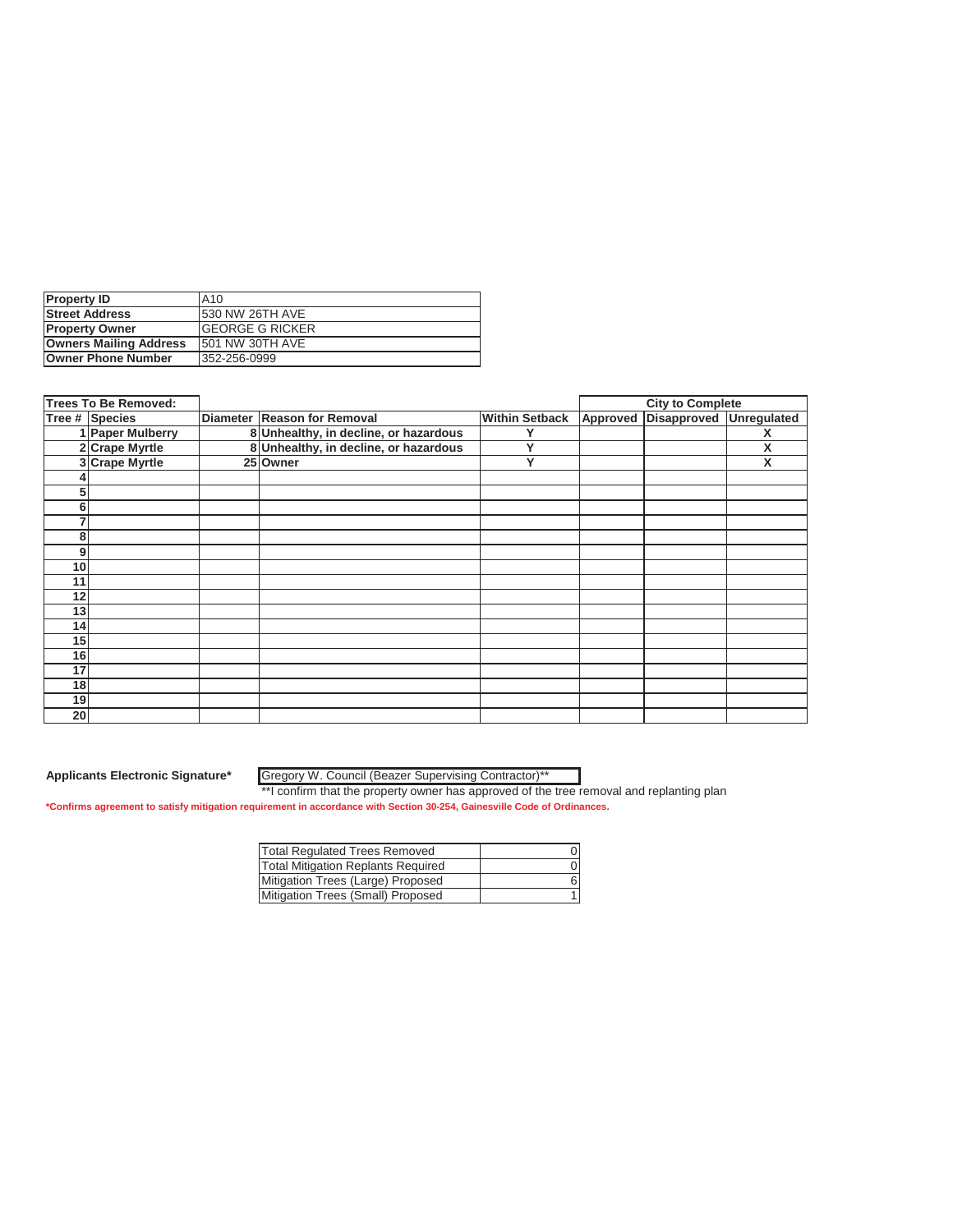| <b>Property ID</b>            | IA10                    |
|-------------------------------|-------------------------|
| <b>Street Address</b>         | <b>1530 NW 26TH AVE</b> |
| <b>Property Owner</b>         | <b>IGEORGE G RICKER</b> |
| <b>Owners Mailing Address</b> | 1501 NW 30TH AVE        |
| <b>Owner Phone Number</b>     | 352-256-0999            |

|    | <b>Trees To Be Removed:</b> |                                       |                       |          | <b>City to Complete</b> |   |
|----|-----------------------------|---------------------------------------|-----------------------|----------|-------------------------|---|
|    | Tree # Species              | Diameter Reason for Removal           | <b>Within Setback</b> | Approved | Disapproved Unregulated |   |
|    | 1 Paper Mulberry            | 8 Unhealthy, in decline, or hazardous |                       |          |                         |   |
|    | 2 Crape Myrtle              | 8 Unhealthy, in decline, or hazardous | v                     |          |                         | X |
|    | 3 Crape Myrtle              | 25 Owner                              | Υ                     |          |                         | X |
|    |                             |                                       |                       |          |                         |   |
| 5  |                             |                                       |                       |          |                         |   |
| 6  |                             |                                       |                       |          |                         |   |
| 7  |                             |                                       |                       |          |                         |   |
| 8  |                             |                                       |                       |          |                         |   |
| 9  |                             |                                       |                       |          |                         |   |
| 10 |                             |                                       |                       |          |                         |   |
| 11 |                             |                                       |                       |          |                         |   |
| 12 |                             |                                       |                       |          |                         |   |
| 13 |                             |                                       |                       |          |                         |   |
| 14 |                             |                                       |                       |          |                         |   |
| 15 |                             |                                       |                       |          |                         |   |
| 16 |                             |                                       |                       |          |                         |   |
| 17 |                             |                                       |                       |          |                         |   |
| 18 |                             |                                       |                       |          |                         |   |
| 19 |                             |                                       |                       |          |                         |   |
| 20 |                             |                                       |                       |          |                         |   |

Gregory W. Council (Beazer Supervising Contractor)\*\*

| <b>Total Requlated Trees Removed</b>      |  |
|-------------------------------------------|--|
| <b>Total Mitigation Replants Required</b> |  |
| Mitigation Trees (Large) Proposed         |  |
| Mitigation Trees (Small) Proposed         |  |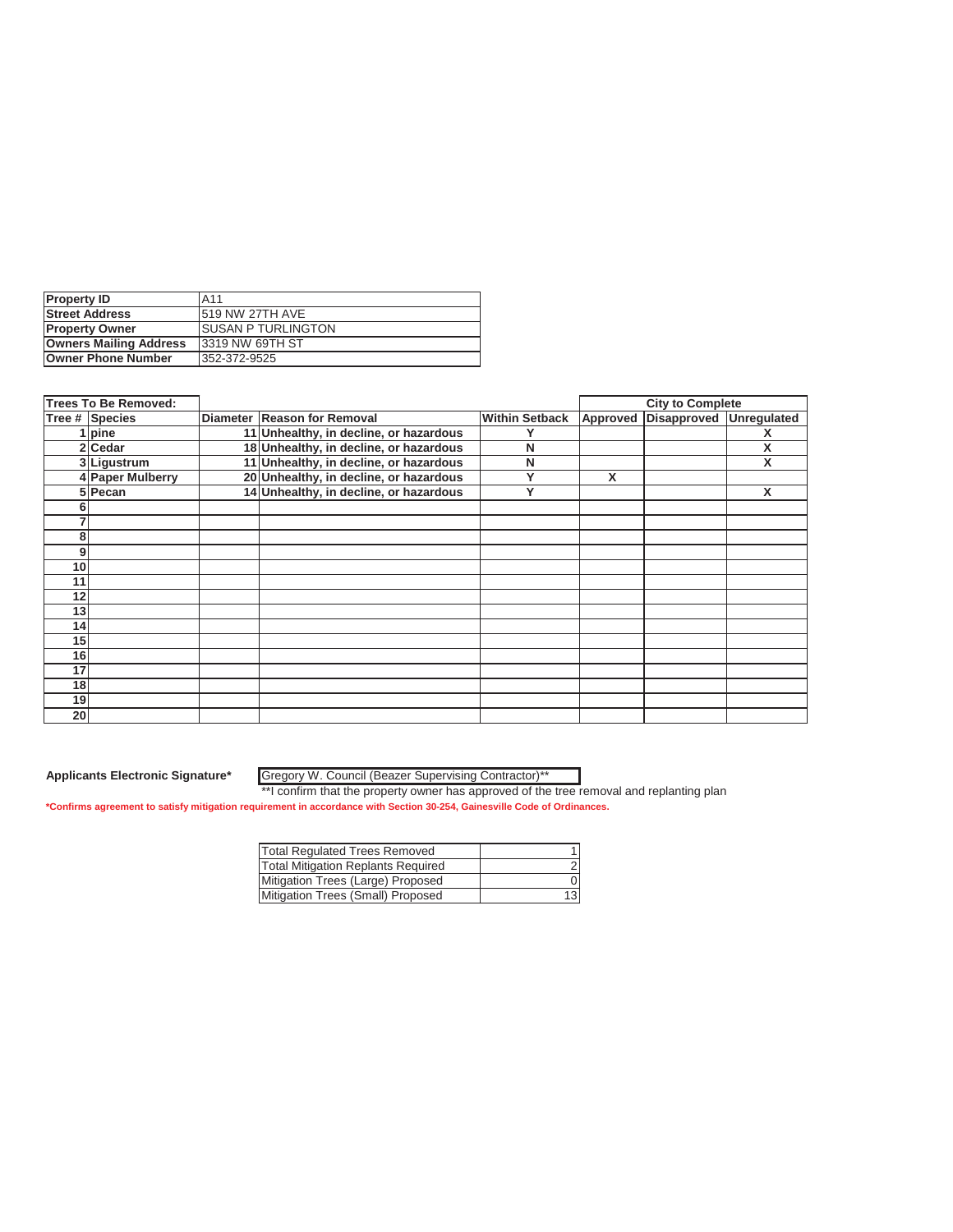| <b>Property ID</b>            | A <sub>11</sub>            |
|-------------------------------|----------------------------|
| <b>Street Address</b>         | <b>1519 NW 27TH AVE</b>    |
| <b>Property Owner</b>         | <b>ISUSAN P TURLINGTON</b> |
| <b>Owners Mailing Address</b> | 13319 NW 69TH ST           |
| Owner Phone Number            | 352-372-9525               |

|                 | <b>Trees To Be Removed:</b> |                                        |                       |          | <b>City to Complete</b> |   |
|-----------------|-----------------------------|----------------------------------------|-----------------------|----------|-------------------------|---|
|                 | Tree # Species              | Diameter Reason for Removal            | <b>Within Setback</b> | Approved | Disapproved Unregulated |   |
|                 | 1   pine                    | 11 Unhealthy, in decline, or hazardous |                       |          |                         |   |
|                 | 2 Cedar                     | 18 Unhealthy, in decline, or hazardous | N                     |          |                         | X |
|                 | 3 Ligustrum                 | 11 Unhealthy, in decline, or hazardous | N                     |          |                         | X |
|                 | 4 Paper Mulberry            | 20 Unhealthy, in decline, or hazardous | v                     | X        |                         |   |
|                 | 5 Pecan                     | 14 Unhealthy, in decline, or hazardous | v                     |          |                         | X |
| n               |                             |                                        |                       |          |                         |   |
|                 |                             |                                        |                       |          |                         |   |
| 8               |                             |                                        |                       |          |                         |   |
| 9               |                             |                                        |                       |          |                         |   |
| 10              |                             |                                        |                       |          |                         |   |
| 11              |                             |                                        |                       |          |                         |   |
| 12              |                             |                                        |                       |          |                         |   |
| 13              |                             |                                        |                       |          |                         |   |
| 14              |                             |                                        |                       |          |                         |   |
| 15 <sup>1</sup> |                             |                                        |                       |          |                         |   |
| 16              |                             |                                        |                       |          |                         |   |
| 17              |                             |                                        |                       |          |                         |   |
| 18              |                             |                                        |                       |          |                         |   |
| 19              |                             |                                        |                       |          |                         |   |
| 20 <sub>l</sub> |                             |                                        |                       |          |                         |   |

Gregory W. Council (Beazer Supervising Contractor)\*\*

| <b>Total Requlated Trees Removed</b>      |    |
|-------------------------------------------|----|
| <b>Total Mitigation Replants Required</b> |    |
| Mitigation Trees (Large) Proposed         |    |
| Mitigation Trees (Small) Proposed         | 13 |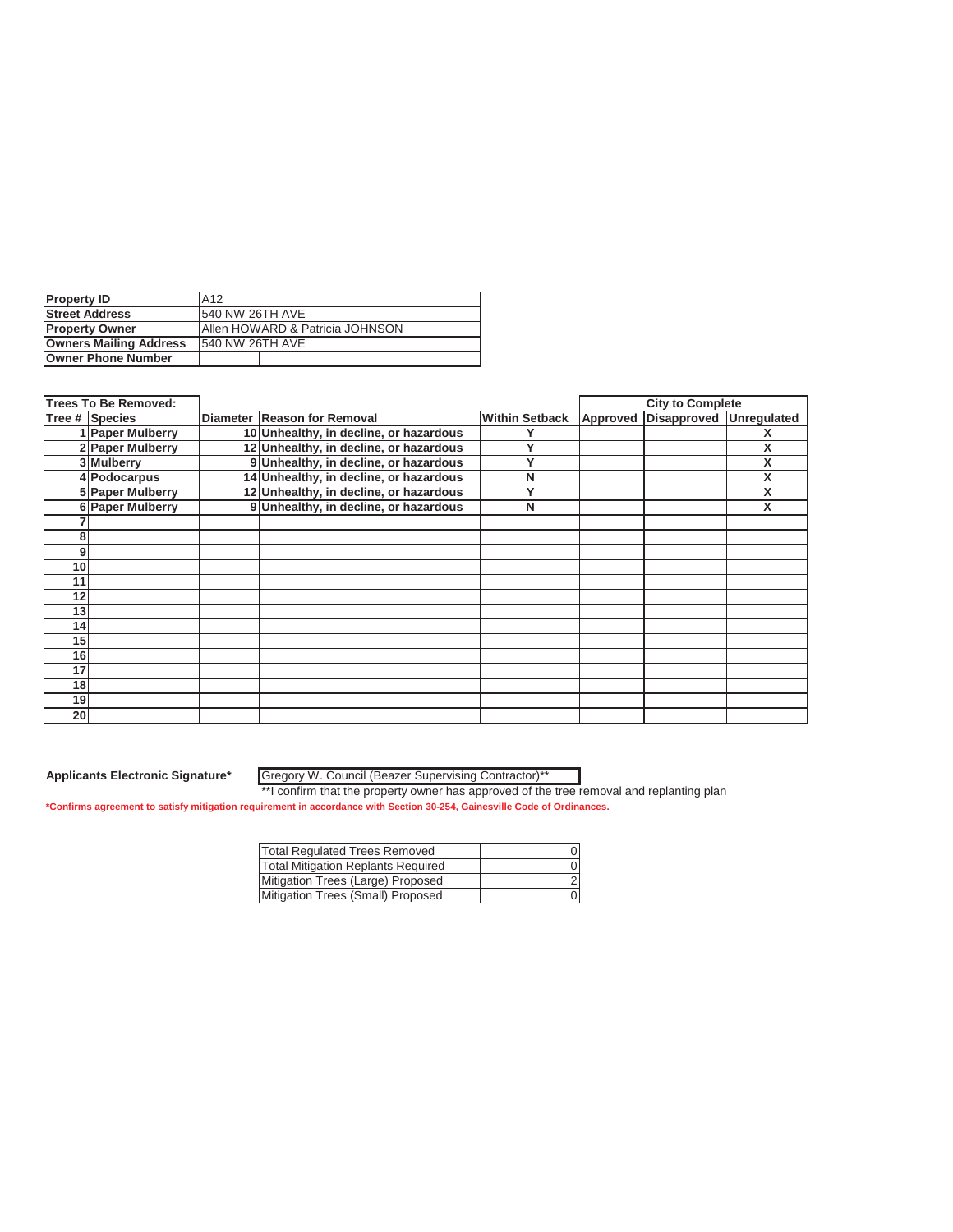| <b>Property ID</b>            | A <sub>12</sub>                             |  |  |  |
|-------------------------------|---------------------------------------------|--|--|--|
| <b>Street Address</b>         | 1540 NW 26TH AVE                            |  |  |  |
| <b>Property Owner</b>         | <b>IAllen HOWARD &amp; Patricia JOHNSON</b> |  |  |  |
| <b>Owners Mailing Address</b> | <b>1540 NW 26TH AVE</b>                     |  |  |  |
| <b>Owner Phone Number</b>     |                                             |  |  |  |

|    | <b>Trees To Be Removed:</b> |                                        |                       |          | <b>City to Complete</b> |   |
|----|-----------------------------|----------------------------------------|-----------------------|----------|-------------------------|---|
|    | Tree # Species              | Diameter Reason for Removal            | <b>Within Setback</b> | Approved | Disapproved Unregulated |   |
|    | 1 Paper Mulberry            | 10 Unhealthy, in decline, or hazardous |                       |          |                         |   |
|    | 2 Paper Mulberry            | 12 Unhealthy, in decline, or hazardous | v                     |          |                         | x |
|    | 3 Mulberry                  | 9 Unhealthy, in decline, or hazardous  | ν                     |          |                         | X |
|    | 4 Podocarpus                | 14 Unhealthy, in decline, or hazardous | N                     |          |                         | X |
|    | 5 Paper Mulberry            | 12 Unhealthy, in decline, or hazardous | v                     |          |                         | X |
|    | 6 Paper Mulberry            | 9 Unhealthy, in decline, or hazardous  | N                     |          |                         | X |
|    |                             |                                        |                       |          |                         |   |
| 8  |                             |                                        |                       |          |                         |   |
| 9  |                             |                                        |                       |          |                         |   |
| 10 |                             |                                        |                       |          |                         |   |
| 11 |                             |                                        |                       |          |                         |   |
| 12 |                             |                                        |                       |          |                         |   |
| 13 |                             |                                        |                       |          |                         |   |
| 14 |                             |                                        |                       |          |                         |   |
| 15 |                             |                                        |                       |          |                         |   |
| 16 |                             |                                        |                       |          |                         |   |
| 17 |                             |                                        |                       |          |                         |   |
| 18 |                             |                                        |                       |          |                         |   |
| 19 |                             |                                        |                       |          |                         |   |
| 20 |                             |                                        |                       |          |                         |   |

Gregory W. Council (Beazer Supervising Contractor)\*\*

| Total Regulated Trees Removed             |  |
|-------------------------------------------|--|
| <b>Total Mitigation Replants Required</b> |  |
| Mitigation Trees (Large) Proposed         |  |
| Mitigation Trees (Small) Proposed         |  |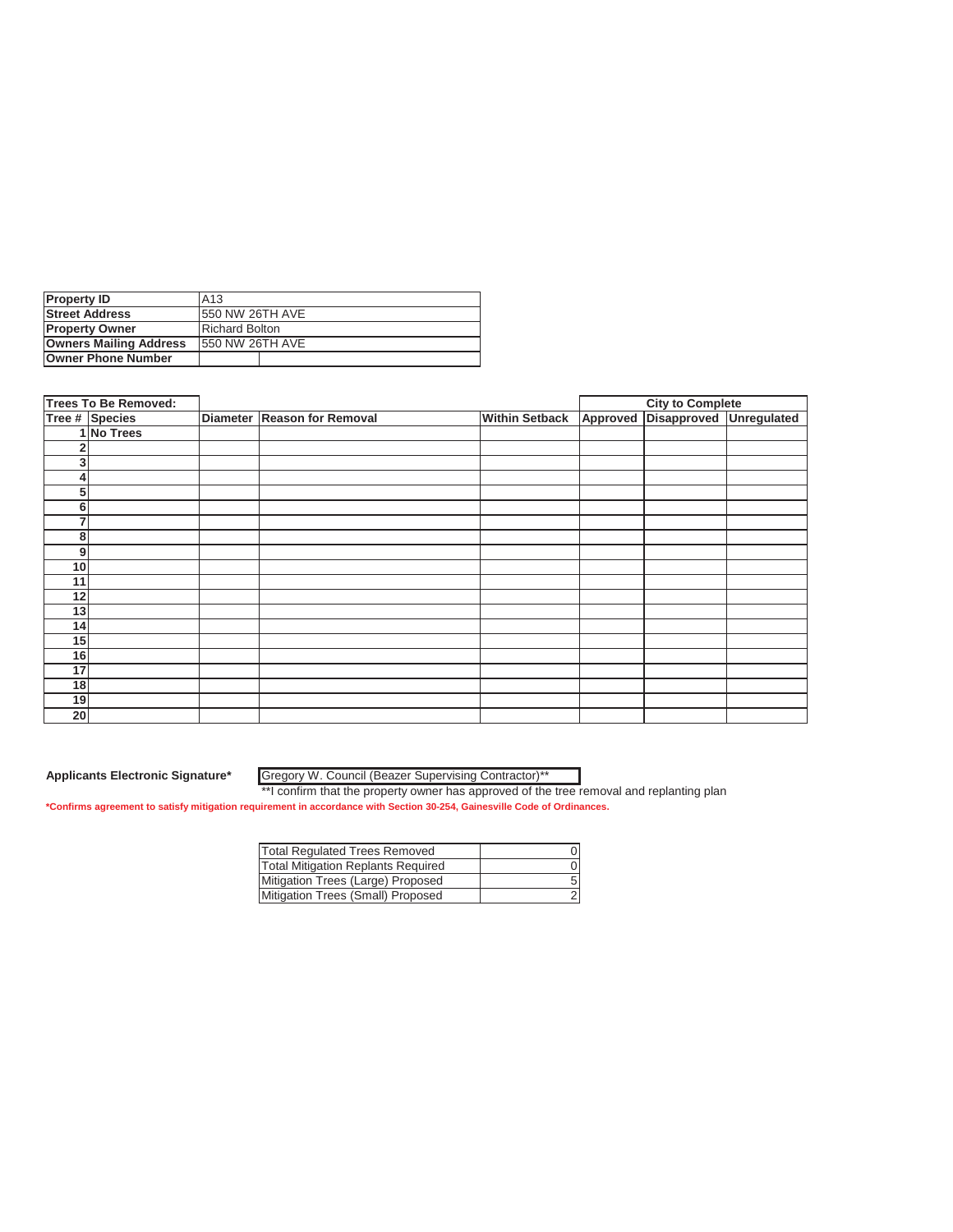| <b>Property ID</b>            | IA13                    |  |  |
|-------------------------------|-------------------------|--|--|
| <b>Street Address</b>         | <b>1550 NW 26TH AVE</b> |  |  |
| <b>Property Owner</b>         | <b>Richard Bolton</b>   |  |  |
| <b>Owners Mailing Address</b> | 1550 NW 26TH AVE        |  |  |
| <b>Owner Phone Number</b>     |                         |  |  |

|                 | <b>Trees To Be Removed:</b> |                             |                       | <b>City to Complete</b>          |  |
|-----------------|-----------------------------|-----------------------------|-----------------------|----------------------------------|--|
|                 | Tree # Species              | Diameter Reason for Removal | <b>Within Setback</b> | Approved Disapproved Unregulated |  |
|                 | 1 No Trees                  |                             |                       |                                  |  |
| 2               |                             |                             |                       |                                  |  |
| 3               |                             |                             |                       |                                  |  |
| 4               |                             |                             |                       |                                  |  |
| 5               |                             |                             |                       |                                  |  |
| 6               |                             |                             |                       |                                  |  |
| 7               |                             |                             |                       |                                  |  |
| 8               |                             |                             |                       |                                  |  |
| 9               |                             |                             |                       |                                  |  |
| 10              |                             |                             |                       |                                  |  |
| 11              |                             |                             |                       |                                  |  |
| 12              |                             |                             |                       |                                  |  |
| 13              |                             |                             |                       |                                  |  |
| 14              |                             |                             |                       |                                  |  |
| 15              |                             |                             |                       |                                  |  |
| 16              |                             |                             |                       |                                  |  |
| 17              |                             |                             |                       |                                  |  |
| 18              |                             |                             |                       |                                  |  |
| 19              |                             |                             |                       |                                  |  |
| 20 <sub>l</sub> |                             |                             |                       |                                  |  |

Gregory W. Council (Beazer Supervising Contractor)\*\*

| <b>Total Regulated Trees Removed</b>      |  |
|-------------------------------------------|--|
| <b>Total Mitigation Replants Required</b> |  |
| Mitigation Trees (Large) Proposed         |  |
| Mitigation Trees (Small) Proposed         |  |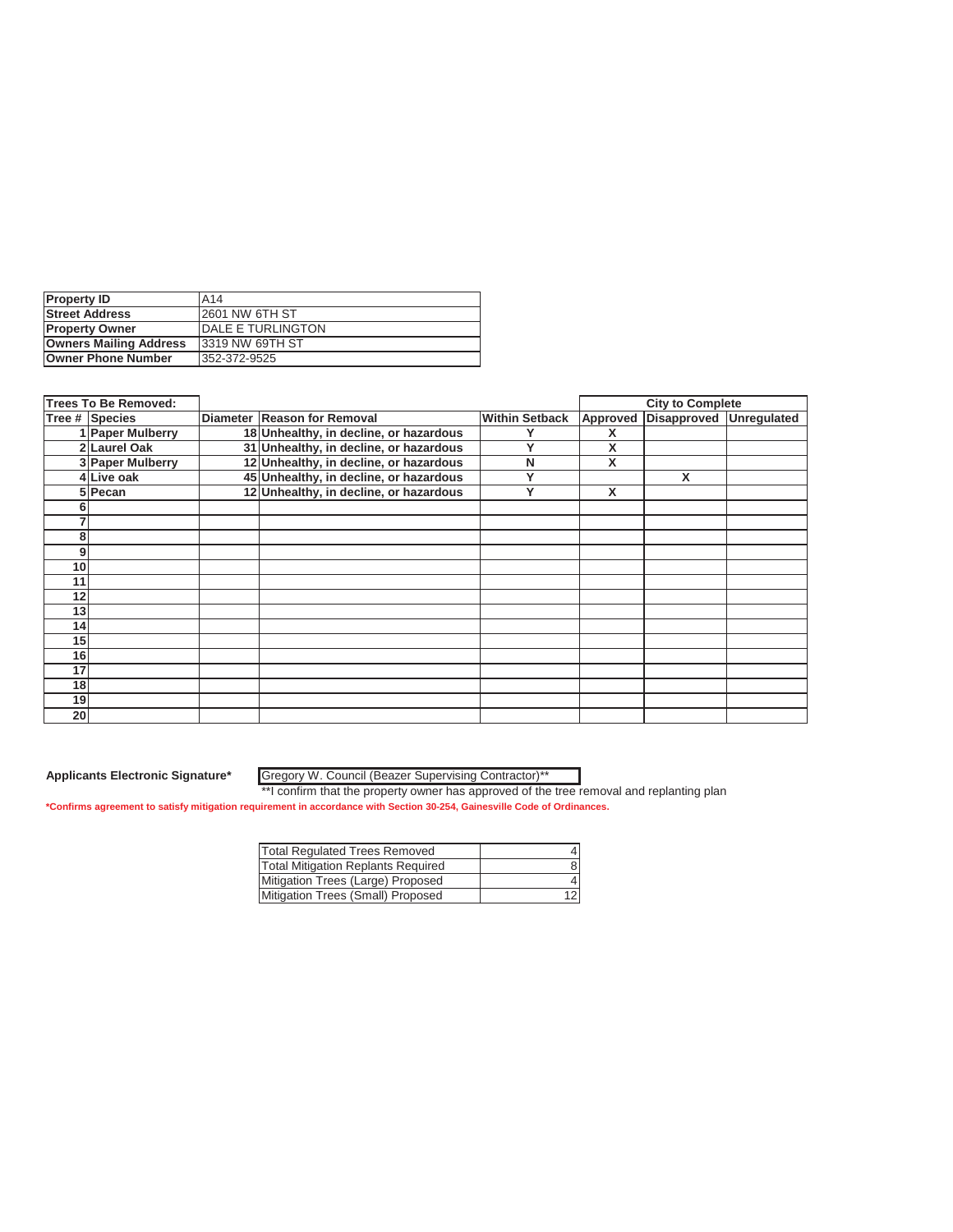| <b>Property ID</b>            | A <sub>14</sub>           |
|-------------------------------|---------------------------|
| <b>Street Address</b>         | 12601 NW 6TH ST           |
| <b>Property Owner</b>         | <b>IDALE E TURLINGTON</b> |
| <b>Owners Mailing Address</b> | 13319 NW 69TH ST          |
| Owner Phone Number            | 352-372-9525              |

|                 | <b>Trees To Be Removed:</b><br><b>City to Complete</b> |  |                                        |                       |          |                         |  |
|-----------------|--------------------------------------------------------|--|----------------------------------------|-----------------------|----------|-------------------------|--|
|                 | Tree # Species                                         |  | Diameter Reason for Removal            | <b>Within Setback</b> | Approved | Disapproved Unregulated |  |
|                 | 1 Paper Mulberry                                       |  | 18 Unhealthy, in decline, or hazardous |                       | х        |                         |  |
|                 | 2 Laurel Oak                                           |  | 31 Unhealthy, in decline, or hazardous |                       | X        |                         |  |
|                 | 3 Paper Mulberry                                       |  | 12 Unhealthy, in decline, or hazardous | N                     | X        |                         |  |
|                 | 4 Live oak                                             |  | 45 Unhealthy, in decline, or hazardous | v                     |          | X                       |  |
|                 | 5 Pecan                                                |  | 12 Unhealthy, in decline, or hazardous | ν                     | X        |                         |  |
| h               |                                                        |  |                                        |                       |          |                         |  |
|                 |                                                        |  |                                        |                       |          |                         |  |
| 8               |                                                        |  |                                        |                       |          |                         |  |
| 9               |                                                        |  |                                        |                       |          |                         |  |
| 10              |                                                        |  |                                        |                       |          |                         |  |
| 11              |                                                        |  |                                        |                       |          |                         |  |
| 12              |                                                        |  |                                        |                       |          |                         |  |
| 13              |                                                        |  |                                        |                       |          |                         |  |
| 14              |                                                        |  |                                        |                       |          |                         |  |
| 15              |                                                        |  |                                        |                       |          |                         |  |
| 16              |                                                        |  |                                        |                       |          |                         |  |
| 17              |                                                        |  |                                        |                       |          |                         |  |
| 18              |                                                        |  |                                        |                       |          |                         |  |
| 19              |                                                        |  |                                        |                       |          |                         |  |
| 20 <sup>1</sup> |                                                        |  |                                        |                       |          |                         |  |

Gregory W. Council (Beazer Supervising Contractor)\*\*

| <b>Total Regulated Trees Removed</b>      |    |
|-------------------------------------------|----|
| <b>Total Mitigation Replants Required</b> | 8  |
| Mitigation Trees (Large) Proposed         |    |
| Mitigation Trees (Small) Proposed         | 12 |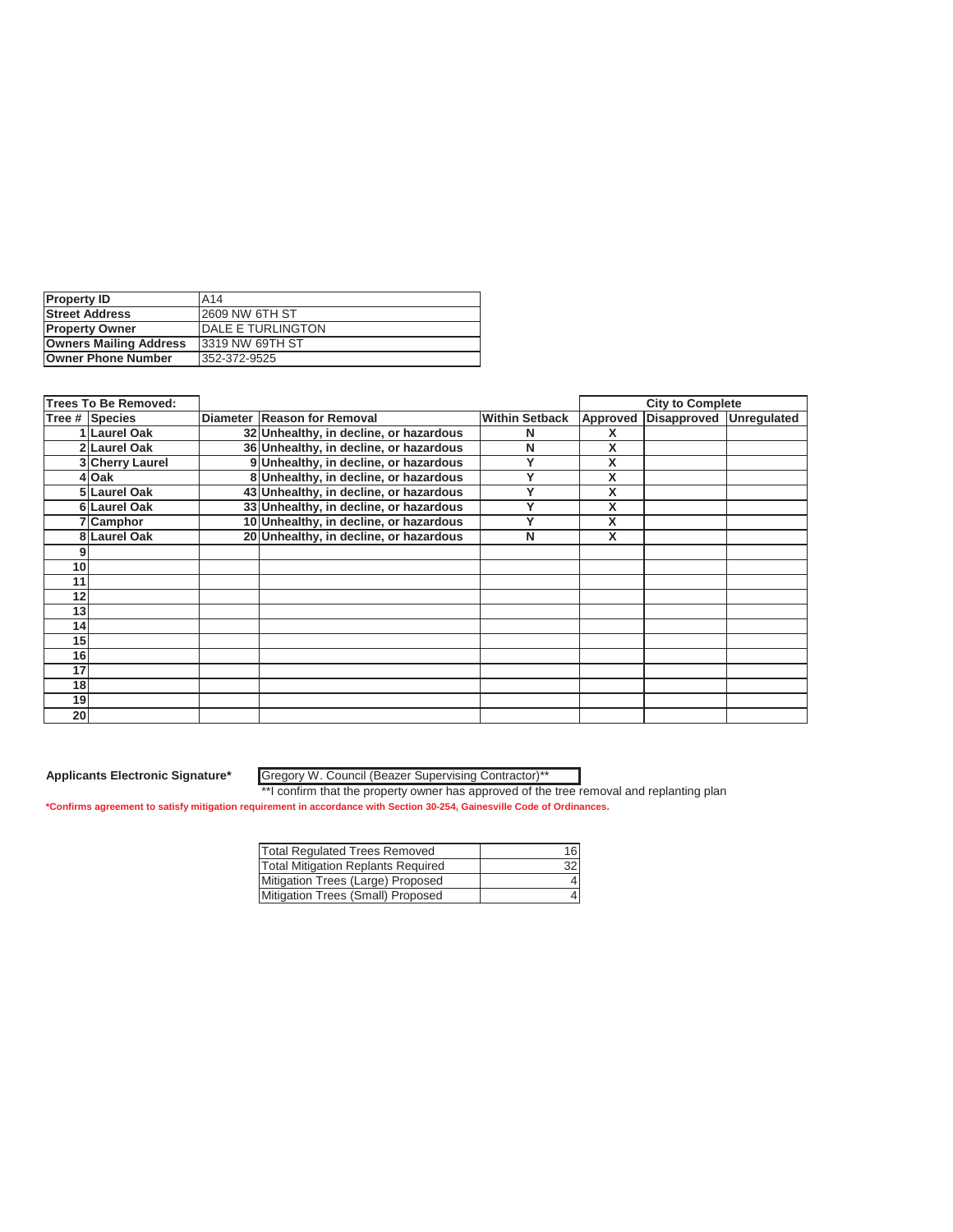| <b>Property ID</b>            | A14                |
|-------------------------------|--------------------|
| <b>Street Address</b>         | 12609 NW 6TH ST    |
| <b>Property Owner</b>         | IDALE E TURLINGTON |
| <b>Owners Mailing Address</b> | 13319 NW 69TH ST   |
| <b>Owner Phone Number</b>     | 352-372-9525       |

|                 | <b>Trees To Be Removed:</b> |                                        |                       |          | <b>City to Complete</b> |  |
|-----------------|-----------------------------|----------------------------------------|-----------------------|----------|-------------------------|--|
|                 | Tree # Species              | Diameter Reason for Removal            | <b>Within Setback</b> | Approved | Disapproved Unregulated |  |
|                 | 1 Laurel Oak                | 32 Unhealthy, in decline, or hazardous | N                     |          |                         |  |
|                 | 2 Laurel Oak                | 36 Unhealthy, in decline, or hazardous | N                     | X        |                         |  |
|                 | 3 Cherry Laurel             | 9 Unhealthy, in decline, or hazardous  | v                     | X        |                         |  |
|                 | 4 Oak                       | 8 Unhealthy, in decline, or hazardous  | v                     | X        |                         |  |
|                 | 5 Laurel Oak                | 43 Unhealthy, in decline, or hazardous |                       | X        |                         |  |
|                 | 6 Laurel Oak                | 33 Unhealthy, in decline, or hazardous | v                     | X        |                         |  |
|                 | 7 Camphor                   | 10 Unhealthy, in decline, or hazardous | v                     | X        |                         |  |
|                 | 8 Laurel Oak                | 20 Unhealthy, in decline, or hazardous | N                     | X        |                         |  |
|                 |                             |                                        |                       |          |                         |  |
| 10              |                             |                                        |                       |          |                         |  |
| 11              |                             |                                        |                       |          |                         |  |
| 12              |                             |                                        |                       |          |                         |  |
| 13              |                             |                                        |                       |          |                         |  |
| 14              |                             |                                        |                       |          |                         |  |
| 15 <sup>1</sup> |                             |                                        |                       |          |                         |  |
| 16              |                             |                                        |                       |          |                         |  |
| 17              |                             |                                        |                       |          |                         |  |
| 18 <sup>1</sup> |                             |                                        |                       |          |                         |  |
| 19              |                             |                                        |                       |          |                         |  |
| 20 <sup>1</sup> |                             |                                        |                       |          |                         |  |

Gregory W. Council (Beazer Supervising Contractor)\*\*

| Total Regulated Trees Removed             | 16 |
|-------------------------------------------|----|
| <b>Total Mitigation Replants Required</b> | 32 |
| Mitigation Trees (Large) Proposed         |    |
| Mitigation Trees (Small) Proposed         |    |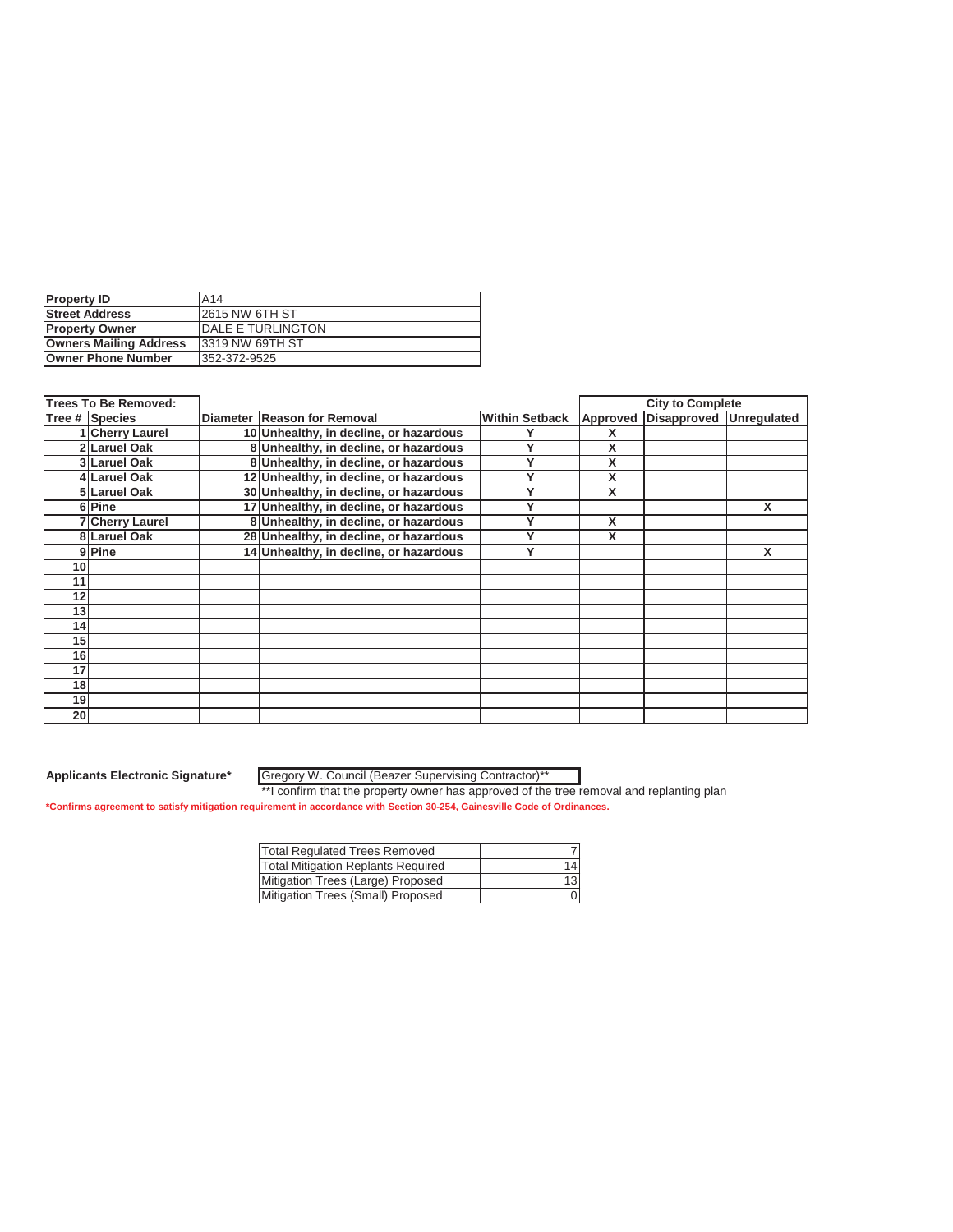| <b>Property ID</b>            | A14                   |
|-------------------------------|-----------------------|
| <b>Street Address</b>         | <b>2615 NW 6TH ST</b> |
| <b>Property Owner</b>         | IDALE E TURLINGTON    |
| <b>Owners Mailing Address</b> | 13319 NW 69TH ST      |
| <b>Owner Phone Number</b>     | 352-372-9525          |

|                 | <b>Trees To Be Removed:</b> |                                        |                       |          | <b>City to Complete</b> |   |
|-----------------|-----------------------------|----------------------------------------|-----------------------|----------|-------------------------|---|
|                 | Tree # Species              | Diameter Reason for Removal            | <b>Within Setback</b> | Approved | Disapproved Unregulated |   |
|                 | 1 Cherry Laurel             | 10 Unhealthy, in decline, or hazardous |                       |          |                         |   |
|                 | 2 Laruel Oak                | 8 Unhealthy, in decline, or hazardous  |                       | x        |                         |   |
|                 | 3 Laruel Oak                | 8 Unhealthy, in decline, or hazardous  |                       | x        |                         |   |
|                 | 4 Laruel Oak                | 12 Unhealthy, in decline, or hazardous | v                     | X        |                         |   |
|                 | 5 Laruel Oak                | 30 Unhealthy, in decline, or hazardous |                       | X        |                         |   |
|                 | 6Pine                       | 17 Unhealthy, in decline, or hazardous |                       |          |                         | X |
|                 | <b>7 Cherry Laurel</b>      | 8 Unhealthy, in decline, or hazardous  |                       | X        |                         |   |
|                 | 8 Laruel Oak                | 28 Unhealthy, in decline, or hazardous |                       | X        |                         |   |
|                 | 9 Pine                      | 14 Unhealthy, in decline, or hazardous | Υ                     |          |                         | X |
| 10              |                             |                                        |                       |          |                         |   |
| 11              |                             |                                        |                       |          |                         |   |
| 12 <sup>1</sup> |                             |                                        |                       |          |                         |   |
| 13              |                             |                                        |                       |          |                         |   |
| 14              |                             |                                        |                       |          |                         |   |
| 15 <sub>1</sub> |                             |                                        |                       |          |                         |   |
| 16              |                             |                                        |                       |          |                         |   |
| 17              |                             |                                        |                       |          |                         |   |
| 18              |                             |                                        |                       |          |                         |   |
| 19 <sup>1</sup> |                             |                                        |                       |          |                         |   |
| 20 <sub>l</sub> |                             |                                        |                       |          |                         |   |

Gregory W. Council (Beazer Supervising Contractor)\*\*

| Total Regulated Trees Removed             |    |
|-------------------------------------------|----|
| <b>Total Mitigation Replants Required</b> | 14 |
| Mitigation Trees (Large) Proposed         | 13 |
| Mitigation Trees (Small) Proposed         |    |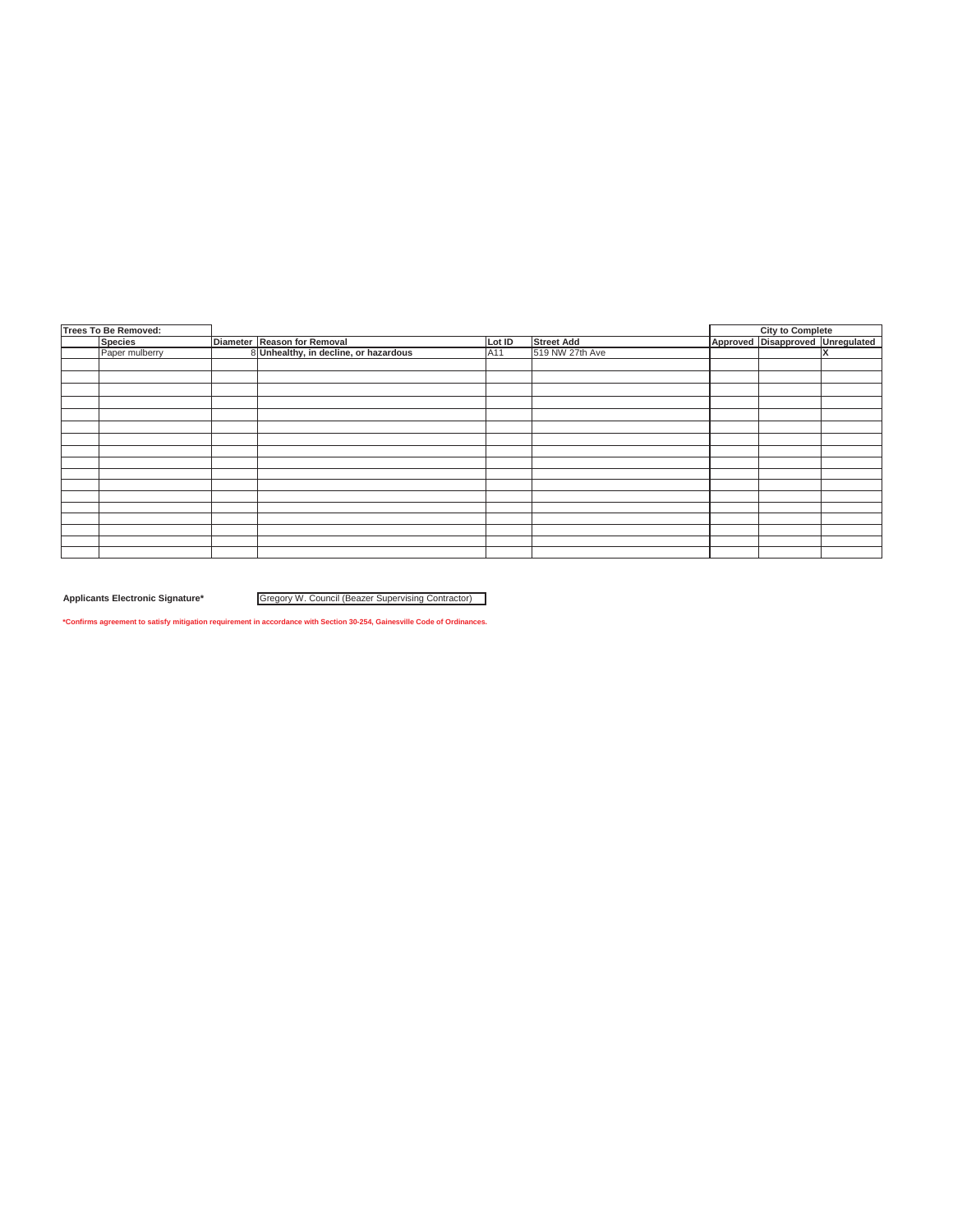| <b>Trees To Be Removed:</b> |                |                                       |        |                   | <b>City to Complete</b>          |  |
|-----------------------------|----------------|---------------------------------------|--------|-------------------|----------------------------------|--|
|                             | <b>Species</b> | Diameter Reason for Removal           | Lot ID | <b>Street Add</b> | Approved Disapproved Unregulated |  |
|                             | Paper mulberry | 8 Unhealthy, in decline, or hazardous | A11    | 519 NW 27th Ave   |                                  |  |
|                             |                |                                       |        |                   |                                  |  |
|                             |                |                                       |        |                   |                                  |  |
|                             |                |                                       |        |                   |                                  |  |
|                             |                |                                       |        |                   |                                  |  |
|                             |                |                                       |        |                   |                                  |  |
|                             |                |                                       |        |                   |                                  |  |
|                             |                |                                       |        |                   |                                  |  |
|                             |                |                                       |        |                   |                                  |  |
|                             |                |                                       |        |                   |                                  |  |
|                             |                |                                       |        |                   |                                  |  |
|                             |                |                                       |        |                   |                                  |  |
|                             |                |                                       |        |                   |                                  |  |
|                             |                |                                       |        |                   |                                  |  |
|                             |                |                                       |        |                   |                                  |  |
|                             |                |                                       |        |                   |                                  |  |
|                             |                |                                       |        |                   |                                  |  |
|                             |                |                                       |        |                   |                                  |  |

Applicants Electronic Signature\* **Gregory W. Council (Beazer Supervising Contractor)** 

**\*Confirms agreement to satisfy mitigation requirement in accordance with Section 30-254, Gainesville Code of Ordinances.**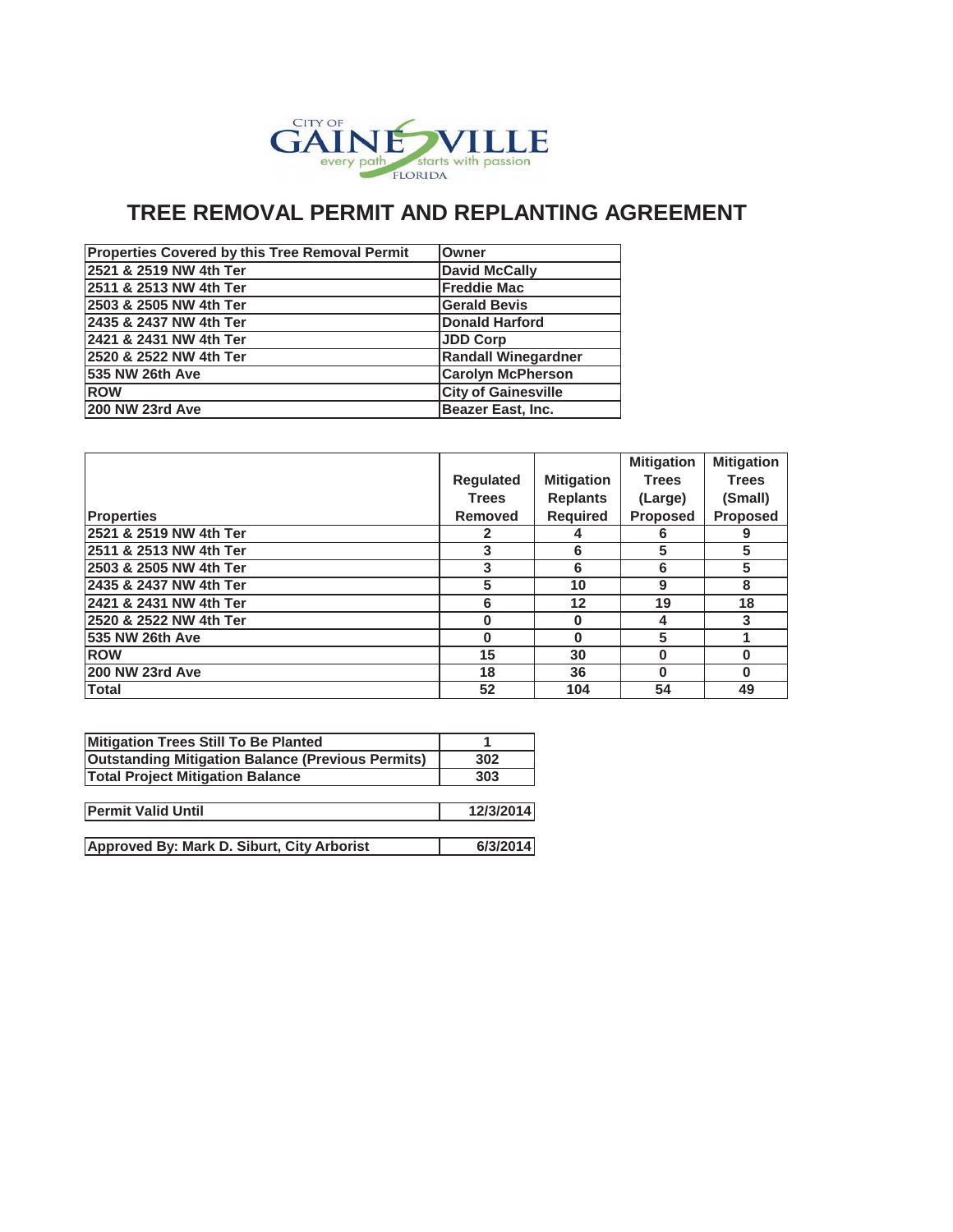

## **TREE REMOVAL PERMIT AND REPLANTING AGREEMENT**

| <b>Properties Covered by this Tree Removal Permit</b> | <b>lOwner</b>              |
|-------------------------------------------------------|----------------------------|
| 2521 & 2519 NW 4th Ter                                | <b>David McCally</b>       |
| 2511 & 2513 NW 4th Ter                                | <b>Freddie Mac</b>         |
| 2503 & 2505 NW 4th Ter                                | <b>Gerald Bevis</b>        |
| 2435 & 2437 NW 4th Ter                                | Donald Harford             |
| 2421 & 2431 NW 4th Ter                                | <b>JDD Corp</b>            |
| 2520 & 2522 NW 4th Ter                                | <b>Randall Winegardner</b> |
| <b>535 NW 26th Ave</b>                                | <b>Carolyn McPherson</b>   |
| <b>ROW</b>                                            | <b>City of Gainesville</b> |
| 200 NW 23rd Ave                                       | <b>Beazer East, Inc.</b>   |

|                        |                |                   | <b>Mitigation</b> | <b>Mitigation</b> |
|------------------------|----------------|-------------------|-------------------|-------------------|
|                        | Regulated      | <b>Mitigation</b> | <b>Trees</b>      | <b>Trees</b>      |
|                        | <b>Trees</b>   | <b>Replants</b>   | (Large)           | (Small)           |
| <b>Properties</b>      | <b>Removed</b> | <b>Required</b>   | Proposed          | <b>Proposed</b>   |
| 2521 & 2519 NW 4th Ter | 2              |                   | 6                 | 9                 |
| 2511 & 2513 NW 4th Ter | 3              | 6                 | 5                 | 5                 |
| 2503 & 2505 NW 4th Ter | 3              | 6                 | 6                 | 5                 |
| 2435 & 2437 NW 4th Ter | 5              | 10                | 9                 | 8                 |
| 2421 & 2431 NW 4th Ter | 6              | 12                | 19                | 18                |
| 2520 & 2522 NW 4th Ter | $\Omega$       | $\bf{0}$          | 4                 | 3                 |
| 535 NW 26th Ave        | 0              | 0                 | 5                 |                   |
| <b>ROW</b>             | 15             | 30                | O                 | $\bf{0}$          |
| 200 NW 23rd Ave        | 18             | 36                | U                 | $\bf{0}$          |
| <b>Total</b>           | 52             | 104               | 54                | 49                |

| Mitigation Trees Still To Be Planted                     |           |
|----------------------------------------------------------|-----------|
| <b>Outstanding Mitigation Balance (Previous Permits)</b> | 302       |
| <b>Total Project Mitigation Balance</b>                  | 303       |
|                                                          |           |
| <b>Permit Valid Until</b>                                | 12/3/2014 |
|                                                          |           |
| Approved By: Mark D. Siburt, City Arborist               | 6/3/2014  |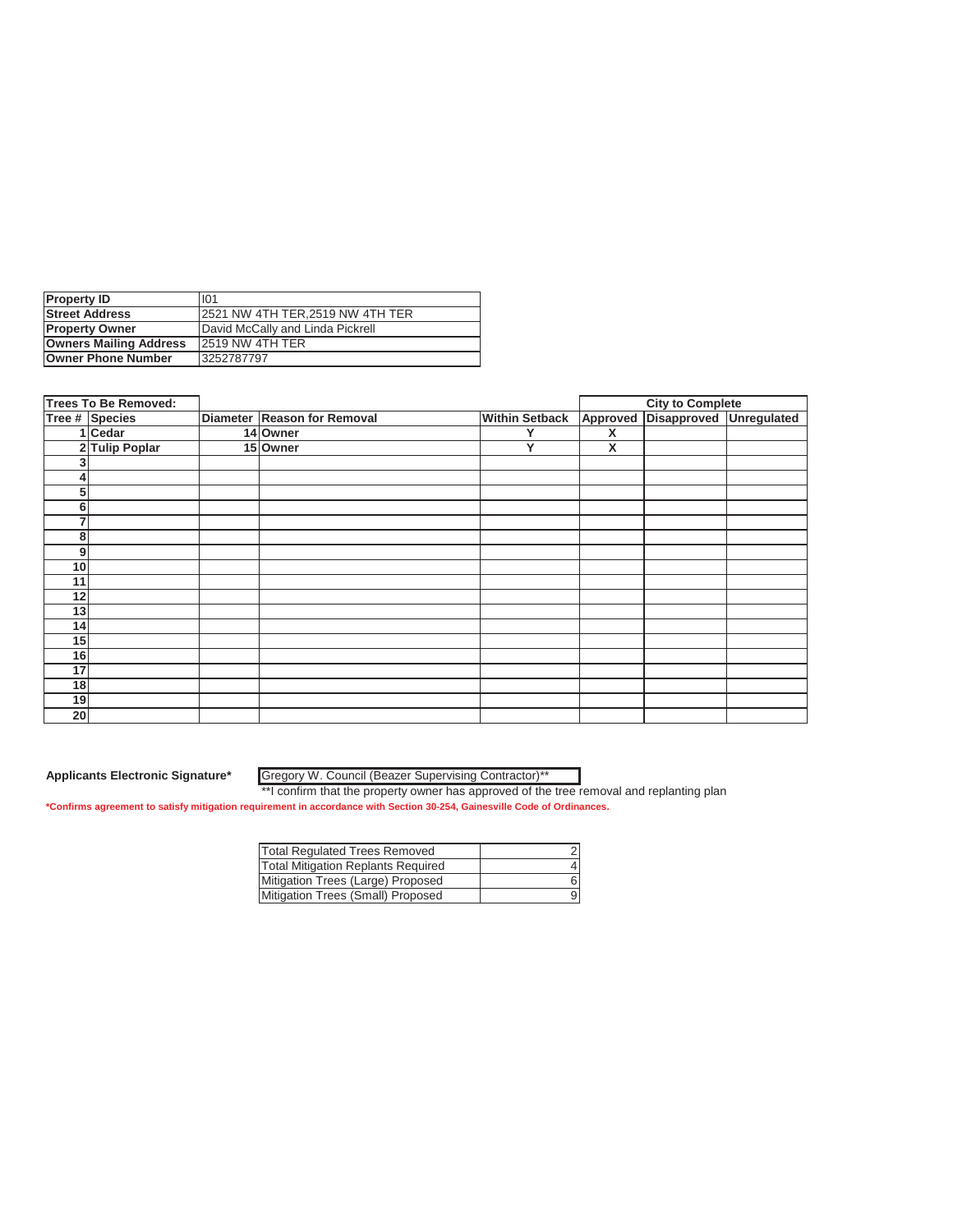| <b>Property ID</b>            | 101                              |
|-------------------------------|----------------------------------|
| <b>Street Address</b>         | 12521 NW 4TH TER.2519 NW 4TH TER |
| <b>Property Owner</b>         | David McCally and Linda Pickrell |
| <b>Owners Mailing Address</b> | 12519 NW 4TH TER                 |
| <b>Owner Phone Number</b>     | 3252787797                       |

|    | Trees To Be Removed: |                             |                       |          | <b>City to Complete</b> |             |
|----|----------------------|-----------------------------|-----------------------|----------|-------------------------|-------------|
|    | Tree # Species       | Diameter Reason for Removal | <b>Within Setback</b> | Approved | Disapproved             | Unregulated |
|    | 1 Cedar              | 14 Owner                    | v                     | X        |                         |             |
|    | 2 Tulip Poplar       | 15 Owner                    | Υ                     | X        |                         |             |
| 3  |                      |                             |                       |          |                         |             |
| 4  |                      |                             |                       |          |                         |             |
| 5  |                      |                             |                       |          |                         |             |
| 6  |                      |                             |                       |          |                         |             |
| 7  |                      |                             |                       |          |                         |             |
| 8  |                      |                             |                       |          |                         |             |
| 9  |                      |                             |                       |          |                         |             |
| 10 |                      |                             |                       |          |                         |             |
| 11 |                      |                             |                       |          |                         |             |
| 12 |                      |                             |                       |          |                         |             |
| 13 |                      |                             |                       |          |                         |             |
| 14 |                      |                             |                       |          |                         |             |
| 15 |                      |                             |                       |          |                         |             |
| 16 |                      |                             |                       |          |                         |             |
| 17 |                      |                             |                       |          |                         |             |
| 18 |                      |                             |                       |          |                         |             |
| 19 |                      |                             |                       |          |                         |             |
| 20 |                      |                             |                       |          |                         |             |

Gregory W. Council (Beazer Supervising Contractor)\*\*

| <b>Total Regulated Trees Removed</b>      |   |
|-------------------------------------------|---|
| <b>Total Mitigation Replants Required</b> |   |
| Mitigation Trees (Large) Proposed         |   |
| Mitigation Trees (Small) Proposed         | g |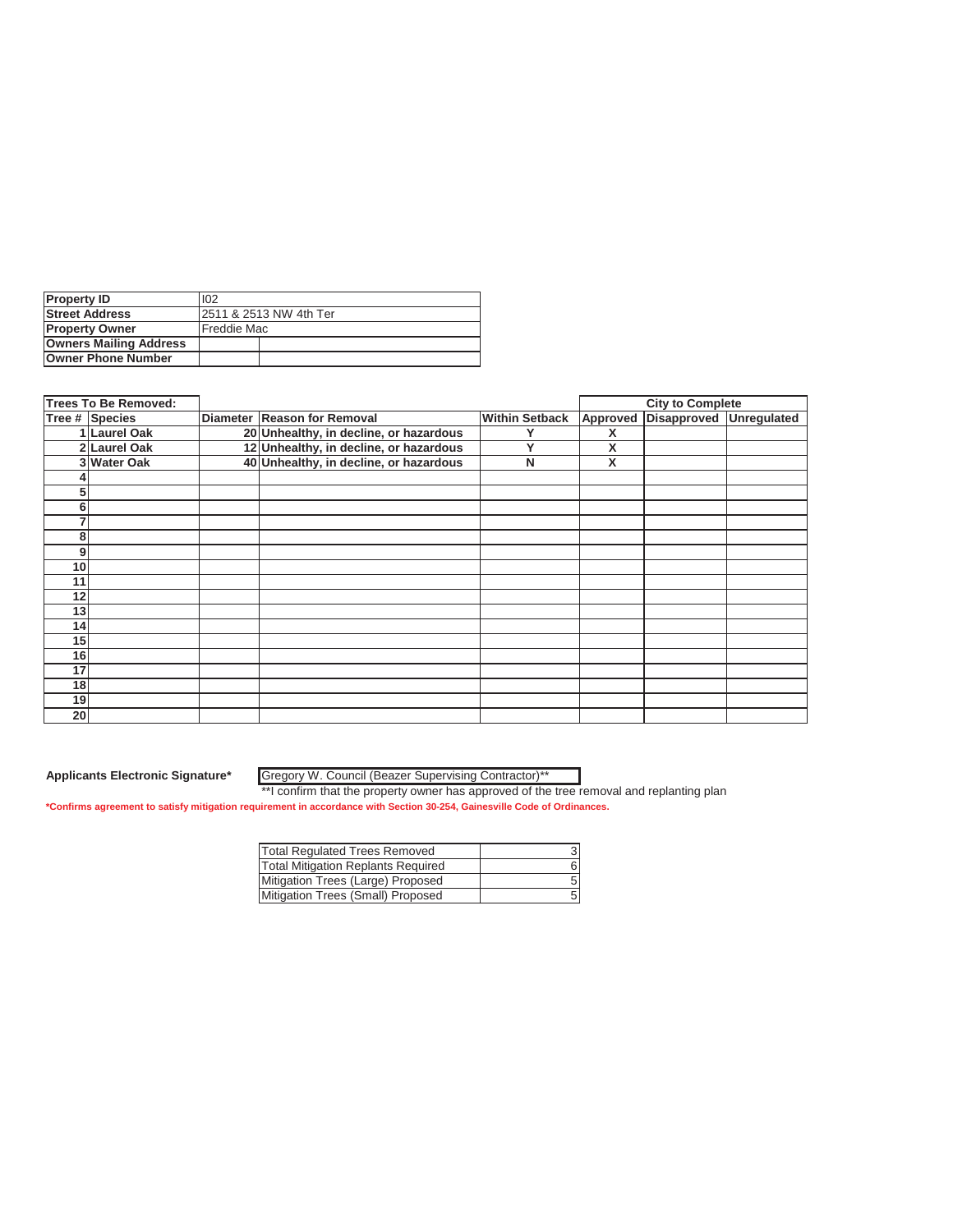| <b>Property ID</b>            | 102                     |  |
|-------------------------------|-------------------------|--|
| <b>Street Address</b>         | 12511 & 2513 NW 4th Ter |  |
| <b>Property Owner</b>         | Freddie Mac             |  |
| <b>Owners Mailing Address</b> |                         |  |
| <b>Owner Phone Number</b>     |                         |  |

|                 | <b>Trees To Be Removed:</b> |                                        |                       |          | <b>City to Complete</b> |  |
|-----------------|-----------------------------|----------------------------------------|-----------------------|----------|-------------------------|--|
|                 | Tree # Species              | Diameter Reason for Removal            | <b>Within Setback</b> | Approved | Disapproved Unregulated |  |
|                 | 1 Laurel Oak                | 20 Unhealthy, in decline, or hazardous |                       | Х        |                         |  |
|                 | 2 Laurel Oak                | 12 Unhealthy, in decline, or hazardous | ν                     | X        |                         |  |
|                 | 3 Water Oak                 | 40 Unhealthy, in decline, or hazardous | N                     | X        |                         |  |
|                 |                             |                                        |                       |          |                         |  |
| 5               |                             |                                        |                       |          |                         |  |
| 6               |                             |                                        |                       |          |                         |  |
| 7               |                             |                                        |                       |          |                         |  |
| 8               |                             |                                        |                       |          |                         |  |
| 9               |                             |                                        |                       |          |                         |  |
| 10              |                             |                                        |                       |          |                         |  |
| 11              |                             |                                        |                       |          |                         |  |
| 12 <sub>1</sub> |                             |                                        |                       |          |                         |  |
| 13              |                             |                                        |                       |          |                         |  |
| 14              |                             |                                        |                       |          |                         |  |
| 15              |                             |                                        |                       |          |                         |  |
| 16              |                             |                                        |                       |          |                         |  |
| 17              |                             |                                        |                       |          |                         |  |
| 18              |                             |                                        |                       |          |                         |  |
| 19              |                             |                                        |                       |          |                         |  |
| 20              |                             |                                        |                       |          |                         |  |

Gregory W. Council (Beazer Supervising Contractor)\*\*

| Total Regulated Trees Removed             |  |
|-------------------------------------------|--|
| <b>Total Mitigation Replants Required</b> |  |
| Mitigation Trees (Large) Proposed         |  |
| Mitigation Trees (Small) Proposed         |  |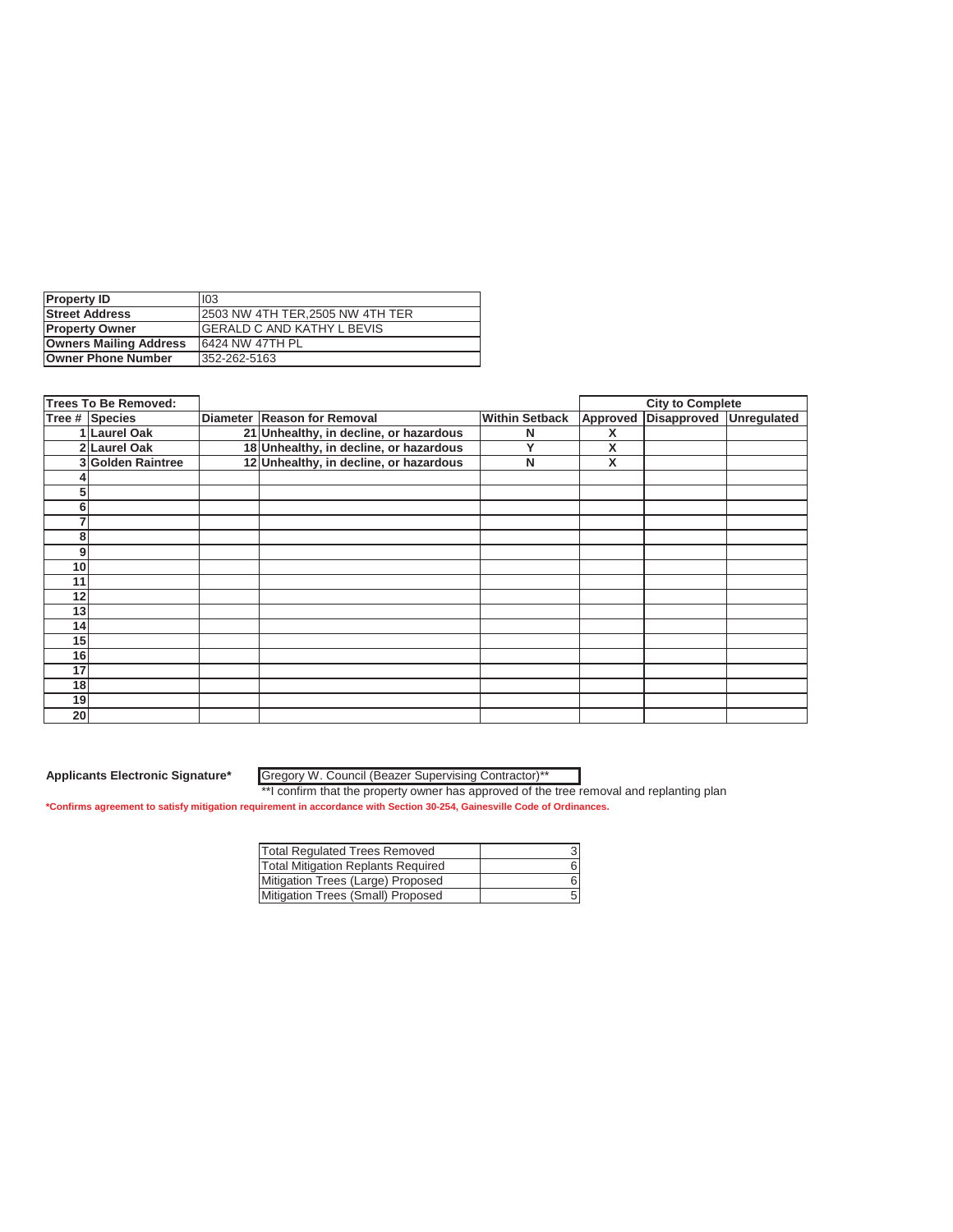| <b>Property ID</b>            | 103                                |
|-------------------------------|------------------------------------|
| <b>Street Address</b>         | 12503 NW 4TH TER.2505 NW 4TH TER   |
| <b>Property Owner</b>         | <b>IGERALD C AND KATHY L BEVIS</b> |
| <b>Owners Mailing Address</b> | 6424 NW 47TH PL                    |
| <b>Owner Phone Number</b>     | 352-262-5163                       |

|                 | <b>Trees To Be Removed:</b> |                                        |                       |          | <b>City to Complete</b> |  |
|-----------------|-----------------------------|----------------------------------------|-----------------------|----------|-------------------------|--|
|                 | Tree # Species              | Diameter Reason for Removal            | <b>Within Setback</b> | Approved | Disapproved Unregulated |  |
|                 | Laurel Oak                  | 21 Unhealthy, in decline, or hazardous | N                     | X        |                         |  |
|                 | 2 Laurel Oak                | 18 Unhealthy, in decline, or hazardous | v                     | X        |                         |  |
|                 | 3 Golden Raintree           | 12 Unhealthy, in decline, or hazardous | N                     | X        |                         |  |
|                 |                             |                                        |                       |          |                         |  |
| 5               |                             |                                        |                       |          |                         |  |
| 6               |                             |                                        |                       |          |                         |  |
| 7               |                             |                                        |                       |          |                         |  |
| 8               |                             |                                        |                       |          |                         |  |
| 9               |                             |                                        |                       |          |                         |  |
| 10              |                             |                                        |                       |          |                         |  |
| 11              |                             |                                        |                       |          |                         |  |
| 12              |                             |                                        |                       |          |                         |  |
| 13              |                             |                                        |                       |          |                         |  |
| 14              |                             |                                        |                       |          |                         |  |
| 15              |                             |                                        |                       |          |                         |  |
| 16              |                             |                                        |                       |          |                         |  |
| 17              |                             |                                        |                       |          |                         |  |
| 18              |                             |                                        |                       |          |                         |  |
| 19              |                             |                                        |                       |          |                         |  |
| 20 <sub>l</sub> |                             |                                        |                       |          |                         |  |

Gregory W. Council (Beazer Supervising Contractor)\*\*

| <b>Total Requlated Trees Removed</b>      |  |
|-------------------------------------------|--|
| <b>Total Mitigation Replants Required</b> |  |
| Mitigation Trees (Large) Proposed         |  |
| Mitigation Trees (Small) Proposed         |  |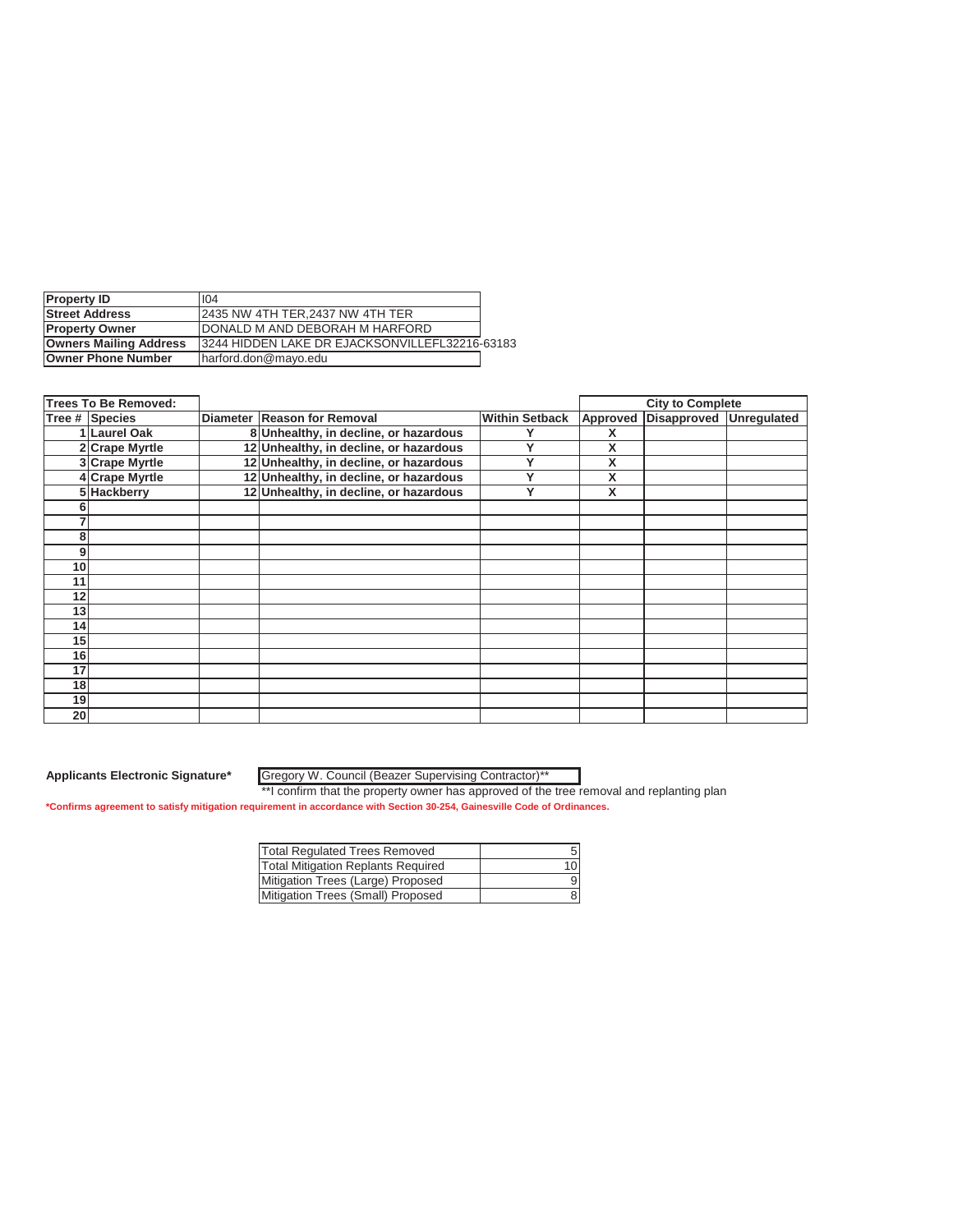| <b>Property ID</b>            | 104                                             |  |
|-------------------------------|-------------------------------------------------|--|
| <b>Street Address</b>         | 12435 NW 4TH TER.2437 NW 4TH TER                |  |
| <b>Property Owner</b>         | DONALD M AND DEBORAH M HARFORD                  |  |
| <b>Owners Mailing Address</b> | 13244 HIDDEN LAKE DR EJACKSONVILLEFL32216-63183 |  |
| <b>Owner Phone Number</b>     | Iharford.don@mayo.edu                           |  |

|                 | <b>Trees To Be Removed:</b> |                                        |                       |          | <b>City to Complete</b> |  |
|-----------------|-----------------------------|----------------------------------------|-----------------------|----------|-------------------------|--|
|                 | Tree # Species              | Diameter Reason for Removal            | <b>Within Setback</b> | Approved | Disapproved Unregulated |  |
|                 | <b>Laurel Oak</b>           | 8 Unhealthy, in decline, or hazardous  |                       | X        |                         |  |
|                 | 2 Crape Myrtle              | 12 Unhealthy, in decline, or hazardous | v                     | X        |                         |  |
|                 | 3 Crape Myrtle              | 12 Unhealthy, in decline, or hazardous |                       | Χ        |                         |  |
|                 | 4 Crape Myrtle              | 12 Unhealthy, in decline, or hazardous | v                     | X        |                         |  |
|                 | 5 Hackberry                 | 12 Unhealthy, in decline, or hazardous | Υ                     | X        |                         |  |
|                 |                             |                                        |                       |          |                         |  |
|                 |                             |                                        |                       |          |                         |  |
| 8               |                             |                                        |                       |          |                         |  |
| 9               |                             |                                        |                       |          |                         |  |
| 10              |                             |                                        |                       |          |                         |  |
| 11              |                             |                                        |                       |          |                         |  |
| 12              |                             |                                        |                       |          |                         |  |
| 13              |                             |                                        |                       |          |                         |  |
| 14              |                             |                                        |                       |          |                         |  |
| 15              |                             |                                        |                       |          |                         |  |
| 16              |                             |                                        |                       |          |                         |  |
| 17              |                             |                                        |                       |          |                         |  |
| 18              |                             |                                        |                       |          |                         |  |
| 19              |                             |                                        |                       |          |                         |  |
| 20 <sub>l</sub> |                             |                                        |                       |          |                         |  |

Gregory W. Council (Beazer Supervising Contractor)\*\*

| <b>Total Regulated Trees Removed</b>      |    |
|-------------------------------------------|----|
| <b>Total Mitigation Replants Required</b> | 10 |
| Mitigation Trees (Large) Proposed         | 9  |
| Mitigation Trees (Small) Proposed         |    |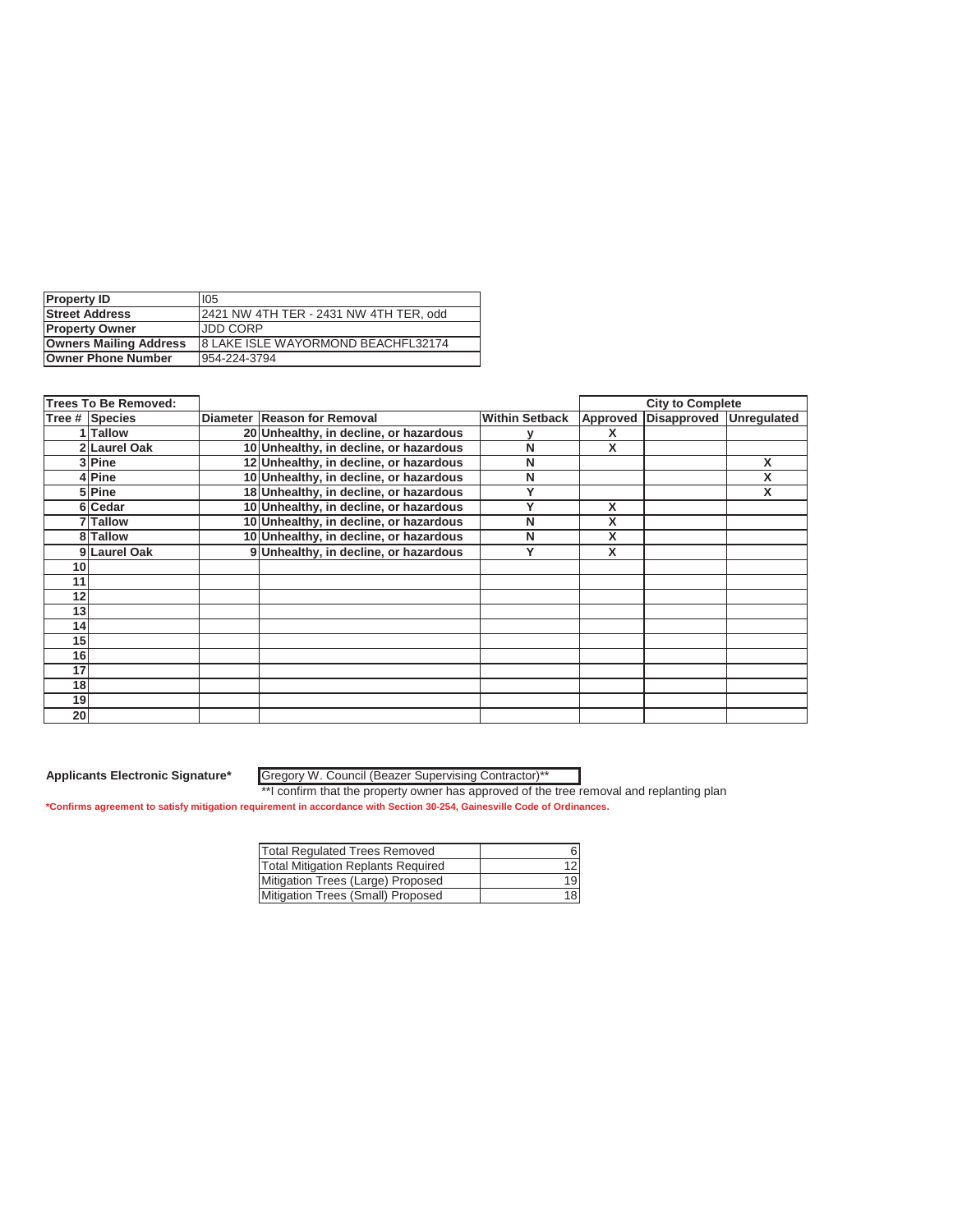| <b>Property ID</b>            | 105                                       |
|-------------------------------|-------------------------------------------|
| <b>Street Address</b>         | 2421 NW 4TH TER - 2431 NW 4TH TER, odd    |
| <b>Property Owner</b>         | <b>JDD CORP</b>                           |
| <b>Owners Mailing Address</b> | <b>8 LAKE ISLE WAYORMOND BEACHFL32174</b> |
| <b>Owner Phone Number</b>     | 954-224-3794                              |

|    | <b>Trees To Be Removed:</b> |                                        |                       |          | <b>City to Complete</b> |   |
|----|-----------------------------|----------------------------------------|-----------------------|----------|-------------------------|---|
|    | Tree # Species              | Diameter Reason for Removal            | <b>Within Setback</b> | Approved | Disapproved Unregulated |   |
|    | 1 Tallow                    | 20 Unhealthy, in decline, or hazardous |                       | х        |                         |   |
|    | 2 Laurel Oak                | 10 Unhealthy, in decline, or hazardous | N                     | X        |                         |   |
|    | 3lPine                      | 12 Unhealthy, in decline, or hazardous | N                     |          |                         | X |
|    | 4lPine                      | 10 Unhealthy, in decline, or hazardous | N                     |          |                         | X |
|    | 5 Pine                      | 18 Unhealthy, in decline, or hazardous | ν                     |          |                         | X |
|    | 6 Cedar                     | 10 Unhealthy, in decline, or hazardous | v                     | X        |                         |   |
|    | 7 Tallow                    | 10 Unhealthy, in decline, or hazardous | N                     | X        |                         |   |
|    | 8 Tallow                    | 10 Unhealthy, in decline, or hazardous | N                     | X        |                         |   |
|    | 9 Laurel Oak                | 9 Unhealthy, in decline, or hazardous  | Υ                     | X        |                         |   |
| 10 |                             |                                        |                       |          |                         |   |
| 11 |                             |                                        |                       |          |                         |   |
| 12 |                             |                                        |                       |          |                         |   |
| 13 |                             |                                        |                       |          |                         |   |
| 14 |                             |                                        |                       |          |                         |   |
| 15 |                             |                                        |                       |          |                         |   |
| 16 |                             |                                        |                       |          |                         |   |
| 17 |                             |                                        |                       |          |                         |   |
| 18 |                             |                                        |                       |          |                         |   |
| 19 |                             |                                        |                       |          |                         |   |
| 20 |                             |                                        |                       |          |                         |   |

Gregory W. Council (Beazer Supervising Contractor)\*\*

| <b>Total Requlated Trees Removed</b>      |    |
|-------------------------------------------|----|
| <b>Total Mitigation Replants Required</b> | 12 |
| Mitigation Trees (Large) Proposed         | 19 |
| Mitigation Trees (Small) Proposed         | 18 |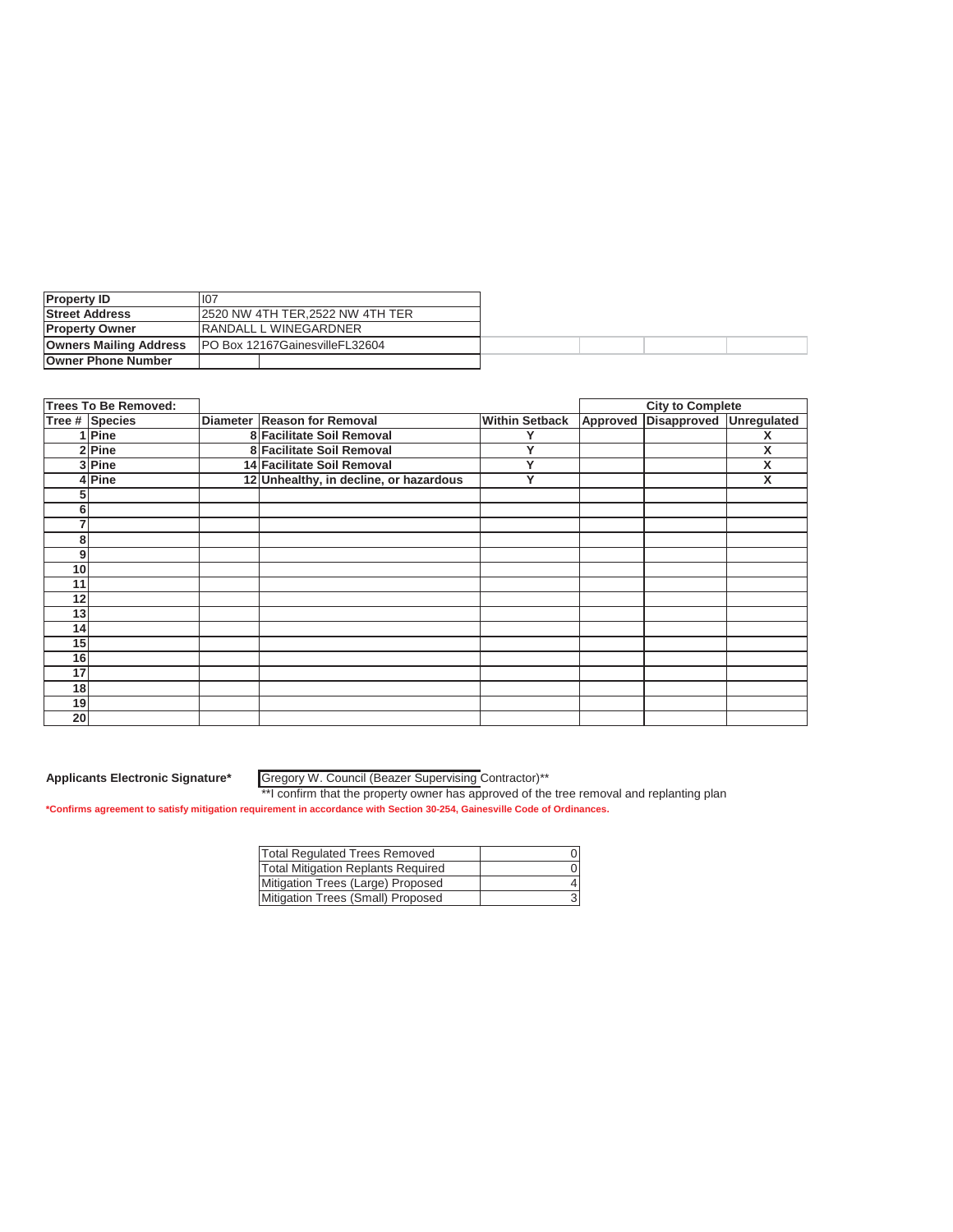| <b>Property ID</b>            | 107                                   |                               |  |  |  |
|-------------------------------|---------------------------------------|-------------------------------|--|--|--|
| <b>Street Address</b>         | 12520 NW 4TH TER, 2522 NW 4TH TER     |                               |  |  |  |
| <b>Property Owner</b>         |                                       | <b>IRANDALL L WINEGARDNER</b> |  |  |  |
| <b>Owners Mailing Address</b> | <b>PO Box 12167GainesvilleFL32604</b> |                               |  |  |  |
| <b>Owner Phone Number</b>     |                                       |                               |  |  |  |

|    | <b>Trees To Be Removed:</b> |                                        |                       |          | <b>City to Complete</b>        |   |
|----|-----------------------------|----------------------------------------|-----------------------|----------|--------------------------------|---|
|    | Tree # Species              | Diameter Reason for Removal            | <b>Within Setback</b> | Approved | <b>Disapproved Unregulated</b> |   |
|    | 1 Pine                      | 8 Facilitate Soil Removal              |                       |          |                                |   |
|    | 2 Pine                      | 8 Facilitate Soil Removal              |                       |          |                                | X |
|    | 3 Pine                      | 14 Facilitate Soil Removal             | Υ                     |          |                                | X |
|    | 4Pine                       | 12 Unhealthy, in decline, or hazardous | Y                     |          |                                | X |
|    |                             |                                        |                       |          |                                |   |
| 6  |                             |                                        |                       |          |                                |   |
|    |                             |                                        |                       |          |                                |   |
| 8  |                             |                                        |                       |          |                                |   |
| 9  |                             |                                        |                       |          |                                |   |
| 10 |                             |                                        |                       |          |                                |   |
| 11 |                             |                                        |                       |          |                                |   |
| 12 |                             |                                        |                       |          |                                |   |
| 13 |                             |                                        |                       |          |                                |   |
| 14 |                             |                                        |                       |          |                                |   |
| 15 |                             |                                        |                       |          |                                |   |
| 16 |                             |                                        |                       |          |                                |   |
| 17 |                             |                                        |                       |          |                                |   |
| 18 |                             |                                        |                       |          |                                |   |
| 19 |                             |                                        |                       |          |                                |   |
| 20 |                             |                                        |                       |          |                                |   |

Gregory W. Council (Beazer Supervising Contractor)\*\*

\*\*I confirm that the property owner has approved of the tree removal and replanting plan **\*Confirms agreement to satisfy mitigation requirement in accordance with Section 30-254, Gainesville Code of Ordinances.**

| <b>Total Regulated Trees Removed</b>      |  |
|-------------------------------------------|--|
| <b>Total Mitigation Replants Required</b> |  |
| Mitigation Trees (Large) Proposed         |  |
| Mitigation Trees (Small) Proposed         |  |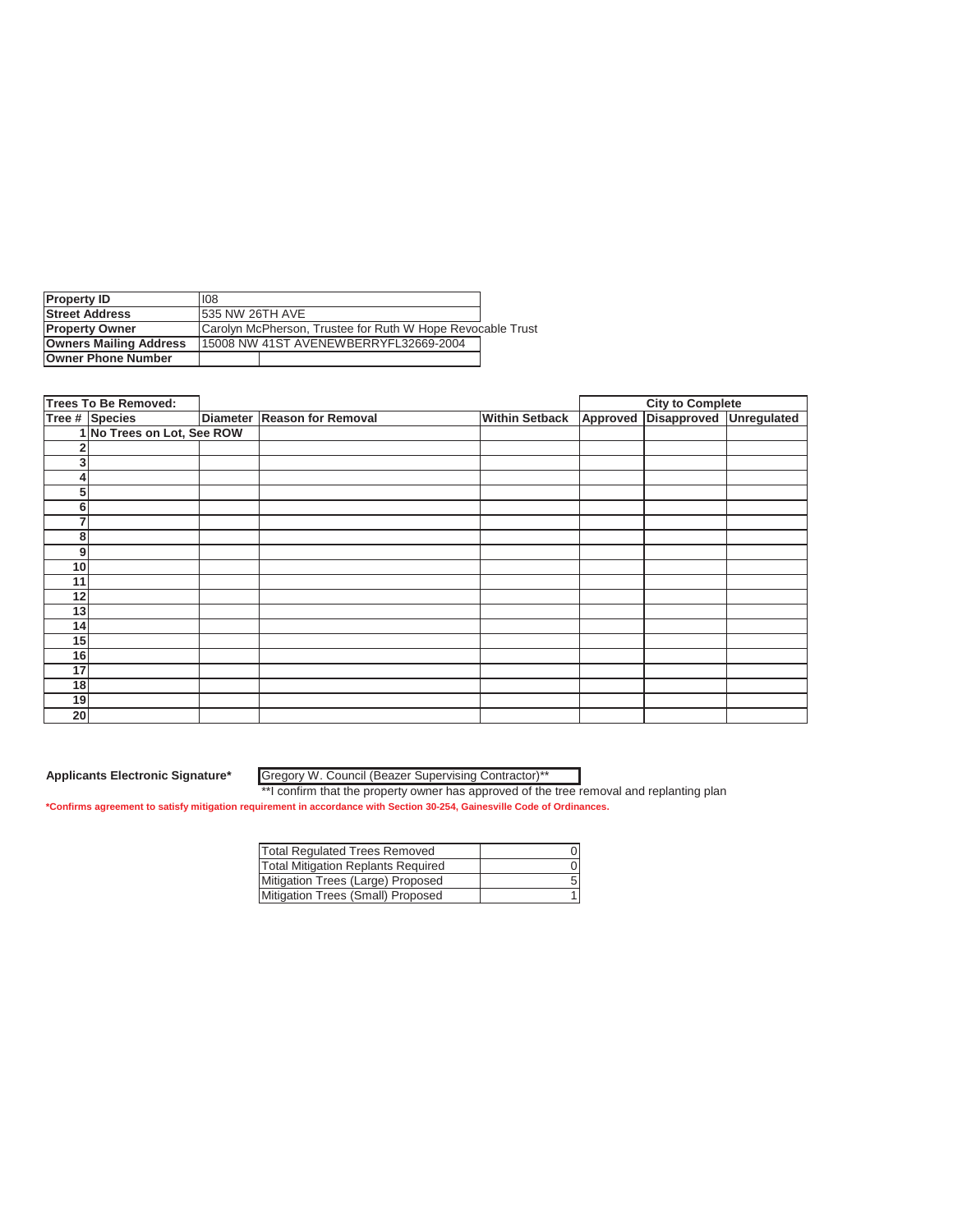| <b>Property ID</b>            | 108                                                        |  |  |  |  |
|-------------------------------|------------------------------------------------------------|--|--|--|--|
| <b>Street Address</b>         | <b>1535 NW 26TH AVE</b>                                    |  |  |  |  |
| <b>Property Owner</b>         | Carolyn McPherson, Trustee for Ruth W Hope Revocable Trust |  |  |  |  |
| <b>Owners Mailing Address</b> | 115008 NW 41ST AVENEWBERRYFL32669-2004                     |  |  |  |  |
| <b>Owner Phone Number</b>     |                                                            |  |  |  |  |

|                 | <b>Trees To Be Removed:</b> |                             |                       | <b>City to Complete</b>          |  |
|-----------------|-----------------------------|-----------------------------|-----------------------|----------------------------------|--|
|                 | Tree # Species              | Diameter Reason for Removal | <b>Within Setback</b> | Approved Disapproved Unregulated |  |
|                 | 1 No Trees on Lot, See ROW  |                             |                       |                                  |  |
|                 |                             |                             |                       |                                  |  |
| 3               |                             |                             |                       |                                  |  |
| 4               |                             |                             |                       |                                  |  |
| 5               |                             |                             |                       |                                  |  |
| 6               |                             |                             |                       |                                  |  |
| 7               |                             |                             |                       |                                  |  |
| 8               |                             |                             |                       |                                  |  |
| 9               |                             |                             |                       |                                  |  |
| 10 <sub>1</sub> |                             |                             |                       |                                  |  |
| 11              |                             |                             |                       |                                  |  |
| 12              |                             |                             |                       |                                  |  |
| 13              |                             |                             |                       |                                  |  |
| 14 <sub>1</sub> |                             |                             |                       |                                  |  |
| 15              |                             |                             |                       |                                  |  |
| 16              |                             |                             |                       |                                  |  |
| 17              |                             |                             |                       |                                  |  |
| 18              |                             |                             |                       |                                  |  |
| 19              |                             |                             |                       |                                  |  |
| 20              |                             |                             |                       |                                  |  |

Gregory W. Council (Beazer Supervising Contractor)\*\*

\*\*I confirm that the property owner has approved of the tree removal and replanting plan **\*Confirms agreement to satisfy mitigation requirement in accordance with Section 30-254, Gainesville Code of Ordinances.**

| <b>Total Regulated Trees Removed</b>      |  |
|-------------------------------------------|--|
| <b>Total Mitigation Replants Required</b> |  |
| Mitigation Trees (Large) Proposed         |  |
| Mitigation Trees (Small) Proposed         |  |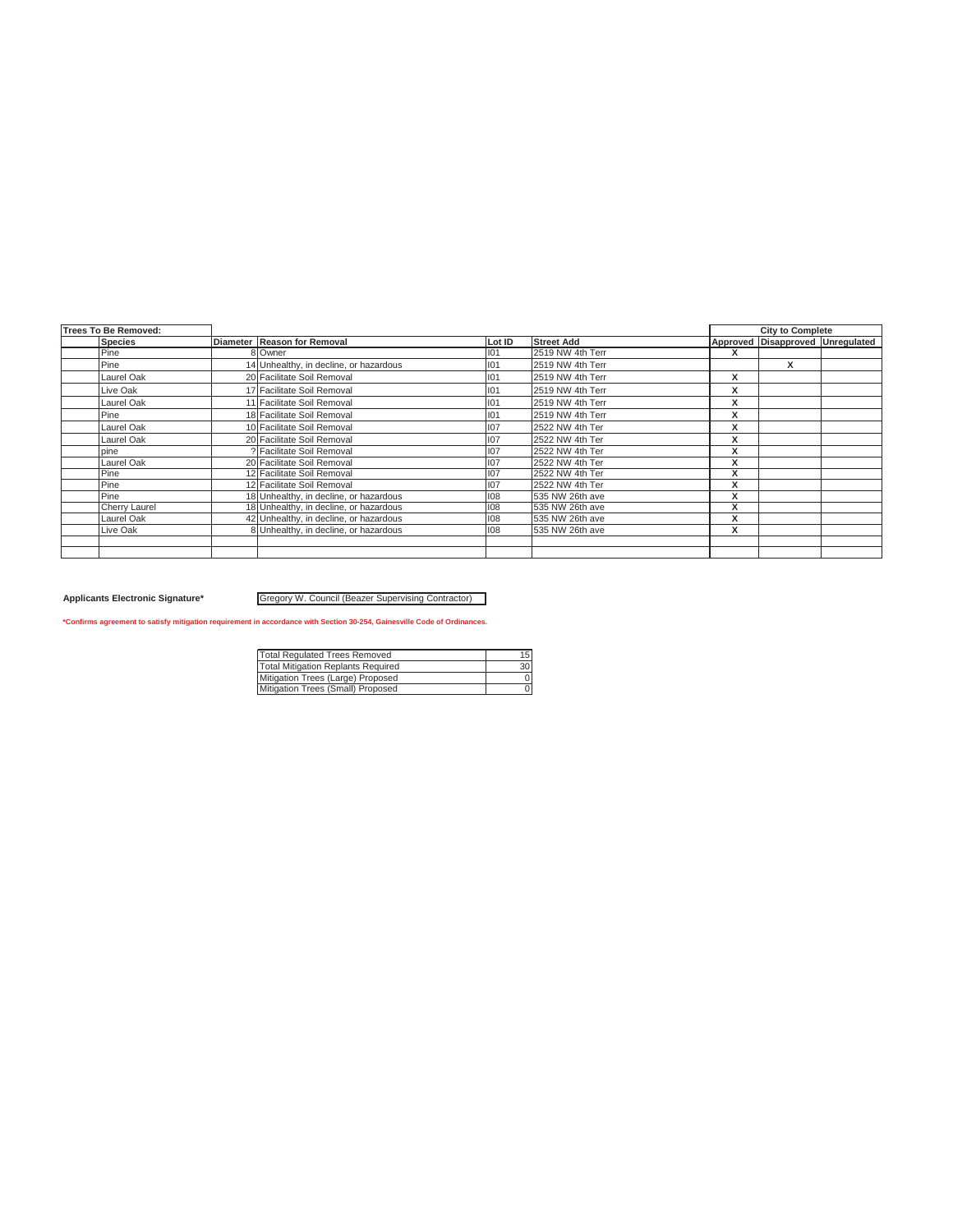| Trees To Be Removed: |                                        |        |                   |                   | <b>City to Complete</b>          |  |
|----------------------|----------------------------------------|--------|-------------------|-------------------|----------------------------------|--|
| <b>Species</b>       | Diameter Reason for Removal            | Lot ID | <b>Street Add</b> |                   | Approved Disapproved Unregulated |  |
| Pine                 | 8 Owner                                | 101    | 2519 NW 4th Terr  | x                 |                                  |  |
| Pine                 | 14 Unhealthy, in decline, or hazardous | 101    | 2519 NW 4th Terr  |                   | x                                |  |
| Laurel Oak           | 20 Facilitate Soil Removal             | 101    | 2519 NW 4th Terr  | x                 |                                  |  |
| Live Oak             | 17 Facilitate Soil Removal             | 101    | 2519 NW 4th Terr  | x                 |                                  |  |
| Laurel Oak           | 11 Facilitate Soil Removal             | 101    | 2519 NW 4th Terr  | x                 |                                  |  |
| Pine                 | 18 Facilitate Soil Removal             | 101    | 2519 NW 4th Terr  | X                 |                                  |  |
| Laurel Oak           | 10 Facilitate Soil Removal             | 107    | 2522 NW 4th Ter   | X                 |                                  |  |
| Laurel Oak           | 20 Facilitate Soil Removal             | 107    | 2522 NW 4th Ter   | X                 |                                  |  |
| pine                 | ? Facilitate Soil Removal              | 107    | 2522 NW 4th Ter   | $\mathbf{v}$      |                                  |  |
| Laurel Oak           | 20 Facilitate Soil Removal             | 107    | 2522 NW 4th Ter   | x                 |                                  |  |
| Pine                 | 12 Facilitate Soil Removal             | 107    | 2522 NW 4th Ter   | $\mathbf{v}$<br>ᄉ |                                  |  |
| Pine                 | 12 Facilitate Soil Removal             | 107    | 2522 NW 4th Ter   | $\checkmark$<br>ᄉ |                                  |  |
| Pine                 | 18 Unhealthy, in decline, or hazardous | 108    | 535 NW 26th ave   | $\mathbf{v}$<br>л |                                  |  |
| <b>Cherry Laurel</b> | 18 Unhealthy, in decline, or hazardous | 108    | 535 NW 26th ave   | X                 |                                  |  |
| Laurel Oak           | 42 Unhealthy, in decline, or hazardous | 108    | 535 NW 26th ave   | x                 |                                  |  |
| Live Oak             | 8 Unhealthy, in decline, or hazardous  | 108    | 535 NW 26th ave   | X                 |                                  |  |
|                      |                                        |        |                   |                   |                                  |  |
|                      |                                        |        |                   |                   |                                  |  |

### Applicants Electronic Signature\* **Gregory W. Council (Beazer Supervising Contractor)**

| <b>Total Requlated Trees Removed</b>      | 15              |
|-------------------------------------------|-----------------|
| <b>Total Mitigation Replants Required</b> | 30 <sup>1</sup> |
| Mitigation Trees (Large) Proposed         |                 |
| Mitigation Trees (Small) Proposed         |                 |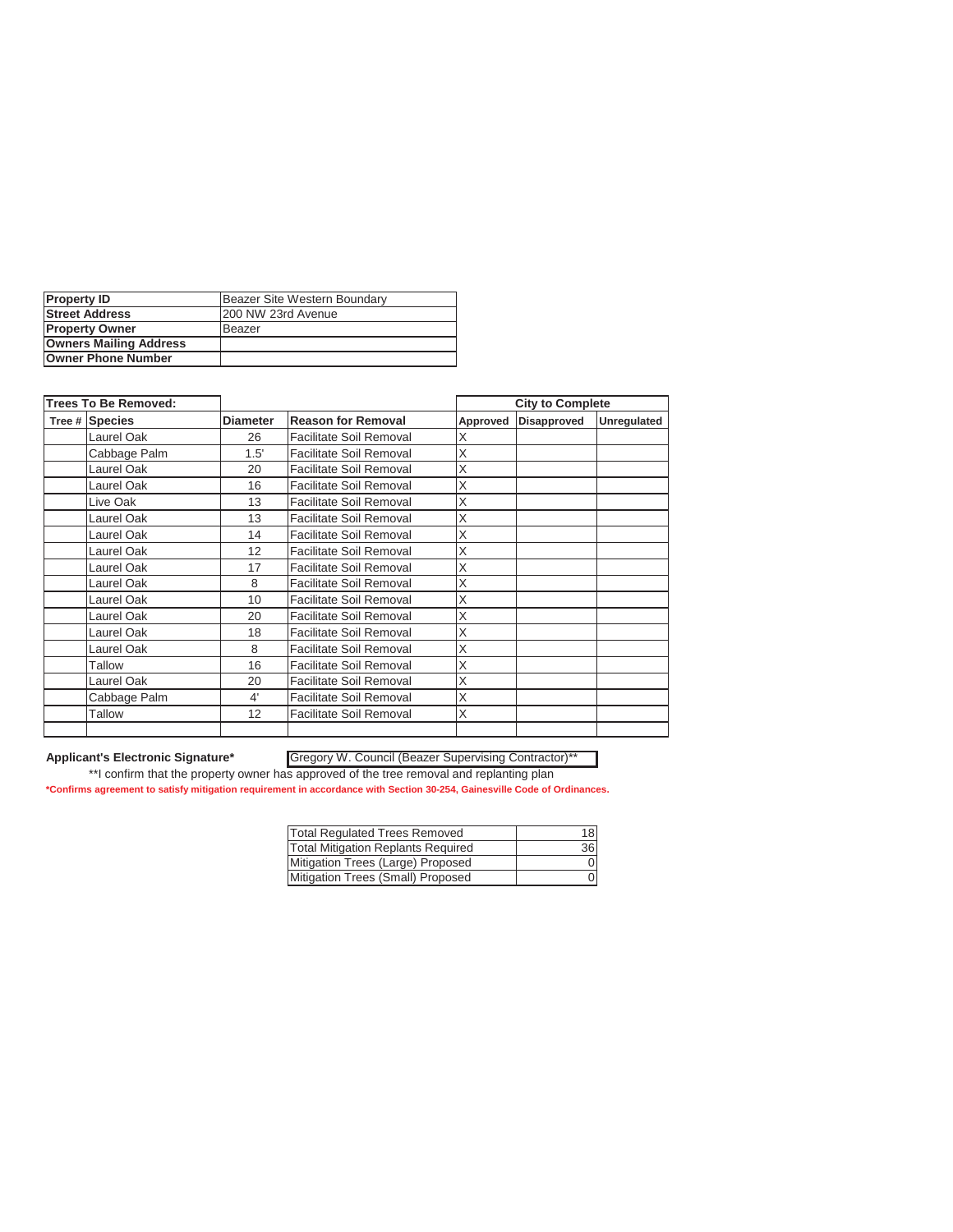| <b>Property ID</b>            | Beazer Site Western Boundary |  |  |
|-------------------------------|------------------------------|--|--|
| <b>Street Address</b>         | 200 NW 23rd Avenue           |  |  |
| <b>Property Owner</b>         | Beazer                       |  |  |
| <b>Owners Mailing Address</b> |                              |  |  |
| <b>Owner Phone Number</b>     |                              |  |  |

| <b>Trees To Be Removed:</b> |                 |                                |          | <b>City to Complete</b> |             |
|-----------------------------|-----------------|--------------------------------|----------|-------------------------|-------------|
| Tree # Species              | <b>Diameter</b> | <b>Reason for Removal</b>      | Approved | Disapproved             | Unregulated |
| Laurel Oak                  | 26              | <b>Facilitate Soil Removal</b> | Χ        |                         |             |
| Cabbage Palm                | 1.5'            | <b>Facilitate Soil Removal</b> | X        |                         |             |
| Laurel Oak                  | 20              | <b>Facilitate Soil Removal</b> | X        |                         |             |
| Laurel Oak                  | 16              | <b>Facilitate Soil Removal</b> | X        |                         |             |
| Live Oak                    | 13              | Facilitate Soil Removal        | X        |                         |             |
| Laurel Oak                  | 13              | <b>Facilitate Soil Removal</b> | X        |                         |             |
| Laurel Oak                  | 14              | <b>Facilitate Soil Removal</b> | X        |                         |             |
| Laurel Oak                  | 12              | <b>Facilitate Soil Removal</b> | X        |                         |             |
| Laurel Oak                  | 17              | <b>Facilitate Soil Removal</b> | X        |                         |             |
| Laurel Oak                  | 8               | <b>Facilitate Soil Removal</b> | X        |                         |             |
| Laurel Oak                  | 10              | <b>Facilitate Soil Removal</b> | X        |                         |             |
| Laurel Oak                  | 20              | <b>Facilitate Soil Removal</b> | X        |                         |             |
| Laurel Oak                  | 18              | <b>Facilitate Soil Removal</b> | X        |                         |             |
| Laurel Oak                  | 8               | <b>Facilitate Soil Removal</b> | X        |                         |             |
| Tallow                      | 16              | <b>Facilitate Soil Removal</b> | X        |                         |             |
| Laurel Oak                  | 20              | Facilitate Soil Removal        | X        |                         |             |
| Cabbage Palm                | 4'              | <b>Facilitate Soil Removal</b> | X        |                         |             |
| Tallow                      | 12              | Facilitate Soil Removal        | X        |                         |             |
|                             |                 |                                |          |                         |             |

## Gregory W. Council (Beazer Supervising Contractor)\*\*

\*\*I confirm that the property owner has approved of the tree removal and replanting plan

| <b>Total Regulated Trees Removed</b>      | 18 <sup>1</sup> |
|-------------------------------------------|-----------------|
| <b>Total Mitigation Replants Required</b> | 36              |
| Mitigation Trees (Large) Proposed         | Οl              |
| Mitigation Trees (Small) Proposed         | 01              |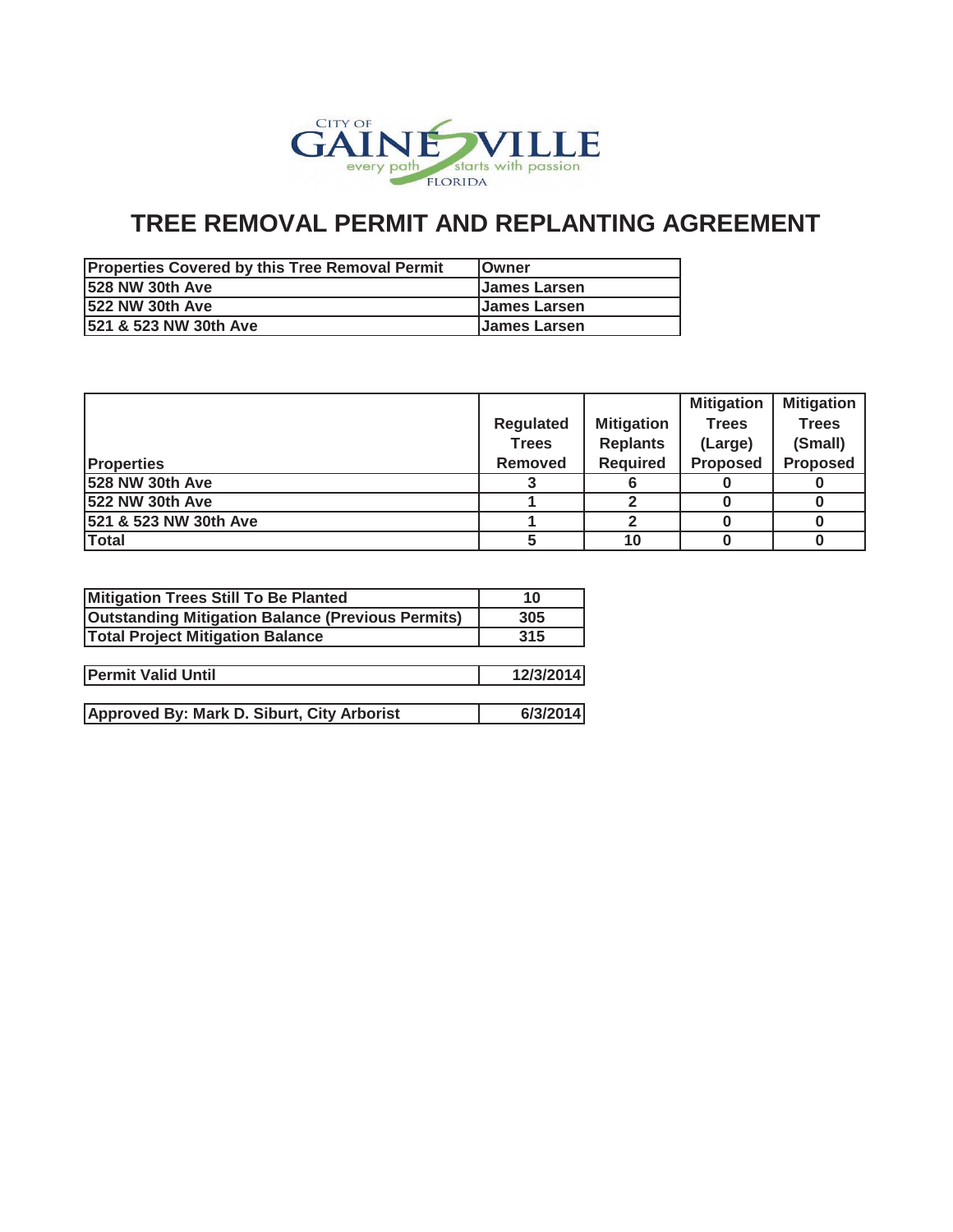

| <b>Properties Covered by this Tree Removal Permit</b> | <b>IOwner</b>       |
|-------------------------------------------------------|---------------------|
| <b>528 NW 30th Ave</b>                                | <b>James Larsen</b> |
| 1522 NW 30th Ave                                      | <b>James Larsen</b> |
| 521 & 523 NW 30th Ave                                 | <b>James Larsen</b> |

|                        |                  |                   | <b>Mitigation</b> | <b>Mitigation</b> |
|------------------------|------------------|-------------------|-------------------|-------------------|
|                        | <b>Regulated</b> | <b>Mitigation</b> | <b>Trees</b>      | <b>Trees</b>      |
|                        | <b>Trees</b>     | <b>Replants</b>   | (Large)           | (Small)           |
| <b>Properties</b>      | <b>Removed</b>   | <b>Required</b>   | <b>Proposed</b>   | <b>Proposed</b>   |
| 528 NW 30th Ave        |                  | 6                 |                   |                   |
| <b>522 NW 30th Ave</b> |                  |                   |                   |                   |
| 521 & 523 NW 30th Ave  |                  | 2                 |                   |                   |
| <b>Total</b>           |                  | 10                |                   |                   |

| Mitigation Trees Still To Be Planted                     | 10        |
|----------------------------------------------------------|-----------|
| <b>Outstanding Mitigation Balance (Previous Permits)</b> | 305       |
| <b>Total Project Mitigation Balance</b>                  | 315       |
|                                                          |           |
| <b>Permit Valid Until</b>                                | 12/3/2014 |
|                                                          |           |
| Approved By: Mark D. Siburt, City Arborist               | 6/3/2014  |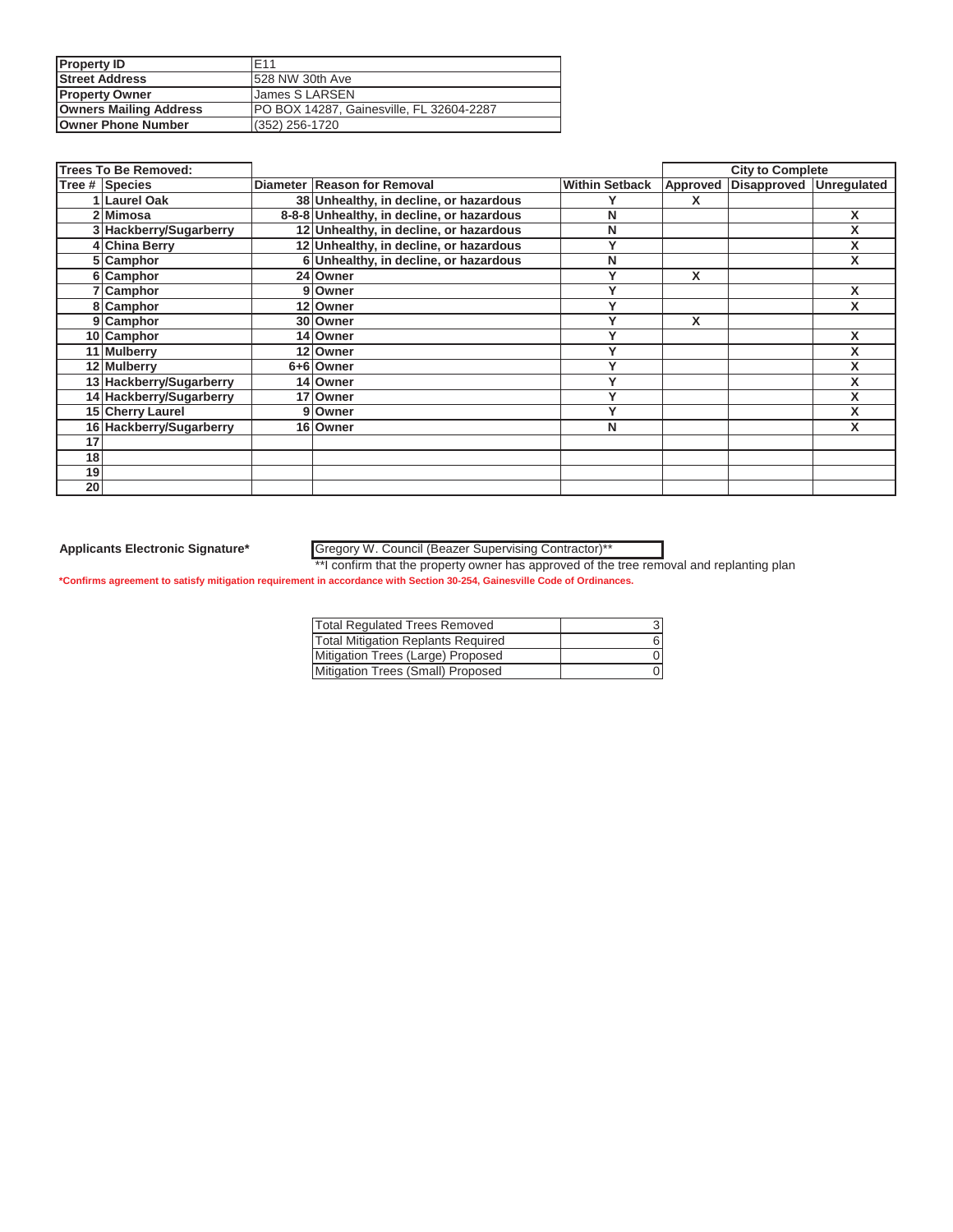| <b>Property ID</b>            | F <sub>11</sub>                                 |
|-------------------------------|-------------------------------------------------|
| <b>Street Address</b>         | 528 NW 30th Ave                                 |
| <b>Property Owner</b>         | <b>James S LARSEN</b>                           |
| <b>Owners Mailing Address</b> | <b>PO BOX 14287, Gainesville, FL 32604-2287</b> |
| <b>Owner Phone Number</b>     | $(352)$ 256-1720                                |

|    | <b>Trees To Be Removed:</b> |                                           |                       |          | <b>City to Complete</b> |   |
|----|-----------------------------|-------------------------------------------|-----------------------|----------|-------------------------|---|
|    | Tree # Species              | Diameter Reason for Removal               | <b>Within Setback</b> | Approved | Disapproved Unregulated |   |
|    | 1 Laurel Oak                | 38 Unhealthy, in decline, or hazardous    |                       |          |                         |   |
|    | 2 Mimosa                    | 8-8-8 Unhealthy, in decline, or hazardous | N                     |          |                         | X |
|    | 3 Hackberry/Sugarberry      | 12 Unhealthy, in decline, or hazardous    | N                     |          |                         | X |
|    | 4 China Berry               | 12 Unhealthy, in decline, or hazardous    |                       |          |                         |   |
|    | 5 Camphor                   | 6 Unhealthy, in decline, or hazardous     | N                     |          |                         | X |
|    | 6 Camphor                   | 24 Owner                                  |                       | X        |                         |   |
|    | Camphor                     | 9 Owner                                   |                       |          |                         | X |
|    | 8 Camphor                   | 12 Owner                                  |                       |          |                         | X |
|    | 9 Camphor                   | 30 Owner                                  |                       | X        |                         |   |
|    | 10 Camphor                  | 14 Owner                                  |                       |          |                         | X |
|    | 11 Mulberry                 | 12 Owner                                  | v                     |          |                         | x |
|    | 12 Mulberry                 | 6+6 Owner                                 |                       |          |                         | x |
|    | 13 Hackberry/Sugarberry     | 14 Owner                                  |                       |          |                         | X |
|    | 14 Hackberry/Sugarberry     | 17 Owner                                  | v                     |          |                         | x |
|    | 15 Cherry Laurel            | 9 Owner                                   |                       |          |                         |   |
|    | 16 Hackberry/Sugarberry     | 16 Owner                                  | N                     |          |                         | x |
| 17 |                             |                                           |                       |          |                         |   |
| 18 |                             |                                           |                       |          |                         |   |
| 19 |                             |                                           |                       |          |                         |   |
| 20 |                             |                                           |                       |          |                         |   |

**Applicants Electronic Signature\*** Gregory W. Council (Beazer Supervising Contractor)\*\*

\*\*I confirm that the property owner has approved of the tree removal and replanting plan

| <b>Total Regulated Trees Removed</b>      |  |
|-------------------------------------------|--|
| <b>Total Mitigation Replants Required</b> |  |
| Mitigation Trees (Large) Proposed         |  |
| Mitigation Trees (Small) Proposed         |  |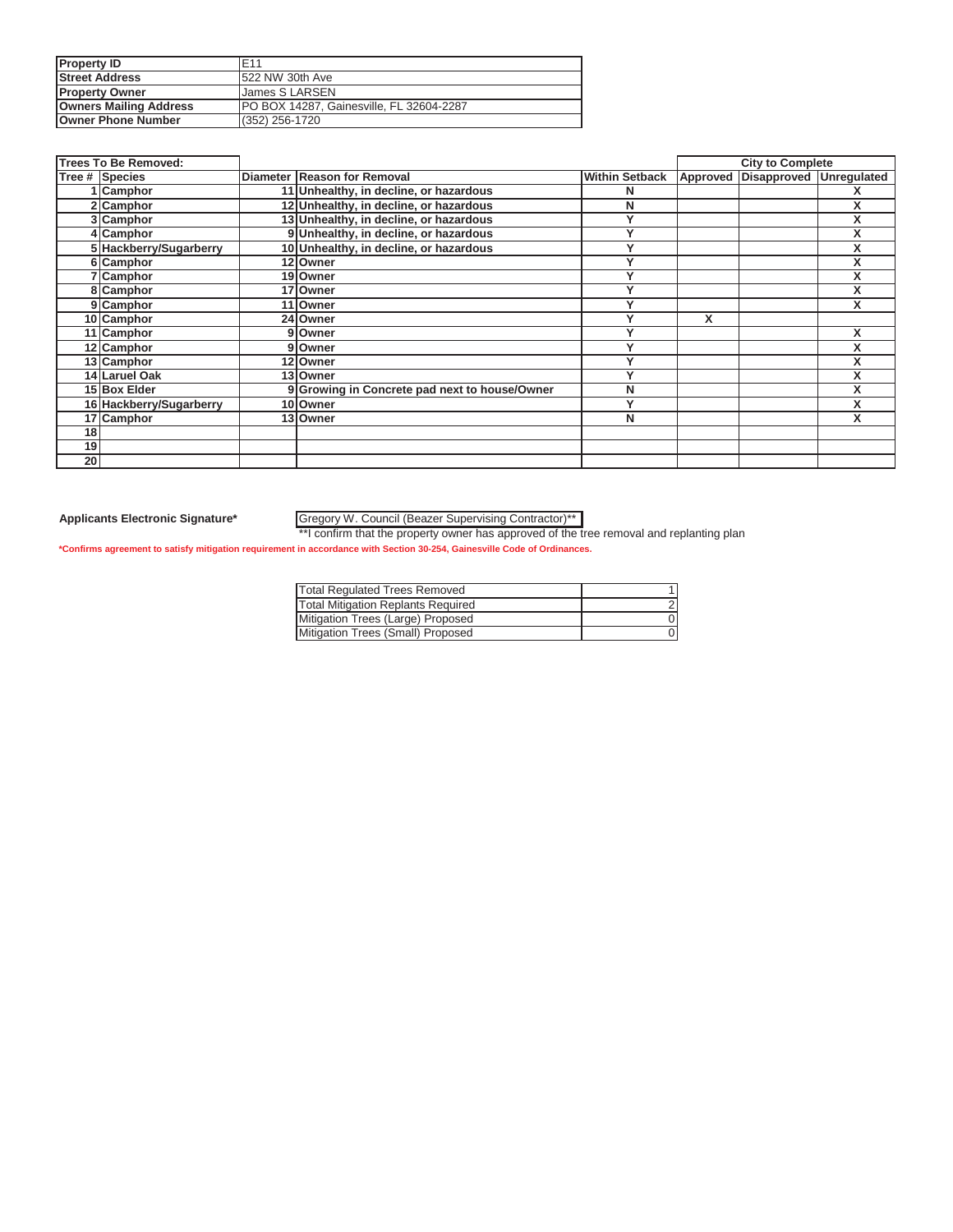| <b>Property ID</b>            | F <sub>11</sub>                          |
|-------------------------------|------------------------------------------|
| <b>Street Address</b>         | 522 NW 30th Ave                          |
| <b>Property Owner</b>         | James S LARSEN                           |
| <b>Owners Mailing Address</b> | PO BOX 14287, Gainesville, FL 32604-2287 |
| <b>Owner Phone Number</b>     | (352) 256-1720                           |

|    | <b>Trees To Be Removed:</b> |                                               |                       |          | <b>City to Complete</b> |   |
|----|-----------------------------|-----------------------------------------------|-----------------------|----------|-------------------------|---|
|    | Tree # Species              | Diameter Reason for Removal                   | <b>Within Setback</b> | Approved | Disapproved Unregulated |   |
|    | 1 Camphor                   | 11 Unhealthy, in decline, or hazardous        | N                     |          |                         |   |
|    | 2 Camphor                   | 12 Unhealthy, in decline, or hazardous        | N                     |          |                         |   |
|    | 3 Camphor                   | 13 Unhealthy, in decline, or hazardous        | v                     |          |                         |   |
|    | 4 Camphor                   | 9 Unhealthy, in decline, or hazardous         | v                     |          |                         |   |
|    | 5 Hackberry/Sugarberry      | 10 Unhealthy, in decline, or hazardous        |                       |          |                         |   |
|    | 6 Camphor                   | 12 Owner                                      |                       |          |                         |   |
|    | 7 Camphor                   | 19 Owner                                      | v                     |          |                         |   |
|    | 8 Camphor                   | 17 Owner                                      |                       |          |                         | x |
|    | 9 Camphor                   | 11 Owner                                      |                       |          |                         | X |
|    | 10 Camphor                  | 24 Owner                                      |                       | X        |                         |   |
|    | 11 Camphor                  | Owner                                         |                       |          |                         | х |
|    | 12 Camphor                  | Owner                                         |                       |          |                         |   |
|    | 13 Camphor                  | 12 Owner                                      |                       |          |                         |   |
|    | 14 Laruel Oak               | 13 Owner                                      | v                     |          |                         |   |
|    | 15 Box Elder                | 9 Growing in Concrete pad next to house/Owner | N                     |          |                         |   |
|    | 16 Hackberry/Sugarberry     | 10 Owner                                      |                       |          |                         |   |
|    | 17 Camphor                  | 13 Owner                                      | N                     |          |                         | x |
| 18 |                             |                                               |                       |          |                         |   |
| 19 |                             |                                               |                       |          |                         |   |
| 20 |                             |                                               |                       |          |                         |   |

### Gregory W. Council (Beazer Supervising Contractor)\*\*

\*\*I confirm that the property owner has approved of the tree removal and replanting plan **\*Confirms agreement to satisfy mitigation requirement in accordance with Section 30-254, Gainesville Code of Ordinances.**

| <b>Total Regulated Trees Removed</b>      |  |
|-------------------------------------------|--|
| <b>Total Mitigation Replants Required</b> |  |
| Mitigation Trees (Large) Proposed         |  |
| Mitigation Trees (Small) Proposed         |  |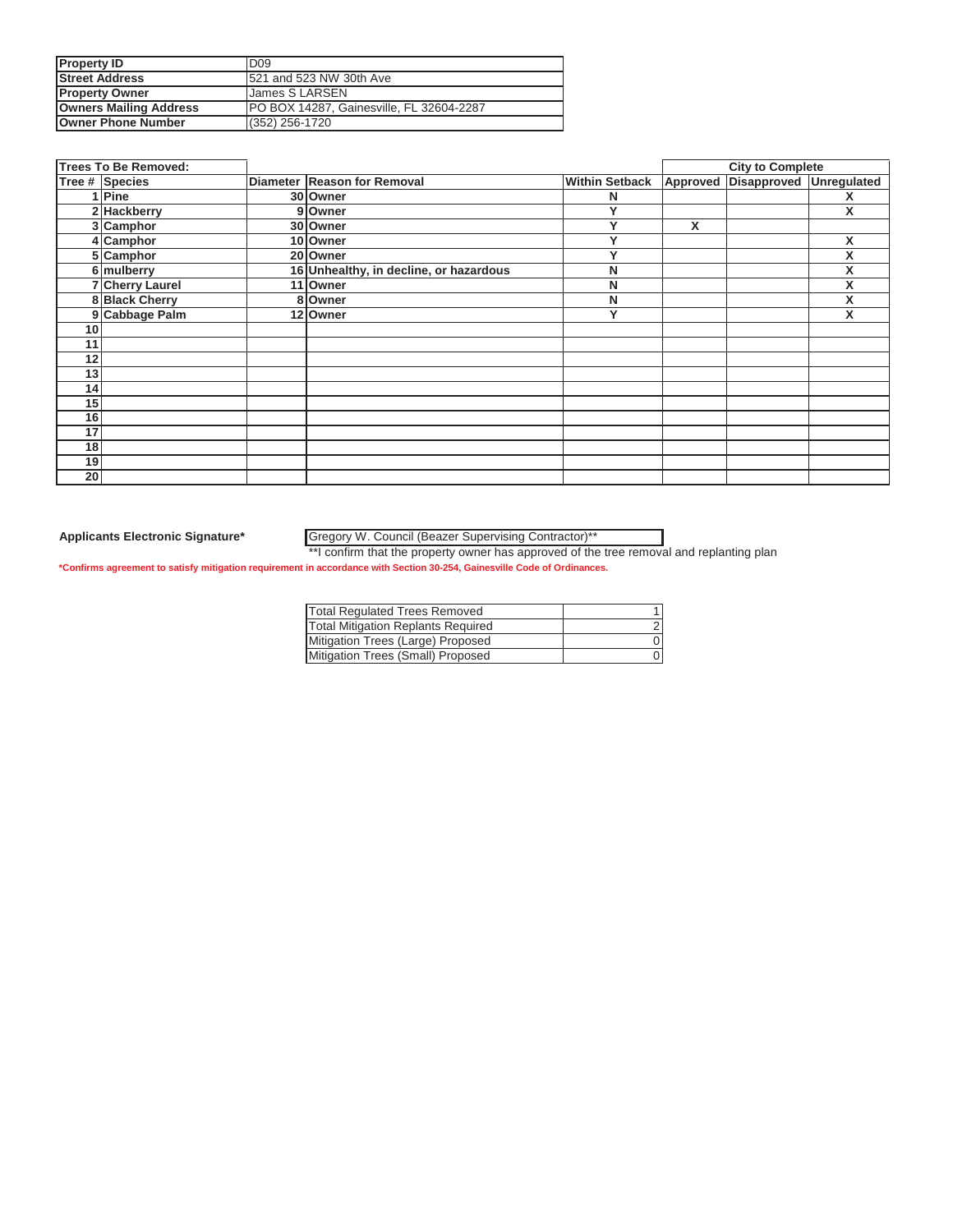| <b>Property ID</b>            | D <sub>09</sub>                          |
|-------------------------------|------------------------------------------|
| <b>Street Address</b>         | 521 and 523 NW 30th Ave                  |
| <b>Property Owner</b>         | James S LARSEN                           |
| <b>Owners Mailing Address</b> | PO BOX 14287, Gainesville, FL 32604-2287 |
| <b>Owner Phone Number</b>     | (352) 256-1720                           |

|    | <b>Trees To Be Removed:</b> |                                        |                       |                 | <b>City to Complete</b>        |   |
|----|-----------------------------|----------------------------------------|-----------------------|-----------------|--------------------------------|---|
|    | Tree # Species              | Diameter Reason for Removal            | <b>Within Setback</b> | <b>Approved</b> | <b>Disapproved Unregulated</b> |   |
|    | 1 Pine                      | 30 Owner                               | N                     |                 |                                | x |
|    | 2 Hackberry                 | 9 Owner                                | v                     |                 |                                | X |
|    | 3 Camphor                   | 30 Owner                               | Y                     | x               |                                |   |
|    | 4 Camphor                   | 10 Owner                               | $\checkmark$          |                 |                                | X |
|    | 5 Camphor                   | 20 Owner                               | v                     |                 |                                | Χ |
|    | 6 mulberry                  | 16 Unhealthy, in decline, or hazardous | N                     |                 |                                | X |
|    | <b>7 Cherry Laurel</b>      | 11 Owner                               | N                     |                 |                                | X |
|    | 8 Black Cherry              | 8 Owner                                | N                     |                 |                                | Χ |
|    | 9 Cabbage Palm              | 12 Owner                               | Y                     |                 |                                | Χ |
| 10 |                             |                                        |                       |                 |                                |   |
| 11 |                             |                                        |                       |                 |                                |   |
| 12 |                             |                                        |                       |                 |                                |   |
| 13 |                             |                                        |                       |                 |                                |   |
| 14 |                             |                                        |                       |                 |                                |   |
| 15 |                             |                                        |                       |                 |                                |   |
| 16 |                             |                                        |                       |                 |                                |   |
| 17 |                             |                                        |                       |                 |                                |   |
| 18 |                             |                                        |                       |                 |                                |   |
| 19 |                             |                                        |                       |                 |                                |   |
| 20 |                             |                                        |                       |                 |                                |   |

Gregory W. Council (Beazer Supervising Contractor)\*\*

\*\*I confirm that the property owner has approved of the tree removal and replanting plan

| Total Regulated Trees Removed             |  |
|-------------------------------------------|--|
| <b>Total Mitigation Replants Required</b> |  |
| Mitigation Trees (Large) Proposed         |  |
| Mitigation Trees (Small) Proposed         |  |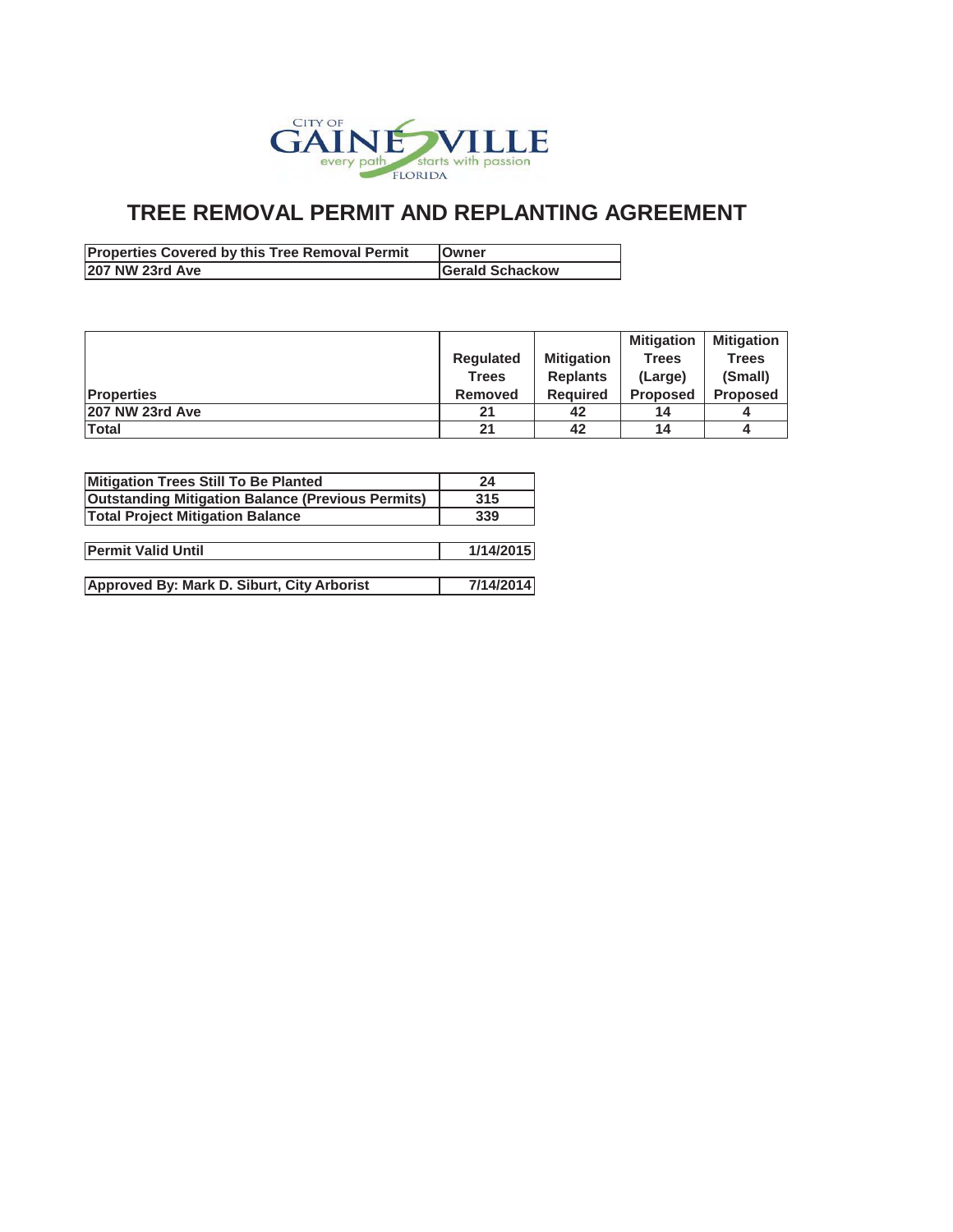

| <b>Properties Covered by this Tree Removal Permit</b> | <b>IOwner</b>          |
|-------------------------------------------------------|------------------------|
| 207 NW 23rd Ave                                       | <b>Gerald Schackow</b> |

|                   |                  |                   | <b>Mitigation</b> | <b>Mitigation</b> |
|-------------------|------------------|-------------------|-------------------|-------------------|
|                   | <b>Regulated</b> | <b>Mitigation</b> | <b>Trees</b>      | <b>Trees</b>      |
|                   | Trees            | <b>Replants</b>   | (Large)           | (Small)           |
| <b>Properties</b> | Removed          | <b>Required</b>   | <b>Proposed</b>   | <b>Proposed</b>   |
| 207 NW 23rd Ave   | 21               | 42                | 14                |                   |
| Total             | 21               | 42                | 14                |                   |

| Mitigation Trees Still To Be Planted                     | 24        |
|----------------------------------------------------------|-----------|
| <b>Outstanding Mitigation Balance (Previous Permits)</b> | 315       |
| <b>Total Project Mitigation Balance</b>                  | 339       |
|                                                          |           |
| <b>Permit Valid Until</b>                                | 1/14/2015 |
|                                                          |           |
| Approved By: Mark D. Siburt, City Arborist               | 7/14/2014 |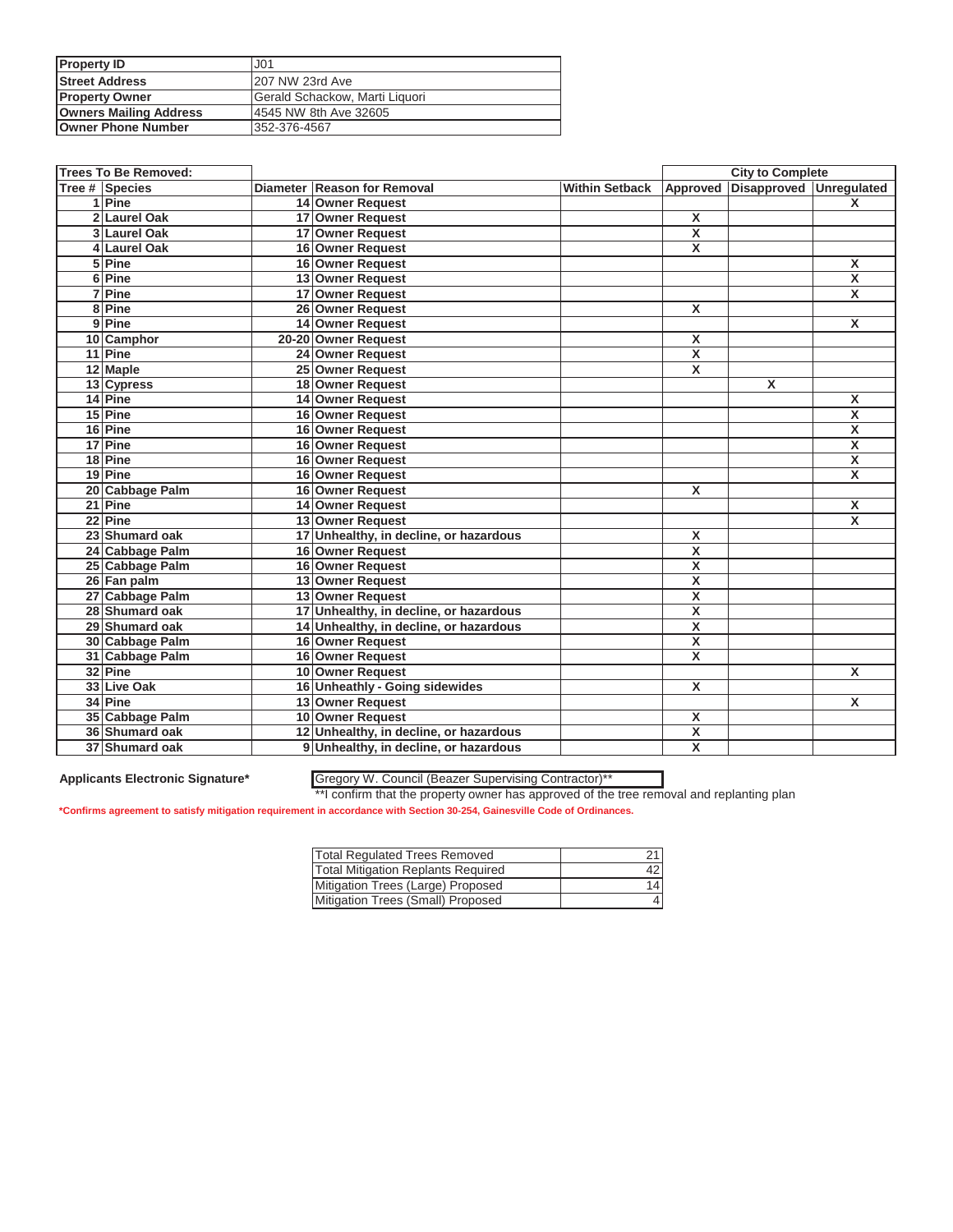| <b>Property ID</b>            | J <sub>01</sub>                |
|-------------------------------|--------------------------------|
| <b>Street Address</b>         | 207 NW 23rd Ave                |
| <b>Property Owner</b>         | Gerald Schackow, Marti Liquori |
| <b>Owners Mailing Address</b> | 4545 NW 8th Ave 32605          |
| <b>Owner Phone Number</b>     | 352-376-4567                   |

| <b>Trees To Be Removed:</b> |                                        |                           |                         | <b>City to Complete</b> |                         |
|-----------------------------|----------------------------------------|---------------------------|-------------------------|-------------------------|-------------------------|
| Tree # Species              | Diameter Reason for Removal            | Within Setback   Approved |                         | Disapproved Unregulated |                         |
| 1 Pine                      | 14 Owner Request                       |                           |                         |                         | $\mathsf{x}$            |
| 2 Laurel Oak                | 17 Owner Request                       |                           | $\overline{\mathbf{x}}$ |                         |                         |
| 3 Laurel Oak                | 17 Owner Request                       |                           | $\overline{\mathbf{X}}$ |                         |                         |
| 4 Laurel Oak                | 16 Owner Request                       |                           | $\overline{\mathbf{x}}$ |                         |                         |
| 5 Pine                      | 16 Owner Request                       |                           |                         |                         | X                       |
| 6 Pine                      | 13 Owner Request                       |                           |                         |                         | $\overline{\mathbf{x}}$ |
| 7 Pine                      | 17 Owner Request                       |                           |                         |                         | $\overline{\mathbf{x}}$ |
| 8 Pine                      | 26 Owner Request                       |                           | X                       |                         |                         |
| 9 Pine                      | 14 Owner Request                       |                           |                         |                         | X                       |
| 10 Camphor                  | 20-20 Owner Request                    |                           | X                       |                         |                         |
| 11 Pine                     | 24 Owner Request                       |                           | X                       |                         |                         |
| 12 Maple                    | 25 Owner Request                       |                           | X                       |                         |                         |
| 13 Cypress                  | 18 Owner Request                       |                           |                         | X                       |                         |
| 14 Pine                     | 14 Owner Request                       |                           |                         |                         | X                       |
| 15 Pine                     | 16 Owner Request                       |                           |                         |                         | $\overline{\mathsf{x}}$ |
| 16 Pine                     | 16 Owner Request                       |                           |                         |                         | $\overline{\mathbf{x}}$ |
| 17 Pine                     | 16 Owner Request                       |                           |                         |                         | $\overline{\mathbf{x}}$ |
| 18 Pine                     | 16 Owner Request                       |                           |                         |                         | $\overline{\mathbf{x}}$ |
| 19 Pine                     | 16 Owner Request                       |                           |                         |                         | X                       |
| 20 Cabbage Palm             | 16 Owner Request                       |                           | X                       |                         |                         |
| 21 Pine                     | 14 Owner Request                       |                           |                         |                         | X                       |
| 22 Pine                     | 13 Owner Request                       |                           |                         |                         | X                       |
| 23 Shumard oak              | 17 Unhealthy, in decline, or hazardous |                           | X                       |                         |                         |
| 24 Cabbage Palm             | 16 Owner Request                       |                           | X                       |                         |                         |
| 25 Cabbage Palm             | 16 Owner Request                       |                           | X                       |                         |                         |
| 26 Fan palm                 | 13 Owner Request                       |                           | $\overline{\mathsf{x}}$ |                         |                         |
| 27 Cabbage Palm             | 13 Owner Request                       |                           | X                       |                         |                         |
| 28 Shumard oak              | 17 Unhealthy, in decline, or hazardous |                           | $\overline{\mathbf{x}}$ |                         |                         |
| 29 Shumard oak              | 14 Unhealthy, in decline, or hazardous |                           | $\overline{\mathbf{x}}$ |                         |                         |
| 30 Cabbage Palm             | 16 Owner Request                       |                           | $\overline{\mathbf{x}}$ |                         |                         |
| 31 Cabbage Palm             | 16 Owner Request                       |                           | X                       |                         |                         |
| 32 Pine                     | 10 Owner Request                       |                           |                         |                         | X                       |
| 33 Live Oak                 | 16 Unheathly - Going sidewides         |                           | X                       |                         |                         |
| 34 Pine                     | 13 Owner Request                       |                           |                         |                         | X                       |
| 35 Cabbage Palm             | 10 Owner Request                       |                           | X                       |                         |                         |
| 36 Shumard oak              | 12 Unhealthy, in decline, or hazardous |                           | $\overline{\mathbf{X}}$ |                         |                         |
| 37 Shumard oak              | 9 Unhealthy, in decline, or hazardous  |                           | $\overline{\mathbf{x}}$ |                         |                         |

### **Applicants Electronic Signature\*** Gregory W. Council (Beazer Supervising Contractor)\*\*

\*\*I confirm that the property owner has approved of the tree removal and replanting plan

| <b>Total Regulated Trees Removed</b>      | 21 |
|-------------------------------------------|----|
| <b>Total Mitigation Replants Required</b> | 42 |
| Mitigation Trees (Large) Proposed         | 14 |
| Mitigation Trees (Small) Proposed         |    |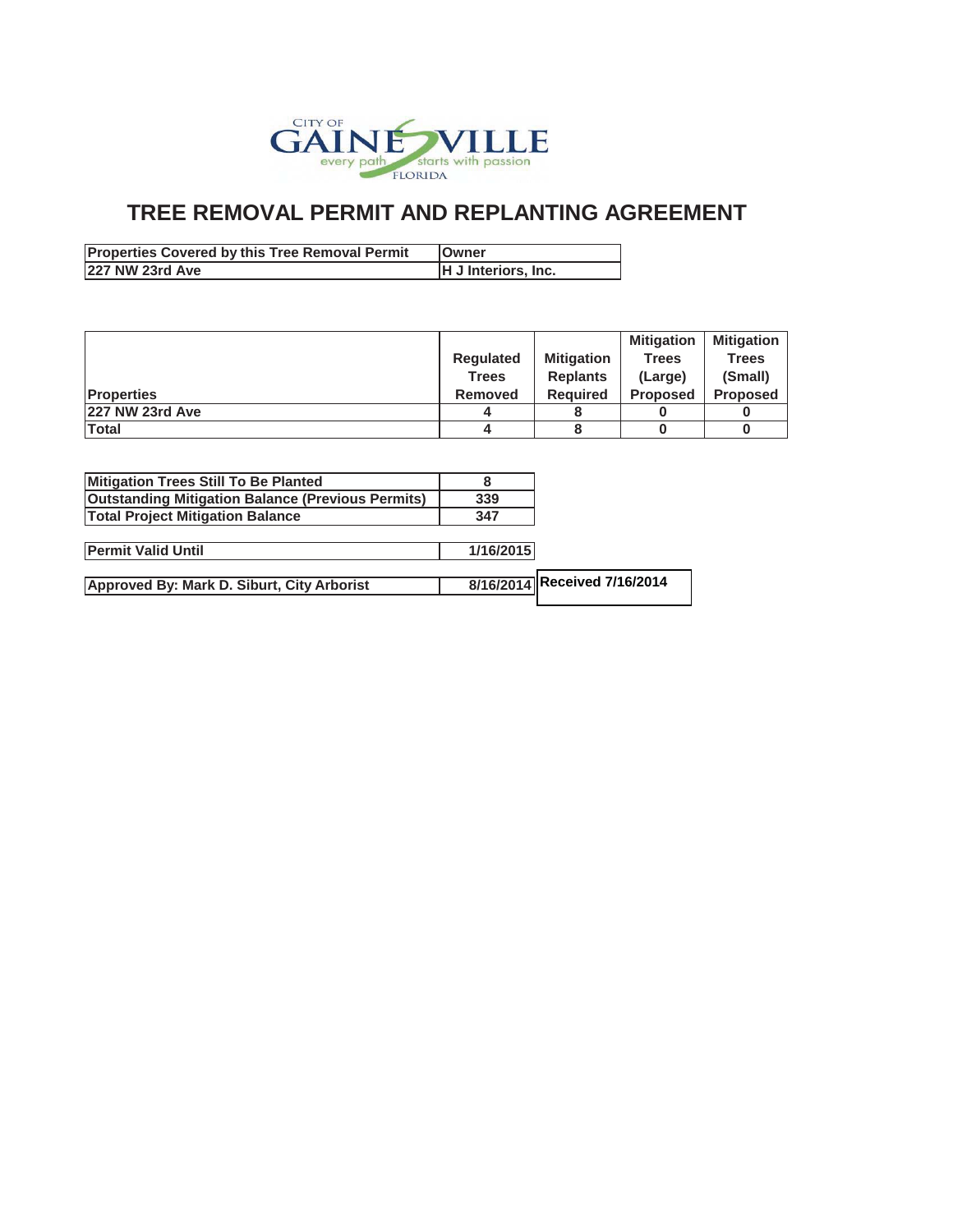

| <b>Properties Covered by this Tree Removal Permit</b> | <b>IOwner</b>       |
|-------------------------------------------------------|---------------------|
| 227 NW 23rd Ave                                       | H J Interiors, Inc. |

|                    |                  |                   | <b>Mitigation</b> | <b>Mitigation</b> |
|--------------------|------------------|-------------------|-------------------|-------------------|
|                    | <b>Requlated</b> | <b>Mitigation</b> | <b>Trees</b>      | <b>Trees</b>      |
|                    | Trees            | <b>Replants</b>   | (Large)           | (Small)           |
| <b>IProperties</b> | <b>Removed</b>   | <b>Required</b>   | <b>Proposed</b>   | <b>Proposed</b>   |
| 227 NW 23rd Ave    |                  |                   |                   |                   |
| Total              |                  |                   |                   |                   |

| Mitigation Trees Still To Be Planted                     |     |
|----------------------------------------------------------|-----|
| <b>Outstanding Mitigation Balance (Previous Permits)</b> | 339 |
| <b>Total Project Mitigation Balance</b>                  | 347 |

| <b>Permit Valid Until</b> | /16/2015 |
|---------------------------|----------|
|                           |          |

| Approved By: Mark D. Siburt, City Arborist | 8/16/2014 Received 7/16/2014 |
|--------------------------------------------|------------------------------|
|                                            |                              |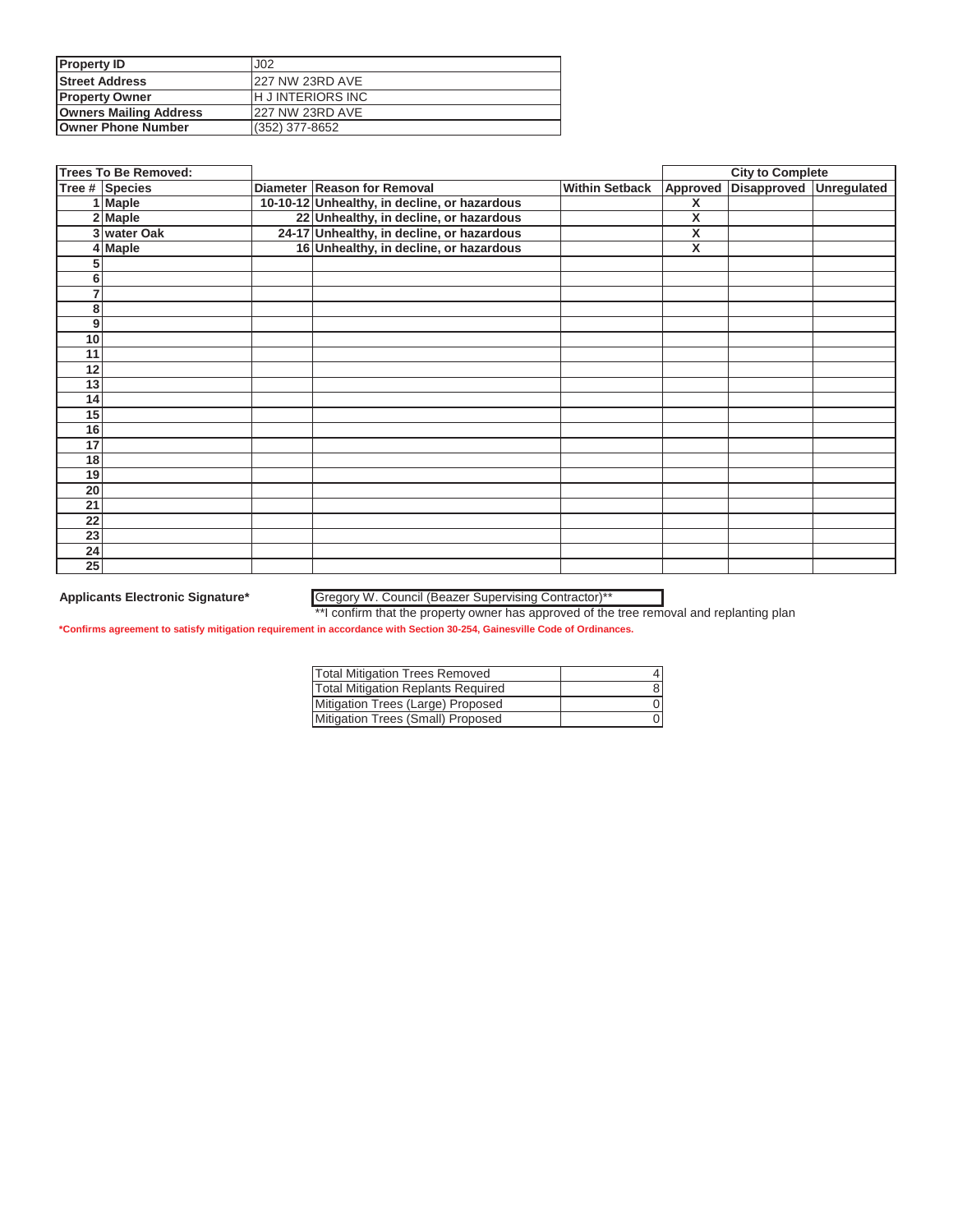| <b>Property ID</b>            | J <sub>02</sub>          |
|-------------------------------|--------------------------|
| <b>Street Address</b>         | <b>227 NW 23RD AVE</b>   |
| <b>Property Owner</b>         | <b>IH JINTERIORS INC</b> |
| <b>Owners Mailing Address</b> | <b>227 NW 23RD AVE</b>   |
| <b>Owner Phone Number</b>     | (352) 377-8652           |

|    | <b>Trees To Be Removed:</b> |                                              |                       |          | <b>City to Complete</b> |                    |
|----|-----------------------------|----------------------------------------------|-----------------------|----------|-------------------------|--------------------|
|    | Tree # Species              | Diameter Reason for Removal                  | <b>Within Setback</b> | Approved | Disapproved             | <b>Unregulated</b> |
|    | 1 Maple                     | 10-10-12 Unhealthy, in decline, or hazardous |                       | X        |                         |                    |
|    | 2 Maple                     | 22 Unhealthy, in decline, or hazardous       |                       | X        |                         |                    |
|    | 3 water Oak                 | 24-17 Unhealthy, in decline, or hazardous    |                       | X        |                         |                    |
|    | 4 Maple                     | 16 Unhealthy, in decline, or hazardous       |                       | X        |                         |                    |
| 5  |                             |                                              |                       |          |                         |                    |
| 6  |                             |                                              |                       |          |                         |                    |
| 7  |                             |                                              |                       |          |                         |                    |
| 8  |                             |                                              |                       |          |                         |                    |
| 9  |                             |                                              |                       |          |                         |                    |
| 10 |                             |                                              |                       |          |                         |                    |
| 11 |                             |                                              |                       |          |                         |                    |
| 12 |                             |                                              |                       |          |                         |                    |
| 13 |                             |                                              |                       |          |                         |                    |
| 14 |                             |                                              |                       |          |                         |                    |
| 15 |                             |                                              |                       |          |                         |                    |
| 16 |                             |                                              |                       |          |                         |                    |
| 17 |                             |                                              |                       |          |                         |                    |
| 18 |                             |                                              |                       |          |                         |                    |
| 19 |                             |                                              |                       |          |                         |                    |
| 20 |                             |                                              |                       |          |                         |                    |
| 21 |                             |                                              |                       |          |                         |                    |
| 22 |                             |                                              |                       |          |                         |                    |
| 23 |                             |                                              |                       |          |                         |                    |
| 24 |                             |                                              |                       |          |                         |                    |
| 25 |                             |                                              |                       |          |                         |                    |

### **Applicants Electronic Signature\*** Gregory W. Council (Beazer Supervising Contractor)\*\*

\*\*I confirm that the property owner has approved of the tree removal and replanting plan

| <b>Total Mitigation Trees Removed</b>     |  |
|-------------------------------------------|--|
| <b>Total Mitigation Replants Required</b> |  |
| Mitigation Trees (Large) Proposed         |  |
| Mitigation Trees (Small) Proposed         |  |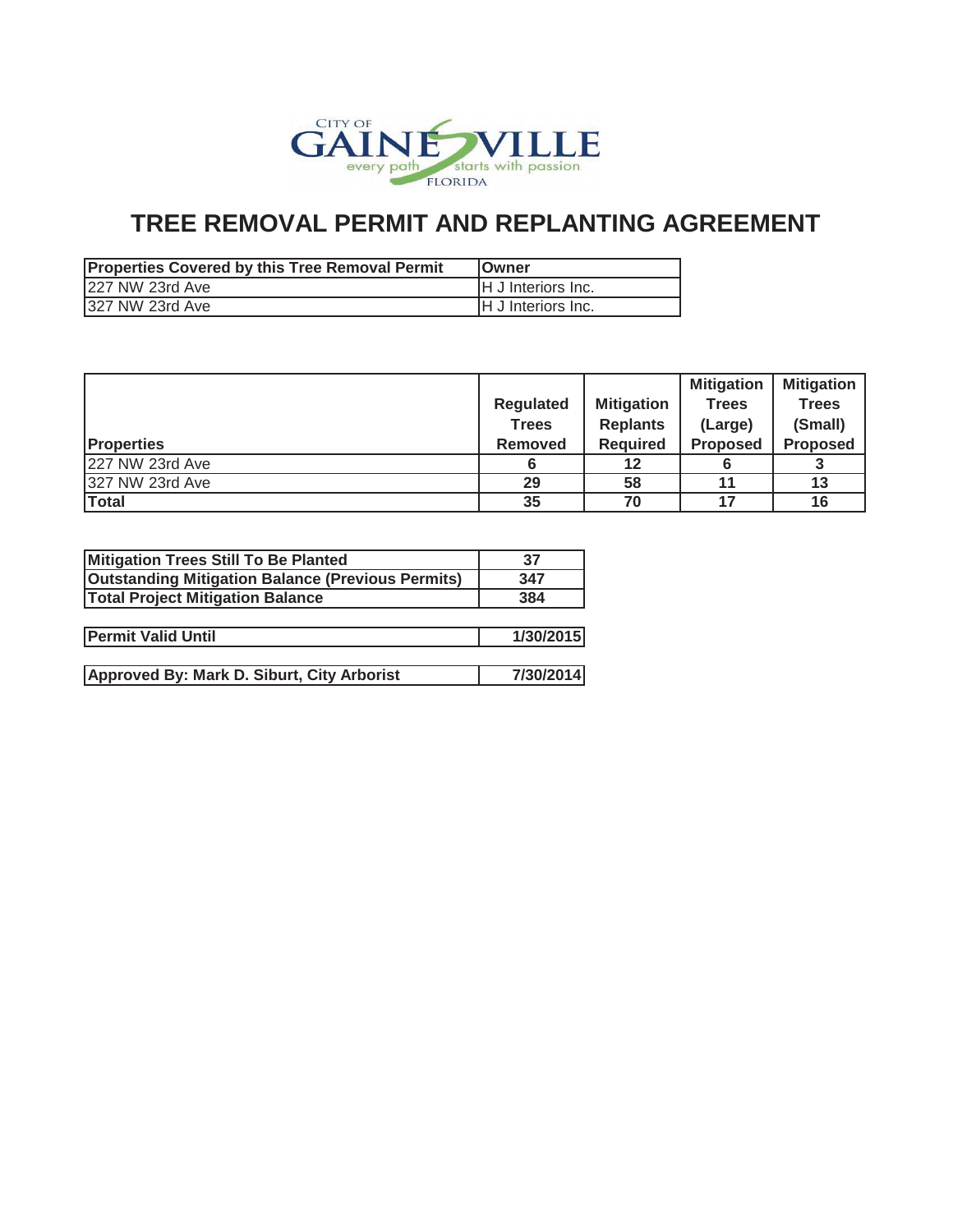

| <b>Properties Covered by this Tree Removal Permit</b> | <b>IOwner</b>              |
|-------------------------------------------------------|----------------------------|
| 227 NW 23rd Ave                                       | <b>IH J Interiors Inc.</b> |
| 327 NW 23rd Ave                                       | <b>IH J Interiors Inc.</b> |

|                   |                  |                   | <b>Mitigation</b> | <b>Mitigation</b> |
|-------------------|------------------|-------------------|-------------------|-------------------|
|                   | <b>Regulated</b> | <b>Mitigation</b> | <b>Trees</b>      | <b>Trees</b>      |
|                   | <b>Trees</b>     | <b>Replants</b>   | (Large)           | (Small)           |
| <b>Properties</b> | <b>Removed</b>   | <b>Required</b>   | <b>Proposed</b>   | <b>Proposed</b>   |
| 227 NW 23rd Ave   |                  | 12                |                   |                   |
| 327 NW 23rd Ave   | 29               | 58                | 11                | 13                |
| Total             | 35               | 70                | 17                | 16                |

| Mitigation Trees Still To Be Planted                     | 37        |
|----------------------------------------------------------|-----------|
| <b>Outstanding Mitigation Balance (Previous Permits)</b> | 347       |
| <b>Total Project Mitigation Balance</b>                  | 384       |
|                                                          |           |
| <b>Permit Valid Until</b>                                | 1/30/2015 |
|                                                          |           |
| Approved By: Mark D. Siburt, City Arborist               | 7/30/2014 |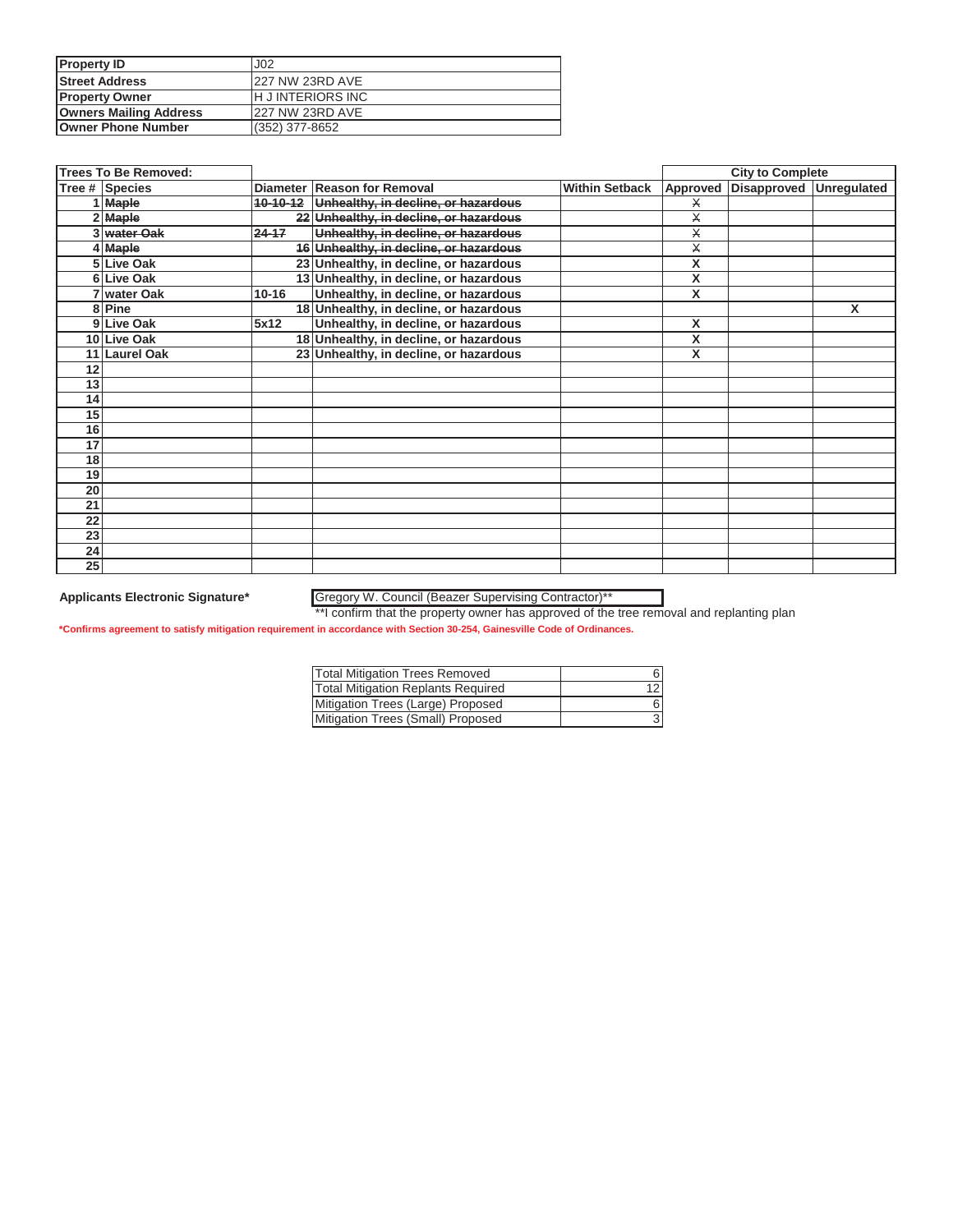| <b>Property ID</b>            | J <sub>02</sub>          |
|-------------------------------|--------------------------|
| <b>Street Address</b>         | <b>227 NW 23RD AVE</b>   |
| <b>Property Owner</b>         | <b>IH JINTERIORS INC</b> |
| <b>Owners Mailing Address</b> | 227 NW 23RD AVE          |
| <b>Owner Phone Number</b>     | (352) 377-8652           |

|    | <b>Trees To Be Removed:</b> |           |                                              |                       |                         | <b>City to Complete</b> |   |
|----|-----------------------------|-----------|----------------------------------------------|-----------------------|-------------------------|-------------------------|---|
|    | Tree # Species              |           | Diameter Reason for Removal                  | <b>Within Setback</b> | Approved                | Disapproved Unregulated |   |
|    | 1 Maple                     |           | 10-10-12 Unhealthy, in decline, or hazardous |                       | Х                       |                         |   |
|    | $2$ Maple                   |           | 22 Unhealthy, in decline, or hazardous       |                       | $\overline{\mathsf{x}}$ |                         |   |
|    | 3 water Oak                 | $24 - 17$ | Unhealthy, in decline, or hazardous          |                       | X                       |                         |   |
|    | 4 Maple                     |           | 16 Unhealthy, in decline, or hazardous       |                       | $\times$                |                         |   |
|    | 5 Live Oak                  |           | 23 Unhealthy, in decline, or hazardous       |                       | X                       |                         |   |
|    | 6 Live Oak                  |           | 13 Unhealthy, in decline, or hazardous       |                       | X                       |                         |   |
|    | 7 water Oak                 | $10 - 16$ | Unhealthy, in decline, or hazardous          |                       | X                       |                         |   |
|    | 8 Pine                      |           | 18 Unhealthy, in decline, or hazardous       |                       |                         |                         | X |
|    | 9 Live Oak                  | 5x12      | Unhealthy, in decline, or hazardous          |                       | X                       |                         |   |
|    | 10 Live Oak                 |           | 18 Unhealthy, in decline, or hazardous       |                       | X                       |                         |   |
| 11 | <b>Laurel Oak</b>           |           | 23 Unhealthy, in decline, or hazardous       |                       | X                       |                         |   |
| 12 |                             |           |                                              |                       |                         |                         |   |
| 13 |                             |           |                                              |                       |                         |                         |   |
| 14 |                             |           |                                              |                       |                         |                         |   |
| 15 |                             |           |                                              |                       |                         |                         |   |
| 16 |                             |           |                                              |                       |                         |                         |   |
| 17 |                             |           |                                              |                       |                         |                         |   |
| 18 |                             |           |                                              |                       |                         |                         |   |
| 19 |                             |           |                                              |                       |                         |                         |   |
| 20 |                             |           |                                              |                       |                         |                         |   |
| 21 |                             |           |                                              |                       |                         |                         |   |
| 22 |                             |           |                                              |                       |                         |                         |   |
| 23 |                             |           |                                              |                       |                         |                         |   |
| 24 |                             |           |                                              |                       |                         |                         |   |
| 25 |                             |           |                                              |                       |                         |                         |   |

### **Applicants Electronic Signature\*** Gregory W. Council (Beazer Supervising Contractor)\*\*

\*\*I confirm that the property owner has approved of the tree removal and replanting plan

| <b>Total Mitigation Trees Removed</b>     |   |
|-------------------------------------------|---|
| <b>Total Mitigation Replants Required</b> |   |
| Mitigation Trees (Large) Proposed         | 6 |
| Mitigation Trees (Small) Proposed         |   |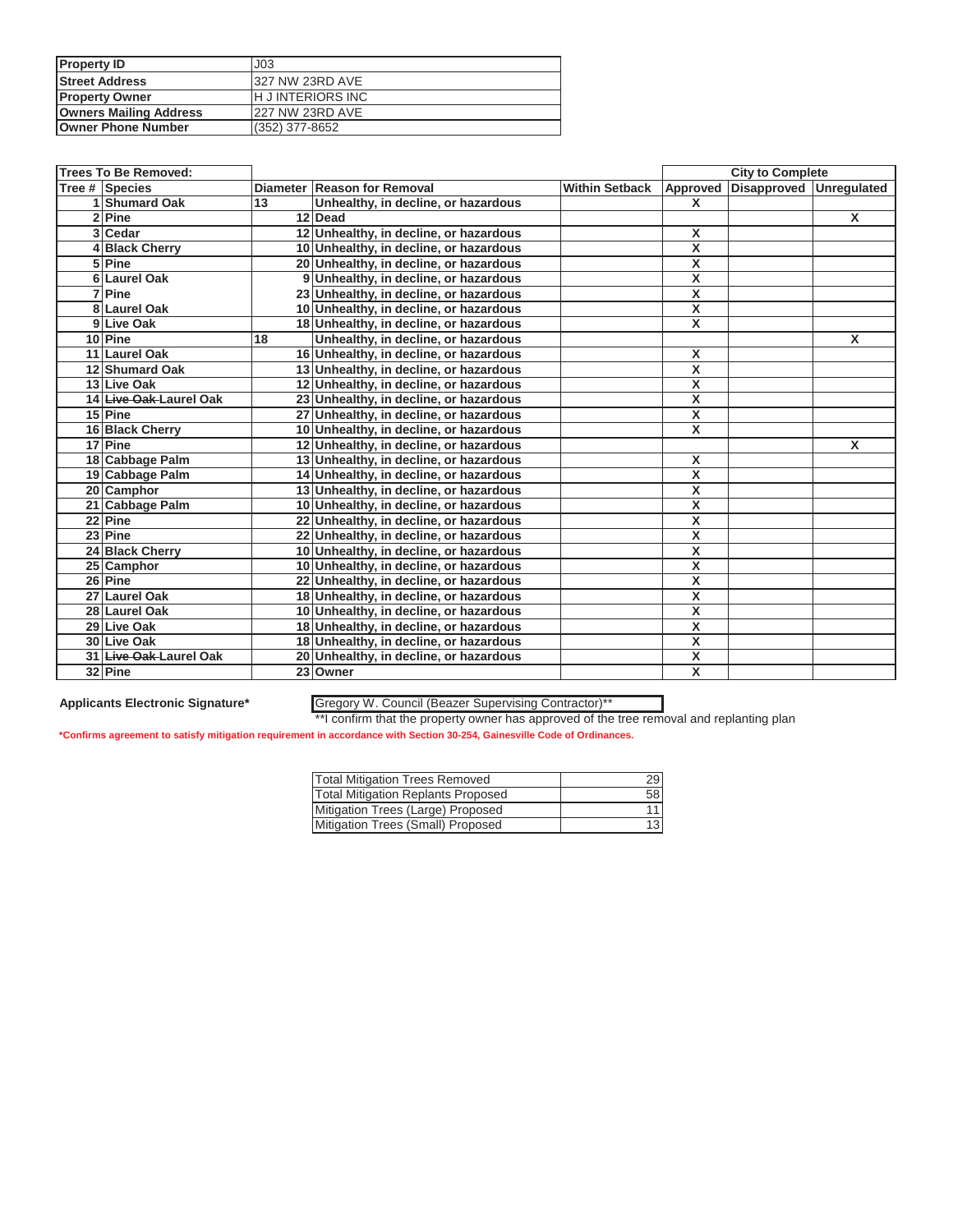| <b>Property ID</b>            | J <sub>03</sub>          |
|-------------------------------|--------------------------|
| <b>Street Address</b>         | 327 NW 23RD AVE          |
| <b>Property Owner</b>         | <b>IH JINTERIORS INC</b> |
| <b>Owners Mailing Address</b> | <b>227 NW 23RD AVE</b>   |
| <b>Owner Phone Number</b>     | (352) 377-8652           |

| <b>Trees To Be Removed:</b> |    |                                        |                       |                         | <b>City to Complete</b> |              |
|-----------------------------|----|----------------------------------------|-----------------------|-------------------------|-------------------------|--------------|
| Tree # Species              |    | Diameter Reason for Removal            | <b>Within Setback</b> | Approved                | Disapproved Unregulated |              |
| 1 Shumard Oak               | 13 | Unhealthy, in decline, or hazardous    |                       | X                       |                         |              |
| 2 Pine                      |    | 12 Dead                                |                       |                         |                         | $\mathsf{x}$ |
| 3 Cedar                     |    | 12 Unhealthy, in decline, or hazardous |                       | X                       |                         |              |
| 4 Black Cherry              |    | 10 Unhealthy, in decline, or hazardous |                       | $\overline{\mathbf{x}}$ |                         |              |
| 5 Pine                      |    | 20 Unhealthy, in decline, or hazardous |                       | X                       |                         |              |
| 6 Laurel Oak                |    | 9 Unhealthy, in decline, or hazardous  |                       | $\overline{\mathbf{x}}$ |                         |              |
| 7 Pine                      |    | 23 Unhealthy, in decline, or hazardous |                       | X                       |                         |              |
| 8 Laurel Oak                |    | 10 Unhealthy, in decline, or hazardous |                       | $\overline{\mathbf{x}}$ |                         |              |
| 9 Live Oak                  |    | 18 Unhealthy, in decline, or hazardous |                       | $\overline{\mathbf{x}}$ |                         |              |
| 10 Pine                     | 18 | Unhealthy, in decline, or hazardous    |                       |                         |                         | X            |
| 11 Laurel Oak               |    | 16 Unhealthy, in decline, or hazardous |                       | X                       |                         |              |
| 12 Shumard Oak              |    | 13 Unhealthy, in decline, or hazardous |                       | $\overline{\mathbf{x}}$ |                         |              |
| 13 Live Oak                 |    | 12 Unhealthy, in decline, or hazardous |                       | $\overline{\mathbf{x}}$ |                         |              |
| 14 Live Oak-Laurel Oak      |    | 23 Unhealthy, in decline, or hazardous |                       | $\pmb{\mathsf{X}}$      |                         |              |
| 15 Pine                     |    | 27 Unhealthy, in decline, or hazardous |                       | X                       |                         |              |
| 16 Black Cherry             |    | 10 Unhealthy, in decline, or hazardous |                       | $\overline{\mathbf{x}}$ |                         |              |
| 17 Pine                     |    | 12 Unhealthy, in decline, or hazardous |                       |                         |                         | X            |
| 18 Cabbage Palm             |    | 13 Unhealthy, in decline, or hazardous |                       | X                       |                         |              |
| 19 Cabbage Palm             |    | 14 Unhealthy, in decline, or hazardous |                       | $\overline{\mathbf{x}}$ |                         |              |
| 20 Camphor                  |    | 13 Unhealthy, in decline, or hazardous |                       | X                       |                         |              |
| 21 Cabbage Palm             |    | 10 Unhealthy, in decline, or hazardous |                       | X                       |                         |              |
| 22 Pine                     |    | 22 Unhealthy, in decline, or hazardous |                       | X                       |                         |              |
| 23 Pine                     |    | 22 Unhealthy, in decline, or hazardous |                       | X                       |                         |              |
| 24 Black Cherry             |    | 10 Unhealthy, in decline, or hazardous |                       | $\overline{\mathsf{x}}$ |                         |              |
| 25 Camphor                  |    | 10 Unhealthy, in decline, or hazardous |                       | X                       |                         |              |
| 26 Pine                     |    | 22 Unhealthy, in decline, or hazardous |                       | $\overline{\mathbf{x}}$ |                         |              |
| 27 Laurel Oak               |    | 18 Unhealthy, in decline, or hazardous |                       | X                       |                         |              |
| 28 Laurel Oak               |    | 10 Unhealthy, in decline, or hazardous |                       | $\pmb{\mathsf{X}}$      |                         |              |
| 29 Live Oak                 |    | 18 Unhealthy, in decline, or hazardous |                       | $\overline{\mathbf{x}}$ |                         |              |
| 30 Live Oak                 |    | 18 Unhealthy, in decline, or hazardous |                       | X                       |                         |              |
| 31 Live Oak Laurel Oak      |    | 20 Unhealthy, in decline, or hazardous |                       | X                       |                         |              |
| 32 Pine                     |    | 23 Owner                               |                       | $\overline{\mathbf{x}}$ |                         |              |

### **Applicants Electronic Signature\*** Gregory W. Council (Beazer Supervising Contractor)\*\*

\*\*I confirm that the property owner has approved of the tree removal and replanting plan

| <b>Total Mitigation Trees Removed</b>     | 29 |
|-------------------------------------------|----|
| <b>Total Mitigation Replants Proposed</b> | 58 |
| Mitigation Trees (Large) Proposed         |    |
| Mitigation Trees (Small) Proposed         | 13 |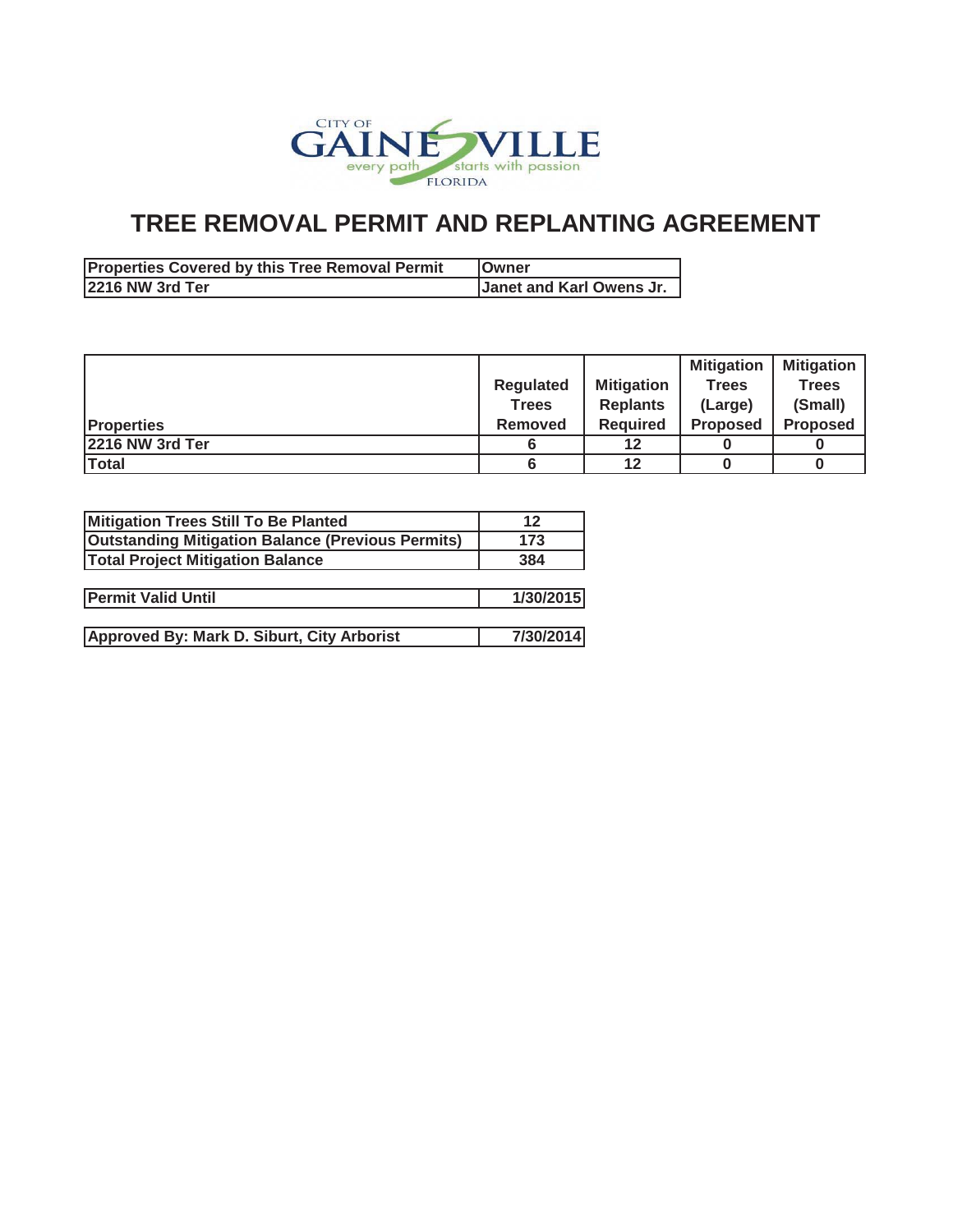

| <b>Properties Covered by this Tree Removal Permit</b> | <b>IOwner</b>            |
|-------------------------------------------------------|--------------------------|
| <b>2216 NW 3rd Ter</b>                                | Janet and Karl Owens Jr. |

|                   |                |                   | <b>Mitigation</b> | <b>Mitigation</b> |
|-------------------|----------------|-------------------|-------------------|-------------------|
|                   | Regulated      | <b>Mitigation</b> | <b>Trees</b>      | <b>Trees</b>      |
|                   | <b>Trees</b>   | <b>Replants</b>   | (Large)           | (Small)           |
| <b>Properties</b> | <b>Removed</b> | <b>Required</b>   | <b>Proposed</b>   | <b>Proposed</b>   |
| 2216 NW 3rd Ter   |                | 12                |                   |                   |
| <b>Total</b>      |                | 12                |                   |                   |

| Mitigation Trees Still To Be Planted                     | 12        |
|----------------------------------------------------------|-----------|
| <b>Outstanding Mitigation Balance (Previous Permits)</b> | 173       |
| <b>Total Project Mitigation Balance</b>                  | 384       |
|                                                          |           |
| <b>Permit Valid Until</b>                                | 1/30/2015 |
|                                                          |           |
| Approved By: Mark D. Siburt, City Arborist               | 7/30/2014 |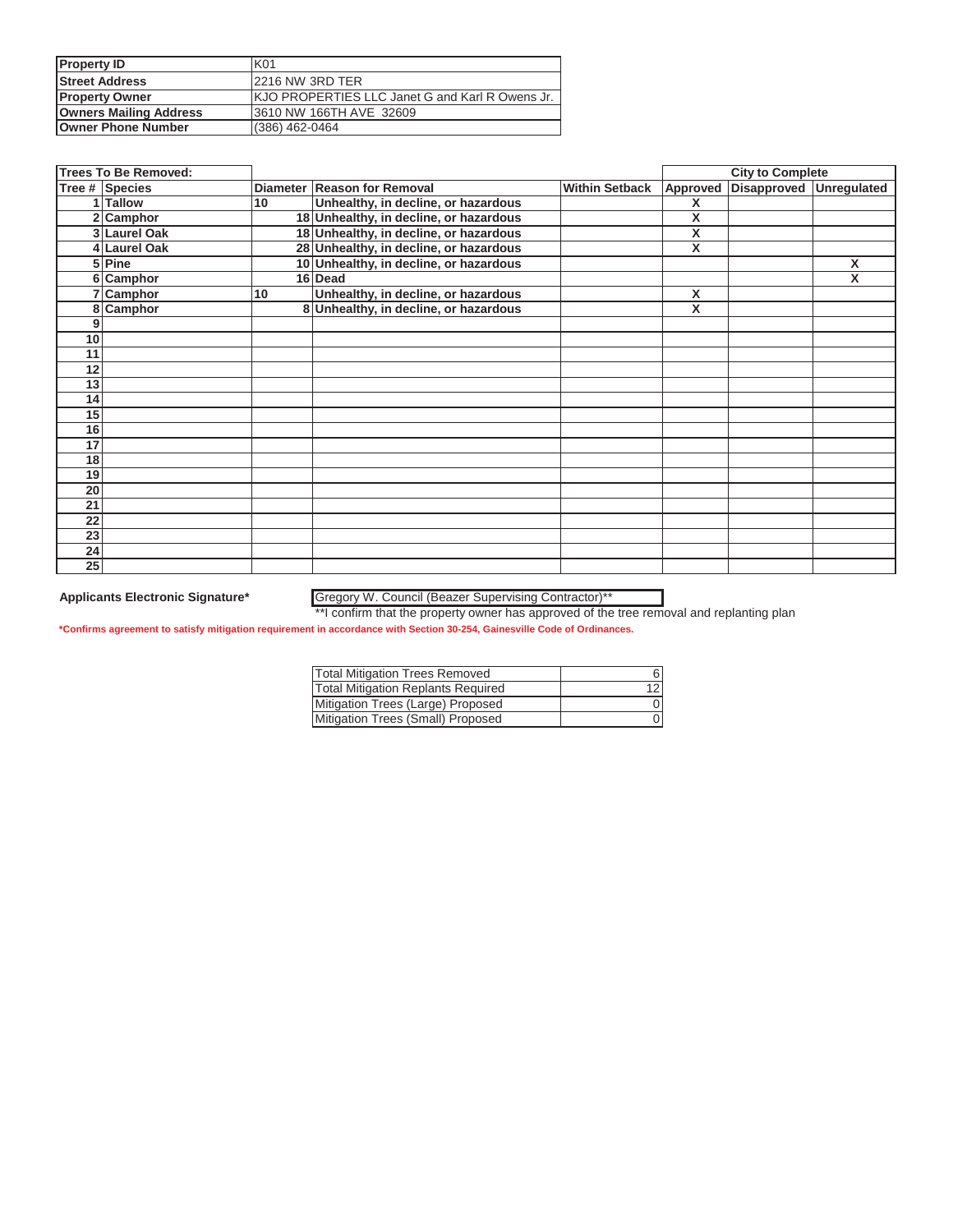| <b>Property ID</b>            | K01                                              |
|-------------------------------|--------------------------------------------------|
| <b>Street Address</b>         | 2216 NW 3RD TER                                  |
| <b>Property Owner</b>         | IKJO PROPERTIES LLC Janet G and Karl R Owens Jr. |
| <b>Owners Mailing Address</b> | 3610 NW 166TH AVE 32609                          |
| <b>Owner Phone Number</b>     | (386) 462-0464                                   |

|                 | <b>Trees To Be Removed:</b> |    |                                        |                       |          | <b>City to Complete</b> |                    |
|-----------------|-----------------------------|----|----------------------------------------|-----------------------|----------|-------------------------|--------------------|
|                 | Tree # Species              |    | Diameter Reason for Removal            | <b>Within Setback</b> | Approved | Disapproved             | <b>Unregulated</b> |
|                 | 1 Tallow                    | 10 | Unhealthy, in decline, or hazardous    |                       | X        |                         |                    |
|                 | 2 Camphor                   |    | 18 Unhealthy, in decline, or hazardous |                       | X        |                         |                    |
|                 | 3 Laurel Oak                |    | 18 Unhealthy, in decline, or hazardous |                       | X        |                         |                    |
|                 | 4 Laurel Oak                |    | 28 Unhealthy, in decline, or hazardous |                       | X        |                         |                    |
|                 | 5 Pine                      |    | 10 Unhealthy, in decline, or hazardous |                       |          |                         | X                  |
|                 | 6 Camphor                   |    | 16 Dead                                |                       |          |                         | X                  |
| 7               | Camphor                     | 10 | Unhealthy, in decline, or hazardous    |                       | X        |                         |                    |
| 8               | Camphor                     |    | 8 Unhealthy, in decline, or hazardous  |                       | X        |                         |                    |
| 9               |                             |    |                                        |                       |          |                         |                    |
| 10              |                             |    |                                        |                       |          |                         |                    |
| 11              |                             |    |                                        |                       |          |                         |                    |
| 12              |                             |    |                                        |                       |          |                         |                    |
| 13              |                             |    |                                        |                       |          |                         |                    |
| 14              |                             |    |                                        |                       |          |                         |                    |
| 15              |                             |    |                                        |                       |          |                         |                    |
| 16              |                             |    |                                        |                       |          |                         |                    |
| 17              |                             |    |                                        |                       |          |                         |                    |
| 18              |                             |    |                                        |                       |          |                         |                    |
| 19              |                             |    |                                        |                       |          |                         |                    |
| 20              |                             |    |                                        |                       |          |                         |                    |
| 21              |                             |    |                                        |                       |          |                         |                    |
| 22              |                             |    |                                        |                       |          |                         |                    |
| 23              |                             |    |                                        |                       |          |                         |                    |
| 24              |                             |    |                                        |                       |          |                         |                    |
| $\overline{25}$ |                             |    |                                        |                       |          |                         |                    |

### **Applicants Electronic Signature\*** Gregory W. Council (Beazer Supervising Contractor)\*\*

\*\*I confirm that the property owner has approved of the tree removal and replanting plan

| <b>Total Mitigation Trees Removed</b>     |  |
|-------------------------------------------|--|
| <b>Total Mitigation Replants Required</b> |  |
| Mitigation Trees (Large) Proposed         |  |
| Mitigation Trees (Small) Proposed         |  |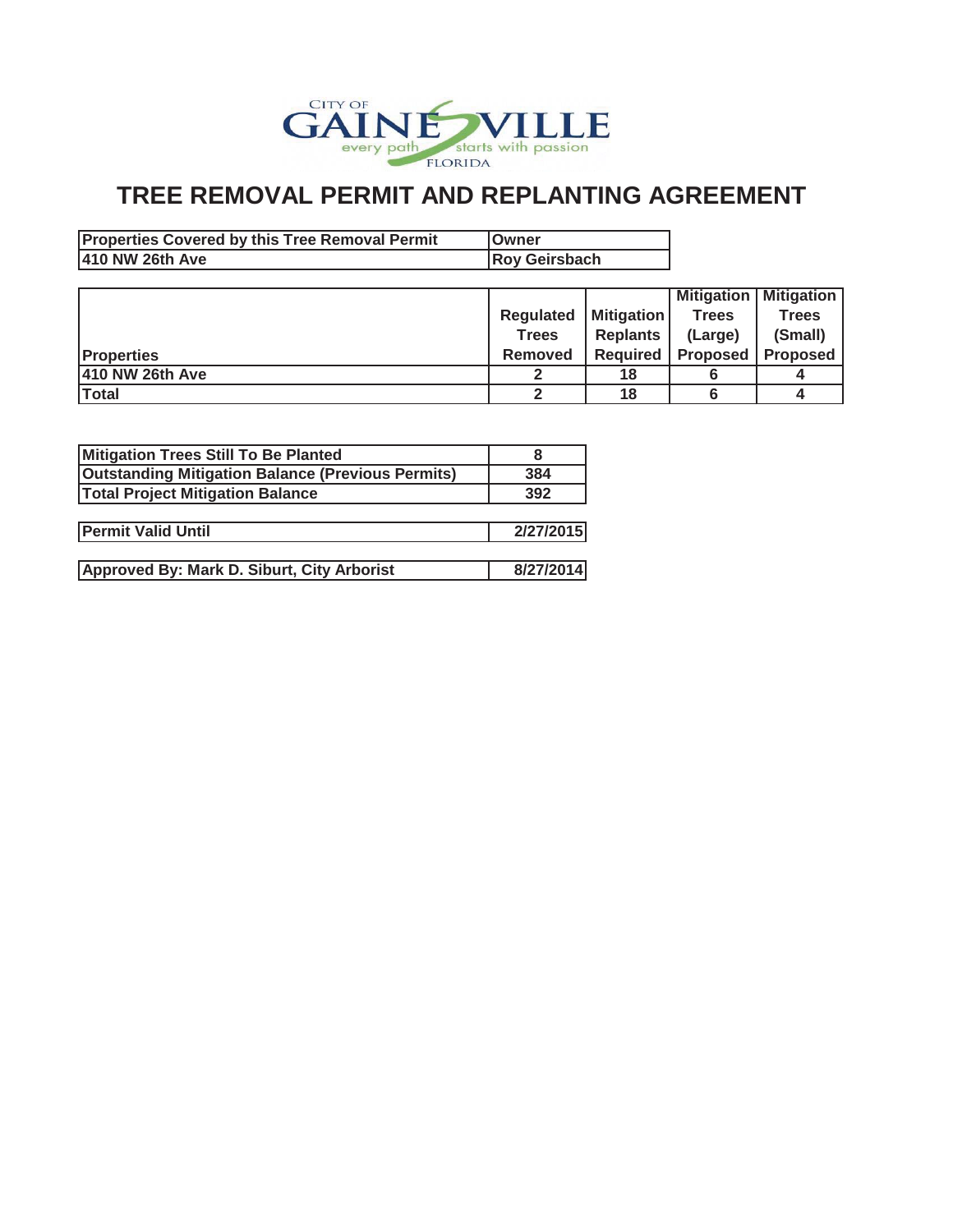

| <b>Properties Covered by this Tree Removal Permit</b> | <b>IOwner</b>        |
|-------------------------------------------------------|----------------------|
| 410 NW 26th Ave                                       | <b>Roy Geirsbach</b> |

|                   |                  |                 |                            | <b>Mitigation   Mitigation  </b> |
|-------------------|------------------|-----------------|----------------------------|----------------------------------|
|                   | <b>Regulated</b> | Mitigation      | <b>Trees</b>               | <b>Trees</b>                     |
|                   | <b>Trees</b>     | <b>Replants</b> | (Large)                    | (Small)                          |
| <b>Properties</b> | <b>Removed</b>   | <b>Required</b> | <b>Proposed   Proposed</b> |                                  |
| 410 NW 26th Ave   |                  | 18              |                            |                                  |
| <b>Total</b>      | ົ                | 18              |                            |                                  |

| 8         |
|-----------|
| 384       |
| 392       |
|           |
| 2/27/2015 |
|           |
| 8/27/2014 |
|           |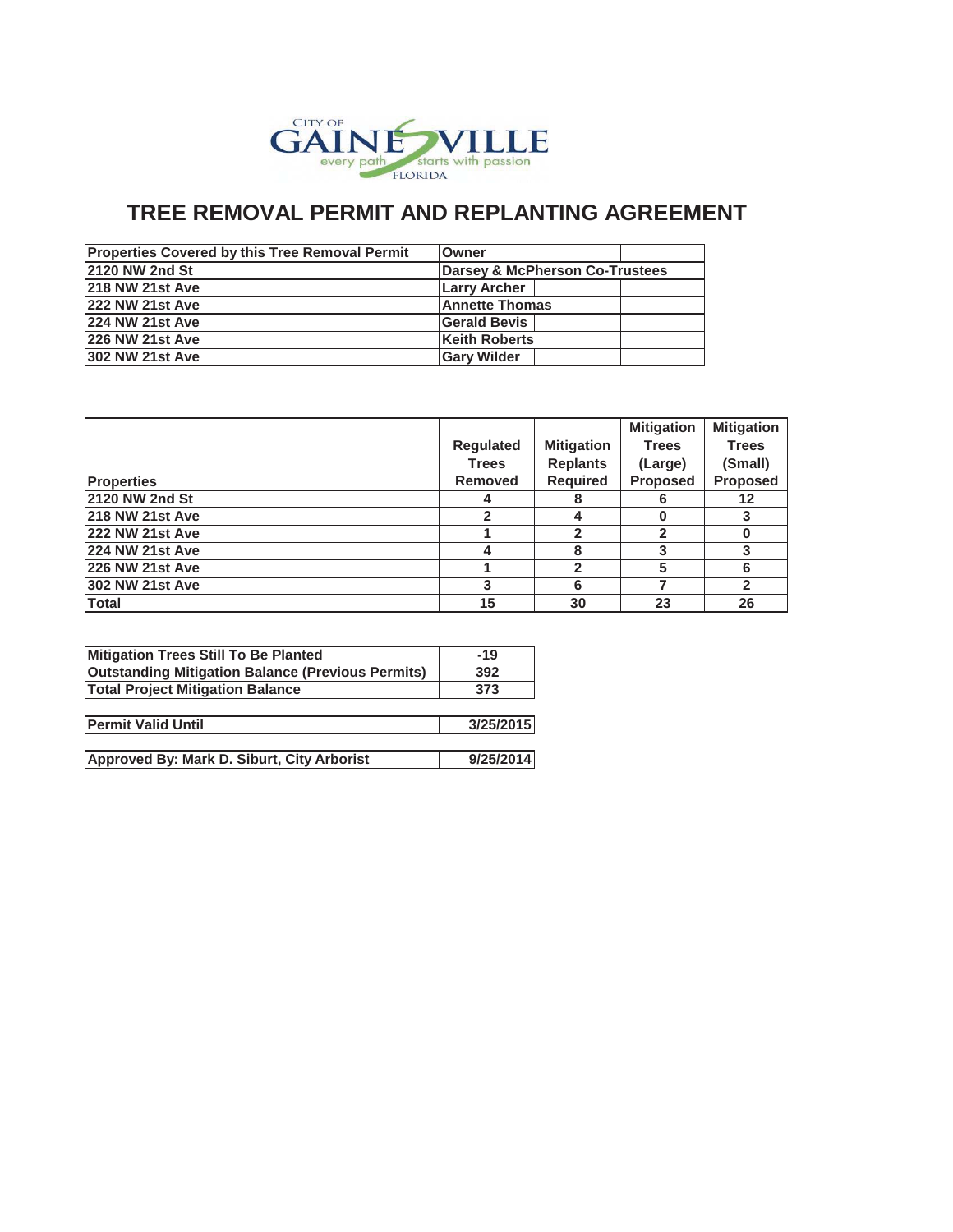

| <b>Properties Covered by this Tree Removal Permit</b> | Owner                                     |
|-------------------------------------------------------|-------------------------------------------|
| <b>2120 NW 2nd St</b>                                 | <b>Darsey &amp; McPherson Co-Trustees</b> |
| <b>218 NW 21st Ave</b>                                | <b>Larry Archer</b>                       |
| <b>222 NW 21st Ave</b>                                | <b>Annette Thomas</b>                     |
| <b>224 NW 21st Ave</b>                                | <b>Gerald Bevis</b>                       |
| <b>226 NW 21st Ave</b>                                | <b>Keith Roberts</b>                      |
| <b>302 NW 21st Ave</b>                                | <b>Gary Wilder</b>                        |

|                        |              |                   | <b>Mitigation</b> | <b>Mitigation</b> |
|------------------------|--------------|-------------------|-------------------|-------------------|
|                        | Regulated    | <b>Mitigation</b> | <b>Trees</b>      | <b>Trees</b>      |
|                        | <b>Trees</b> | <b>Replants</b>   | (Large)           | (Small)           |
| <b>Properties</b>      | Removed      | <b>Required</b>   | <b>Proposed</b>   | Proposed          |
| 2120 NW 2nd St         |              |                   |                   | 12                |
| <b>218 NW 21st Ave</b> |              |                   |                   |                   |
| <b>222 NW 21st Ave</b> |              | 2                 | $\mathbf{c}$      |                   |
| 224 NW 21st Ave        |              | 8                 |                   |                   |
| <b>226 NW 21st Ave</b> |              | 2                 | 5                 | ิค                |
| 302 NW 21st Ave        |              | 6                 |                   | 2                 |
| <b>Total</b>           | 15           | 30                | 23                | 26                |

| Mitigation Trees Still To Be Planted                     | $-19$     |
|----------------------------------------------------------|-----------|
| <b>Outstanding Mitigation Balance (Previous Permits)</b> | 392       |
| <b>Total Project Mitigation Balance</b>                  | 373       |
|                                                          |           |
| <b>Permit Valid Until</b>                                | 3/25/2015 |
|                                                          |           |
| Approved By: Mark D. Siburt, City Arborist               | 9/25/2014 |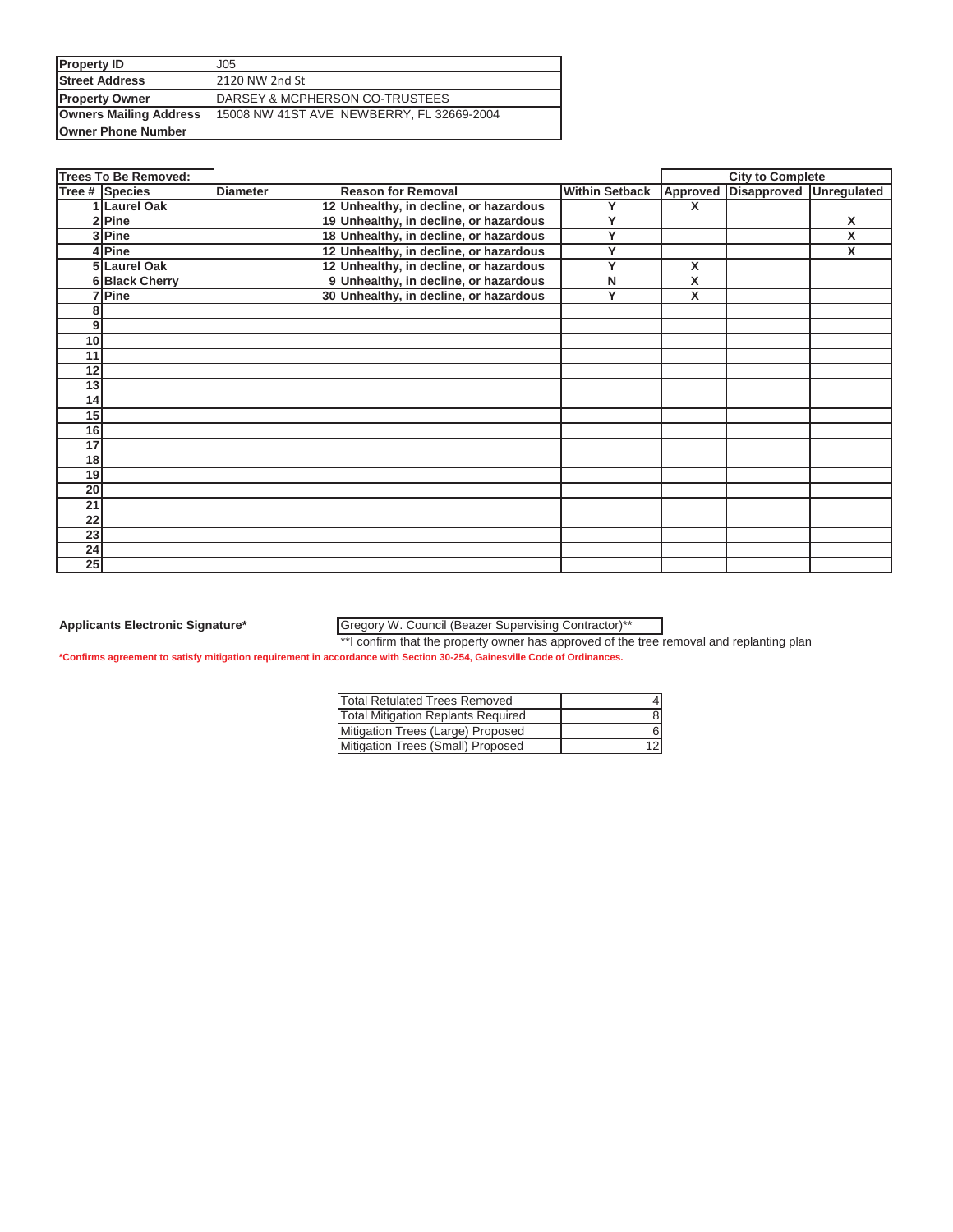| <b>Property ID</b>            | J05                                        |                                           |  |
|-------------------------------|--------------------------------------------|-------------------------------------------|--|
| <b>Street Address</b>         | 2120 NW 2nd St                             |                                           |  |
| <b>Property Owner</b>         | <b>IDARSEY &amp; MCPHERSON CO-TRUSTEES</b> |                                           |  |
| <b>Owners Mailing Address</b> |                                            | 15008 NW 41ST AVE NEWBERRY, FL 32669-2004 |  |
| <b>Owner Phone Number</b>     |                                            |                                           |  |

|                 | <b>Trees To Be Removed:</b> |                 |                                        |                       |   | <b>City to Complete</b>          |   |
|-----------------|-----------------------------|-----------------|----------------------------------------|-----------------------|---|----------------------------------|---|
|                 | Tree # Species              | <b>Diameter</b> | <b>Reason for Removal</b>              | <b>Within Setback</b> |   | Approved Disapproved Unregulated |   |
|                 | 1 Laurel Oak                |                 | 12 Unhealthy, in decline, or hazardous |                       | X |                                  |   |
|                 | 2 Pine                      |                 | 19 Unhealthy, in decline, or hazardous | Y                     |   |                                  | X |
|                 | 3 Pine                      |                 | 18 Unhealthy, in decline, or hazardous | Y                     |   |                                  | X |
|                 | 4 Pine                      |                 | 12 Unhealthy, in decline, or hazardous | Y                     |   |                                  | X |
|                 | 5 Laurel Oak                |                 | 12 Unhealthy, in decline, or hazardous | v                     | X |                                  |   |
|                 | 6 Black Cherry              |                 | 9 Unhealthy, in decline, or hazardous  | N                     | X |                                  |   |
|                 | 7 Pine                      |                 | 30 Unhealthy, in decline, or hazardous | Y                     | X |                                  |   |
|                 |                             |                 |                                        |                       |   |                                  |   |
| 9               |                             |                 |                                        |                       |   |                                  |   |
| 10              |                             |                 |                                        |                       |   |                                  |   |
| 11              |                             |                 |                                        |                       |   |                                  |   |
| 12              |                             |                 |                                        |                       |   |                                  |   |
| 13              |                             |                 |                                        |                       |   |                                  |   |
| 14              |                             |                 |                                        |                       |   |                                  |   |
| 15              |                             |                 |                                        |                       |   |                                  |   |
| 16              |                             |                 |                                        |                       |   |                                  |   |
| 17              |                             |                 |                                        |                       |   |                                  |   |
| 18              |                             |                 |                                        |                       |   |                                  |   |
| 19              |                             |                 |                                        |                       |   |                                  |   |
| 20              |                             |                 |                                        |                       |   |                                  |   |
| 21              |                             |                 |                                        |                       |   |                                  |   |
| 22              |                             |                 |                                        |                       |   |                                  |   |
| 23              |                             |                 |                                        |                       |   |                                  |   |
| 24              |                             |                 |                                        |                       |   |                                  |   |
| $\overline{25}$ |                             |                 |                                        |                       |   |                                  |   |

Gregory W. Council (Beazer Supervising Contractor)\*\*

\*\*I confirm that the property owner has approved of the tree removal and replanting plan

| <b>Total Retulated Trees Removed</b>      |  |
|-------------------------------------------|--|
| <b>Total Mitigation Replants Required</b> |  |
| Mitigation Trees (Large) Proposed         |  |
| Mitigation Trees (Small) Proposed         |  |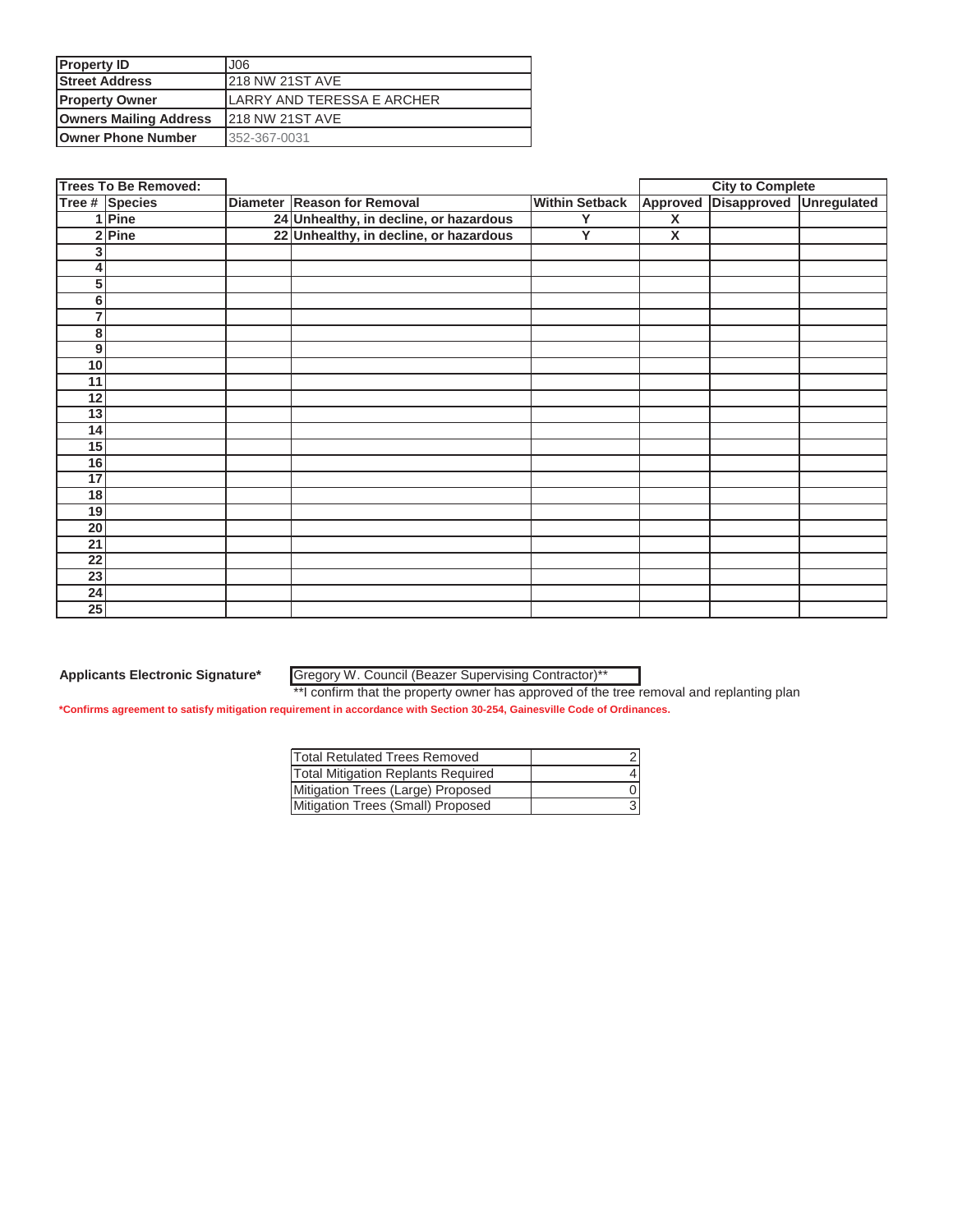| <b>Property ID</b>            | J06                         |
|-------------------------------|-----------------------------|
| <b>Street Address</b>         | <b>218 NW 21ST AVE</b>      |
| <b>Property Owner</b>         | ILARRY AND TERESSA E ARCHER |
| <b>Owners Mailing Address</b> | <b>218 NW 21ST AVE</b>      |
| <b>Owner Phone Number</b>     | 352-367-0031                |

|                 | <b>Trees To Be Removed:</b> |                                        |                       | <b>City to Complete</b> |                    |             |
|-----------------|-----------------------------|----------------------------------------|-----------------------|-------------------------|--------------------|-------------|
|                 | Tree # Species              | Diameter Reason for Removal            | <b>Within Setback</b> | Approved                | <b>Disapproved</b> | Unregulated |
|                 | Pine                        | 24 Unhealthy, in decline, or hazardous | Y                     | $\overline{\mathbf{x}}$ |                    |             |
| 2 <sub>1</sub>  | Pine                        | 22 Unhealthy, in decline, or hazardous | Y                     | X                       |                    |             |
| 3               |                             |                                        |                       |                         |                    |             |
| 4               |                             |                                        |                       |                         |                    |             |
| 5               |                             |                                        |                       |                         |                    |             |
| 6               |                             |                                        |                       |                         |                    |             |
| 7               |                             |                                        |                       |                         |                    |             |
| 8               |                             |                                        |                       |                         |                    |             |
| 9               |                             |                                        |                       |                         |                    |             |
| 10              |                             |                                        |                       |                         |                    |             |
| 11              |                             |                                        |                       |                         |                    |             |
| 12              |                             |                                        |                       |                         |                    |             |
| 13              |                             |                                        |                       |                         |                    |             |
| 14              |                             |                                        |                       |                         |                    |             |
| 15              |                             |                                        |                       |                         |                    |             |
| 16              |                             |                                        |                       |                         |                    |             |
| 17              |                             |                                        |                       |                         |                    |             |
| 18              |                             |                                        |                       |                         |                    |             |
| 19              |                             |                                        |                       |                         |                    |             |
| $\overline{20}$ |                             |                                        |                       |                         |                    |             |
| 21              |                             |                                        |                       |                         |                    |             |
| $\overline{22}$ |                             |                                        |                       |                         |                    |             |
| $\overline{23}$ |                             |                                        |                       |                         |                    |             |
| 24              |                             |                                        |                       |                         |                    |             |
| $\overline{25}$ |                             |                                        |                       |                         |                    |             |

Gregory W. Council (Beazer Supervising Contractor)\*\*

\*\*I confirm that the property owner has approved of the tree removal and replanting plan

| Total Retulated Trees Removed             |  |
|-------------------------------------------|--|
| <b>Total Mitigation Replants Required</b> |  |
| Mitigation Trees (Large) Proposed         |  |
| Mitigation Trees (Small) Proposed         |  |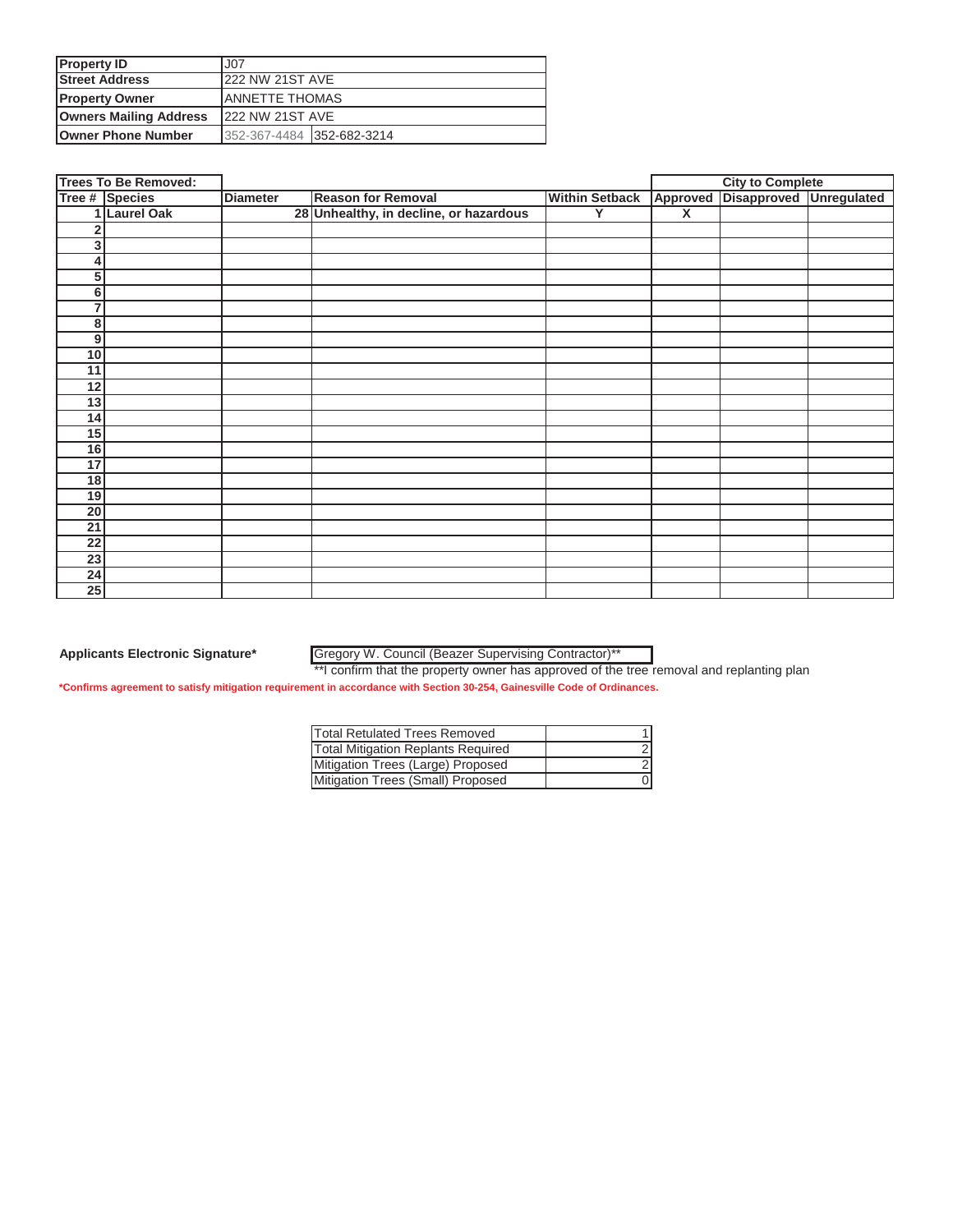| <b>Property ID</b>            | J <sub>07</sub>           |  |  |
|-------------------------------|---------------------------|--|--|
| <b>Street Address</b>         | <b>222 NW 21ST AVE</b>    |  |  |
| <b>Property Owner</b>         | <b>JANNETTE THOMAS</b>    |  |  |
| <b>Owners Mailing Address</b> | <b>222 NW 21ST AVE</b>    |  |  |
| <b>Owner Phone Number</b>     | 352-367-4484 352-682-3214 |  |  |

|                 | <b>Trees To Be Removed:</b> |                 |                                        |                       |                         | <b>City to Complete</b> |  |
|-----------------|-----------------------------|-----------------|----------------------------------------|-----------------------|-------------------------|-------------------------|--|
|                 | Tree # Species              | <b>Diameter</b> | <b>Reason for Removal</b>              | <b>Within Setback</b> | Approved                | Disapproved Unregulated |  |
|                 | 1 Laurel Oak                |                 | 28 Unhealthy, in decline, or hazardous | Y                     | $\overline{\mathsf{x}}$ |                         |  |
| 2               |                             |                 |                                        |                       |                         |                         |  |
| 3               |                             |                 |                                        |                       |                         |                         |  |
| 4               |                             |                 |                                        |                       |                         |                         |  |
| 5               |                             |                 |                                        |                       |                         |                         |  |
| 6               |                             |                 |                                        |                       |                         |                         |  |
| 7               |                             |                 |                                        |                       |                         |                         |  |
| 8               |                             |                 |                                        |                       |                         |                         |  |
| 9               |                             |                 |                                        |                       |                         |                         |  |
| 10              |                             |                 |                                        |                       |                         |                         |  |
| 11              |                             |                 |                                        |                       |                         |                         |  |
| 12              |                             |                 |                                        |                       |                         |                         |  |
| 13              |                             |                 |                                        |                       |                         |                         |  |
| 14              |                             |                 |                                        |                       |                         |                         |  |
| 15              |                             |                 |                                        |                       |                         |                         |  |
| 16              |                             |                 |                                        |                       |                         |                         |  |
| 17              |                             |                 |                                        |                       |                         |                         |  |
| 18              |                             |                 |                                        |                       |                         |                         |  |
| 19              |                             |                 |                                        |                       |                         |                         |  |
| 20              |                             |                 |                                        |                       |                         |                         |  |
| $\overline{21}$ |                             |                 |                                        |                       |                         |                         |  |
| 22              |                             |                 |                                        |                       |                         |                         |  |
| $\overline{23}$ |                             |                 |                                        |                       |                         |                         |  |
| $\overline{24}$ |                             |                 |                                        |                       |                         |                         |  |
| $\overline{25}$ |                             |                 |                                        |                       |                         |                         |  |

### Gregory W. Council (Beazer Supervising Contractor)\*\*

\*\*I confirm that the property owner has approved of the tree removal and replanting plan **\*Confirms agreement to satisfy mitigation requirement in accordance with Section 30-254, Gainesville Code of Ordinances.**

| <b>Total Retulated Trees Removed</b>      |  |
|-------------------------------------------|--|
| <b>Total Mitigation Replants Required</b> |  |
| Mitigation Trees (Large) Proposed         |  |
| Mitigation Trees (Small) Proposed         |  |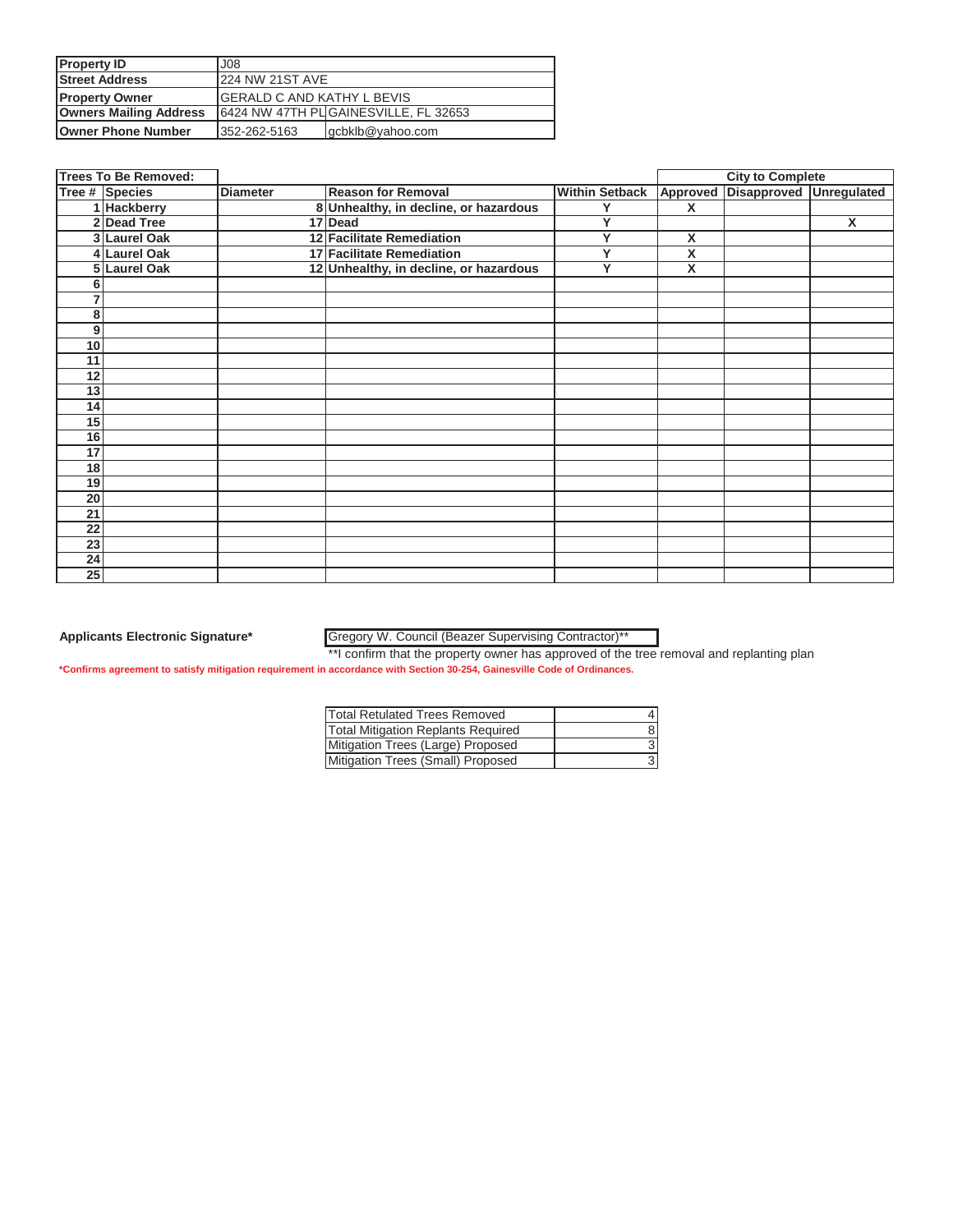| <b>Property ID</b>            | 300 <sub>0</sub>            |                                       |  |
|-------------------------------|-----------------------------|---------------------------------------|--|
| <b>Street Address</b>         | 224 NW 21ST AVE             |                                       |  |
| <b>Property Owner</b>         | IGERALD C AND KATHY L BEVIS |                                       |  |
| <b>Owners Mailing Address</b> |                             | 6424 NW 47TH PL GAINESVILLE, FL 32653 |  |
| <b>Owner Phone Number</b>     | 352-262-5163                | gcbklb@yahoo.com                      |  |

|                 | <b>Trees To Be Removed:</b> |                 |                                        |                       |          | <b>City to Complete</b> |                    |
|-----------------|-----------------------------|-----------------|----------------------------------------|-----------------------|----------|-------------------------|--------------------|
|                 | Tree # Species              | <b>Diameter</b> | <b>Reason for Removal</b>              | <b>Within Setback</b> | Approved | <b>Disapproved</b>      | <b>Unregulated</b> |
|                 | 1 Hackberry                 |                 | 8 Unhealthy, in decline, or hazardous  | Υ                     | X        |                         |                    |
|                 | 2 Dead Tree                 |                 | 17 Dead                                | Y                     |          |                         | X                  |
|                 | 3 Laurel Oak                |                 | 12 Facilitate Remediation              | Y                     | X        |                         |                    |
|                 | 4 Laurel Oak                |                 | 17 Facilitate Remediation              | v                     | X        |                         |                    |
|                 | 5 Laurel Oak                |                 | 12 Unhealthy, in decline, or hazardous | $\checkmark$          | X        |                         |                    |
|                 |                             |                 |                                        |                       |          |                         |                    |
|                 |                             |                 |                                        |                       |          |                         |                    |
| 8               |                             |                 |                                        |                       |          |                         |                    |
| 9               |                             |                 |                                        |                       |          |                         |                    |
| 10              |                             |                 |                                        |                       |          |                         |                    |
| 11              |                             |                 |                                        |                       |          |                         |                    |
| 12              |                             |                 |                                        |                       |          |                         |                    |
| 13              |                             |                 |                                        |                       |          |                         |                    |
| 14              |                             |                 |                                        |                       |          |                         |                    |
| 15              |                             |                 |                                        |                       |          |                         |                    |
| 16              |                             |                 |                                        |                       |          |                         |                    |
| 17              |                             |                 |                                        |                       |          |                         |                    |
| 18              |                             |                 |                                        |                       |          |                         |                    |
| 19              |                             |                 |                                        |                       |          |                         |                    |
| $\overline{20}$ |                             |                 |                                        |                       |          |                         |                    |
| 21              |                             |                 |                                        |                       |          |                         |                    |
| 22              |                             |                 |                                        |                       |          |                         |                    |
| 23              |                             |                 |                                        |                       |          |                         |                    |
| $\overline{24}$ |                             |                 |                                        |                       |          |                         |                    |
| 25              |                             |                 |                                        |                       |          |                         |                    |

### Gregory W. Council (Beazer Supervising Contractor)\*\*

\*\*I confirm that the property owner has approved of the tree removal and replanting plan

| <b>Total Retulated Trees Removed</b>      |  |
|-------------------------------------------|--|
| <b>Total Mitigation Replants Required</b> |  |
| Mitigation Trees (Large) Proposed         |  |
| Mitigation Trees (Small) Proposed         |  |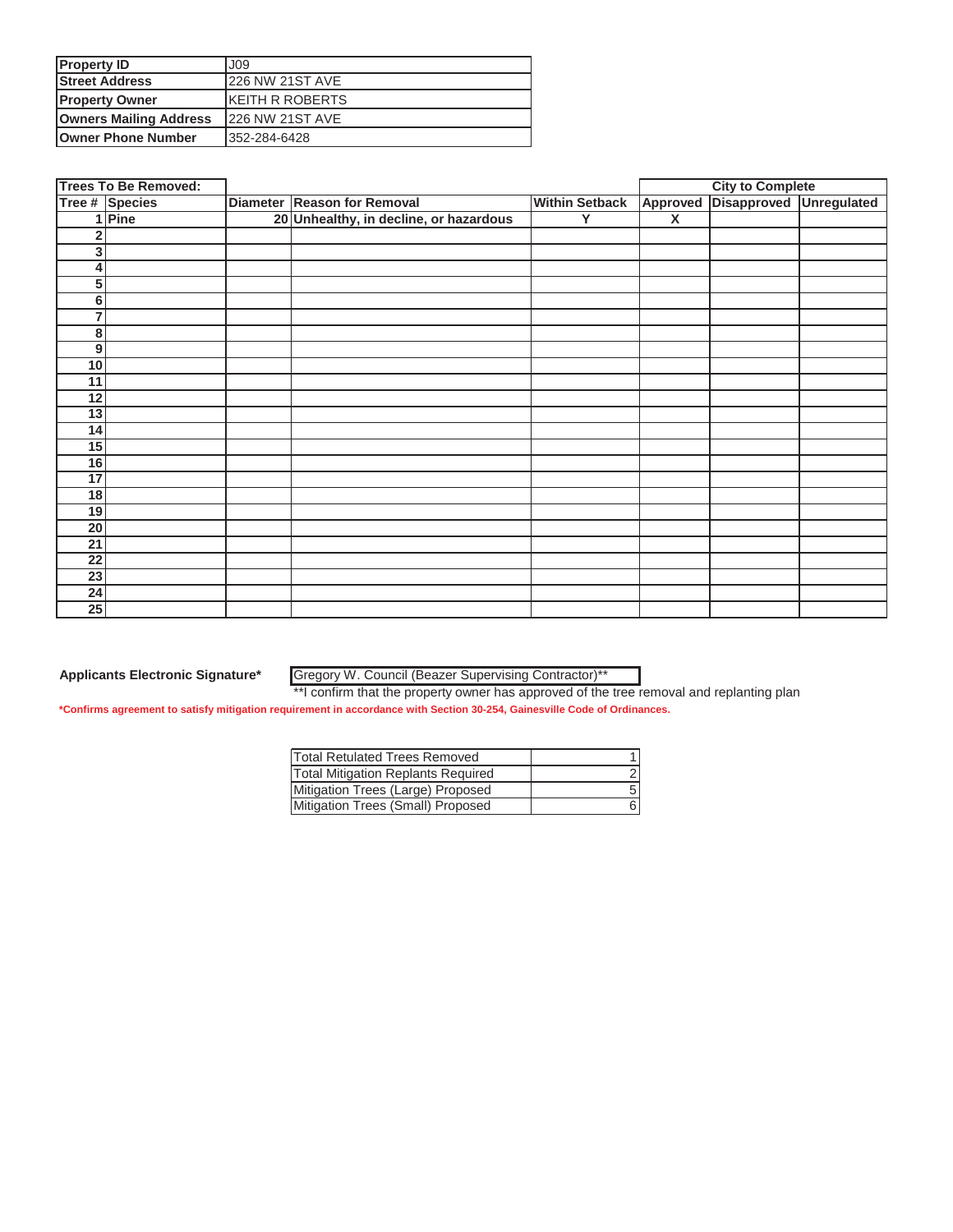| <b>Property ID</b>            | J09                     |
|-------------------------------|-------------------------|
| <b>Street Address</b>         | <b>226 NW 21ST AVE</b>  |
| <b>Property Owner</b>         | <b>IKEITH R ROBERTS</b> |
| <b>Owners Mailing Address</b> | <b>226 NW 21ST AVE</b>  |
| <b>Owner Phone Number</b>     | 352-284-6428            |

|                 | <b>Trees To Be Removed:</b> |                                        |                       | <b>City to Complete</b> |                         |  |
|-----------------|-----------------------------|----------------------------------------|-----------------------|-------------------------|-------------------------|--|
|                 | Tree # Species              | Diameter Reason for Removal            | <b>Within Setback</b> | Approved                | Disapproved Unregulated |  |
|                 | 1 Pine                      | 20 Unhealthy, in decline, or hazardous | Y                     | $\overline{\mathbf{x}}$ |                         |  |
| 2               |                             |                                        |                       |                         |                         |  |
| 3 <sup>1</sup>  |                             |                                        |                       |                         |                         |  |
| 4               |                             |                                        |                       |                         |                         |  |
| 5               |                             |                                        |                       |                         |                         |  |
| 6               |                             |                                        |                       |                         |                         |  |
| $\overline{7}$  |                             |                                        |                       |                         |                         |  |
| 8               |                             |                                        |                       |                         |                         |  |
| 9 <sup>1</sup>  |                             |                                        |                       |                         |                         |  |
| 10              |                             |                                        |                       |                         |                         |  |
| 11              |                             |                                        |                       |                         |                         |  |
| 12              |                             |                                        |                       |                         |                         |  |
| 13              |                             |                                        |                       |                         |                         |  |
| 14              |                             |                                        |                       |                         |                         |  |
| 15              |                             |                                        |                       |                         |                         |  |
| 16              |                             |                                        |                       |                         |                         |  |
| 17              |                             |                                        |                       |                         |                         |  |
| 18              |                             |                                        |                       |                         |                         |  |
| 19              |                             |                                        |                       |                         |                         |  |
| $\overline{20}$ |                             |                                        |                       |                         |                         |  |
| 21              |                             |                                        |                       |                         |                         |  |
| $\overline{22}$ |                             |                                        |                       |                         |                         |  |
| $\overline{23}$ |                             |                                        |                       |                         |                         |  |
| 24              |                             |                                        |                       |                         |                         |  |
| 25              |                             |                                        |                       |                         |                         |  |

Gregory W. Council (Beazer Supervising Contractor)\*\*

\*\*I confirm that the property owner has approved of the tree removal and replanting plan

| Total Retulated Trees Removed             |   |
|-------------------------------------------|---|
| <b>Total Mitigation Replants Required</b> |   |
| Mitigation Trees (Large) Proposed         | 5 |
| Mitigation Trees (Small) Proposed         |   |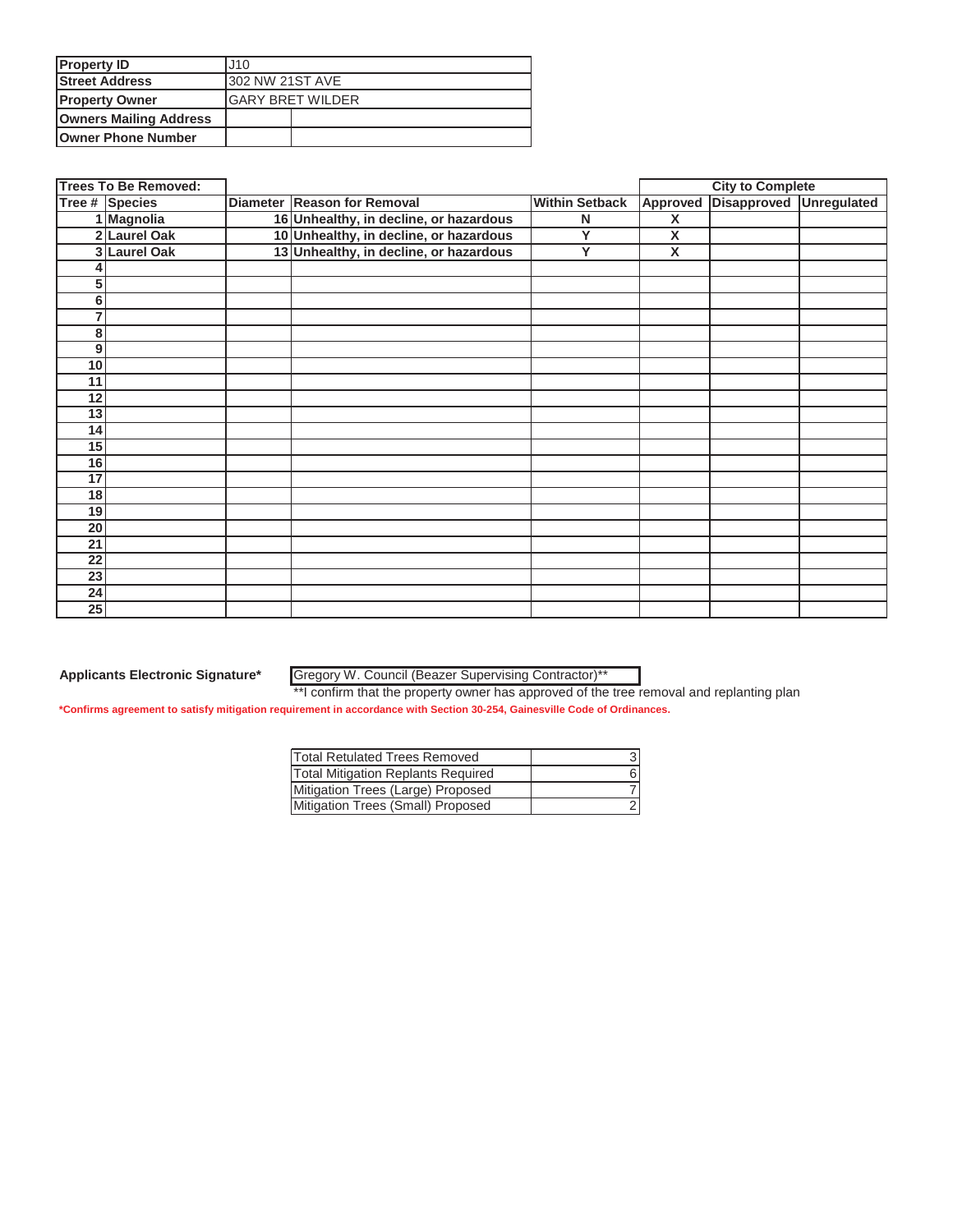| <b>Property ID</b>            | J10                      |  |
|-------------------------------|--------------------------|--|
| <b>Street Address</b>         | <b>302 NW 21ST AVE</b>   |  |
| <b>Property Owner</b>         | <b>IGARY BRET WILDER</b> |  |
| <b>Owners Mailing Address</b> |                          |  |
| <b>Owner Phone Number</b>     |                          |  |

|    | <b>Trees To Be Removed:</b> |                                        |                         |                         | <b>City to Complete</b> |             |
|----|-----------------------------|----------------------------------------|-------------------------|-------------------------|-------------------------|-------------|
|    | Tree # Species              | Diameter Reason for Removal            | <b>Within Setback</b>   | Approved                | <b>Disapproved</b>      | Unregulated |
|    | 1 Magnolia                  | 16 Unhealthy, in decline, or hazardous | N                       | X                       |                         |             |
|    | 2 Laurel Oak                | 10 Unhealthy, in decline, or hazardous | Y                       | X                       |                         |             |
| 3  | <b>Laurel Oak</b>           | 13 Unhealthy, in decline, or hazardous | $\overline{\mathsf{Y}}$ | $\overline{\mathsf{x}}$ |                         |             |
|    |                             |                                        |                         |                         |                         |             |
| 5  |                             |                                        |                         |                         |                         |             |
| 6  |                             |                                        |                         |                         |                         |             |
| 7  |                             |                                        |                         |                         |                         |             |
| 8  |                             |                                        |                         |                         |                         |             |
| 9  |                             |                                        |                         |                         |                         |             |
| 10 |                             |                                        |                         |                         |                         |             |
| 11 |                             |                                        |                         |                         |                         |             |
| 12 |                             |                                        |                         |                         |                         |             |
| 13 |                             |                                        |                         |                         |                         |             |
| 14 |                             |                                        |                         |                         |                         |             |
| 15 |                             |                                        |                         |                         |                         |             |
| 16 |                             |                                        |                         |                         |                         |             |
| 17 |                             |                                        |                         |                         |                         |             |
| 18 |                             |                                        |                         |                         |                         |             |
| 19 |                             |                                        |                         |                         |                         |             |
| 20 |                             |                                        |                         |                         |                         |             |
| 21 |                             |                                        |                         |                         |                         |             |
| 22 |                             |                                        |                         |                         |                         |             |
| 23 |                             |                                        |                         |                         |                         |             |
| 24 |                             |                                        |                         |                         |                         |             |
| 25 |                             |                                        |                         |                         |                         |             |

Gregory W. Council (Beazer Supervising Contractor)\*\*

\*\*I confirm that the property owner has approved of the tree removal and replanting plan

| *Confirms agreement to satisfy mitigation requirement in accordance with Section 30-254, Gainesville Code of Ordinances. |
|--------------------------------------------------------------------------------------------------------------------------|
|--------------------------------------------------------------------------------------------------------------------------|

| Total Retulated Trees Removed             |  |
|-------------------------------------------|--|
| <b>Total Mitigation Replants Required</b> |  |
| Mitigation Trees (Large) Proposed         |  |
| Mitigation Trees (Small) Proposed         |  |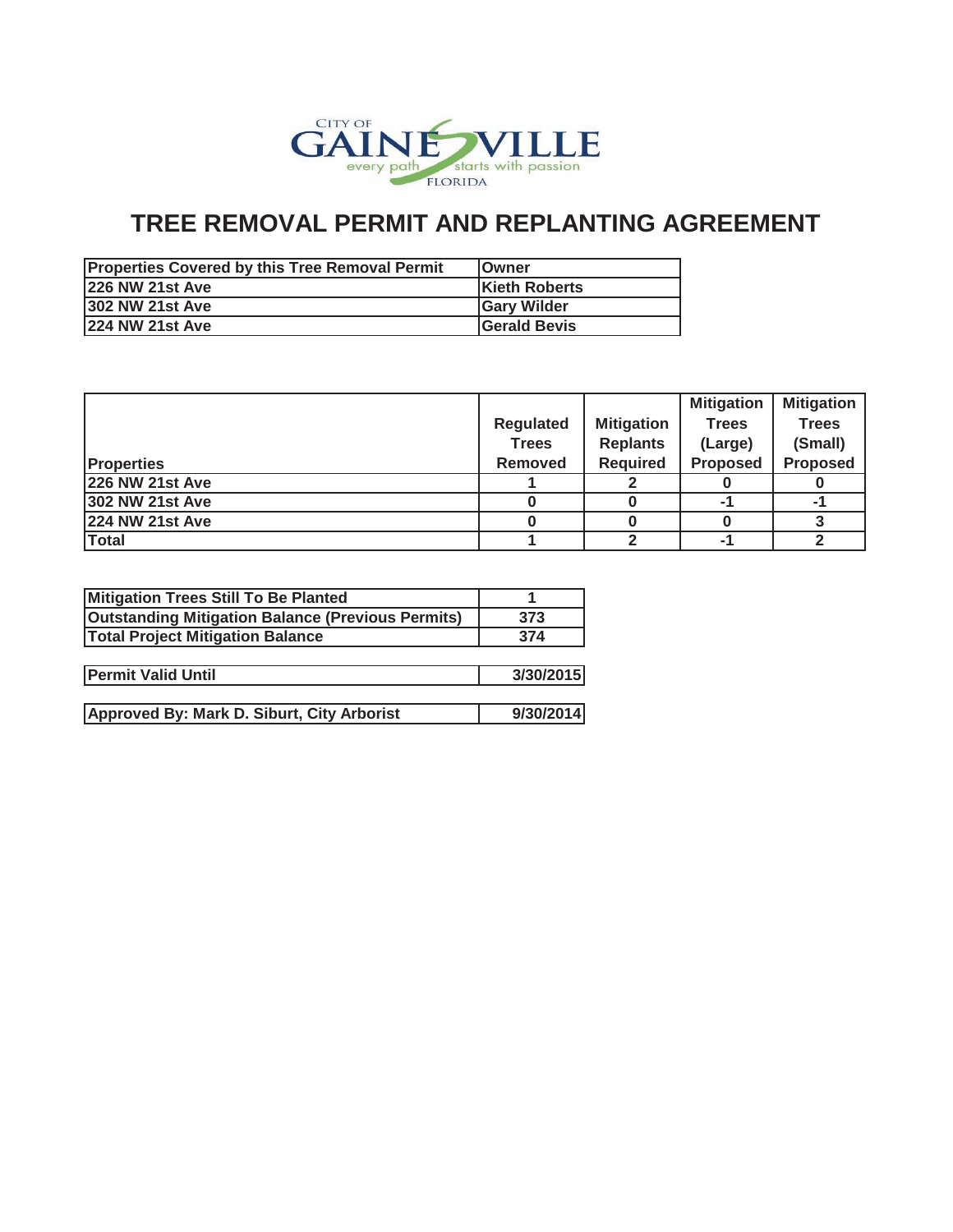

| <b>Properties Covered by this Tree Removal Permit</b> | <b>IOwner</b>       |
|-------------------------------------------------------|---------------------|
| <b>226 NW 21st Ave</b>                                | Kieth Roberts       |
| <b>302 NW 21st Ave</b>                                | <b>IGary Wilder</b> |
| <b>224 NW 21st Ave</b>                                | Gerald Bevis        |

|                        |                  |                   | <b>Mitigation</b> | <b>Mitigation</b> |
|------------------------|------------------|-------------------|-------------------|-------------------|
|                        | <b>Regulated</b> | <b>Mitigation</b> | <b>Trees</b>      | <b>Trees</b>      |
|                        | <b>Trees</b>     | <b>Replants</b>   | (Large)           | (Small)           |
| <b>Properties</b>      | <b>Removed</b>   | <b>Required</b>   | <b>Proposed</b>   | <b>Proposed</b>   |
| <b>226 NW 21st Ave</b> |                  |                   |                   |                   |
| <b>302 NW 21st Ave</b> |                  |                   |                   | -1                |
| <b>224 NW 21st Ave</b> |                  |                   |                   |                   |
| <b>Total</b>           |                  |                   |                   |                   |

| 373       |
|-----------|
| 374       |
|           |
| 3/30/2015 |
|           |
| 9/30/2014 |
|           |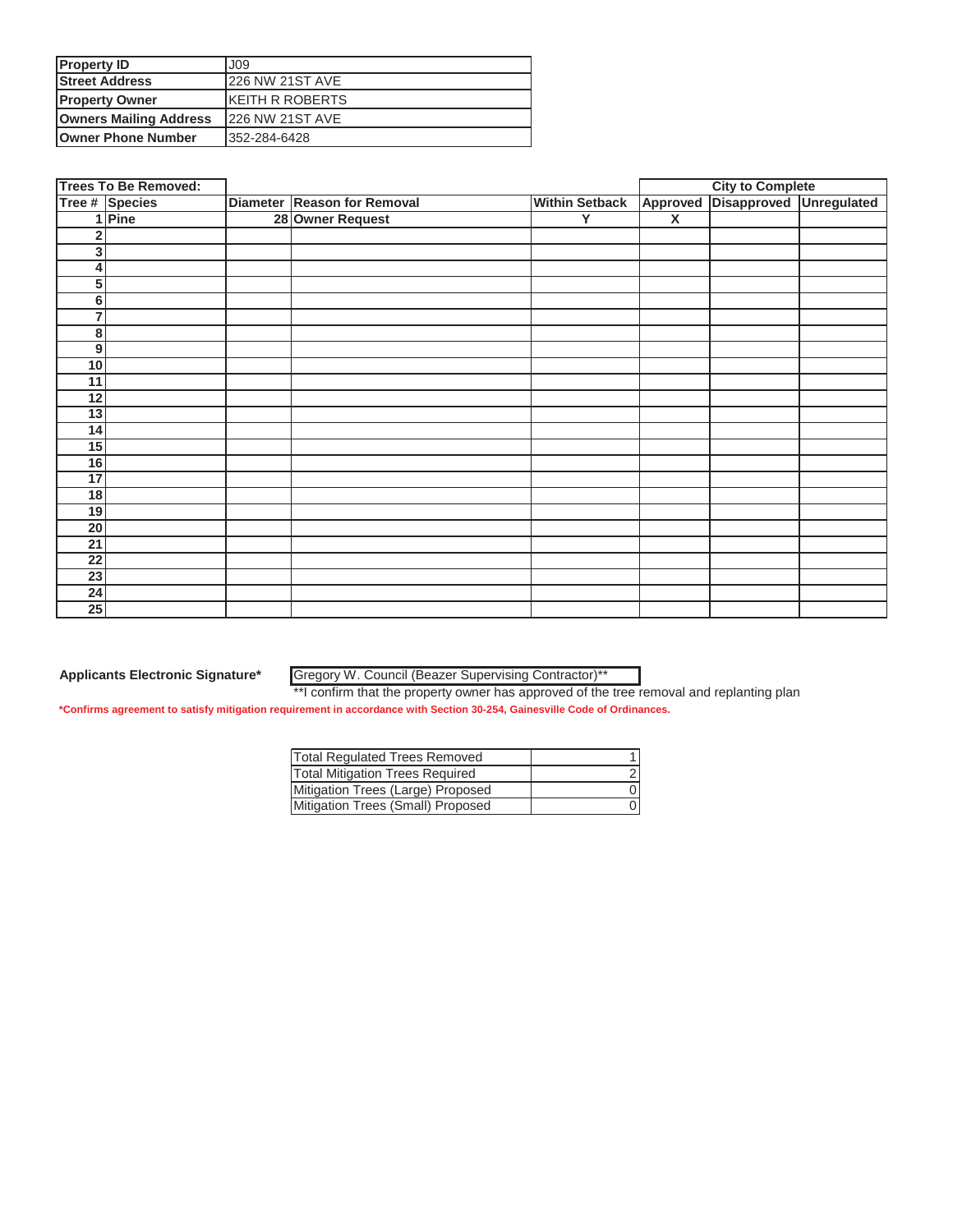| <b>Property ID</b>            | J09                     |
|-------------------------------|-------------------------|
| <b>Street Address</b>         | <b>226 NW 21ST AVE</b>  |
| <b>Property Owner</b>         | <b>IKEITH R ROBERTS</b> |
| <b>Owners Mailing Address</b> | <b>226 NW 21ST AVE</b>  |
| <b>Owner Phone Number</b>     | 352-284-6428            |

|                  | <b>Trees To Be Removed:</b> |                             |                       | <b>City to Complete</b> |                         |  |
|------------------|-----------------------------|-----------------------------|-----------------------|-------------------------|-------------------------|--|
|                  | Tree # Species              | Diameter Reason for Removal | <b>Within Setback</b> | Approved                | Disapproved Unregulated |  |
|                  | 1 Pine                      | 28 Owner Request            | Υ                     | $\overline{\mathbf{x}}$ |                         |  |
| $\overline{2}$   |                             |                             |                       |                         |                         |  |
| 3 <sup>1</sup>   |                             |                             |                       |                         |                         |  |
| $\boldsymbol{4}$ |                             |                             |                       |                         |                         |  |
| 5                |                             |                             |                       |                         |                         |  |
| 6                |                             |                             |                       |                         |                         |  |
| $\overline{7}$   |                             |                             |                       |                         |                         |  |
| 8                |                             |                             |                       |                         |                         |  |
| 9                |                             |                             |                       |                         |                         |  |
| 10               |                             |                             |                       |                         |                         |  |
| 11               |                             |                             |                       |                         |                         |  |
| 12               |                             |                             |                       |                         |                         |  |
| 13               |                             |                             |                       |                         |                         |  |
| 14               |                             |                             |                       |                         |                         |  |
| 15               |                             |                             |                       |                         |                         |  |
| 16               |                             |                             |                       |                         |                         |  |
| 17               |                             |                             |                       |                         |                         |  |
| 18               |                             |                             |                       |                         |                         |  |
| 19               |                             |                             |                       |                         |                         |  |
| 20               |                             |                             |                       |                         |                         |  |
| 21               |                             |                             |                       |                         |                         |  |
| $\overline{22}$  |                             |                             |                       |                         |                         |  |
| $\overline{23}$  |                             |                             |                       |                         |                         |  |
| 24               |                             |                             |                       |                         |                         |  |
| 25               |                             |                             |                       |                         |                         |  |

Gregory W. Council (Beazer Supervising Contractor)\*\*

\*\*I confirm that the property owner has approved of the tree removal and replanting plan

| <b>Total Regulated Trees Removed</b>   |  |
|----------------------------------------|--|
| <b>Total Mitigation Trees Required</b> |  |
| Mitigation Trees (Large) Proposed      |  |
| Mitigation Trees (Small) Proposed      |  |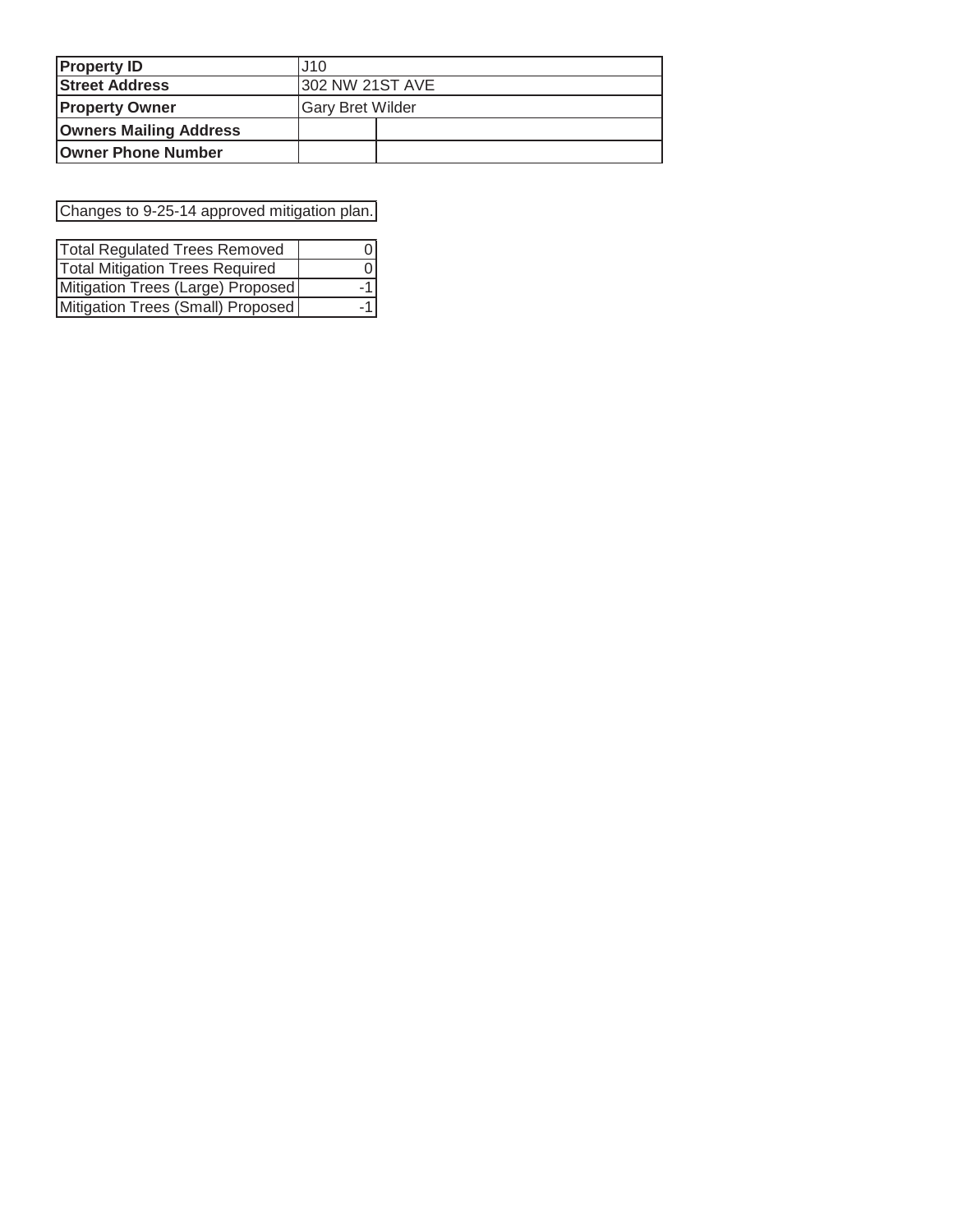| <b>Property ID</b>            | J10                     |  |  |
|-------------------------------|-------------------------|--|--|
| <b>Street Address</b>         | <b>302 NW 21ST AVE</b>  |  |  |
| <b>Property Owner</b>         | <b>Gary Bret Wilder</b> |  |  |
| <b>Owners Mailing Address</b> |                         |  |  |
| <b>Owner Phone Number</b>     |                         |  |  |

Changes to 9-25-14 approved mitigation plan.

| <b>Total Regulated Trees Removed</b>   |       |
|----------------------------------------|-------|
| <b>Total Mitigation Trees Required</b> |       |
| Mitigation Trees (Large) Proposed      | $-11$ |
| Mitigation Trees (Small) Proposed      |       |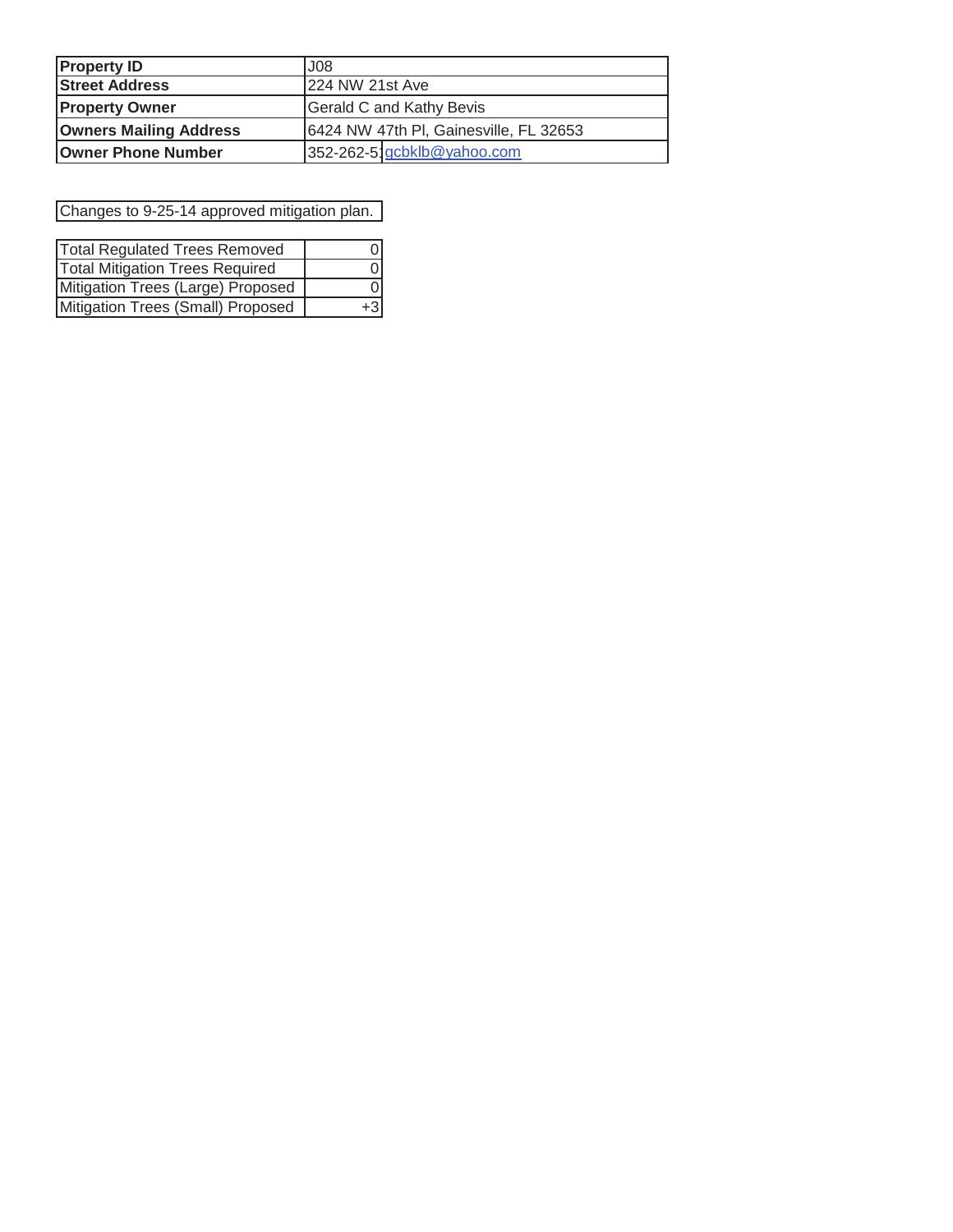| <b>Property ID</b>            | J <sub>08</sub>                        |  |  |
|-------------------------------|----------------------------------------|--|--|
| <b>Street Address</b>         | 224 NW 21st Ave                        |  |  |
| <b>Property Owner</b>         | <b>Gerald C and Kathy Bevis</b>        |  |  |
| <b>Owners Mailing Address</b> | 6424 NW 47th PI, Gainesville, FL 32653 |  |  |
| <b>Owner Phone Number</b>     | 352-262-5 gcbklb@yahoo.com             |  |  |

Changes to 9-25-14 approved mitigation plan.

| <b>Total Regulated Trees Removed</b>   |       |
|----------------------------------------|-------|
| <b>Total Mitigation Trees Required</b> |       |
| Mitigation Trees (Large) Proposed      |       |
| Mitigation Trees (Small) Proposed      | $+31$ |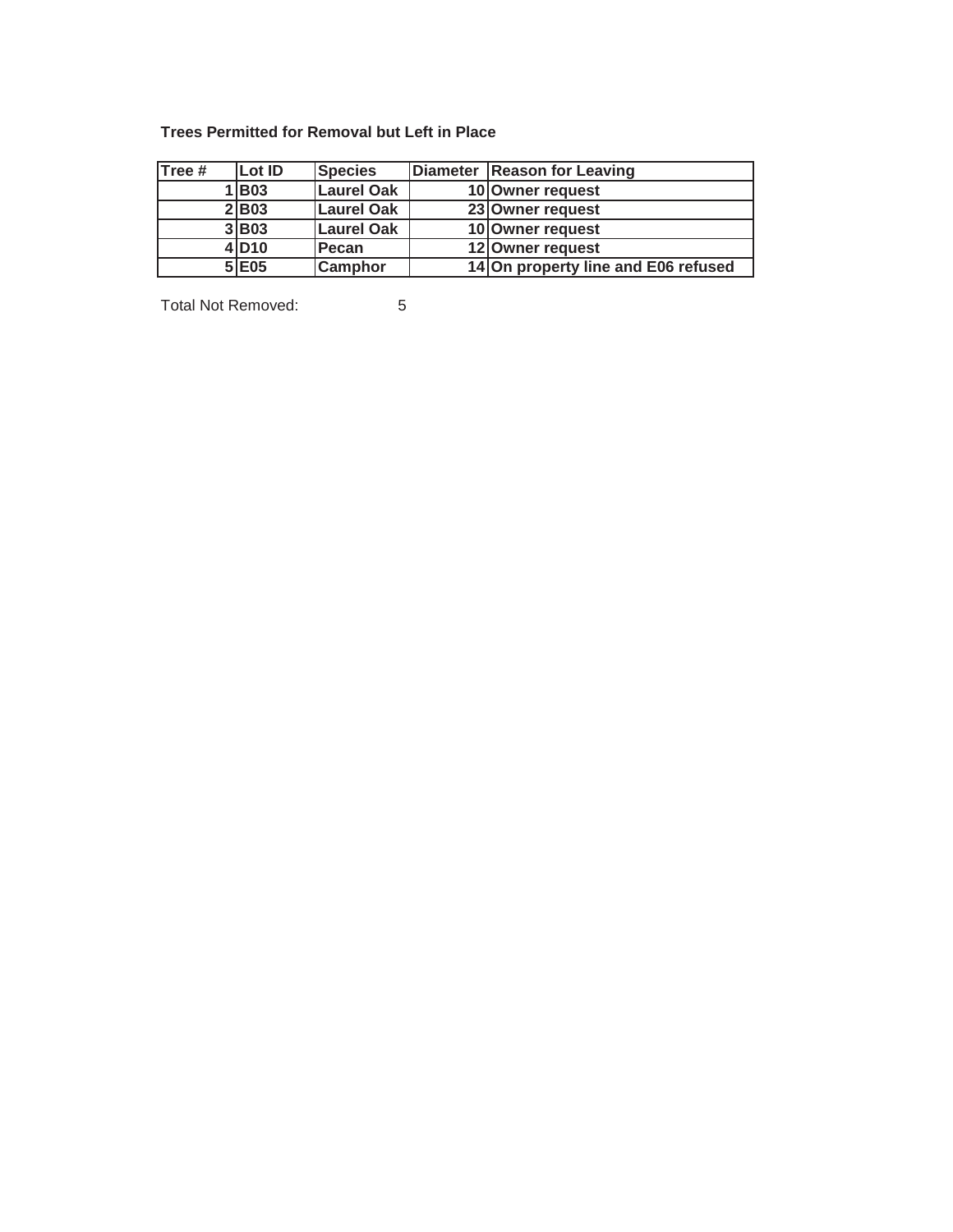## **Trees Permitted for Removal but Left in Place**

| Tree # | Lot ID | <b>Species</b> | Diameter   Reason for Leaving       |
|--------|--------|----------------|-------------------------------------|
|        | 1 B03  | Laurel Oak     | 10 Owner request                    |
|        | 2 B03  | Laurel Oak     | 23 Owner request                    |
|        | 3 B03  | Laurel Oak     | 10 Owner request                    |
|        | 4 D10  | Pecan          | 12 Owner request                    |
|        | 5 E05  | <b>Camphor</b> | 14 On property line and E06 refused |

Total Not Removed: 5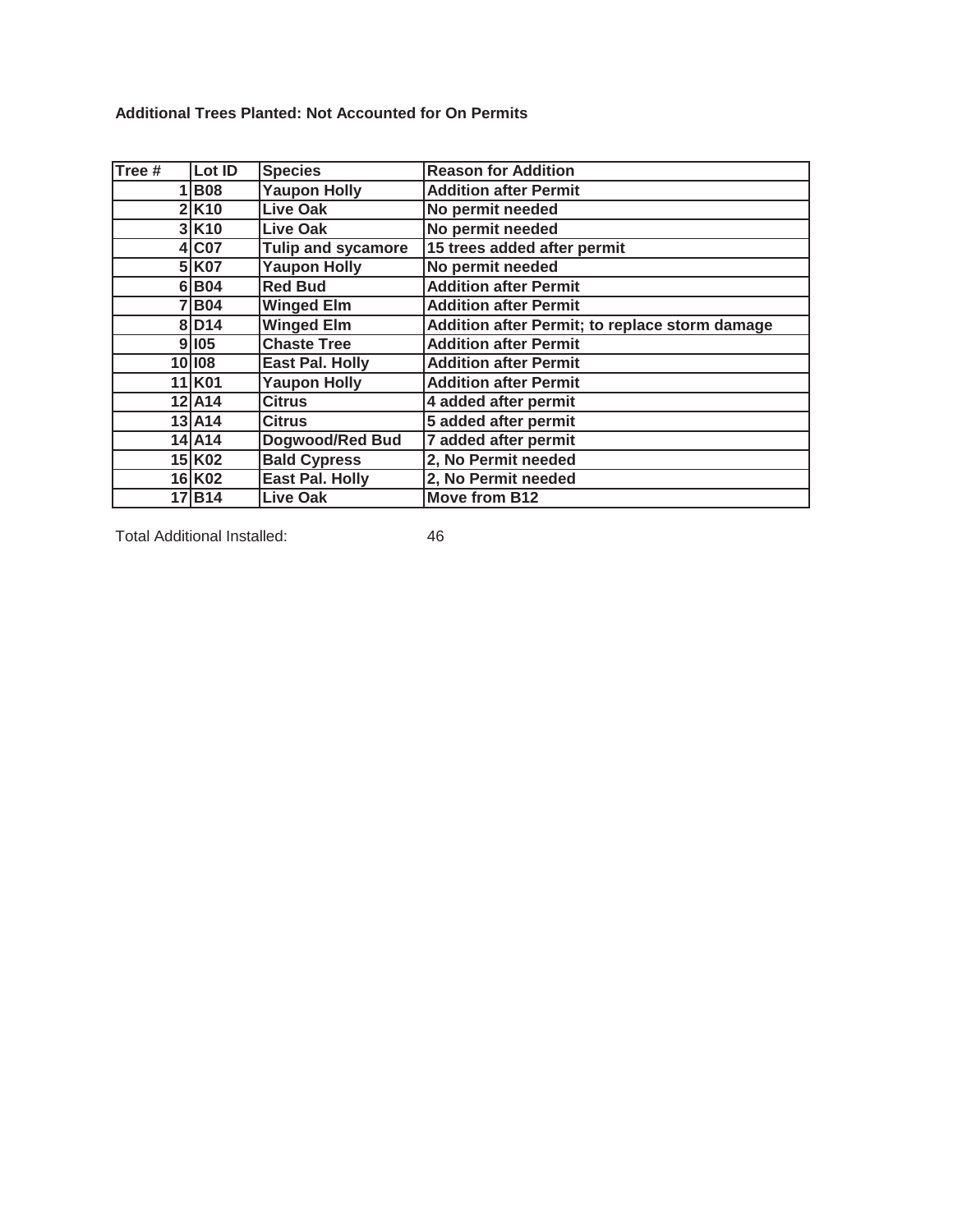**Additional Trees Planted: Not Accounted for On Permits**

| Tree # | Lot ID               | <b>Species</b>            | <b>Reason for Addition</b>                     |
|--------|----------------------|---------------------------|------------------------------------------------|
|        | $1 $ B08             | <b>Yaupon Holly</b>       | <b>Addition after Permit</b>                   |
|        | $2$ $K10$            | <b>Live Oak</b>           | No permit needed                               |
|        | $3$ $K$ 10           | <b>Live Oak</b>           | No permit needed                               |
|        | 4 CO7                | <b>Tulip and sycamore</b> | 15 trees added after permit                    |
|        | 5 K07                | <b>Yaupon Holly</b>       | No permit needed                               |
|        | 6 B04                | <b>Red Bud</b>            | <b>Addition after Permit</b>                   |
|        | 7 B04                | <b>Winged Elm</b>         | <b>Addition after Permit</b>                   |
|        | 8 D14                | <b>Winged Elm</b>         | Addition after Permit; to replace storm damage |
|        | 9 105                | <b>Chaste Tree</b>        | <b>Addition after Permit</b>                   |
|        | 10 108               | <b>East Pal. Holly</b>    | <b>Addition after Permit</b>                   |
|        | $\overline{11}$ K01  | <b>Yaupon Holly</b>       | <b>Addition after Permit</b>                   |
|        | $12$ $A14$           | <b>Citrus</b>             | 4 added after permit                           |
|        | $13$ A <sub>14</sub> | <b>Citrus</b>             | 5 added after permit                           |
|        | 14 A14               | Dogwood/Red Bud           | 7 added after permit                           |
|        | $15$ K02             | <b>Bald Cypress</b>       | 2, No Permit needed                            |
|        | $16$ <sup>K02</sup>  | <b>East Pal. Holly</b>    | 2, No Permit needed                            |
|        | 17B14                | <b>Live Oak</b>           | <b>Move from B12</b>                           |

Total Additional Installed: 46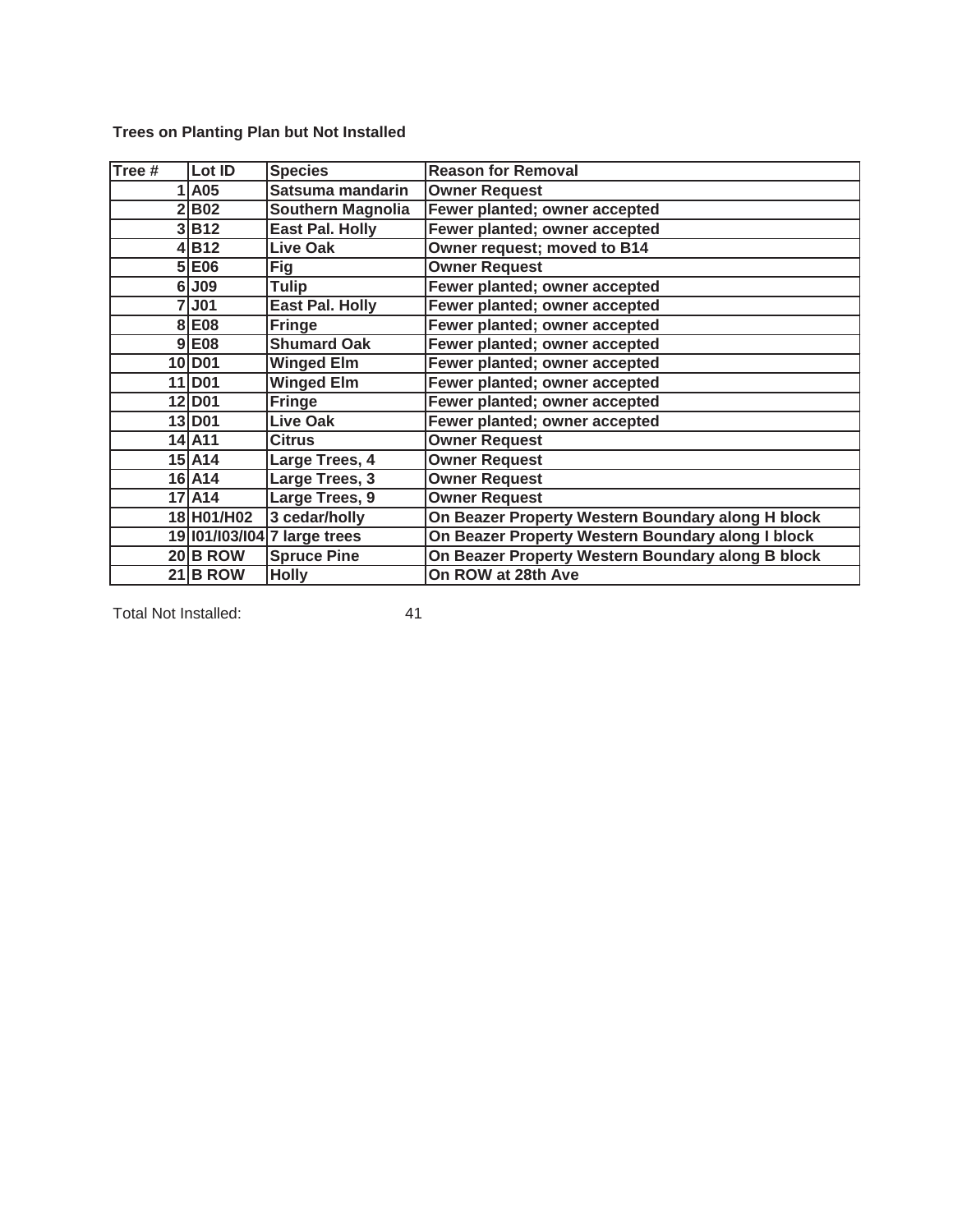| $\overline{\mathsf{Tree}}$ # | Lot ID             | <b>Species</b>               | <b>Reason for Removal</b>                         |
|------------------------------|--------------------|------------------------------|---------------------------------------------------|
|                              | 1 A05              | Satsuma mandarin             | <b>Owner Request</b>                              |
|                              | 2 B02              | Southern Magnolia            | Fewer planted; owner accepted                     |
|                              | 3 B12              | <b>East Pal. Holly</b>       | Fewer planted; owner accepted                     |
|                              | 4B12               | <b>Live Oak</b>              | Owner request; moved to B14                       |
|                              | 5 E06              | <b>Fig</b>                   | <b>Owner Request</b>                              |
|                              | 6 J09              | <b>Tulip</b>                 | Fewer planted; owner accepted                     |
|                              | 7J01               | <b>East Pal. Holly</b>       | Fewer planted; owner accepted                     |
|                              | 8 E08              | <b>Fringe</b>                | Fewer planted; owner accepted                     |
|                              | $9$ E08            | <b>Shumard Oak</b>           | Fewer planted; owner accepted                     |
|                              | 10 D <sub>01</sub> | <b>Winged Elm</b>            | Fewer planted; owner accepted                     |
|                              | 11 D <sub>01</sub> | <b>Winged Elm</b>            | Fewer planted; owner accepted                     |
|                              | 12 D <sub>01</sub> | <b>Fringe</b>                | Fewer planted; owner accepted                     |
|                              | 13 D <sub>01</sub> | <b>Live Oak</b>              | Fewer planted; owner accepted                     |
|                              | 14 A11             | <b>Citrus</b>                | <b>Owner Request</b>                              |
|                              | 15 A14             | Large Trees, 4               | <b>Owner Request</b>                              |
|                              | 16 A14             | Large Trees, 3               | <b>Owner Request</b>                              |
|                              | 17 A14             | Large Trees, 9               | <b>Owner Request</b>                              |
|                              | 18 H01/H02         | 3 cedar/holly                | On Beazer Property Western Boundary along H block |
|                              |                    | 19  01/ 03/ 04 7 large trees | On Beazer Property Western Boundary along I block |
|                              | $20$ B ROW         | <b>Spruce Pine</b>           | On Beazer Property Western Boundary along B block |
|                              | $21$ B ROW         | <b>Holly</b>                 | On ROW at 28th Ave                                |

**Trees on Planting Plan but Not Installed**

Total Not Installed: 41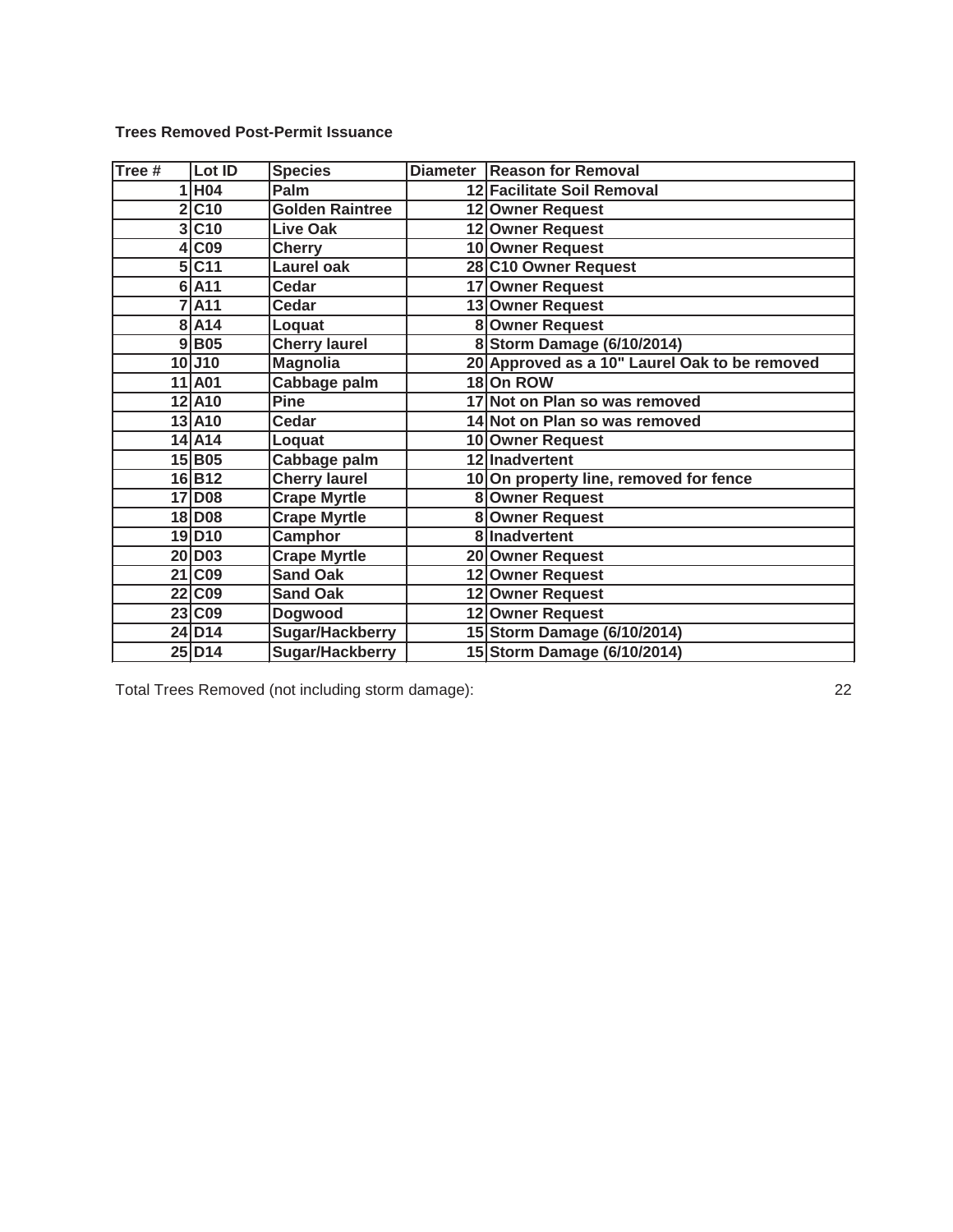**Trees Removed Post-Permit Issuance**

| Tree # | Lot ID               | <b>Species</b>         | Diameter   Reason for Removal                 |
|--------|----------------------|------------------------|-----------------------------------------------|
|        | 1 H04                | Palm                   | 12 Facilitate Soil Removal                    |
|        | 2 C10                | <b>Golden Raintree</b> | 12 Owner Request                              |
|        | 3 C10                | Live Oak               | 12 Owner Request                              |
|        | 4 CO9                | <b>Cherry</b>          | 10 Owner Request                              |
|        | 5 C11                | <b>Laurel oak</b>      | 28 C10 Owner Request                          |
|        | $6$ $A11$            | Cedar                  | 17 Owner Request                              |
|        | 7A11                 | <b>Cedar</b>           | 13 Owner Request                              |
|        | 8 A 14               | Loquat                 | 8 Owner Request                               |
|        | 9 B05                | <b>Cherry laurel</b>   | 8 Storm Damage (6/10/2014)                    |
|        | $10$ J $10$          | <b>Magnolia</b>        | 20 Approved as a 10" Laurel Oak to be removed |
|        | 11 A01               | Cabbage palm           | 18 On ROW                                     |
|        | 12 A10               | <b>Pine</b>            | 17 Not on Plan so was removed                 |
|        | 13 A10               | Cedar                  | 14 Not on Plan so was removed                 |
|        | 14 A14               | Loquat                 | 10 Owner Request                              |
|        | 15B05                | Cabbage palm           | 12 Inadvertent                                |
|        | 16B12                | <b>Cherry laurel</b>   | 10 On property line, removed for fence        |
|        | 17 D <sub>08</sub>   | <b>Crape Myrtle</b>    | 8 Owner Request                               |
|        | 18 D <sub>08</sub>   | <b>Crape Myrtle</b>    | 8 Owner Request                               |
|        | 19D10                | Camphor                | 8 Inadvertent                                 |
|        | 20 D <sub>03</sub>   | <b>Crape Myrtle</b>    | 20 Owner Request                              |
|        | 21 C09               | <b>Sand Oak</b>        | 12 Owner Request                              |
|        | 22 C09               | <b>Sand Oak</b>        | 12 Owner Request                              |
|        | 23 C09               | Dogwood                | 12 Owner Request                              |
|        | 24D14                | Sugar/Hackberry        | 15 Storm Damage (6/10/2014)                   |
|        | $25$ D <sub>14</sub> | Sugar/Hackberry        | 15 Storm Damage (6/10/2014)                   |

Total Trees Removed (not including storm damage): 22